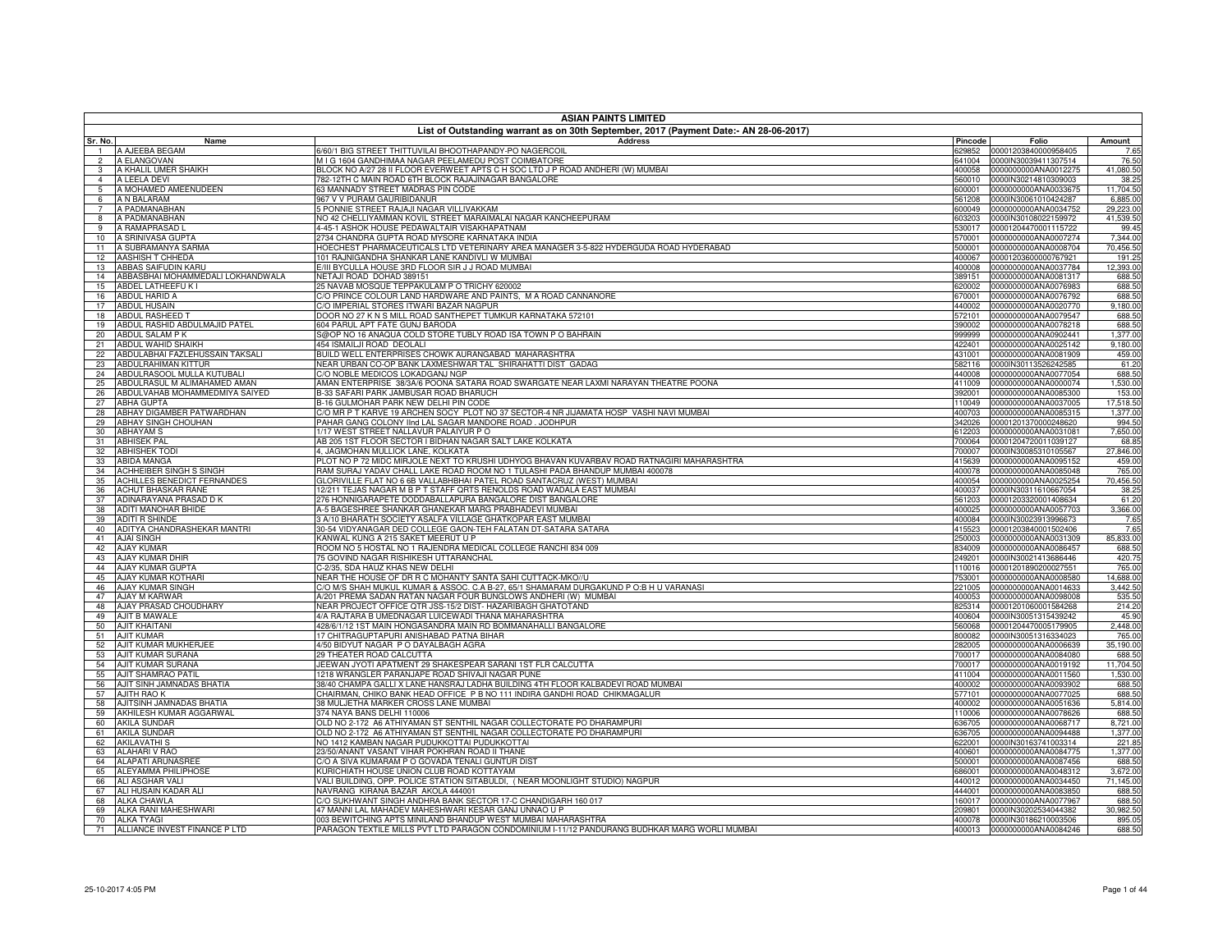|                 | <b>ASIAN PAINTS LIMITED</b>                          |                                                                                                           |                  |                                              |                        |  |
|-----------------|------------------------------------------------------|-----------------------------------------------------------------------------------------------------------|------------------|----------------------------------------------|------------------------|--|
| Sr. No.         | Name                                                 | List of Outstanding warrant as on 30th September, 2017 (Payment Date:- AN 28-06-2017)<br><b>Address</b>   | Pincode          | Folio                                        | Amount                 |  |
|                 | A AJEEBA BEGAM                                       | 6/60/1 BIG STREET THITTUVILAI BHOOTHAPANDY-PO NAGERCOIL                                                   | 629852           | 00001203840000958405                         | 7.65                   |  |
| $\overline{2}$  | A ELANGOVAN                                          | M I G 1604 GANDHIMAA NAGAR PEELAMEDU POST COIMBATORE                                                      | 641004           | 0000IN30039411307514                         | 76.50                  |  |
| 3               | A KHALIL UMER SHAIKH                                 | BLOCK NO A/27 28 II FLOOR EVERWEET APTS C H SOC LTD J P ROAD ANDHERI (W) MUMBAI                           | 400058           | 0000000000ANA0012275                         | 41,080.50              |  |
| $\overline{4}$  | A LEELA DEVI                                         | 782-12TH C MAIN ROAD 6TH BLOCK RAJAJINAGAR BANGALORE                                                      | 560010           | 0000IN30214810309003                         | 38.25                  |  |
| 5               | A MOHAMED AMEENUDEEN                                 | 63 MANNADY STREET MADRAS PIN CODE                                                                         | 600001           | 0000000000ANA0033675                         | 11,704.50              |  |
| 6               | A N BALARAM                                          | 967 V V PURAM GAURIBIDANUR                                                                                | 561208           | 0000IN30061010424287                         | 6,885.00               |  |
|                 | A PADMANABHAN<br>A PADMANABHAN                       | 5 PONNIE STREET RAJAJI NAGAR VILLIVAKKAM<br>NO 42 CHELLIYAMMAN KOVIL STREET MARAIMALAI NAGAR KANCHEEPURAM | 600049           | 0000000000ANA0034752                         | 29,223.00<br>41,539.50 |  |
| 8<br>9          | A RAMAPRASAD L                                       | 4-45-1 ASHOK HOUSE PEDAWALTAIR VISAKHAPATNAM                                                              | 603203<br>530017 | 0000IN30108022159972<br>00001204470001115722 | 99.45                  |  |
| 10 <sup>1</sup> | A SRINIVASA GUPTA                                    | 2734 CHANDRA GUPTA ROAD MYSORE KARNATAKA INDIA                                                            | 570001           | 0000000000ANA0007274                         | 7,344.00               |  |
| 11              | A SUBRAMANYA SARMA                                   | HOECHEST PHARMACEUTICALS LTD VETERINARY AREA MANAGER 3-5-822 HYDERGUDA ROAD HYDERABAD                     | 500001           | 0000000000ANA0008704                         | 70,456.50              |  |
| 12              | AASHISH T CHHEDA                                     | 101 RAJNIGANDHA SHANKAR LANE KANDIVLI W MUMBAI                                                            | 400067           | 00001203600000767921                         | 191.25                 |  |
| 13              | ABBAS SAIFUDIN KARL                                  | E/III BYCULLA HOUSE 3RD FLOOR SIR J J ROAD MUMBAI                                                         | 400008           | 0000000000ANA0037784                         | 12,393.00              |  |
| 14              | ABBASBHAI MOHAMMEDALI LOKHANDWALA                    | NETAJI ROAD DOHAD 389151                                                                                  | 389151           | 0000000000ANA0081317                         | 688.50                 |  |
| 15              | ABDEL LATHEEFU K I                                   | 25 NAVAB MOSQUE TEPPAKULAM P O TRICHY 620002                                                              | 620002           | 0000000000ANA0076983                         | 688.50                 |  |
| 16              | <b>ABDUL HARID A</b>                                 | C/O PRINCE COLOUR LAND HARDWARE AND PAINTS, M A ROAD CANNANORE                                            | 670001           | 0000000000ANA0076792                         | 688.50                 |  |
| 17              | <b>ABDUL HUSAIN</b>                                  | C/O IMPERIAL STORES ITWARI BAZAR NAGPUR                                                                   | 440002           | 0000000000ANA0020770                         | 9,180.00               |  |
| 18<br>19        | ABDUL RASHEED<br>ABDUL RASHID ABDULMAJID PATEL       | DOOR NO 27 K N S MILL ROAD SANTHEPET TUMKUR KARNATAKA 572101<br>604 PARUL APT FATE GUNJ BARODA            | 572101<br>390002 | 0000000000ANA0079547<br>0000000000ANA0078218 | 688.50<br>688.50       |  |
| 20              | ABDUL SALAM P K                                      | S@OP NO 16 ANAQUA COLD STORE TUBLY ROAD ISA TOWN P O BAHRAIN                                              | 999999           | 0000000000ANA0902441                         | 1,377.00               |  |
| 21              | ABDUL WAHID SHAIKH                                   | 454 ISMAILJI ROAD DEOLALI                                                                                 | 422401           | 0000000000ANA0025142                         | 9,180.00               |  |
| 22              | ABDULABHAI FAZLEHUSSAIN TAKSALI                      | BUILD WELL ENTERPRISES CHOWK AURANGABAD MAHARASHTRA                                                       | 431001           | 0000000000ANA0081909                         | 459.00                 |  |
| 23              | ABDULRAHIMAN KITTUR                                  | NEAR URBAN CO-OP BANK LAXMESHWAR TAL SHIRAHATTI DIST GADAG                                                | 582116           | 0000IN30113526242585                         | 61.20                  |  |
| 24              | ABDULRASOOL MULLA KUTUBALI                           | C/O NOBLE MEDICOS LOKADGANJ NGP                                                                           | 440008           | 0000000000ANA0077054                         | 688.50                 |  |
| 25              | ABDULRASUL M ALIMAHAMED AMAN                         | AMAN ENTERPRISE 38/3A/6 POONA SATARA ROAD SWARGATE NEAR LAXMI NARAYAN THEATRE POONA                       | 411009           | 0000000000ANA0000074                         | 1,530.00               |  |
| 26              | ABDULVAHAB MOHAMMEDMIYA SAIYED                       | B-33 SAFARI PARK JAMBUSAR ROAD BHARUCH                                                                    | 392001           | 0000000000ANA0085300                         | 153.00                 |  |
| 27              | ABHA GUPTA                                           | B-16 GULMOHAR PARK NEW DELHI PIN CODE                                                                     | 110049           | 0000000000ANA0037005                         | 17,518.50              |  |
| 28              | ABHAY DIGAMBER PATWARDHAN<br>ABHAY SINGH CHOUHAN     | C/O MR P T KARVE 19 ARCHEN SOCY PLOT NO 37 SECTOR-4 NR JIJAMATA HOSP VASHI NAVI MUMBAI                    | 400703           | 0000000000ANA0085315                         | 1,377.00               |  |
| 29<br>30        | <b>ABHAYAM S</b>                                     | PAHAR GANG COLONY IInd LAL SAGAR MANDORE ROAD. JODHPUR<br>1/17 WEST STREET NALLAVUR PALAIYUR PO           | 342026<br>612203 | 00001201370000248620<br>0000000000ANA0031081 | 994.50<br>7,650.00     |  |
| 31              | <b>ABHISEK PAL</b>                                   | AB 205 1ST FLOOR SECTOR I BIDHAN NAGAR SALT LAKE KOLKATA                                                  | 700064           | 00001204720011039127                         | 68.85                  |  |
| 32              | <b>ABHISHEK TODI</b>                                 | 4, JAGMOHAN MULLICK LANE, KOLKATA                                                                         | 700007           | 0000IN30085310105567                         | 27,846.00              |  |
| 33              | ABIDA MANGA                                          | PLOT NO P 72 MIDC MIRJOLE NEXT TO KRUSHI UDHYOG BHAVAN KUVARBAV ROAD RATNAGIRI MAHARASHTRA                | 415639           | 0000000000ANA0095152                         | 459.00                 |  |
| 34              | <b>ACHHEIBER SINGH S SINGH</b>                       | RAM SURAJ YADAV CHALL LAKE ROAD ROOM NO 1 TULASHI PADA BHANDUP MUMBAI 400078                              | 400078           | 0000000000ANA0085048                         | 765.00                 |  |
| 35              | <b>ACHILLES BENEDICT FERNANDES</b>                   | GLORIVILLE FLAT NO 6 6B VALLABHBHAI PATEL ROAD SANTACRUZ (WEST) MUMBAI                                    | 400054           | 0000000000ANA0025254                         | 70,456.50              |  |
| 36              | ACHUT BHASKAR RANE                                   | 12/211 TEJAS NAGAR M B P T STAFF QRTS RENOLDS ROAD WADALA EAST MUMBAI                                     | 400037           | 0000IN30311610667054                         | 38.25                  |  |
| 37              | ADINARAYANA PRASAD D K                               | 276 HONNIGARAPETE DODDABALLAPURA BANGALORE DIST BANGALORE                                                 | 561203           | 00001203320001408634                         | 61.20                  |  |
| 38              | ADITI MANOHAR BHIDE                                  | 4-5 BAGESHREE SHANKAR GHANEKAR MARG PRABHADEVI MUMBAI                                                     | 400025           | 0000000000ANA0057703                         | 3,366.00               |  |
| 39              | <b>ADITI R SHINDE</b><br>ADITYA CHANDRASHEKAR MANTRI | 3 A/10 BHARATH SOCIETY ASALFA VILLAGE GHATKOPAR EAST MUMBAI                                               | 400084           | 0000IN30023913996673                         | 7.65                   |  |
| 40<br>41        | <b>AJAI SINGH</b>                                    | 30-54 VIDYANAGAR DED COLLEGE GAON-TEH FALATAN DT-SATARA SATARA<br>KANWAL KUNG A 215 SAKET MEERUT U P      | 415523<br>250003 | 00001203840001502406<br>0000000000ANA0031309 | 7.65<br>85,833.00      |  |
| 42              | <b>AJAY KUMAR</b>                                    | ROOM NO 5 HOSTAL NO 1 RAJENDRA MEDICAL COLLEGE RANCHI 834 009                                             | 834009           | 0000000000ANA0086457                         | 688.50                 |  |
| 43              | AJAY KUMAR DHIR                                      | <b>75 GOVIND NAGAR RISHIKESH UTTARANCHAL</b>                                                              | 249201           | 0000IN30021413686446                         | 420.75                 |  |
| 44              | AJAY KUMAR GUPTA                                     | C-2/35, SDA HAUZ KHAS NEW DELHI                                                                           | 110016           | 00001201890200027551                         | 765.00                 |  |
| 45              | AJAY KUMAR KOTHARI                                   | NEAR THE HOUSE OF DR R C MOHANTY SANTA SAHI CUTTACK-MKO//U                                                | 753001           | 0000000000ANA0008580                         | 14,688.00              |  |
| 46              | <b>AJAY KUMAR SINGH</b>                              | C/O M/S SHAH MUKUL KUMAR & ASSOC. C.A B-27, 65/1 SHAMARAM DURGAKUND P O:B H U VARANASI                    | 221005           | 0000000000ANA0014633                         | 3,442.50               |  |
| 47              | AJAY M KARWAR                                        | A/201 PREMA SADAN RATAN NAGAR FOUR BUNGLOWS ANDHERI (W) MUMBAI                                            | 400053           | 0000000000ANA0098008                         | 535.50                 |  |
| 48              | AJAY PRASAD CHOUDHARY                                | NEAR PROJECT OFFICE QTR JSS-15/2 DIST- HAZARIBAGH GHATOTAND                                               | 825314           | 00001201060001584268                         | 214.20                 |  |
| 49              | AJIT B MAWALE                                        | 4/A RAJTARA B UMEDNAGAR LUICEWADI THANA MAHARASHTRA                                                       | 400604           | 0000IN30051315439242                         | 45.90                  |  |
| 50              | <b>AJIT KHAITANI</b>                                 | 428/6/1/12 1ST MAIN HONGASANDRA MAIN RD BOMMANAHALLI BANGALORE                                            | 560068           | 00001204470005179905                         | 2,448.00               |  |
| 51<br>52        | <b>AJIT KUMAR</b><br>AJIT KUMAR MUKHERJEE            | 17 CHITRAGUPTAPURI ANISHABAD PATNA BIHAR<br>4/50 BIDYUT NAGAR P O DAYALBAGH AGRA                          | 800082<br>282005 | 0000IN30051316334023<br>0000000000ANA0006639 | 765.00<br>35,190.00    |  |
| 53              | AJIT KUMAR SURANA                                    | 29 THEATER ROAD CALCUTTA                                                                                  | 700017           | 0000000000ANA0084080                         | 688.50                 |  |
| 54              | AJIT KUMAR SURANA                                    | JEEWAN JYOTI APATMENT 29 SHAKESPEAR SARANI 1ST FLR CALCUTTA                                               | 700017           | 0000000000ANA0019192                         | 11,704.50              |  |
| 55              | <b>AJIT SHAMRAO PATIL</b>                            | 1218 WRANGLER PARANJAPE ROAD SHIVAJI NAGAR PUNE                                                           | 411004           | 0000000000ANA0011560                         | 1,530.00               |  |
| 56              | AJIT SINH JAMNADAS BHATIA                            | 38/40 CHAMPA GALLI X LANE HANSRAJ LADHA BUILDING 4TH FLOOR KALBADEVI ROAD MUMBAI                          | 400002           | 0000000000ANA0093902                         | 688.50                 |  |
| 57              | AJITH RAO K                                          | CHAIRMAN, CHIKO BANK HEAD OFFICE P B NO 111 INDIRA GANDHI ROAD CHIKMAGALUR                                | 577101           | 0000000000ANA0077025                         | 688.50                 |  |
| 58              | AJITSINH JAMNADAS BHATIA                             | 38 MULJETHA MARKER CROSS LANE MUMBAI                                                                      | 400002           | 0000000000ANA0051636                         | 5,814.00               |  |
| 59              | AKHILESH KUMAR AGGARWAL                              | 374 NAYA BANS DELHI 110006                                                                                | 110006           | 0000000000ANA0078626                         | 688.50                 |  |
| 60              | <b>AKILA SUNDAR</b>                                  | OLD NO 2-172 A6 ATHIYAMAN ST SENTHIL NAGAR COLLECTORATE PO DHARAMPURI                                     | 636705           | 0000000000ANA0068717                         | 8,721.00               |  |
| 61              | <b>AKILA SUNDAR</b>                                  | OLD NO 2-172 A6 ATHIYAMAN ST SENTHIL NAGAR COLLECTORATE PO DHARAMPURI                                     | 636705           | 0000000000ANA0094488                         | 1,377.00               |  |
| 62<br>63        | <b>AKILAVATHI S</b><br><b>ALAHARI V RAO</b>          | NO 1412 KAMBAN NAGAR PUDUKKOTTAI PUDUKKOTTAI<br>23/50/ANANT VASANT VIHAR POKHRAN ROAD II THANE            | 622001<br>400601 | 0000IN30163741003314<br>0000000000ANA0084775 | 221.85<br>1,377.00     |  |
| 64              | <b>ALAPATI ARUNASREE</b>                             | C/O A SIVA KUMARAM P O GOVADA TENALI GUNTUR DIST                                                          | 500001           | 0000000000ANA0087456                         | 688.50                 |  |
| 65              | ALEYAMMA PHILIPHOSE                                  | KURICHIATH HOUSE UNION CLUB ROAD KOTTAYAM                                                                 | 686001           | 0000000000ANA0048312                         | 3,672.00               |  |
| 66              | ALI ASGHAR VALI                                      | VALI BUILDING, OPP. POLICE STATION SITABULDI, ( NEAR MOONLIGHT STUDIO) NAGPUR                             | 440012           | 0000000000ANA0034450                         | 71,145.00              |  |
| 67              | ALI HUSAIN KADAR ALI                                 | NAVRANG KIRANA BAZAR AKOLA 444001                                                                         | 444001           | 0000000000ANA0083850                         | 688.50                 |  |
| 68              | <b>ALKA CHAWLA</b>                                   | C/O SUKHWANT SINGH ANDHRA BANK SECTOR 17-C CHANDIGARH 160 017                                             | 160017           | 0000000000ANA0077967                         | 688.50                 |  |
| 69              | ALKA RANI MAHESHWARI                                 | 47 MANNI LAL MAHADEV MAHESHWARI KESAR GANJ UNNAO U P                                                      | 209801           | 0000IN30202534044382                         | 30,982.50              |  |
| 70              | <b>ALKA TYAGI</b>                                    | 003 BEWITCHING APTS MINILAND BHANDUP WEST MUMBAI MAHARASHTRA                                              | 400078           | 0000IN30186210003506                         | 895.05                 |  |
| 71              | ALLIANCE INVEST FINANCE P LTD                        | PARAGON TEXTILE MILLS PVT LTD PARAGON CONDOMINIUM I-11/12 PANDURANG BUDHKAR MARG WORLI MUMBAI             |                  | 400013 0000000000ANA0084246                  | 688.50                 |  |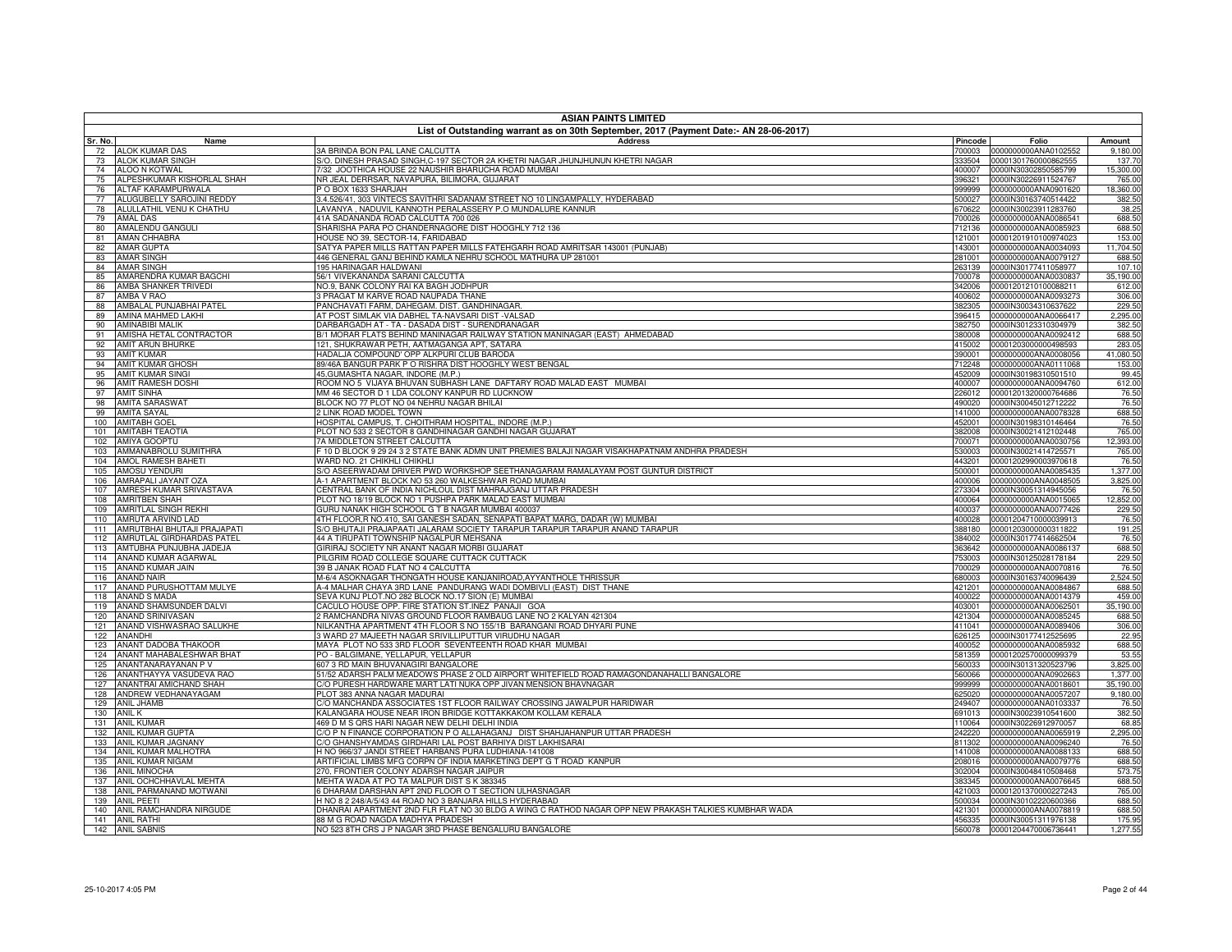|            | <b>ASIAN PAINTS LIMITED</b><br>List of Outstanding warrant as on 30th September, 2017 (Payment Date:- AN 28-06-2017) |                                                                                                                              |                  |                                              |                     |  |
|------------|----------------------------------------------------------------------------------------------------------------------|------------------------------------------------------------------------------------------------------------------------------|------------------|----------------------------------------------|---------------------|--|
| Sr. No.    | Name                                                                                                                 | <b>Address</b>                                                                                                               | Pincode          | Folio                                        | Amount              |  |
| 72         | <b>ALOK KUMAR DAS</b>                                                                                                | 3A BRINDA BON PAL LANE CALCUTTA                                                                                              | 700003           | 0000000000ANA0102552                         | 9,180.00            |  |
| 73         | <b>ALOK KUMAR SINGH</b>                                                                                              | S/O. DINESH PRASAD SINGH,C-197 SECTOR 2A KHETRI NAGAR JHUNJHUNUN KHETRI NAGAR                                                | 333504           | 00001301760000862555                         | 137.70              |  |
| 74         | ALOO N KOTWAL                                                                                                        | 732 JOOTHICA HOUSE 22 NAUSHIR BHARUCHA ROAD MUMBAI                                                                           | 400007           | 0000IN30302850585799                         | 15,300.00           |  |
| 75<br>76   | ALPESHKUMAR KISHORLAL SHAH<br>ALTAF KARAMPURWALA                                                                     | NR JEAL DERRSAR, NAVAPURA, BILIMORA, GUJARAT<br>O BOX 1633 SHARJAH                                                           | 396321<br>999999 | 0000IN30226911524767<br>0000000000ANA0901620 | 765.00<br>18,360.00 |  |
| 77         | ALUGUBELLY SAROJINI REDDY                                                                                            | 3.4.526/41, 303 VINTECS SAVITHRI SADANAM STREET NO 10 LINGAMPALLY, HYDERABAD                                                 | 500027           | 0000IN30163740514422                         | 382.50              |  |
| 78         | ALULLATHIL VENU K CHATHU                                                                                             | LAVANYA, NADUVIL KANNOTH PERALASSERY P.O MUNDALURE KANNUR                                                                    | 670622           | 0000IN30023911283760                         | 38.25               |  |
| 79         | <b>AMAL DAS</b>                                                                                                      | 41A SADANANDA ROAD CALCUTTA 700 026                                                                                          | 700026           | 0000000000ANA0086541                         | 688.50              |  |
| 80         | AMALENDU GANGULI                                                                                                     | SHARISHA PARA PO CHANDERNAGORE DIST HOOGHLY 712 136                                                                          | 712136           | 0000000000ANA0085923                         | 688.50              |  |
| 81         | AMAN CHHABRA                                                                                                         | HOUSE NO 39, SECTOR-14, FARIDABAD                                                                                            | 121001           | 00001201910100974023                         | 153.00              |  |
| 82         | <b>AMAR GUPTA</b>                                                                                                    | SATYA PAPER MILLS RATTAN PAPER MILLS FATEHGARH ROAD AMRITSAR 143001 (PUNJAB)                                                 | 143001           | 0000000000ANA0034093                         | 11,704.50           |  |
| 83         | <b>AMAR SINGH</b>                                                                                                    | 446 GENERAL GANJ BEHIND KAMLA NEHRU SCHOOL MATHURA UP 281001                                                                 | 281001           | 0000000000ANA0079127                         | 688.50              |  |
| 84         | <b>AMAR SINGH</b>                                                                                                    | 195 HARINAGAR HALDWANI                                                                                                       | 263139           | 0000IN30177411058977                         | 107.10              |  |
| 85         | AMARENDRA KUMAR BAGCHI                                                                                               | 56/1 VIVEKANANDA SARANI CALCUTTA                                                                                             | 700078           | 0000000000ANA0030837                         | 35,190.00           |  |
| 86<br>87   | AMBA SHANKER TRIVEDI<br>AMBA V RAO                                                                                   | NO.9. BANK COLONY RAI KA BAGH JODHPUR<br>3 PRAGAT M KARVE ROAD NAUPADA THANE                                                 | 342006<br>400602 | 00001201210100088211<br>0000000000ANA0093273 | 612.00<br>306.00    |  |
| 88         | AMBALAL PUNJABHAI PATEL                                                                                              | PANCHAVATI FARM, DAHEGAM. DIST. GANDHINAGAR                                                                                  | 382305           | 0000IN30034310637622                         | 229.50              |  |
| 89         | AMINA MAHMED LAKHI                                                                                                   | AT POST SIMLAK VIA DABHEL TA-NAVSARI DIST -VALSAD                                                                            | 396415           | 0000000000ANA0066417                         | 2,295.00            |  |
| 90         | AMINABIBI MALIK                                                                                                      | DARBARGADH AT - TA - DASADA DIST - SURENDRANAGAR                                                                             | 382750           | 0000IN30123310304979                         | 382.50              |  |
| 91         | AMISHA HETAL CONTRACTOR                                                                                              | B/1 MORAR FLATS BEHIND MANINAGAR RAILWAY STATION MANINAGAR (EAST) AHMEDABAD                                                  | 380008           | 0000000000ANA0092412                         | 688.50              |  |
| 92         | AMIT ARUN BHURKE                                                                                                     | 121, SHUKRAWAR PETH, AATMAGANGA APT, SATARA                                                                                  | 415002           | 00001203000000498593                         | 283.05              |  |
| 93         | <b>AMIT KUMAR</b>                                                                                                    | HADALJA COMPOUND' OPP ALKPURI CLUB BARODA                                                                                    | 390001           | 0000000000ANA0008056                         | 41,080.50           |  |
| 94         | <b>AMIT KUMAR GHOSH</b>                                                                                              | 39/46A BANGUR PARK P O RISHRA DIST HOOGHLY WEST BENGAL                                                                       | 712248           | 0000000000ANA0111068                         | 153.00              |  |
| 95         | <b>AMIT KUMAR SINGI</b>                                                                                              | 45, GUMASHTA NAGAR, INDORE (M.P.)                                                                                            | 452009           | 0000IN30198310501510                         | 99.45               |  |
| 96         | <b>AMIT RAMESH DOSHI</b>                                                                                             | ROOM NO 5 VIJAYA BHUVAN SUBHASH LANE DAFTARY ROAD MALAD EAST MUMBAI                                                          | 400007           | 0000000000ANA0094760                         | 612.00              |  |
| 97<br>98   | <b>AMIT SINHA</b><br><b>AMITA SARASWAT</b>                                                                           | MM 46 SECTOR D 1 LDA COLONY KANPUR RD LUCKNOW<br>BLOCK NO 77 PLOT NO 04 NEHRU NAGAR BHILAI                                   | 226012<br>490020 | 00001201320000764686<br>0000IN30045012712222 | 76.50<br>76.50      |  |
| 99         | <b>AMITA SAYAL</b>                                                                                                   | 2 LINK ROAD MODEL TOWN                                                                                                       | 141000           | 0000000000ANA0078328                         | 688.50              |  |
| 100        | <b>AMITABH GOEI</b>                                                                                                  | HOSPITAL CAMPUS, T. CHOITHRAM HOSPITAL, INDORE (M.P.)                                                                        | 452001           | 0000IN30198310146464                         | 76.50               |  |
| 101        | <b>AMITABH TEAOTIA</b>                                                                                               | PLOT NO 533 2 SECTOR 8 GANDHINAGAR GANDHI NAGAR GUJARAT                                                                      | 382008           | 0000IN30021412102448                         | 765.00              |  |
| 102        | <b>AMIYA GOOPTU</b>                                                                                                  | 7A MIDDLETON STREET CALCUTTA                                                                                                 | 700071           | 0000000000ANA0030756                         | 12.393.00           |  |
| 103        | AMMANABROLU SUMITHRA                                                                                                 | F 10 D BLOCK 9 29 24 3 2 STATE BANK ADMN UNIT PREMIES BALAJI NAGAR VISAKHAPATNAM ANDHRA PRADESH                              | 530003           | 0000IN30021414725571                         | 765.00              |  |
| 104        | <b>AMOL RAMESH BAHETI</b>                                                                                            | WARD NO. 21 CHIKHLI CHIKHLI                                                                                                  | 443201           | 00001202990003970618                         | 76.50               |  |
| 105        | <b>AMOSU YENDURI</b>                                                                                                 | S/O ASEERWADAM DRIVER PWD WORKSHOP SEETHANAGARAM RAMALAYAM POST GUNTUR DISTRICT                                              | 500001           | 0000000000ANA0085435                         | 1,377.00            |  |
| 106        | AMRAPALI JAYANT OZA                                                                                                  | A-1 APARTMENT BLOCK NO 53 260 WALKESHWAR ROAD MUMBAI                                                                         | 400006           | 0000000000ANA0048505                         | 3,825.00            |  |
| 107        | AMRESH KUMAR SRIVASTAVA                                                                                              | CENTRAL BANK OF INDIA NICHLOUL DIST MAHRAJGANJ UTTAR PRADESH                                                                 | 273304           | 0000IN30051314945056                         | 76.50               |  |
| 108<br>109 | <b>AMRITBEN SHAH</b><br>AMRITLAL SINGH REKHI                                                                         | PLOT NO 18/19 BLOCK NO 1 PUSHPA PARK MALAD EAST MUMBAL<br>GURU NANAK HIGH SCHOOL G T B NAGAR MUMBAI 400037                   | 400064<br>400037 | 0000000000ANA0015065<br>0000000000ANA0077426 | 12.852.00<br>229.50 |  |
| 110        | AMRUTA ARVIND LAD                                                                                                    | 4TH FLOOR R NO.410, SAI GANESH SADAN, SENAPATI BAPAT MARG, DADAR (W) MUMBAI                                                  | 400028           | 00001204710000039913                         | 76.50               |  |
| 111        | AMRUTBHAI BHUTAJI PRAJAPATI                                                                                          | S/O BHUTAJI PRAJAPAATI JALARAM SOCIETY TARAPUR TARAPUR TARAPUR ANAND TARAPUR                                                 | 388180           | 00001203000000311822                         | 191.25              |  |
| 112        | AMRUTLAL GIRDHARDAS PATEL                                                                                            | 44 A TIRUPATI TOWNSHIP NAGALPUR MEHSANA                                                                                      | 384002           | 0000IN30177414662504                         | 76.50               |  |
| 113        | AMTUBHA PUNJUBHA JADEJA                                                                                              | GIRIRAJ SOCIETY NR ANANT NAGAR MORBI GUJARAT                                                                                 | 363642           | 0000000000ANA0086137                         | 688.50              |  |
| 114        | ANAND KUMAR AGARWAL                                                                                                  | PILGRIM ROAD COLLEGE SQUARE CUTTACK CUTTACK                                                                                  | 753003           | 0000IN30125028178184                         | 229.50              |  |
| 115        | ANAND KUMAR JAIN                                                                                                     | 39 B JANAK ROAD FLAT NO 4 CALCUTTA                                                                                           | 700029           | 0000000000ANA0070816                         | 76.50               |  |
| 116        | <b>ANAND NAIR</b>                                                                                                    | M-6/4 ASOKNAGAR THONGATH HOUSE KANJANIROAD, AYYANTHOLE THRISSUR                                                              | 680003           | 0000IN30163740096439                         | 2,524.50            |  |
| 117        | ANAND PURUSHOTTAM MULYE                                                                                              | A-4 MALHAR CHAYA 3RD LANE PANDURANG WADI DOMBIVLI (EAST) DIST THANE                                                          | 421201           | 0000000000ANA0084867                         | 688.50              |  |
| 118        | ANAND S MADA                                                                                                         | SEVA KUNJ PLOT.NO 282 BLOCK NO.17 SION (E) MUMBAI                                                                            | 400022           | 0000000000ANA0014379                         | 459.00              |  |
| 119<br>120 | ANAND SHAMSUNDER DALVI<br>ANAND SRINIVASAN                                                                           | CACULO HOUSE OPP. FIRE STATION ST.INEZ PANAJI GOA<br>2 RAMCHANDRA NIVAS GROUND FLOOR RAMBAUG LANE NO 2 KALYAN 421304         | 403001<br>421304 | 0000000000ANA0062501<br>0000000000ANA0085245 | 35,190.00<br>688.50 |  |
| 121        | ANAND VISHWASRAO SALUKHE                                                                                             | NILKANTHA APARTMENT 4TH FLOOR S NO 155/1B BARANGANI ROAD DHYARI PUNE                                                         | 411041           | 0000000000ANA0089406                         | 306.00              |  |
| 122        | <b>ANANDHI</b>                                                                                                       | 3 WARD 27 MAJEETH NAGAR SRIVILLIPUTTUR VIRUDHU NAGAR                                                                         | 626125           | 0000IN30177412525695                         | 22.95               |  |
| 123        | ANANT DADOBA THAKOOR                                                                                                 | MAYA PLOT NO 533 3RD FLOOR SEVENTEENTH ROAD KHAR MUMBAI                                                                      | 400052           | 0000000000ANA0085932                         | 688.50              |  |
| 124        | ANANT MAHABALESHWAR BHAT                                                                                             | PO - BALGIMANE, YELLAPUR, YELLAPUR                                                                                           | 581359           | 00001202570000099379                         | 53.55               |  |
| 125        | ANANTANARAYANAN P V                                                                                                  | 607 3 RD MAIN BHUVANAGIRI BANGALORE                                                                                          | 560033           | 0000IN30131320523796                         | 3,825.00            |  |
| 126        | ANANTHAYYA VASUDEVA RAO                                                                                              | 51/52 ADARSH PALM MEADOWS PHASE 2 OLD AIRPORT WHITEFIELD ROAD RAMAGONDANAHALLI BANGALORE                                     | 560066           | 0000000000ANA0902663                         | 1,377.00            |  |
| 127        | ANANTRAI AMICHAND SHAH                                                                                               | C/O PURESH HARDWARE MART LATI NUKA OPP JIVAN MENSION BHAVNAGAR                                                               | 999999           | 0000000000ANA0018601                         | 35,190.00           |  |
| 128        | ANDREW VEDHANAYAGAM                                                                                                  | PLOT 383 ANNA NAGAR MADURAI                                                                                                  | 625020           | 0000000000ANA0057207                         | 9,180.00            |  |
|            | 129 ANIL JHAMB                                                                                                       | C/O MANCHANDA ASSOCIATES 1ST FLOOR RAILWAY CROSSING JAWALPUR HARIDWAR                                                        | 249407           | 0000000000ANA0103337                         | 76.50               |  |
|            | 130 ANIL K                                                                                                           | KALANGARA HOUSE NEAR IRON BRIDGE KOTTAKKAKOM KOLLAM KERALA                                                                   | 691013           | 0000IN30023910541600<br>0000IN30226912970057 | 382.50              |  |
| 132        | 131 ANIL KUMAR<br>ANIL KUMAR GUPTA                                                                                   | 469 D M S QRS HARI NAGAR NEW DELHI DELHI INDIA<br>C/O P N FINANCE CORPORATION P O ALLAHAGANJ DIST SHAHJAHANPUR UTTAR PRADESH | 110064<br>242220 | 0000000000ANA0065919                         | 68.85<br>2,295.00   |  |
|            | 133 ANIL KUMAR JAGNANY                                                                                               | C/O GHANSHYAMDAS GIRDHARI LAL POST BARHIYA DIST LAKHISARAI                                                                   | 811302           | 0000000000ANA0096240                         | 76.50               |  |
|            | 134 ANIL KUMAR MALHOTRA                                                                                              | H NO 966/37 JANDI STREET HARBANS PURA LUDHIANA-141008                                                                        | 141008           | 0000000000ANA0088133                         | 688.50              |  |
|            | 135 ANIL KUMAR NIGAM                                                                                                 | ARTIFICIAL LIMBS MFG CORPN OF INDIA MARKETING DEPT G T ROAD KANPUR                                                           | 208016           | 0000000000ANA0079776                         | 688.50              |  |
|            | 136 ANIL MINOCHA                                                                                                     | 270, FRONTIER COLONY ADARSH NAGAR JAIPUR                                                                                     | 302004           | 0000IN30048410508468                         | 573.75              |  |
|            | 137 ANIL OCHCHHAVLAL MEHTA                                                                                           | MEHTA WADA AT PO TA MALPUR DIST S K 383345                                                                                   | 383345           | 0000000000ANA0076645                         | 688.50              |  |
|            | 138 ANIL PARMANAND MOTWANI                                                                                           | 6 DHARAM DARSHAN APT 2ND FLOOR O T SECTION ULHASNAGAR                                                                        | 421003           | 00001201370000227243                         | 765.00              |  |
|            | 139 ANIL PEETI                                                                                                       | H NO 8 2 248/A/5/43 44 ROAD NO 3 BANJARA HILLS HYDERABAD                                                                     | 500034           | 0000IN30102220600366                         | 688.50              |  |
|            | 140 ANIL RAMCHANDRA NIRGUDE                                                                                          | DHANRAI APARTMENT 2ND FLR FLAT NO 30 BLDG A WING C RATHOD NAGAR OPP NEW PRAKASH TALKIES KUMBHAR WADA                         | 421301           | 0000000000ANA0078819                         | 688.50              |  |
|            | 141 ANIL RATHI                                                                                                       | 88 M G ROAD NAGDA MADHYA PRADESH                                                                                             | 456335           | 0000IN30051311976138                         | 175.95              |  |
|            | 142 ANIL SABNIS                                                                                                      | NO 523 8TH CRS J P NAGAR 3RD PHASE BENGALURU BANGALORE                                                                       |                  | 560078 00001204470006736441                  | 1,277.55            |  |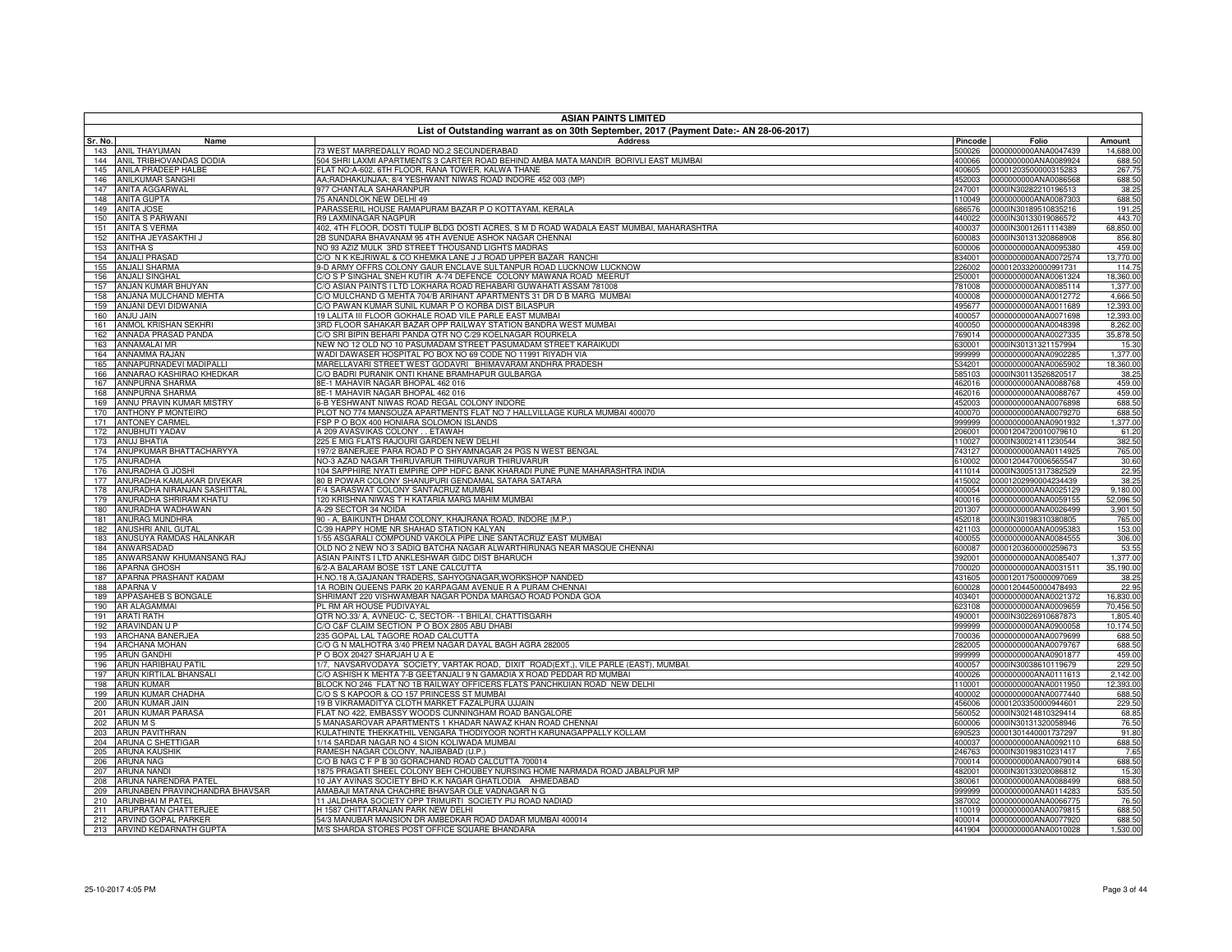|            | <b>ASIAN PAINTS LIMITED</b>                        |                                                                                                                                                   |                  |                                                     |                       |  |
|------------|----------------------------------------------------|---------------------------------------------------------------------------------------------------------------------------------------------------|------------------|-----------------------------------------------------|-----------------------|--|
| Sr. No.    | Name                                               | List of Outstanding warrant as on 30th September, 2017 (Payment Date:- AN 28-06-2017)<br><b>Address</b>                                           | Pincode          | Folio                                               | Amount                |  |
|            | 143 ANIL THAYUMAN                                  | 3 WEST MARREDALLY ROAD NO.2 SECUNDERABAD                                                                                                          | 500026           | 0000000000ANA0047439                                | 14,688.00             |  |
|            | 144 ANIL TRIBHOVANDAS DODIA                        | 504 SHRI LAXMI APARTMENTS 3 CARTER ROAD BEHIND AMBA MATA MANDIR BORIVLI EAST MUMBAI                                                               | 400066           | 0000000000ANA0089924                                | 688.50                |  |
| 145        | ANILA PRADEEP HALBE                                | FLAT NO:A-602, 6TH FLOOR, RANA TOWER, KALWA THANE                                                                                                 | 400605           | 00001203500000315283                                | 267.75                |  |
| 146<br>147 | <b>ANILKUMAR SANGHI</b><br><b>ANITA AGGARWAL</b>   | AA;RADHAKUNJAA; 8/4 YESHWANT NIWAS ROAD INDORE 452 003 (MP)<br>977 CHANTALA SAHARANPUR                                                            | 452003<br>247001 | 0000000000ANA0086568<br>0000IN30282210196513        | 688.50<br>38.25       |  |
| 148        | <b>ANITA GUPTA</b>                                 | 75 ANANDLOK NEW DELHI 49                                                                                                                          | 110049           | 0000000000ANA0087303                                | 688.50                |  |
| 149        | <b>ANITA JOSE</b>                                  | PARASSERIL HOUSE RAMAPURAM BAZAR P O KOTTAYAM, KERALA                                                                                             | 686576           | 0000IN30189510835216                                | 191.25                |  |
| 150        | <b>ANITA S PARWANI</b>                             | <b>R9 LAXMINAGAR NAGPUR</b>                                                                                                                       | 440022           | 0000IN30133019086572                                | 443.70                |  |
| 151        | <b>ANITA S VERMA</b>                               | 402, 4TH FLOOR, DOSTI TULIP BLDG DOSTI ACRES, S M D ROAD WADALA EAST MUMBAI, MAHARASHTRA<br>2B SUNDARA BHAVANAM 95 4TH AVENUE ASHOK NAGAR CHENNAI | 400037           | 0000IN30012611114389                                | 68,850.00             |  |
| 152<br>153 | ANITHA JEYASAKTHI J<br><b>ANITHA S</b>             | NO 93 AZIZ MULK 3RD STREET THOUSAND LIGHTS MADRAS                                                                                                 | 600083<br>600006 | 0000IN30131320868908<br>0000000000ANA0095380        | 856.80<br>459.00      |  |
| 154        | <b>ANJALI PRASAD</b>                               | C/O N K KEJRIWAL & CO KHEMKA LANE J J ROAD UPPER BAZAR RANCHI                                                                                     | 834001           | 0000000000ANA0072574                                | 13,770.00             |  |
| 155        | <b>ANJALI SHARMA</b>                               | 3-D ARMY OFFRS COLONY GAUR ENCLAVE SULTANPUR ROAD LUCKNOW LUCKNOW                                                                                 | 226002           | 00001203320000991731                                | 114.75                |  |
| 156        | <b>ANJALI SINGHAL</b>                              | C/O S P SINGHAL SNEH KUTIR A-74 DEFENCE COLONY MAWANA ROAD MEERUT                                                                                 | 250001           | 0000000000ANA0061324                                | 18,360.00             |  |
| 157        | ANJAN KUMAR BHUYAN                                 | C/O ASIAN PAINTS I LTD LOKHARA ROAD REHABARI GUWAHATI ASSAM 781008                                                                                | 781008           | 0000000000ANA0085114                                | 1,377.00              |  |
| 158<br>159 | ANJANA MULCHAND MEHTA<br>ANJANI DEVI DIDWANIA      | C/O MULCHAND G MEHTA 704/B ARIHANT APARTMENTS 31 DR D B MARG MUMBAI<br>C/O PAWAN KUMAR SUNIL KUMAR P O KORBA DIST BILASPUR                        | 400008<br>495677 | 0000000000ANA0012772<br>0000000000ANA0011689        | 4,666.50<br>12,393.00 |  |
| 160        | <b>ANJU JAIN</b>                                   | 19 LALITA III FLOOR GOKHALE ROAD VILE PARLE EAST MUMBAI                                                                                           | 400057           | 0000000000ANA0071698                                | 12,393.00             |  |
| 161        | ANMOL KRISHAN SEKHRI                               | BRD FLOOR SAHAKAR BAZAR OPP RAILWAY STATION BANDRA WEST MUMBAI                                                                                    | 400050           | 0000000000ANA0048398                                | 8,262.00              |  |
| 162        | ANNADA PRASAD PANDA                                | C/O SRI BIPIN BEHARI PANDA QTR NO C/29 KOELNAGAR ROURKELA                                                                                         | 769014           | 0000000000ANA0027335                                | 35,878.50             |  |
| 163        | <b>ANNAMALAI MR</b>                                | VEW NO 12 OLD NO 10 PASUMADAM STREET PASUMADAM STREET KARAIKUDI                                                                                   | 630001           | 0000IN30131321157994                                | 15.30                 |  |
| 164<br>165 | <b>ANNAMMA RAJAN</b><br>ANNAPURNADEVI MADIPALLI    | WADI DAWASER HOSPITAL PO BOX NO 69 CODE NO 11991 RIYADH VIA<br>MARELLAVARI STREET WEST GODAVRI BHIMAVARAM ANDHRA PRADESH                          | 999999           | 0000000000ANA0902285<br>534201 0000000000ANA0065902 | 1,377.00<br>18,360.00 |  |
| 166        | ANNARAO KASHIRAO KHEDKAR                           | C/O BADRI PURANIK ONTI KHANE BRAMHAPUR GULBARGA                                                                                                   | 585103           | 0000IN30113526820517                                | 38.25                 |  |
| 167        | <b>ANNPURNA SHARMA</b>                             | 3E-1 MAHAVIR NAGAR BHOPAL 462 016                                                                                                                 | 462016           | 0000000000ANA0088768                                | 459.00                |  |
| 168        | <b>ANNPURNA SHARMA</b>                             | 3E-1 MAHAVIR NAGAR BHOPAL 462 016                                                                                                                 | 462016           | 0000000000ANA0088767                                | 459.00                |  |
| 169        | ANNU PRAVIN KUMAR MISTRY                           | 6-B YESHWANT NIWAS ROAD REGAL COLONY INDORE                                                                                                       | 452003           | 0000000000ANA0076898                                | 688.50                |  |
| 170<br>171 | <b>ANTHONY P MONTEIRO</b><br><b>ANTONEY CARMEL</b> | PLOT NO 774 MANSOUZA APARTMENTS FLAT NO 7 HALLVILLAGE KURLA MUMBAI 400070<br>FSP P O BOX 400 HONIARA SOLOMON ISLANDS                              | 400070<br>999999 | 0000000000ANA0079270<br>0000000000ANA0901932        | 688.50<br>1,377.00    |  |
| 172        | ANUBHUTI YADAV                                     | 4 209 AVASVIKAS COLONY ETAWAH                                                                                                                     | 206001           | 00001204720010079610                                | 61.20                 |  |
| 173        | <b>ANUJ BHATIA</b>                                 | 225 E MIG FLATS RAJOURI GARDEN NEW DELHI                                                                                                          | 110027           | 0000IN30021411230544                                | 382.50                |  |
| 174        | ANUPKUMAR BHATTACHARYYA                            | 197/2 BANERJEE PARA ROAD P O SHYAMNAGAR 24 PGS N WEST BENGAL                                                                                      | 743127           | 0000000000ANA0114925                                | 765.00                |  |
| 175        | <b>ANURADHA</b>                                    | NO-3 AZAD NAGAR THIRUVARUR THIRUVARUR THIRUVARUR                                                                                                  | 610002           | 00001204470006565547                                | 30.60                 |  |
| 176<br>177 | ANURADHA G JOSHI<br>ANURADHA KAMLAKAR DIVEKAR      | 104 SAPPHIRE NYATI EMPIRE OPP HDFC BANK KHARADI PUNE PUNE MAHARASHTRA INDIA<br>30 B POWAR COLONY SHANUPURI GENDAMAL SATARA SATARA                 | 411014<br>415002 | 0000IN30051317382529<br>00001202990004234439        | 22.95<br>38.25        |  |
| 178        | ANURADHA NIRANJAN SASHITTAL                        | -/4 SARASWAT COLONY SANTACRUZ MUMBAI                                                                                                              | 400054           | 0000000000ANA0025129                                | 9,180.00              |  |
| 179        | ANURADHA SHRIRAM KHATU                             | 120 KRISHNA NIWAS T H KATARIA MARG MAHIM MUMBAI                                                                                                   | 400016           | 0000000000ANA0059155                                | 52,096.50             |  |
| 180        | ANURADHA WADHAWAN                                  | 4-29 SECTOR 34 NOIDA                                                                                                                              | 201307           | 0000000000ANA0026499                                | 3,901.50              |  |
| 181        | ANURAG MUNDHRA                                     | 90 - A, BAIKUNTH DHAM COLONY, KHAJRANA ROAD, INDORE (M.P.)                                                                                        | 452018           | 0000IN30198310380805                                | 765.00                |  |
| 182<br>183 | ANUSHRI ANIL GUTAL<br>ANUSUYA RAMDAS HALANKAR      | C/39 HAPPY HOME NR SHAHAD STATION KALYAN<br>1/55 ASGARALI COMPOUND VAKOLA PIPE LINE SANTACRUZ EAST MUMBAI                                         | 421103<br>400055 | 0000000000ANA0095383<br>0000000000ANA0084555        | 153.00<br>306.00      |  |
| 184        | ANWARSADAD                                         | OLD NO 2 NEW NO 3 SADIQ BATCHA NAGAR ALWARTHIRUNAG NEAR MASQUE CHENNAI                                                                            | 600087           | 00001203600000259673                                | 53.55                 |  |
| 185        | ANWARSANW KHUMANSANG RAJ                           | ASIAN PAINTS I LTD ANKLESHWAR GIDC DIST BHARUCH                                                                                                   | 392001           | 0000000000ANA0085407                                | 1,377.00              |  |
| 186        | <b>APARNA GHOSH</b>                                | 6/2-A BALARAM BOSE 1ST LANE CALCUTTA                                                                                                              | 700020           | 0000000000ANA0031511                                | 35,190.00             |  |
| 187        | APARNA PRASHANT KADAM                              | H.NO.18 A, GAJANAN TRADERS, SAHYOGNAGAR, WORKSHOP NANDED                                                                                          | 431605           | 00001201750000097069                                | 38.25                 |  |
| 188<br>189 | <b>APARNA V</b><br>APPASAHEB S BONGALE             | 1A ROBIN QUEENS PARK 20 KARPAGAM AVENUE R A PURAM CHENNAI<br>SHRIMANT 220 VISHWAMBAR NAGAR PONDA MARGAO ROAD PONDA GOA                            | 600028<br>403401 | 00001204450000478493<br>0000000000ANA0021372        | 22.95<br>16,830.00    |  |
| 190        | <b>AR ALAGAMMAI</b>                                | PL RM AR HOUSE PUDIVAYAL                                                                                                                          | 623108           | 0000000000ANA0009659                                | 70,456.50             |  |
| 191        | <b>ARATI RATH</b>                                  | QTR NO.33/ A, AVNEUC- C, SECTOR- -1 BHILAI, CHATTISGARH                                                                                           | 490001           | 0000IN30226910687873                                | 1,805.40              |  |
| 192        | ARAVINDAN U P                                      | C/O C&F CLAIM SECTION P O BOX 2805 ABU DHABI                                                                                                      | 999999           | 0000000000ANA0900058                                | 10,174.50             |  |
| 193        | <b>ARCHANA BANERJEA</b>                            | 235 GOPAL LAL TAGORE ROAD CALCUTTA                                                                                                                | 700036           | 0000000000ANA0079699                                | 688.50                |  |
| 194<br>195 | <b>ARCHANA MOHAN</b><br><b>ARUN GANDHI</b>         | C/O G N MALHOTRA 3/40 PREM NAGAR DAYAL BAGH AGRA 282005<br>PO BOX 20427 SHARJAH U A E                                                             | 282005<br>999999 | 0000000000ANA0079767<br>0000000000ANA0901877        | 688.50<br>459.00      |  |
| 196        | <b>ARUN HARIBHAU PATIL</b>                         | 1/7, NAVSARVODAYA SOCIETY, VARTAK ROAD, DIXIT ROAD(EXT,), VILE PARLE (EAST), MUMBAI.                                                              | 400057           | 0000IN30038610119679                                | 229.50                |  |
| 197        | ARUN KIRTILAL BHANSALI                             | C/O ASHISH K MEHTA 7-B GEETANJALI 9 N GAMADIA X ROAD PEDDAR RD MUMBAI                                                                             | 400026           | 0000000000ANA0111613                                | 2,142.00              |  |
| 198        | <b>ARUN KUMAR</b>                                  | BLOCK NO 246 FLAT NO 1B RAILWAY OFFICERS FLATS PANCHKUIAN ROAD NEW DELHI                                                                          | 110001           | 0000000000ANA0011950                                | 12,393.00             |  |
| 199        | ARUN KUMAR CHADHA                                  | C/O S S KAPOOR & CO 157 PRINCESS ST MUMBAI                                                                                                        | 400002           | 0000000000ANA0077440                                | 688.50                |  |
| 200<br>201 | ARUN KUMAR JAIN<br><b>ARUN KUMAR PARASA</b>        | 19 B VIKRAMADITYA CLOTH MARKET FAZALPURA UJJAIN<br>FLAT NO 422, EMBASSY WOODS CUNNINGHAM ROAD BANGALORE                                           | 456006<br>560052 | 00001203350000944601<br>0000IN30214810329414        | 229.50<br>68.85       |  |
| 202        | <b>ARUN M S</b>                                    | MANASAROVAR APARTMENTS 1 KHADAR NAWAZ KHAN ROAD CHENNAI                                                                                           | 600006           | 0000IN30131320058946                                | 76.50                 |  |
| 203        | <b>ARUN PAVITHRAN</b>                              | KULATHINTE THEKKATHIL VENGARA THODIYOOR NORTH KARUNAGAPPALLY KOLLAM                                                                               | 690523           | 00001301440001737297                                | 91.80                 |  |
| 204        | ARUNA C SHETTIGAR                                  | 1/14 SARDAR NAGAR NO 4 SION KOLIWADA MUMBAI                                                                                                       |                  | 400037 0000000000ANA0092110                         | 688.50                |  |
| 205        | <b>ARUNA KAUSHIK</b>                               | RAMESH NAGAR COLONY, NAJIBABAD (U.P.)                                                                                                             | 246763           | 0000IN30198310231417                                | 7.65                  |  |
| 206<br>207 | <b>ARUNA NAG</b><br><b>ARUNA NANDI</b>             | C/O B NAG C F P B 30 GORACHAND ROAD CALCUTTA 700014<br>1875 PRAGATI SHEEL COLONY BEH CHOUBEY NURSING HOME NARMADA ROAD JABALPUR MP                | 700014<br>482001 | 0000000000ANA0079014<br>0000IN30133020086812        | 688.50<br>15.30       |  |
| 208        | ARUNA NARENDRA PATEL                               | 10 JAY AVINAS SOCIETY BHD K.K NAGAR GHATLODIA AHMEDABAD                                                                                           | 380061           | 0000000000ANA0088499                                | 688.50                |  |
| 209        | ARUNABEN PRAVINCHANDRA BHAVSAR                     | AMABAJI MATANA CHACHRE BHAVSAR OLE VADNAGAR N G                                                                                                   | 999999           | 0000000000ANA0114283                                | 535.50                |  |
| 210        | <b>ARUNBHAI M PATEL</b>                            | 11 JALDHARA SOCIETY OPP TRIMURTI SOCIETY PIJ ROAD NADIAD                                                                                          | 387002           | 0000000000ANA0066775                                | 76.50                 |  |
| 211        | ARUPRATAN CHATTERJEE                               | H 1587 CHITTARANJAN PARK NEW DELHI                                                                                                                | 110019           | 0000000000ANA0079815                                | 688.50                |  |
| 212<br>213 | ARVIND GOPAL PARKER<br>ARVIND KEDARNATH GUPTA      | 54/3 MANUBAR MANSION DR AMBEDKAR ROAD DADAR MUMBAI 400014<br>M/S SHARDA STORES POST OFFICE SQUARE BHANDARA                                        | 400014<br>441904 | 0000000000ANA0077920<br>0000000000ANA0010028        | 688.50<br>1,530.00    |  |
|            |                                                    |                                                                                                                                                   |                  |                                                     |                       |  |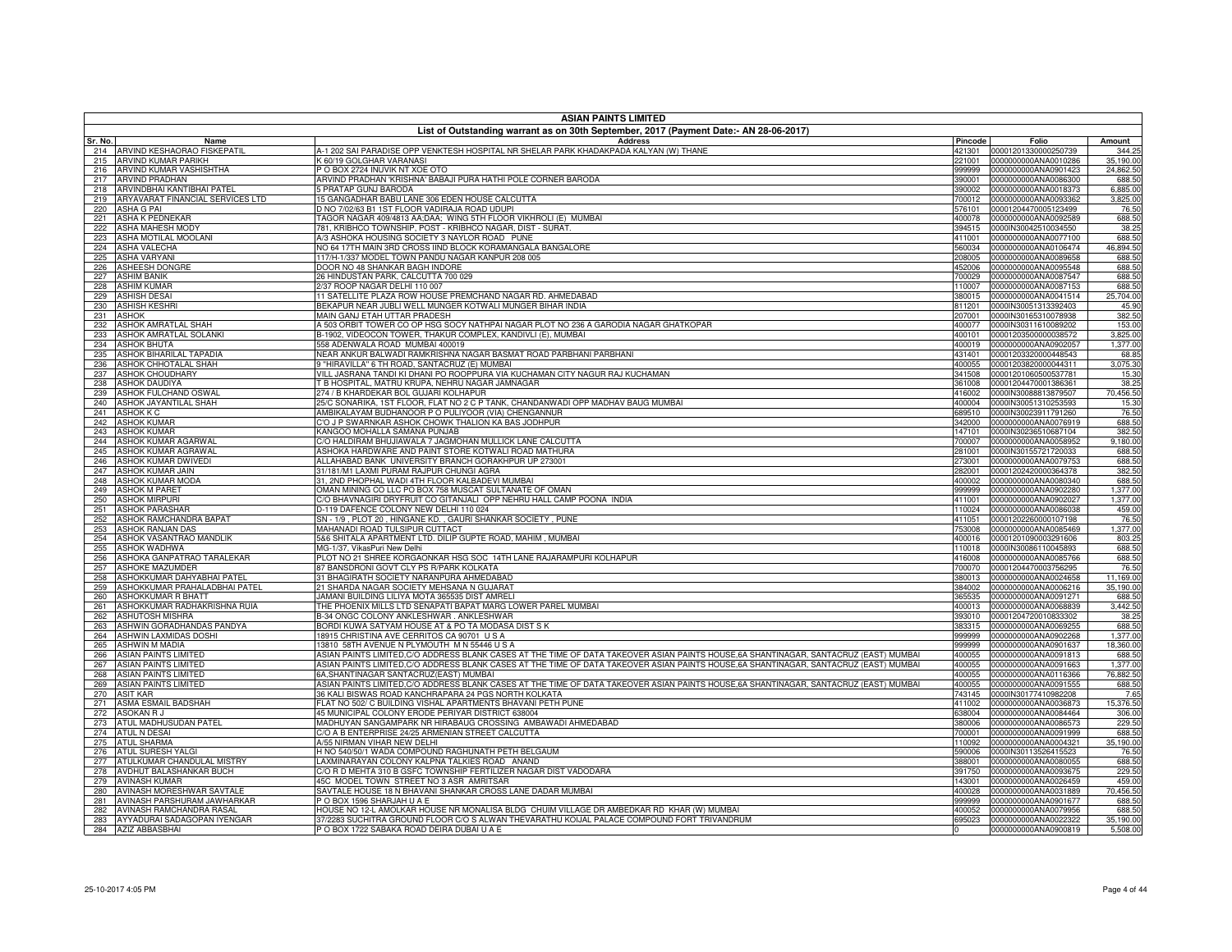|            | <b>ASIAN PAINTS LIMITED</b>                                    |                                                                                                                                         |                  |                                                     |                      |  |
|------------|----------------------------------------------------------------|-----------------------------------------------------------------------------------------------------------------------------------------|------------------|-----------------------------------------------------|----------------------|--|
| Sr. No.    | Name                                                           | List of Outstanding warrant as on 30th September, 2017 (Payment Date:- AN 28-06-2017)<br><b>Address</b>                                 | Pincode          | Folio                                               | Amount               |  |
| 214        | ARVIND KESHAORAO FISKEPATIL                                    | A-1 202 SAI PARADISE OPP VENKTESH HOSPITAL NR SHELAR PARK KHADAKPADA KALYAN (W) THANE                                                   | 421301           | 00001201330000250739                                | 344.25               |  |
| 215        | <b>ARVIND KUMAR PARIKH</b>                                     | <b>60/19 GOLGHAR VARANAS</b>                                                                                                            | 221001           | 0000000000ANA0010286                                | 35,190.00            |  |
| 216        | ARVIND KUMAR VASHISHTHA                                        | P O BOX 2724 INUVIK NT XOE OTO                                                                                                          | 999999           | 0000000000ANA0901423                                | 24,862.50            |  |
| 217        | <b>ARVIND PRADHAN</b>                                          | ARVIND PRADHAN 'KRISHNA' BABAJI PURA HATHI POLE CORNER BARODA                                                                           | 390001           | 0000000000ANA0086300                                | 688.50               |  |
| 218<br>219 | ARVINDBHAI KANTIBHAI PATEL<br>ARYAVARAT FINANCIAL SERVICES LTD | <b>FRATAP GUNJ BARODA</b><br>15 GANGADHAR BABU LANE 306 EDEN HOUSE CALCUTTA                                                             | 700012           | 390002 0000000000ANA0018373<br>0000000000ANA0093362 | 6,885.00<br>3,825.00 |  |
| 220        | <b>ASHA G PAI</b>                                              | D NO 7/02/63 B1 1ST FLOOR VADIRAJA ROAD UDUPI                                                                                           | 576101           | 00001204470005123499                                | 76.50                |  |
| 221        | <b>ASHA K PEDNEKAR</b>                                         | TAGOR NAGAR 409/4813 AA;DAA; WING 5TH FLOOR VIKHROLI (E) MUMBAI                                                                         | 400078           | 0000000000ANA0092589                                | 688.50               |  |
| 222        | <b>ASHA MAHESH MODY</b>                                        | 781, KRIBHCO TOWNSHIP, POST - KRIBHCO NAGAR, DIST - SURAT.                                                                              | 394515           | 0000IN30042510034550                                | 38.25                |  |
| 223        | ASHA MOTILAL MOOLANI                                           | A/3 ASHOKA HOUSING SOCIETY 3 NAYLOR ROAD PUNE                                                                                           | 411001           | 0000000000ANA0077100                                | 688.50               |  |
| 224        | <b>ASHA VALECHA</b>                                            | NO 64 17TH MAIN 3RD CROSS IIND BLOCK KORAMANGALA BANGALORE                                                                              | 560034           | 0000000000ANA0106474                                | 46,894.50            |  |
| 225<br>226 | <b>ASHA VARYAN</b><br><b>ASHEESH DONGRE</b>                    | 117/H-1/337 MODEL TOWN PANDU NAGAR KANPUR 208 005<br>DOOR NO 48 SHANKAR BAGH INDORE                                                     | 208005           | 0000000000ANA0089658<br>452006 0000000000ANA0095548 | 688.50<br>688.50     |  |
| 227        | <b>ASHIM BANIK</b>                                             | 26 HINDUSTAN PARK, CALCUTTA 700 029                                                                                                     |                  | 700029 0000000000ANA0087547                         | 688.50               |  |
| 228        | <b>ASHIM KUMAR</b>                                             | 2/37 ROOP NAGAR DELHI 110 007                                                                                                           | 110007           | 0000000000ANA0087153                                | 688.50               |  |
| 229        | <b>ASHISH DESAI</b>                                            | 11 SATELLITE PLAZA ROW HOUSE PREMCHAND NAGAR RD. AHMEDABAD                                                                              | 380015           | 0000000000ANA0041514                                | 25,704.00            |  |
| 230        | <b>ASHISH KESHRI</b>                                           | BEKAPUR NEAR JUBLI WELL MUNGER KOTWALI MUNGER BIHAR INDIA                                                                               | 811201           | 0000IN30051313392403                                | 45.90                |  |
| 231        | <b>ASHOK</b>                                                   | MAIN GANJ ETAH UTTAR PRADESH                                                                                                            | 207001           | 0000IN30165310078938                                | 382.50               |  |
| 232        | <b>ASHOK AMRATLAL SHAH</b><br><b>ASHOK AMRATLAL SOLANKI</b>    | A 503 ORBIT TOWER CO OP HSG SOCY NATHPAI NAGAR PLOT NO 236 A GARODIA NAGAR GHATKOPAR                                                    | 400077           | 0000IN30311610089202                                | 153.00               |  |
| 233<br>234 | <b>ASHOK BHUTA</b>                                             | B-1902, VIDEOCON TOWER, THAKUR COMPLEX, KANDIVLI (E), MUMBAI<br>558 ADENWALA ROAD MUMBAI 400019                                         | 400101<br>400019 | 00001203500000038572<br>0000000000ANA0902057        | 3,825.00<br>1,377.00 |  |
| 235        | ASHOK BIHARILAL TAPADIA                                        | NEAR ANKUR BALWADI RAMKRISHNA NAGAR BASMAT ROAD PARBHANI PARBHANI                                                                       | 431401           | 00001203320000448543                                | 68.85                |  |
| 236        | ASHOK CHHOTALAL SHAH                                           | 9 "HIRAVILLA" 6 TH ROAD, SANTACRUZ (E) MUMBAI                                                                                           | 400055           | 00001203820000044311                                | 3,075.30             |  |
| 237        | ASHOK CHOUDHARY                                                | VILL JASRANA TANDI KI DHANI PO ROOPPURA VIA KUCHAMAN CITY NAGUR RAJ KUCHAMAN                                                            |                  | 341508 00001201060500537781                         | 15.30                |  |
| 238        | <b>ASHOK DAUDIYA</b>                                           | T B HOSPITAL, MATRU KRUPA, NEHRU NAGAR JAMNAGAR                                                                                         |                  | 361008 00001204470001386361                         | 38.25                |  |
| 239        | ASHOK FULCHAND OSWAL                                           | 274 / B KHARDEKAR BOL GUJARI KOLHAPUR                                                                                                   | 416002           | 0000IN30088813879507                                | 70,456.50            |  |
| 240        | ASHOK JAYANTILAL SHAH<br><b>ASHOK K C</b>                      | 25/C SONARIKA, 1ST FLOOR, FLAT NO 2 C P TANK, CHANDANWADI OPP MADHAV BAUG MUMBAI<br>AMBIKALAYAM BUDHANOOR P O PULIYOOR (VIA) CHENGANNUR |                  | 400004 0000IN30051310253593                         | 15.30<br>76.50       |  |
| 241<br>242 | <b>ASHOK KUMAR</b>                                             | C'O J P SWARNKAR ASHOK CHOWK THALION KA BAS JODHPUR                                                                                     | 342000           | 689510 0000IN30023911791260<br>0000000000ANA0076919 | 688.50               |  |
| 243        | <b>ASHOK KUMAR</b>                                             | KANGOO MOHALLA SAMANA PUNJAB                                                                                                            | 147101           | 0000IN30236510687104                                | 382.50               |  |
| 244        | ASHOK KUMAR AGARWAL                                            | C/O HALDIRAM BHUJIAWALA 7 JAGMOHAN MULLICK LANE CALCUTTA                                                                                | 700007           | 0000000000ANA0058952                                | 9,180.00             |  |
| 245        | ASHOK KUMAR AGRAWAL                                            | ASHOKA HARDWARE AND PAINT STORE KOTWALI ROAD MATHURA                                                                                    | 281001           | 0000IN30155721720033                                | 688.50               |  |
| 246        | ASHOK KUMAR DWIVEDI                                            | ALLAHABAD BANK UNIVERSITY BRANCH GORAKHPUR UP 273001                                                                                    | 273001           | 0000000000ANA0079753                                | 688.50               |  |
| 247        | ASHOK KUMAR JAIN                                               | 31/181/M1 LAXMI PURAM RAJPUR CHUNGI AGRA                                                                                                | 282001           | 00001202420000364378                                | 382.50               |  |
| 248<br>249 | ASHOK KUMAR MODA<br><b>ASHOK M PARET</b>                       | 31, 2ND PHOPHAL WADI 4TH FLOOR KALBADEVI MUMBAI<br>OMAN MINING CO LLC PO BOX 758 MUSCAT SULTANATE OF OMAN                               | 400002<br>999999 | 0000000000ANA0080340<br>0000000000ANA0902280        | 688.50<br>1,377.00   |  |
| 250        | <b>ASHOK MIRPURI</b>                                           | C/O BHAVNAGIRI DRYFRUIT CO GITANJALI OPP NEHRU HALL CAMP POONA INDIA                                                                    | 411001           | 0000000000ANA0902027                                | 1,377.00             |  |
| 251        | <b>ASHOK PARASHAF</b>                                          | D-119 DAFENCE COLONY NEW DELHI 110 024                                                                                                  | 110024           | 0000000000ANA0086038                                | 459.00               |  |
| 252        | ASHOK RAMCHANDRA BAPAT                                         | SN - 1/9, PLOT 20, HINGANE KD., GAURI SHANKAR SOCIETY, PUNE                                                                             | 411051           | 00001202260000107198                                | 76.50                |  |
| 253        | <b>ASHOK RANJAN DAS</b>                                        | MAHANADI ROAD TULSIPUR CUTTACT                                                                                                          | 753008           | 0000000000ANA0085469                                | 1,377.00             |  |
| 254        | ASHOK VASANTRAO MANDLIK                                        | 5&6 SHITALA APARTMENT LTD. DILIP GUPTE ROAD, MAHIM, MUMBAI                                                                              |                  | 400016 00001201090003291606                         | 803.25               |  |
| 255        | <b>ASHOK WADHWA</b>                                            | MG-1/37, VikasPuri New Delhi                                                                                                            | 110018           | 0000IN30086110045893                                | 688.50               |  |
| 256<br>257 | ASHOKA GANPATRAO TARALEKAR<br><b>ASHOKE MAZUMDER</b>           | PLOT NO 21 SHREE KORGAONKAR HSG SOC 14TH LANE RAJARAMPURI KOLHAPUR<br>87 BANSDRONI GOVT CLY PS R/PARK KOLKATA                           | 416008           | 0000000000ANA0085766<br>700070 00001204470003756295 | 688.50<br>76.50      |  |
| 258        | ASHOKKUMAR DAHYABHAI PATEL                                     | 31 BHAGIRATH SOCIETY NARANPURA AHMEDABAD                                                                                                | 380013           | 0000000000ANA0024658                                | 11,169.00            |  |
| 259        | ASHOKKUMAR PRAHALADBHAI PATEL                                  | 21 SHARDA NAGAR SOCIETY MEHSANA N GUJARAT                                                                                               | 384002           | 0000000000ANA0006216                                | 35,190.00            |  |
| 260        | <b>ASHOKKUMAR R BHATT</b>                                      | JAMANI BUILDING LILIYA MOTA 365535 DIST AMRELI                                                                                          |                  | 365535 0000000000ANA0091271                         | 688.50               |  |
| 261        | ASHOKKUMAR RADHAKRISHNA RUIA                                   | THE PHOENIX MILLS LTD SENAPATI BAPAT MARG LOWER PAREL MUMBAI                                                                            | 400013           | 0000000000ANA0068839                                | 3,442.50             |  |
| 262        | ASHUTOSH MISHRA                                                | B-34 ONGC COLONY ANKLESHWAR . ANKLESHWAR                                                                                                |                  | 393010 00001204720010833302                         | 38.25                |  |
| 263<br>264 | ASHWIN GORADHANDAS PANDYA<br>ASHWIN LAXMIDAS DOSHI             | BORDI KUWA SATYAM HOUSE AT & PO TA MODASA DIST S K<br>18915 CHRISTINA AVE CERRITOS CA 90701 US A                                        | 383315<br>999999 | 0000000000ANA0069255<br>0000000000ANA0902268        | 688.50<br>1,377.00   |  |
| 265        | <b>ASHWIN M MADIA</b>                                          | 13810 58TH AVENUE N PLYMOUTH M N 55446 U S A                                                                                            |                  | 999999 0000000000ANA0901637                         | 18,360.00            |  |
| 266        | <b>ASIAN PAINTS LIMITED</b>                                    | ASIAN PAINTS LIMITED,C/O ADDRESS BLANK CASES AT THE TIME OF DATA TAKEOVER ASIAN PAINTS HOUSE,6A SHANTINAGAR, SANTACRUZ (EAST) MUMBAI    | 400055           | 0000000000ANA0091813                                | 688.50               |  |
| 267        | ASIAN PAINTS LIMITED                                           | ASIAN PAINTS LIMITED, C/O ADDRESS BLANK CASES AT THE TIME OF DATA TAKEOVER ASIAN PAINTS HOUSE, 6A SHANTINAGAR, SANTACRUZ (EAST) MUMBAI  | 400055           | 0000000000ANA0091663                                | 1,377.00             |  |
| 268        | <b>ASIAN PAINTS LIMITED</b>                                    | 6A, SHANTINAGAR SANTACRUZ(EAST) MUMBAI                                                                                                  |                  | 400055 0000000000ANA0116366                         | 76,882.50            |  |
| 269        | <b>ASIAN PAINTS LIMITED</b>                                    | ASIAN PAINTS LIMITED,C/O ADDRESS BLANK CASES AT THE TIME OF DATA TAKEOVER ASIAN PAINTS HOUSE,6A SHANTINAGAR, SANTACRUZ (EAST) MUMBAI    | 400055           | 0000000000ANA0091555                                | 688.50               |  |
| 270        | <b>ASIT KAR</b>                                                | 36 KALI BISWAS ROAD KANCHRAPARA 24 PGS NORTH KOLKATA                                                                                    | 743145           | 0000IN30177410982208                                | 7.65                 |  |
| 271<br>272 | ASMA ESMAIL BADSHAH<br>ASOKAN R J                              | FLAT NO 502/ C BUILDING VISHAL APARTMENTS BHAVANI PETH PUNE<br>45 MUNICIPAL COLONY ERODE PERIYAR DISTRICT 638004                        | 638004           | 411002 0000000000ANA0036873<br>0000000000ANA0084464 | 15,376.50<br>306.00  |  |
|            | 273 ATUL MADHUSUDAN PATEL                                      | MADHUYAN SANGAMPARK NR HIRABAUG CROSSING AMBAWADI AHMEDABAD                                                                             | 380006           | 0000000000ANA0086573                                | 229.50               |  |
| 274        | <b>ATUL N DESAI</b>                                            | C/O A B ENTERPRISE 24/25 ARMENIAN STREET CALCUTTA                                                                                       | 700001           | 0000000000ANA0091999                                | 688.50               |  |
| 275        | <b>ATUL SHARMA</b>                                             | A/55 NIRMAN VIHAR NEW DELHI                                                                                                             | 110092           | 0000000000ANA0004321                                | 35,190.00            |  |
| 276        | <b>ATUL SURESH YALGI</b>                                       | H NO 540/50/1 WADA COMPOUND RAGHUNATH PETH BELGAUM                                                                                      |                  | 590006 0000IN30113526415523                         | 76.50                |  |
| 277        | ATULKUMAR CHANDULAL MISTRY                                     | LAXMINARAYAN COLONY KALPNA TALKIES ROAD ANAND                                                                                           | 388001           | 0000000000ANA0080055                                | 688.50               |  |
| 278<br>279 | AVDHUT BALASHANKAR BUCH<br><b>AVINASH KUMAR</b>                | C/O R D MEHTA 310 B GSFC TOWNSHIP FERTILIZER NAGAR DIST VADODARA<br>45C MODEL TOWN STREET NO 3 ASR AMRITSAR                             | 391750<br>143001 | 0000000000ANA0093675<br>0000000000ANA0026459        | 229.50<br>459.00     |  |
| 280        | AVINASH MORESHWAR SAVTALE                                      | SAVTALE HOUSE 18 N BHAVANI SHANKAR CROSS LANE DADAR MUMBAI                                                                              | 400028           | 0000000000ANA0031889                                | 70,456.50            |  |
| 281        | AVINASH PARSHURAM JAWHARKAR                                    | P O BOX 1596 SHARJAH U A E                                                                                                              | 999999           | 0000000000ANA0901677                                | 688.50               |  |
| 282        | AVINASH RAMCHANDRA RASAL                                       | HOUSE NO 12-L AMOLKAR HOUSE NR MONALISA BLDG CHUIM VILLAGE DR AMBEDKAR RD KHAR (W) MUMBAI                                               | 400052           | 0000000000ANA0079956                                | 688.50               |  |
| 283        | AYYADURAI SADAGOPAN IYENGAR                                    | 37/2283 SUCHITRA GROUND FLOOR C/O S ALWAN THEVARATHU KOIJAL PALACE COMPOUND FORT TRIVANDRUM                                             | 695023           | 0000000000ANA0022322                                | 35,190.00            |  |
| 284        | <b>AZIZ ABBASBHAI</b>                                          | P O BOX 1722 SABAKA ROAD DEIRA DUBAI U A E                                                                                              |                  | 0000000000ANA0900819                                | 5,508.00             |  |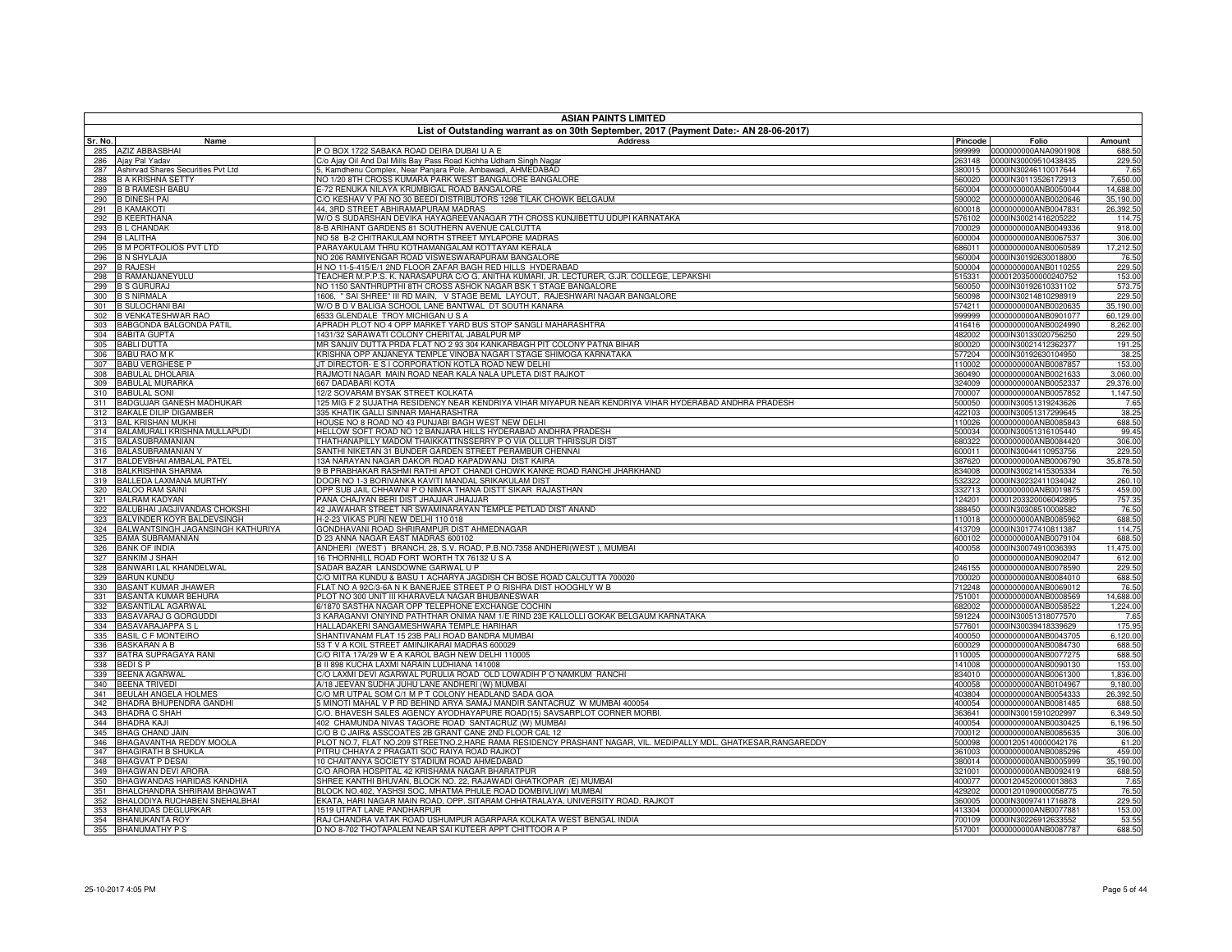|            | <b>ASIAN PAINTS LIMITED</b><br>List of Outstanding warrant as on 30th September, 2017 (Payment Date:- AN 28-06-2017) |                                                                                                                                    |                  |                                              |                       |  |
|------------|----------------------------------------------------------------------------------------------------------------------|------------------------------------------------------------------------------------------------------------------------------------|------------------|----------------------------------------------|-----------------------|--|
| Sr. No.    | Name                                                                                                                 | Address                                                                                                                            | Pincode          | Folio                                        | Amount                |  |
| 285        | <b>AZIZ ABBASBHAI</b>                                                                                                | P O BOX 1722 SABAKA ROAD DEIRA DUBAI U A E                                                                                         | 999999           | 0000000000ANA0901908                         | 688.50                |  |
| 286        | Ajay Pal Yadav                                                                                                       | C/o Ajay Oil And Dal Mills Bay Pass Road Kichha Udham Singh Nagar                                                                  | 263148           | 0000IN30009510438435                         | 229.50                |  |
| 287        | Ashirvad Shares Securities Pvt Ltd                                                                                   | , Kamdhenu Complex, Near Panjara Pole, Ambawadi, AHMEDABAD                                                                         | 380015           | 0000IN30246110017644                         | 7.65                  |  |
| 288<br>289 | <b>B A KRISHNA SETTY</b><br><b>B B RAMESH BABU</b>                                                                   | <b>IO 1/20 8TH CROSS KUMARA PARK WEST BANGALORE BANGALORE</b><br>-72 RENUKA NILAYA KRUMBIGAL ROAD BANGALORE                        | 560020<br>560004 | 0000IN30113526172913<br>0000000000ANB0050044 | 7,650.00<br>14,688.00 |  |
| 290        | <b>B DINESH PAI</b>                                                                                                  | % KESHAV V PAI NO 30 BEEDI DISTRIBUTORS 1298 TILAK CHOWK BELGAUM                                                                   | 590002           | 0000000000ANB0020646                         | 35,190.00             |  |
| 291        | <b>B KAMAKOTI</b>                                                                                                    | 44, 3RD STREET ABHIRAMAPURAM MADRAS                                                                                                | 600018           | 0000000000ANB0047831                         | 26,392.50             |  |
| 292        | <b>B KEERTHANA</b>                                                                                                   | W/O S SUDARSHAN DEVIKA HAYAGREEVANAGAR 7TH CROSS KUNJIBETTU UDUPI KARNATAKA                                                        | 576102           | 0000IN30021416205222                         | 114.75                |  |
| 293        | <b>BL CHANDAK</b>                                                                                                    | 3-B ARIHANT GARDENS 81 SOUTHERN AVENUE CALCUTTA                                                                                    | 700029           | 0000000000ANB0049336                         | 918.00                |  |
| 294        | <b>B LALITHA</b>                                                                                                     | VO 58 B-2 CHITRAKULAM NORTH STREET MYLAPORE MADRAS                                                                                 | 600004           | 0000000000ANB0067537                         | 306.00                |  |
| 295<br>296 | <b>B M PORTFOLIOS PVT LTD</b><br><b>B N SHYLAJA</b>                                                                  | PARAYAKULAM THRU KOTHAMANGALAM KOTTAYAM KERALA<br>VO 206 RAMIYENGAR ROAD VISWESWARAPURAM BANGALORE                                 | 686011<br>560004 | 0000000000ANB0060589<br>0000IN30192630018800 | 17,212.50<br>76.50    |  |
| 297        | <b>B RAJESH</b>                                                                                                      | H NO 11-5-415/E/1 2ND FLOOR ZAFAR BAGH RED HILLS HYDERABAD                                                                         | 500004           | 0000000000ANB0110255                         | 229.50                |  |
| 298        | <b>B RAMANJANEYULU</b>                                                                                               | [EACHER M.P.P.S. K. NARASAPURA C/O G. ANITHA KUMARI, JR. LECTURER, G.JR. COLLEGE, LEPAKSHI                                         | 515331           | 00001203500000240752                         | 153.00                |  |
| 299        | <b>B S GURURAJ</b>                                                                                                   | VO 1150 SANTHRUPTHI 8TH CROSS ASHOK NAGAR BSK 1 STAGE BANGALORE                                                                    | 560050           | 0000IN30192610331102                         | 573.75                |  |
| 300        | <b>B S NIRMALA</b>                                                                                                   | 1606, " SAI SHREE" III RD MAIN, V STAGE BEML LAYOUT, RAJESHWARI NAGAR BANGALORE                                                    | 560098           | 0000IN30214810298919                         | 229.50                |  |
| 301        | <b>B SULOCHANI BAI</b>                                                                                               | W/O B D V BALIGA SCHOOL LANE BANTWAL DT SOUTH KANARA                                                                               | 574211           | 0000000000ANB0020635                         | 35,190.00             |  |
| 302<br>303 | <b>B VENKATESHWAR RAO</b><br>BABGONDA BALGONDA PATIL                                                                 | 6533 GLENDALE TROY MICHIGAN U S A<br>APRADH PLOT NO 4 OPP MARKET YARD BUS STOP SANGLI MAHARASHTRA                                  | 999999<br>416416 | 0000000000ANB0901077<br>0000000000ANB0024990 | 60,129.00<br>8,262.00 |  |
| 304        | <b>BABITA GUPTA</b>                                                                                                  | 431/32 SARAWATI COLONY CHERITAL JABALPUR MP                                                                                        | 482002           | 0000IN30133020756250                         | 229.50                |  |
| 305        | <b>BABLI DUTTA</b>                                                                                                   | MR SANJIV DUTTA PRDA FLAT NO 2 93 304 KANKARBAGH PIT COLONY PATNA BIHAR                                                            | 800020           | 0000IN30021412362377                         | 191.25                |  |
| 306        | <b>BABU RAO MK</b>                                                                                                   | KRISHNA OPP ANJANEYA TEMPLE VINOBA NAGAR I STAGE SHIMOGA KARNATAKA                                                                 | 577204           | 0000IN30192630104950                         | 38.25                 |  |
| 307        | <b>BABU VERGHESE P</b>                                                                                               | IT DIRECTOR- E S I CORPORATION KOTLA ROAD NEW DELHI                                                                                | 110002           | 0000000000ANB0087857                         | 153.00                |  |
| 308        | <b>BABULAL DHOLARIA</b>                                                                                              | RAJMOTI NAGAR MAIN ROAD NEAR KALA NALA UPLETA DIST RAJKOT                                                                          | 360490           | 0000000000ANB0021633                         | 3.060.00              |  |
| 309<br>310 | <b>BABULAL MURARKA</b><br><b>BABULAL SONI</b>                                                                        | 667 DADABARI KOTA<br>12/2 SOVARAM BYSAK STREET KOLKATA                                                                             | 324009<br>700007 | 0000000000ANB0052337<br>0000000000ANB0057852 | 29,376.00<br>1,147.50 |  |
| 311        | BADGUJAR GANESH MADHUKAR                                                                                             | 125 MIG F 2 SUJATHA RESIDENCY NEAR KENDRIYA VIHAR MIYAPUR NEAR KENDRIYA VIHAR HYDERABAD ANDHRA PRADESH                             | 500050           | 0000IN30051319243626                         | 7.65                  |  |
| 312        | BAKALE DILIP DIGAMBER                                                                                                | 335 KHATIK GALLI SINNAR MAHARASHTRA                                                                                                | 422103           | 0000IN30051317299645                         | 38.25                 |  |
| 313        | <b>BAL KRISHAN MUKHI</b>                                                                                             | HOUSE NO 8 ROAD NO 43 PUNJABI BAGH WEST NEW DELHI                                                                                  | 110026           | 0000000000ANB0085843                         | 688.50                |  |
| 314        | BALAMURALI KRISHNA MULLAPUDI                                                                                         | HELLOW SOFT ROAD NO 12 BANJARA HILLS HYDERABAD ANDHRA PRADESH                                                                      | 500034           | 0000IN30051316105440                         | 99.45                 |  |
| 315        | <b>BALASUBRAMANIAN</b>                                                                                               | THATHANAPILLY MADOM THAIKKATTNSSERRY P O VIA OLLUR THRISSUR DIST                                                                   | 680322           | 0000000000ANB0084420                         | 306.00                |  |
| 316<br>317 | <b>BALASUBRAMANIAN V</b><br><b>BALDEVBHAI AMBALAL PATEL</b>                                                          | SANTHI NIKETAN 31 BUNDER GARDEN STREET PERAMBUR CHENNAI<br>13A NARAYAN NAGAR DAKOR ROAD KAPADWANJ DIST KAIRA                       | 600011<br>387620 | 0000IN30044110953756<br>0000000000ANB0006790 | 229.50<br>35,878.50   |  |
| 318        | <b>BALKRISHNA SHARMA</b>                                                                                             | 9 B PRABHAKAR RASHMI RATHI APOT CHANDI CHOWK KANKE ROAD RANCHI JHARKHAND                                                           | 834008           | 0000IN30021415305334                         | 76.50                 |  |
| 319        | BALLEDA LAXMANA MURTHY                                                                                               | DOOR NO 1-3 BORIVANKA KAVITI MANDAL SRIKAKULAM DIST                                                                                | 532322           | 0000IN30232411034042                         | 260.10                |  |
| 320        | <b>BALOO RAM SAINI</b>                                                                                               | OPP SUB JAIL CHHAWNI P O NIMKA THANA DISTT SIKAR RAJASTHAN                                                                         | 332713           | 0000000000ANB0019875                         | 459.00                |  |
| 321        | <b>BALRAM KADYAN</b>                                                                                                 | PANA CHAJYAN BERI DIST JHAJJAR JHAJJAR                                                                                             | 124201           | 00001203320006042895                         | 757.35                |  |
| 322        | BALUBHAI JAGJIVANDAS CHOKSHI                                                                                         | 42 JAWAHAR STREET NR SWAMINARAYAN TEMPLE PETLAD DIST ANAND                                                                         | 388450           | 0000IN30308510008582                         | 76.50                 |  |
| 323<br>324 | BALVINDER KOYR BALDEVSINGH<br>BALWANTSINGH JAGANSINGH KATHURIYA                                                      | H-2-23 VIKAS PURI NEW DELHI 110 018<br>GONDHAVANI ROAD SHRIRAMPUR DIST AHMEDNAGAR                                                  | 110018<br>413709 | 0000000000ANB0085962<br>0000IN30177410811387 | 688.50<br>114.75      |  |
| 325        | <b>BAMA SUBRAMANIAN</b>                                                                                              | D 23 ANNA NAGAR EAST MADRAS 600102                                                                                                 | 600102           | 0000000000ANB0079104                         | 688.50                |  |
| 326        | <b>BANK OF INDIA</b>                                                                                                 | ANDHERI (WEST) BRANCH, 28, S.V. ROAD, P.B.NO.7358 ANDHERI(WEST), MUMBAI                                                            | 400058           | 0000IN30074910036393                         | 11,475.00             |  |
| 327        | <b>BANKIM J SHAH</b>                                                                                                 | 16 THORNHILL ROAD FORT WORTH TX 76132 U S A                                                                                        |                  | 0000000000ANB0902047                         | 612.00                |  |
| 328        | BANWARI LAL KHANDELWAL                                                                                               | SADAR BAZAR LANSDOWNE GARWAL U P                                                                                                   | 246155           | 0000000000ANB0078590                         | 229.50                |  |
| 329        | <b>BARUN KUNDU</b>                                                                                                   | C/O MITRA KUNDU & BASU 1 ACHARYA JAGDISH CH BOSE ROAD CALCUTTA 700020                                                              | 700020           | 0000000000ANB0084010                         | 688.50                |  |
| 330<br>331 | <b>BASANT KUMAR JHAWER</b><br>BASANTA KUMAR BEHURA                                                                   | FLAT NO A 92C/3-6A N K BANERJEE STREET P O RISHRA DIST HOOGHLY W B<br>PLOT NO 300 UNIT III KHARAVELA NAGAR BHUBANESWAR             | 712248<br>751001 | 0000000000ANB0069012<br>0000000000ANB0008569 | 76.50<br>14,688.00    |  |
| 332        | <b>BASANTILAL AGARWAL</b>                                                                                            | 6/1870 SASTHA NAGAR OPP TELEPHONE EXCHANGE COCHIN                                                                                  | 682002           | 0000000000ANB0058522                         | 1,224.00              |  |
| 333        | BASAVARAJ G GORGUDDI                                                                                                 | 3 KARAGANVI ONIYIND PATHTHAR ONIMA NAM 1/E RIND 23E KALLOLLI GOKAK BELGAUM KARNATAKA                                               | 591224           | 0000IN30051318077570                         | 7.65                  |  |
| 334        | <b>BASAVARAJAPPA SL</b>                                                                                              | HALLADAKERI SANGAMESHWARA TEMPLE HARIHAR                                                                                           | 577601           | 0000IN30039418339629                         | 175.95                |  |
| 335        | <b>BASIL C F MONTEIRO</b>                                                                                            | SHANTIVANAM FLAT 15 23B PALI ROAD BANDRA MUMBAI                                                                                    | 400050           | 0000000000ANB0043705                         | 6,120.00              |  |
| 336<br>337 | <b>BASKARAN A B</b><br>BATRA SUPRAGAYA RANI                                                                          | 53 T V A KOIL STREET AMINJIKARAI MADRAS 600029<br>C/O RITA 17A/29 W E A KAROL BAGH NEW DELHI 110005                                | 600029<br>110005 | 0000000000ANB0084730<br>0000000000ANB0077275 | 688.50<br>688.50      |  |
| 338        | <b>BEDISP</b>                                                                                                        | B II 898 KUCHA LAXMI NARAIN LUDHIANA 141008                                                                                        | 141008           | 0000000000ANB0090130                         | 153.00                |  |
| 339        | <b>BEENA AGARWAL</b>                                                                                                 | C/O LAXMI DEVI AGARWAL PURULIA ROAD OLD LOWADIH P O NAMKUM RANCHI                                                                  | 834010           | 0000000000ANB0061300                         | 1,836.00              |  |
| 340        | <b>BEENA TRIVEDI</b>                                                                                                 | A/18 JEEVAN SUDHA JUHU LANE ANDHERI (W) MUMBAI                                                                                     | 400058           | 0000000000ANB0104967                         | 9,180.00              |  |
| 341        | <b>BEULAH ANGELA HOLMES</b>                                                                                          | C/O MR UTPAL SOM C/1 M P T COLONY HEADLAND SADA GOA                                                                                | 403804           | 0000000000ANB0054333                         | 26,392.50             |  |
| 342        | BHADRA BHUPENDRA GANDHI                                                                                              | 5 MINOTI MAHAL V P RD BEHIND ARYA SAMAJ MANDIR SANTACRUZ W MUMBAI 400054                                                           | 400054           | 0000000000ANB0081485                         | 688.50                |  |
| 343<br>344 | BHADRA C SHAH<br><b>BHADRA KAJI</b>                                                                                  | C/O. BHAVESH SALES AGENCY AYODHAYAPURE ROAD(15) SAVSARPLOT CORNER MORBI.<br>402 CHAMUNDA NIVAS TAGORE ROAD SANTACRUZ (W) MUMBAI    | 363641<br>400054 | 0000IN30015910202997<br>0000000000ANB0030425 | 6,349.50<br>6,196.50  |  |
| 345        | BHAG CHAND JAIN                                                                                                      | C/O B C JAIR& ASSCOATES 2B GRANT CANE 2ND FLOOR CAL 12                                                                             | 700012           | 0000000000ANB0085635                         | 306.00                |  |
| 346        | BHAGAVANTHA REDDY MOOLA                                                                                              | PLOT NO.7, FLAT NO.209 STREETNO.2,HARE RAMA RESIDENCY PRASHANT NAGAR, VIL. MEDIPALLY MDL. GHATKESAR,RANGAREDDY                     | 500098           | 00001205140000042176                         | 61.20                 |  |
| 347        | <b>BHAGIRATH B SHUKLA</b>                                                                                            | PITRU CHHAYA 2 PRAGATI SOC RAIYA ROAD RAJKOT                                                                                       | 361003           | 0000000000ANB0085296                         | 459.00                |  |
| 348        | <b>BHAGVAT P DESAI</b>                                                                                               | 10 CHAITANYA SOCIETY STADIUM ROAD AHMEDABAD                                                                                        | 380014           | 0000000000ANB0005999                         | 35,190.00             |  |
| 349        | BHAGWAN DEVI ARORA                                                                                                   | C/O ARORA HOSPITAL 42 KRISHAMA NAGAR BHARATPUR                                                                                     | 321001           | 0000000000ANB0092419                         | 688.50                |  |
| 350<br>351 | BHAGWANDAS HARIDAS KANDHIA<br>BHALCHANDRA SHRIRAM BHAGWAT                                                            | SHREE KANTHI BHUVAN, BLOCK NO. 22, RAJAWADI GHATKOPAR (E) MUMBAI<br>BLOCK NO.402, YASHSI SOC, MHATMA PHULE ROAD DOMBIVLI(W) MUMBAI | 400077<br>429202 | 00001204520000013863<br>00001201090000058775 | 7.65<br>76.50         |  |
| 352        | BHALODIYA RUCHABEN SNEHALBHAI                                                                                        | EKATA, HARI NAGAR MAIN ROAD, OPP. SITARAM CHHATRALAYA, UNIVERSITY ROAD, RAJKOT                                                     | 360005           | 0000IN30097411716878                         | 229.50                |  |
| 353        | BHANUDAS DEGLURKAR                                                                                                   | 1519 UTPAT LANE PANDHARPUR                                                                                                         | 413304           | 0000000000ANB0077881                         | 153.00                |  |
|            | 354 BHANUKANTA ROY                                                                                                   | RAJ CHANDRA VATAK ROAD USHUMPUR AGARPARA KOLKATA WEST BENGAL INDIA                                                                 |                  | 700109 0000IN30226912633552                  | 53.55                 |  |
|            | 355 BHANUMATHY P S                                                                                                   | D NO 8-702 THOTAPALEM NEAR SAI KUTEER APPT CHITTOOR A P                                                                            |                  | 517001 0000000000ANB0087787                  | 688.50                |  |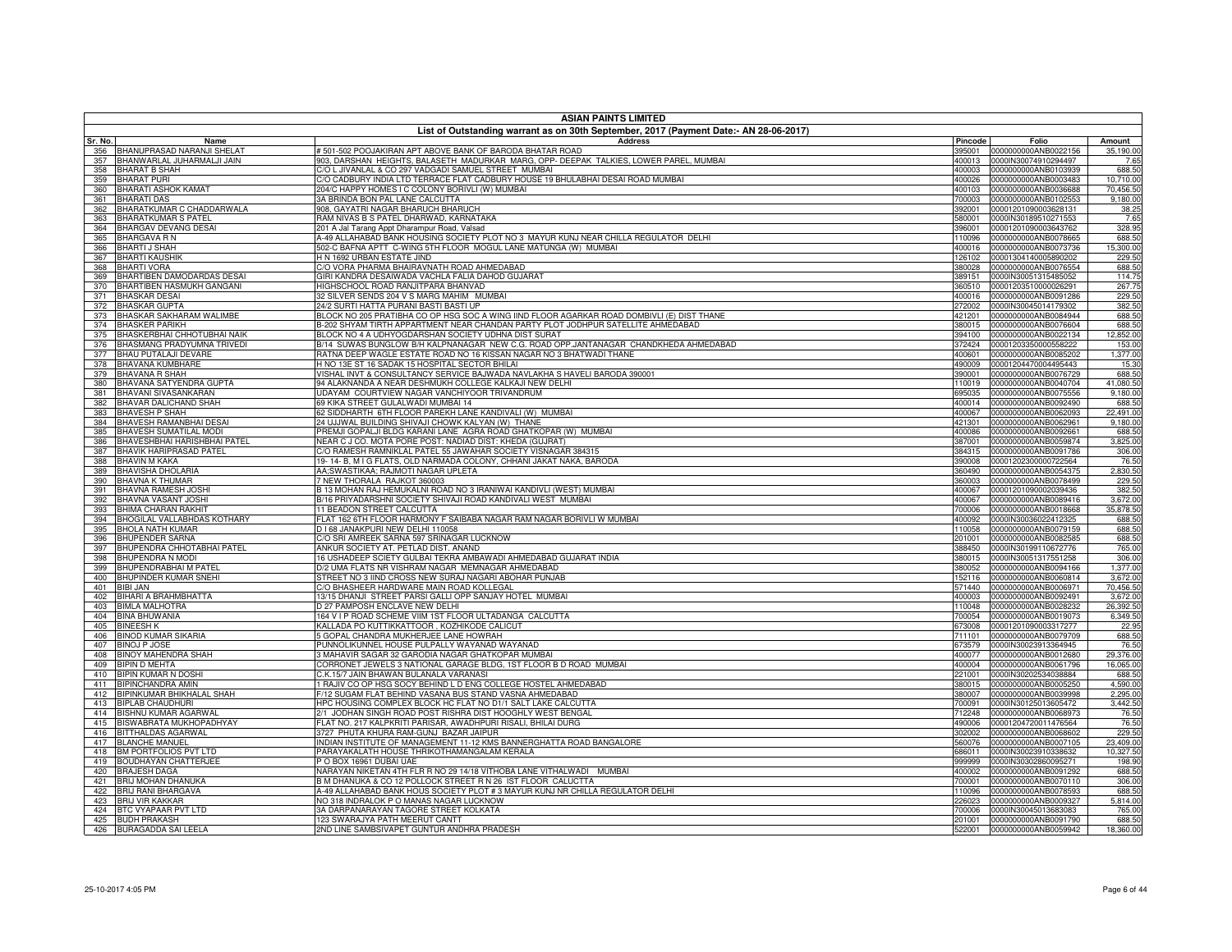|            | <b>ASIAN PAINTS LIMITED</b>                              |                                                                                                                         |                  |                                                            |                            |
|------------|----------------------------------------------------------|-------------------------------------------------------------------------------------------------------------------------|------------------|------------------------------------------------------------|----------------------------|
|            |                                                          | List of Outstanding warrant as on 30th September, 2017 (Payment Date:- AN 28-06-2017)                                   |                  |                                                            |                            |
| Sr. No.    | Name                                                     | <b>Address</b><br>#501-502 POOJAKIRAN APT ABOVE BANK OF BARODA BHATAR ROAD                                              | Pincode          | Folio                                                      | Amount                     |
| 356<br>357 | BHANUPRASAD NARANJI SHELAT<br>BHANWARLAL JUHARMALJI JAIN | 903, DARSHAN HEIGHTS, BALASETH MADURKAR MARG, OPP- DEEPAK TALKIES, LOWER PAREL, MUMBAI                                  |                  | 395001 0000000000ANB0022156<br>400013 0000IN30074910294497 | 35,190.00<br>7.65          |
| 358        | <b>BHARAT B SHAH</b>                                     | C/O L JIVANLAL & CO 297 VADGADI SAMUEL STREET MUMBAI                                                                    |                  | 400003 0000000000ANB0103939                                | 688.50                     |
| 359        | <b>BHARAT PURI</b>                                       | C/O CADBURY INDIA LTD TERRACE FLAT CADBURY HOUSE 19 BHULABHAI DESAI ROAD MUMBAI                                         | 400026           | 0000000000ANB0003483                                       | 10,710.00                  |
| 360        | <b>BHARATI ASHOK KAMAT</b>                               | 204/C HAPPY HOMES I C COLONY BORIVLI (W) MUMBAI                                                                         |                  | 400103 0000000000ANB0036688                                | 70,456.50                  |
| 361        | <b>BHARATI DAS</b>                                       | 3A BRINDA BON PAL LANE CALCUTTA                                                                                         |                  | 700003 0000000000ANB0102553                                | 9,180.00                   |
| 362        | BHARATKUMAR C CHADDARWALA                                | 908, GAYATRI NAGAR BHARUCH BHARUCH                                                                                      | 392001           | 00001201090003628131                                       | 38.25                      |
| 363        | <b>BHARATKUMAR S PATEL</b>                               | RAM NIVAS B S PATEL DHARWAD, KARNATAKA                                                                                  |                  | 580001 0000IN30189510271553                                | 7.65                       |
| 364        | <b>BHARGAV DEVANG DESAI</b>                              | 201 A Jal Tarang Appt Dharampur Road, Valsad                                                                            |                  | 396001 00001201090003643762                                | 328.95                     |
| 365        | <b>BHARGAVA R N</b>                                      | A-49 ALLAHABAD BANK HOUSING SOCIETY PLOT NO 3 MAYUR KUNJ NEAR CHILLA REGULATOR DELHI                                    | 110096           | 0000000000ANB0078665                                       | 688.50                     |
| 366        | <b>BHARTI J SHAH</b>                                     | 502-C BAFNA APTT C-WING 5TH FLOOR MOGUL LANE MATUNGA (W) MUMBAI                                                         |                  | 400016 0000000000ANB0073736                                | 15,300.00                  |
|            | 367 BHARTI KAUSHIK                                       | H N 1692 URBAN ESTATE JIND                                                                                              |                  | 126102 00001304140005890202                                | 229.50                     |
| 368<br>369 | <b>BHARTI VORA</b><br>BHARTIBEN DAMODARDAS DESAI         | C/O VORA PHARMA BHAIRAVNATH ROAD AHMEDABAD<br>GIRI KANDRA DESAIWADA VACHLA FALIA DAHOD GUJARAT                          | 380028           | 0000000000ANB0076554<br>389151 0000IN30051315485052        | 688.50                     |
|            | 370 BHARTIBEN HASMUKH GANGANI                            | HIGHSCHOOL ROAD RANJITPARA BHANVAD                                                                                      |                  | 360510 00001203510000026291                                | 114.75<br>267.75<br>229.50 |
| 371        | <b>BHASKAR DESAI</b>                                     | 32 SILVER SENDS 204 V S MARG MAHIM MUMBAI                                                                               | 400016           | 0000000000ANB0091286                                       |                            |
| 372        | <b>BHASKAR GUPTA</b>                                     | 24/2 SURTI HATTA PURANI BASTI BASTI UP                                                                                  |                  | 272002 0000IN30045014179302                                | 382.50                     |
| 373        | BHASKAR SAKHARAM WALIMBE                                 | BLOCK NO 205 PRATIBHA CO OP HSG SOC A WING IIND FLOOR AGARKAR ROAD DOMBIVLI (E) DIST THANE                              | 421201           | 0000000000ANB0084944                                       | 688.50                     |
| 374        | <b>BHASKER PARIKH</b>                                    | 3-202 SHYAM TIRTH APPARTMENT NEAR CHANDAN PARTY PLOT JODHPUR SATELLITE AHMEDABAD                                        | 380015           | 0000000000ANB0076604                                       | 688.50                     |
| 375        | BHASKERBHAI CHHOTUBHAI NAIK                              | BLOCK NO 4 A UDHYOGDARSHAN SOCIETY UDHNA DIST SURAT                                                                     |                  | 394100 0000000000ANB0022134                                | 12,852.00                  |
| 376        | BHASMANG PRADYUMNA TRIVEDI                               | B/14 SUWAS BUNGLOW B/H KALPNANAGAR NEW C.G. ROAD OPP.JANTANAGAR CHANDKHEDA AHMEDABAD                                    | 372424           | 00001203350000558222                                       | 153.00                     |
| 377        | BHAU PUTALAJI DEVARE                                     | RATNA DEEP WAGLE ESTATE ROAD NO 16 KISSAN NAGAR NO 3 BHATWADI THANE                                                     | 400601           | 0000000000ANB0085202                                       | 1,377.00                   |
| 378        | BHAVANA KUMBHARE                                         | H NO 13E ST 16 SADAK 15 HOSPITAL SECTOR BHILAI                                                                          | 490009           | 00001204470004495443                                       | 15.30                      |
| 379        | <b>BHAVANA R SHAH</b>                                    | VISHAL INVT & CONSULTANCY SERVICE BAJWADA NAVLAKHA S HAVELI BARODA 390001                                               | 390001           | 0000000000ANB0076729                                       | 688.50                     |
| 380        | BHAVANA SATYENDRA GUPTA                                  | 94 ALAKNANDA A NEAR DESHMUKH COLLEGE KALKAJI NEW DELHI                                                                  | 110019           | 0000000000ANB0040704                                       | 41,080.50                  |
| 381        | BHAVANI SIVASANKARAN                                     | UDAYAM COURTVIEW NAGAR VANCHIYOOR TRIVANDRUM                                                                            | 695035           | 0000000000ANB0075556                                       | 9,180.00                   |
| 382        | BHAVAR DALICHAND SHAH                                    | 69 KIKA STREET GULALWADI MUMBAI 14                                                                                      | 400014           | 0000000000ANB0092490                                       | 688.50                     |
| 383        | <b>BHAVESH P SHAH</b>                                    | 2 SIDDHARTH 6TH FLOOR PAREKH LANE KANDIVALI (W) MUMBAI                                                                  | 400067           | 0000000000ANB0062093                                       | 22,491.00                  |
| 384<br>385 | BHAVESH RAMANBHAI DESAI<br>BHAVESH SUMATILAL MODI        | 24 UJJWAL BUILDING SHIVAJI CHOWK KALYAN (W) THANE<br>PREMJI GOPALJI BLDG KARANI LANE AGRA ROAD GHATKOPAR (W) MUMBAI     | 421301<br>400086 | 0000000000ANB0062961<br>0000000000ANB0092661               | 9,180.00<br>688.50         |
| 386        | <b>BHAVESHBHAI HARISHBHAI PATEL</b>                      | VEAR C J CO. MOTA PORE POST: NADIAD DIST: KHEDA (GUJRAT)                                                                | 387001           | 0000000000ANB0059874                                       | 3,825.00                   |
| 387        | BHAVIK HARIPRASAD PATEI                                  | C/O RAMESH RAMNIKLAL PATEL 55 JAWAHAR SOCIETY VISNAGAR 384315                                                           | 384315           | 0000000000ANB0091786                                       | 306.00                     |
| 388        | <b>BHAVIN M KAKA</b>                                     | 19-14-B, M I G FLATS, OLD NARMADA COLONY, CHHANI JAKAT NAKA, BARODA                                                     | 390008           | 00001202300000722564                                       | 76.50                      |
| 389        | <b>BHAVISHA DHOLARIA</b>                                 | AA;SWASTIKAA; RAJMOTI NAGAR UPLETA                                                                                      | 360490           | 0000000000ANB0054375                                       | 2,830.50                   |
| 390        | <b>BHAVNA K THUMAR</b>                                   | NEW THORALA RAJKOT 360003                                                                                               | 360003           | 0000000000ANB0078499                                       | 229.50                     |
| 391        | <b>BHAVNA RAMESH JOSHI</b>                               | B 13 MOHAN RAJ HEMUKALNI ROAD NO 3 IRANIWAI KANDIVLI (WEST) MUMBAI                                                      | 400067           | 00001201090002039436                                       | 382.50                     |
| 392        | <b>BHAVNA VASANT JOSHI</b>                               | 3/16 PRIYADARSHNI SOCIETY SHIVAJI ROAD KANDIVALI WEST MUMBAI                                                            | 400067           | 0000000000ANB0089416                                       | 3,672.00                   |
| 393        | BHIMA CHARAN RAKHIT                                      | 11 BEADON STREET CALCUTTA                                                                                               | 700006           | 0000000000ANB0018668                                       | 35,878.50                  |
| 394        | BHOGILAL VALLABHDAS KOTHARY                              | FLAT 162 6TH FLOOR HARMONY F SAIBABA NAGAR RAM NAGAR BORIVLI W MUMBAI                                                   | 400092           | 0000IN30036022412325                                       | 688.50                     |
| 395        | <b>BHOLA NATH KUMAR</b>                                  | D I 68 JANAKPURI NEW DELHI 110058                                                                                       | 110058           | 0000000000ANB0079159                                       | 688.50                     |
| 396        | <b>BHUPENDER SARNA</b>                                   | C/O SRI AMREEK SARNA 597 SRINAGAR LUCKNOW                                                                               | 201001           | 0000000000ANB0082585                                       | 688.50                     |
| 397        | BHUPENDRA CHHOTABHAI PATEL                               | ANKUR SOCIETY AT. PETLAD DIST. ANAND                                                                                    | 388450           | 0000IN30199110672776                                       | 765.00                     |
| 398<br>399 | BHUPENDRA N MODI<br><b>BHUPENDRABHAI M PATEL</b>         | 6 USHADEEP SCIETY GULBAI TEKRA AMBAWADI AHMEDABAD GUJARAT INDIA<br>0/2 UMA FLATS NR VISHRAM NAGAR MEMNAGAR AHMEDABAD    | 380015<br>380052 | 0000IN30051317551258<br>0000000000ANB0094166               | 306.00<br>1,377.00         |
| 400        | BHUPINDER KUMAR SNEHI                                    | STREET NO 3 IIND CROSS NEW SURAJ NAGARI ABOHAR PUNJAB                                                                   | 152116           | 0000000000ANB0060814                                       | 3,672.00                   |
| 401        | <b>BIBI JAN</b>                                          | C/O BHASHEER HARDWARE MAIN ROAD KOLLEGAL                                                                                | 571440           | 0000000000ANB0006971                                       | 70,456.50                  |
| 402        | BIHARI A BRAHMBHATTA                                     | 13/15 DHANJI STREET PARSI GALLI OPP SANJAY HOTEL MUMBAI                                                                 | 400003           | 0000000000ANB0092491                                       | 3,672.00                   |
| 403        | <b>BIMLA MALHOTRA</b>                                    | 27 PAMPOSH ENCLAVE NEW DELHI                                                                                            | 110048           | 0000000000ANB0028232                                       | 26,392.50                  |
| 404        | <b>BINA BHUWANIA</b>                                     | 164 V I P ROAD SCHEME VIIM 1ST FLOOR ULTADANGA CALCUTTA                                                                 | 700054           | 0000000000ANB0019073                                       | 6.349.50                   |
| 405        | <b>BINEESH K</b>                                         | <b>KALLADA PO KUTTIKKATTOOR, KOZHIKODE CALICUT</b>                                                                      | 673008           | 00001201090003317277                                       | 22.95                      |
| 406        | <b>BINOD KUMAR SIKARIA</b>                               | GOPAL CHANDRA MUKHERJEE LANE HOWRAH                                                                                     | 711101           | 0000000000ANB0079709                                       | 688.50                     |
| 407        | <b>BINOJ P JOSE</b>                                      | PUNNOLIKUNNEL HOUSE PULPALLY WAYANAD WAYANAD                                                                            | 673579           | 0000IN30023913364945                                       | 76.50                      |
| 408        | <b>BINOY MAHENDRA SHAH</b>                               | 3 MAHAVIR SAGAR 32 GARODIA NAGAR GHATKOPAR MUMBAI                                                                       | 400077           | 0000000000ANB0012680                                       | 29,376.00                  |
| 409        | <b>BIPIN D MEHTA</b>                                     | CORRONET JEWELS 3 NATIONAL GARAGE BLDG, 1ST FLOOR B D ROAD MUMBAI                                                       | 400004           | 0000000000ANB0061796                                       | 16,065.00                  |
| 410        | <b>BIPIN KUMAR N DOSHI</b>                               | C.K.15/7 JAIN BHAWAN BULANALA VARANASI                                                                                  | 221001           | 0000IN30202534038884                                       | 688.50                     |
| 411        | <b>BIPINCHANDRA AMIN</b>                                 | I RAJIV CO OP HSG SOCY BEHIND L D ENG COLLEGE HOSTEL AHMEDABAD                                                          | 380015           | 0000000000ANB0005250                                       | 4,590.00                   |
| 412        | BIPINKUMAR BHIKHALAL SHAH<br><b>BIPLAB CHAUDHURI</b>     | 7/12 SUGAM FLAT BEHIND VASANA BUS STAND VASNA AHMEDABAD<br>HPC HOUSING COMPLEX BLOCK HC FLAT NO D1/1 SALT LAKE CALCUTTA | 380007           | 0000000000ANB0039998<br>0000IN30125013605472               | 2,295.00<br>3.442.50       |
| 413<br>414 | <b>BISHNU KUMAR AGARWAL</b>                              | 2/1 JODHAN SINGH ROAD POST RISHRA DIST HOOGHLY WEST BENGAL                                                              | 700091<br>712248 | 0000000000ANB0068973                                       | 76.50                      |
| 415        | BISWABRATA MUKHOPADHYAY                                  | FLAT NO. 217 KALPKRITI PARISAR, AWADHPURI RISALI, BHILAI DURG                                                           | 490006           | 00001204720011476564                                       | 76.50                      |
| 416        | <b>BITTHALDAS AGARWAL</b>                                | 3727 PHUTA KHURA RAM-GUNJ BAZAR JAIPUR                                                                                  | 302002           | 0000000000ANB0068602                                       | 229.50                     |
| 417        | <b>BLANCHE MANUEL</b>                                    | INDIAN INSTITUTE OF MANAGEMENT 11-12 KMS BANNERGHATTA ROAD BANGALORE                                                    | 560076           | 0000000000ANB0007105                                       | 23.409.00                  |
| 418        | BM PORTFOLIOS PVT LTD                                    | PARAYAKALATH HOUSE THRIKOTHAMANGALAM KERALA                                                                             | 686011           | 0000IN30023910338632                                       | 10,327.50                  |
| 419        | <b>BOUDHAYAN CHATTERJEE</b>                              | PO BOX 16961 DUBAI UAE                                                                                                  | 999999           | 0000IN30302860095271                                       | 198.90                     |
| 420        | <b>BRAJESH DAGA</b>                                      | NARAYAN NIKETAN 4TH FLR R NO 29 14/18 VITHOBA LANE VITHALWADI MUMBAI                                                    | 400002           | 0000000000ANB0091292                                       | 688.50                     |
| 421        | <b>BRIJ MOHAN DHANUKA</b>                                | B M DHANUKA & CO 12 POLLOCK STREET R N 26 IST FLOOR CALUCTTA                                                            | 700001           | 0000000000ANB0070110                                       | 306.00                     |
| 422        | <b>BRIJ RANI BHARGAVA</b>                                | 4-49 ALLAHABAD BANK HOUS SOCIETY PLOT # 3 MAYUR KUNJ NR CHILLA REGULATOR DELHI                                          | 110096           | 0000000000ANB0078593                                       | 688.50                     |
| 423        | <b>BRIJ VIR KAKKAR</b>                                   | NO 318 INDRALOK P O MANAS NAGAR LUCKNOW                                                                                 | 226023           | 0000000000ANB0009327                                       | 5.814.00                   |
| 424        | BTC VYAPAAR PVT LTD                                      | 3A DARPANARAYAN TAGORE STREET KOLKATA                                                                                   | 700006           | 0000IN30045013683083                                       | 765.00                     |
| 425        | <b>BUDH PRAKASH</b>                                      | 123 SWARAJYA PATH MEERUT CANTT                                                                                          | 201001           | 0000000000ANB0091790                                       | 688.50                     |
|            | 426 BURAGADDA SAI LEELA                                  | 2ND LINE SAMBSIVAPET GUNTUR ANDHRA PRADESH                                                                              | 522001           | 0000000000ANB0059942                                       | 18,360.00                  |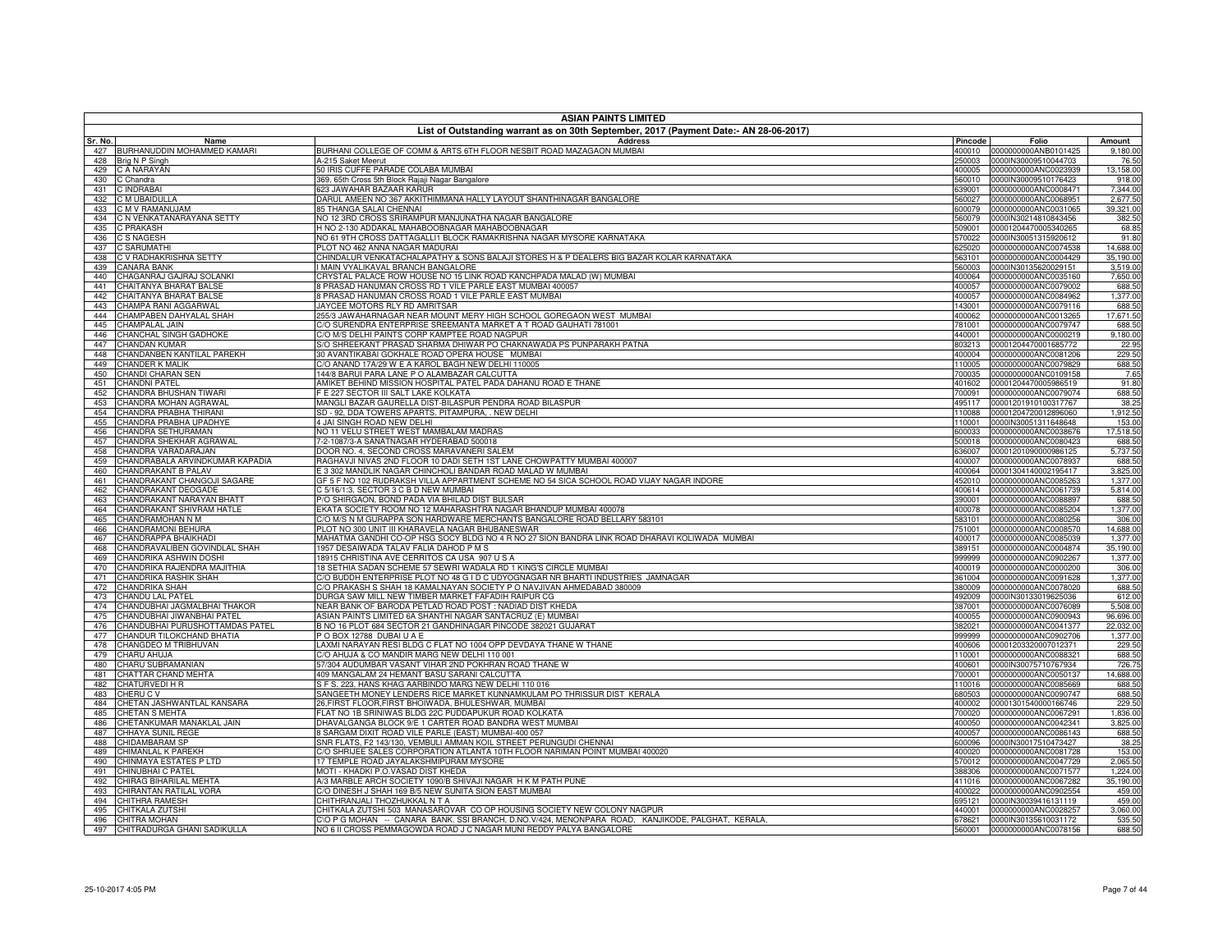|            | <b>ASIAN PAINTS LIMITED</b><br>List of Outstanding warrant as on 30th September, 2017 (Payment Date:- AN 28-06-2017) |                                                                                                                                |                  |                                                     |                       |  |
|------------|----------------------------------------------------------------------------------------------------------------------|--------------------------------------------------------------------------------------------------------------------------------|------------------|-----------------------------------------------------|-----------------------|--|
| Sr. No.    | Name                                                                                                                 | <b>Address</b>                                                                                                                 | Pincode          | Folio                                               | Amount                |  |
|            | 427 BURHANUDDIN MOHAMMED KAMARI                                                                                      | BURHANI COLLEGE OF COMM & ARTS 6TH FLOOR NESBIT ROAD MAZAGAON MUMBAI                                                           |                  | 400010 0000000000ANB0101425                         | 9,180.00              |  |
| 428        | Brig N P Singh                                                                                                       | A-215 Saket Meerut                                                                                                             | 250003           | 0000IN30009510044703                                | 76.50                 |  |
| 429        | C A NARAYAN                                                                                                          | 50 IRIS CUFFE PARADE COLABA MUMBAI                                                                                             | 400005           | 0000000000ANC0023939                                | 13,158.00             |  |
| 430        | C Chandra                                                                                                            | 369, 65th Cross 5th Block Rajaji Nagar Bangalore<br>623 JAWAHAR BAZAAR KARUR                                                   | 560010           | 0000IN30009510176423<br>0000000000ANC0008471        | 918.00<br>7,344.00    |  |
| 431<br>432 | C INDRABAI<br>C M UBAIDULLA                                                                                          | DARUL AMEEN NO 367 AKKITHIMMANA HALLY LAYOUT SHANTHINAGAR BANGALORE                                                            | 639001<br>560027 | 0000000000ANC0068951                                | 2,677.50              |  |
| 433        | C M V RAMANUJAM                                                                                                      | <b>85 THANGA SALAI CHENNAI</b>                                                                                                 | 600079           | 0000000000ANC0031065                                | 39,321.00             |  |
| 434        | C N VENKATANARAYANA SETTY                                                                                            | NO 12 3RD CROSS SRIRAMPUR MANJUNATHA NAGAR BANGALORE                                                                           |                  | 560079 0000IN30214810843456                         | 382.50                |  |
| 435        | C PRAKASH                                                                                                            | H NO 2-130 ADDAKAL MAHABOOBNAGAR MAHABOOBNAGAR                                                                                 | 509001           | 00001204470005340265                                | 68.85                 |  |
| 436        | <b>C S NAGESH</b>                                                                                                    | NO 61 9TH CROSS DATTAGALLI1 BLOCK RAMAKRISHNA NAGAR MYSORE KARNATAKA                                                           | 570022           | 0000IN30051315920612                                | 91.80                 |  |
| 437        | <b>C SARUMATHI</b>                                                                                                   | PLOT NO 462 ANNA NAGAR MADURAI                                                                                                 | 625020           | 0000000000ANC0074538                                | 14,688.00             |  |
| 438<br>439 | C V RADHAKRISHNA SETTY<br><b>CANARA BANK</b>                                                                         | CHINDALUR VENKATACHALAPATHY & SONS BALAJI STORES H & P DEALERS BIG BAZAR KOLAR KARNATAKA<br>I MAIN VYALIKAVAL BRANCH BANGALORE | 563101<br>560003 | 0000000000ANC0004429<br>0000IN30135620029151        | 35,190.00<br>3,519.00 |  |
| 440        | CHAGANRAJ GAJRAJ SOLANKI                                                                                             | CRYSTAL PALACE ROW HOUSE NO 15 LINK ROAD KANCHPADA MALAD (W) MUMBAI                                                            | 400064           | 0000000000ANC0035160                                | 7,650.00              |  |
| 441        | CHAITANYA BHARAT BALSE                                                                                               | 8 PRASAD HANUMAN CROSS RD 1 VILE PARLE EAST MUMBAI 400057                                                                      | 400057           | 0000000000ANC0079002                                | 688.50                |  |
| 442        | CHAITANYA BHARAT BALSE                                                                                               | 3 PRASAD HANUMAN CROSS ROAD 1 VILE PARLE EAST MUMBAI                                                                           | 400057           | 0000000000ANC0084962                                | 1,377.00              |  |
| 443        | CHAMPA RANI AGGARWAL                                                                                                 | JAYCEE MOTORS RLY RD AMRITSAR                                                                                                  | 143001           | 0000000000ANC0079116                                | 688.50                |  |
| 444        | CHAMPABEN DAHYALAL SHAH                                                                                              | 255/3 JAWAHARNAGAR NEAR MOUNT MERY HIGH SCHOOL GOREGAON WEST MUMBAI                                                            | 400062           | 0000000000ANC0013265                                | 17,671.50             |  |
| 445        | CHAMPALAL JAIN                                                                                                       | C/O SURENDRA ENTERPRISE SREEMANTA MARKET A T ROAD GAUHATI 781001                                                               | 781001           | 0000000000ANC0079747                                | 688.50                |  |
| 446<br>447 | CHANCHAL SINGH GADHOKE<br><b>CHANDAN KUMAR</b>                                                                       | C/O M/S DELHI PAINTS CORP KAMPTEE ROAD NAGPUR<br>S/O SHREEKANT PRASAD SHARMA DHIWAR PO CHAKNAWADA PS PUNPARAKH PATNA           | 440001<br>803213 | 0000000000ANC0000219<br>00001204470001685772        | 9,180.00<br>22.95     |  |
| 448        | CHANDANBEN KANTILAL PAREKH                                                                                           | 30 AVANTIKABAI GOKHALE ROAD OPERA HOUSE MUMBAI                                                                                 |                  | 400004 0000000000ANC0081206                         | 229.50                |  |
| 449        | <b>CHANDER K MALIK</b>                                                                                               | C/O ANAND 17A/29 W E A KAROL BAGH NEW DELHI 110005                                                                             | 110005           | 0000000000ANC0079829                                | 688.50                |  |
| 450        | CHANDI CHARAN SEN                                                                                                    | 144/8 BARUI PARA LANE P O ALAMBAZAR CALCUTTA                                                                                   | 700035           | 0000000000ANC0109158                                | 7.65                  |  |
| 451        | <b>CHANDNI PATEL</b>                                                                                                 | AMIKET BEHIND MISSION HOSPITAL PATEL PADA DAHANU ROAD E THANE                                                                  | 401602           | 00001204470005986519                                | 91.80                 |  |
| 452        | CHANDRA BHUSHAN TIWARI                                                                                               | F E 227 SECTOR III SALT LAKE KOLKATA                                                                                           | 700091           | 0000000000ANC0079074                                | 688.50                |  |
| 453        | CHANDRA MOHAN AGRAWAL                                                                                                | MANGLI BAZAR GAURELLA DIST-BILASPUR PENDRA ROAD BILASPUR                                                                       | 495117           | 00001201910100317767                                | 38.25                 |  |
| 454<br>455 | CHANDRA PRABHA THIRANI<br>CHANDRA PRABHA UPADHYE                                                                     | SD - 92, DDA TOWERS APARTS. PITAMPURA, . NEW DELHI<br>4 JAI SINGH ROAD NEW DELHI                                               | 110088<br>110001 | 00001204720012896060<br>0000IN30051311648648        | 1,912.50<br>153.00    |  |
| 456        | CHANDRA SETHURAMAN                                                                                                   | NO 11 VELU STREET WEST MAMBALAM MADRAS                                                                                         | 600033           | 0000000000ANC0038676                                | 17,518.50             |  |
| 457        | CHANDRA SHEKHAR AGRAWAL                                                                                              | 7-2-1087/3-A SANATNAGAR HYDERABAD 500018                                                                                       | 500018           | 0000000000ANC0080423                                | 688.50                |  |
| 458        | CHANDRA VARADARAJAN                                                                                                  | DOOR NO. 4, SECOND CROSS MARAVANERI SALEM                                                                                      | 636007           | 00001201090000986125                                | 5,737.50              |  |
| 459        | CHANDRABALA ARVINDKUMAR KAPADIA                                                                                      | RAGHAVJI NIVAS 2ND FLOOR 10 DADI SETH 1ST LANE CHOWPATTY MUMBAI 400007                                                         | 400007           | 0000000000ANC0078937                                | 688.50                |  |
| 460        | CHANDRAKANT B PALAV                                                                                                  | E 3 302 MANDLIK NAGAR CHINCHOLI BANDAR ROAD MALAD W MUMBAI                                                                     | 400064           | 00001304140002195417                                | 3,825.00              |  |
| 461        | CHANDRAKANT CHANGOJI SAGARE                                                                                          | GF 5 F NO 102 RUDRAKSH VILLA APPARTMENT SCHEME NO 54 SICA SCHOOL ROAD VIJAY NAGAR INDORE                                       | 452010           | 0000000000ANC0085263                                | 1,377.00              |  |
| 462<br>463 | CHANDRAKANT DEOGADE<br>CHANDRAKANT NARAYAN BHATT                                                                     | C 5/16/1:3, SECTOR 3 C B D NEW MUMBAI<br>P/O SHIRGAON, BOND PADA VIA BHILAD DIST BULSAR                                        | 400614<br>390001 | 0000000000ANC0061739<br>0000000000ANC0088897        | 5,814.00<br>688.50    |  |
| 464        | CHANDRAKANT SHIVRAM HATLE                                                                                            | EKATA SOCIETY ROOM NO 12 MAHARASHTRA NAGAR BHANDUP MUMBAI 400078                                                               | 400078           | 0000000000ANC0085204                                | 1,377.00              |  |
| 465        | CHANDRAMOHAN N M                                                                                                     | C/O M/S N M GURAPPA SON HARDWARE MERCHANTS BANGALORE ROAD BELLARY 583101                                                       | 583101           | 0000000000ANC0080256                                | 306.00                |  |
| 466        | CHANDRAMONI BEHURA                                                                                                   | PLOT NO 300 UNIT III KHARAVELA NAGAR BHUBANESWAR                                                                               | 751001           | 0000000000ANC0008570                                | 14,688.00             |  |
| 467        | CHANDRAPPA BHAIKHADI                                                                                                 | MAHATMA GANDHI CO-OP HSG SOCY BLDG NO 4 R NO 27 SION BANDRA LINK ROAD DHARAVI KOLIWADA MUMBAI                                  | 400017           | 0000000000ANC0085039                                | 1,377.00              |  |
| 468        | CHANDRAVALIBEN GOVINDLAL SHAH                                                                                        | 1957 DESAIWADA TALAV FALIA DAHOD P M S                                                                                         | 389151           | 0000000000ANC0004874                                | 35,190.00             |  |
| 469        | CHANDRIKA ASHWIN DOSHI                                                                                               | 18915 CHRISTINA AVE CERRITOS CA USA 907 U S A<br>18 SETHIA SADAN SCHEME 57 SEWRI WADALA RD 1 KING'S CIRCLE MUMBAI              | 999999           | 0000000000ANC0902267                                | 1,377.00              |  |
| 470<br>471 | CHANDRIKA RAJENDRA MAJITHIA<br>CHANDRIKA RASHIK SHAH                                                                 | C/O BUDDH ENTERPRISE PLOT NO 48 G I D C UDYOGNAGAR NR BHARTI INDUSTRIES JAMNAGAR                                               | 361004           | 400019 0000000000ANC0000200<br>0000000000ANC0091628 | 306.00<br>1,377.00    |  |
| 472        | CHANDRIKA SHAH                                                                                                       | C/O PRAKASH S SHAH 18 KAMALNAYAN SOCIETY P O NAVJIVAN AHMEDABAD 380009                                                         | 380009           | 0000000000ANC0078020                                | 688.50                |  |
| 473        | CHANDU LAL PATEL                                                                                                     | DURGA SAW MILL NEW TIMBER MARKET FAFADIH RAIPUR CG                                                                             | 492009           | 0000IN30133019625036                                | 612.00                |  |
| 474        | CHANDUBHAI JAGMALBHAI THAKOR                                                                                         | NEAR BANK OF BARODA PETLAD ROAD POST: NADIAD DIST KHEDA                                                                        | 387001           | 0000000000ANC0076089                                | 5,508.00              |  |
| 475        | CHANDUBHAI JIWANBHAI PATEL                                                                                           | ASIAN PAINTS LIMITED 6A SHANTHI NAGAR SANTACRUZ (E) MUMBAI                                                                     | 400055           | 0000000000ANC0900943                                | 96,696.00             |  |
| 476        | CHANDUBHAI PURUSHOTTAMDAS PATEL                                                                                      | B NO 16 PLOT 684 SECTOR 21 GANDHINAGAR PINCODE 382021 GUJARAT                                                                  | 382021           | 0000000000ANC0041377                                | 22,032.00             |  |
| 477<br>478 | CHANDUR TILOKCHAND BHATIA<br>CHANGDEO M TRIBHUVAN                                                                    | POBOX 12788 DUBAIU A E<br>LAXMI NARAYAN RESI BLDG C FLAT NO 1004 OPP DEVDAYA THANE W THANE                                     | 999999           | 0000000000ANC0902706<br>400606 00001203320007012371 | 1,377.00<br>229.50    |  |
| 479        | CHARU AHUJA                                                                                                          | C/O AHUJA & CO MANDIR MARG NEW DELHI 110 001                                                                                   | 110001           | 0000000000ANC0088321                                | 688.50                |  |
| 480        | CHARU SUBRAMANIAN                                                                                                    | 57/304 AUDUMBAR VASANT VIHAR 2ND POKHRAN ROAD THANE W                                                                          | 400601           | 0000IN30075710767934                                | 726.75                |  |
| 481        | CHATTAR CHAND MEHTA                                                                                                  | 409 MANGALAM 24 HEMANT BASU SARANI CALCUTTA                                                                                    | 700001           | 0000000000ANC0050137                                | 14,688.00             |  |
| 482        | CHATURVEDI H R                                                                                                       | S F S, 223, HANS KHAG AARBINDO MARG NEW DELHI 110 016                                                                          | 110016           | 0000000000ANC0085669                                | 688.50                |  |
| 483        | CHERU C V                                                                                                            | SANGEETH MONEY LENDERS RICE MARKET KUNNAMKULAM PO THRISSUR DIST KERALA                                                         | 680503           | 0000000000ANC0090747                                | 688.50                |  |
| 484        | CHETAN JASHWANTLAL KANSARA                                                                                           | 26, FIRST FLOOR, FIRST BHOIWADA, BHULESHWAR, MUMBAI<br>FLAT NO 1B SRINIWAS BLDG 22C PUDDAPUKUR ROAD KOLKATA                    |                  | 400002 00001301540000166746                         | 229.50                |  |
| 485<br>486 | CHETAN S MEHTA<br>CHETANKUMAR MANAKLAL JAIN                                                                          | DHAVALGANGA BLOCK 9/E 1 CARTER ROAD BANDRA WEST MUMBAI                                                                         | 700020           | 0000000000ANC0067291<br>400050 0000000000ANC0042341 | 1,836.00<br>3,825.00  |  |
| 487        | CHHAYA SUNIL REGE                                                                                                    | 8 SARGAM DIXIT ROAD VILE PARLE (EAST) MUMBAI-400 057                                                                           | 400057           | 0000000000ANC0086143                                | 688.50                |  |
| 488        | <b>CHIDAMBARAM SP</b>                                                                                                | SNR FLATS, F2 143/130, VEMBULI AMMAN KOIL STREET PERUNGUDI CHENNAI                                                             | 600096           | 0000IN30017510473427                                | 38.25                 |  |
| 489        | CHIMANLAL K PAREKH                                                                                                   | C/O SHRIJEE SALES CORPORATION ATLANTA 10TH FLOOR NARIMAN POINT MUMBAI 400020                                                   |                  | 400020 0000000000ANC0081728                         | 153.00                |  |
| 490        | CHINMAYA ESTATES P LTD                                                                                               | 17 TEMPLE ROAD JAYALAKSHMIPURAM MYSORE                                                                                         | 570012           | 0000000000ANC0047729                                | 2,065.50              |  |
| 491        | CHINUBHAI C PATEL                                                                                                    | MOTI - KHADKI P.O.VASAD DIST KHEDA                                                                                             | 388306           | 0000000000ANC0071577                                | 1,224.00              |  |
| 492        | CHIRAG BIHARILAL MEHTA                                                                                               | A/3 MARBLE ARCH SOCIETY 1090/B SHIVAJI NAGAR H K M PATH PUNE                                                                   |                  | 411016 0000000000ANC0067282                         | 35,190.00             |  |
| 493<br>494 | CHIRANTAN RATILAL VORA<br>CHITHRA RAMESH                                                                             | C/O DINESH J SHAH 169 B/5 NEW SUNITA SION EAST MUMBAI<br>CHITHRANJALI THOZHUKKAL N T A                                         | 400022<br>695121 | 0000000000ANC0902554<br>0000IN30039416131119        | 459.00<br>459.00      |  |
| 495        | CHITKALA ZUTSHI                                                                                                      | CHITKALA ZUTSHI 503 MANASAROVAR CO OP HOUSING SOCIETY NEW COLONY NAGPUR                                                        | 440001           | 0000000000ANC0028257                                | 3,060.00              |  |
| 496        | CHITRA MOHAN                                                                                                         | CIO P G MOHAN -- CANARA BANK. SSI BRANCH, D.NO.V/424, MENONPARA ROAD, KANJIKODE, PALGHAT, KERALA,                              | 678621           | 0000IN30135610031172                                | 535.50                |  |
| 497        | CHITRADURGA GHANI SADIKULLA                                                                                          | NO 6 II CROSS PEMMAGOWDA ROAD J C NAGAR MUNI REDDY PALYA BANGALORE                                                             |                  | 560001 0000000000ANC0078156                         | 688.50                |  |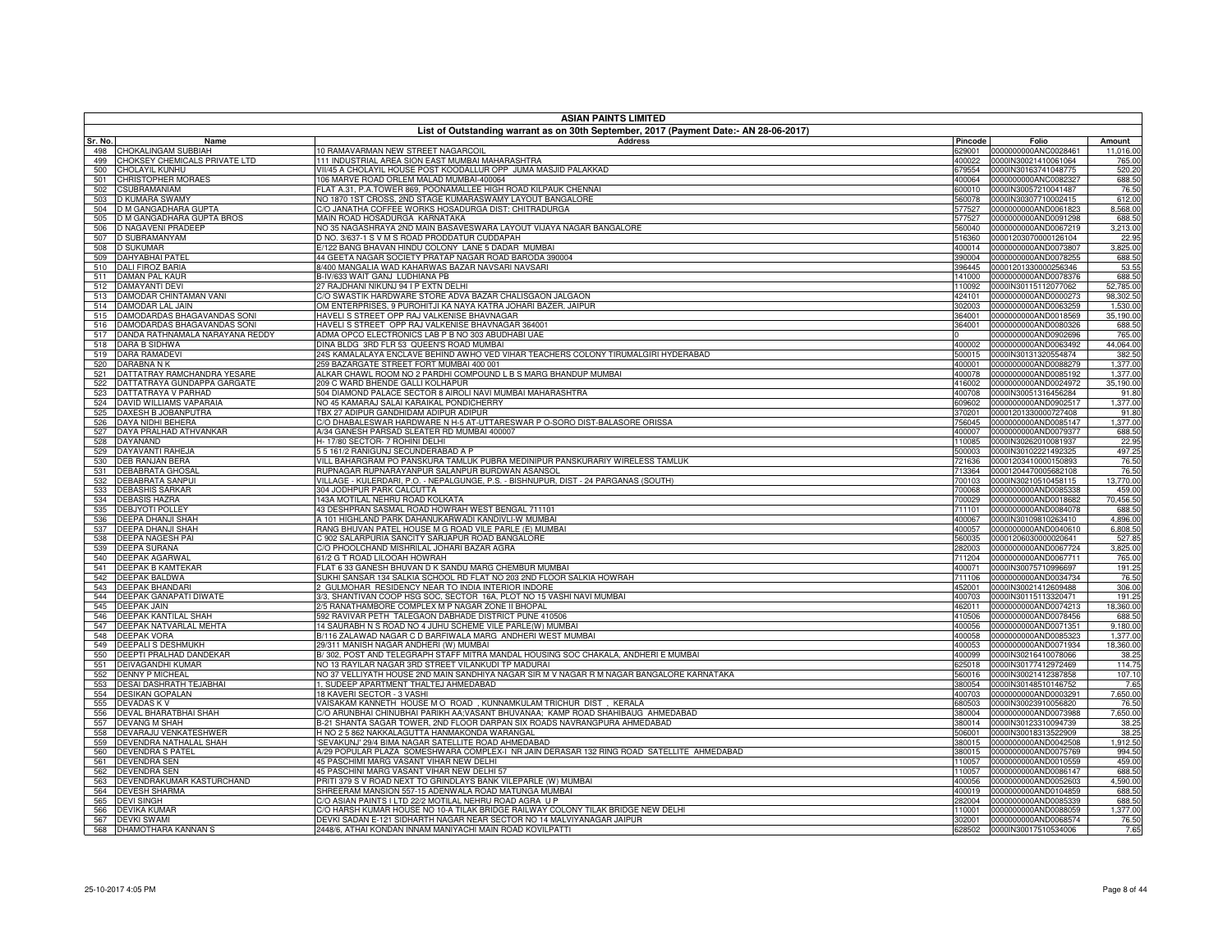|            | <b>ASIAN PAINTS LIMITED</b>                                |                                                                                                                                                 |                  |                                                     |                     |  |
|------------|------------------------------------------------------------|-------------------------------------------------------------------------------------------------------------------------------------------------|------------------|-----------------------------------------------------|---------------------|--|
| Sr. No.    | Name                                                       | List of Outstanding warrant as on 30th September, 2017 (Payment Date:- AN 28-06-2017)<br><b>Address</b>                                         | Pincode          | Folio                                               | Amount              |  |
| 498        | CHOKALINGAM SUBBIAH                                        | 10 RAMAVARMAN NEW STREET NAGARCOIL                                                                                                              | 629001           | 0000000000ANC0028461                                | 11,016.00           |  |
| 499        | CHOKSEY CHEMICALS PRIVATE LTD                              | 111 INDUSTRIAL AREA SION EAST MUMBAI MAHARASHTRA                                                                                                | 400022           | 0000IN30021410061064                                | 765.00              |  |
| 500        | <b>CHOLAYIL KUNHU</b>                                      | VII/45 A CHOLAYIL HOUSE POST KOODALLUR OPP JUMA MASJID PALAKKAD                                                                                 | 679554           | 0000IN30163741048775                                | 520.20              |  |
| 501        | CHRISTOPHER MORAES                                         | 106 MARVE ROAD ORLEM MALAD MUMBAI-400064                                                                                                        | 400064           | 0000000000ANC0082327                                | 688.50              |  |
| 502        | CSUBRAMANIAM                                               | FLAT A.31, P.A.TOWER 869, POONAMALLEE HIGH ROAD KILPAUK CHENNAI                                                                                 |                  | 600010 0000IN30057210041487                         | 76.50               |  |
| 503        | D KUMARA SWAMY<br>D M GANGADHARA GUPTA                     | NO 1870 1ST CROSS, 2ND STAGE KUMARASWAMY LAYOUT BANGALORE<br>C/O JANATHA COFFEE WORKS HOSADURGA DIST: CHITRADURGA                               | 560078<br>577527 | 0000IN30307710002415<br>0000000000AND0061823        | 612.00<br>8,568.00  |  |
| 504<br>505 | D M GANGADHARA GUPTA BROS                                  | MAIN ROAD HOSADURGA KARNATAKA                                                                                                                   |                  | 577527 0000000000AND0091298                         | 688.50              |  |
| 506        | D NAGAVENI PRADEEP                                         | NO 35 NAGASHRAYA 2ND MAIN BASAVESWARA LAYOUT VIJAYA NAGAR BANGALORE                                                                             | 560040           | 0000000000AND0067219                                | 3,213.00            |  |
| 507        | D SUBRAMANYAM                                              | D NO. 3/637-1 S V M S ROAD PRODDATUR CUDDAPAH                                                                                                   |                  | 516360 00001203070000126104                         | 22.95               |  |
| 508        | <b>D SUKUMAR</b>                                           | E/122 BANG BHAVAN HINDU COLONY LANE 5 DADAR MUMBAI                                                                                              |                  | 400014 0000000000AND0073807                         | 3,825.00            |  |
| 509        | <b>DAHYABHAI PATEL</b>                                     | 14 GEETA NAGAR SOCIETY PRATAP NAGAR ROAD BARODA 390004                                                                                          | 390004           | 0000000000AND0078255                                | 688.50              |  |
| 510        | <b>DALI FIROZ BARIA</b>                                    | 8/400 MANGALIA WAD KAHARWAS BAZAR NAVSARI NAVSARI                                                                                               |                  | 396445 00001201330000256346                         | 53.55               |  |
| 511        | DAMAN PAL KAUR                                             | B-IV/633 WAIT GANJ LUDHIANA PB                                                                                                                  |                  | 141000 0000000000AND0078376                         | 688.50              |  |
| 512        | DAMAYANTI DEVI                                             | 27 RAJDHANI NIKUNJ 94 I P EXTN DELHI                                                                                                            | 110092           | 0000IN30115112077062                                | 52,785.00           |  |
| 513        | DAMODAR CHINTAMAN VANI                                     | C/O SWASTIK HARDWARE STORE ADVA BAZAR CHALISGAON JALGAON                                                                                        | 424101           | 0000000000AND0000273                                | 98,302.50           |  |
| 514        | DAMODAR LAL JAIN                                           | OM ENTERPRISES, 9 PUROHITJI KA NAYA KATRA JOHARI BAZER, JAIPUR                                                                                  | 302003           | 0000000000AND0063259                                | 1,530.00            |  |
| 515<br>516 | DAMODARDAS BHAGAVANDAS SONI<br>DAMODARDAS BHAGAVANDAS SONI | HAVELI S STREET OPP RAJ VALKENISE BHAVNAGAR<br>HAVELI S STREET OPP RAJ VALKENISE BHAVNAGAR 364001                                               | 364001<br>364001 | 0000000000AND0018569<br>0000000000AND0080326        | 35,190.00<br>688.50 |  |
| 517        | DANDA RATHNAMALA NARAYANA REDDY                            | ADMA OPCO ELECTRONICS LAB P B NO 303 ABUDHABI UAE                                                                                               |                  | 0000000000AND0902696                                | 765.00              |  |
| 518        | DARA B SIDHWA                                              | DINA BLDG 3RD FLR 53 QUEEN'S ROAD MUMBAI                                                                                                        | 400002           | 0000000000AND0063492                                | 44,064.00           |  |
| 519        | <b>DARA RAMADEVI</b>                                       | 24S KAMALALAYA ENCLAVE BEHIND AWHO VED VIHAR TEACHERS COLONY TIRUMALGIRI HYDERABAD                                                              | 500015           | 0000IN30131320554874                                | 382.50              |  |
| 520        | DARABNA N K                                                | 259 BAZARGATE STREET FORT MUMBAI 400 001                                                                                                        | 400001           | 0000000000AND0088279                                | 1,377.00            |  |
| 521        | DATTATRAY RAMCHANDRA YESARE                                | ALKAR CHAWL ROOM NO 2 PARDHI COMPOUND L B S MARG BHANDUP MUMBAI                                                                                 | 400078           | 0000000000AND0085192                                | 1,377.00            |  |
| 522        | DATTATRAYA GUNDAPPA GARGATE                                | 209 C WARD BHENDE GALLI KOLHAPUR                                                                                                                | 416002           | 0000000000AND0024972                                | 35,190.00           |  |
| 523        | DATTATRAYA V PARHAD                                        | 504 DIAMOND PALACE SECTOR 8 AIROLI NAVI MUMBAI MAHARASHTRA                                                                                      | 400708           | 0000IN30051316456284                                | 91.80               |  |
| 524        | DAVID WILLIAMS VAPARAIA                                    | NO 45 KAMARAJ SALAI KARAIKAL PONDICHERRY                                                                                                        | 609602           | 0000000000AND0902517                                | 1,377.00            |  |
| 525        | DAXESH B JOBANPUTRA                                        | TBX 27 ADIPUR GANDHIDAM ADIPUR ADIPUR                                                                                                           | 370201           | 00001201330000727408                                | 91.80               |  |
| 526        | DAYA NIDHI BEHERA                                          | C/O DHABALESWAR HARDWARE N H-5 AT-UTTARESWAR P O-SORO DIST-BALASORE ORISSA                                                                      | 756045           | 0000000000AND0085147                                | 1,377.00            |  |
| 527        | DAYA PRALHAD ATHVANKAR                                     | A/34 GANESH PARSAD SLEATER RD MUMBAI 400007                                                                                                     | 400007           | 0000000000AND0079377                                | 688.50              |  |
| 528        | DAYANAND                                                   | H-17/80 SECTOR- 7 ROHINI DELHI                                                                                                                  | 110085           | 0000IN30262010081937                                | 22.95               |  |
| 529        | DAYAVANTI RAHEJA                                           | 55 161/2 RANIGUNJ SECUNDERABAD A P                                                                                                              | 500003           | 0000IN30102221492325                                | 497.25              |  |
| 530        | DEB RANJAN BERA<br><b>DEBABRATA GHOSAL</b>                 | VILL BAHARGRAM PO PANSKURA TAMLUK PUBRA MEDINIPUR PANSKURARIY WIRELESS TAMLUK<br>RUPNAGAR RUPNARAYANPUR SALANPUR BURDWAN ASANSOL                | 721636           | 00001203410000150893<br>00001204470005682108        | 76.50<br>76.50      |  |
| 531<br>532 | <b>DEBABRATA SANPUI</b>                                    | VILLAGE - KULERDARI, P.O. - NEPALGUNGE, P.S. - BISHNUPUR, DIST - 24 PARGANAS (SOUTH)                                                            | 713364<br>700103 | 0000IN30210510458115                                | 13,770.00           |  |
| 533        | <b>DEBASHIS SARKAR</b>                                     | 304 JODHPUR PARK CALCUTTA                                                                                                                       | 700068           | 0000000000AND0085338                                | 459.00              |  |
| 534        | <b>DEBASIS HAZRA</b>                                       | 143A MOTILAL NEHRU ROAD KOLKATA                                                                                                                 | 700029           | 0000000000AND0018682                                | 70,456.50           |  |
| 535        | <b>DEBJYOTI POLLEY</b>                                     | 43 DESHPRAN SASMAL ROAD HOWRAH WEST BENGAL 711101                                                                                               | 711101           | 0000000000AND0084078                                | 688.50              |  |
| 536        | <b>DEEPA DHANJI SHAH</b>                                   | A 101 HIGHLAND PARK DAHANUKARWADI KANDIVLI-W MUMBAI                                                                                             | 400067           | 0000IN30109810263410                                | 4,896.00            |  |
| 537        | DEEPA DHANJI SHAH                                          | RANG BHUVAN PATEL HOUSE M G ROAD VILE PARLE (E) MUMBAI                                                                                          | 400057           | 0000000000AND0040610                                | 6,808.50            |  |
| 538        | DEEPA NAGESH PAI                                           | C 902 SALARPURIA SANCITY SARJAPUR ROAD BANGALORE                                                                                                | 560035           | 00001206030000020641                                | 527.85              |  |
| 539        | <b>DEEPA SURANA</b>                                        | C/O PHOOLCHAND MISHRILAL JOHARI BAZAR AGRA                                                                                                      | 282003           | 0000000000AND0067724                                | 3,825.00            |  |
| 540        | DEEPAK AGARWAI                                             | 61/2 G T ROAD LILOOAH HOWRAH                                                                                                                    | 711204           | 0000000000AND0067711                                | 765.00              |  |
| 541        | <b>DEEPAK B KAMTEKAR</b>                                   | FLAT 6 33 GANESH BHUVAN D K SANDU MARG CHEMBUR MUMBAI                                                                                           |                  | 400071 0000IN30075710996697                         | 191.25              |  |
| 542        | <b>DEEPAK BALDWA</b>                                       | SUKHI SANSAR 134 SALKIA SCHOOL RD FLAT NO 203 2ND FLOOR SALKIA HOWRAH                                                                           | 711106           | 0000000000AND0034734                                | 76.50               |  |
| 543        | <b>DEEPAK BHANDARI</b>                                     | 2 GULMOHAR RESIDENCY NEAR TO INDIA INTERIOR INDORE                                                                                              | 452001           | 0000IN30021412609488                                | 306.00              |  |
| 544        | DEEPAK GANAPATI DIWATE                                     | 3/3, SHANTIVAN COOP HSG SOC, SECTOR 16A, PLOT NO 15 VASHI NAVI MUMBAI<br>2/5 RANATHAMBORE COMPLEX M P NAGAR ZONE II BHOPAL                      |                  | 400703 0000IN30115113320471                         | 191.25              |  |
| 545<br>546 | <b>DEEPAK JAIN</b><br>DEEPAK KANTILAL SHAH                 | 592 RAVIVAR PETH TALEGAON DABHADE DISTRICT PUNE 410506                                                                                          | 462011<br>410506 | 0000000000AND0074213<br>0000000000AND0078456        | 18,360.00<br>688.50 |  |
| 547        | DEEPAK NATVARLAL MEHTA                                     | 14 SAURABH N S ROAD NO 4 JUHU SCHEME VILE PARLE(W) MUMBAI                                                                                       |                  | 400056 0000000000AND0071351                         | 9,180.00            |  |
| 548        | <b>DEEPAK VORA</b>                                         | B/116 ZALAWAD NAGAR C D BARFIWALA MARG ANDHERI WEST MUMBAI                                                                                      | 400058           | 0000000000AND0085323                                | 1,377.00            |  |
| 549        | <b>DEEPALI S DESHMUKH</b>                                  | 29/311 MANISH NAGAR ANDHERI (W) MUMBAI                                                                                                          |                  | 400053 0000000000AND0071934                         | 18,360.00           |  |
| 550        | DEEPTI PRALHAD DANDEKAR                                    | B/302, POST AND TELEGRAPH STAFF MITRA MANDAL HOUSING SOC CHAKALA, ANDHERI E MUMBAI                                                              | 400099           | 0000IN30216410078066                                | 38.25               |  |
| 551        | DEIVAGANDHI KUMAR                                          | NO 13 RAYILAR NAGAR 3RD STREET VILANKUDI TP MADURAI                                                                                             | 625018           | 0000IN30177412972469                                | 114.75              |  |
| 552        | <b>DENNY P MICHEAL</b>                                     | NO 37 VELLIYATH HOUSE 2ND MAIN SANDHIYA NAGAR SIR M V NAGAR R M NAGAR BANGALORE KARNATAKA                                                       |                  | 560016 0000IN30021412387858                         | 107.10              |  |
| 553        | DESAI DASHRATH TEJABHAI                                    | 1, SUDEEP APARTMENT THALTEJ AHMEDABAD                                                                                                           | 380054           | 0000IN30148510146752                                | 7.65                |  |
| 554        | <b>DESIKAN GOPALAN</b>                                     | 18 KAVERI SECTOR - 3 VASHI                                                                                                                      | 400703           | 0000000000AND0003291                                | 7,650.00            |  |
| 555        | DEVADAS K V                                                | VAISAKAM KANNETH HOUSE M O ROAD, KUNNAMKULAM TRICHUR DIST, KERALA                                                                               |                  | 680503  0000IN30023910056820                        | 76.50               |  |
| 556        | DEVAL BHARATBHAI SHAH                                      | C/O ARUNBHAI CHINUBHAI PARIKH AA;VASANT BHUVANAA; KAMP ROAD SHAHIBAUG AHMEDABAD                                                                 | 380004           | 0000000000AND0073988                                | 7,650.00            |  |
|            | 557 DEVANG M SHAH                                          | B-21 SHANTA SAGAR TOWER, 2ND FLOOR DARPAN SIX ROADS NAVRANGPURA AHMEDABAD                                                                       |                  | 380014 0000IN30123310094739                         | 38.25               |  |
| 558        | DEVARAJU VENKATESHWER                                      | H NO 2 5 862 NAKKALAGUTTA HANMAKONDA WARANGAL                                                                                                   | 506001           | 0000IN30018313522909                                | 38.25               |  |
| 559<br>560 | DEVENDRA NATHALAL SHAH<br><b>DEVENDRA S PATEL</b>          | SEVAKUNJ' 29/4 BIMA NAGAR SATELLITE ROAD AHMEDABAD<br>A/29 POPULAR PLAZA SOMESHWARA COMPLEX-I NR JAIN DERASAR 132 RING ROAD SATELLITE AHMEDABAD | 380015           | 0000000000AND0042508<br>380015 0000000000AND0075769 | 1,912.50<br>994.50  |  |
| 561        | <b>DEVENDRA SEN</b>                                        | 45 PASCHIMI MARG VASANT VIHAR NEW DELHI                                                                                                         | 110057           | 0000000000AND0010559                                | 459.00              |  |
| 562        | <b>DEVENDRA SEN</b>                                        | 45 PASCHINI MARG VASANT VIHAR NEW DELHI 57                                                                                                      | 110057           | 0000000000AND0086147                                | 688.50              |  |
| 563        | DEVENDRAKUMAR KASTURCHAND                                  | PRITI 379 S V ROAD NEXT TO GRINDLAYS BANK VILEPARLE (W) MUMBAI                                                                                  |                  | 400056 0000000000AND0052603                         | 4,590.00            |  |
| 564        | <b>DEVESH SHARMA</b>                                       | SHREERAM MANSION 557-15 ADENWALA ROAD MATUNGA MUMBAI                                                                                            | 400019           | 0000000000AND0104859                                | 688.50              |  |
| 565        | <b>DEVI SINGH</b>                                          | C/O ASIAN PAINTS I LTD 22/2 MOTILAL NEHRU ROAD AGRA U P                                                                                         | 282004           | 0000000000AND0085339                                | 688.50              |  |
| 566        | DEVIKA KUMAR                                               | C/O HARSH KUMAR HOUSE NO 10-A TILAK BRIDGE RAILWAY COLONY TILAK BRIDGE NEW DELHI                                                                | 110001           | 0000000000AND0088059                                | 1,377.00            |  |
| 567        | <b>DEVKI SWAMI</b>                                         | DEVKI SADAN E-121 SIDHARTH NAGAR NEAR SECTOR NO 14 MALVIYANAGAR JAIPUR                                                                          | 302001           | 0000000000AND0068574                                | 76.50               |  |
|            | 568 DHAMOTHARA KANNAN S                                    | 2448/6, ATHAI KONDAN INNAM MANIYACHI MAIN ROAD KOVILPATTI                                                                                       |                  | 628502 0000IN30017510534006                         | 7.65                |  |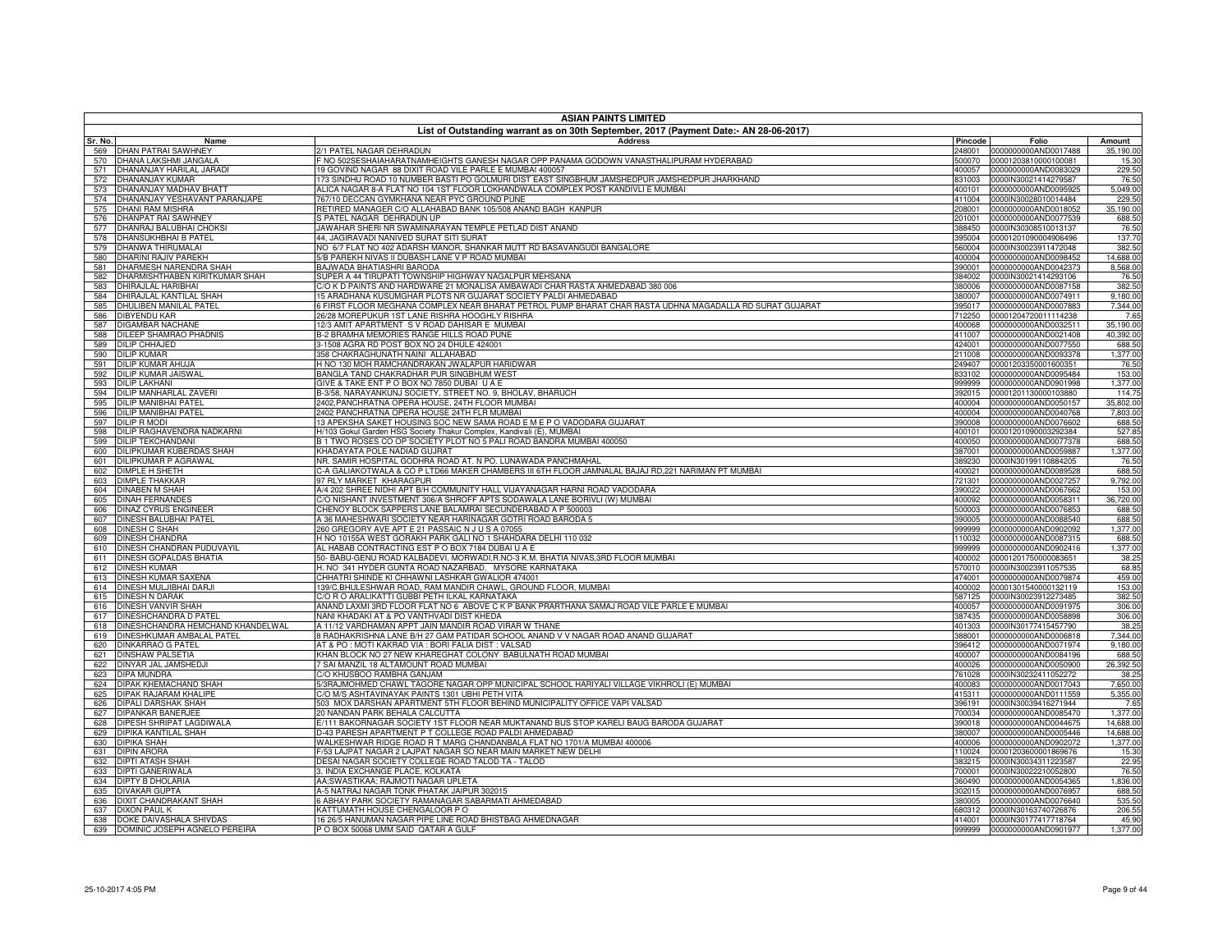|                                                                     | <b>ASIAN PAINTS LIMITED</b><br>List of Outstanding warrant as on 30th September, 2017 (Payment Date:- AN 28-06-2017)                                                              |                  |                                                     |                       |  |
|---------------------------------------------------------------------|-----------------------------------------------------------------------------------------------------------------------------------------------------------------------------------|------------------|-----------------------------------------------------|-----------------------|--|
| Sr. No.<br>Name                                                     | <b>Address</b>                                                                                                                                                                    | Pincode          | Folio                                               | Amount                |  |
| <b>DHAN PATRAI SAWHNEY</b><br>569                                   | 2/1 PATEL NAGAR DEHRADUN                                                                                                                                                          |                  | 248001 0000000000AND0017488                         | 35,190.00             |  |
| DHANA LAKSHMI JANGALA<br>570                                        | NO 502SESHAIAHARATNAMHEIGHTS GANESH NAGAR OPP PANAMA GODOWN VANASTHALIPURAM HYDERABAD                                                                                             | 500070           | 00001203810000100081                                | 15.30                 |  |
| DHANANJAY HARILAL JARADI<br>571                                     | 19 GOVIND NAGAR 88 DIXIT ROAD VILE PARLE E MUMBAI 400057                                                                                                                          | 400057           | 0000000000AND0083029                                | 229.50                |  |
| DHANANJAY KUMAR<br>572<br>573                                       | 173 SINDHU ROAD 10 NUMBER BASTI PO GOLMURI DIST EAST SINGBHUM JAMSHEDPUR JAMSHEDPUR JHARKHAND<br>ALICA NAGAR 8-A FLAT NO 104 1ST FLOOR LOKHANDWALA COMPLEX POST KANDIVLI E MUMBAI | 831003           | 0000IN30021414279587                                | 76.50<br>5,049.00     |  |
| DHANANJAY MADHAV BHATT<br>DHANANJAY YESHAVANT PARANJAPE<br>574      | 767/10 DECCAN GYMKHANA NEAR PYC GROUND PUNE                                                                                                                                       | 400101           | 0000000000AND0095925<br>411004 0000IN30028010014484 | 229.50                |  |
| DHANI RAM MISHRA<br>575                                             | RETIRED MANAGER C/O ALLAHABAD BANK 105/508 ANAND BAGH KANPUR                                                                                                                      | 208001           | 0000000000AND0018052                                | 35,190.00             |  |
| 576<br>DHANPAT RAI SAWHNEY                                          | S PATEL NAGAR DEHRADUN UP                                                                                                                                                         | 201001           | 0000000000AND0077539                                | 688.50                |  |
| 577<br>DHANRAJ BALUBHAI CHOKSI                                      | JAWAHAR SHERI NR SWAMINARAYAN TEMPLE PETLAD DIST ANAND                                                                                                                            |                  | 388450 0000IN30308510013137                         | 76.50                 |  |
| 578<br>DHANSUKHBHAI B PATEL                                         | 44, JAGIRAVADI NANIVED SURAT SITI SURAT                                                                                                                                           | 395004           | 00001201090004906496                                | 137.70                |  |
| 579<br>DHANWA THIRUMALAI                                            | NO 6/7 FLAT NO 402 ADARSH MANOR, SHANKAR MUTT RD BASAVANGUDI BANGALORE                                                                                                            | 560004           | 0000IN30023911472048                                | 382.50                |  |
| 580<br><b>DHARINI RAJIV PAREKH</b><br>581<br>DHARMESH NARENDRA SHAH | 5/B PAREKH NIVAS II DUBASH LANE V P ROAD MUMBAI<br>BAJWADA BHATIASHRI BARODA                                                                                                      | 390001           | 400004 0000000000AND0098452<br>0000000000AND0042373 | 14,688.00<br>8,568.00 |  |
| DHARMISHTHABEN KIRITKUMAR SHAH<br>582                               | SUPER A 44 TIRUPATI TOWNSHIP HIGHWAY NAGALPUR MEHSANA                                                                                                                             |                  | 384002 0000IN30021414293106                         | 76.50                 |  |
| 583<br>DHIRAJLAL HARIBHAI                                           | C/O K D PAINTS AND HARDWARE 21 MONALISA AMBAWADI CHAR RASTA AHMEDABAD 380 006                                                                                                     | 380006           | 0000000000AND0087158                                | 382.50                |  |
| DHIRAJLAL KANTILAL SHAH<br>584                                      | 15 ARADHANA KUSUMGHAR PLOTS NR GUJARAT SOCIETY PALDI AHMEDABAD                                                                                                                    |                  | 380007 0000000000AND0074911                         | 9,180.00              |  |
| <b>DHULIBEN MANILAL PATEL</b><br>585                                | 6 FIRST FLOOR MEGHANA COMPLEX NEAR BHARAT PETROL PUMP BHARAT CHAR RASTA UDHNA MAGADALLA RD SURAT GUJARAT                                                                          | 395017           | 0000000000AND0007883                                | 7,344.00              |  |
| 586<br>DIBYENDU KAR                                                 | 26/28 MOREPUKUR 1ST LANE RISHRA HOOGHLY RISHRA                                                                                                                                    | 712250           | 00001204720011114238                                | 7.65                  |  |
| <b>DIGAMBAR NACHANE</b><br>587                                      | 12/3 AMIT APARTMENT S V ROAD DAHISAR E MUMBAI                                                                                                                                     |                  | 400068 0000000000AND0032511                         | 35,190.00             |  |
| 588<br>DILEEP SHAMRAO PHADNIS<br>589<br><b>DILIP CHHAJED</b>        | B-2 BRAMHA MEMORIES RANGE HILLS ROAD PUNE<br>3-1508 AGRA RD POST BOX NO 24 DHULE 424001                                                                                           | 424001           | 411007 0000000000AND0021408<br>0000000000AND0077550 | 40,392.00<br>688.50   |  |
| <b>DILIP KUMAR</b><br>590                                           | 358 CHAKRAGHUNATH NAINI ALLAHABAD                                                                                                                                                 | 211008           | 0000000000AND0093378                                | 1,377.00              |  |
| <b>DILIP KUMAR AHUJA</b><br>591                                     | H NO 130 MOH RAMCHANDRAKAN JWALAPUR HARIDWAR                                                                                                                                      |                  | 249407 00001203350001600351                         | 76.50                 |  |
| 592<br>DILIP KUMAR JAISWAL                                          | BANGLA TAND CHAKRADHAR PUR SINGBHUM WEST                                                                                                                                          | 833102           | 0000000000AND0095484                                | 153.00                |  |
| 593<br><b>DILIP LAKHANI</b>                                         | GIVE & TAKE ENT P O BOX NO 7850 DUBAI U A E                                                                                                                                       | 999999           | 0000000000AND0901998                                | 1,377.00              |  |
| DILIP MANHARLAL ZAVERI<br>594                                       | 3-3/58, NARAYANKUNJ SOCIETY, STREET NO. 9, BHOLAV, BHARUCH                                                                                                                        | 392015           | 00001201130000103880                                | 114.75                |  |
| 595<br>DILIP MANIBHAI PATEL                                         | 2402, PANCHRATNA OPERA HOUSE, 24TH FLOOR MUMBAI                                                                                                                                   | 400004           | 0000000000AND0050157                                | 35,802.00             |  |
| DILIP MANIBHAI PATEL<br>596<br>597<br><b>DILIP R MODI</b>           | 2402 PANCHRATNA OPERA HOUSE 24TH FLR MUMBAI                                                                                                                                       | 400004           | 0000000000AND0040768<br>0000000000AND0076602        | 7,803.00<br>688.50    |  |
| DILIP RAGHAVENDRA NADKARNI<br>598                                   | 13 APEKSHA SAKET HOUSING SOC NEW SAMA ROAD E M E P O VADODARA GUJARAT<br>H/103 Gokul Garden HSG Society Thakur Complex, Kandivali (E), MUMBA                                      | 390008<br>400101 | 00001201090003292384                                | 527.85                |  |
| <b>DILIP TEKCHANDANI</b><br>599                                     | B1 TWO ROSES CO OP SOCIETY PLOT NO 5 PALI ROAD BANDRA MUMBAI 400050                                                                                                               |                  | 400050 0000000000AND0077378                         | 688.50                |  |
| DILIPKUMAR KUBERDAS SHAH<br>600                                     | KHADAYATA POLE NADIAD GUJRAT                                                                                                                                                      | 387001           | 0000000000AND0059887                                | 1,377.00              |  |
| DILIPKUMAR P AGRAWAL<br>601                                         | NR. SAMIR HOSPITAL GODHRA ROAD AT. N PO. LUNAWADA PANCHMAHAL                                                                                                                      | 389230           | 0000IN30199110884205                                | 76.50                 |  |
| 602<br>DIMPLE H SHETH                                               | C-A GALIAKOTWALA & CO P L <u>TD66 MAKER CHAMBERS III 6TH FLOOR JAMNALAL BAJAJ RD,221 NARIMAN PT MUMBAI</u>                                                                        | 400021           | 0000000000AND0089528                                | 688.50                |  |
| 603<br><b>DIMPLE THAKKAR</b>                                        | 97 RLY MARKET KHARAGPUR                                                                                                                                                           | 721301           | 0000000000AND0027257                                | 9,792.00              |  |
| <b>DINABEN M SHAH</b><br>604<br>DINAH FERNANDES                     | 4/4 202 SHREE NIDHI APT B/H COMMUNITY HALL VIJAYANAGAR HARNI ROAD VADODARA<br>/O NISHANT INVESTMENT 306/A SHROFF APTS SODAWALA LANE BORIVLI (W) MUMBAI                            | 390022<br>400092 | 0000000000AND0067662<br>0000000000AND0058311        | 153.00<br>36,720.00   |  |
| 605<br><b>DINAZ CYRUS ENGINEER</b><br>606                           | CHENOY BLOCK SAPPERS LANE BALAMRAI SECUNDERABAD A P 500003                                                                                                                        |                  | 500003 0000000000AND0076853                         | 688.50                |  |
| DINESH BALUBHAI PATEL<br>607                                        | 4 36 MAHESHWARI SOCIETY NEAR HARINAGAR GOTRI ROAD BARODA 5                                                                                                                        | 390005           | 0000000000AND0088540                                | 688.50                |  |
| 608<br>DINESH C SHAH                                                | 60 GREGORY AVE APT E 21 PASSAIC N J U S A 07055                                                                                                                                   | 999999           | 0000000000AND0902092                                | 1,377.00              |  |
| <b>DINESH CHANDRA</b><br>609                                        | H NO 10155A WEST GORAKH PARK GALI NO 1 SHAHDARA DELHI 110 032                                                                                                                     | 110032           | 0000000000AND0087315                                | 688.50                |  |
| DINESH CHANDRAN PUDUVAYIL<br>610                                    | AL HABAB CONTRACTING EST P O BOX 7184 DUBAI U A E                                                                                                                                 | 999999           | 0000000000AND0902416                                | 1,377.00              |  |
| DINESH GOPALDAS BHATIA<br>611                                       | 50- BABU-GENU ROAD KALBADEVI, MORWADI,R.NO-3 K.M. BHATIA NIVAS,3RD FLOOR MUMBAI                                                                                                   | 400002           | 00001201750000083651                                | 38.25                 |  |
| 612<br>DINESH KUMAR<br>DINESH KUMAR SAXENA<br>613                   | H. NO 341 HYDER GUNTA ROAD NAZARBAD, MYSORE KARNATAKA<br>CHHATRI SHINDE KI CHHAWNI LASHKAR GWALIOR 474001                                                                         | 570010<br>474001 | 0000IN30023911057535<br>0000000000AND0079874        | 68.85<br>459.00       |  |
| DINESH MULJIBHAI DARJI<br>614                                       | 139/C, BHULESHWAR ROAD, RAM MANDIR CHAWL, GROUND FLOOR, MUMBAI                                                                                                                    | 400002           | 00001301540000132119                                | 153.00                |  |
| 615<br>DINESH N DARAK                                               | C/O R O ARALIKATTI GUBBI PETH ILKAL KARNATAKA                                                                                                                                     | 587125           | 0000IN30023912273485                                | 382.50                |  |
| 616<br>DINESH VANVIR SHAH                                           | ANAND LAXMI 3RD FLOOR FLAT NO 6 ABOVE C K P BANK PRARTHANA SAMAJ ROAD VILE PARLE E MUMBAI                                                                                         | 400057           | 0000000000AND0091975                                | 306.00                |  |
| 617<br>DINESHCHANDRA D PATEL                                        | NANI KHADAKI AT & PO VANTHVADI DIST KHEDA                                                                                                                                         | 387435           | 0000000000AND0058898                                | 306.00                |  |
| DINESHCHANDRA HEMCHAND KHANDELWAL<br>618                            | A 11/12 VARDHAMAN APPT JAIN MANDIR ROAD VIRAR W THANE                                                                                                                             | 401303           | 0000IN30177415457790                                | 38.25                 |  |
| 619<br>DINESHKUMAR AMBALAL PATEL<br>620                             | RADHAKRISHNA LANE B/H 27 GAM PATIDAR SCHOOL ANAND V V NAGAR ROAD ANAND GUJARAT<br>AT & PO : MOTI KAKRAD VIA : BORI FALIA DIST : VALSAD                                            | 388001<br>396412 | 0000000000AND0006818                                | 7,344.00              |  |
| DINKARRAO G PATEL<br>621<br>DINSHAW PALSETIA                        | KHAN BLOCK NO 27 NEW KHAREGHAT COLONY BABULNATH ROAD MUMBAI                                                                                                                       | 400007           | 0000000000AND0071974<br>0000000000AND0084196        | 9,180.00<br>688.50    |  |
| 622<br>DINYAR JAL JAMSHEDJI                                         | 7 SAI MANZIL 18 ALTAMOUNT ROAD MUMBAI                                                                                                                                             | 400026           | 0000000000AND0050900                                | 26,392.50             |  |
| 623<br>DIPA MUNDRA                                                  | C/O KHUSBOO RAMBHA GANJAM                                                                                                                                                         | 761028           | 0000IN30232411052272                                | 38.25                 |  |
| 624<br>DIPAK KHEMACHAND SHAH                                        | //3RAJMOHMED CHAWL TAGORE NAGAR OPP MUNICIPAL SCHOOL HARIYALI VILLAGE VIKHROLI (E) MUMBAI                                                                                         | 400083           | 0000000000AND0017043                                | 7,650.00              |  |
| 625<br>DIPAK RAJARAM KHALIPE                                        | /O M/S ASHTAVINAYAK PAINTS 1301 UBHI PETH VITA                                                                                                                                    | 415311           | 0000000000AND0111559                                | 5,355.00              |  |
| 626<br>DIPALI DARSHAK SHAH                                          | 603 MOX DARSHAN APARTMENT 5TH FLOOR BEHIND MUNICIPALITY OFFICE VAPI VALSAD                                                                                                        | 396191           | 0000IN30039416271944                                | 7.65                  |  |
| 627<br>DIPANKAR BANERJEE<br>628<br>DIPESH SHRIPAT LAGDIWALA         | 0 NANDAN PARK BEHALA CALCUTTA<br>1111 BAKORNAGAR SOCIETY 1ST FLOOR NEAR MUKTANAND BUS STOP KARELI BAUG BARODA GUJARAT                                                             | 700034<br>390018 | 0000000000AND0085470<br>0000000000AND0044675        | 1,377.00<br>14,688.00 |  |
| 629<br>DIPIKA KANTILAL SHAH                                         | D-43 PARESH APARTMENT P T COLLEGE ROAD PALDI AHMEDABAD                                                                                                                            | 380007           | 0000000000AND0005446                                | 14,688.00             |  |
| 630<br><b>DIPIKA SHAH</b>                                           | WALKESHWAR RIDGE ROAD R T MARG CHANDANBALA FLAT NO 1701/A MUMBAI 400006                                                                                                           | 400006           | 0000000000AND0902072                                | 1,377.00              |  |
| 631<br>DIPIN ARORA                                                  | 753 LAJPAT NAGAR 2 LAJPAT NAGAR SO NEAR MAIN MARKET NEW DELHI                                                                                                                     | 110024           | 00001203600001869676                                | 15.30                 |  |
| 632<br>DIPTI ATASH SHAH                                             | DESAI NAGAR SOCIETY COLLEGE ROAD TALOD TA - TALOD                                                                                                                                 | 383215           | 0000IN30034311223587                                | 22.95                 |  |
| 633<br>DIPTI GANERIWALA                                             | I, INDIA EXCHANGE PLACE, KOLKATA                                                                                                                                                  | 700001           | 0000IN30022210052800                                | 76.50                 |  |
| 634<br>DIPTY B DHOLARIA<br>635<br>DIVAKAR GUPTA                     | AA;SWASTIKAA; RAJMOTI NAGAR UPLETA<br>4-5 NATRAJ NAGAR TONK PHATAK JAIPUR 302015                                                                                                  | 360490<br>302015 | 0000000000AND0054365<br>0000000000AND0076957        | 1,836.00<br>688.50    |  |
| 636<br>DIXIT CHANDRAKANT SHAH                                       | ABHAY PARK SOCIETY RAMANAGAR SABARMATI AHMEDABAD                                                                                                                                  | 380005           | 0000000000AND0076640                                | 535.50                |  |
| 637<br>DIXON PAUL K                                                 | <b>KATTUMATH HOUSE CHENGALOOR P O</b>                                                                                                                                             | 680312           | 0000IN30163740726876                                | 206.55                |  |
| 638<br>DOKE DAIVASHALA SHIVDAS                                      | 16 26/5 HANUMAN NAGAR PIPE LINE ROAD BHISTBAG AHMEDNAGAR                                                                                                                          | 414001           | 0000IN30177417718764                                | 45.90                 |  |
| 639<br>DOMINIC JOSEPH AGNELO PEREIRA                                | P O BOX 50068 UMM SAID QATAR A GULF                                                                                                                                               |                  | 999999 0000000000AND0901977                         | 1,377.00              |  |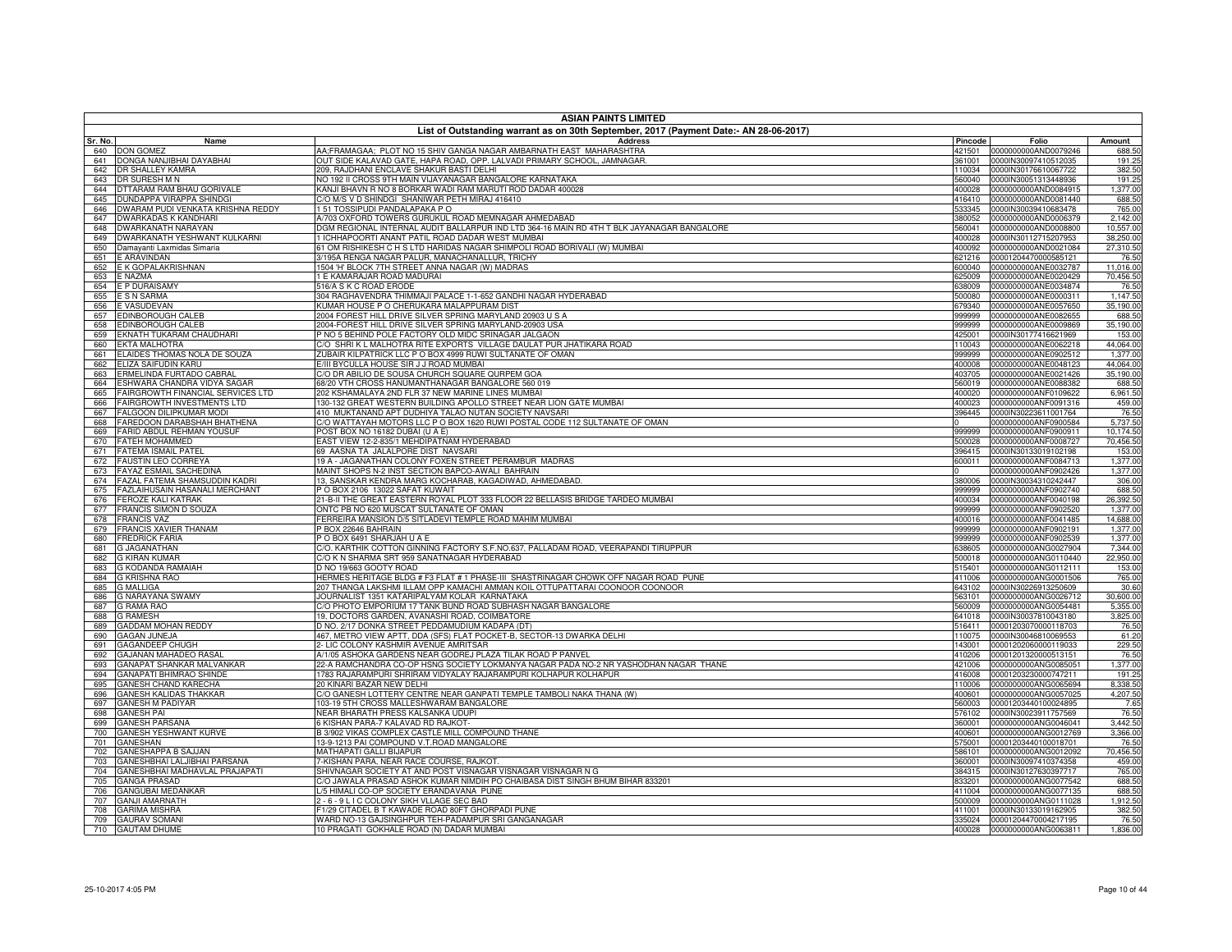|                | <b>ASIAN PAINTS LIMITED</b>                                        |                                                                                                                                                         |                   |                                              |                        |  |
|----------------|--------------------------------------------------------------------|---------------------------------------------------------------------------------------------------------------------------------------------------------|-------------------|----------------------------------------------|------------------------|--|
|                |                                                                    | List of Outstanding warrant as on 30th September, 2017 (Payment Date:- AN 28-06-2017)                                                                   |                   |                                              |                        |  |
| Sr. No.<br>640 | Name<br><b>DON GOMEZ</b>                                           | <b>Address</b><br>AA;FRAMAGAA; PLOT NO 15 SHIV GANGA NAGAR AMBARNATH EAST MAHARASHTRA                                                                   | Pincode<br>421501 | Folio<br>0000000000AND0079246                | Amount<br>688.50       |  |
| 641            | DONGA NANJIBHAI DAYABHAI                                           | OUT SIDE KALAVAD GATE, HAPA ROAD, OPP. LALVADI PRIMARY SCHOOL, JAMNAGAR.                                                                                | 61001             | 0000IN30097410512035                         | 191.25                 |  |
| 642            | DR SHALLEY KAMRA                                                   | 209, RAJDHANI ENCLAVE SHAKUR BASTI DELHI                                                                                                                | 110034            | 0000IN30176610067722                         | 382.50                 |  |
| 643            | DR SURESH M N                                                      | VO 192 II CROSS 9TH MAIN VIJAYANAGAR BANGALORE KARNATAKA                                                                                                | 560040            | 0000IN30051313448936                         | 191.25                 |  |
| 644<br>645     | DTTARAM RAM BHAU GORIVALE<br><b>DUNDAPPA VIRAPPA SHINDGI</b>       | KANJI BHAVN R NO 8 BORKAR WADI RAM MARUTI ROD DADAR 400028<br>C/O M/S V D SHINDGI SHANIWAR PETH MIRAJ 416410                                            | 400028<br>416410  | 0000000000AND0084915<br>0000000000AND0081440 | 1,377.00<br>688.50     |  |
| 646            | DWARAM PUDI VENKATA KRISHNA REDDY                                  | 51 TOSSIPUDI PANDALAPAKA PO                                                                                                                             | 533345            | 0000IN30039410683478                         | 765.00                 |  |
| 647            | <b>DWARKADAS K KANDHARI</b>                                        | A/703 OXFORD TOWERS GURUKUL ROAD MEMNAGAR AHMEDABAD                                                                                                     | 380052            | 0000000000AND0006379                         | 2,142.00               |  |
| 648            | <b>DWARKANATH NARAYAN</b>                                          | OGM REGIONAL INTERNAL AUDIT BALLARPUR IND LTD 364-16 MAIN RD 4TH T BLK JAYANAGAR BANGALORE                                                              | 560041            | 0000000000AND0008800                         | 10,557.00              |  |
| 649            | DWARKANATH YESHWANT KULKARNI                                       | I ICHHAPOORTI ANANT PATIL ROAD DADAR WEST MUMBAI                                                                                                        | 400028            | 0000IN30112715207953                         | 38,250.00              |  |
| 650<br>651     | Damayanti Laxmidas Simaria<br>E ARAVINDAN                          | 51 OM RISHIKESH C H S LTD HARIDAS NAGAR SHIMPOLI ROAD BORIVALI (W) MUMBAI<br>195A RENGA NAGAR PALUR, MANACHANALLUR, TRICHY                              | 400092<br>321216  | 0000000000AND0021084<br>00001204470000585121 | 27,310.50<br>76.50     |  |
| 652            | E K GOPALAKRISHNAN                                                 | 504 'H' BLOCK 7TH STREET ANNA NAGAR (W) MADRAS                                                                                                          | 600040            | 0000000000ANE0032787                         | 11,016.00              |  |
| 653            | E NAZMA                                                            | E KAMARAJAR ROAD MADURAI                                                                                                                                | 325009            | 0000000000ANE0020429                         | 70,456.50              |  |
| 654            | E P DURAISAMY                                                      | 16/A S K C ROAD ERODE                                                                                                                                   | 38009             | 0000000000ANE0034874                         | 76.50                  |  |
| 655            | E S N SARMA                                                        | 04 RAGHAVENDRA THIMMAJI PALACE 1-1-652 GANDHI NAGAR HYDERABAD                                                                                           | 500080            | 0000000000ANE0000311                         | 1,147.50               |  |
| 656<br>657     | E VASUDEVAN<br>EDINBOROUGH CALEB                                   | (UMAR HOUSE P O CHERUKARA MALAPPURAM DIST<br>2004 FOREST HILL DRIVE SILVER SPRING MARYLAND 20903 U S A                                                  | 379340<br>999999  | 0000000000ANE0057650<br>0000000000ANE0082655 | 35.190.00<br>688.50    |  |
| 658            | EDINBOROUGH CALEB                                                  | 2004-FOREST HILL DRIVE SILVER SPRING MARYLAND-20903 USA                                                                                                 | 999999            | 0000000000ANE0009869                         | 35,190.00              |  |
| 659            | EKNATH TUKARAM CHAUDHARI                                           | NO 5 BEHIND POLE FACTORY OLD MIDC SRINAGAR JALGAON                                                                                                      | 425001            | 0000IN30177416621969                         | 153.00                 |  |
| 660            | <b>EKTA MALHOTRA</b>                                               | %) SHRI K L MALHOTRA RITE EXPORTS VILLAGE DAULAT PUR JHATIKARA ROAD                                                                                     | 110043            | 0000000000ANE0062218                         | 44,064.00              |  |
| 661            | ELAIDES THOMAS NOLA DE SOUZA                                       | ZUBAIR KILPATRICK LLC P O BOX 4999 RUWI SULTANATE OF OMAN                                                                                               | 999999            | 0000000000ANE0902512                         | 1,377.00               |  |
| 662<br>663     | ELIZA SAIFUDIN KARU<br>ERMELINDA FURTADO CABRAL                    | <b>III BYCULLA HOUSE SIR J J ROAD MUMBAI</b><br>C/O DR ABILIO DE SOUSA CHURCH SQUARE QURPEM GOA                                                         | 400008<br>403705  | 0000000000ANE0048123<br>0000000000ANE0021426 | 44,064.00<br>35.190.00 |  |
| 664            | ESHWARA CHANDRA VIDYA SAGAR                                        | 68/20 VTH CROSS HANUMANTHANAGAR BANGALORE 560 019                                                                                                       | 560019            | 0000000000ANE0088382                         | 688.50                 |  |
| 665            | <b>FAIRGROWTH FINANCIAL SERVICES LTD</b>                           | 202 KSHAMALAYA 2ND FLR 37 NEW MARINE LINES MUMBAI                                                                                                       | 400020            | 0000000000ANF0109622                         | 6,961.50               |  |
| 666            | <b>FAIRGROWTH INVESTMENTS LTD</b>                                  | 130-132 GREAT WESTERN BUILDING APOLLO STREET NEAR LION GATE MUMBAI                                                                                      | 400023            | 0000000000ANF0091316                         | 459.00                 |  |
| 667            | <b>FALGOON DILIPKUMAR MODI</b>                                     | 410 MUKTANAND APT DUDHIYA TALAO NUTAN SOCIETY NAVSARI                                                                                                   | 396445            | 0000IN30223611001764                         | 76.50                  |  |
| 668            | FAREDOON DARABSHAH BHATHENA<br>669 FARID ABDUL REHMAN YOUSUF       | C/O WATTAYAH MOTORS LLC P O BOX 1620 RUWI POSTAL CODE 112 SULTANATE OF OMAN<br>POST BOX NO 16182 DUBAI (U A E)                                          | 999999            | 0000000000ANF0900584<br>0000000000ANF0900911 | 5,737.50<br>10.174.50  |  |
| 670            | <b>FATEH MOHAMMED</b>                                              | EAST VIEW 12-2-835/1 MEHDIPATNAM HYDERABAD                                                                                                              | 500028            | 0000000000ANF0008727                         | 70.456.50              |  |
| 671            | <b>FATEMA ISMAIL PATEL</b>                                         | 69 AASNA TA JALALPORE DIST NAVSARI                                                                                                                      | 396415            | 0000IN30133019102198                         | 153.00                 |  |
| 672            | <b>FAUSTIN LEO CORREYA</b>                                         | 19 A - JAGANATHAN COLONY FOXEN STREET PERAMBUR MADRAS                                                                                                   | 600011            | 0000000000ANF0084713                         | 1.377.00               |  |
| 673            | <b>FAYAZ ESMAIL SACHEDINA</b>                                      | MAINT SHOPS N-2 INST SECTION BAPCO-AWALI BAHRAIN                                                                                                        |                   | 0000000000ANF0902426                         | 1.377.00               |  |
| 674            | FAZAL FATEMA SHAMSUDDIN KADRI                                      | 13, SANSKAR KENDRA MARG KOCHARAB, KAGADIWAD, AHMEDABAD.                                                                                                 | 380006            | 0000IN30034310242447                         | 306.00                 |  |
| 675<br>676     | <b>FAZLAIHUSAIN HASANALI MERCHANT</b><br><b>FEROZE KALI KATRAK</b> | PO BOX 2106 13022 SAFAT KUWAIT<br>21-B-II THE GREAT EASTERN ROYAL PLOT 333 FLOOR 22 BELLASIS BRIDGE TARDEO MUMBAI                                       | 999999<br>400034  | 0000000000ANF0902740<br>0000000000ANF0040198 | 688.50<br>26.392.50    |  |
| 677            | <b>FRANCIS SIMON D SOUZA</b>                                       | ONTC PB NO 620 MUSCAT SULTANATE OF OMAN                                                                                                                 | 999999            | 0000000000ANF0902520                         | 1,377.00               |  |
| 678            | <b>FRANCIS VAZ</b>                                                 | FERREIRA MANSION D/5 SITLADEVI TEMPLE ROAD MAHIM MUMBAI                                                                                                 | 400016            | 0000000000ANF0041485                         | 14,688.00              |  |
| 679            | <b>FRANCIS XAVIER THANAM</b>                                       | P BOX 22646 BAHRAIN                                                                                                                                     | 999999            | 0000000000ANF0902191                         | 1,377.00               |  |
| 680            | <b>FREDRICK FARIA</b>                                              | POBOX 6491 SHARJAH UAE                                                                                                                                  | 999999            | 0000000000ANF0902539                         | 1,377.00               |  |
| 681<br>682     | <b>G JAGANATHAN</b><br><b>G KIRAN KUMAR</b>                        | C/O. KARTHIK COTTON GINNING FACTORY S.F.NO.637, PALLADAM ROAD, VEERAPANDI TIRUPPUR<br>C/O K N SHARMA SRT 959 SANATNAGAR HYDERABAD                       | 638605<br>500018  | 0000000000ANG0027904<br>0000000000ANG0110440 | 7,344.00<br>22.950.00  |  |
| 683            | G KODANDA RAMAIAH                                                  | D NO 19/663 GOOTY ROAD                                                                                                                                  | 515401            | 0000000000ANG0112111                         | 153.00                 |  |
| 684            | <b>G KRISHNA RAO</b>                                               | HERMES HERITAGE BLDG # F3 FLAT # 1 PHASE-III SHASTRINAGAR CHOWK OFF NAGAR ROAD PUNE                                                                     | 411006            | 0000000000ANG0001506                         | 765.00                 |  |
| 685            | <b>G MALLIGA</b>                                                   | 207 THANGA LAKSHMI ILLAM OPP KAMACHI AMMAN KOIL OTTUPATTARAI COONOOR COONOOR                                                                            | 643102            | 0000IN30226913250609                         | 30.60                  |  |
| 686            | <b>G NARAYANA SWAMY</b>                                            | JOURNALIST 1351 KATARIPALYAM KOLAR KARNATAKA                                                                                                            | 563101            | 0000000000ANG0026712                         | 30,600.00              |  |
| 687<br>688     | <b>G RAMA RAO</b><br><b>G RAMESH</b>                               | C/O PHOTO EMPORIUM 17 TANK BUND ROAD SUBHASH NAGAR BANGALORE<br>19, DOCTORS GARDEN, AVANASHI ROAD, COIMBATORE                                           | 560009<br>641018  | 0000000000ANG0054481<br>0000IN30037810043180 | 5,355.00<br>3,825.00   |  |
| 689            | GADDAM MOHAN REDDY                                                 | D NO. 2/17 DONKA STREET PEDDAMUDIUM KADAPA (DT)                                                                                                         | 516411            | 00001203070000118703                         | 76.50                  |  |
| 690            | <b>GAGAN JUNEJA</b>                                                | 467, METRO VIEW APTT, DDA (SFS) FLAT POCKET-B, SECTOR-13 DWARKA DELHI                                                                                   | 110075            | 0000IN30046810069553                         | 61.20                  |  |
| 691            | GAGANDEEP CHUGH                                                    | 2- LIC COLONY KASHMIR AVENUE AMRITSAR                                                                                                                   | 143001            | 00001202060000119033                         | 229.50                 |  |
| 692            | GAJANAN MAHADEO RASAL                                              | A/1/05 ASHOKA GARDENS NEAR GODREJ PLAZA TILAK ROAD P PANVEL                                                                                             | 410206            | 00001201320000513151                         | 76.50                  |  |
| 693<br>694     | GANAPAT SHANKAR MALVANKAR<br><b>GANAPATI BHIMRAO SHINDE</b>        | 22-A RAMCHANDRA CO-OP HSNG SOCIETY LOKMANYA NAGAR PADA NO-2 NR YASHODHAN NAGAR THANE<br>1783 RAJARAMPURI SHRIRAM VIDYALAY RAJARAMPURI KOLHAPUR KOLHAPUR | 421006<br>416008  | 0000000000ANG0085051<br>00001203230000747211 | 1,377.00<br>191.25     |  |
| 695            | GANESH CHAND KARECHA                                               | 20 KINARI BAZAR NEW DELHI                                                                                                                               | 110006            | 0000000000ANG0065694                         | 8,338.50               |  |
| 696            | GANESH KALIDAS THAKKAR                                             | C/O GANESH LOTTERY CENTRE NEAR GANPATI TEMPLE TAMBOLI NAKA THANA (W)                                                                                    | 400601            | 0000000000ANG0057025                         | 4,207.50               |  |
| 697            | GANESH M PADIYAR                                                   | 103-19 5TH CROSS MALLESHWARAM BANGALORE                                                                                                                 | 560003            | 00001203440100024895                         | 7.65                   |  |
| 698            | <b>GANESH PAI</b>                                                  | VEAR BHARATH PRESS KALSANKA UDUPI                                                                                                                       | 576102            | 0000IN30023911757569                         | 76.50                  |  |
| 699<br>700     | <b>GANESH PARSANA</b><br>GANESH YESHWANT KURVE                     | 6 KISHAN PARA-7 KALAVAD RD RAJKOT-<br>B 3/902 VIKAS COMPLEX CASTLE MILL COMPOUND THANE                                                                  | 360001<br>400601  | 0000000000ANG0046041<br>0000000000ANG0012769 | 3,442.50<br>3,366.00   |  |
| 701            | <b>GANESHAN</b>                                                    | 13-9-1213 PAI COMPOUND V.T.ROAD MANGALORE                                                                                                               | 575001            | 00001203440100018701                         | 76.50                  |  |
| 702            | GANESHAPPA B SAJJAN                                                | MATHAPATI GALLI BIJAPUR                                                                                                                                 | 586101            | 0000000000ANG0012092                         | 70,456.50              |  |
| 703            | GANESHBHAI LALJIBHAI PARSANA                                       | 7-KISHAN PARA, NEAR RACE COURSE, RAJKOT.                                                                                                                | 360001            | 0000IN30097410374358                         | 459.00                 |  |
| 704            | GANESHBHAI MADHAVLAL PRAJAPATI                                     | SHIVNAGAR SOCIETY AT AND POST VISNAGAR VISNAGAR VISNAGAR N G                                                                                            | 384315            | 0000IN30127630397717                         | 765.00                 |  |
| 705<br>706     | <b>GANGA PRASAD</b><br><b>GANGUBAI MEDANKAR</b>                    | C/O JAWALA PRASAD ASHOK KUMAR NIMDIH PO CHAIBASA DIST SINGH BHUM BIHAR 833201<br>/5 HIMALI CO-OP SOCIETY ERANDAVANA PUNE                                | 333201<br>411004  | 0000000000ANG0077542<br>0000000000ANG0077135 | 688.50<br>688.50       |  |
| 707            | <b>GANJI AMARNATH</b>                                              | 2 - 6 - 9 L I C COLONY SIKH VLLAGE SEC BAD                                                                                                              | 500009            | 0000000000ANG0111028                         | 1,912.50               |  |
| 708            | <b>GARIMA MISHRA</b>                                               | F1/29 CITADEL B T KAWADE ROAD 80FT GHORPADI PUNE                                                                                                        | 411001            | 0000IN30133019162905                         | 382.50                 |  |
| 709            | <b>GAURAV SOMANI</b>                                               | WARD NO-13 GAJSINGHPUR TEH-PADAMPUR SRI GANGANAGAR                                                                                                      |                   | 335024 00001204470004217195                  | 76.50                  |  |
|                | 710 GAUTAM DHUME                                                   | 10 PRAGATI GOKHALE ROAD (N) DADAR MUMBAI                                                                                                                |                   | 400028 0000000000ANG0063811                  | 1,836.00               |  |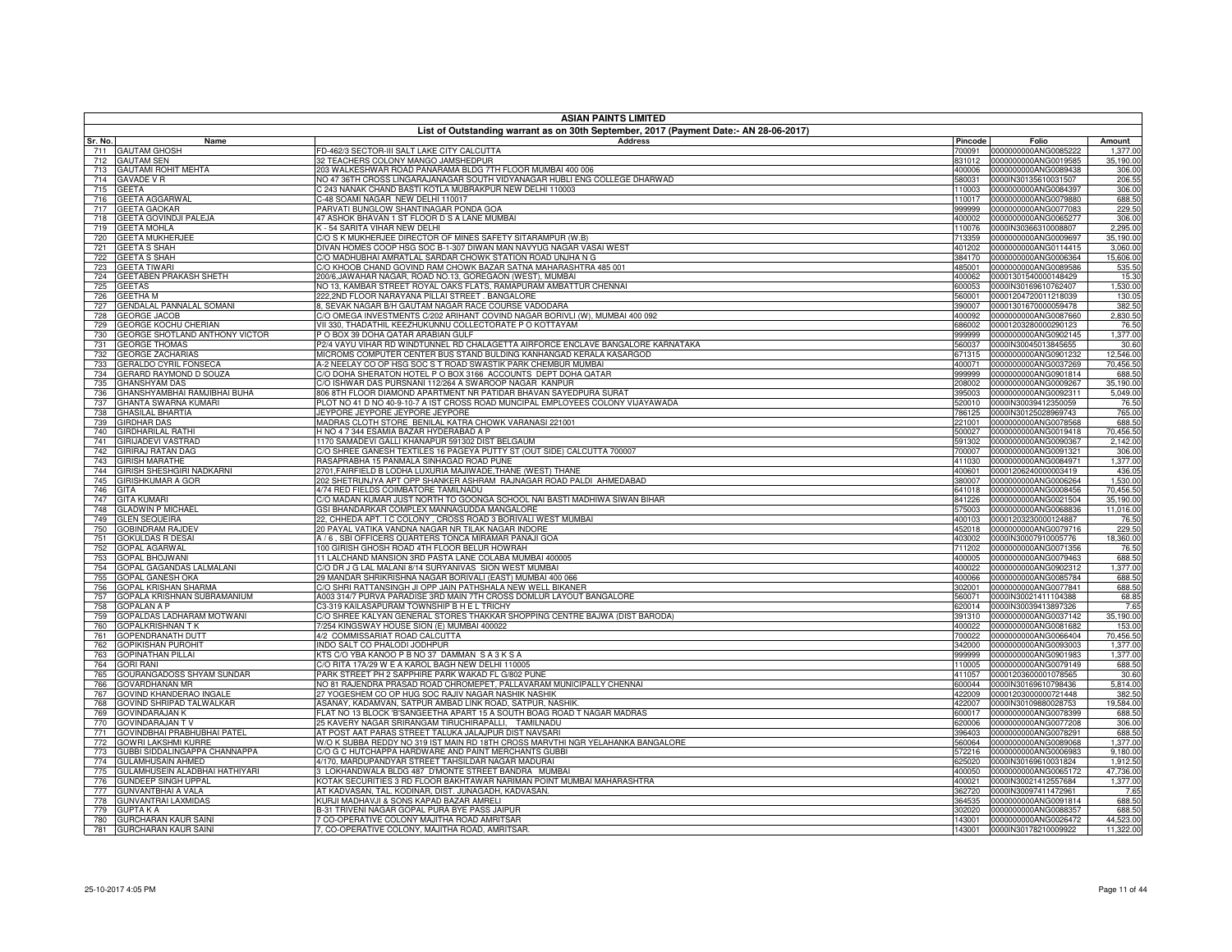|            | <b>ASIAN PAINTS LIMITED</b>                               |                                                                                                                                                      |                  |                                                     |                     |  |
|------------|-----------------------------------------------------------|------------------------------------------------------------------------------------------------------------------------------------------------------|------------------|-----------------------------------------------------|---------------------|--|
| Sr. No.    | Name                                                      | List of Outstanding warrant as on 30th September, 2017 (Payment Date:- AN 28-06-2017)<br><b>Address</b>                                              | Pincode          | Folio                                               | Amount              |  |
| 711        | <b>GAUTAM GHOSH</b>                                       | FD-462/3 SECTOR-III SALT LAKE CITY CALCUTTA                                                                                                          | 700091           | 0000000000ANG0085222                                | 1,377.00            |  |
| 712        | <b>GAUTAM SEN</b>                                         | 32 TEACHERS COLONY MANGO JAMSHEDPUR                                                                                                                  | 831012           | 0000000000ANG0019585                                | 35,190.00           |  |
| 713        | <b>GAUTAMI ROHIT MEHTA</b>                                | 203 WALKESHWAR ROAD PANARAMA BLDG 7TH FLOOR MUMBAI 400 006                                                                                           | 400006           | 0000000000ANG0089438                                | 306.00              |  |
| 714        | <b>GAVADE V R</b>                                         | NO 47 36TH CROSS LINGARAJANAGAR SOUTH VIDYANAGAR HUBLI ENG COLLEGE DHARWAD                                                                           | 580031           | 0000IN30135610031507                                | 206.55              |  |
| 715<br>716 | <b>GEETA</b><br><b>GEETA AGGARWAL</b>                     | 2 243 NANAK CHAND BASTI KOTLA MUBRAKPUR NEW DELHI 110003<br>-48 SOAMI NAGAR NEW DELHI 110017                                                         | 110003<br>110017 | 0000000000ANG0084397<br>0000000000ANG0079880        | 306.00<br>688.50    |  |
| 717        | <b>GEETA GAOKAR</b>                                       | PARVATI BUNGLOW SHANTINAGAR PONDA GOA                                                                                                                | 999999           | 0000000000ANG0077083                                | 229.50              |  |
| 718        | GEETA GOVINDJI PALEJA                                     | 47 ASHOK BHAVAN 1 ST FLOOR D S A LANE MUMBAI                                                                                                         | 400002           | 0000000000ANG0065277                                | 306.00              |  |
| 719        | <b>GEETA MOHLA</b>                                        | <b>4 - 54 SARITA VIHAR NEW DELHI</b>                                                                                                                 | 110076           | 0000IN30366310008807                                | 2,295.00            |  |
| 720        | <b>GEETA MUKHERJEE</b>                                    | C/O S K MUKHERJEE DIRECTOR OF MINES SAFETY SITARAMPUR (W.B)                                                                                          | 713359           | 0000000000ANG0009697                                | 35,190.00           |  |
| 721        | <b>GEETA S SHAH</b>                                       | DIVAN HOMES COOP HSG SOC B-1-307 DIWAN MAN NAVYUG NAGAR VASAI WEST                                                                                   | 401202           | 0000000000ANG0114415                                | 3,060.00            |  |
| 722<br>723 | <b>GEETA S SHAH</b><br><b>GEETA TIWARI</b>                | C/O MADHUBHAI AMRATLAL SARDAR CHOWK STATION ROAD UNJHA N G<br>C/O KHOOB CHAND GOVIND RAM CHOWK BAZAR SATNA MAHARASHTRA 485 001                       | 485001           | 384170 0000000000ANG0006364<br>0000000000ANG0089586 | 15,606.00<br>535.50 |  |
| 724        | <b>GEETABEN PRAKASH SHETH</b>                             | 200/6, JAWAHAR NAGAR, ROAD NO.13, GOREGAON (WEST), MUMBAI                                                                                            | 400062           | 00001301540000148429                                | 15.30               |  |
| 725        | <b>GEETAS</b>                                             | NO 13, KAMBAR STREET ROYAL OAKS FLATS, RAMAPURAM AMBATTUR CHENNAI                                                                                    | 600053           | 0000IN30169610762407                                | 1,530.00            |  |
| 726        | <b>GEETHA M</b>                                           | 222,2ND FLOOR NARAYANA PILLAI STREET. BANGALORE                                                                                                      | 560001           | 00001204720011218039                                | 130.05              |  |
| 727        | <b>GENDALAL PANNALAL SOMANI</b>                           | 8, SEVAK NAGAR B/H GAUTAM NAGAR RACE COURSE VADODARA                                                                                                 | 390007           | 00001301670000059478                                | 382.50              |  |
| 728        | <b>GEORGE JACOB</b>                                       | C/O OMEGA INVESTMENTS C/202 ARIHANT COVIND NAGAR BORIVLI (W), MUMBAI 400 092                                                                         | 400092           | 0000000000ANG0087660                                | 2,830.50            |  |
| 729<br>730 | GEORGE KOCHU CHERIAN<br>GEORGE SHOTLAND ANTHONY VICTOR    | VII 330, THADATHIL KEEZHUKUNNU COLLECTORATE P O KOTTAYAM<br>P O BOX 39 DOHA QATAR ARABIAN GULF                                                       | 686002<br>999999 | 00001203280000290123<br>0000000000ANG0902145        | 76.50<br>1,377.00   |  |
| 731        | <b>GEORGE THOMAS</b>                                      | P2/4 VAYU VIHAR RD WINDTUNNEL RD CHALAGETTA AIRFORCE ENCLAVE BANGALORE KARNATAKA                                                                     | 560037           | 0000IN30045013845655                                | 30.60               |  |
| 732        | <b>GEORGE ZACHARIAS</b>                                   | MICROMS COMPUTER CENTER BUS STAND BULDING KANHANGAD KERALA KASARGOD                                                                                  | 671315           | 0000000000ANG0901232                                | 12,546.00           |  |
| 733        | <b>GERALDO CYRIL FONSECA</b>                              | A-2 NEELAY CO OP HSG SOC S T ROAD SWASTIK PARK CHEMBUR MUMBAI                                                                                        | 400071           | 0000000000ANG0037269                                | 70,456.50           |  |
| 734        | GERARD RAYMOND D SOUZA                                    | C/O DOHA SHERATON HOTEL P O BOX 3166 ACCOUNTS DEPT DOHA QATAR                                                                                        | 999999           | 0000000000ANG0901814                                | 688.50              |  |
| 735        | <b>GHANSHYAM DAS</b>                                      | C/O ISHWAR DAS PURSNANI 112/264 A SWAROOP NAGAR KANPUR                                                                                               | 208002           | 0000000000ANG0009267                                | 35,190.00           |  |
| 736        | GHANSHYAMBHAI RAMJIBHAI BUHA                              | 806 8TH FLOOR DIAMOND APARTMENT NR PATIDAR BHAVAN SAYEDPURA SURAT<br>PLOT NO 41 D NO 40-9-10-7 A IST CROSS ROAD MUNCIPAL EMPLOYEES COLONY VIJAYAWADA | 395003           | 0000000000ANG0092311                                | 5,049.00            |  |
| 737<br>738 | <b>GHANTA SWARNA KUMARI</b><br><b>GHASILAL BHARTIA</b>    | JEYPORE JEYPORE JEYPORE JEYPORE                                                                                                                      | 520010<br>786125 | 0000IN30039412350059<br>0000IN30125028969743        | 76.50<br>765.00     |  |
| 739        | <b>GIRDHAR DAS</b>                                        | MADRAS CLOTH STORE BENILAL KATRA CHOWK VARANASI 221001                                                                                               | 221001           | 0000000000ANG0078568                                | 688.50              |  |
| 740        | <b>GIRDHARILAL RATHI</b>                                  | H NO 4 7 344 ESAMIA BAZAR HYDERABAD A P                                                                                                              | 500027           | 0000000000ANG0019418                                | 70,456.50           |  |
| 741        | <b>GIRIJADEVI VASTRAD</b>                                 | 170 SAMADEVI GALLI KHANAPUR 591302 DIST BELGAUM                                                                                                      | 591302           | 0000000000ANG0090367                                | 2,142.00            |  |
| 742        | GIRIRAJ RATAN DAG                                         | C/O SHREE GANESH TEXTILES 16 PAGEYA PUTTY ST (OUT SIDE) CALCUTTA 700007                                                                              | 700007           | 0000000000ANG0091321                                | 306.00              |  |
| 743        | <b>GIRISH MARATHE</b>                                     | RASAPRABHA 15 PANMALA SINHAGAD ROAD PUNE                                                                                                             | 411030           | 0000000000ANG0084971                                | 1,377.00            |  |
| 744<br>745 | GIRISH SHESHGIRI NADKARNI<br><b>GIRISHKUMAR A GOR</b>     | 2701, FAIRFIELD B LODHA LUXURIA MAJIWADE, THANE (WEST) THANE<br>202 SHETRUNJYA APT OPP SHANKER ASHRAM RAJNAGAR ROAD PALDI AHMEDABAD                  | 400601<br>380007 | 00001206240000003419<br>0000000000ANG0006264        | 436.05<br>1,530.00  |  |
| 746        | GITA                                                      | 4/74 RED FIELDS COIMBATORE TAMILNADU                                                                                                                 | 641018           | 0000000000ANG0008456                                | 70,456.50           |  |
| 747        | <b>GITA KUMARI</b>                                        | C/O MADAN KUMAR JUST NORTH TO GOONGA SCHOOL NAI BASTI MADHIWA SIWAN BIHAR                                                                            | 841226           | 0000000000ANG0021504                                | 35,190.00           |  |
| 748        | <b>GLADWIN P MICHAEL</b>                                  | SSI BHANDARKAR COMPLEX MANNAGUDDA MANGALORE                                                                                                          | 575003           | 0000000000ANG0068836                                | 11,016.00           |  |
| 749        | <b>GLEN SEQUEIRA</b>                                      | 22, CHHEDA APT. I C COLONY, CROSS ROAD 3 BORIVALI WEST MUMBAI                                                                                        | 400103           | 00001203230000124887                                | 76.50               |  |
| 750        | <b>GOBINDRAM RAJDEV</b>                                   | 20 PAYAL VATIKA VANDNA NAGAR NR TILAK NAGAR INDORE                                                                                                   | 452018           | 0000000000ANG0079716                                | 229.50              |  |
| 751<br>752 | <b>GOKULDAS R DESAI</b><br><b>GOPAL AGARWAL</b>           | A / 6, SBI OFFICERS QUARTERS TONCA MIRAMAR PANAJI GOA<br>100 GIRISH GHOSH ROAD 4TH FLOOR BELUR HOWRAH                                                | 403002<br>711202 | 0000IN30007910005776<br>0000000000ANG0071356        | 18,360.00<br>76.50  |  |
| 753        | <b>GOPAL BHOJWANI</b>                                     | 11 LALCHAND MANSION 3RD PASTA LANE COLABA MUMBAI 400005                                                                                              | 400005           | 0000000000ANG0079463                                | 688.50              |  |
| 754        | GOPAL GAGANDAS LALMALANI                                  | C/O DR J G LAL MALANI 8/14 SURYANIVAS SION WEST MUMBAI                                                                                               | 400022           | 0000000000ANG0902312                                | 1,377.00            |  |
| 755        | GOPAL GANESH OKA                                          | 29 MANDAR SHRIKRISHNA NAGAR BORIVALI (EAST) MUMBAI 400 066                                                                                           | 400066           | 0000000000ANG0085784                                | 688.50              |  |
| 756        | <b>GOPAL KRISHAN SHARMA</b>                               | C/O SHRI RATTANSINGH JI OPP JAIN PATHSHALA NEW WELL BIKANER                                                                                          | 302001           | 0000000000ANG0077841                                | 688.50              |  |
| 757        | GOPALA KRISHNAN SUBRAMANIUM                               | A003 314/7 PURVA PARADISE 3RD MAIN 7TH CROSS DOMLUR LAYOUT BANGALORE                                                                                 | 560071           | 0000IN30021411104388                                | 68.85               |  |
| 758<br>759 | <b>GOPALAN A P</b><br>GOPALDAS LADHARAM MOTWANI           | C3-319 KAILASAPURAM TOWNSHIP B H E L TRICHY<br>C/O SHREE KALYAN GENERAL STORES THAKKAR SHOPPING CENTRE BAJWA (DIST BARODA)                           | 620014<br>391310 | 0000IN30039413897326<br>0000000000ANG0037142        | 7.65<br>35,190.00   |  |
| 760        | <b>GOPALKRISHNAN TK</b>                                   | /254 KINGSWAY HOUSE SION (E) MUMBAI 400022                                                                                                           | 400022           | 0000000000ANG0081682                                | 153.00              |  |
| 761        | <b>GOPENDRANATH DUTT</b>                                  | 4/2 COMMISSARIAT ROAD CALCUTTA                                                                                                                       |                  | 700022 0000000000ANG0066404                         | 70,456.50           |  |
| 762        | <b>GOPIKISHAN PUROHIT</b>                                 | NDO SALT CO PHALODI JODHPUR                                                                                                                          | 342000           | 0000000000ANG0093003                                | 1,377.00            |  |
| 763        | <b>GOPINATHAN PILLAI</b>                                  | KTS C/O YBA KANOO P B NO 37 DAMMAN S A 3 K S A                                                                                                       | 999999           | 0000000000ANG0901983                                | 1,377.00            |  |
| 764<br>765 | <b>GORI RANI</b><br>GOURANGADOSS SHYAM SUNDAR             | C/O RITA 17A/29 W E A KAROL BAGH NEW DELHI 110005<br>ARK STREET PH 2 SAPPHIRE PARK WAKAD FL G/802 PUNE                                               | 110005<br>411057 | 0000000000ANG0079149<br>00001203600001078565        | 688.50<br>30.60     |  |
| 766        | <b>GOVARDHANAN MR</b>                                     | VO 81 RAJENDRA PRASAD ROAD CHROMEPET, PALLAVARAM MUNICIPALLY CHENNAI                                                                                 | 600044           | 0000IN30169610798436                                | 5,814.00            |  |
| 767        | GOVIND KHANDERAO INGALE                                   | 27 YOGESHEM CO OP HUG SOC RAJIV NAGAR NASHIK NASHIK                                                                                                  | 422009           | 00001203000000721448                                | 382.50              |  |
| 768        | GOVIND SHRIPAD TALWALKAR                                  | ASANAY, KADAMVAN, SATPUR AMBAD LINK ROAD, SATPUR, NASHIK                                                                                             | 422007           | 0000IN30109880028753                                | 19,584.00           |  |
| 769        | <b>GOVINDARAJAN K</b>                                     | FLAT NO 13 BLOCK 'B'SANGEETHA APART 15 A SOUTH BOAG ROAD T NAGAR MADRAS                                                                              | 600017           | 0000000000ANG0078399                                | 688.50              |  |
| 770        | <b>GOVINDARAJAN TV</b>                                    | 25 KAVERY NAGAR SRIRANGAM TIRUCHIRAPALLI, TAMILNADU                                                                                                  | 620006           | 0000000000ANG0077208                                | 306.00              |  |
| 771<br>772 | GOVINDBHAI PRABHUBHAI PATEL<br><b>GOWRI LAKSHMI KURRE</b> | AT POST AAT PARAS STREET TALUKA JALAJPUR DIST NAVSARI<br>W/O K SUBBA REDDY NO 319 IST MAIN RD 18TH CROSS MARVTHI NGR YELAHANKA BANGALORE             | 396403           | 0000000000ANG0078291<br>560064 0000000000ANG0089068 | 688.50<br>1,377.00  |  |
| 773        | GUBBI SIDDALINGAPPA CHANNAPPA                             | C/O G C HUTCHAPPA HARDWARE AND PAINT MERCHANTS GUBBI                                                                                                 | 572216           | 0000000000ANG0006983                                | 9,180.00            |  |
| 774        | <b>GULAMHUSAIN AHMED</b>                                  | 4/170, MARDUPANDYAR STREET TAHSILDAR NAGAR MADURAI                                                                                                   | 625020           | 0000IN30169610031824                                | 1,912.50            |  |
| 775        | GULAMHUSEIN ALADBHAI HATHIYARI                            | 3 LOKHANDWALA BLDG 487 D'MONTE STREET BANDRA MUMBAI                                                                                                  |                  | 400050 0000000000ANG0065172                         | 47,736.00           |  |
| 776        | <b>GUNDEEP SINGH UPPAL</b>                                | KOTAK SECURITIES 3 RD FLOOR BAKHTAWAR NARIMAN POINT MUMBAI MAHARASHTRA                                                                               | 400021           | 0000IN30021412557684                                | 1,377.00            |  |
| 777        | <b>GUNVANTBHAI A VALA</b>                                 | AT KADVASAN, TAL. KODINAR, DIST. JUNAGADH, KADVASAN.                                                                                                 | 362720           | 0000IN30097411472961                                | 7.65                |  |
| 778        | <b>GUNVANTRAI LAXMIDAS</b>                                | KURJI MADHAVJI & SONS KAPAD BAZAR AMRELI                                                                                                             | 364535           | 0000000000ANG0091814                                | 688.50              |  |
| 779<br>780 | <b>GUPTAKA</b><br><b>GURCHARAN KAUR SAIN</b>              | B-31 TRIVENI NAGAR GOPAL PURA BYE PASS JAIPUR<br>7 CO-OPERATIVE COLONY MAJITHA ROAD AMRITSAR                                                         | 302020<br>143001 | 0000000000ANG0088357<br>0000000000ANG0026472        | 688.50<br>44,523.00 |  |
| 781        | <b>GURCHARAN KAUR SAINI</b>                               | 7, CO-OPERATIVE COLONY, MAJITHA ROAD, AMRITSAR                                                                                                       | 143001           | 0000IN30178210009922                                | 11,322.00           |  |
|            |                                                           |                                                                                                                                                      |                  |                                                     |                     |  |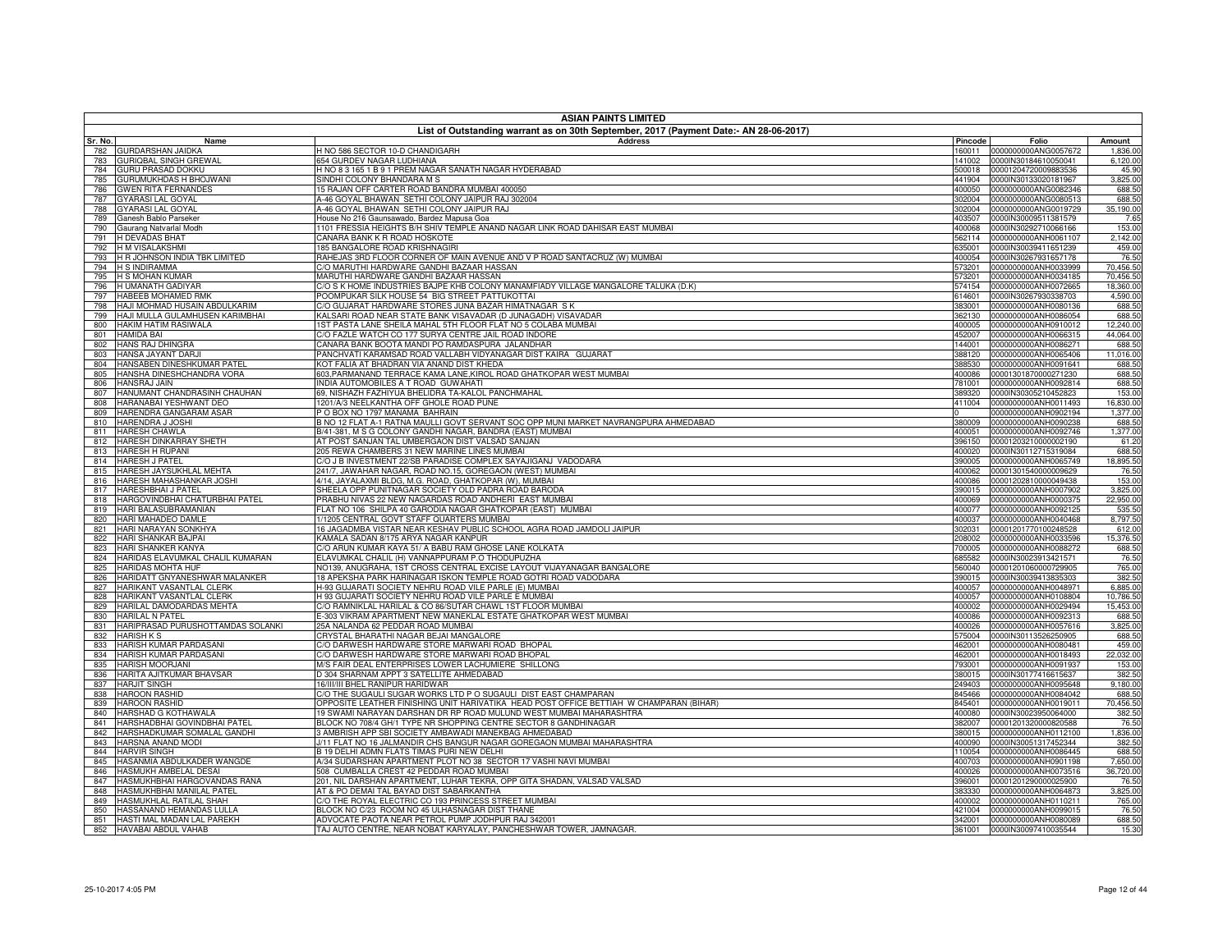| <b>ASIAN PAINTS LIMITED</b><br>List of Outstanding warrant as on 30th September, 2017 (Payment Date:- AN 28-06-2017) |                                                                                                                                        |                  |                                              |                     |  |
|----------------------------------------------------------------------------------------------------------------------|----------------------------------------------------------------------------------------------------------------------------------------|------------------|----------------------------------------------|---------------------|--|
| Sr. No.<br>Name                                                                                                      | <b>Address</b>                                                                                                                         | Pincode          | Folio                                        | Amount              |  |
| GURDARSHAN JAIDKA<br>782                                                                                             | H NO 586 SECTOR 10-D CHANDIGARH                                                                                                        |                  | 160011 0000000000ANG0057672                  | 1,836.00            |  |
| GURIQBAL SINGH GREWAL<br>783                                                                                         | <b>654 GURDEV NAGAR LUDHIANA</b>                                                                                                       | 141002           | 0000IN30184610050041                         | 6,120.00            |  |
| GURU PRASAD DOKKU<br>784                                                                                             | I NO 8 3 165 1 B 9 1 PREM NAGAR SANATH NAGAR HYDERABAD                                                                                 | 500018           | 00001204720009883536                         | 45.90               |  |
| <b>GURUMUKHDAS H BHOJWANI</b><br>785<br><b>GWEN RITA FERNANDES</b>                                                   | SINDHI COLONY BHANDARA M S<br>5 RAJAN OFF CARTER ROAD BANDRA MUMBAI 400050                                                             | 441904           | 0000IN30133020181967<br>0000000000ANG0082346 | 3,825.00<br>688.50  |  |
| 786<br><b>GYARASI LAL GOYAL</b><br>787                                                                               | 4-46 GOYAL BHAWAN SETHI COLONY JAIPUR RAJ 302004                                                                                       | 400050<br>302004 | 0000000000ANG0080513                         | 688.50              |  |
| 788<br><b>GYARASI LAL GOYAL</b>                                                                                      | 4-46 GOYAL BHAWAN SETHI COLONY JAIPUR RAJ                                                                                              | 302004           | 0000000000ANG0019729                         | 35,190.00           |  |
| Ganesh Bablo Parseker<br>789                                                                                         | House No 216 Gaunsawado, Bardez Mapusa Goa                                                                                             | 403507           | 0000IN30009511381579                         | 7.65                |  |
| 790<br>Gaurang Natvarlal Modh                                                                                        | 1101 FRESSIA HEIGHTS B/H SHIV TEMPLE ANAND NAGAR LINK ROAD DAHISAR EAST MUMBAI                                                         | 400068           | 0000IN30292710066166                         | 153.00              |  |
| 791<br><b>H DEVADAS BHAT</b>                                                                                         | CANARA BANK K R ROAD HOSKOTE                                                                                                           | 562114           | 0000000000ANH0061107                         | 2,142.00            |  |
| H M VISALAKSHMI<br>792<br>H R JOHNSON INDIA TBK LIMITED                                                              | <b>185 BANGALORE ROAD KRISHNAGIRI</b><br>RAHEJAS 3RD FLOOR CORNER OF MAIN AVENUE AND V P ROAD SANTACRUZ (W) MUMBAI                     | 635001           | 0000IN30039411651239<br>0000IN30267931657178 | 459.00<br>76.50     |  |
| 793<br><b>H S INDIRAMMA</b><br>794                                                                                   | C/O MARUTHI HARDWARE GANDHI BAZAAR HASSAN                                                                                              | 400054<br>573201 | 0000000000ANH0033999                         | 70,456.50           |  |
| <b>H S MOHAN KUMAR</b><br>795                                                                                        | MARUTHI HARDWARE GANDHI BAZAAR HASSAN                                                                                                  | 573201           | 0000000000ANH0034185                         | 70,456.50           |  |
| H UMANATH GADIYAR<br>796                                                                                             | C/O S K HOME INDUSTRIES BAJPE KHB COLONY MANAMFIADY VILLAGE MANGALORE TALUKA (D.K)                                                     | 574154           | 0000000000ANH0072665                         | 18,360.00           |  |
| HABEEB MOHAMED RMK<br>797                                                                                            | POOMPUKAR SILK HOUSE 54 BIG STREET PATTUKOTTAI                                                                                         | 614601           | 0000IN30267930338703                         | 4,590.00            |  |
| HAJI MOHMAD HUSAIN ABDULKARIM<br>798                                                                                 | O GUJARAT HARDWARE STORES JUNA BAZAR HIMATNAGAR SK                                                                                     | 383001           | 0000000000ANH0080136                         | 688.50              |  |
| HAJI MULLA GULAMHUSEN KARIMBHAI<br>799<br>HAKIM HATIM RASIWALA<br>800                                                | (ALSARI ROAD NEAR STATE BANK VISAVADAR (D JUNAGADH) VISAVADAR<br>IST PASTA LANE SHEILA MAHAL 5TH FLOOR FLAT NO 5 COLABA MUMBAI         | 362130<br>400005 | 0000000000ANH0086054<br>0000000000ANH0910012 | 688.50<br>12,240.00 |  |
| <b>HAMIDA BAI</b><br>801                                                                                             | /O FAZLE WATCH CO 177 SURYA CENTRE JAIL ROAD INDORE                                                                                    | 452007           | 0000000000ANH0066315                         | 44,064.00           |  |
| 802<br>HANS RAJ DHINGRA                                                                                              | ANARA BANK BOOTA MANDI PO RAMDASPURA JALANDHAR                                                                                         | 144001           | 0000000000ANH0086271                         | 688.50              |  |
| HANSA JAYANT DARJI<br>803                                                                                            | ANCHVATI KARAMSAD ROAD VALLABH VIDYANAGAR DIST KAIRA GUJARAT                                                                           | 388120           | 0000000000ANH0065406                         | 11,016.00           |  |
| HANSABEN DINESHKUMAR PATEL<br>804                                                                                    | OT FALIA AT BHADRAN VIA ANAND DIST KHEDA                                                                                               | 388530           | 0000000000ANH0091641                         | 688.50              |  |
| HANSHA DINESHCHANDRA VORA<br>805                                                                                     | 603, PARMANAND TERRACE KAMA LANE, KIROL ROAD GHATKOPAR WEST MUMBAI                                                                     | 400086           | 00001301870000271230                         | 688.50              |  |
| <b>HANSRAJ JAIN</b><br>806<br>HANUMANT CHANDRASINH CHAUHAN<br>807                                                    | NDIA AUTOMOBILES A T ROAD GUWAHATI<br>69, NISHAZH FAZHIYUA BHELIDRA TA-KALOL PANCHMAHAL                                                | 781001<br>389320 | 0000000000ANH0092814<br>0000IN30305210452823 | 688.50<br>153.00    |  |
| HARANABAI YESHWANT DEO<br>808                                                                                        | 1201/A/3 NEELKANTHA OFF GHOLE ROAD PUNE                                                                                                | 411004           | 0000000000ANH0011493                         | 16,830.00           |  |
| HARENDRA GANGARAM ASAR<br>809                                                                                        | O BOX NO 1797 MANAMA BAHRAIN                                                                                                           |                  | 0000000000ANH0902194                         | 1,377.00            |  |
| HARENDRA J JOSHI<br>810                                                                                              | 3 NO 12 FLAT A-1 RATNA MAULLI GOVT SERVANT SOC OPP MUNI MARKET NAVRANGPURA AHMEDABAD                                                   | 380009           | 0000000000ANH0090238                         | 688.50              |  |
| <b>HARESH CHAWLA</b><br>811                                                                                          | 3/41-381, M S G COLONY GANDHI NAGAR, BANDRA (EAST) MUMBAI                                                                              | 400051           | 0000000000ANH0092746                         | 1,377.00            |  |
| HARESH DINKARRAY SHETH<br>812                                                                                        | AT POST SANJAN TAL UMBERGAON DIST VALSAD SANJAN                                                                                        | 396150           | 00001203210000002190                         | 61.20               |  |
| <b>HARESH H RUPANI</b><br>813<br><b>HARESH J PATEL</b><br>814                                                        | 205 REWA CHAMBERS 31 NEW MARINE LINES MUMBAI<br>C/O J B INVESTMENT 22/SB PARADISE COMPLEX SAYAJIGANJ VADODARA                          | 400020<br>390005 | 0000IN30112715319084<br>0000000000ANH0065749 | 688.50<br>18,895.50 |  |
| HARESH JAYSUKHLAL MEHTA<br>815                                                                                       | 241/7, JAWAHAR NAGAR, ROAD NO.15, GOREGAON (WEST) MUMBAI                                                                               | 400062           | 00001301540000009629                         | 76.50               |  |
| HARESH MAHASHANKAR JOSHI<br>816                                                                                      | 4/14, JAYALAXMI BLDG, M.G. ROAD, GHATKOPAR (W), MUMBAI                                                                                 | 400086           | 00001202810000049438                         | 153.00              |  |
| <b>HARESHBHAI J PATEL</b><br>817                                                                                     | SHEELA OPP PUNITNAGAR SOCIETY OLD PADRA ROAD BARODA                                                                                    | 390015           | 0000000000ANH0007902                         | 3,825.00            |  |
| HARGOVINDBHAI CHATURBHAI PATEL<br>818                                                                                | PRABHU NIVAS 22 NEW NAGARDAS ROAD ANDHERI EAST MUMBAI                                                                                  | 400069           | 0000000000ANH0000375                         | 22,950.00           |  |
| HARI BALASUBRAMANIAN<br>819<br>HARI MAHADEO DAMLE                                                                    | FLAT NO 106 SHILPA 40 GARODIA NAGAR GHATKOPAR (EAST) MUMBAI                                                                            | 400077           | 0000000000ANH0092125                         | 535.50<br>8,797.50  |  |
| 820<br>HARI NARAYAN SONKHYA<br>821                                                                                   | /1205 CENTRAL GOVT STAFF QUARTERS MUMBAI<br>16 JAGADMBA VISTAR NEAR KESHAV PUBLIC SCHOOL AGRA ROAD JAMDOLI JAIPUR                      | 400037<br>302031 | 0000000000ANH0040468<br>00001201770100248528 | 612.00              |  |
| HARI SHANKAR BAJPAI<br>822                                                                                           | (AMALA SADAN 8/175 ARYA NAGAR KANPUR                                                                                                   | 208002           | 0000000000ANH0033596                         | 15,376.50           |  |
| <b>HARI SHANKER KANYA</b><br>823                                                                                     | /O ARUN KUMAR KAYA 51/ A BABU RAM GHOSE LANE KOLKATA                                                                                   | 700005           | 0000000000ANH0088272                         | 688.50              |  |
| HARIDAS ELAVUMKAL CHALIL KUMARAN<br>824                                                                              | ELAVUMKAL CHALIL (H) VANNAPPURAM P.O THODUPUZHA                                                                                        | 685582           | 0000IN30023913421571                         | 76.50               |  |
| <b>HARIDAS MOHTA HUF</b><br>825                                                                                      | 00139, ANUGRAHA, 1ST CROSS CENTRAL EXCISE LAYOUT VIJAYANAGAR BANGALORE                                                                 | 560040           | 00001201060000729905                         | 765.00              |  |
| HARIDATT GNYANESHWAR MALANKER<br>826<br>HARIKANT VASANTLAL CLERK<br>827                                              | 18 APEKSHA PARK HARINAGAR ISKON TEMPLE ROAD GOTRI ROAD VADODARA<br>1-93 GUJARATI SOCIETY NEHRU ROAD VILE PARLE (E) MUMBAI              | 390015<br>400057 | 0000IN30039413835303<br>0000000000ANH0048971 | 382.50<br>6,885.00  |  |
| HARIKANT VASANTLAL CLERK<br>828                                                                                      | 193 GUJARATI SOCIETY NEHRU ROAD VILE PARLE E MUMBAI                                                                                    | 400057           | 0000000000ANH0108804                         | 10,786.50           |  |
| HARILAL DAMODARDAS MEHTA<br>829                                                                                      | C/O RAMNIKLAL HARILAL & CO 86/SUTAR CHAWL 1ST FLOOR MUMBAI                                                                             | 400002           | 0000000000ANH0029494                         | 15,453.00           |  |
| <b>HARILAL N PATEL</b><br>830                                                                                        | -303 VIKRAM APARTMENT NEW MANEKLAL ESTATE GHATKOPAR WEST MUMBAI                                                                        | 400086           | 0000000000ANH0092313                         | 688.50              |  |
| HARIPRASAD PURUSHOTTAMDAS SOLANKI<br>831                                                                             | 25A NALANDA 62 PEDDAR ROAD MUMBAI                                                                                                      | 400026           | 0000000000ANH0057616                         | 3,825.00            |  |
| 832<br><b>HARISH K S</b><br>HARISH KUMAR PARDASANI                                                                   | CRYSTAL BHARATHI NAGAR BEJAI MANGALORE                                                                                                 | 575004           | 0000IN30113526250905                         | 688.50              |  |
| 833<br>HARISH KUMAR PARDASANI<br>834                                                                                 | C/O DARWESH HARDWARE STORE MARWARI ROAD BHOPAL<br>O DARWESH HARDWARE STORE MARWARI ROAD BHOPAL                                         | 462001<br>462001 | 0000000000ANH0080481<br>0000000000ANH0018493 | 459.00<br>22,032.00 |  |
| <b>HARISH MOORJANI</b><br>835                                                                                        | M/S FAIR DEAL ENTERPRISES LOWER LACHUMIERE SHILLONG                                                                                    | 793001           | 0000000000ANH0091937                         | 153.00              |  |
| HARITA AJITKUMAR BHAVSAR<br>836                                                                                      | D 304 SHARNAM APPT 3 SATELLITE AHMEDABAD                                                                                               | 380015           | 0000IN30177416615637                         | 382.50              |  |
| 837<br><b>HARJIT SINGH</b>                                                                                           | 6/III/III BHEL RANIPUR HARIDWAR                                                                                                        | 249403           | 0000000000ANH0095648                         | 9,180.00            |  |
| <b>HAROON RASHID</b><br>838                                                                                          | CO THE SUGAULI SUGAR WORKS LTD P O SUGAULI DIST EAST CHAMPARAN                                                                         | 845466           | 0000000000ANH0084042                         | 688.50              |  |
| <b>HAROON RASHID</b><br>839<br>HARSHAD G KOTHAWALA                                                                   | OPPOSITE LEATHER FINISHING UNIT HARIVATIKA HEAD POST OFFICE BETTIAH W CHAMPARAN (BIHAR)                                                | 845401           | 0000000000ANH0019011                         | 70,456.50           |  |
| 840<br>HARSHADBHAI GOVINDBHAI PATEL<br>841                                                                           | 19 SWAMI NARAYAN DARSHAN DR RP ROAD MULUND WEST MUMBAI MAHARASHTRA<br>BLOCK NO 708/4 GH/1 TYPE NR SHOPPING CENTRE SECTOR 8 GANDHINAGAR | 400080<br>382007 | 0000IN30023950064000<br>00001201320000820588 | 382.50<br>76.50     |  |
| HARSHADKUMAR SOMALAL GANDHI<br>842                                                                                   | 3 AMBRISH APP SBI SOCIETY AMBAWADI MANEKBAG AHMEDABAD                                                                                  | 380015           | 0000000000ANH0112100                         | 1,836.00            |  |
| HARSNA ANAND MODI<br>843                                                                                             | //11 FLAT NO 16 JALMANDIR CHS BANGUR NAGAR GOREGAON MUMBAI MAHARASHTRA                                                                 | 400090           | 0000IN30051317452344                         | 382.50              |  |
| <b>HARVIR SINGH</b><br>844                                                                                           | <b>B 19 DELHI ADMN FLATS TIMAS PURI NEW DELHI</b>                                                                                      | 110054           | 0000000000ANH0086445                         | 688.50              |  |
| HASANMIA ABDULKADER WANGDE<br>845                                                                                    | A/34 SUDARSHAN APARTMENT PLOT NO 38 SECTOR 17 VASHI NAVI MUMBAI                                                                        | 400703           | 0000000000ANH0901198                         | 7,650.00            |  |
| HASMUKH AMBELAL DESAI<br>846                                                                                         | 508 CUMBALLA CREST 42 PEDDAR ROAD MUMBAI                                                                                               | 400026           | 0000000000ANH0073516                         | 36,720.00           |  |
| HASMUKHBHAI HARGOVANDAS RANA<br>847<br>HASMUKHBHAI MANILAL PATEL<br>848                                              | 201, NIL DARSHAN APARTMENT, LUHAR TEKRA, OPP GITA SHADAN, VALSAD VALSAD<br>AT & PO DEMAI TAL BAYAD DIST SABARKANTHA                    | 396001<br>383330 | 00001201290000025900<br>0000000000ANH0064873 | 76.50<br>3,825.00   |  |
| HASMUKHLAL RATILAL SHAH<br>849                                                                                       | C/O THE ROYAL ELECTRIC CO 193 PRINCESS STREET MUMBAI                                                                                   | 400002           | 0000000000ANH0110211                         | 765.00              |  |
| HASSANAND HEMANDAS LULLA<br>850                                                                                      | BLOCK NO C/23 ROOM NO 45 ULHASNAGAR DIST THANE                                                                                         | 421004           | 0000000000ANH0099015                         | 76.50               |  |
| HASTI MAL MADAN LAL PAREKH<br>851                                                                                    | ADVOCATE PAOTA NEAR PETROL PUMP JODHPUR RAJ 342001                                                                                     | 342001           | 0000000000ANH0080089                         | 688.50              |  |
| <b>HAVABAI ABDUL VAHAB</b><br>852                                                                                    | TAJ AUTO CENTRE, NEAR NOBAT KARYALAY, PANCHESHWAR TOWER, JAMNAGAR.                                                                     | 361001           | 0000IN30097410035544                         | 15.30               |  |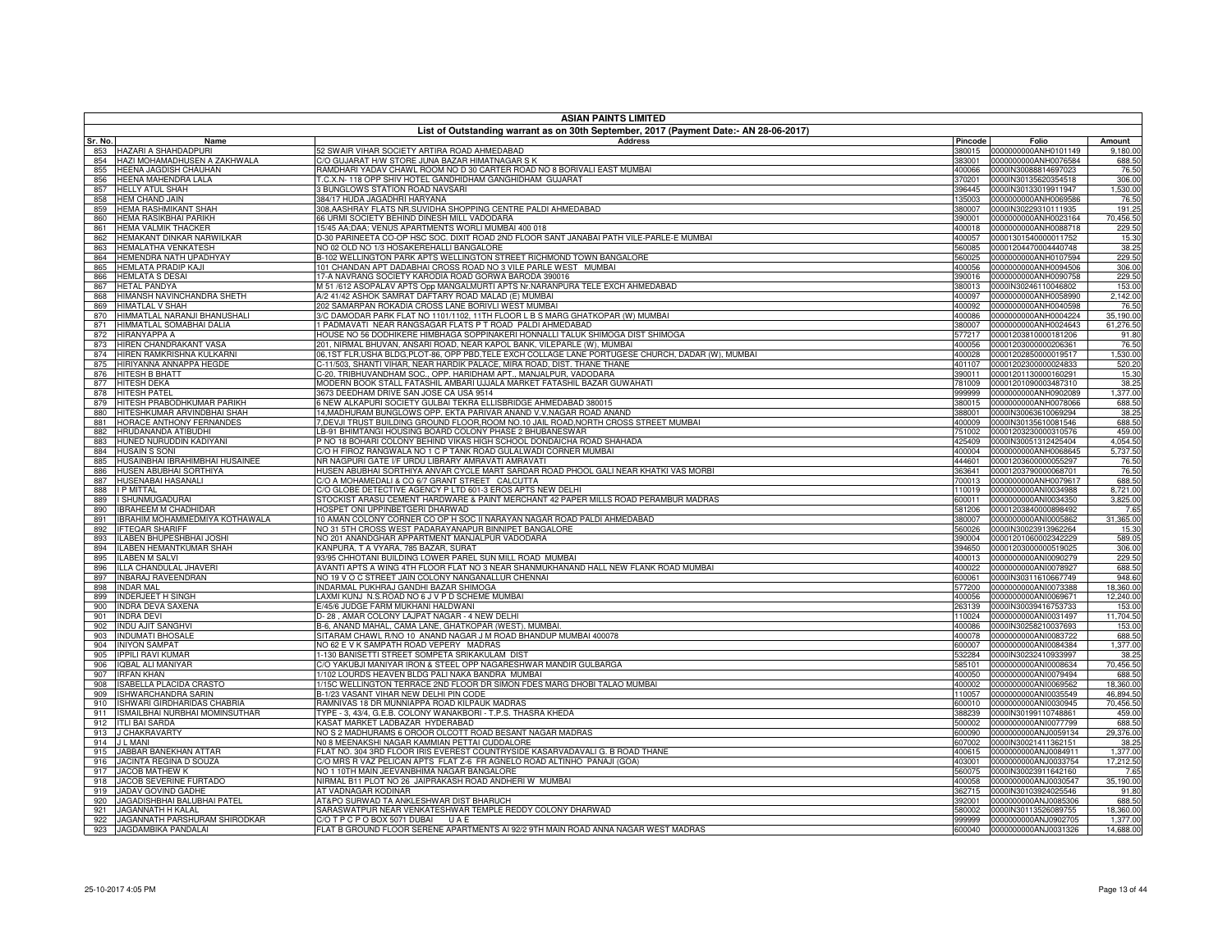|            | <b>ASIAN PAINTS LIMITED</b>                                   |                                                                                                                                               |                  |                                                     |                      |  |
|------------|---------------------------------------------------------------|-----------------------------------------------------------------------------------------------------------------------------------------------|------------------|-----------------------------------------------------|----------------------|--|
|            |                                                               | List of Outstanding warrant as on 30th September, 2017 (Payment Date:- AN 28-06-2017)                                                         |                  |                                                     |                      |  |
| Sr. No.    | Name                                                          | <b>Address</b>                                                                                                                                | Pincode          | Folio                                               | Amount               |  |
| 854        | 853 HAZARI A SHAHDADPURI<br>HAZI MOHAMADHUSEN A ZAKHWALA      | 52 SWAIR VIHAR SOCIETY ARTIRA ROAD AHMEDABAD<br>C/O GUJARAT H/W STORE JUNA BAZAR HIMATNAGAR S K                                               | 380015<br>383001 | 0000000000ANH0101149<br>0000000000ANH0076584        | 9.180.00<br>688.50   |  |
| 855        | HEENA JAGDISH CHAUHAN                                         | RAMDHARI YADAV CHAWL ROOM NO D 30 CARTER ROAD NO 8 BORIVALI EAST MUMBAI                                                                       | 400066           | 0000IN30088814697023                                | 76.50                |  |
| 856        | HEENA MAHENDRA LALA                                           | T.C.X.N- 118 OPP SHIV HOTEL GANDHIDHAM GANGHIDHAM GUJARAT                                                                                     | 370201           | 0000IN30135620354518                                | 306.00               |  |
| 857        | <b>HELLY ATUL SHAH</b>                                        | <b>BUNGLOWS STATION ROAD NAVSARI</b>                                                                                                          | 396445           | 0000IN30133019911947                                | 1,530.00             |  |
| 858        | <b>HEM CHAND JAIN</b>                                         | 384/17 HUDA JAGADHRI HARYANA                                                                                                                  | 135003           | 0000000000ANH0069586                                | 76.50                |  |
| 859        | <b>HEMA RASHMIKANT SHAH</b>                                   | 308, AASHRAY FLATS NR. SUVIDHA SHOPPING CENTRE PALDI AHMEDABAD                                                                                | 380007           | 0000IN30229310111935                                | 191.25               |  |
| 860<br>861 | <b>HEMA RASIKBHAI PARIKH</b><br><b>HEMA VALMIK THACKER</b>    | 66 URMI SOCIETY BEHIND DINESH MILL VADODARA<br>15/45 AA:DAA: VENUS APARTMENTS WORLI MUMBAI 400 018                                            | 390001<br>400018 | 0000000000ANH0023164<br>0000000000ANH0088718        | 70,456.50<br>229.50  |  |
| 862        | HEMAKANT DINKAR NARWILKAR                                     | D-30 PARINEETA CO-OP HSC SOC. DIXIT ROAD 2ND FLOOR SANT JANABAI PATH VILE-PARLE-E MUMBAI                                                      | 400057           | 00001301540000011752                                | 15.30                |  |
| 863        | HEMALATHA VENKATESH                                           | NO 02 OLD NO 1/3 HOSAKEREHALLI BANGALORE                                                                                                      | 560085           | 00001204470004440748                                | 38.25                |  |
| 864        | HEMENDRA NATH UPADHYAY                                        | B-102 WELLINGTON PARK APTS WELLINGTON STREET RICHMOND TOWN BANGALORE                                                                          | 560025           | 0000000000ANH0107594                                | 229.50               |  |
| 865        | <b>HEMLATA PRADIP KAJI</b>                                    | 101 CHANDAN APT DADABHAI CROSS ROAD NO 3 VILE PARLE WEST MUMBAI                                                                               | 400056           | 0000000000ANH0094506                                | 306.00               |  |
| 866        | <b>HEMLATA S DESAI</b>                                        | 17-A NAVRANG SOCIETY KARODIA ROAD GORWA BARODA 390016                                                                                         | 390016           | 0000000000ANH0090758                                | 229.50               |  |
| 867<br>868 | <b>HETAL PANDYA</b><br>HIMANSH NAVINCHANDRA SHETH             | M 51 /612 ASOPALAV APTS Opp MANGALMURTI APTS Nr. NARANPURA TELE EXCH AHMEDABAD<br>A/2 41/42 ASHOK SAMRAT DAFTARY ROAD MALAD (E) MUMBAI        | 380013<br>400097 | 0000IN30246110046802<br>0000000000ANH0058990        | 153.00<br>2,142.00   |  |
| 869        | HIMATLAL V SHAH                                               | 202 SAMARPAN ROKADIA CROSS LANE BORIVLI WEST MUMBAI                                                                                           | 400092           | 0000000000ANH0040598                                | 76.50                |  |
| 870        | HIMMATLAL NARANJI BHANUSHALI                                  | 3/C DAMODAR PARK FLAT NO 1101/1102, 11TH FLOOR L B S MARG GHATKOPAR (W) MUMBAI                                                                | 400086           | 0000000000ANH0004224                                | 35,190.00            |  |
| 871        | HIMMATLAL SOMABHAI DALIA                                      | 1 PADMAVATI NEAR RANGSAGAR FLATS P T ROAD PALDI AHMEDABAD                                                                                     | 380007           | 0000000000ANH0024643                                | 61,276.50            |  |
| 872        | <b>HIRANYAPPA A</b>                                           | HOUSE NO 56 DODHIKERE HIMBHAGA SOPPINAKERI HONNALLI TALUK SHIMOGA DIST SHIMOGA                                                                | 577217           | 00001203810000181206                                | 91.80                |  |
| 873        | HIREN CHANDRAKANT VASA                                        | 201, NIRMAL BHUVAN, ANSARI ROAD, NEAR KAPOL BANK, VILEPARLE (W), MUMBAI                                                                       | 400056           | 00001203000000206361                                | 76.50                |  |
| 874        | HIREN RAMKRISHNA KULKARNI                                     | 06,1ST FLR,USHA BLDG,PLOT-86, OPP PBD,TELE EXCH COLLAGE LANE PORTUGESE CHURCH, DADAR (W), MUMBAI                                              | 400028           | 00001202850000019517                                | 1,530.00             |  |
| 875<br>876 | HIRIYANNA ANNAPPA HEGDE<br>HITESH B BHATT                     | C-11/503, SHANTI VIHAR, NEAR HARDIK PALACE, MIRA ROAD, DIST. THANE THANE<br>C-20, TRIBHUVANDHAM SOC., OPP. HARIDHAM APT., MANJALPUR, VADODARA | 401107<br>390011 | 00001202300000024833<br>00001201130000160291        | 520.20<br>15.30      |  |
| 877        | <b>HITESH DEKA</b>                                            | MODERN BOOK STALL FATASHIL AMBARI UJJALA MARKET FATASHIL BAZAR GUWAHATI                                                                       | 781009           | 00001201090003487310                                | 38.25                |  |
| 878        | <b>HITESH PATEL</b>                                           | 3673 DEEDHAM DRIVE SAN JOSE CA USA 9514                                                                                                       | 999999           | 0000000000ANH0902089                                | 1,377.00             |  |
| 879        | HITESH PRABODHKUMAR PARIKH                                    | S NEW ALKAPURI SOCIETY GULBAI TEKRA ELLISBRIDGE AHMEDABAD 380015                                                                              | 380015           | 0000000000ANH0078066                                | 688.50               |  |
| 880        | HITESHKUMAR ARVINDBHAI SHAH                                   | 14, MADHURAM BUNGLOWS OPP. EKTA PARIVAR ANAND V.V. NAGAR ROAD ANAND                                                                           | 388001           | 0000IN30063610069294                                | 38.25                |  |
| 881        | HORACE ANTHONY FERNANDES                                      | 7, DEVJI TRUST BUILDING GROUND FLOOR, ROOM NO. 10 JAIL ROAD, NORTH CROSS STREET MUMBAI                                                        | 400009           | 0000IN30135610081546                                | 688.50               |  |
| 882        | HRUDANANDA ATIBUDHI                                           | LB-91 BHIMTANGI HOUSING BOARD COLONY PHASE 2 BHUBANESWAR                                                                                      | 751002           | 00001203230000310576                                | 459.00               |  |
| 883<br>884 | HUNED NURUDDIN KADIYANI<br><b>HUSAIN S SONI</b>               | P NO 18 BOHARI COLONY BEHIND VIKAS HIGH SCHOOL DONDAICHA ROAD SHAHADA<br>C/O H FIROZ RANGWALA NO 1 C P TANK ROAD GULALWADI CORNER MUMBAI      | 425409<br>400004 | 0000IN30051312425404<br>0000000000ANH0068645        | 4,054.50<br>5,737.50 |  |
| 885        | HUSAINBHAI IBRAHIMBHAI HUSAINEE                               | NR NAGPURI GATE I/F URDU LIBRARY AMRAVATI AMRAVATI                                                                                            | 444601           | 00001203600000055297                                | 76.50                |  |
| 886        | HUSEN ABUBHAI SORTHIYA                                        | HUSEN ABUBHAI SORTHIYA ANVAR CYCLE MART SARDAR ROAD PHOOL GALI NEAR KHATKI VAS MORBI                                                          | 363641           | 00001203790000068701                                | 76.50                |  |
| 887        | HUSENABAI HASANALI                                            | C/O A MOHAMEDALI & CO 6/7 GRANT STREET CALCUTTA                                                                                               | 700013           | 0000000000ANH0079617                                | 688.50               |  |
| 888        | <b>I P MITTAL</b>                                             | C/O GLOBE DETECTIVE AGENCY P LTD 601-3 EROS APTS NEW DELHI                                                                                    | 110019           | 0000000000ANI0034988                                | 8,721.00             |  |
| 889        | I SHUNMUGADURAI                                               | STOCKIST ARASU CEMENT HARDWARE & PAINT MERCHANT 42 PAPER MILLS ROAD PERAMBUR MADRAS                                                           | 600011           | 0000000000ANI0034350                                | 3,825.00             |  |
| 890<br>891 | <b>IBRAHEEM M CHADHIDAR</b><br>IBRAHIM MOHAMMEDMIYA KOTHAWALA | HOSPET ONI UPPINBETGERI DHARWAD<br>10 AMAN COLONY CORNER CO OP H SOC II NARAYAN NAGAR ROAD PALDI AHMEDABAD                                    | 581206<br>380007 | 00001203840000898492<br>0000000000ANI0005862        | 7.65<br>31,365.00    |  |
| 892        | <b>IFTEQAR SHARIFF</b>                                        | NO 31 5TH CROSS WEST PADARAYANAPUR BINNIPET BANGALORE                                                                                         | 560026           | 0000IN30023913962264                                | 15.30                |  |
| 893        | ILABEN BHUPESHBHAI JOSHI                                      | NO 201 ANANDGHAR APPARTMENT MANJALPUR VADODARA                                                                                                |                  | 390004 00001201060002342229                         | 589.05               |  |
| 894        | <b>ILABEN HEMANTKUMAR SHAH</b>                                | KANPURA, T A VYARA, 785 BAZAR, SURAT                                                                                                          | 394650           | 00001203000000519025                                | 306.00               |  |
| 895        | <b>LABEN M SALVI</b>                                          | 93/95 CHHOTANI BUILDING LOWER PAREL SUN MILL ROAD MUMBAI                                                                                      | 400013           | 0000000000ANI0090279                                | 229.50               |  |
| 896        | ILLA CHANDULAL JHAVERI                                        | AVANTI APTS A WING 4TH FLOOR FLAT NO 3 NEAR SHANMUKHANAND HALL NEW FLANK ROAD MUMBAI                                                          | 400022           | 0000000000ANI0078927                                | 688.50               |  |
| 897<br>898 | <b>INBARAJ RAVEENDRAN</b><br><b>INDAR MAL</b>                 | NO 19 V O C STREET JAIN COLONY NANGANALLUR CHENNAI<br>INDARMAL PUKHRAJ GANDHI BAZAR SHIMOGA                                                   | 600061<br>577200 | 0000IN30311610667749<br>0000000000ANI0073388        | 948.60<br>18,360.00  |  |
| 899        | <b>INDERJEET H SINGH</b>                                      | LAXMI KUNJ N.S.ROAD NO 6 J V P D SCHEME MUMBAI                                                                                                | 400056           | 0000000000ANI0069671                                | 12,240.00            |  |
| 900        | <b>INDRA DEVA SAXENA</b>                                      | E/45/6 JUDGE FARM MUKHANI HALDWANI                                                                                                            | 263139           | 0000IN30039416753733                                | 153.00               |  |
| 901        | <b>INDRA DEVI</b>                                             | D-28, AMAR COLONY LAJPAT NAGAR - 4 NEW DELHI                                                                                                  |                  | 110024 0000000000ANI0031497                         | 11,704.50            |  |
| 902        | <b>INDU AJIT SANGHVI</b>                                      | B-6, ANAND MAHAL, CAMA LANE, GHATKOPAR (WEST), MUMBAI                                                                                         | 400086           | 0000IN30258210037693                                | 153.00               |  |
| 903        | <b>INDUMATI BHOSALE</b>                                       | SITARAM CHAWL R/NO 10 ANAND NAGAR J M ROAD BHANDUP MUMBAI 400078                                                                              | 400078           | 0000000000ANI0083722                                | 688.50               |  |
| 904<br>905 | <b>INIYON SAMPAT</b><br><b>IPPILI RAVI KUMAR</b>              | NO 62 E V K SAMPATH ROAD VEPERY MADRAS<br>1-130 BANISETTI STREET SOMPETA SRIKAKULAM DIST                                                      | 600007<br>532284 | 0000000000ANI0084384<br>0000IN30232410933997        | 1,377.00<br>38.25    |  |
| 906        | <b>QBAL ALI MANIYAR</b>                                       | C/O YAKUBJI MANIYAR IRON & STEEL OPP NAGARESHWAR MANDIR GULBARGA                                                                              | 585101           | 0000000000ANI0008634                                | 70,456.50            |  |
| 907        | <b>IRFAN KHAN</b>                                             | 1/102 LOURDS HEAVEN BLDG PALI NAKA BANDRA MUMBAI                                                                                              |                  | 400050 0000000000ANI0079494                         | 688.50               |  |
| 908        | <b>ISABELLA PLACIDA CRASTO</b>                                | 1/15C WELLINGTON TERRACE 2ND FLOOR DR SIMON FDES MARG DHOBI TALAO MUMBAI                                                                      | 400002           | 0000000000ANI0069562                                | 18,360.00            |  |
| 909        | ISHWARCHANDRA SARIN                                           | B-1/23 VASANT VIHAR NEW DELHI PIN CODE                                                                                                        | 110057           | 0000000000ANI0035549                                | 46,894.50            |  |
| 910        | ISHWARI GIRDHARIDAS CHABRIA                                   | RAMNIVAS 18 DR MUNNIAPPA ROAD KILPAUK MADRAS                                                                                                  |                  | 600010 0000000000ANI0030945                         | 70,456.50            |  |
| 911        | ISMAILBHAI NURBHAI MOMINSUTHAR                                | TYPE - 3, 43/4, G.E.B. COLONY WANAKBORI - T.P.S. THASRA KHEDA<br>KASAT MARKET LADBAZAR HYDERABAD                                              | 388239           | 0000IN30199110748861                                | 459.00<br>688.50     |  |
| 912<br>913 | <b>ITLI BAI SARDA</b><br>J CHAKRAVARTY                        | NO S 2 MADHURAMS 6 OROOR OLCOTT ROAD BESANT NAGAR MADRAS                                                                                      | 500002           | 0000000000ANI0077799<br>600090 0000000000ANJ0059134 | 29,376.00            |  |
| 914        | <b>J L MANI</b>                                               | N0 8 MEENAKSHI NAGAR KAMMIAN PETTAI CUDDALORE                                                                                                 | 607002           | 0000IN30021411362151                                | 38.25                |  |
| 915        | JABBAR BANEKHAN ATTAR                                         | FLAT NO. 304 3RD FLOOR IRIS EVEREST COUNTRYSIDE KASARVADAVALI G. B ROAD THANE                                                                 |                  | 400615 0000000000ANJ0084911                         | 1,377.00             |  |
| 916        | JACINTA REGINA D SOUZA                                        | C/O MRS R VAZ PELICAN APTS FLAT Z-6 FR AGNELO ROAD ALTINHO PANAJI (GOA)                                                                       | 403001           | 0000000000ANJ0033754                                | 17,212.50            |  |
| 917        | <b>JACOB MATHEW K</b>                                         | NO 1 10TH MAIN JEEVANBHIMA NAGAR BANGALORE                                                                                                    | 560075           | 0000IN30023911642160                                | 7.65                 |  |
| 918        | JACOB SEVERINE FURTADO                                        | NIRMAL B11 PLOT NO 26 JAIPRAKASH ROAD ANDHERI W MUMBAI                                                                                        |                  | 400058 0000000000ANJ0030547                         | 35,190.00            |  |
| 919<br>920 | JADAV GOVIND GADHE<br>JAGADISHBHAI BALUBHAI PATEL             | AT VADNAGAR KODINAR<br>AT&PO SURWAD TA ANKLESHWAR DIST BHARUCH                                                                                | 362715<br>392001 | 0000IN30103924025546<br>0000000000ANJ0085306        | 91.80<br>688.50      |  |
| 921        | JAGANNATH H KALAL                                             | SARASWATPUR NEAR VENKATESHWAR TEMPLE REDDY COLONY DHARWAD                                                                                     | 580002           | 0000IN30113526089755                                | 18,360.00            |  |
| 922        | JAGANNATH PARSHURAM SHIRODKAR                                 | C/OTPCPOBOX5071DUBAI UAE                                                                                                                      | 999999           | 0000000000ANJ0902705                                | 1,377.00             |  |
| 923        | JAGDAMBIKA PANDALAI                                           | FLAT B GROUND FLOOR SERENE APARTMENTS AI 92/2 9TH MAIN ROAD ANNA NAGAR WEST MADRAS                                                            |                  |                                                     | 14,688.00            |  |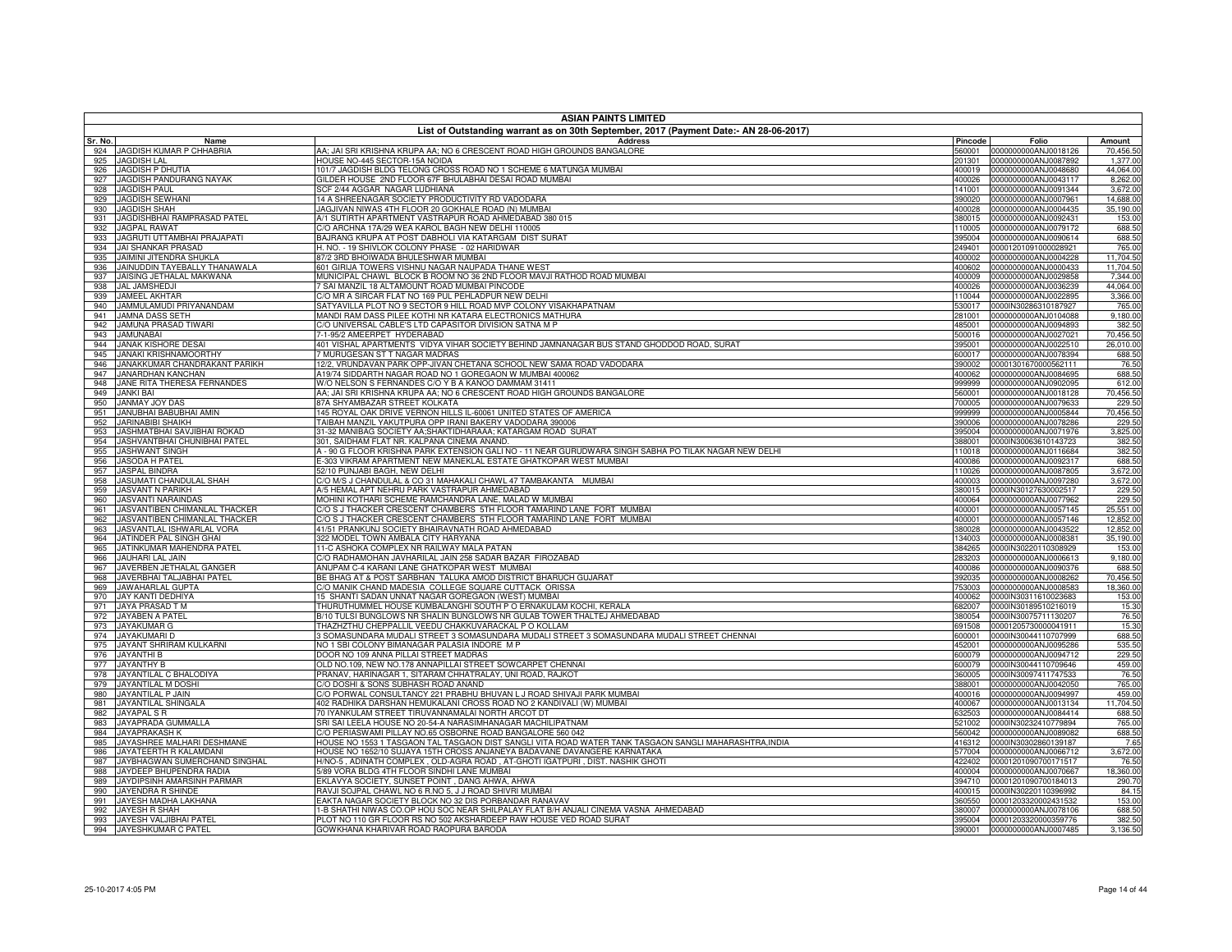|            |                                                                                       | <b>ASIAN PAINTS LIMITED</b>                                                                                                                                                |                  |                                                     |                        |  |  |
|------------|---------------------------------------------------------------------------------------|----------------------------------------------------------------------------------------------------------------------------------------------------------------------------|------------------|-----------------------------------------------------|------------------------|--|--|
|            | List of Outstanding warrant as on 30th September, 2017 (Payment Date:- AN 28-06-2017) |                                                                                                                                                                            |                  |                                                     |                        |  |  |
| Sr. No.    | Name                                                                                  | Address                                                                                                                                                                    | Pincode          | Folio                                               | Amount                 |  |  |
| 924<br>925 | JAGDISH KUMAR P CHHABRIA<br><b>JAGDISH LAL</b>                                        | AA; JAI SRI KRISHNA KRUPA AA; NO 6 CRESCENT ROAD HIGH GROUNDS BANGALORE<br>HOUSE NO-445 SECTOR-15A NOIDA                                                                   | 201301           | 560001 0000000000ANJ0018126<br>0000000000ANJ0087892 | 70,456.50<br>1,377.00  |  |  |
| 926        | <b>JAGDISH P DHUTIA</b>                                                               | 101/7 JAGDISH BLDG TELONG CROSS ROAD NO 1 SCHEME 6 MATUNGA MUMBAI                                                                                                          |                  | 400019 0000000000ANJ0048680                         | 44,064.00              |  |  |
| 927        | JAGDISH PANDURANG NAYAK                                                               | GILDER HOUSE 2ND FLOOR 67F BHULABHAI DESAI ROAD MUMBAI                                                                                                                     | 400026           | 0000000000ANJ0043117                                | 8,262.00               |  |  |
| 928        | <b>JAGDISH PAUL</b>                                                                   | SCF 2/44 AGGAR NAGAR LUDHIANA                                                                                                                                              | 141001           | 0000000000ANJ0091344                                | 3,672.00               |  |  |
| 929        | JAGDISH SEWHANI                                                                       | 14 A SHREENAGAR SOCIETY PRODUCTIVITY RD VADODARA                                                                                                                           | 390020           | 0000000000ANJ0007961                                | 14,688.00              |  |  |
| 930        | <b>JAGDISH SHAH</b>                                                                   | JAGJIVAN NIWAS 4TH FLOOR 20 GOKHALE ROAD (N) MUMBAI                                                                                                                        | 400028           | 0000000000ANJ0004435                                | 35,190.00              |  |  |
| 931<br>932 | JAGDISHBHAI RAMPRASAD PATEL<br><b>JAGPAL RAWAT</b>                                    | A/1 SUTIRTH APARTMENT VASTRAPUR ROAD AHMEDABAD 380 015<br>C/O ARCHNA 17A/29 WEA KAROL BAGH NEW DELHI 110005                                                                | 380015<br>110005 | 0000000000ANJ0092431<br>0000000000ANJ0079172        | 153.00<br>688.50       |  |  |
| 933        | JAGRUTI UTTAMBHAI PRAJAPATI                                                           | BAJRANG KRUPA AT POST DABHOLI VIA KATARGAM DIST SURAT                                                                                                                      | 395004           | 0000000000ANJ0090614                                | 688.50                 |  |  |
| 934        | JAI SHANKAR PRASAD                                                                    | H. NO. - 19 SHIVLOK COLONY PHASE - 02 HARIDWAR                                                                                                                             | 249401           | 00001201091000028921                                | 765.00                 |  |  |
| 935        | JAIMINI JITENDRA SHUKLA                                                               | 37/2 3RD BHOIWADA BHULESHWAR MUMBAI                                                                                                                                        | 400002           | 0000000000ANJ0004228                                | 11,704.50              |  |  |
| 936        | JAINUDDIN TAYEBALLY THANAWALA                                                         | 601 GIRIJA TOWERS VISHNU NAGAR NAUPADA THANE WEST                                                                                                                          | 400602           | 0000000000ANJ0000433                                | 11,704.50              |  |  |
| 937        | JAISING JETHALAL MAKWANA                                                              | MUNICIPAL CHAWL BLOCK B ROOM NO 36 2ND FLOOR MAVJI RATHOD ROAD MUMBAI                                                                                                      | 400009           | 0000000000ANJ0029858                                | 7,344.00               |  |  |
| 938        | <b>JAL JAMSHEDJI</b>                                                                  | SAI MANZIL 18 ALTAMOUNT ROAD MUMBAI PINCODE                                                                                                                                | 400026           | 0000000000ANJ0036239                                | 44,064.00              |  |  |
| 939<br>940 | JAMEEL AKHTAR<br>JAMMULAMUDI PRIYANANDAM                                              | C/O MR A SIRCAR FLAT NO 169 PUL PEHLADPUR NEW DELHI<br>SATYAVILLA PLOT NO 9 SECTOR 9 HILL ROAD MVP COLONY VISAKHAPATNAM                                                    | 110044<br>530017 | 0000000000ANJ0022895<br>0000IN30286310187927        | 3,366.00<br>765.00     |  |  |
| 941        | JAMNA DASS SETH                                                                       | MANDI RAM DASS PILEE KOTHI NR KATARA ELECTRONICS MATHURA                                                                                                                   | 281001           | 0000000000ANJ0104088                                | 9,180.00               |  |  |
| 942        | JAMUNA PRASAD TIWARI                                                                  | C/O UNIVERSAL CABLE'S LTD CAPASITOR DIVISION SATNA M P                                                                                                                     | 485001           | 0000000000ANJ0094893                                | 382.50                 |  |  |
| 943        | <b>JAMUNABAI</b>                                                                      | -1-95/2 AMEERPET HYDERABAD                                                                                                                                                 | 500016           | 0000000000ANJ0027021                                | 70,456.50              |  |  |
| 944        | <b>JANAK KISHORE DESAI</b>                                                            | 401 VISHAL APARTMENTS VIDYA VIHAR SOCIETY BEHIND JAMNANAGAR BUS STAND GHODDOD ROAD, SURAT                                                                                  | 395001           | 0000000000ANJ0022510                                | 26,010.00              |  |  |
| 945        | <b>JANAKI KRISHNAMOORTHY</b>                                                          | 7 MURUGESAN ST T NAGAR MADRAS                                                                                                                                              | 600017           | 0000000000ANJ0078394                                | 688.50                 |  |  |
| 946        | JANAKKUMAR CHANDRAKANT PARIKH                                                         | 12/2, VRUNDAVAN PARK OPP-JIVAN CHETANA SCHOOL NEW SAMA ROAD VADODARA                                                                                                       | 390002           | 00001301670000562111                                | 76.50                  |  |  |
| 947<br>948 | JANARDHAN KANCHAN<br>JANE RITA THERESA FERNANDES                                      | A19/74 SIDDARTH NAGAR ROAD NO 1 GOREGAON W MUMBAI 400062<br>W/O NELSON S FERNANDES C/O Y B A KANOO DAMMAM 31411                                                            | 400062<br>999999 | 0000000000ANJ0084695<br>0000000000ANJ0902095        | 688.50<br>612.00       |  |  |
| 949        | <b>JANKI BAI</b>                                                                      | AA; JAI SRI KRISHNA KRUPA AA; NO 6 CRESCENT ROAD HIGH GROUNDS BANGALORE                                                                                                    | 560001           | 0000000000ANJ0018128                                | 70,456.50              |  |  |
| 950        | <b>JANMAY JOY DAS</b>                                                                 | 87A SHYAMBAZAR STREET KOLKATA                                                                                                                                              | 700005           | 0000000000ANJ0079633                                | 229.50                 |  |  |
| 951        | JANUBHAI BABUBHAI AMIN                                                                | 145 ROYAL OAK DRIVE VERNON HILLS IL-60061 UNITED STATES OF AMERICA                                                                                                         | 999999           | 0000000000ANJ0005844                                | 70,456.50              |  |  |
| 952        | <b>JARINABIBI SHAIKH</b>                                                              | TAIBAH MANZIL YAKUTPURA OPP IRANI BAKERY VADODARA 390006                                                                                                                   | 390006           | 0000000000ANJ0078286                                | 229.50                 |  |  |
| 953        | JASHMATBHAI SAVJIBHAI ROKAD                                                           | 31-32 MANIBAG SOCIETY AA;SHAKTIDHARAAA; KATARGAM ROAD SURAT                                                                                                                | 395004           | 0000000000ANJ0071976                                | 3,825.00               |  |  |
| 954        | <b>JASHVANTBHAI CHUNIBHAI PATEL</b>                                                   | 301, SAIDHAM FLAT NR. KALPANA CINEMA ANAND.                                                                                                                                | 388001           | 0000IN30063610143723                                | 382.50                 |  |  |
| 955        | <b>JASHWANT SINGH</b>                                                                 | A - 90 G FLOOR KRISHNA PARK EXTENSION GALI NO - 11 NEAR GURUDWARA SINGH SABHA PO TILAK NAGAR NEW DELHI<br>E-303 VIKRAM APARTMENT NEW MANEKLAL ESTATE GHATKOPAR WEST MUMBAI | 110018           | 0000000000ANJ0116684<br>0000000000ANJ0092317        | 382.50<br>688.50       |  |  |
| 956<br>957 | JASODA H PATEL<br>JASPAL BINDRA                                                       | 52/10 PUNJABI BAGH, NEW DELHI                                                                                                                                              | 400086<br>110026 | 0000000000ANJ0087805                                | 3,672.00               |  |  |
| 958        | JASUMATI CHANDULAL SHAH                                                               | C/O M/S J CHANDULAL & CO 31 MAHAKALI CHAWL 47 TAMBAKANTA MUMBAI                                                                                                            |                  | 400003 0000000000ANJ0097280                         | 3,672.00               |  |  |
| 959        | <b>JASVANT N PARIKH</b>                                                               | A/5 HEMAL APT NEHRU PARK VASTRAPUR AHMEDABAD                                                                                                                               | 380015           | 0000IN30127630002517                                | 229.50                 |  |  |
| 960        | <b>JASVANTI NARAINDAS</b>                                                             | MOHINI KOTHARI SCHEME RAMCHANDRA LANE, MALAD W MUMBAI                                                                                                                      |                  | 400064 0000000000ANJ0077962                         | 229.50                 |  |  |
| 961        | JASVANTIBEN CHIMANLAL THACKER                                                         | C/O S J THACKER CRESCENT CHAMBERS 5TH FLOOR TAMARIND LANE FORT MUMBAI                                                                                                      | 400001           | 0000000000ANJ0057145                                | 25,551.00              |  |  |
| 962        | JASVANTIBEN CHIMANLAL THACKER                                                         | O S J THACKER CRESCENT CHAMBERS 5TH FLOOR TAMARIND LANE FORT MUMBAI                                                                                                        | 400001           | 0000000000ANJ0057146                                | 12,852.00              |  |  |
| 963<br>964 | JASVANTLAL ISHWARLAL VORA<br>JATINDER PAL SINGH GHAI                                  | <b>41/51 PRANKUNJ SOCIETY BHAIRAVNATH ROAD AHMEDABAD</b><br>322 MODEL TOWN AMBALA CITY HARYANA                                                                             | 380028<br>134003 | 0000000000ANJ0043522<br>0000000000ANJ0008381        | 12,852.00<br>35,190.00 |  |  |
| 965        | JATINKUMAR MAHENDRA PATEL                                                             | 11-C ASHOKA COMPLEX NR RAILWAY MALA PATAN                                                                                                                                  | 384265           | 0000IN30220110308929                                | 153.00                 |  |  |
| 966        | JAUHARI LAL JAIN                                                                      | C/O RADHAMOHAN JAVHARILAL JAIN 258 SADAR BAZAR FIROZABAD                                                                                                                   | 283203           | 0000000000ANJ0006613                                | 9,180.00               |  |  |
| 967        | JAVERBEN JETHALAL GANGER                                                              | ANUPAM C-4 KARANI LANE GHATKOPAR WEST MUMBAI                                                                                                                               | 400086           | 0000000000ANJ0090376                                | 688.50                 |  |  |
| 968        | JAVERBHAI TALJABHAI PATEL                                                             | BE BHAG AT & POST SARBHAN TALUKA AMOD DISTRICT BHARUCH GUJARAT                                                                                                             | 392035           | 0000000000ANJ0008262                                | 70,456.50              |  |  |
| 969        | <b>JAWAHARLAL GUPTA</b>                                                               | C/O MANIK CHAND MADESIA COLLEGE SQUARE CUTTACK ORISSA                                                                                                                      | 753003           | 0000000000ANJ0008583                                | 18,360.00              |  |  |
| 970        | JAY KANTI DEDHIYA                                                                     | 15 SHANTI SADAN UNNAT NAGAR GOREGAON (WEST) MUMBAI                                                                                                                         | 400062           | 0000IN30311610023683                                | 153.00                 |  |  |
| 971<br>972 | JAYA PRASAD T M<br>JAYABEN A PATEL                                                    | THURUTHUMMEL HOUSE KUMBALANGHI SOUTH P O ERNAKULAM KOCHI, KERALA<br>B/10 TULSI BUNGLOWS NR SHALIN BUNGLOWS NR GULAB TOWER THALTEJ AHMEDABAD                                | 682007<br>380054 | 0000IN30189510216019<br>0000IN30075711130207        | 15.30<br>76.50         |  |  |
| 973        | JAYAKUMAR G                                                                           | THAZHZTHU CHEPPALLIL VEEDU CHAKKUVARACKAL P O KOLLAM                                                                                                                       | 691508           | 00001205730000041911                                | 15.30                  |  |  |
| 974        | JAYAKUMARI D                                                                          | 3 SOMASUNDARA MUDALI STREET 3 SOMASUNDARA MUDALI STREET 3 SOMASUNDARA MUDALI STREET CHENNAI                                                                                | 600001           | 0000IN30044110707999                                | 688.50                 |  |  |
| 975        | JAYANT SHRIRAM KULKARNI                                                               | NO 1 SBI COLONY BIMANAGAR PALASIA INDORE M P                                                                                                                               | 452001           | 0000000000ANJ0095286                                | 535.50                 |  |  |
| 976        | <b>JAYANTHI B</b>                                                                     | DOOR NO 109 ANNA PILLAI STREET MADRAS                                                                                                                                      | 600079           | 0000000000ANJ0094712                                | 229.50                 |  |  |
| 977        | JAYANTHY B                                                                            | OLD NO.109, NEW NO.178 ANNAPILLAI STREET SOWCARPET CHENNAI                                                                                                                 | 600079           | 0000IN30044110709646                                | 459.00                 |  |  |
| 978        | JAYANTILAL C BHALODIYA<br>JAYANTILAL M DOSHI                                          | PRANAV, HARINAGAR 1, SITARAM CHHATRALAY, UNI ROAD, RAJKOT<br>/O DOSHI & SONS SUBHASH ROAD ANAND                                                                            | 360005           | 0000IN30097411747533                                | 76.50                  |  |  |
| 979<br>980 | JAYANTILAL P JAIN                                                                     | C/O PORWAL CONSULTANCY 221 PRABHU BHUVAN L J ROAD SHIVAJI PARK MUMBAI                                                                                                      | 388001<br>400016 | 0000000000ANJ0042050<br>0000000000ANJ0094997        | 765.00<br>459.00       |  |  |
| 981        | JAYANTILAL SHINGALA                                                                   | 402 RADHIKA DARSHAN HEMUKALANI CROSS ROAD NO 2 KANDIVALI (W) MUMBAI                                                                                                        | 400067           | 0000000000ANJ0013134                                | 11,704.50              |  |  |
| 982        | JAYAPAL S R                                                                           | 70 IYANKULAM STREET TIRUVANNAMALAI NORTH ARCOT DT                                                                                                                          | 332503           | 0000000000ANJ0084414                                | 688.50                 |  |  |
| 983        | JAYAPRADA GUMMALLA                                                                    | SRI SAI LEELA HOUSE NO 20-54-A NARASIMHANAGAR MACHILIPATNAM                                                                                                                |                  | 521002 0000IN30232410779894                         | 765.00                 |  |  |
| 984        | <b>JAYAPRAKASH K</b>                                                                  | C/O PERIASWAMI PILLAY NO.65 OSBORNE ROAD BANGALORE 560 042                                                                                                                 | 560042           | 0000000000ANJ0089082                                | 688.50                 |  |  |
| 985        | JAYASHREE MALHARI DESHMANE                                                            | HOUSE NO 1553 1 TASGAON TAL TASGAON DIST SANGLI VITA ROAD WATER TANK TASGAON SANGLI MAHARASHTRA,INDIA                                                                      | 416312           | 0000IN30302860139187                                | 7.65                   |  |  |
| 986        | JAYATEERTH R KALAMDANI                                                                | HOUSE NO 1652/10 SUJAYA 15TH CROSS ANJANEYA BADAVANE DAVANGERE KARNATAKA                                                                                                   | 577004           | 0000000000ANJ0066712                                | 3,672.00               |  |  |
| 987<br>988 | JAYBHAGWAN SUMERCHAND SINGHAL<br>JAYDEEP BHUPENDRA RADIA                              | H/NO-5 , ADINATH COMPLEX , OLD-AGRA ROAD , AT-GHOTI IGATPURI , DIST. NASHIK GHOTI<br>/89 VORA BLDG 4TH FLOOR SINDHI LANE MUMBAI                                            | 422402           | 00001201090700171517<br>400004 0000000000ANJ0070667 | 76.50<br>18,360.00     |  |  |
| 989        | JAYDIPSINH AMARSINH PARMAR                                                            | EKLAVYA SOCIETY, SUNSET POINT, DANG AHWA, AHWA                                                                                                                             | 394710           | 00001201090700184013                                | 290.70                 |  |  |
| 990        | JAYENDRA R SHINDE                                                                     | RAVJI SOJPAL CHAWL NO 6 R.NO 5, J J ROAD SHIVRI MUMBAI                                                                                                                     | 400015           | 0000IN30220110396992                                | 84.15                  |  |  |
| 991        | JAYESH MADHA LAKHANA                                                                  | EAKTA NAGAR SOCIETY BLOCK NO 32 DIS PORBANDAR RANAVAV                                                                                                                      | 360550           | 00001203320002431532                                | 153.00                 |  |  |
| 992        | JAYESH R SHAH                                                                         | 1-B SHATHI NIWAS CO.OP HOU SOC NEAR SHILPALAY FLAT B/H ANJALI CINEMA VASNA AHMEDABAD                                                                                       | 380007           | 0000000000ANJ0078106                                | 688.50                 |  |  |
| 993        | JAYESH VALJIBHAI PATEL                                                                | PLOT NO 110 GR FLOOR RS NO 502 AKSHARDEEP RAW HOUSE VED ROAD SURAT                                                                                                         |                  | 395004 00001203320000359776                         | 382.50                 |  |  |
| 994        | JAYESHKUMAR C PATEL                                                                   | GOWKHANA KHARIVAR ROAD RAOPURA BARODA                                                                                                                                      |                  | 390001 0000000000ANJ0007485                         | 3,136.50               |  |  |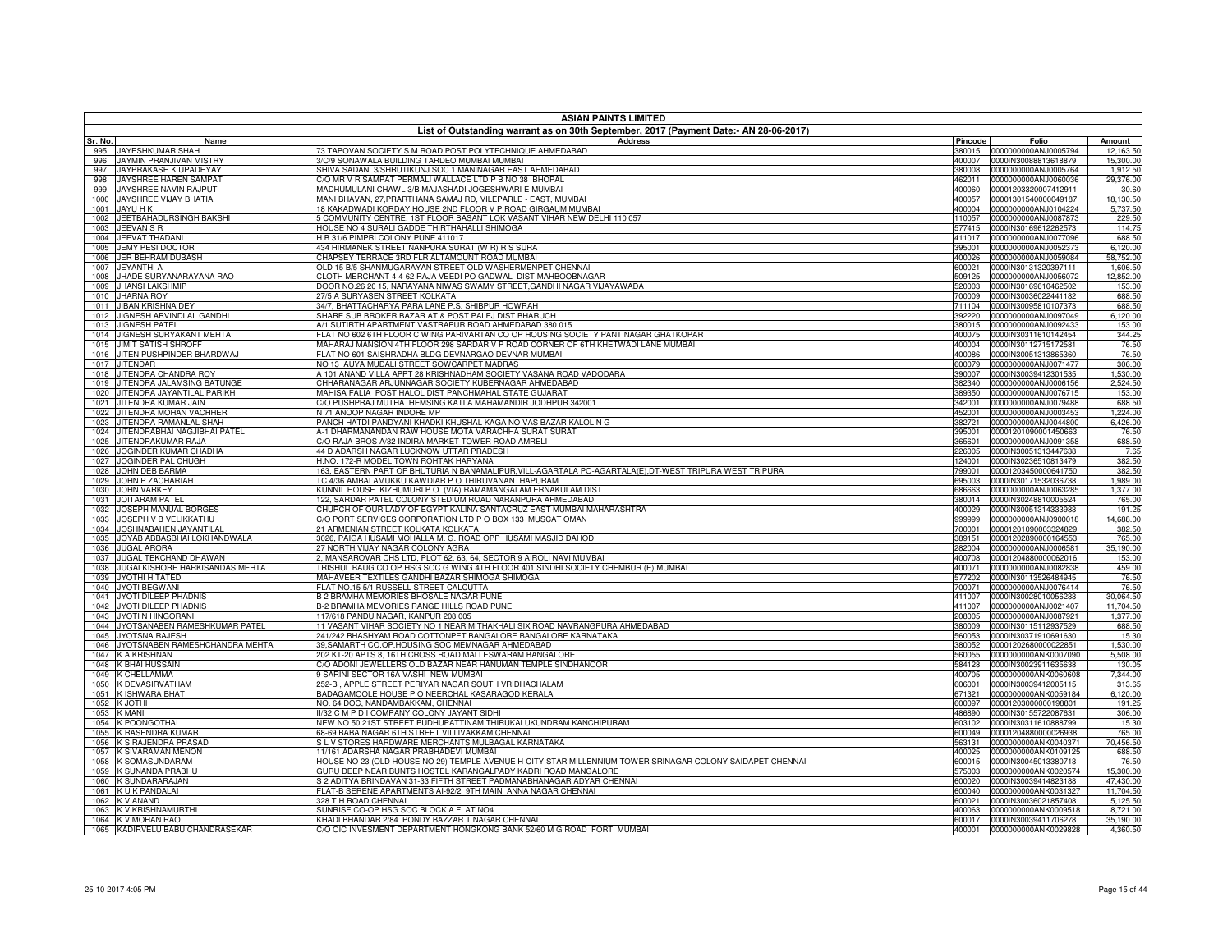|                | <b>ASIAN PAINTS LIMITED</b>                                                           |                                                                                                                                       |                   |                                                     |                       |  |  |
|----------------|---------------------------------------------------------------------------------------|---------------------------------------------------------------------------------------------------------------------------------------|-------------------|-----------------------------------------------------|-----------------------|--|--|
|                | List of Outstanding warrant as on 30th September, 2017 (Payment Date:- AN 28-06-2017) |                                                                                                                                       |                   |                                                     |                       |  |  |
| Sr. No.<br>995 | Name<br>JAYESHKUMAR SHAH                                                              | <b>Address</b><br>73 TAPOVAN SOCIETY S M ROAD POST POLYTECHNIQUE AHMEDABAD                                                            | Pincode<br>380015 | Folio<br>0000000000ANJ0005794                       | Amount<br>12,163.50   |  |  |
| 996            | JAYMIN PRANJIVAN MISTRY                                                               | 3/C/9 SONAWALA BUILDING TARDEO MUMBAI MUMBAI                                                                                          | 400007            | 0000IN30088813618879                                | 15,300.00             |  |  |
| 997            | JAYPRAKASH K UPADHYAY                                                                 | SHIVA SADAN 3/SHRUTIKUNJ SOC 1 MANINAGAR EAST AHMEDABAD                                                                               | 380008            | 0000000000ANJ0005764                                | 1,912.50              |  |  |
| 998            | JAYSHREE HAREN SAMPAT                                                                 | C/O MR V R SAMPAT PERMALI WALLACE LTD P B NO 38 BHOPAL                                                                                | 462011            | 0000000000ANJ0060036                                | 29,376.00             |  |  |
| 999            | JAYSHREE NAVIN RAJPUT                                                                 | MADHUMULANI CHAWL 3/B MAJASHADI JOGESHWARI E MUMBAI                                                                                   | 400060            | 00001203320007412911                                | 30.60                 |  |  |
| 1000           | JAYSHREE VIJAY BHATIA                                                                 | MANI BHAVAN, 27, PRARTHANA SAMAJ RD, VILEPARLE - EAST, MUMBAI                                                                         | 400057            | 00001301540000049187                                | 18,130.50             |  |  |
| 1001<br>1002   | JAYU H K<br>JEETBAHADURSINGH BAKSHI                                                   | 18 KAKADWADI KORDAY HOUSE 2ND FLOOR V P ROAD GIRGAUM MUMBA<br>GOMMUNITY CENTRE, 1ST FLOOR BASANT LOK VASANT VIHAR NEW DELHI 110 057   | 400004<br>110057  | 0000000000ANJ0104224<br>0000000000ANJ0087873        | 5,737.50<br>229.50    |  |  |
| 1003           | JEEVAN S R                                                                            | HOUSE NO 4 SURALI GADDE THIRTHAHALLI SHIMOGA                                                                                          | 577415            | 0000IN30169612262573                                | 114.75                |  |  |
| 1004           | JEEVAT THADANI                                                                        | H B 31/6 PIMPRI COLONY PUNE 411017                                                                                                    | 411017            | 0000000000ANJ0077096                                | 688.50                |  |  |
| 1005           | <b>JEMY PESI DOCTOR</b>                                                               | 434 HIRMANEK STREET NANPURA SURAT (W R) R S SURAT                                                                                     | 395001            | 0000000000ANJ0052373                                | 6,120.00              |  |  |
| 1006           | JER BEHRAM DUBASH                                                                     | CHAPSEY TERRACE 3RD FLR ALTAMOUNT ROAD MUMBAI                                                                                         | 400026            | 0000000000ANJ0059084                                | 58,752.00             |  |  |
| 1007           | JEYANTHI A                                                                            | OLD 15 B/5 SHANMUGARAYAN STREET OLD WASHERMENPET CHENNAI                                                                              | 600021            | 0000IN30131320397111                                | 1,606.50              |  |  |
| 1008<br>1009   | JHADE SURYANARAYANA RAO<br><b>JHANSI LAKSHMIP</b>                                     | CLOTH MERCHANT 4-4-62 RAJA VEEDI PO GADWAL DIST MAHBOOBNAGAR<br>DOOR NO.26 20 15, NARAYANA NIWAS SWAMY STREET,GANDHI NAGAR VIJAYAWADA | 520003            | 509125 0000000000ANJ0056072<br>0000IN30169610462502 | 12,852.00<br>153.00   |  |  |
| 1010           | <b>JHARNA ROY</b>                                                                     | 27/5 A SURYASEN STREET KOLKATA                                                                                                        |                   | 700009 0000IN30036022441182                         | 688.50                |  |  |
| 1011           | <b>JIBAN KRISHNA DEY</b>                                                              | 34/7, BHATTACHARYA PARA LANE P.S. SHIBPUR HOWRAH                                                                                      |                   | 711104 0000IN30095810107373                         | 688.50                |  |  |
| 1012           | JIGNESH ARVINDLAL GANDHI                                                              | SHARE SUB BROKER BAZAR AT & POST PALEJ DIST BHARUCH                                                                                   | 392220            | 0000000000ANJ0097049                                | 6,120.00              |  |  |
| 1013           | <b>JIGNESH PATEL</b>                                                                  | A/1 SUTIRTH APARTMENT VASTRAPUR ROAD AHMEDABAD 380 015                                                                                |                   | 380015 0000000000ANJ0092433                         | 153.00                |  |  |
| 1014           | JIGNESH SURYAKANT MEHTA                                                               | FLAT NO 602 6TH FLOOR C WING PARIVARTAN CO OP HOUSING SOCIETY PANT NAGAR GHATKOPAR                                                    |                   | 400075 0000IN30311610142454                         | 344.25                |  |  |
| 1015           | <b>JIMIT SATISH SHROFF</b>                                                            | MAHARAJ MANSION 4TH FLOOR 298 SARDAR V P ROAD CORNER OF 6TH KHETWADI LANE MUMBAI                                                      | 400004            | 0000IN30112715172581                                | 76.50                 |  |  |
| 1016<br>1017   | JITEN PUSHPINDER BHARDWAJ<br><b>JITENDAR</b>                                          | FLAT NO 601 SAISHRADHA BLDG DEVNARGAO DEVNAR MUMBAI<br>NO 13 AUYA MUDALI STREET SOWCARPET MADRAS                                      | 400086            | 0000IN30051313865360<br>600079 0000000000ANJ0071477 | 76.50<br>306.00       |  |  |
| 1018           | JITENDRA CHANDRA ROY                                                                  | A 101 ANAND VILLA APPT 28 KRISHNADHAM SOCIETY VASANA ROAD VADODARA                                                                    | 390007            | 0000IN30039412301535                                | 1,530.00              |  |  |
| 1019           | JITENDRA JALAMSING BATUNGE                                                            | CHHARANAGAR ARJUNNAGAR SOCIETY KUBERNAGAR AHMEDABAD                                                                                   | 382340            | 0000000000ANJ0006156                                | 2,524.50              |  |  |
| 1020           | JITENDRA JAYANTILAL PARIKH                                                            | MAHISA FALIA POST HALOL DIST PANCHMAHAL STATE GUJARAT                                                                                 | 389350            | 0000000000ANJ0076715                                | 153.00                |  |  |
| 1021           | JITENDRA KUMAR JAIN                                                                   | C/O PUSHPRAJ MUTHA HEMSING KATLA MAHAMANDIR JODHPUR 342001                                                                            | 342001            | 0000000000ANJ0079488                                | 688.50                |  |  |
| 1022           | JITENDRA MOHAN VACHHER                                                                | N 71 ANOOP NAGAR INDORE MP                                                                                                            | 452001            | 0000000000ANJ0003453                                | 1,224.00              |  |  |
| 1023           | JITENDRA RAMANLAL SHAH                                                                | PANCH HATDI PANDYANI KHADKI KHUSHAL KAGA NO VAS BAZAR KALOL N G                                                                       | 382721            | 0000000000ANJ0044800                                | 6,426.00              |  |  |
| 1024<br>1025   | JITENDRABHAI NAGJIBHAI PATEL<br>JITENDRAKUMAR RAJA                                    | A-1 DHARMANANDAN RAW HOUSE MOTA VARACHHA SURAT SURAT<br>C/O RAJA BROS A/32 INDIRA MARKET TOWER ROAD AMRELI                            | 395001<br>365601  | 00001201090001450663<br>0000000000ANJ0091358        | 76.50<br>688.50       |  |  |
| 1026           | JOGINDER KUMAR CHADHA                                                                 | 44 D ADARSH NAGAR LUCKNOW UTTAR PRADESH                                                                                               | 226005            | 0000IN30051313447638                                | 7.65                  |  |  |
| 1027           | JOGINDER PAL CHUGH                                                                    | H.NO. 172-R MODEL TOWN ROHTAK HARYANA                                                                                                 | 124001            | 0000IN30236510813479                                | 382.50                |  |  |
| 1028           | JOHN DEB BARMA                                                                        | 163, EASTERN PART OF BHUTURIA N BANAMALIPUR, VILL-AGARTALA PO-AGARTALA(E), DT-WEST TRIPURA WEST TRIPURA                               | 799001            | 00001203450000641750                                | 382.50                |  |  |
| 1029           | JOHN P ZACHARIAH                                                                      | TC 4/36 AMBALAMUKKU KAWDIAR P O THIRUVANANTHAPURAM                                                                                    | 695003            | 0000IN30171532036738                                | 1,989.00              |  |  |
| 1030           | <b>JOHN VARKEY</b>                                                                    | KUNNIL HOUSE KIZHUMURI P.O. (VIA) RAMAMANGALAM ERNAKULAM DIST                                                                         | 686663            | 0000000000ANJ0063285                                | 1,377.00              |  |  |
| 1031<br>1032   | <b>JOITARAM PATEI</b><br>JOSEPH MANUAL BORGES                                         | 122, SARDAR PATEL COLONY STEDIUM ROAD NARANPURA AHMEDABAD<br>CHURCH OF OUR LADY OF EGYPT KALINA SANTACRUZ EAST MUMBAI MAHARASHTRA     |                   | 380014 0000IN30248810005524                         | 765.00<br>191.25      |  |  |
| 1033           | JOSEPH V B VELIKKATHU                                                                 | /O PORT SERVICES CORPORATION LTD P O BOX 133 MUSCAT OMAN                                                                              | 400029<br>999999  | 0000IN30051314333983<br>0000000000ANJ0900018        | 14,688.00             |  |  |
| 1034           | JOSHNABAHEN JAYANTILAI                                                                | 1 ARMENIAN STREET KOLKATA KOLKATA                                                                                                     | 700001            | 00001201090003324829                                | 382.50                |  |  |
| 1035           | JOYAB ABBASBHAI LOKHANDWALA                                                           | 3026, PAIGA HUSAMI MOHALLA M. G. ROAD OPP HUSAMI MASJID DAHOD                                                                         | 389151            | 00001202890000164553                                | 765.00                |  |  |
| 1036           | <b>JUGAL ARORA</b>                                                                    | 7 NORTH VIJAY NAGAR COLONY AGRA                                                                                                       |                   | 282004 0000000000ANJ0006581                         | 35,190.00             |  |  |
| 1037           | JUGAL TEKCHAND DHAWAN                                                                 | MANSAROVAR CHS LTD, PLOT 62, 63, 64, SECTOR 9 AIROLI NAVI MUMBAI                                                                      | 400708            | 00001204880000062016                                | 153.00                |  |  |
| 1038           | JUGALKISHORE HARKISANDAS MEHTA                                                        | RISHUL BAUG CO OP HSG SOC G WING 4TH FLOOR 401 SINDHI SOCIETY CHEMBUR (E) MUMBAI                                                      | 400071            | 0000000000ANJ0082838                                | 459.00                |  |  |
| 1039<br>1040   | JYOTHI H TATED<br><b>JYOTI BEGWANI</b>                                                | MAHAVEER TEXTILES GANDHI BAZAR SHIMOGA SHIMOGA<br>FLAT NO.15 5/1 RUSSELL STREET CALCUTTA                                              | 577202            | 0000IN30113526484945                                | 76.50<br>76.50        |  |  |
| 1041           | JYOTI DILEEP PHADNIS                                                                  | B 2 BRAMHA MEMORIES BHOSALE NAGAR PUNE                                                                                                | 411007            | 0000IN30028010056233                                | 30,064.50             |  |  |
| 1042           | JYOTI DILEEP PHADNIS                                                                  | B-2 BRAMHA MEMORIES RANGE HILLS ROAD PUNE                                                                                             | 411007            | 0000000000ANJ0021407                                | 11,704.50             |  |  |
| 1043           | JYOTI N HINGORANI                                                                     | 117/618 PANDU NAGAR, KANPUR 208 005                                                                                                   | 208005            | 0000000000ANJ0087921                                | 1,377.00              |  |  |
| 1044           | JYOTSANABEN RAMESHKUMAR PATEL                                                         | 11 VASANT VIHAR SOCIETY NO 1 NEAR MITHAKHALI SIX ROAD NAVRANGPURA AHMEDABAD                                                           | 380009            | 0000IN30115112937529                                | 688.50                |  |  |
| 1045           | JYOTSNA RAJESH                                                                        | 241/242 BHASHYAM ROAD COTTONPET BANGALORE BANGALORE KARNATAKA                                                                         | 560053            | 0000IN30371910691630                                | 15.30                 |  |  |
| 1046<br>1047   | JYOTSNABEN RAMESHCHANDRA MEHTA<br>K A KRISHNAN                                        | 39,SAMARTH CO.OP.HOUSING SOC MEMNAGAR AHMEDABAD<br>202 KT-20 APTS 8, 16TH CROSS ROAD MALLESWARAM BANGALORE                            | 380052<br>560055  | 00001202680000022851<br>0000000000ANK0007090        | 1,530.00<br>5,508.00  |  |  |
| 1048           | K BHAI HUSSAIN                                                                        | C/O ADONI JEWELLERS OLD BAZAR NEAR HANUMAN TEMPLE SINDHANOOR                                                                          | 584128            | 0000IN30023911635638                                | 130.05                |  |  |
| 1049           | K CHELLAMMA                                                                           | 3 SARINI SECTOR 16A VASHI NEW MUMBAI                                                                                                  | 400705            | 0000000000ANK0060608                                | 7,344.00              |  |  |
| 1050           | K DEVASIRVATHAM                                                                       | 52-B, APPLE STREET PERIYAR NAGAR SOUTH VRIDHACHALAM                                                                                   | 606001            | 0000IN30039412005115                                | 313.65                |  |  |
| 1051           | K ISHWARA BHAT                                                                        | BADAGAMOOLE HOUSE P O NEERCHAL KASARAGOD KERALA                                                                                       | 671321            | 0000000000ANK0059184                                | 6,120.00              |  |  |
| 1052           | K JOTHI                                                                               | VO. 64 DOC, NANDAMBAKKAM, CHENNAI                                                                                                     | 600097            | 00001203000000198801                                | 191.25                |  |  |
| 1053<br>1054   | K MANI<br>K POONGOTHAI                                                                | 1/32 C M P D I COMPANY COLONY JAYANT SIDHI<br>VEW NO 50 21ST STREET PUDHUPATTINAM THIRUKALUKUNDRAM KANCHIPURAM                        | 486890<br>603102  | 0000IN30155722087631<br>0000IN30311610888799        | 306.00<br>15.30       |  |  |
| 1055           | (RASENDRA KUMAR                                                                       | 8-69 BABA NAGAR 6TH STREET VILLIVAKKAM CHENNAI                                                                                        |                   | 600049 00001204880000026938                         | 765.00                |  |  |
| 1056           | S RAJENDRA PRASAD                                                                     | L V STORES HARDWARE MERCHANTS MULBAGAL KARNATAKA                                                                                      | 563131            | 0000000000ANK0040371                                | 70,456.50             |  |  |
| 1057           | SIVARAMAN MENON                                                                       | 11/161 ADARSHA NAGAR PRABHADEVI MUMBAI                                                                                                | 400025            | 0000000000ANK0109125                                | 688.50                |  |  |
| 1058           | K SOMASUNDARAM                                                                        | HOUSE NO 23 (OLD HOUSE NO 29) TEMPLE AVENUE H-CITY STAR MILLENNIUM TOWER SRINAGAR COLONY SAIDAPET CHENNAI                             | 600015            | 0000IN30045013380713                                | 76.50                 |  |  |
| 1059           | K SUNANDA PRABHL                                                                      | IURU DEEP NEAR BUNTS HOSTEL KARANGALPADY KADRI ROAD MANGALORE                                                                         | 575003            | 0000000000ANK0020574                                | 15,300.00             |  |  |
| 1060           | K SUNDARARAJAN                                                                        | 2 ADITYA BRINDAVAN 31-33 FIFTH STREET PADMANABHANAGAR ADYAR CHENNAI                                                                   | 600020            | 0000IN30039414823188                                | 47,430.00             |  |  |
| 1061<br>1062   | K U K PANDALAI<br>K V ANAND                                                           | LAT-B SERENE APARTMENTS AI-92/2 9TH MAIN ANNA NAGAR CHENNAI<br>328 T H ROAD CHENNAI                                                   | 600040<br>600021  | 0000000000ANK0031327<br>0000IN30036021857408        | 11,704.50<br>5,125.50 |  |  |
| 1063           | K V KRISHNAMURTHI                                                                     | SUNRISE CO-OP HSG SOC BLOCK A FLAT NO4                                                                                                | 400063            | 0000000000ANK0009518                                | 8,721.00              |  |  |
|                | 1064 K V MOHAN RAO                                                                    | (HADI BHANDAR 2/84 PONDY BAZZAR T NAGAR CHENNAI                                                                                       |                   | 600017 0000IN30039411706278                         | 35,190.00             |  |  |
|                | 1065 KADIRVELU BABU CHANDRASEKAR                                                      | C/O OIC INVESMENT DEPARTMENT HONGKONG BANK 52/60 M G ROAD FORT MUMBAI                                                                 |                   | 400001 0000000000ANK0029828                         | 4,360.50              |  |  |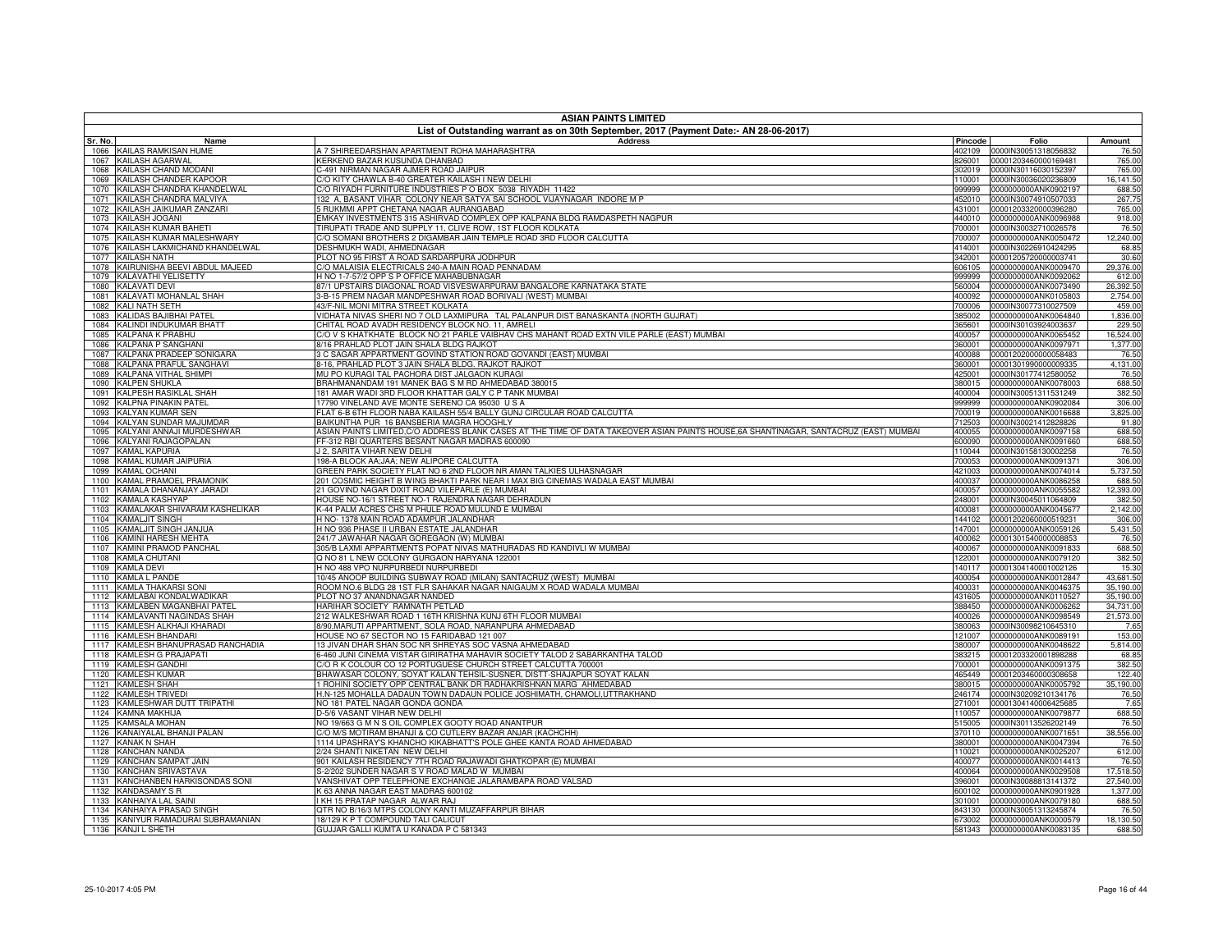|              | <b>ASIAN PAINTS LIMITED</b><br>List of Outstanding warrant as on 30th September, 2017 (Payment Date:- AN 28-06-2017) |                                                                                                                                              |                  |                                                     |                        |  |
|--------------|----------------------------------------------------------------------------------------------------------------------|----------------------------------------------------------------------------------------------------------------------------------------------|------------------|-----------------------------------------------------|------------------------|--|
| Sr. No.      | Name                                                                                                                 | <b>Address</b>                                                                                                                               | Pincode          | Folio                                               | Amount                 |  |
|              | 1066 KAILAS RAMKISAN HUME                                                                                            | A 7 SHIREEDARSHAN APARTMENT ROHA MAHARASHTRA                                                                                                 | 402109           | 0000IN30051318056832                                | 76.50                  |  |
| 1067         | <b>KAILASH AGARWAL</b>                                                                                               | KERKEND BAZAR KUSUNDA DHANBAD                                                                                                                | 826001           | 00001203460000169481                                | 765.00                 |  |
| 1068         | KAILASH CHAND MODANI                                                                                                 | C-491 NIRMAN NAGAR AJMER ROAD JAIPUR                                                                                                         | 302019           | 0000IN30116030152397                                | 765.00                 |  |
| 1069         | KAILASH CHANDER KAPOOR                                                                                               | C/O KITY CHAWLA B-40 GREATER KAILASH I NEW DELHI                                                                                             | 110001           | 0000IN30036020236809                                | 16,141.50              |  |
| 1070<br>1071 | KAILASH CHANDRA KHANDELWAL<br>KAILASH CHANDRA MALVIYA                                                                | C/O RIYADH FURNITURE INDUSTRIES P O BOX 5038 RIYADH 11422<br>132 A, BASANT VIHAR COLONY NEAR SATYA SAI SCHOOL VIJAYNAGAR INDORE M P          | 999999<br>452010 | 0000000000ANK0902197<br>0000IN30074910507033        | 688.50<br>267.75       |  |
| 1072         | KAILASH JAIKUMAR ZANZARI                                                                                             | RUKMMI APPT CHETANA NAGAR AURANGABAD                                                                                                         | 431001           | 00001203320000396280                                | 765.00                 |  |
| 1073         | KAILASH JOGANI                                                                                                       | EMKAY INVESTMENTS 315 ASHIRVAD COMPLEX OPP KALPANA BLDG RAMDASPETH NAGPUR                                                                    | 440010           | 0000000000ANK0096988                                | 918.00                 |  |
| 1074         | KAILASH KUMAR BAHETI                                                                                                 | TIRUPATI TRADE AND SUPPLY 11, CLIVE ROW, 1ST FLOOR KOLKATA                                                                                   | 700001           | 0000IN30032710026578                                | 76.50                  |  |
| 1075         | KAILASH KUMAR MALESHWARY                                                                                             | C/O SOMANI BROTHERS 2 DIGAMBAR JAIN TEMPLE ROAD 3RD FLOOR CALCUTTA                                                                           | 700007           | 0000000000ANK0050472                                | 12,240.00              |  |
| 1076         | KAILASH LAKMICHAND KHANDELWAL                                                                                        | DESHMUKH WADI, AHMEDNAGAR                                                                                                                    | 414001           | 0000IN30226910424295                                | 68.85                  |  |
| 1077         | KAILASH NATH                                                                                                         | PLOT NO 95 FIRST A ROAD SARDARPURA JODHPUR                                                                                                   | 342001           | 00001205720000003741                                | 30.60                  |  |
| 1078         | KAIRUNISHA BEEVI ABDUL MAJEED                                                                                        | C/O MALAISIA ELECTRICALS 240-A MAIN ROAD PENNADAM                                                                                            | 606105           | 0000000000ANK0009470                                | 29,376.00              |  |
| 1079<br>1080 | KALAVATHI YELISETTY<br><b>KALAVATI DEVI</b>                                                                          | H NO 1-7-57/2 OPP S P OFFICE MAHABUBNAGAR<br>37/1 UPSTAIRS DIAGONAL ROAD VISVESWARPURAM BANGALORE KARNATAKA STATE                            | 999999<br>560004 | 0000000000ANK0092062<br>0000000000ANK0073490        | 612.00<br>26,392.50    |  |
| 1081         | KALAVATI MOHANLAL SHAH                                                                                               | 3-B-15 PREM NAGAR MANDPESHWAR ROAD BORIVALI (WEST) MUMBAI                                                                                    | 400092           | 0000000000ANK0105803                                | 2,754.00               |  |
| 1082         | <b>KALI NATH SETH</b>                                                                                                | 43/F-NIL MONI MITRA STREET KOLKATA                                                                                                           | 700006           | 0000IN30077310027509                                | 459.00                 |  |
| 1083         | KALIDAS BAJIBHAI PATEL                                                                                               | VIDHATA NIVAS SHERI NO 7 OLD LAXMIPURA TAL PALANPUR DIST BANASKANTA (NORTH GUJRAT)                                                           | 385002           | 0000000000ANK0064840                                | 1,836.00               |  |
| 1084         | KALINDI INDUKUMAR BHATT                                                                                              | CHITAL ROAD AVADH RESIDENCY BLOCK NO. 11. AMRELI                                                                                             | 365601           | 0000IN30103924003637                                | 229.50                 |  |
| 1085         | <b>KALPANA K PRABHU</b>                                                                                              | C/O V S KHATKHATE BLOCK NO 21 PARLE VAIBHAV CHS MAHANT ROAD EXTN VILE PARLE (EAST) MUMBAI                                                    | 400057           | 0000000000ANK0065452                                | 16,524.00              |  |
| 1086         | <b>KALPANA P SANGHANI</b>                                                                                            | 8/16 PRAHLAD PLOT JAIN SHALA BLDG RAJKOT                                                                                                     | 360001           | 0000000000ANK0097971                                | 1,377.00               |  |
| 1087         | KALPANA PRADEEP SONIGARA                                                                                             | 3 C SAGAR APPARTMENT GOVIND STATION ROAD GOVANDI (EAST) MUMBAL                                                                               | 400088           | 00001202000000058483                                | 76.50                  |  |
| 1088         | KALPANA PRAFUL SANGHAVI                                                                                              | 3-16. PRAHLAD PLOT 3 JAIN SHALA BLDG. RAJKOT RAJKOT                                                                                          | 360001           | 00001301990000009335                                | 4.131.00               |  |
| 1089         | KALPANA VITHAL SHIMPI<br><b>KALPEN SHUKLA</b>                                                                        | MU PO KURAGI TAL PACHORA DIST JALGAON KURAGI<br>BRAHMANANDAM 191 MANEK BAG S M RD AHMEDABAD 380015                                           | 425001           | 0000IN30177412580052<br>0000000000ANK0078003        | 76.50<br>688.50        |  |
| 1090<br>1091 | <b>KALPESH RASIKLAL SHAH</b>                                                                                         | 181 AMAR WADI 3RD FLOOR KHATTAR GALY C P TANK MUMBAI                                                                                         | 380015<br>400004 | 0000IN30051311531249                                | 382.50                 |  |
| 1092         | <b>KALPNA PINAKIN PATEL</b>                                                                                          | 17790 VINELAND AVE MONTE SERENO CA 95030 U S A                                                                                               | 999999           | 0000000000ANK0902084                                | 306.00                 |  |
|              | 1093 KALYAN KUMAR SEN                                                                                                | FLAT 6-B 6TH FLOOR NABA KAILASH 55/4 BALLY GUNJ CIRCULAR ROAD CALCUTTA                                                                       | 700019           | 0000000000ANK0016688                                | 3,825.00               |  |
| 1094         | KALYAN SUNDAR MAJUMDAR                                                                                               | BAIKUNTHA PUR 16 BANSBERIA MAGRA HOOGHLY                                                                                                     | 712503           | 0000IN30021412828826                                | 91.80                  |  |
| 1095         | KALYANI ANNAJI MURDESHWAR                                                                                            | ASIAN PAINTS LIMITED,C/O ADDRESS BLANK CASES AT THE TIME OF DATA TAKEOVER ASIAN PAINTS HOUSE,6A SHANTINAGAR, SANTACRUZ (EAST) MUMBAI         | 400055           | 0000000000ANK0097158                                | 688.50                 |  |
| 1096         | KALYANI RAJAGOPALAN                                                                                                  | FF-312 RBI QUARTERS BESANT NAGAR MADRAS 600090                                                                                               | 600090           | 0000000000ANK0091660                                | 688.50                 |  |
| 1097         | <b>KAMAL KAPURIA</b>                                                                                                 | J 2. SARITA VIHAR NEW DELHI                                                                                                                  | 110044           | 0000IN30158130002258                                | 76.50                  |  |
| 1098         | KAMAL KUMAR JAIPURIA                                                                                                 | 198-A BLOCK AA;JAA; NEW ALIPORE CALCUTTA                                                                                                     | 700053           | 0000000000ANK0091371                                | 306.00                 |  |
| 1099         | <b>KAMAL OCHANI</b>                                                                                                  | GREEN PARK SOCIETY FLAT NO 6 2ND FLOOR NR AMAN TALKIES ULHASNAGAR                                                                            | 421003           | 0000000000ANK0074014                                | 5,737.50               |  |
| 1100<br>1101 | KAMAL PRAMOEL PRAMONIK<br>KAMALA DHANANJAY JARADI                                                                    | 201 COSMIC HEIGHT B WING BHAKTI PARK NEAR I MAX BIG CINEMAS WADALA EAST MUMBAI<br>21 GOVIND NAGAR DIXIT ROAD VILEPARLE (E) MUMBAI            | 400037<br>400057 | 0000000000ANK0086258<br>0000000000ANK0055582        | 688.50<br>12,393.00    |  |
| 1102         | <b>KAMALA KASHYAP</b>                                                                                                | HOUSE NO-16/1 STREET NO-1 RAJENDRA NAGAR DEHRADUN                                                                                            | 248001           | 0000IN30045011064809                                | 382.50                 |  |
| 1103         | KAMALAKAR SHIVARAM KASHELIKAR                                                                                        | K-44 PALM ACRES CHS M PHULE ROAD MULUND E MUMBAI                                                                                             | 400081           | 0000000000ANK0045677                                | 2,142.00               |  |
| 1104         | <b>KAMALJIT SINGH</b>                                                                                                | H NO-1378 MAIN ROAD ADAMPUR JALANDHAR                                                                                                        | 144102           | 00001202060000519231                                | 306.00                 |  |
| 1105         | KAMALJIT SINGH JANJUA                                                                                                | H NO 936 PHASE II URBAN ESTATE JALANDHAR                                                                                                     | 147001           | 0000000000ANK0059126                                | 5,431.50               |  |
| 1106         | KAMINI HARESH MEHTA                                                                                                  | 241/7 JAWAHAR NAGAR GOREGAON (W) MUMBAI                                                                                                      | 400062           | 00001301540000008853                                | 76.50                  |  |
| 1107         | KAMINI PRAMOD PANCHAL                                                                                                | 305/B LAXMI APPARTMENTS POPAT NIVAS MATHURADAS RD KANDIVLI W MUMBAI                                                                          | 400067           | 0000000000ANK0091833                                | 688.50                 |  |
|              | 1108 KAMLA CHUTANI                                                                                                   | Q NO 81 L NEW COLONY GURGAON HARYANA 122001                                                                                                  | 122001           | 0000000000ANK0079120                                | 382.50                 |  |
| 1109         | <b>KAMLA DEVI</b>                                                                                                    | H NO 488 VPO NURPURBEDI NURPURBEDI                                                                                                           | 140117           | 00001304140001002126                                | 15.30                  |  |
|              | 1110 KAMLA L PANDE<br>KAMLA THAKARSI SONI                                                                            | 10/45 ANOOP BUILDING SUBWAY ROAD (MILAN) SANTACRUZ (WEST) MUMBAI<br>ROOM NO.6 BLDG 28 1ST FLR SAHAKAR NAGAR NAIGAUM X ROAD WADALA MUMBAI     | 400054           | 0000000000ANK0012847<br>0000000000ANK0046375        | 43,681.50              |  |
| 1111<br>1112 | KAMLABAI KONDALWADIKAR                                                                                               | PLOT NO 37 ANANDNAGAR NANDED                                                                                                                 | 400031<br>431605 | 0000000000ANK0110527                                | 35,190.00<br>35,190.00 |  |
|              | 1113 KAMLABEN MAGANBHAI PATEL                                                                                        | HARIHAR SOCIETY RAMNATH PETLAD                                                                                                               | 388450           | 0000000000ANK0006262                                | 34,731.00              |  |
|              | 1114 KAMLAVANTI NAGINDAS SHAH                                                                                        | 212 WALKESHWAR ROAD 1 16TH KRISHNA KUNJ 6TH FLOOR MUMBAI                                                                                     | 400026           | 0000000000ANK0098549                                | 21,573.00              |  |
| 1115         | KAMLESH ALKHAJI KHARADI                                                                                              | 8/90, MARUTI APPARTMENT, SOLA ROAD, NARANPURA AHMEDABAD                                                                                      | 380063           | 0000IN30098210645310                                | 7.65                   |  |
|              | 1116 KAMLESH BHANDARI                                                                                                | HOUSE NO 67 SECTOR NO 15 FARIDABAD 121 007                                                                                                   | 121007           | 0000000000ANK0089191                                | 153.00                 |  |
|              | 1117 KAMLESH BHANUPRASAD RANCHADIA                                                                                   | 13 JIVAN DHAR SHAN SOC NR SHREYAS SOC VASNA AHMEDABAD                                                                                        | 380007           | 0000000000ANK0048622                                | 5,814.00               |  |
|              | 1118 KAMLESH G PRAJAPATI                                                                                             | 6-460 JUNI CINEMA VISTAR GIRIRATHA MAHAVIR SOCIETY TALOD 2 SABARKANTHA TALOD                                                                 | 383215           | 00001203320001898288                                | 68.85                  |  |
|              | 1119 KAMLESH GANDHI                                                                                                  | C/O R K COLOUR CO 12 PORTUGUESE CHURCH STREET CALCUTTA 700001                                                                                | 700001           | 0000000000ANK0091375                                | 382.50                 |  |
|              | 1120 KAMLESH KUMAR                                                                                                   | BHAWASAR COLONY, SOYAT KALAN TEHSIL-SUSNER, DISTT-SHAJAPUR SOYAT KALAN                                                                       | 465449           | 00001203460000308658                                | 122.40                 |  |
|              | 1121 KAMLESH SHAH<br><b>KAMLESH TRIVEDI</b>                                                                          | 1 ROHINI SOCIETY OPP CENTRAL BANK DR RADHAKRISHNAN MARG AHMEDABAD<br>H.N-125 MOHALLA DADAUN TOWN DADAUN POLICE JOSHIMATH, CHAMOLI.UTTRAKHAND | 380015           | 0000000000ANK0005792<br>246174 0000IN30209210134176 | 35,190.00              |  |
| 1122<br>1123 | KAMLESHWAR DUTT TRIPATHI                                                                                             | NO 181 PATEL NAGAR GONDA GONDA                                                                                                               | 271001           | 00001304140006425685                                | 76.50<br>7.65          |  |
|              | 1124 KAMNA MAKHIJA                                                                                                   | D-5/6 VASANT VIHAR NEW DELHI                                                                                                                 | 110057           | 0000000000ANK0079877                                | 688.50                 |  |
| 1125         | <b>KAMSALA MOHAN</b>                                                                                                 | NO 19/663 G M N S OIL COMPLEX GOOTY ROAD ANANTPUR                                                                                            | 515005           | 0000IN30113526202149                                | 76.50                  |  |
| 1126         | KANAIYALAL BHANJI PALAN                                                                                              | C/O M/S MOTIRAM BHANJI & CO CUTLERY BAZAR ANJAR (KACHCHH)                                                                                    | 370110           | 0000000000ANK0071651                                | 38,556.00              |  |
|              | 1127 KANAK N SHAH                                                                                                    | 1114 UPASHRAY'S KHANCHO KIKABHATT'S POLE GHEE KANTA ROAD AHMEDABAD                                                                           | 380001           | 0000000000ANK0047394                                | 76.50                  |  |
|              | 1128 KANCHAN NANDA                                                                                                   | 2/24 SHANTI NIKETAN NEW DELHI                                                                                                                | 110021           | 0000000000ANK0025207                                | 612.00                 |  |
|              | 1129 KANCHAN SAMPAT JAIN                                                                                             | 901 KAILASH RESIDENCY 7TH ROAD RAJAWADI GHATKOPAR (E) MUMBAI                                                                                 | 400077           | 0000000000ANK0014413                                | 76.50                  |  |
|              | 1130 KANCHAN SRIVASTAVA                                                                                              | S-2/202 SUNDER NAGAR S V ROAD MALAD W MUMBAI                                                                                                 | 400064           | 0000000000ANK0029508                                | 17,518.50              |  |
|              | 1131 KANCHANBEN HARKISONDAS SONI                                                                                     | VANSHIVAT OPP TELEPHONE EXCHANGE JALARAMBAPA ROAD VALSAD                                                                                     | 396001           | 0000IN30088813141372                                | 27,540.00              |  |
|              | 1132 KANDASAMY S R                                                                                                   | K 63 ANNA NAGAR EAST MADRAS 600102<br>I KH 15 PRATAP NAGAR ALWAR RAJ                                                                         | 600102           | 0000000000ANK0901928                                | 1,377.00               |  |
| 1133         | KANHAIYA LAL SAINI<br>1134 KANHAIYA PRASAD SINGH                                                                     | QTR NO B/16/3 MTPS COLONY KANTI MUZAFFARPUR BIHAR                                                                                            | 301001<br>843130 | 0000000000ANK0079180<br>0000IN30051313245874        | 688.50<br>76.50        |  |
|              | 1135 KANIYUR RAMADURAI SUBRAMANIAN                                                                                   | 18/129 K P T COMPOUND TALI CALICUT                                                                                                           |                  | 673002 0000000000ANK0000579                         | 18,130.50              |  |
|              | 1136 KANJI L SHETH                                                                                                   | GUJJAR GALLI KUMTA U KANADA P C 581343                                                                                                       |                  | 581343 0000000000ANK0083135                         | 688.50                 |  |
|              |                                                                                                                      |                                                                                                                                              |                  |                                                     |                        |  |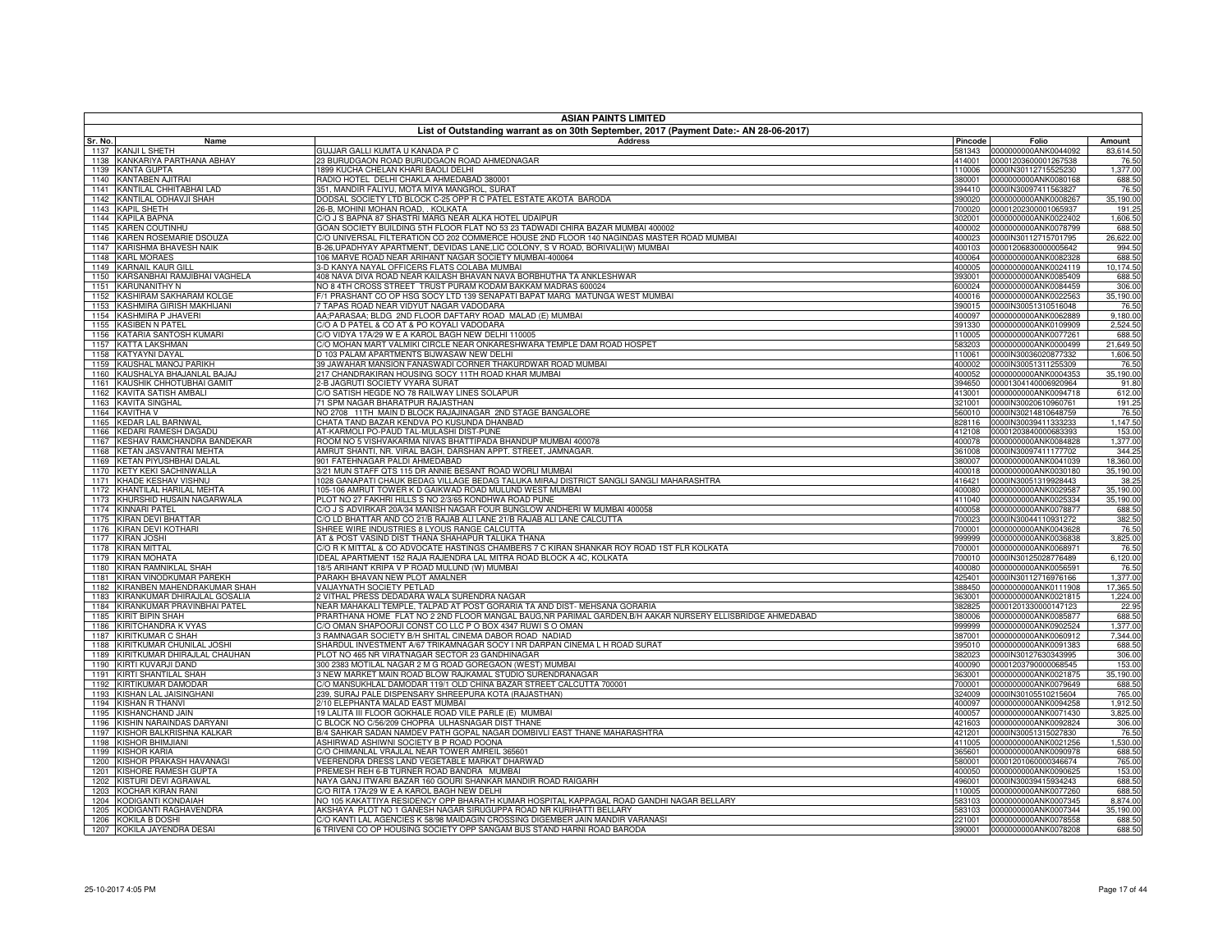| <b>ASIAN PAINTS LIMITED</b>                                            |                                                                                                                                     |                  |                                              |                        |  |
|------------------------------------------------------------------------|-------------------------------------------------------------------------------------------------------------------------------------|------------------|----------------------------------------------|------------------------|--|
| Sr. No.<br>Name                                                        | List of Outstanding warrant as on 30th September, 2017 (Payment Date:- AN 28-06-2017)<br><b>Address</b>                             | Pincode          | Folio                                        | Amount                 |  |
| 1137 KANJI L SHETH                                                     | GUJJAR GALLI KUMTA U KANADA P C                                                                                                     |                  | 581343 0000000000ANK0044092                  | 83,614.50              |  |
| 1138 KANKARIYA PARTHANA ABHAY                                          | 23 BURUDGAON ROAD BURUDGAON ROAD AHMEDNAGAR                                                                                         | 414001           | 00001203600001267538                         | 76.50                  |  |
| 1139 KANTA GUPTA                                                       | 899 KUCHA CHELAN KHARI BAOLI DELHI                                                                                                  | 110006           | 0000IN30112715525230                         | 1,377.00               |  |
| 1140 KANTABEN AJITRAI                                                  | RADIO HOTEL DELHI CHAKLA AHMEDABAD 380001                                                                                           | 380001           | 0000000000ANK0080168                         | 688.50                 |  |
| 1141 KANTILAL CHHITABHAI LAD<br>1142 KANTILAL ODHAVJI SHAH             | 351, MANDIR FALIYU, MOTA MIYA MANGROL, SURAT<br>OODSAL SOCIETY LTD BLOCK C-25 OPP R C PATEL ESTATE AKOTA BARODA                     | 394410<br>390020 | 0000IN30097411563827<br>0000000000ANK0008267 | 76.50<br>35,190.00     |  |
| 1143 KAPIL SHETH                                                       | 26-B, MOHINI MOHAN ROAD, . KOLKATA                                                                                                  | 700020           | 00001202300001065937                         | 191.25                 |  |
| 1144 KAPILA BAPNA                                                      | C/O J S BAPNA 87 SHASTRI MARG NEAR ALKA HOTEL UDAIPUR                                                                               | 302001           | 0000000000ANK0022402                         | 1,606.50               |  |
| 1145 KAREN COUTINHU                                                    | GOAN SOCIETY BUILDING 5TH FLOOR FLAT NO 53 23 TADWADI CHIRA BAZAR MUMBAI 400002                                                     | 400002           | 0000000000ANK0078799                         | 688.50                 |  |
| 1146 KAREN ROSEMARIE DSOUZA                                            | C/O UNIVERSAL FILTERATION CO 202 COMMERCE HOUSE 2ND FLOOR 140 NAGINDAS MASTER ROAD MUMBAI                                           | 400023           | 0000IN30112715701795                         | 26,622.00              |  |
| 1147 KARISHMA BHAVESH NAIK                                             | 3-26, UPADHYAY APARTMENT, DEVIDAS LANE, LIC COLONY, S V ROAD, BORIVALI(W) MUMBAI                                                    | 400103           | 00001206830000005642                         | 994.50                 |  |
| 1148 KARL MORAES                                                       | 106 MARVE ROAD NEAR ARIHANT NAGAR SOCIETY MUMBAI-400064                                                                             | 400064           | 0000000000ANK0082328                         | 688.50                 |  |
| 1149 KARNAIL KAUR GILL                                                 | 3-D KANYA NAYAL OFFICERS FLATS COLABA MUMBAI                                                                                        | 400005           | 0000000000ANK0024119                         | 10,174.50              |  |
| KARSANBHAI RAMJIBHAI VAGHELA<br>1150<br><b>KARUNANITHY N</b><br>1151   | 408 NAVA DIVA ROAD NEAR KAILASH BHAVAN NAVA BORBHUTHA TA ANKLESHWAR<br>VO 8 4TH CROSS STREET TRUST PURAM KODAM BAKKAM MADRAS 600024 | 393001<br>600024 | 0000000000ANK0085409<br>0000000000ANK0084459 | 688.50<br>306.00       |  |
| KASHIRAM SAKHARAM KOLGE<br>1152                                        | 1/1 PRASHANT CO OP HSG SOCY LTD 139 SENAPATI BAPAT MARG MATUNGA WEST MUMBAI                                                         | 400016           | 0000000000ANK0022563                         | 35,190.00              |  |
| 1153 KASHMIRA GIRISH MAKHIJANI                                         | 7 TAPAS ROAD NEAR VIDYUT NAGAR VADODARA                                                                                             | 390015           | 0000IN30051310516048                         | 76.50                  |  |
| <b>KASHMIRA P JHAVERI</b><br>1154                                      | AA;PARASAA; BLDG 2ND FLOOR DAFTARY ROAD MALAD (E) MUMBAI                                                                            | 400097           | 0000000000ANK0062889                         | 9,180.00               |  |
| 1155 KASIBEN N PATEL                                                   | C/O A D PATEL & CO AT & PO KOYALI VADODARA                                                                                          | 391330           | 0000000000ANK0109909                         | 2,524.50               |  |
| 1156 KATARIA SANTOSH KUMARI                                            | C/O VIDYA 17A/29 W E A KAROL BAGH NEW DELHI 110005                                                                                  | 110005           | 0000000000ANK0077261                         | 688.50                 |  |
| <b>KATTA LAKSHMAN</b><br>1157                                          | C/O MOHAN MART VALMIKI CIRCLE NEAR ONKARESHWARA TEMPLE DAM ROAD HOSPET                                                              | 583203           | 0000000000ANK0000499                         | 21,649.50              |  |
| <b>KATYAYNI DAYAL</b><br>1158                                          | D 103 PALAM APARTMENTS BIJWASAW NEW DELHI                                                                                           | 110061           | 0000IN30036020877332                         | 1,606.50               |  |
| 1159 KAUSHAL MANOJ PARIKH                                              | 39 JAWAHAR MANSION FANASWADI CORNER THAKURDWAR ROAD MUMBAI                                                                          | 400002           | 0000IN30051311255309                         | 76.50                  |  |
| 1160 KAUSHALYA BHAJANLAL BAJAJ<br>KAUSHIK CHHOTUBHAI GAMIT<br>1161     | 217 CHANDRAKIRAN HOUSING SOCY 11TH ROAD KHAR MUMBAI<br>2-B JAGRUTI SOCIETY VYARA SURAT                                              | 400052<br>394650 | 0000000000ANK0004353<br>00001304140006920964 | 35,190.00<br>91.80     |  |
| 1162 KAVITA SATISH AMBALI                                              | C/O SATISH HEGDE NO 78 RAILWAY LINES SOLAPUR                                                                                        | 413001           | 0000000000ANK0094718                         | 612.00                 |  |
| <b>KAVITA SINGHAL</b><br>1163                                          | 71 SPM NAGAR BHARATPUR RAJASTHAN                                                                                                    | 321001           | 0000IN30020610960761                         | 191.25                 |  |
| 1164 KAVITHA V                                                         | NO 2708 11TH MAIN D BLOCK RAJAJINAGAR 2ND STAGE BANGALORE                                                                           | 560010           | 0000IN30214810648759                         | 76.50                  |  |
| <b>KEDAR LAL BARNWAL</b><br>1165                                       | CHATA TAND BAZAR KENDVA PO KUSUNDA DHANBAD                                                                                          | 828116           | 0000IN30039411333233                         | 1.147.50               |  |
| <b>KEDARI RAMESH DAGADU</b><br>1166                                    | AT-KARMOLI PO-PAUD TAL-MULASHI DIST-PUNE                                                                                            | 412108           | 00001203840000683393                         | 153.00                 |  |
| KESHAV RAMCHANDRA BANDEKAR<br>1167                                     | ROOM NO 5 VISHVAKARMA NIVAS BHATTIPADA BHANDUP MUMBAI 400078                                                                        | 400078           | 0000000000ANK0084828                         | 1,377.00               |  |
| KETAN JASVANTRAI MEHTA<br>1168                                         | AMRUT SHANTI, NR. VIRAL BAGH, DARSHAN APPT. STREET, JAMNAGAR.                                                                       | 361008           | 0000IN30097411177702                         | 344.25                 |  |
| <b>KETAN PIYUSHBHAI DALAL</b><br>1169<br>1170 KETY KEKI SACHINWALLA    | 901 FATEHNAGAR PALDI AHMEDABAD<br>3/21 MUN STAFF QTS 115 DR ANNIE BESANT ROAD WORLI MUMBAI                                          | 380007<br>400018 | 0000000000ANK0041039<br>0000000000ANK0030180 | 18,360.00<br>35,190.00 |  |
| KHADE KESHAV VISHNU<br>1171                                            | 1028 GANAPATI CHAUK BEDAG VILLAGE BEDAG TALUKA MIRAJ DISTRICT SANGLI SANGLI MAHARASHTRA                                             | 416421           | 0000IN30051319928443                         | 38.25                  |  |
| KHANTILAL HARILAL MEHTA<br>1172                                        | 105-106 AMRUT TOWER K D GAIKWAD ROAD MULUND WEST MUMBAI                                                                             | 400080           | 0000000000ANK0029587                         | 35,190.00              |  |
| 1173 KHURSHID HUSAIN NAGARWALA                                         | PLOT NO 27 FAKHRI HILLS S NO 2/3/65 KONDHWA ROAD PUNE                                                                               |                  | 411040 0000000000ANK0025334                  | 35,190.00              |  |
| 1174 KINNARI PATEL                                                     | C/O J S ADVIRKAR 20A/34 MANISH NAGAR FOUR BUNGLOW ANDHERI W MUMBAI 400058                                                           | 400058           | 0000000000ANK0078877                         | 688.50                 |  |
| KIRAN DEVI BHATTAR<br>1175                                             | C/O LD BHATTAR AND CO 21/B RAJAB ALI LANE 21/B RAJAB ALI LANE CALCUTTA                                                              | 700023           | 0000IN30044110931272                         | 382.50                 |  |
| 1176 KIRAN DEVI KOTHARI                                                | SHREE WIRE INDUSTRIES 8 LYOUS RANGE CALCUTTA                                                                                        | 700001           | 0000000000ANK0043628                         | 76.50                  |  |
| <b>KIRAN JOSHI</b><br>1177                                             | AT & POST VASIND DIST THANA SHAHAPUR TALUKA THANA                                                                                   | 999999           | 0000000000ANK0036838                         | 3,825.00               |  |
| <b>KIRAN MITTAL</b><br>1178                                            | C/O R K MITTAL & CO ADVOCATE HASTINGS CHAMBERS 7 C KIRAN SHANKAR ROY ROAD 1ST FLR KOLKATA                                           | 700001           | 0000000000ANK0068971                         | 76.50                  |  |
| 1179 KIRAN MOHATA<br><b>KIRAN RAMNIKLAL SHAH</b><br>1180               | DEAL APARTMENT 152 RAJA RAJENDRA LAL MITRA ROAD BLOCK A 4C, KOLKATA<br>18/5 ARIHANT KRIPA V P ROAD MULUND (W) MUMBAI                | 700010<br>400080 | 0000IN30125028776489<br>0000000000ANK0056591 | 6,120.00<br>76.50      |  |
| 1181 KIRAN VINODKUMAR PAREKH                                           | PARAKH BHAVAN NEW PLOT AMALNER                                                                                                      | 425401           | 0000IN30112716976166                         | 1,377.00               |  |
| KIRANBEN MAHENDRAKUMAR SHAH<br>1182                                    | VAIJAYNATH SOCIETY PETLAD                                                                                                           | 388450           | 0000000000ANK0111908                         | 17,365.50              |  |
| KIRANKUMAR DHIRAJLAL GOSALIA<br>1183                                   | VITHAL PRESS DEDADARA WALA SURENDRA NAGAR                                                                                           | 363001           | 0000000000ANK0021815                         | 1,224.00               |  |
| 1184 KIRANKUMAR PRAVINBHAI PATEL                                       | NEAR MAHAKALI TEMPLE, TALPAD AT POST GORARIA TA AND DIST- MEHSANA GORARIA                                                           | 382825           | 00001201330000147123                         | 22.95                  |  |
| 1185 KIRIT BIPIN SHAH                                                  | PRARTHANA HOME FLAT NO 2 2ND FLOOR MANGAL BAUG, NR PARIMAL GARDEN, B/H AAKAR NURSERY ELLISBRIDGE AHMEDABAD                          | 380006           | 0000000000ANK0085877                         | 688.50                 |  |
| KIRITCHANDRA K VYAS<br>1186                                            | C/O OMAN SHAPOORJI CONST CO LLC P O BOX 4347 RUWI S O OMAN                                                                          | 999999           | 0000000000ANK0902524                         | 1,377.00               |  |
| 1187 KIRITKUMAR C SHAH                                                 | 3 RAMNAGAR SOCIETY B/H SHITAL CINEMA DABOR ROAD NADIAD                                                                              | 387001           | 0000000000ANK0060912                         | 7,344.00               |  |
| KIRITKUMAR CHUNILAL JOSHI<br>1188<br>1189 KIRITKUMAR DHIRAJLAL CHAUHAN | HARDUL INVESTMENT A/67 TRIKAMNAGAR SOCY I NR DARPAN CINEMA L H ROAD SURAT<br>PLOT NO 465 NR VIRATNAGAR SECTOR 23 GANDHINAGAR        | 395010<br>382023 | 0000000000ANK0091383<br>0000IN30127630343995 | 688.50<br>306.00       |  |
| 1190 KIRTI KUVARJI DAND                                                | 300 2383 MOTILAL NAGAR 2 M G ROAD GOREGAON (WEST) MUMBAI                                                                            | 400090           | 00001203790000068545                         | 153.00                 |  |
| KIRTI SHANTILAL SHAH<br>1191                                           | 3 NEW MARKET MAIN ROAD BLOW RAJKAMAL STUDIO SURENDRANAGAR                                                                           | 363001           | 0000000000ANK0021875                         | 35,190.00              |  |
| 1192 KIRTIKUMAR DAMODAR                                                | C/O MANSUKHLAL DAMODAR 119/1 OLD CHINA BAZAR STREET CALCUTTA 700001                                                                 | 700001           | 0000000000ANK0079649                         | 688.50                 |  |
| KISHAN LAL JAISINGHANI<br>1193                                         | 239, SURAJ PALE DISPENSARY SHREEPURA KOTA (RAJASTHAN)                                                                               | 324009           | 0000IN30105510215604                         | 765.00                 |  |
| <b>KISHAN R THANVI</b><br>1194                                         | 2/10 ELEPHANTA MALAD EAST MUMBAI                                                                                                    | 400097           | 0000000000ANK0094258                         | 1,912.50               |  |
| 1195 KISHANCHAND JAIN                                                  | 19 LALITA III FLOOR GOKHALE ROAD VILE PARLE (E) MUMBAI                                                                              | 400057           | 0000000000ANK0071430                         | 3,825.00               |  |
| 1196 KISHIN NARAINDAS DARYANI                                          | C BLOCK NO C/56/209 CHOPRA ULHASNAGAR DIST THANE                                                                                    | 421603           | 0000000000ANK0092824                         | 306.00                 |  |
| KISHOR BALKRISHNA KALKAR<br>1197                                       | 3/4 SAHKAR SADAN NAMDEV PATH GOPAL NAGAR DOMBIVLI EAST THANE MAHARASHTRA                                                            | 421201           | 0000IN30051315027830                         | 76.50                  |  |
| 1198 KISHOR BHIMJIANI<br>1199 KISHOR KARIA                             | ASHIRWAD ASHIWNI SOCIETY B P ROAD POONA<br>C/O CHIMANLAL VRAJLAL NEAR TOWER AMREIL 365601                                           | 411005<br>365601 | 0000000000ANK0021256<br>0000000000ANK0090978 | 1,530.00<br>688.50     |  |
| KISHOR PRAKASH HAVANAGI<br>1200                                        | VEERENDRA DRESS LAND VEGETABLE MARKAT DHARWAD                                                                                       | 580001           | 00001201060000346674                         | 765.00                 |  |
| 1201 KISHORE RAMESH GUPTA                                              | PREMESH REH 6-B TURNER ROAD BANDRA MUMBAI                                                                                           | 400050           | 0000000000ANK0090625                         | 153.00                 |  |
| 1202 KISTURI DEVI AGRAWAL                                              | VAYA GANJ ITWARI BAZAR 160 GOURI SHANKAR MANDIR ROAD RAIGARH                                                                        | 496001           | 0000IN30039415934243                         | 688.50                 |  |
| KOCHAR KIRAN RANI<br>1203                                              | C/O RITA 17A/29 W E A KAROL BAGH NEW DELHI                                                                                          | 110005           | 0000000000ANK0077260                         | 688.50                 |  |
| KODIGANTI KONDAIAH<br>1204                                             | NO 105 KAKATTIYA RESIDENCY OPP BHARATH KUMAR HOSPITAL KAPPAGAL ROAD GANDHI NAGAR BELLARY                                            | 583103           | 0000000000ANK0007345                         | 8,874.00               |  |
| 1205 KODIGANTI RAGHAVENDRA                                             | AKSHAYA PLOT NO 1 GANESH NAGAR SIRUGUPPA ROAD NR KURIHATTI BELLARY                                                                  | 583103           | 0000000000ANK0007344                         | 35,190.00              |  |
| 1206 KOKILA B DOSHI                                                    | C/O KANTI LAL AGENCIES K 58/98 MAIDAGIN CROSSING DIGEMBER JAIN MANDIR VARANASI                                                      | 221001           | 0000000000ANK0078558                         | 688.50                 |  |
| 1207 KOKILA JAYENDRA DESAI                                             | 6 TRIVENI CO OP HOUSING SOCIETY OPP SANGAM BUS STAND HARNI ROAD BARODA                                                              | 390001           | 0000000000ANK0078208                         | 688.50                 |  |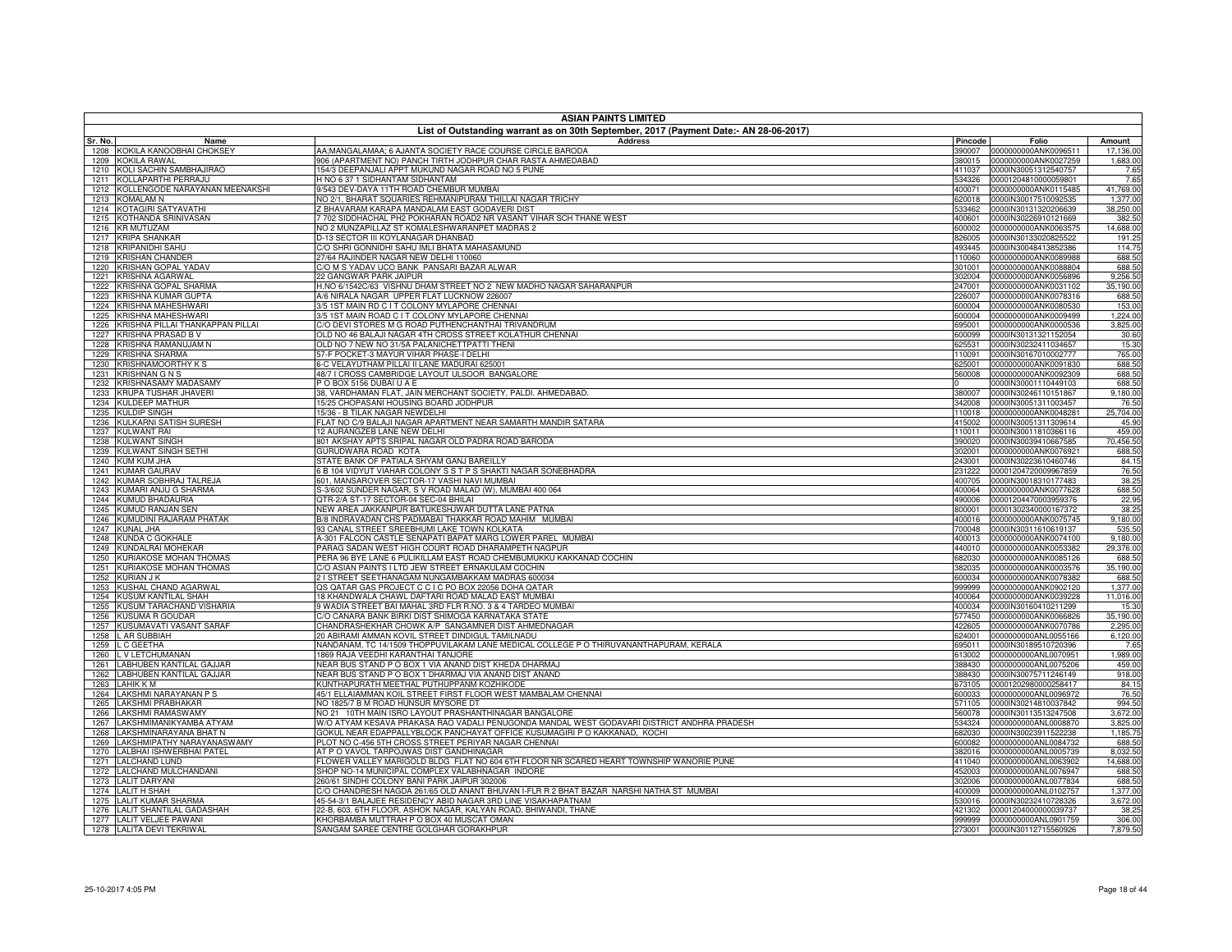| <b>ASIAN PAINTS LIMITED</b>                                       |                                                                                                                                   |                  |                                                     |                       |  |
|-------------------------------------------------------------------|-----------------------------------------------------------------------------------------------------------------------------------|------------------|-----------------------------------------------------|-----------------------|--|
|                                                                   | List of Outstanding warrant as on 30th September, 2017 (Payment Date:- AN 28-06-2017)                                             |                  |                                                     |                       |  |
| Sr. No.<br>Name                                                   | <b>Address</b>                                                                                                                    | Pincode          | Folio                                               | Amount                |  |
| 1208 KOKILA KANOOBHAI CHOKSEY<br>1209 KOKILA RAWAL                | AA;MANGALAMAA; 6 AJANTA SOCIETY RACE COURSE CIRCLE BARODA<br>906 (APARTMENT NO) PANCH TIRTH JODHPUR CHAR RASTA AHMEDABAD          | 390007<br>380015 | 0000000000ANK0096511<br>0000000000ANK0027259        | 17,136.00<br>1,683.00 |  |
| 1210 KOLI SACHIN SAMBHAJIRAO                                      | 154/3 DEEPANJALI APPT MUKUND NAGAR ROAD NO 5 PUNE                                                                                 | 411037           | 0000IN30051312540757                                | 7.65                  |  |
| KOLLAPARTHI PERRAJU<br>1211                                       | H NO 6 37 1 SIDHANTAM SIDHANTAM                                                                                                   | 534326           | 00001204810000059801                                | 7.65                  |  |
| 1212 KOLLENGODE NARAYANAN MEENAKSHI                               | 9/543 DEV-DAYA 11TH ROAD CHEMBUR MUMBAI                                                                                           | 400071           | 0000000000ANK0115485                                | 41,769.00             |  |
| 1213 KOMALAM N                                                    | VO 2/1, BHARAT SQUARIES REHMANIPURAM THILLAI NAGAR TRICHY                                                                         | 620018           | 0000IN30017510092535                                | 1,377.00              |  |
| KOTAGIRI SATYAVATHI<br>1214                                       | Z BHAVARAM KARAPA MANDALAM EAST GODAVERI DIST                                                                                     | 533462           | 0000IN30131320206639                                | 38,250.00             |  |
| KOTHANDA SRINIVASAN<br>1215                                       | 7702 SIDDHACHAL PH2 POKHARAN ROAD2 NR VASANT VIHAR SCH THANE WEST                                                                 | 400601           | 0000IN30226910121669                                | 382.50                |  |
| 1216 KR MUTUZAM                                                   | NO 2 MUNZAPILLAZ ST KOMALESHWARANPET MADRAS 2                                                                                     | 600002           | 0000000000ANK0063575                                | 14,688.00             |  |
| 1217<br><b>KRIPA SHANKAR</b>                                      | D-13 SECTOR III KOYLANAGAR DHANBAD                                                                                                | 826005           | 0000IN30133020825522                                | 191.25                |  |
| <b>KRIPANIDHI SAHU</b><br>1218                                    | C/O SHRI GONNIDHI SAHU IMLI BHATA MAHASAMUND                                                                                      | 493445           | 0000IN30048413852386                                | 114.75                |  |
| 1219 KRISHAN CHANDER<br>KRISHAN GOPAL YADAV                       | 27/64 RAJINDER NAGAR NEW DELHI 110060<br>C/O M S YADAV UCO BANK PANSARI BAZAR ALWAR                                               | 110060           | 0000000000ANK0089988<br>0000000000ANK0088804        | 688.50                |  |
| 1220<br>1221<br>KRISHNA AGARWAL                                   | 22 GANGWAR PARK JAIPUR                                                                                                            | 301001<br>302004 | 0000000000ANK0056896                                | 688.50<br>9,256.50    |  |
| 1222 KRISHNA GOPAL SHARMA                                         | H.NO 6/1542C/63 VISHNU DHAM STREET NO 2 NEW MADHO NAGAR SAHARANPUR                                                                | 247001           | 0000000000ANK0031102                                | 35,190.00             |  |
| KRISHNA KUMAR GUPTA<br>1223                                       | 4/6 NIRALA NAGAR UPPER FLAT LUCKNOW 226007                                                                                        | 226007           | 0000000000ANK0078316                                | 688.50                |  |
| 1224<br>KRISHNA MAHESHWARI                                        | 3/5 1ST MAIN RD C I T COLONY MYLAPORE CHENNA                                                                                      | 600004           | 0000000000ANK0080530                                | 153.00                |  |
| KRISHNA MAHESHWARI<br>1225                                        | 3/5 1ST MAIN ROAD C I T COLONY MYLAPORE CHENNAI                                                                                   | 600004           | 0000000000ANK0009499                                | 1,224.00              |  |
| KRISHNA PILLAI THANKAPPAN PILLAI<br>1226                          | C/O DEVI STORES M G ROAD PUTHENCHANTHAI TRIVANDRUM                                                                                | 695001           | 0000000000ANK0000536                                | 3,825.00              |  |
| 1227 KRISHNA PRASAD B V                                           | OLD NO 46 BALAJI NAGAR 4TH CROSS STREET KOLATHUR CHENNAI                                                                          | 600099           | 0000IN30131321152054                                | 30.60                 |  |
| KRISHNA RAMANUJAM N<br>1228                                       | OLD NO 7 NEW NO 31/5A PALANICHETTPATTI THENI                                                                                      | 625531           | 0000IN30232411034657                                | 15.30                 |  |
| <b>KRISHNA SHARMA</b><br>1229                                     | 57-F POCKET-3 MAYUR VIHAR PHASE-I DELHI                                                                                           | 110091           | 0000IN30167010002777                                | 765.00                |  |
| 1230 KRISHNAMOORTHY KS                                            | 6-C VELAYUTHAM PILLAI II LANE MADURAI 625001                                                                                      | 625001           | 0000000000ANK0091830                                | 688.50                |  |
| 1231<br><b>KRISHNAN G N S</b>                                     | 48/7 I CROSS CAMBRIDGE LAYOUT ULSOOR BANGALORE                                                                                    | 560008           | 0000000000ANK0092309                                | 688.50                |  |
| KRISHNASAMY MADASAMY<br>1232                                      | O BOX 5156 DUBAI U A E                                                                                                            |                  | 0000IN30001110449103                                | 688.50                |  |
| 1233 KRUPA TUSHAR JHAVERI<br><b>KULDEEP MATHUR</b><br>1234        | 38, VARDHAMAN FLAT, JAIN MERCHANT SOCIETY, PALDI. AHMEDABAD.<br>15/25 CHOPASANI HOUSING BOARD JODHPUR                             | 342008           | 380007 0000IN30246110151867<br>0000IN30051311003457 | 9,180.00<br>76.50     |  |
| <b>KULDIP SINGH</b><br>1235                                       | 15/36 - B TILAK NAGAR NEWDELHI                                                                                                    | 110018           | 0000000000ANK0048281                                | 25,704.00             |  |
| KULKARNI SATISH SURESH<br>1236                                    | FLAT NO C/9 BALAJI NAGAR APARTMENT NEAR SAMARTH MANDIR SATARA                                                                     | 415002           | 0000IN30051311309614                                | 45.90                 |  |
| 1237 KULWANT RAI                                                  | 12 AURANGZEB LANE NEW DELHI                                                                                                       | 110011           | 0000IN30011810366116                                | 459.00                |  |
| <b>KULWANT SINGH</b><br>1238                                      | 301 AKSHAY APTS SRIPAL NAGAR OLD PADRA ROAD BARODA                                                                                | 390020           | 0000IN30039410667585                                | 70,456.50             |  |
| 1239 KULWANT SINGH SETHI                                          | GURUDWARA ROAD KOTA                                                                                                               | 302001           | 0000000000ANK0076921                                | 688.50                |  |
| 1240 KUM KUM JHA                                                  | STATE BANK OF PATIALA SHYAM GANJ BAREILLY                                                                                         | 243001           | 0000IN30223610460746                                | 84.15                 |  |
| 1241<br><b>KUMAR GAURAV</b>                                       | <b>B 104 VIDYUT VIAHAR COLONY S S T P S SHAKTI NAGAR SONEBHADRA</b>                                                               | 231222           | 00001204720009967859                                | 76.50                 |  |
| KUMAR SOBHRAJ TALREJA<br>1242                                     | 601, MANSAROVER SECTOR-17 VASHI NAVI MUMBAI                                                                                       | 400705           | 0000IN30018310177483                                | 38.25                 |  |
| KUMARI ANJU G SHARMA<br>1243                                      | S-3/602 SUNDER NAGAR, S V ROAD MALAD (W), MUMBAI 400 064                                                                          | 400064           | 0000000000ANK0077628                                | 688.50                |  |
| 1244 KUMUD BHADAURIA                                              | QTR-2/A ST-17 SECTOR-04 SEC-04 BHILAI                                                                                             | 490006           | 00001204470003959376                                | 22.95                 |  |
| 1245 KUMUD RANJAN SEN<br>KUMUDINI RAJARAM PHATAK                  | NEW AREA JAKKANPUR BATUKESHJWAR DUTTA LANE PATNA<br>3/8 INDRAVADAN CHS PADMABAI THAKKAR ROAD MAHIM MUMBAI                         | 800001           | 00001302340000167372                                | 38.25<br>9,180.00     |  |
| 1246<br><b>KUNAL JHA</b><br>1247                                  | 93 CANAL STREET SREEBHUMI LAKE TOWN KOLKATA                                                                                       | 400016<br>700048 | 0000000000ANK0075745<br>0000IN30311610619137        | 535.50                |  |
| <b>KUNDA C GOKHALE</b><br>1248                                    | 4-301 FALCON CASTLE SENAPATI BAPAT MARG LOWER PAREL MUMBAI                                                                        | 400013           | 0000000000ANK0074100                                | 9,180.00              |  |
| <b>KUNDALRAI MOHEKAR</b><br>1249                                  | ARAG SADAN WEST HIGH COURT ROAD DHARAMPETH NAGPUR                                                                                 | 440010           | 0000000000ANK0053382                                | 29,376.00             |  |
| KURIAKOSE MOHAN THOMAS<br>1250                                    | PERA 96 BYE LANE 6 PULIKILLAM EAST ROAD CHEMBUMUKKU KAKKANAD COCHIN                                                               | 682030           | 0000000000ANK0085126                                | 688.50                |  |
| <b>KURIAKOSE MOHAN THOMAS</b><br>1251                             | C/O ASIAN PAINTS I LTD JEW STREET ERNAKULAM COCHIN                                                                                | 382035           | 0000000000ANK0003576                                | 35,190.00             |  |
| 1252 KURIAN J K                                                   | 2 I STREET SEETHANAGAM NUNGAMBAKKAM MADRAS 600034                                                                                 | 600034           | 0000000000ANK0078382                                | 688.50                |  |
| KUSHAL CHAND AGARWAL<br>1253                                      | QS QATAR GAS PROJECT C C I C PO BOX 22056 DOHA QATAR                                                                              | 999999           | 0000000000ANK0902120                                | 1,377.00              |  |
| KUSUM KANTILAL SHAH<br>1254                                       | 18 KHANDWALA CHAWL DAFTARI ROAD MALAD EAST MUMBAI                                                                                 | 400064           | 0000000000ANK0039228                                | 11,016.00             |  |
| 1255 KUSUM TARACHAND VISHARIA                                     | 9 WADIA STREET BAI MAHAL 3RD FLR R.NO. 3 & 4 TARDEO MUMBAI                                                                        | 400034           | 0000IN30160410211299                                | 15.30                 |  |
| <b>KUSUMA R GOUDAR</b><br>1256<br>KUSUMAVATI VASANT SARAF         | C/O CANARA BANK BIRKI DIST SHIMOGA KARNATAKA STATE                                                                                | 577450           | 0000000000ANK0066826<br>0000000000ANK0070786        | 35,190.00<br>2,295.00 |  |
| 1257<br>1258 L AR SUBBIAH                                         | CHANDRASHEKHAR CHOWK A/P SANGAMNER DIST AHMEDNAGAR<br>20 ABIRAMI AMMAN KOVIL STREET DINDIGUL TAMILNADU                            | 422605<br>624001 | 0000000000ANL0055166                                | 6,120.00              |  |
| 1259 L C GEETHA                                                   | VANDANAM, TC 14/1509 THOPPUVILAKAM LANE MEDICAL COLLEGE P O THIRUVANANTHAPURAM, KERALA                                            | 695011           | 0000IN30189510720396                                | 7.65                  |  |
| 1260 L V LETCHUMANAN                                              | 1869 RAJA VEEDHI KARANTHAI TANJORE                                                                                                | 613002           | 0000000000ANL0070951                                | 1,989.00              |  |
| LABHUBEN KANTILAL GAJJAR<br>1261                                  | NEAR BUS STAND P O BOX 1 VIA ANAND DIST KHEDA DHARMAJ                                                                             | 388430           | 0000000000ANL0075206                                | 459.00                |  |
| LABHUBEN KANTILAL GAJJAR<br>1262                                  | VEAR BUS STAND P O BOX 1 DHARMAJ VIA ANAND DIST ANAND                                                                             | 388430           | 0000IN30075711246149                                | 918.00                |  |
| 1263 LAHIK K M                                                    | KUNTHAPURATH MEETHAL PUTHUPPANM KOZHIKODE                                                                                         | 673105           | 00001202980000258417                                | 84.15                 |  |
| LAKSHMI NARAYANAN P S<br>1264                                     | 45/1 ELLAIAMMAN KOIL STREET FIRST FLOOR WEST MAMBALAM CHENNAI                                                                     | 600033           | 0000000000ANL0096972                                | 76.50                 |  |
| <b>LAKSHMI PRABHAKAR</b><br>1265                                  | NO 1825/7 B M ROAD HUNSUR MYSORE DT                                                                                               | 571105           | 0000IN30214810037842                                | 994.50                |  |
| 1266 LAKSHMI RAMASWAMY                                            | NO 21 10TH MAIN ISRO LAYOUT PRASHANTHINAGAR BANGALORE                                                                             | 560078           | 0000IN30113513247508                                | 3,672.00              |  |
| LAKSHMIMANIKYAMBA ATYAM<br>1267                                   | W/O ATYAM KESAVA PRAKASA RAO VADALI PENUGONDA MANDAL WEST GODAVARI DISTRICT ANDHRA PRADESH                                        | 534324           | 0000000000ANL0008870                                | 3,825.00              |  |
| LAKSHMINARAYANA BHAT N<br>1268<br>1269 LAKSHMIPATHY NARAYANASWAMY | GOKUL NEAR EDAPPALLYBLOCK PANCHAYAT OFFICE KUSUMAGIRI P O KAKKANAD, KOCHI<br>PLOT NO C-456 5TH CROSS STREET PERIYAR NAGAR CHENNAI | 682030<br>600082 | 0000IN30023911522238<br>0000000000ANL0084732        | 1,185.75<br>688.50    |  |
| 1270 LALBHAI ISHWERBHAI PATEL                                     | AT P O VAVOL TARPOJWAS DIST GANDHINAGAR                                                                                           | 382016           | 0000000000ANL0005739                                | 8,032.50              |  |
| 1271<br><b>LALCHAND LUND</b>                                      | FLOWER VALLEY MARIGOLD BLDG FLAT NO 604 6TH FLOOR NR SCARED HEART TOWNSHIP WANORIE PUNE                                           | 411040           | 0000000000ANL0063902                                | 14,688.00             |  |
| 1272 LALCHAND MULCHANDANI                                         | SHOP NO-14 MUNICIPAL COMPLEX VALABHNAGAR INDORE                                                                                   |                  | 452003 0000000000ANL0076947                         | 688.50                |  |
| 1273 LALIT DARYANI                                                | 260/61 SINDHI COLONY BANI PARK JAIPUR 302006                                                                                      | 302006           | 0000000000ANL0077834                                | 688.50                |  |
| 1274 LALIT H SHAH                                                 | %O CHANDRESH NAGDA 261/65 OLD ANANT BHUVAN I-FLR R 2 BHAT BAZAR NARSHI NATHA ST MUMBAI                                            | 400009           | 0000000000ANL0102757                                | 1,377.00              |  |
| <b>LALIT KUMAR SHARMA</b><br>1275                                 | 45-54-3/1 BALAJEE RESIDENCY ABID NAGAR 3RD LINE VISAKHAPATNAM                                                                     | 530016           | 0000IN30232410728326                                | 3,672.00              |  |
| 1276 LALIT SHANTILAL GADASHAH                                     | 22-B, 603, 6TH FLOOR, ASHOK NAGAR, KALYAN ROAD, BHIWANDI, THANE                                                                   | 421302           | 00001204000000039737                                | 38.25                 |  |
| 1277 LALIT VELJEE PAWANI                                          | KHORBAMBA MUTTRAH P O BOX 40 MUSCAT OMAN                                                                                          | 999999           | 0000000000ANL0901759                                | 306.00                |  |
| 1278 LALITA DEVI TEKRIWAL                                         | SANGAM SAREE CENTRE GOLGHAR GORAKHPUR                                                                                             | 273001           | 0000IN30112715560926                                | 7,879.50              |  |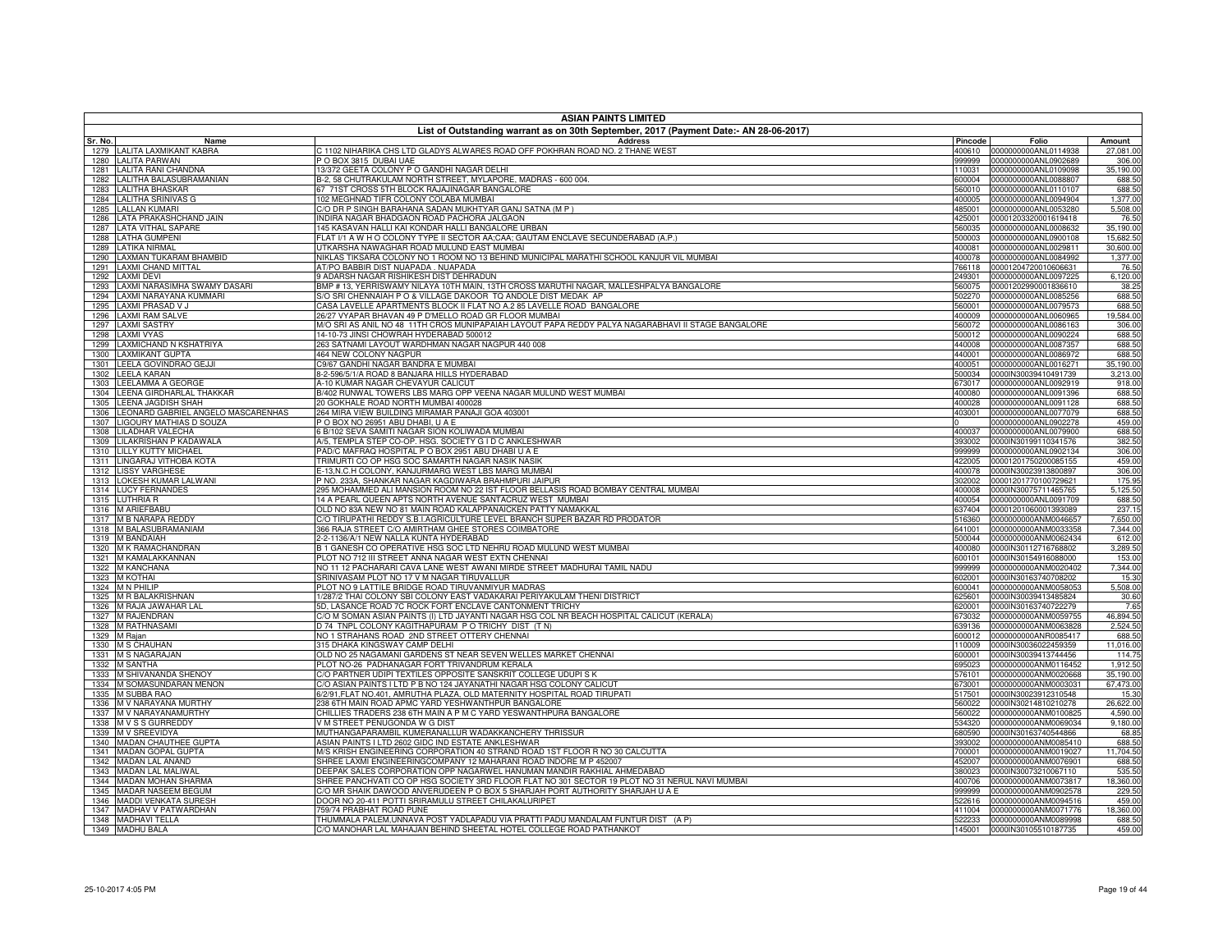|              | <b>ASIAN PAINTS LIMITED</b>                                   |                                                                                                                                          |                  |                                              |                        |  |
|--------------|---------------------------------------------------------------|------------------------------------------------------------------------------------------------------------------------------------------|------------------|----------------------------------------------|------------------------|--|
| Sr. No.      | Name                                                          | List of Outstanding warrant as on 30th September, 2017 (Payment Date:- AN 28-06-2017)<br><b>Address</b>                                  | Pincode          | Folio                                        | Amount                 |  |
|              | 1279 LALITA LAXMIKANT KABRA                                   | C 1102 NIHARIKA CHS LTD GLADYS ALWARES ROAD OFF POKHRAN ROAD NO. 2 THANE WEST                                                            | 400610           | 0000000000ANL0114938                         | 27,081.00              |  |
| 1280         | <b>LALITA PARWAN</b>                                          | PO BOX 3815 DUBAI UAE                                                                                                                    | 999999           | 0000000000ANL0902689                         | 306.00                 |  |
| 1281         | LALITA RANI CHANDNA                                           | 13/372 GEETA COLONY P O GANDHI NAGAR DELHI                                                                                               | 110031           | 0000000000ANL0109098                         | 35,190.00              |  |
| 1282<br>1283 | LALITHA BALASUBRAMANIAN<br><b>LALITHA BHASKAR</b>             | B-2, 58 CHUTRAKULAM NORTH STREET, MYLAPORE, MADRAS - 600 004.<br>67 71ST CROSS 5TH BLOCK RAJAJINAGAR BANGALORE                           | 600004<br>560010 | 0000000000ANL0088807<br>0000000000ANL0110107 | 688.50<br>688.50       |  |
| 1284         | <b>LALITHA SRINIVAS G</b>                                     | 102 MEGHNAD TIFR COLONY COLABA MUMBAI                                                                                                    | 400005           | 0000000000ANL0094904                         | 1,377.00               |  |
| 1285         | <b>LALLAN KUMARI</b>                                          | C/O DR P SINGH BARAHANA SADAN MUKHTYAR GANJ SATNA (M P )                                                                                 | 485001           | 0000000000ANL0053280                         | 5,508.00               |  |
| 1286         | LATA PRAKASHCHAND JAIN                                        | INDIRA NAGAR BHADGAON ROAD PACHORA JALGAON                                                                                               | 425001           | 00001203320001619418                         | 76.50                  |  |
| 1287         | <b>LATA VITHAL SAPARE</b>                                     | 145 KASAVAN HALLI KAI KONDAR HALLI BANGALORE URBAN                                                                                       | 560035           | 0000000000ANL0008632                         | 35,190.00              |  |
| 1288<br>1289 | <b>LATHA GUMPENI</b><br><b>LATIKA NIRMAL</b>                  | FLAT I/1 A W H O COLONY TYPE II SECTOR AA;CAA; GAUTAM ENCLAVE SECUNDERABAD (A.P.)<br>JTKARSHA NAWAGHAR ROAD MULUND EAST MUMBAI           | 500003<br>400081 | 0000000000ANL0900108<br>0000000000ANL0029811 | 15,682.50<br>30,600.00 |  |
| 1290         | LAXMAN TUKARAM BHAMBID                                        | NIKLAS TIKSARA COLONY NO 1 ROOM NO 13 BEHIND MUNICIPAL MARATHI SCHOOL KANJUR VIL MUMBAI                                                  | 400078           | 0000000000ANL0084992                         | 1,377.00               |  |
| 1291         | <b>LAXMI CHAND MITTAL</b>                                     | AT/PO BABBIR DIST NUAPADA . NUAPADA                                                                                                      | 766118           | 00001204720010606631                         | 76.50                  |  |
| 1292         | <b>LAXMI DEVI</b>                                             | <b>3 ADARSH NAGAR RISHIKESH DIST DEHRADUN</b>                                                                                            | 249301           | 0000000000ANL0097225                         | 6,120.00               |  |
| 1293         | LAXMI NARASIMHA SWAMY DASARI<br>LAXMI NARAYANA KUMMARI        | 3MP # 13, YERRISWAMY NILAYA 10TH MAIN, 13TH CROSS MARUTHI NAGAR, MALLESHPALYA BANGALORE                                                  | 560075           | 00001202990001836610<br>0000000000ANL0085256 | 38.25                  |  |
| 1294<br>1295 | LAXMI PRASAD V J                                              | S/O SRI CHENNAIAH P O & VILLAGE DAKOOR TQ ANDOLE DIST MEDAK AP<br>CASA LAVELLE APARTMENTS BLOCK II FLAT NO A.2 85 LAVELLE ROAD BANGALORE | 502270<br>560001 | 0000000000ANL0079573                         | 688.50<br>688.50       |  |
| 1296         | <b>LAXMI RAM SALVE</b>                                        | 26/27 VYAPAR BHAVAN 49 P D'MELLO ROAD GR FLOOR MUMBAI                                                                                    | 400009           | 0000000000ANL0060965                         | 19,584.00              |  |
|              | 1297 LAXMI SASTRY                                             | M/O SRI AS ANIL NO 48 11TH CROS MUNIPAPAIAH LAYOUT PAPA REDDY PALYA NAGARABHAVI II STAGE BANGALORE                                       | 560072           | 0000000000ANL0086163                         | 306.00                 |  |
| 1298         | <b>LAXMI VYAS</b>                                             | 14-10-73 JINSI CHOWRAH HYDERABAD 500012                                                                                                  | 500012           | 0000000000ANL0090224                         | 688.50                 |  |
|              | 1299 LAXMICHAND N KSHATRIYA<br>1300 LAXMIKANT GUPTA           | 263 SATNAMI LAYOUT WARDHMAN NAGAR NAGPUR 440 008<br><b>464 NEW COLONY NAGPUR</b>                                                         | 440008<br>440001 | 0000000000ANL0087357<br>0000000000ANL0086972 | 688.50                 |  |
| 1301         | LEELA GOVINDRAO GEJJI                                         | C9/67 GANDHI NAGAR BANDRA E MUMBAI                                                                                                       | 400051           | 0000000000ANL0016271                         | 688.50<br>35,190.00    |  |
|              | 1302 LEELA KARAN                                              | 8-2-596/5/1/A ROAD 8 BANJARA HILLS HYDERABAD                                                                                             | 500034           | 0000IN30039410491739                         | 3,213.00               |  |
| 1303         | LEELAMMA A GEORGE                                             | A-10 KUMAR NAGAR CHEVAYUR CALICUT                                                                                                        | 673017           | 0000000000ANL0092919                         | 918.00                 |  |
| 1304         | LEENA GIRDHARLAL THAKKAR                                      | B/402 RUNWAL TOWERS LBS MARG OPP VEENA NAGAR MULUND WEST MUMBAI                                                                          | 400080           | 0000000000ANL0091396                         | 688.50                 |  |
|              | 1305 LEENA JAGDISH SHAH<br>LEONARD GABRIEL ANGELO MASCARENHAS | 20 GOKHALE ROAD NORTH MUMBAI 400028<br>264 MIRA VIEW BUILDING MIRAMAR PANAJI GOA 403001                                                  | 400028           | 0000000000ANL0091128<br>0000000000ANL0077079 | 688.50                 |  |
| 1306<br>1307 | LIGOURY MATHIAS D SOUZA                                       | PO BOX NO 26951 ABU DHABI, U A E                                                                                                         | 403001           | 0000000000ANL0902278                         | 688.50<br>459.00       |  |
|              | 1308 LILADHAR VALECHA                                         | 6 B/102 SEVA SAMITI NAGAR SION KOLIWADA MUMBAI                                                                                           | 400037           | 0000000000ANL0079900                         | 688.50                 |  |
| 1309         | LILAKRISHAN P KADAWALA                                        | A/5, TEMPLA STEP CO-OP, HSG, SOCIETY G I D C ANKLESHWAR                                                                                  | 393002           | 0000IN30199110341576                         | 382.50                 |  |
| 1310         | <b>LILLY KUTTY MICHAEL</b>                                    | PAD/C MAFRAQ HOSPITAL P O BOX 2951 ABU DHABI U A E                                                                                       | 999999           | 0000000000ANL0902134                         | 306.00                 |  |
|              | 1311 LINGARAJ VITHOBA KOTA<br><b>LISSY VARGHESE</b>           | TRIMURTI CO OP HSG SOC SAMARTH NAGAR NASIK NASIK<br>E-13.N.C.H COLONY, KANJURMARG WEST LBS MARG MUMBAI                                   | 422005           | 00001201750200085155<br>0000IN30023913800897 | 459.00                 |  |
| 1312<br>1313 | LOKESH KUMAR LALWANI                                          | P NO. 233A, SHANKAR NAGAR KAGDIWARA BRAHMPURI JAIPUR                                                                                     | 400078<br>302002 | 00001201770100729621                         | 306.00<br>175.95       |  |
|              | 1314 LUCY FERNANDES                                           | 295 MOHAMMED ALI MANSION ROOM NO 22 IST FLOOR BELLASIS ROAD BOMBAY CENTRAL MUMBAI                                                        | 400008           | 0000IN30075711465765                         | 5,125.50               |  |
|              | 1315 LUTHRIA R                                                | 14 A PEARL QUEEN APTS NORTH AVENUE SANTACRUZ WEST MUMBAI                                                                                 | 400054           | 0000000000ANL0091709                         | 688.50                 |  |
| 1316         | <b>M ARIEFBABU</b>                                            | OLD NO 83A NEW NO 81 MAIN ROAD KALAPPANAICKEN PATTY NAMAKKAL                                                                             | 637404           | 00001201060001393089                         | 237.15                 |  |
| 1317         | <b>M B NARAPA REDDY</b>                                       | C/O TIRUPATHI REDDY S.B.I.AGRICULTURE LEVEL BRANCH SUPER BAZAR RD PRODATOR                                                               | 516360           | 0000000000ANM0046657                         | 7,650.00               |  |
| 1318<br>1319 | M BALASUBRAMANIAM<br><b>M BANDAIAH</b>                        | 366 RAJA STREET C/O AMIRTHAM GHEE STORES COIMBATORE<br>2-2-1136/A/1 NEW NALLA KUNTA HYDERABAD                                            | 641001<br>500044 | 0000000000ANM0033358<br>0000000000ANM0062434 | 7,344.00<br>612.00     |  |
|              | 1320 M K RAMACHANDRAN                                         | B 1 GANESH CO OPERATIVE HSG SOC LTD NEHRU ROAD MULUND WEST MUMBAI                                                                        | 400080           | 0000IN30112716768802                         | 3,289.50               |  |
|              | 1321 M KAMALAKKANNAN                                          | PLOT NO 712 III STREET ANNA NAGAR WEST EXTN CHENNAI                                                                                      | 600101           | 0000IN30154916088000                         | 153.00                 |  |
| 1322         | M KANCHANA                                                    | NO 11 12 PACHARARI CAVA LANE WEST AWANI MIRDE STREET MADHURAI TAMIL NADU                                                                 | 999999           | 0000000000ANM0020402                         | 7,344.00               |  |
|              | 1323 M KOTHAI<br>1324 M N PHILIP                              | SRINIVASAM PLOT NO 17 V M NAGAR TIRUVALLUR<br>PLOT NO 9 LATTILE BRIDGE ROAD TIRUVANMIYUR MADRAS                                          | 602001<br>600041 | 0000IN30163740708202<br>0000000000ANM0058053 | 15.30<br>5,508.00      |  |
| 1325         | <b>M R BALAKRISHNAN</b>                                       | 1/287/2 THAI COLONY SBI COLONY EAST VADAKARAI PERIYAKULAM THENI DISTRICT                                                                 | 625601           | 0000IN30039413485824                         | 30.60                  |  |
|              | 1326 M RAJA JAWAHAR LAL                                       | 5D, LASANCE ROAD 7C ROCK FORT ENCLAVE CANTONMENT TRICHY                                                                                  | 620001           | 0000IN30163740722279                         | 7.65                   |  |
|              | 1327 M RAJENDRAN                                              | C/O M SOMAN ASIAN PAINTS (I) LTD JAYANTI NAGAR HSG COL NR BEACH HOSPITAL CALICUT (KERALA)                                                | 673032           | 0000000000ANM0059755                         | 46,894.50              |  |
| 1328         | <b>M RATHNASAMI</b>                                           | D 74 TNPL COLONY KAGITHAPURAM P O TRICHY DIST (T N)                                                                                      | 639136           | 0000000000ANM0063828                         | 2,524.50               |  |
|              | 1329 M Rajan<br>1330 M S CHAUHAN                              | NO 1 STRAHANS ROAD 2ND STREET OTTERY CHENNAI<br>315 DHAKA KINGSWAY CAMP DELHI                                                            | 600012<br>110009 | 0000000000ANR0085417<br>0000IN30036022459359 | 688.50<br>11,016.00    |  |
|              | 1331 M S NAGARAJAN                                            | OLD NO 25 NAGAMANI GARDENS ST NEAR SEVEN WELLES MARKET CHENNAI                                                                           | 600001           | 0000IN30039413744456                         | 114.75                 |  |
|              | 1332 M SANTHA                                                 | PLOT NO-26 PADHANAGAR FORT TRIVANDRUM KERALA                                                                                             | 695023           | 0000000000ANM0116452                         | 1,912.50               |  |
|              | 1333 M SHIVANANDA SHENOY                                      | C/O PARTNER UDIPI TEXTILES OPPOSITE SANSKRIT COLLEGE UDUPI S K                                                                           | 576101           | 0000000000ANM0020668                         | 35,190.00              |  |
|              | 1334 M SOMASUNDARAN MENON                                     | C/O ASIAN PAINTS I LTD P B NO 124 JAYANATHI NAGAR HSG COLONY CALICUT                                                                     | 673001           | 0000000000ANM0003031                         | 67,473.00              |  |
|              | 1335 M SUBBA RAO<br>1336 M V NARAYANA MURTHY                  | 6/2/91, FLAT NO.401, AMRUTHA PLAZA, OLD MATERNITY HOSPITAL ROAD TIRUPATI<br>238 6TH MAIN ROAD APMC YARD YESHWANTHPUR BANGALORE           | 517501<br>560022 | 0000IN30023912310548<br>0000IN30214810210278 | 15.30<br>26,622.00     |  |
|              | 1337 M V NARAYANAMURTHY                                       | CHILLIES TRADERS 238 6TH MAIN A P M C YARD YESWANTHPURA BANGALORE                                                                        | 560022           | 0000000000ANM0100825                         | 4,590.00               |  |
|              | 1338 M V S S GURREDDY                                         | V M STREET PENUGONDA W G DIST                                                                                                            | 534320           | 0000000000ANM0069034                         | 9,180.00               |  |
|              | 1339 M V SREEVIDYA                                            | MUTHANGAPARAMBIL KUMERANALLUR WADAKKANCHERY THRISSUR                                                                                     | 680590           | 0000IN30163740544866                         | 68.85                  |  |
|              | 1340 MADAN CHAUTHEE GUPTA                                     | ASIAN PAINTS I LTD 2602 GIDC IND ESTATE ANKLESHWAR<br>M/S KRISH ENGINEERING CORPORATION 40 STRAND ROAD 1ST FLOOR R NO 30 CALCUTTA        | 393002<br>700001 | 0000000000ANM0085410<br>0000000000ANM0019027 | 688.50<br>11,704.50    |  |
|              | 1341 MADAN GOPAL GUPTA<br>1342 MADAN LAL ANAND                | SHREE LAXMI ENGINEERINGCOMPANY 12 MAHARANI ROAD INDORE M P 452007                                                                        | 452007           | 0000000000ANM0076901                         | 688.50                 |  |
|              | 1343 MADAN LAL MALIWAL                                        | DEEPAK SALES CORPORATION OPP NAGARWEL HANUMAN MANDIR RAKHIAL AHMEDABAD                                                                   | 380023           | 0000IN30073210067110                         | 535.50                 |  |
|              | 1344 MADAN MOHAN SHARMA                                       | SHREE PANCHVATI CO OP HSG SOCIETY 3RD FLOOR FLAT NO 301 SECTOR 19 PLOT NO 31 NERUL NAVI MUMBAI                                           | 400706           | 0000000000ANM0073817                         | 18,360.00              |  |
|              | 1345 MADAR NASEEM BEGUM                                       | C/O MR SHAIK DAWOOD ANVERUDEEN P O BOX 5 SHARJAH PORT AUTHORITY SHARJAH U A E                                                            | 999999           | 0000000000ANM0902578                         | 229.50                 |  |
|              | 1346 MADDI VENKATA SURESH<br>1347 MADHAV V PATWARDHAN         | DOOR NO 20-411 POTTI SRIRAMULU STREET CHILAKALURIPET<br>759/74 PRABHAT ROAD PUNE                                                         | 522616           | 0000000000ANM0094516<br>0000000000ANM0071776 | 459.00                 |  |
|              | 1348 MADHAVI TELLA                                            | THUMMALA PALEM, UNNAVA POST YADLAPADU VIA PRATTI PADU MANDALAM FUNTUR DIST (A P)                                                         | 411004<br>522233 | 0000000000ANM0089998                         | 18,360.00<br>688.50    |  |
|              | 1349 MADHU BALA                                               | C/O MANOHAR LAL MAHAJAN BEHIND SHEETAL HOTEL COLLEGE ROAD PATHANKOT                                                                      |                  | 145001 0000IN30105510187735                  | 459.00                 |  |
|              |                                                               |                                                                                                                                          |                  |                                              |                        |  |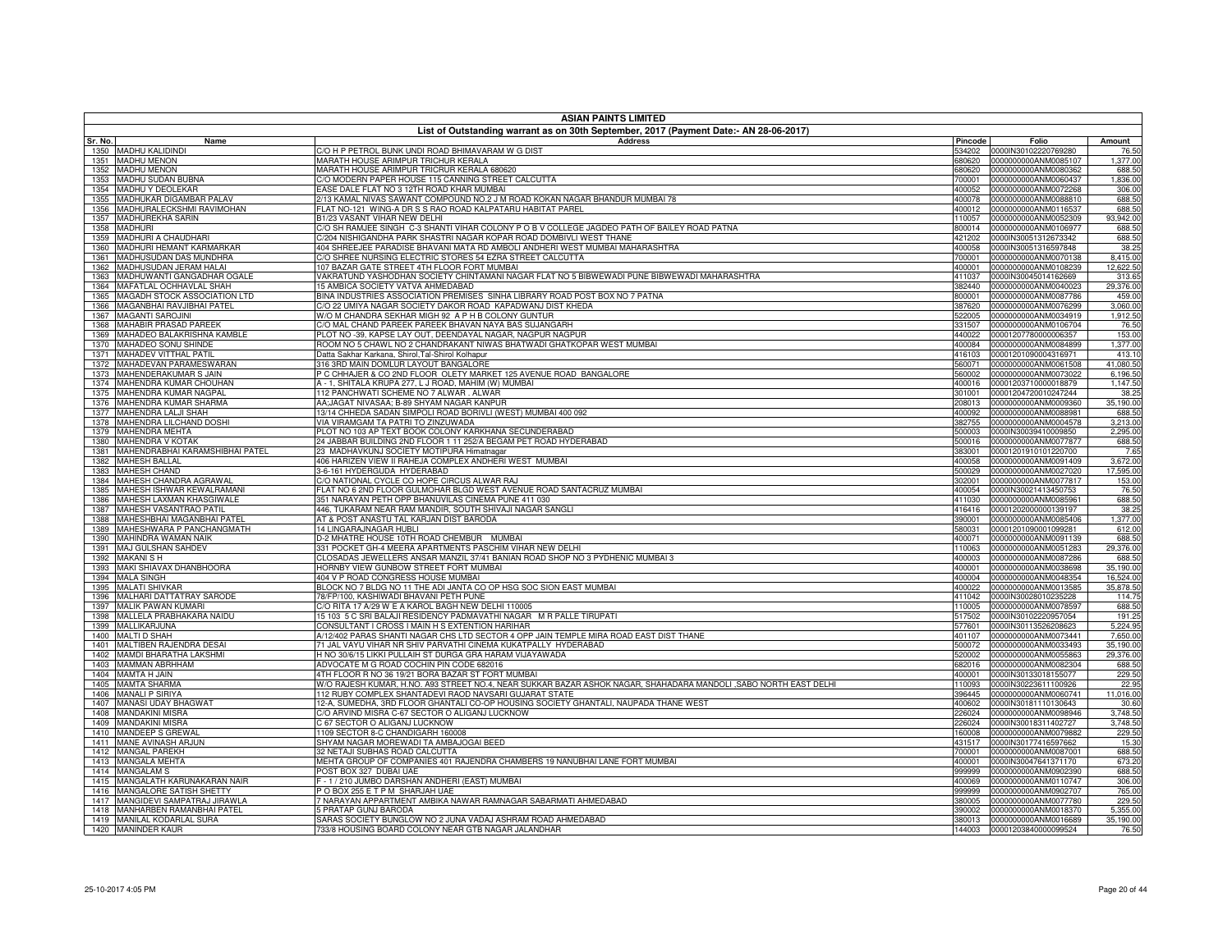| <b>ASIAN PAINTS LIMITED</b>                                          |                                                                                                                           |                  |                                              |                     |  |
|----------------------------------------------------------------------|---------------------------------------------------------------------------------------------------------------------------|------------------|----------------------------------------------|---------------------|--|
| Sr. No.<br>Name                                                      | List of Outstanding warrant as on 30th September, 2017 (Payment Date:- AN 28-06-2017)<br><b>Address</b>                   | Pincode          | Folio                                        | Amount              |  |
| 1350 MADHU KALIDINDI                                                 | C/O H P PETROL BUNK UNDI ROAD BHIMAVARAM W G DIST                                                                         | 534202           | 0000IN30102220769280                         | 76.50               |  |
| 1351 MADHU MENON                                                     | MARATH HOUSE ARIMPUR TRICHUR KERALA                                                                                       | 680620           | 0000000000ANM0085107                         | 1,377.00            |  |
| 1352 MADHU MENON                                                     | <b>MARATH HOUSE ARIMPUR TRICRUR KERALA 680620</b>                                                                         | 380620           | 0000000000ANM0080362                         | 688.50              |  |
| MADHU SUDAN BUBNA<br>1353                                            | C/O MODERN PAPER HOUSE 115 CANNING STREET CALCUTTA                                                                        | 700001           | 0000000000ANM0060437                         | 1,836.00            |  |
| 1354 MADHU Y DEOLEKAR<br>1355 MADHUKAR DIGAMBAR PALAV                | ASE DALE FLAT NO 3 12TH ROAD KHAR MUMBAI<br>2/13 KAMAL NIVAS SAWANT COMPOUND NO.2 J M ROAD KOKAN NAGAR BHANDUR MUMBAI 78  | 400052<br>400078 | 0000000000ANM0072268<br>0000000000ANM0088810 | 306.00<br>688.50    |  |
| MADHURALECKSHMI RAVIMOHAN<br>1356                                    | FLAT NO-121 WING-A DR S S RAO ROAD KALPATARU HABITAT PAREL                                                                | 400012           | 0000000000ANM0116537                         | 688.50              |  |
| 1357 MADHUREKHA SARIN                                                | 31/23 VASANT VIHAR NEW DELHI                                                                                              | 110057           | 0000000000ANM0052309                         | 93,942.00           |  |
| 1358 MADHURI                                                         | C/O SH RAMJEE SINGH C-3 SHANTI VIHAR COLONY P O B V COLLEGE JAGDEO PATH OF BAILEY ROAD PATNA                              | 800014           | 0000000000ANM0106977                         | 688.50              |  |
| 1359 MADHURI A CHAUDHARI                                             | C/204 NISHIGANDHA PARK SHASTRI NAGAR KOPAR ROAD DOMBIVLI WEST THANE                                                       | 421202           | 0000IN30051312673342                         | 688.50              |  |
| MADHURI HEMANT KARMARKAR<br>1360                                     | 404 SHREEJEE PARADISE BHAVANI MATA RD AMBOLI ANDHERI WEST MUMBAI MAHARASHTRA                                              | 400058           | 0000IN30051316597848                         | 38.25               |  |
| MADHUSUDAN DAS MUNDHRA<br>1361<br>1362 MADHUSUDAN JERAM HALAI        | C/O SHREE NURSING ELECTRIC STORES 54 EZRA STREET CALCUTTA<br>107 BAZAR GATE STREET 4TH FLOOR FORT MUMBAI                  | 700001<br>400001 | 0000000000ANM0070138<br>0000000000ANM0108239 | 8,415.00            |  |
| 1363 MADHUWANTI GANGADHAR OGALE                                      | VAKRATUND YASHODHAN SOCIETY CHINTAMANI NAGAR FLAT NO 5 BIBWEWADI PUNE BIBWEWADI MAHARASHTRA                               | 411037           | 0000IN30045014162669                         | 12,622.50<br>313.65 |  |
| 1364 MAFATLAL OCHHAVLAL SHAH                                         | 15 AMBICA SOCIETY VATVA AHMEDABAD                                                                                         | 382440           | 0000000000ANM0040023                         | 29,376.00           |  |
| 1365 MAGADH STOCK ASSOCIATION LTD                                    | BINA INDUSTRIES ASSOCIATION PREMISES SINHA LIBRARY ROAD POST BOX NO 7 PATNA                                               | 800001           | 0000000000ANM0087786                         | 459.00              |  |
| 1366 MAGANBHAI RAVJIBHAI PATEL                                       | C/O 22 UMIYA NAGAR SOCIETY DAKOR ROAD KAPADWANJ DIST KHEDA                                                                | 387620           | 0000000000ANM0076299                         | 3,060.00            |  |
| 1367 MAGANTI SAROJINI                                                | W/O M CHANDRA SEKHAR MIGH 92 A P H B COLONY GUNTUR                                                                        | 522005           | 0000000000ANM0034919                         | 1,912.50            |  |
| 1368 MAHABIR PRASAD PAREEK                                           | C/O MAL CHAND PAREEK PAREEK BHAVAN NAYA BAS SUJANGARH                                                                     | 331507           | 0000000000ANM0106704                         | 76.50               |  |
| 1369 MAHADEO BALAKRISHNA KAMBLE                                      | PLOT NO -39. KAPSE LAY OUT. DEENDAYAL NAGAR, NAGPUR NAGPUR                                                                | 440022           | 00001207780000006357                         | 153.00              |  |
| 1370 MAHADEO SONU SHINDE<br>1371 MAHADEV VITTHAL PATIL               | ROOM NO 5 CHAWL NO 2 CHANDRAKANT NIWAS BHATWADI GHATKOPAR WEST MUMBAI<br>Datta Sakhar Karkana, Shirol,Tal-Shirol Kolhapur | 400084<br>416103 | 0000000000ANM0084899<br>00001201090004316971 | 1,377.00<br>413.10  |  |
| 1372 MAHADEVAN PARAMESWARAN                                          | 316 3RD MAIN DOMLUR LAYOUT BANGALORE                                                                                      | 560071           | 0000000000ANM0061508                         | 41.080.50           |  |
| 1373 MAHENDERAKUMAR S JAIN                                           | P C CHHAJER & CO 2ND FLOOR OLETY MARKET 125 AVENUE ROAD BANGALORE                                                         | 560002           | 0000000000ANM0073022                         | 6,196.50            |  |
| 1374 MAHENDRA KUMAR CHOUHAN                                          | A - 1. SHITALA KRUPA 277. L J ROAD. MAHIM (W) MUMBAI                                                                      | 400016           | 00001203710000018879                         | 1,147.50            |  |
| 1375 MAHENDRA KUMAR NAGPAL                                           | 112 PANCHWATI SCHEME NO 7 ALWAR , ALWAR                                                                                   | 301001           | 00001204720010247244                         | 38.25               |  |
| 1376 MAHENDRA KUMAR SHARMA                                           | AA;JAGAT NIVASAA; B-89 SHYAM NAGAR KANPUR                                                                                 | 208013           | 0000000000ANM0009360                         | 35,190.00           |  |
| 1377 MAHENDRA LALJI SHAH                                             | 13/14 CHHEDA SADAN SIMPOLI ROAD BORIVLI (WEST) MUMBAI 400 092                                                             | 400092           | 0000000000ANM0088981                         | 688.50              |  |
| 1378 MAHENDRA LILCHAND DOSHI                                         | VIA VIRAMGAM TA PATRI TO ZINZUWADA                                                                                        | 382755           | 0000000000ANM0004578                         | 3.213.00            |  |
| 1379 MAHENDRA MEHTA<br>1380 MAHENDRA V KOTAK                         | PLOT NO 103 AP TEXT BOOK COLONY KARKHANA SECUNDERABAD<br>24 JABBAR BUILDING 2ND FLOOR 1 11 252/A BEGAM PET ROAD HYDERABAD | 500003<br>500016 | 0000IN30039410009850<br>0000000000ANM0077877 | 2,295.00<br>688.50  |  |
| MAHENDRABHAI KARAMSHIBHAI PATEL<br>1381                              | 23 MADHAVKUNJ SOCIETY MOTIPURA Himatnagar                                                                                 | 383001           | 00001201910101220700                         | 7.65                |  |
| 1382<br><b>MAHESH BALLAL</b>                                         | 406 HARIZEN VIEW II RAHEJA COMPLEX ANDHERI WEST MUMBAI                                                                    | 400058           | 0000000000ANM0091409                         | 3,672.00            |  |
| 1383 MAHESH CHAND                                                    | 3-6-161 HYDERGUDA HYDERABAD                                                                                               | 500029           | 0000000000ANM0027020                         | 17,595.00           |  |
| 1384<br>MAHESH CHANDRA AGRAWAL                                       | C/O NATIONAL CYCLE CO HOPE CIRCUS ALWAR RAJ                                                                               | 302001           | 0000000000ANM0077817                         | 153.00              |  |
| 1385<br>MAHESH ISHWAR KEWALRAMANI                                    | FLAT NO 6 2ND FLOOR GULMOHAR BLGD WEST AVENUE ROAD SANTACRUZ MUMBAI                                                       | 400054           | 0000IN30021413450753                         | 76.50               |  |
| MAHESH LAXMAN KHASGIWALE<br>1386                                     | 351 NARAYAN PETH OPP BHANUVILAS CINEMA PUNE 411 030                                                                       | 411030           | 0000000000ANM0085961                         | 688.50              |  |
| 1387<br>MAHESH VASANTRAO PATIL<br>1388<br>MAHESHBHAI MAGANBHAI PATEL | 446, TUKARAM NEAR RAM MANDIR, SOUTH SHIVAJI NAGAR SANGLI<br>AT & POST ANASTU TAL KARJAN DIST BARODA                       | 416416<br>390001 | 00001202000000139197<br>0000000000ANM0085406 | 38.25<br>1,377.00   |  |
| MAHESHWARA P PANCHANGMATH<br>1389                                    | 14 LINGARAJNAGAR HUBLI                                                                                                    | 580031           | 00001201090001099281                         | 612.00              |  |
| 1390 MAHINDRA WAMAN NAIK                                             | D-2 MHATRE HOUSE 10TH ROAD CHEMBUR MUMBAI                                                                                 | 400071           | 0000000000ANM0091139                         | 688.50              |  |
| 1391<br>MAJ GULSHAN SAHDEV                                           | 331 POCKET GH-4 MEERA APARTMENTS PASCHIM VIHAR NEW DELHI                                                                  | 110063           | 0000000000ANM0051283                         | 29,376.00           |  |
| 1392 MAKANI S H                                                      | CLOSADAS JEWELLERS ANSAR MANZIL 37/41 BANIAN ROAD SHOP NO 3 PYDHENIC MUMBAI 3                                             | 400003           | 0000000000ANM0087286                         | 688.50              |  |
| 1393 MAKI SHIAVAX DHANBHOORA                                         | HORNBY VIEW GUNBOW STREET FORT MUMBAI                                                                                     | 400001           | 0000000000ANM0038698                         | 35,190.00           |  |
| 1394 MALA SINGH<br>1395 MALATI SHIVKAR                               | 404 V P ROAD CONGRESS HOUSE MUMBAI                                                                                        | 400004           | 0000000000ANM0048354<br>0000000000ANM0013585 | 16,524.00           |  |
| 1396 MALHARI DATTATRAY SARODE                                        | BLOCK NO 7 BLDG NO 11 THE ADI JANTA CO OP HSG SOC SION EAST MUMBAI<br>78/FP/100, KASHIWADI BHAVANI PETH PUNE              | 400022<br>411042 | 0000IN30028010235228                         | 35,878.50<br>114.75 |  |
| 1397 MALIK PAWAN KUMARI                                              | C/O RITA 17 A/29 W E A KAROL BAGH NEW DELHI 110005                                                                        | 110005           | 0000000000ANM0078597                         | 688.50              |  |
| 1398 MALLELA PRABHAKARA NAIDU                                        | 15 103 5 C SRI BALAJI RESIDENCY PADMAVATHI NAGAR M R PALLE TIRUPATI                                                       | 517502           | 0000IN30102220957054                         | 191.25              |  |
| 1399 MALLIKARJUNA                                                    | CONSULTANT I CROSS I MAIN H S EXTENTION HARIHAR                                                                           | 577601           | 0000IN30113526208623                         | 5,224.95            |  |
| 1400 MALTI D SHAH                                                    | 4/12/402 PARAS SHANTI NAGAR CHS LTD SECTOR 4 OPP JAIN TEMPLE MIRA ROAD EAST DIST THANE                                    | 401107           | 0000000000ANM0073441                         | 7,650.00            |  |
| 1401 MALTIBEN RAJENDRA DESAI                                         | 71 JAL VAYU VIHAR NR SHIV PARVATHI CINEMA KUKATPALLY HYDERABAD                                                            | 500072           | 0000000000ANM0033493                         | 35,190.00           |  |
| 1402 MAMDI BHARATHA LAKSHMI                                          | H NO 30/6/15 LIKKI PULLAIH ST DURGA GRA HARAM VIJAYAWADA                                                                  | 520002           | 0000000000ANM0055863                         | 29,376.00           |  |
| 1403 MAMMAN ABRHHAM<br>1404 MAMTA H JAIN                             | ADVOCATE M G ROAD COCHIN PIN CODE 682016<br>4TH FLOOR R NO 36 19/21 BORA BAZAR ST FORT MUMBAI                             | 682016<br>400001 | 0000000000ANM0082304<br>0000IN30133018155077 | 688.50<br>229.50    |  |
| 1405 MAMTA SHARMA                                                    | W/O RAJESH KUMAR, H.NO. A93 STREET NO.4, NEAR SUKKAR BAZAR ASHOK NAGAR, SHAHADARA MANDOLI ,SABO NORTH EAST DELHI          | 110093           | 0000IN30223611100926                         | 22.95               |  |
| 1406 MANALI P SIRIYA                                                 | 112 RUBY COMPLEX SHANTADEVI RAOD NAVSARI GUJARAT STATE                                                                    |                  | 396445 0000000000ANM0060741                  | 11,016.00           |  |
| 1407 MANASI UDAY BHAGWAT                                             | 12-A, SUMEDHA, 3RD FLOOR GHANTALI CO-OP HOUSING SOCIETY GHANTALI, NAUPADA THANE WEST                                      | 400602           | 0000IN30181110130643                         | 30.60               |  |
| 1408 MANDAKINI MISRA                                                 | C/O ARVIND MISRA C-67 SECTOR O ALIGANJ LUCKNOW                                                                            | 226024           | 0000000000ANM0098946                         | 3,748.50            |  |
| 1409 MANDAKINI MISRA                                                 | C 67 SECTOR O ALIGANJ LUCKNOW                                                                                             | 226024           | 0000IN30018311402727                         | 3,748.50            |  |
| 1410 MANDEEP S GREWAL                                                | 1109 SECTOR 8-C CHANDIGARH 160008                                                                                         | 160008           | 0000000000ANM0079882                         | 229.50              |  |
| 1411 MANE AVINASH ARJUN<br>1412 MANGAL PAREKH                        | SHYAM NAGAR MOREWADI TA AMBAJOGAI BEED<br>32 NETAJI SUBHAS ROAD CALCUTTA                                                  | 431517<br>700001 | 0000IN30177416597662<br>0000000000ANM0087001 | 15.30<br>688.50     |  |
| 1413 MANGALA MEHTA                                                   | MEHTA GROUP OF COMPANIES 401 RAJENDRA CHAMBERS 19 NANUBHAI LANE FORT MUMBAI                                               | 400001           | 0000IN30047641371170                         | 673.20              |  |
| 1414 MANGALAM S                                                      | POST BOX 327 DUBAI UAE                                                                                                    | 999999           | 0000000000ANM0902390                         | 688.50              |  |
| 1415 MANGALATH KARUNAKARAN NAIR                                      | - 1 / 210 JUMBO DARSHAN ANDHERI (EAST) MUMBAI                                                                             | 400069           | 0000000000ANM0110747                         | 306.00              |  |
| 1416 MANGALORE SATISH SHETTY                                         | PO BOX 255 ET PM SHARJAH UAE                                                                                              | 999999           | 0000000000ANM0902707                         | 765.00              |  |
| 1417 MANGIDEVI SAMPATRAJ JIRAWLA                                     | 7 NARAYAN APPARTMENT AMBIKA NAWAR RAMNAGAR SABARMATI AHMEDABAD                                                            | 380005           | 0000000000ANM0077780                         | 229.50              |  |
| 1418 MANHARBEN RAMANBHAI PATEL                                       | 5 PRATAP GUNJ BARODA                                                                                                      | 390002           | 0000000000ANM0018370                         | 5,355.00            |  |
| 1419 MANILAL KODARLAL SURA                                           | SARAS SOCIETY BUNGLOW NO 2 JUNA VADAJ ASHRAM ROAD AHMEDABAD                                                               |                  | 380013 0000000000ANM0016689                  | 35,190.00           |  |
| 1420 MANINDER KAUR                                                   | 733/8 HOUSING BOARD COLONY NEAR GTB NAGAR JALANDHAR                                                                       |                  | 144003 00001203840000099524                  | 76.50               |  |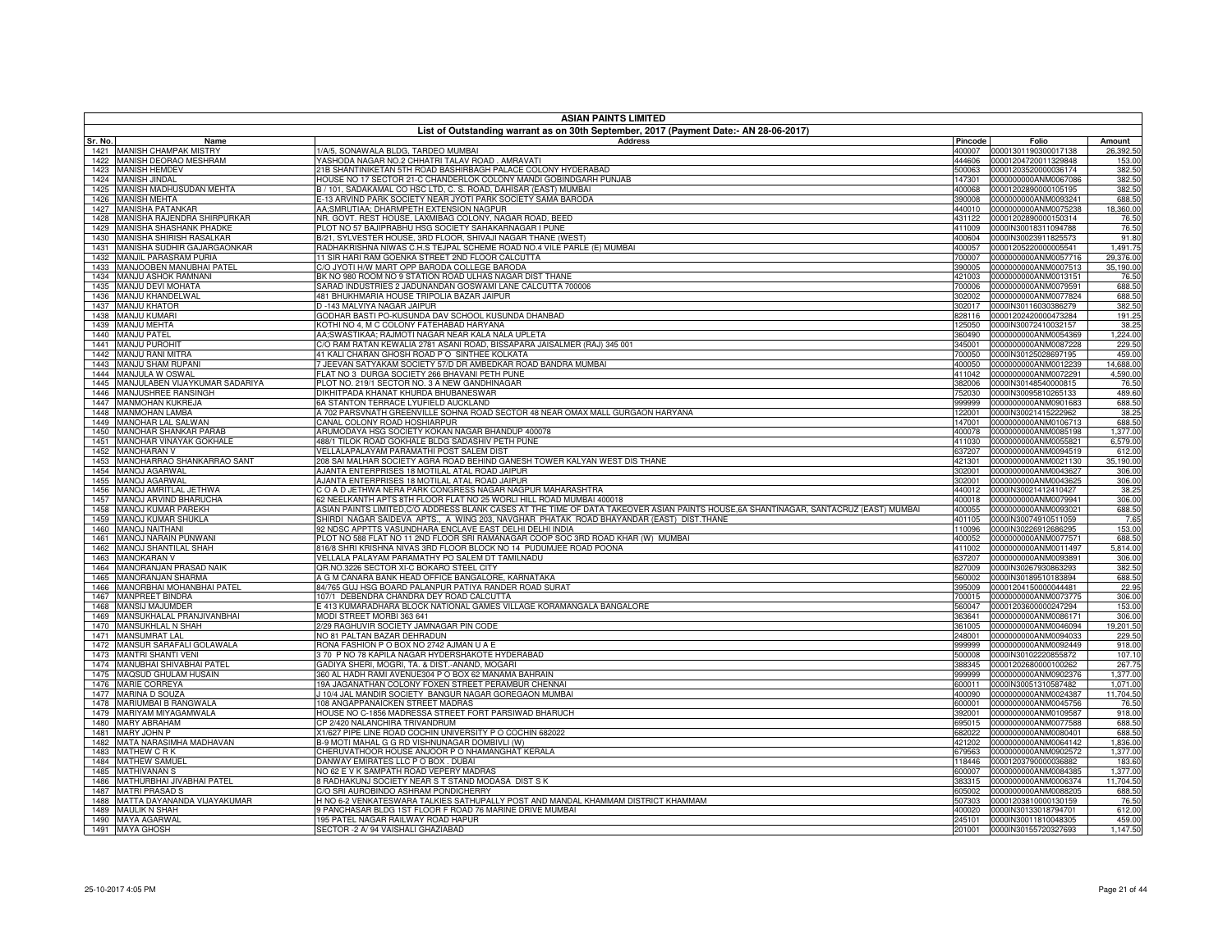|              | <b>ASIAN PAINTS LIMITED</b>                                |                                                                                                                                                                                                                                 |                  |                                                            |                      |
|--------------|------------------------------------------------------------|---------------------------------------------------------------------------------------------------------------------------------------------------------------------------------------------------------------------------------|------------------|------------------------------------------------------------|----------------------|
| Sr. No.      | Name                                                       | List of Outstanding warrant as on 30th September, 2017 (Payment Date:- AN 28-06-2017)<br>Address                                                                                                                                | Pincode          | Folio                                                      | Amount               |
|              | 1421 MANISH CHAMPAK MISTRY                                 | 1/A/5, SONAWALA BLDG, TARDEO MUMBAI                                                                                                                                                                                             |                  | 400007 00001301190300017138                                | 26,392.50            |
|              | 1422 MANISH DEORAO MESHRAM                                 | YASHODA NAGAR NO.2 CHHATRI TALAV ROAD. AMRAVATI                                                                                                                                                                                 |                  | 444606 00001204720011329848                                | 153.00               |
|              | 1423 MANISH HEMDEV                                         | 21B SHANTINIKETAN 5TH ROAD BASHIRBAGH PALACE COLONY HYDERABAD                                                                                                                                                                   |                  | 500063  00001203520000036174                               | 382.50               |
| 1424         | <b>MANISH JINDAL</b>                                       | HOUSE NO 17 SECTOR 21-C CHANDERLOK COLONY MANDI GOBINDGARH PUNJAB                                                                                                                                                               | 147301           | 0000000000ANM0067086                                       | 382.50               |
| 1425         | MANISH MADHUSUDAN MEHTA<br>1426 MANISH MEHTA               | B / 101, SADAKAMAL CO HSC LTD, C. S. ROAD, DAHISAR (EAST) MUMBAI<br>E-13 ARVIND PARK SOCIETY NEAR JYOTI PARK SOCIETY SAMA BARODA                                                                                                |                  | 400068 00001202890000105195<br>390008 0000000000ANM0093241 | 382.50<br>688.50     |
| 1427         | <b>MANISHA PATANKAR</b>                                    | AA;SMRUTIAA; DHARMPETH EXTENSION NAGPUR                                                                                                                                                                                         | 440010           | 0000000000ANM0075238                                       | 18,360.00            |
| 1428         | MANISHA RAJENDRA SHIRPURKAR                                | NR. GOVT. REST HOUSE, LAXMIBAG COLONY, NAGAR ROAD, BEED                                                                                                                                                                         |                  | 431122 00001202890000150314                                | 76.50                |
|              | 1429 MANISHA SHASHANK PHADKE                               | PLOT NO 57 BAJIPRABHU HSG SOCIETY SAHAKARNAGAR I PUNE                                                                                                                                                                           |                  | 411009 0000IN30018311094788                                | 76.50                |
| 1430         | MANISHA SHIRISH RASALKAR                                   | B/21, SYLVESTER HOUSE, 3RD FLOOR, SHIVAJI NAGAR THANE (WEST)                                                                                                                                                                    | 400604           | 0000IN30023911825573                                       | 91.80                |
| 1431         | MANISHA SUDHIR GAJARGAONKAR                                | RADHAKRISHNA NIWAS C.H.S TEJPAL SCHEME ROAD NO.4 VILE PARLE (E) MUMBAI                                                                                                                                                          | 400057           | 00001205220000005541                                       | 1,491.75             |
| 1432         | MANJIL PARASRAM PURIA                                      | 11 SIR HARI RAM GOENKA STREET 2ND FLOOR CALCUTTA                                                                                                                                                                                | 700007           | 0000000000ANM0057716                                       | 29,376.00            |
| 1433<br>1434 | MANJOOBEN MANUBHAI PATEL<br>MANJU ASHOK RAMNANI            | C/O JYOTI H/W MART OPP BARODA COLLEGE BARODA<br>BK NO 980 ROOM NO 9 STATION ROAD ULHAS NAGAR DIST THANE                                                                                                                         | 390005<br>421003 | 0000000000ANM0007513<br>0000000000ANM0013151               | 35,190.00<br>76.50   |
| 1435         | MANJU DEVI MOHATA                                          | SARAD INDUSTRIES 2 JADUNANDAN GOSWAMI LANE CALCUTTA 700006                                                                                                                                                                      | 700006           | 0000000000ANM0079591                                       | 688.50               |
| 1436         | MANJU KHANDELWAL                                           | 481 BHUKHMARIA HOUSE TRIPOLIA BAZAR JAIPUR                                                                                                                                                                                      | 302002           | 0000000000ANM0077824                                       | 688.50               |
| 1437         | <b>MANJU KHATOR</b>                                        | D -143 MALVIYA NAGAR JAIPUR                                                                                                                                                                                                     | 302017           | 0000IN30116030386279                                       | 382.50               |
| 1438         | <b>MANJU KUMARI</b>                                        | GODHAR BASTI PO-KUSUNDA DAV SCHOOL KUSUNDA DHANBAD                                                                                                                                                                              | 828116           | 00001202420000473284                                       | 191.25               |
| 1439         | <b>MANJU MEHTA</b>                                         | (OTHI NO 4, M C COLONY FATEHABAD HARYANA                                                                                                                                                                                        | 125050           | 0000IN30072410032157                                       | 38.25                |
| 1440         | <b>MANJU PATEI</b>                                         | AA:SWASTIKAA: RAJMOTI NAGAR NEAR KALA NALA UPLETA                                                                                                                                                                               | 360490           | 0000000000ANM0054369                                       | 1,224.00             |
| 1441<br>1442 | <b>MANJU PUROHIT</b><br><b>MANJU RANI MITRA</b>            | C/O RAM RATAN KEWALIA 2781 ASANI ROAD, BISSAPARA JAISALMER (RAJ) 345 001<br>41 KALI CHARAN GHOSH ROAD P O SINTHEE KOLKATA                                                                                                       | 345001<br>700050 | 0000000000ANM0087228<br>0000IN30125028697195               | 229.50<br>459.00     |
| 1443         | MANJU SHAM RUPANI                                          | 7 JEEVAN SATYAKAM SOCIETY 57/D DR AMBEDKAR ROAD BANDRA MUMBAI                                                                                                                                                                   | 400050           | 0000000000ANM0012239                                       | 14,688,00            |
|              | 1444 MANJULA W OSWAL                                       | FLAT NO 3 DURGA SOCIETY 266 BHAVANI PETH PUNE                                                                                                                                                                                   | 411042           | 0000000000ANM0072291                                       | 4,590.00             |
| 1445         | MANJULABEN VIJAYKUMAR SADARIYA                             | PLOT NO. 219/1 SECTOR NO. 3 A NEW GANDHINAGAR                                                                                                                                                                                   | 382006           | 0000IN30148540000815                                       | 76.50                |
| 1446         | MANJUSHREE RANSINGH                                        | DIKHITPADA KHANAT KHURDA BHUBANESWAR                                                                                                                                                                                            | 752030           | 0000IN30095810265133                                       | 489.60               |
| 1447         | <b>MANMOHAN KUKREJA</b>                                    | 6A STANTON TERRACE LYUFIELD AUCKLAND                                                                                                                                                                                            | 999999           | 0000000000ANM0901683                                       | 688.50               |
| 1448         | <b>MANMOHAN LAMBA</b>                                      | A 702 PARSVNATH GREENVILLE SOHNA ROAD SECTOR 48 NEAR OMAX MALL GURGAON HARYANA                                                                                                                                                  | 122001           | 0000IN30021415222962                                       | 38.25                |
| 1449         | <b>MANOHAR LAL SALWAN</b><br><b>MANOHAR SHANKAR PARAB</b>  | CANAL COLONY ROAD HOSHIARPUR<br>ARUMODAYA HSG SOCIETY KOKAN NAGAR BHANDUP 400078                                                                                                                                                | 147001           | 0000000000ANM0106713<br>0000000000ANM0085198               | 688.50               |
| 1450<br>1451 | <b>MANOHAR VINAYAK GOKHALE</b>                             | 488/1 TILOK ROAD GOKHALE BLDG SADASHIV PETH PUNE                                                                                                                                                                                | 400078<br>411030 | 0000000000ANM0055821                                       | 1,377.00<br>6.579.00 |
| 1452         | <b>MANOHARAN V</b>                                         | VELLALAPALAYAM PARAMATHI POST SALEM DIST                                                                                                                                                                                        | 637207           | 0000000000ANM0094519                                       | 612.00               |
| 1453         | MANOHARRAO SHANKARRAO SANT                                 | 208 SAI MALHAR SOCIETY AGRA ROAD BEHIND GANESH TOWER KALYAN WEST DIS THANE                                                                                                                                                      | 421301           | 0000000000ANM0021130                                       | 35,190.00            |
| 1454         | <b>MANOJ AGARWAL</b>                                       | AJANTA ENTERPRISES 18 MOTILAL ATAL ROAD JAIPUR                                                                                                                                                                                  | 302001           | 0000000000ANM0043627                                       | 306.00               |
| 1455         | <b>MANOJ AGARWAL</b>                                       | AJANTA ENTERPRISES 18 MOTILAL ATAL ROAD JAIPUR                                                                                                                                                                                  | 302001           | 0000000000ANM0043625                                       | 306.00               |
| 1456         | MANOJ AMRITLAL JETHWA                                      | C O A D JETHWA NERA PARK CONGRESS NAGAR NAGPUR MAHARASHTRA                                                                                                                                                                      | 440012           | 0000IN30021412410427                                       | 38.25                |
| 1457         | <b>MANOJ ARVIND BHARUCHA</b>                               | 62 NEELKANTH APTS 8TH FLOOR FLAT NO 25 WORLI HILL ROAD MUMBAI 400018                                                                                                                                                            | 400018           | 0000000000ANM0079941                                       | 306.00               |
| 1458<br>1459 | MANOJ KUMAR PAREKH<br><b>MANOJ KUMAR SHUKLA</b>            | ASIAN PAINTS LIMITED,C/O ADDRESS BLANK CASES AT THE TIME OF DATA TAKEOVER ASIAN PAINTS HOUSE,6A SHANTINAGAR, SANTACRUZ (EAST) MUMBAI<br>SHIRDI NAGAR SAIDEVA APTS., A WING 203, NAVGHAR PHATAK ROAD BHAYANDAR (EAST) DIST.THANE | 400055<br>401105 | 0000000000ANM0093021<br>0000IN30074910511059               | 688.50<br>7.65       |
| 1460         | <b>MANOJ NAITHANI</b>                                      | 92 NDSC APPTTS VASUNDHARA ENCLAVE EAST DELHI DELHI INDIA                                                                                                                                                                        | 110096           | 0000IN30226912686295                                       | 153.00               |
| 1461         | MANOJ NARAIN PUNWANI                                       | PLOT NO 588 FLAT NO 11 2ND FLOOR SRI RAMANAGAR COOP SOC 3RD ROAD KHAR (W) MUMBAI                                                                                                                                                | 400052           | 0000000000ANM0077571                                       | 688.50               |
| 1462         | <b>MANOJ SHANTILAL SHAH</b>                                | 316/8 SHRI KRISHNA NIVAS 3RD FLOOR BLOCK NO 14 PUDUMJEE ROAD POONA                                                                                                                                                              | 411002           | 0000000000ANM0011497                                       | 5,814.00             |
| 1463         | <b>MANOKARAN V</b>                                         | VELLALA PALAYAM PARAMATHY PO SALEM DT TAMILNADU                                                                                                                                                                                 | 637207           | 0000000000ANM0093891                                       | 306.00               |
| 1464         | MANORANJAN PRASAD NAIK                                     | QR.NO.3226 SECTOR XI-C BOKARO STEEL CITY                                                                                                                                                                                        | 827009           | 0000IN30267930863293                                       | 382.50               |
| 1465         | MANORANJAN SHARMA                                          | A G M CANARA BANK HEAD OFFICE BANGALORE, KARNATAKA                                                                                                                                                                              | 560002           | 0000IN30189510183894                                       | 688.50               |
| 1466<br>1467 | MANORBHAI MOHANBHAI PATEL<br>MANPREET BINDRA               | 84/765 GUJ HSG BOARD PALANPUR PATIYA RANDER ROAD SURAT<br>107/1 DEBENDRA CHANDRA DEY ROAD CALCUTTA                                                                                                                              | 395009<br>700015 | 00001204150000044481<br>0000000000ANM0073775               | 22.95<br>306.00      |
| 1468         | <b>MANSIJ MAJUMDER</b>                                     | E 413 KUMARADHARA BLOCK NATIONAL GAMES VILLAGE KORAMANGALA BANGALORE                                                                                                                                                            | 560047           | 00001203600000247294                                       | 153.00               |
| 1469         | MANSUKHALAL PRANJIVANBHAI                                  | MODI STREET MORBI 363 641                                                                                                                                                                                                       | 363641           | 0000000000ANM0086171                                       | 306.00               |
|              | 1470 MANSUKHLAL N SHAH                                     | 2/29 RAGHUVIR SOCIETY JAMNAGAR PIN CODE                                                                                                                                                                                         | 361005           | 0000000000ANM0046094                                       | 19,201.50            |
|              | 1471 MANSUMRAT LAL                                         | NO 81 PALTAN BAZAR DEHRADUN                                                                                                                                                                                                     | 248001           | 0000000000ANM0094033                                       | 229.50               |
|              | 1472 MANSUR SARAFALI GOLAWALA                              | RONA FASHION P O BOX NO 2742 AJMAN U A E                                                                                                                                                                                        | 999999           | 0000000000ANM0092449                                       | 918.00               |
|              | 1473 MANTRI SHANTI VENI                                    | 370 P NO 78 KAPILA NAGAR HYDERSHAKOTE HYDERABAD                                                                                                                                                                                 | 500008           | 0000IN30102220855872                                       | 107.10               |
|              | 1474 MANUBHAI SHIVABHAI PATEI<br>1475 MAQSUD GHULAM HUSAIN | GADIYA SHERI, MOGRI, TA. & DIST.-ANAND, MOGARI<br>360 AL HADH RAMI AVENUE304 P O BOX 62 MANAMA BAHRAIN                                                                                                                          | 388345<br>999999 | 00001202680000100262<br>0000000000ANM0902376               | 267.75<br>1,377.00   |
|              | 1476 MARIE CORREYA                                         | 19A JAGANATHAN COLONY FOXEN STREET PERAMBUR CHENNAI                                                                                                                                                                             | 600011           | 0000IN30051310587482                                       | 1,071.00             |
|              | 1477 MARINA D SOUZA                                        | J 10/4 JAL MANDIR SOCIETY BANGUR NAGAR GOREGAON MUMBAI                                                                                                                                                                          | 400090           | 0000000000ANM0024387                                       | 11,704.50            |
|              | 1478 MARIUMBAI B RANGWALA                                  | 108 ANGAPPANAICKEN STREET MADRAS                                                                                                                                                                                                | 600001           | 0000000000ANM0045756                                       | 76.50                |
|              | 1479 MARIYAM MIYAGAMWALA                                   | HOUSE NO C-1856 MADRESSA STREET FORT PARSIWAD BHARUCH                                                                                                                                                                           | 392001           | 0000000000ANM0109587                                       | 918.00               |
|              | 1480 MARY ABRAHAM                                          | CP 2/420 NALANCHIRA TRIVANDRUM                                                                                                                                                                                                  | 695015           | 0000000000ANM0077588                                       | 688.50               |
|              | 1481 MARY JOHN P                                           | X1/627 PIPE LINE ROAD COCHIN UNIVERSITY P O COCHIN 682022                                                                                                                                                                       | 682022           | 0000000000ANM0080401                                       | 688.50               |
|              | 1482 MATA NARASIMHA MADHAVAN<br>1483 MATHEW CRK            | B-9 MOTI MAHAL G G RD VISHNUNAGAR DOMBIVLI (W)<br>CHERUVATHOOR HOUSE ANJOOR P O NHAMANGHAT KERALA                                                                                                                               | 421202<br>679563 | 0000000000ANM0064142<br>0000000000ANM0902572               | 1,836.00<br>1,377.00 |
|              | 1484 MATHEW SAMUEL                                         | DANWAY EMIRATES LLC P O BOX . DUBAI                                                                                                                                                                                             | 118446           | 00001203790000036882                                       | 183.60               |
|              | 1485 MATHIVANAN S                                          | NO 62 E V K SAMPATH ROAD VEPERY MADRAS                                                                                                                                                                                          | 600007           | 0000000000ANM0084385                                       | 1,377.00             |
| 1486         | MATHURBHAI JIVABHAI PATEL                                  | 8 RADHAKUNJ SOCIETY NEAR S T STAND MODASA DIST S K                                                                                                                                                                              | 383315           | 0000000000ANM0006374                                       | 11,704.50            |
|              | 1487 MATRI PRASAD S                                        | C/O SRI AUROBINDO ASHRAM PONDICHERRY                                                                                                                                                                                            | 605002           | 0000000000ANM0088205                                       | 688.50               |
| 1488         | MATTA DAYANANDA VIJAYAKUMAR                                | H NO 6-2 VENKATESWARA TALKIES SATHUPALLY POST AND MANDAL KHAMMAM DISTRICT KHAMMAM                                                                                                                                               | 507303           | 00001203810000130159                                       | 76.50                |
| 1489         | <b>MAULIK N SHAH</b>                                       | 9 PANCHASAR BLDG 1ST FLOOR F ROAD 76 MARINE DRIVE MUMBAI                                                                                                                                                                        | 400020           | 0000IN30133018794701                                       | 612.00               |
|              | 1490 MAYA AGARWAL                                          | 195 PATEL NAGAR RAILWAY ROAD HAPUR                                                                                                                                                                                              |                  | 245101 0000IN30011810048305                                | 459.00               |
|              | 1491 MAYA GHOSH                                            | SECTOR -2 A/ 94 VAISHALI GHAZIABAD                                                                                                                                                                                              |                  | 201001 0000IN30155720327693                                | 1,147.50             |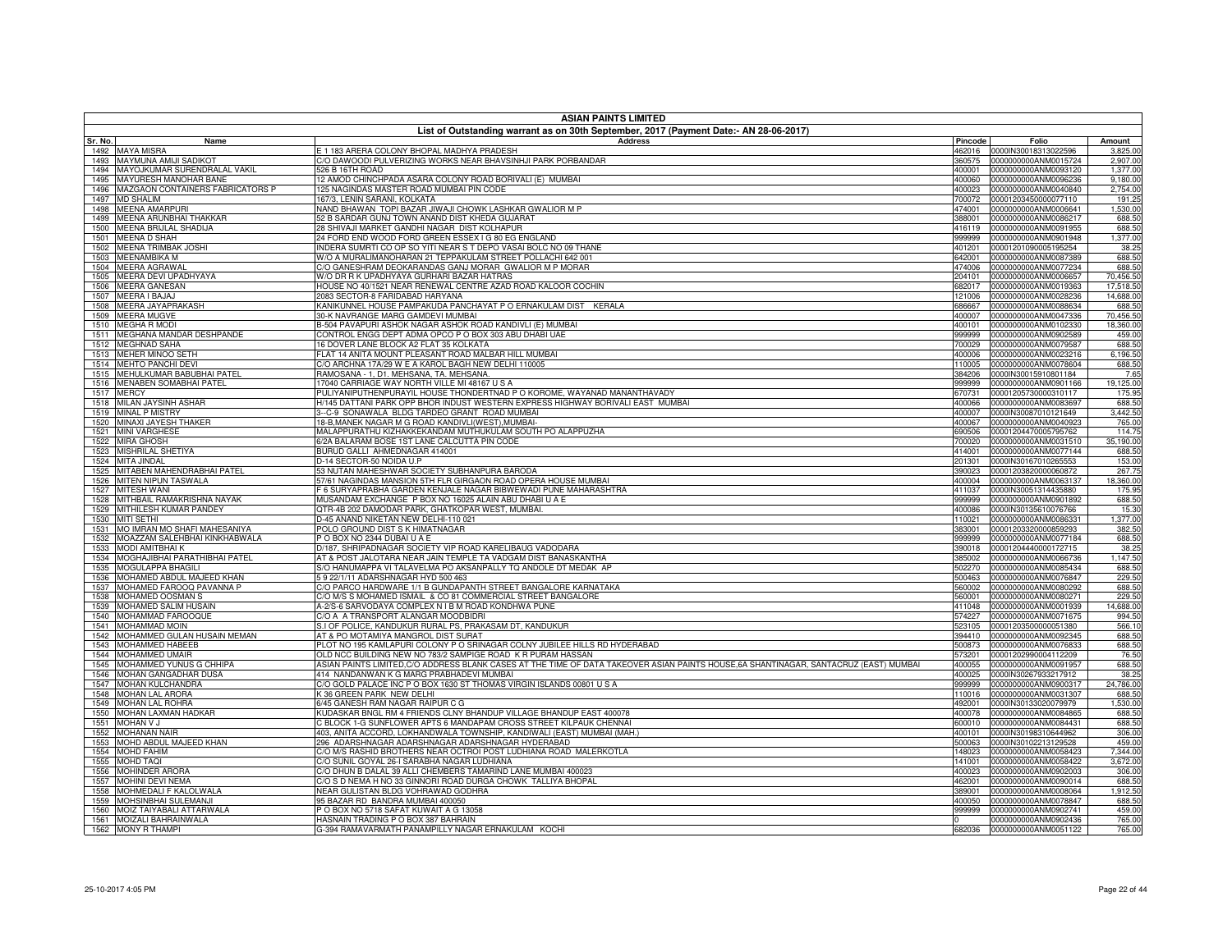|              | <b>ASIAN PAINTS LIMITED</b>                          |                                                                                                                                      |                  |                                                     |                     |  |
|--------------|------------------------------------------------------|--------------------------------------------------------------------------------------------------------------------------------------|------------------|-----------------------------------------------------|---------------------|--|
| Sr. No.      | Name                                                 | List of Outstanding warrant as on 30th September, 2017 (Payment Date:- AN 28-06-2017)<br><b>Address</b>                              | Pincode          | Folio                                               | Amount              |  |
|              | 1492 MAYA MISRA                                      | E 1 183 ARERA COLONY BHOPAL MADHYA PRADESH                                                                                           |                  | 462016  0000IN30018313022596                        | 3,825.00            |  |
| 1493         | MAYMUNA AMIJI SADIKOT                                | C/O DAWOODI PULVERIZING WORKS NEAR BHAVSINHJI PARK PORBANDAR                                                                         | 360575           | 0000000000ANM0015724                                | 2,907.00            |  |
| 1494         | MAYOJKUMAR SURENDRALAL VAKIL                         | 526 B 16TH ROAD                                                                                                                      | 400001           | 0000000000ANM0093120                                | 1,377.00            |  |
| 1495         | MAYURESH MANOHAR BANE                                | 12 AMOD CHINCHPADA ASARA COLONY ROAD BORIVALI (E) MUMBAI                                                                             |                  | 400060 0000000000ANM0096236                         | 9,180.00            |  |
| 1496<br>1497 | MAZGAON CONTAINERS FABRICATORS P<br><b>MD SHALIM</b> | 125 NAGINDAS MASTER ROAD MUMBAI PIN CODE<br>167/3, LENIN SARANI, KOLKATA                                                             |                  | 400023 0000000000ANM0040840<br>00001203450000077110 | 2,754.00<br>191.25  |  |
| 1498         | <b>MEENA AMARPURI</b>                                | NAND BHAWAN TOPI BAZAR JIWAJI CHOWK LASHKAR GWALIOR M P                                                                              | 700072<br>474001 | 0000000000ANM0006641                                | 1,530.00            |  |
| 1499         | MEENA ARUNBHAI THAKKAR                               | 52 B SARDAR GUNJ TOWN ANAND DIST KHEDA GUJARAT                                                                                       | 388001           | 0000000000ANM0086217                                | 688.50              |  |
| 1500         | <b>MEENA BRIJLAL SHADIJA</b>                         | 28 SHIVAJI MARKET GANDHI NAGAR DIST KOLHAPUR                                                                                         | 416119           | 0000000000ANM0091955                                | 688.50              |  |
| 1501         | <b>MEENA D SHAH</b>                                  | 24 FORD END WOOD FORD GREEN ESSEX I G 80 EG ENGLAND                                                                                  | 999999           | 0000000000ANM0901948                                | 1,377.00            |  |
| 1502         | <b>MEENA TRIMBAK JOSHI</b>                           | INDERA SUMRTI CO OP SO YITI NEAR S T DEPO VASAI BOLC NO 09 THANE                                                                     | 401201           | 00001201090005195254                                | 38.25               |  |
| 1503         | MEENAMBIKA M                                         | W/O A MURALIMANOHARAN 21 TEPPAKULAM STREET POLLACHI 642 001                                                                          | 642001           | 0000000000ANM0087389                                | 688.50              |  |
| 1504<br>1505 | <b>MEERA AGRAWAL</b><br>MEERA DEVI UPADHYAYA         | C/O GANESHRAM DEOKARANDAS GANJ MORAR GWALIOR M P MORAR<br>W/O DR R K UPADHYAYA GURHARI BAZAR HATRAS                                  | 474006<br>204101 | 0000000000ANM0077234<br>0000000000ANM0006657        | 688.50<br>70,456.50 |  |
| 1506         | <b>MEERA GANESAN</b>                                 | HOUSE NO 40/1521 NEAR RENEWAL CENTRE AZAD ROAD KALOOR COCHIN                                                                         | 682017           | 0000000000ANM0019363                                | 17,518.50           |  |
| 1507         | MEERA I BAJAJ                                        | 2083 SECTOR-8 FARIDABAD HARYANA                                                                                                      | 121006           | 0000000000ANM0028236                                | 14,688.00           |  |
| 1508         | MEERA JAYAPRAKASH                                    | KANIKUNNEL HOUSE PAMPAKUDA PANCHAYAT P O ERNAKULAM DIST KERALA                                                                       | 686667           | 0000000000ANM0088634                                | 688.50              |  |
| 1509         | <b>MEERA MUGVE</b>                                   | 30-K NAVRANGE MARG GAMDEVI MUMBAI                                                                                                    | 400007           | 0000000000ANM0047336                                | 70,456.50           |  |
|              | 1510 MEGHA R MODI                                    | B-504 PAVAPURI ASHOK NAGAR ASHOK ROAD KANDIVLI (E) MUMBAI                                                                            | 400101           | 0000000000ANM0102330                                | 18,360.00           |  |
| 1511         | MEGHANA MANDAR DESHPANDE                             | CONTROL ENGG DEPT ADMA OPCO P O BOX 303 ABU DHABI UAE                                                                                | 999999           | 0000000000ANM0902589                                | 459.00              |  |
| 1512         | <b>MEGHNAD SAHA</b>                                  | 16 DOVER LANE BLOCK A2 FLAT 35 KOLKATA                                                                                               | 700029           | 0000000000ANM0079587                                | 688.50              |  |
|              | 1513 MEHER MINOO SETH<br><b>MEHTO PANCHI DEVI</b>    | FLAT 14 ANITA MOUNT PLEASANT ROAD MALBAR HILL MUMBAI<br>C/O ARCHNA 17A/29 W E A KAROL BAGH NEW DELHI 110005                          |                  | 400006 0000000000ANM0023216<br>0000000000ANM0078604 | 6,196.50<br>688.50  |  |
| 1514<br>1515 | MEHULKUMAR BABUBHAI PATEL                            | RAMOSANA - 1, D1. MEHSANA, TA. MEHSANA.                                                                                              | 110005           | 384206 0000IN30015910801184                         | 7.65                |  |
| 1516         | MENABEN SOMABHAI PATEL                               | 17040 CARRIAGE WAY NORTH VILLE MI 48167 U S A                                                                                        | 999999           | 0000000000ANM0901166                                | 19,125.00           |  |
| 1517         | <b>MERCY</b>                                         | PULIYANIPUTHENPURAYIL HOUSE THONDERTNAD P O KOROME, WAYANAD MANANTHAVADY                                                             | 670731           | 00001205730000310117                                | 175.95              |  |
|              | 1518 MILAN JAYSINH ASHAR                             | H/145 DATTANI PARK OPP BHOR INDUST WESTERN EXPRESS HIGHWAY BORIVALI EAST MUMBAI                                                      |                  | 400066  0000000000ANM0083697                        | 688.50              |  |
| 1519         | <b>MINAL P MISTRY</b>                                | 3--C-9 SONAWALA BLDG TARDEO GRANT ROAD MUMBAI                                                                                        | 400007           | 0000IN30087010121649                                | 3,442.50            |  |
| 1520         | MINAXI JAYESH THAKER                                 | 18-B, MANEK NAGAR M G ROAD KANDIVLI(WEST), MUMBAI-                                                                                   | 400067           | 0000000000ANM0040923                                | 765.00              |  |
|              | 1521 MINI VARGHESE                                   | MALAPPURATHU KIZHAKKEKANDAM MUTHUKULAM SOUTH PO ALAPPUZHA                                                                            |                  | 690506 00001204470005795762                         | 114.75              |  |
| 1522<br>1523 | <b>MIRA GHOSH</b><br>MISHRILAL SHETIYA               | 6/2A BALARAM BOSE 1ST LANE CALCUTTA PIN CODE<br>BURUD GALLI AHMEDNAGAR 414001                                                        | 700020<br>414001 | 0000000000ANM0031510<br>0000000000ANM0077144        | 35,190.00<br>688.50 |  |
| 1524         | MITA JINDAL                                          | D-14 SECTOR-50 NOIDA U.P                                                                                                             | 201301           | 0000IN30167010265553                                | 153.00              |  |
| 1525         | MITABEN MAHENDRABHAI PATEL                           | 53 NUTAN MAHESHWAR SOCIETY SUBHANPURA BARODA                                                                                         | 390023           | 00001203820000060872                                | 267.75              |  |
|              | 1526 MITEN NIPUN TASWALA                             | 57/61 NAGINDAS MANSION 5TH FLR GIRGAON ROAD OPERA HOUSE MUMBAI                                                                       | 400004           | 0000000000ANM0063137                                | 18,360.00           |  |
| 1527         | <b>MITESH WANI</b>                                   | F 6 SURYAPRABHA GARDEN KENJALE NAGAR BIBWEWADI PUNE MAHARASHTRA                                                                      | 411037           | 0000IN30051314435880                                | 175.95              |  |
| 1528         | MITHBAIL RAMAKRISHNA NAYAK                           | MUSANDAM EXCHANGE P BOX NO 16025 ALAIN ABU DHABI U A E                                                                               | 999999           | 0000000000ANM0901892                                | 688.50              |  |
| 1529         | MITHILESH KUMAR PANDEY                               | QTR-4B 202 DAMODAR PARK, GHATKOPAR WEST, MUMBAI                                                                                      | 400086           | 0000IN30135610076766                                | 15.30               |  |
| 1531         | 1530 MITI SETHI<br>MO IMRAN MO SHAFI MAHESANIYA      | D-45 ANAND NIKETAN NEW DELHI-110 021<br>POLO GROUND DIST S K HIMATNAGAR                                                              | 110021<br>383001 | 0000000000ANM0086331<br>00001203320000859293        | 1,377.00<br>382.50  |  |
| 1532         | MOAZZAM SALEHBHAI KINKHABWALA                        | PO BOX NO 2344 DUBAI U A E                                                                                                           | 999999           | 0000000000ANM0077184                                | 688.50              |  |
| 1533         | <b>MODI AMITBHAIK</b>                                | D/187, SHRIPADNAGAR SOCIETY VIP ROAD KARELIBAUG VADODARA                                                                             | 390018           | 00001204440000172715                                | 38.25               |  |
| 1534         | MOGHAJIBHAI PARATHIBHAI PATEL                        | AT & POST JALOTARA NEAR JAIN TEMPLE TA VADGAM DIST BANASKANTHA                                                                       | 385002           | 0000000000ANM0066736                                | 1,147.50            |  |
| 1535         | MOGULAPPA BHAGILI                                    | S/O HANUMAPPA VI TALAVELMA PO AKSANPALLY TO ANDOLE DT MEDAK AP                                                                       | 502270           | 0000000000ANM0085434                                | 688.50              |  |
| 1536         | MOHAMED ABDUL MAJEED KHAN                            | 59 22/1/11 ADARSHNAGAR HYD 500 463                                                                                                   | 500463           | 0000000000ANM0076847                                | 229.50              |  |
| 1537         | MOHAMED FAROOQ PAVANNA P                             | C/O PARCO HARDWARE 1/1 B GUNDAPANTH STREET BANGALORE KARNATAKA                                                                       | 560002           | 0000000000ANM0080292                                | 688.50              |  |
| 1538         | MOHAMED OOSMAN S                                     | C/O M/S S MOHAMED ISMAIL & CO 81 COMMERCIAL STREET BANGALORE                                                                         | 560001           | 0000000000ANM0080271                                | 229.50              |  |
| 1539<br>1540 | MOHAMED SALIM HUSAIN<br>MOHAMMAD FAROOQUE            | A-2/S-6 SARVODAYA COMPLEX N I B M ROAD KONDHWA PUNE<br>C/O A A TRANSPORT ALANGAR MOODBIDRI                                           | 411048<br>574227 | 0000000000ANM0001939<br>0000000000ANM0071675        | 14,688.00<br>994.50 |  |
| 1541         | MOHAMMAD MOIN                                        | 3.I OF POLICE, KANDUKUR RURAL PS, PRAKASAM DT, KANDUKUR                                                                              | 523105           | 00001203500000051380                                | 566.10              |  |
| 1542         | MOHAMMED GULAN HUSAIN MEMAN                          | AT & PO MOTAMIYA MANGROL DIST SURAT                                                                                                  | 394410           | 0000000000ANM0092345                                | 688.50              |  |
| 1543         | MOHAMMED HABEEB                                      | PLOT NO 195 KAMLAPURI COLONY P O SRINAGAR COLNY JUBILEE HILLS RD HYDERABAD                                                           | 500873           | 0000000000ANM0076833                                | 688.50              |  |
|              | 1544 MOHAMMED UMAIR                                  | OLD NCC BUILDING NEW NO 783/2 SAMPIGE ROAD K R PURAM HASSAN                                                                          | 573201           | 00001202990004112209                                | 76.50               |  |
| 1545         | MOHAMMED YUNUS G CHHIPA                              | ASIAN PAINTS LIMITED,C/O ADDRESS BLANK CASES AT THE TIME OF DATA TAKEOVER ASIAN PAINTS HOUSE,6A SHANTINAGAR, SANTACRUZ (EAST) MUMBAI | 400055           | 0000000000ANM0091957                                | 688.50              |  |
| 1546         | MOHAN GANGADHAR DUSA                                 | 414 NANDANWAN K G MARG PRABHADEVI MUMBAI                                                                                             | 400025           | 0000IN30267933217912                                | 38.25               |  |
| 1547<br>1548 | MOHAN KULCHANDRA<br>MOHAN LAL ARORA                  | C/O GOLD PALACE INC P O BOX 1630 ST THOMAS VIRGIN ISLANDS 00801 U S A<br>(36 GREEN PARK NEW DELHI                                    | 999999<br>110016 | 0000000000ANM0900317<br>0000000000ANM0031307        | 24,786.00<br>688.50 |  |
| 1549         | <b>MOHAN LAL ROHRA</b>                               | 6/45 GANESH RAM NAGAR RAIPUR C G                                                                                                     | 492001           | 0000IN30133020079979                                | 1,530.00            |  |
| 1550         | MOHAN LAXMAN HADKAR                                  | KUDASKAR BNGL RM 4 FRIENDS CLNY BHANDUP VILLAGE BHANDUP EAST 400078                                                                  | 400078           | 0000000000ANM0084865                                | 688.50              |  |
| 1551         | <b>MOHAN V J</b>                                     | CBLOCK 1-G SUNFLOWER APTS 6 MANDAPAM CROSS STREET KILPAUK CHENNAI                                                                    | 600010           | 0000000000ANM0084431                                | 688.50              |  |
| 1552         | <b>MOHANAN NAIF</b>                                  | 403, ANITA ACCORD, LOKHANDWALA TOWNSHIP, KANDIWALI (EAST) MUMBAI (MAH.)                                                              | 400101           | 0000IN30198310644962                                | 306.00              |  |
| 1553         | MOHD ABDUL MAJEED KHAN                               | 296 ADARSHNAGAR ADARSHNAGAR ADARSHNAGAR HYDERABAD                                                                                    | 500063           | 0000IN30102213129528                                | 459.00              |  |
| 1554         | <b>MOHD FAHIM</b>                                    | C/O M/S RASHID BROTHERS NEAR OCTROI POST LUDHIANA ROAD MALERKOTLA                                                                    | 148023           | 0000000000ANM0058423                                | 7,344.00            |  |
| 1555         | <b>MOHD TAQI</b>                                     | %) SUNIL GOYAL 26-I SARABHA NAGAR LUDHIANA                                                                                           | 141001           | 0000000000ANM0058422                                | 3,672.00            |  |
| 1557         | 1556 MOHINDER ARORA<br>MOHINI DEVI NEMA              | C/O DHUN B DALAL 39 ALLI CHEMBERS TAMARIND LANE MUMBAI 400023<br>COS D NEMA H NO 33 GINNORI ROAD DURGA CHOWK TALLIYA BHOPAL          | 400023<br>462001 | 0000000000ANM0902003<br>0000000000ANM0090014        | 306.00<br>688.50    |  |
| 1558         | MOHMEDALI F KALOLWALA                                | NEAR GULISTAN BLDG VOHRAWAD GODHRA                                                                                                   | 389001           | 0000000000ANM0008064                                | 1,912.50            |  |
| 1559         | MOHSINBHAI SULEMANJI                                 | 95 BAZAR RD BANDRA MUMBAI 400050                                                                                                     | 400050           | 0000000000ANM0078847                                | 688.50              |  |
|              | 1560 MOIZ TAIYABALI ATTARWALA                        | P O BOX NO 5718 SAFAT KUWAIT A G 13058                                                                                               | 999999           | 0000000000ANM0902741                                | 459.00              |  |
|              | 1561 MOIZALI BAHRAINWALA                             | HASNAIN TRADING P O BOX 387 BAHRAIN                                                                                                  |                  | 0000000000ANM0902436                                | 765.00              |  |
|              | 1562 MONY R THAMPI                                   | G-394 RAMAVARMATH PANAMPILLY NAGAR ERNAKULAM KOCHI                                                                                   | 682036           | 0000000000ANM0051122                                | 765.00              |  |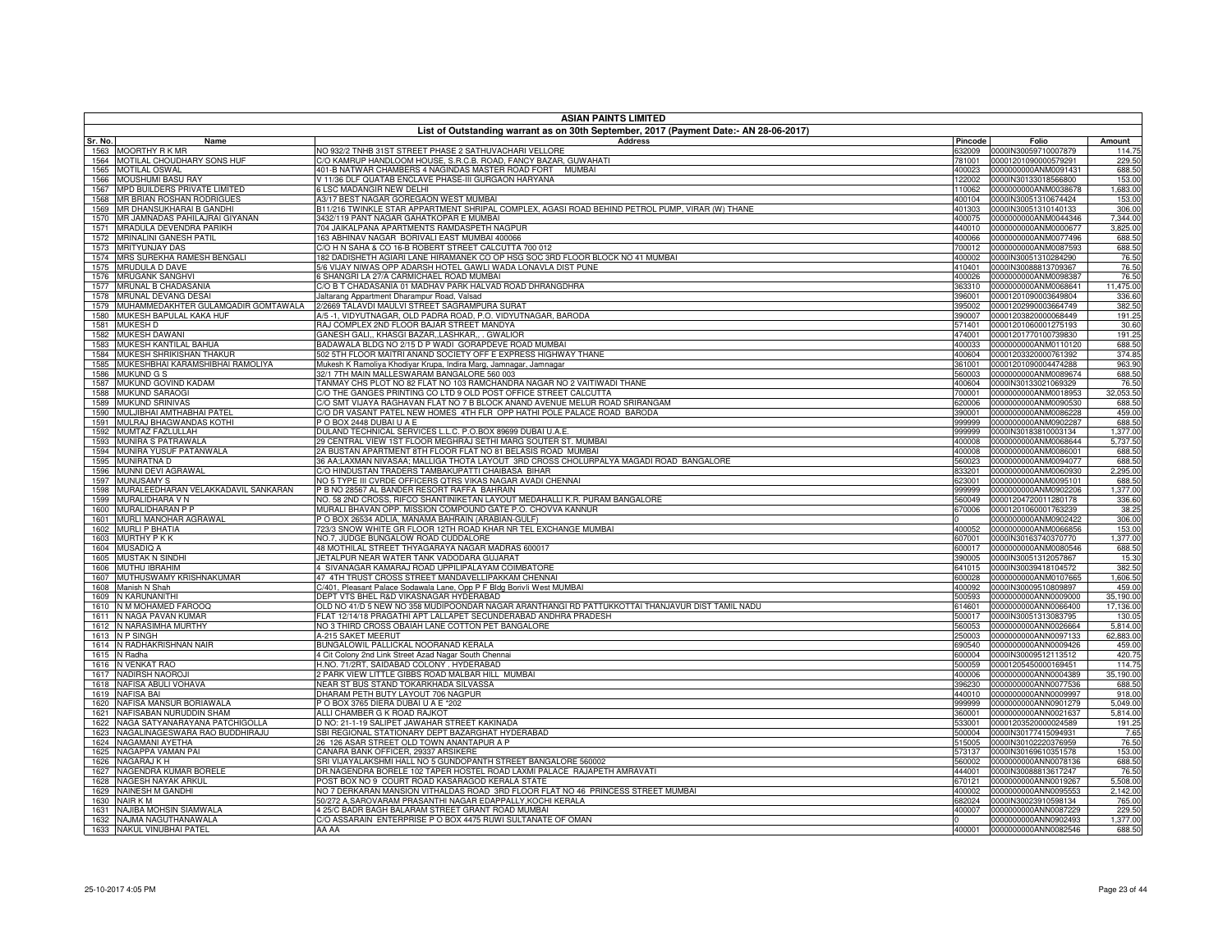|              | <b>ASIAN PAINTS LIMITED</b><br>List of Outstanding warrant as on 30th September, 2017 (Payment Date:- AN 28-06-2017) |                                                                                                                                                 |                  |                                              |                        |  |
|--------------|----------------------------------------------------------------------------------------------------------------------|-------------------------------------------------------------------------------------------------------------------------------------------------|------------------|----------------------------------------------|------------------------|--|
| Sr. No.      | Name                                                                                                                 | <b>Address</b>                                                                                                                                  | Pincode          | Folio                                        | Amount                 |  |
| 1563         | <b>MOORTHY R K MR</b>                                                                                                | NO 932/2 TNHB 31ST STREET PHASE 2 SATHUVACHARI VELLORE                                                                                          | 332009           | 0000IN30059710007879                         | 114.75                 |  |
| 1564         | MOTILAL CHOUDHARY SONS HUF                                                                                           | C/O KAMRUP HANDLOOM HOUSE, S.R.C.B. ROAD, FANCY BAZAR, GUWAHATI                                                                                 | 781001           | 00001201090000579291                         | 229.50                 |  |
| 1565         | <b>MOTILAL OSWAL</b>                                                                                                 | 401-B NATWAR CHAMBERS 4 NAGINDAS MASTER ROAD FORT MUMBAI                                                                                        | 400023           | 0000000000ANM0091431                         | 688.50                 |  |
| 1566         | MOUSHUMI BASU RAY                                                                                                    | V 11/36 DLF QUATAB ENCLAVE PHASE-III GURGAON HARYANA                                                                                            | 122002           | 0000IN30133018566800                         | 153.00                 |  |
| 1567<br>1568 | MPD BUILDERS PRIVATE LIMITED<br>MR BRIAN ROSHAN RODRIGUES                                                            | 6 LSC MADANGIR NEW DELHI<br>A3/17 BEST NAGAR GOREGAON WEST MUMBAI                                                                               | 110062<br>400104 | 0000000000ANM0038678<br>0000IN30051310674424 | 1,683.00<br>153.00     |  |
| 1569         | MR DHANSUKHARAI B GANDHI                                                                                             | .<br>B11/216 TWINKLE STAR APPARTMENT SHRIPAL COMPLEX, AGASI ROAD BEHIND PETROL PUMP, VIRAR (W) THANE                                            | 401303           | 0000IN30051310140133                         | 306.00                 |  |
| 1570         | MR JAMNADAS PAHILAJRAI GIYANAN                                                                                       | 3432/119 PANT NAGAR GAHATKOPAR E MUMBAI                                                                                                         | 400075           | 0000000000ANM0044346                         | 7,344.00               |  |
| 1571         | MRADULA DEVENDRA PARIKH                                                                                              | 704 JAIKALPANA APARTMENTS RAMDASPETH NAGPUR                                                                                                     | 440010           | 0000000000ANM0000677                         | 3,825.00               |  |
| 1572         | <b>MRINALINI GANESH PATIL</b>                                                                                        | 163 ABHINAV NAGAR BORIVALI EAST MUMBAI 400066                                                                                                   | 400066           | 0000000000ANM0077496                         | 688.50                 |  |
| 1573         | <b>MRITYUNJAY DAS</b>                                                                                                | C/O H N SAHA & CO 16-B ROBERT STREET CALCUTTA 700 012                                                                                           | 700012           | 0000000000ANM0087593                         | 688.50                 |  |
| 1574         | MRS SUREKHA RAMESH BENGALI                                                                                           | 182 DADISHETH AGIARI LANE HIRAMANEK CO OP HSG SOC 3RD FLOOR BLOCK NO 41 MUMBAI                                                                  | 400002           | 0000IN30051310284290                         | 76.50                  |  |
| 1575         | <b>MRUDULA D DAVE</b>                                                                                                | 5/6 VIJAY NIWAS OPP ADARSH HOTEL GAWLI WADA LONAVLA DIST PUNE                                                                                   | 410401           | 0000IN30088813709367                         | 76.50                  |  |
| 1576         | <b>MRUGANK SANGHVI</b>                                                                                               | 6 SHANGRI LA 27/A CARMICHAEL ROAD MUMBAI                                                                                                        | 400026           | 0000000000ANM0098387                         | 76.50                  |  |
| 1577<br>1578 | MRUNAL B CHADASANIA<br>MRUNAL DEVANG DESAI                                                                           | C/O B T CHADASANIA 01 MADHAV PARK HALVAD ROAD DHRANGDHRA<br>Jaltarang Appartment Dharampur Road, Valsad                                         | 363310<br>396001 | 0000000000ANM0068641<br>00001201090003649804 | 11,475.00<br>336.60    |  |
| 1579         | MUHAMMEDAKHTER GULAMQADIR GOMTAWALA                                                                                  | 2/2669 TALAVDI MAULVI STREET SAGRAMPURA SURAT                                                                                                   | 395002           | 00001202990003664749                         | 382.50                 |  |
| 1580         | MUKESH BAPULAL KAKA HUF                                                                                              | A/5-1, VIDYUTNAGAR, OLD PADRA ROAD, P.O. VIDYUTNAGAR, BARODA                                                                                    | 390007           | 00001203820000068449                         | 191.25                 |  |
| 1581         | <b>MUKESH D</b>                                                                                                      | RAJ COMPLEX 2ND FLOOR BAJAR STREET MANDYA                                                                                                       | 571401           | 00001201060001275193                         | 30.60                  |  |
| 1582         | <b>MUKESH DAWANI</b>                                                                                                 | GANESH GALI., KHASGI BAZAR,,LASHKAR,, . GWALIOR                                                                                                 | 474001           | 00001201770100739830                         | 191.25                 |  |
| 1583         | MUKESH KANTILAL BAHUA                                                                                                | BADAWALA BLDG NO 2/15 D P WADI GORAPDEVE ROAD MUMBAI                                                                                            | 400033           | 0000000000ANM0110120                         | 688.50                 |  |
| 1584         | MUKESH SHRIKISHAN THAKUR                                                                                             | 502 5TH FLOOR MAITRI ANAND SOCIETY OFF E EXPRESS HIGHWAY THANE                                                                                  | 400604           | 00001203320000761392                         | 374.85                 |  |
| 1585         | MUKESHBHAI KARAMSHIBHAI RAMOLIYA                                                                                     | Mukesh K Ramoliya Khodiyar Krupa, Indira Marg, Jamnagar, Jamnagar                                                                               | 361001           | 00001201090004474288                         | 963.90                 |  |
| 1586         | <b>MUKUND G S</b>                                                                                                    | 32/1 7TH MAIN MALLESWARAM BANGALORE 560 003                                                                                                     | 560003           | 0000000000ANM0089674                         | 688.50                 |  |
| 1587         | MUKUND GOVIND KADAM                                                                                                  | TANMAY CHS PLOT NO 82 FLAT NO 103 RAMCHANDRA NAGAR NO 2 VAITIWADI THANE                                                                         | 400604           | 0000IN30133021069329                         | 76.50                  |  |
| 1588<br>1589 | <b>MUKUND SARAOGI</b><br><b>MUKUND SRINIVAS</b>                                                                      | C/O THE GANGES PRINTING CO LTD 9 OLD POST OFFICE STREET CALCUTTA<br>C/O SMT VIJAYA RAGHAVAN FLAT NO 7 B BLOCK ANAND AVENUE MELUR ROAD SRIRANGAM | 700001<br>620006 | 0000000000ANM0018953<br>0000000000ANM0090530 | 32,053.50<br>688.50    |  |
| 1590         | MULJIBHAI AMTHABHAI PATEI                                                                                            | C/O DR VASANT PATEL NEW HOMES 4TH FLR OPP HATHI POLE PALACE ROAD BARODA                                                                         | 390001           | 0000000000ANM0086228                         | 459.00                 |  |
| 1591         | MULRAJ BHAGWANDAS KOTHI                                                                                              | PO BOX 2448 DUBAI U A E                                                                                                                         | 999999           | 0000000000ANM0902287                         | 688.50                 |  |
| 1592         | MUMTAZ FAZLULLAH                                                                                                     | DULAND TECHNICAL SERVICES L.L.C. P.O.BOX 89699 DUBAI U.A.E.                                                                                     | 999999           | 0000IN30183810003134                         | 1,377.00               |  |
| 1593         | <b>MUNIRA S PATRAWALA</b>                                                                                            | 29 CENTRAL VIEW 1ST FLOOR MEGHRAJ SETHI MARG SOUTER ST. MUMBAI                                                                                  | 400008           | 0000000000ANM0068644                         | 5,737.50               |  |
| 1594         | MUNIRA YUSUF PATANWALA                                                                                               | 2A BUSTAN APARTMENT 8TH FLOOR FLAT NO 81 BELASIS ROAD MUMBAI                                                                                    | 400008           | 0000000000ANM0086001                         | 688.50                 |  |
| 1595         | <b>MUNIRATNA D</b>                                                                                                   | 36 AA;LAXMAN NIVASAA; MALLIGA THOTA LAYOUT 3RD CROSS CHOLURPALYA MAGADI ROAD BANGALORE                                                          | 560023           | 0000000000ANM0094077                         | 688.50                 |  |
| 1596         | <b>MUNNI DEVI AGRAWAL</b>                                                                                            | C/O HINDUSTAN TRADERS TAMBAKUPATTI CHAIBASA BIHAR                                                                                               | 833201           | 0000000000ANM0060930                         | 2,295.00               |  |
| 1597         | <b>MUNUSAMY S</b>                                                                                                    | NO 5 TYPE III CVRDE OFFICERS QTRS VIKAS NAGAR AVADI CHENNAI                                                                                     | 623001           | 0000000000ANM0095101                         | 688.50                 |  |
| 1598         | MURALEEDHARAN VELAKKADAVIL SANKARAN<br><b>MURALIDHARA V N</b>                                                        | P B NO 28567 AL BANDER RESORT RAFFA BAHRAIN<br>NO. 58 2ND CROSS. RIFCO SHANTINIKETAN LAYOUT MEDAHALLI K.R. PURAM BANGALORE                      | 999999<br>560049 | 0000000000ANM0902206                         | 1,377.00               |  |
| 1599<br>1600 | MURALIDHARAN P P                                                                                                     | MURALI BHAVAN OPP. MISSION COMPOUND GATE P.O. CHOVVA KANNUR                                                                                     | 370006           | 00001204720011280178<br>00001201060001763239 | 336.60<br>38.25        |  |
| 1601         | MURLI MANOHAR AGRAWAL                                                                                                | P O BOX 26534 ADLIA, MANAMA BAHRAIN (ARABIAN-GULF)                                                                                              |                  | 0000000000ANM0902422                         | 306.00                 |  |
| 1602         | <b>MURLI P BHATIA</b>                                                                                                | 723/3 SNOW WHITE GR FLOOR 12TH ROAD KHAR NR TEL EXCHANGE MUMBAL                                                                                 | 400052           | 0000000000ANM0066856                         | 153.00                 |  |
| 1603         | <b>MURTHY PKK</b>                                                                                                    | NO.7, JUDGE BUNGALOW ROAD CUDDALORE                                                                                                             | 607001           | 0000IN30163740370770                         | 1,377.00               |  |
| 1604         | <b>MUSADIQ A</b>                                                                                                     | 48 MOTHILAL STREET THYAGARAYA NAGAR MADRAS 600017                                                                                               | 600017           | 0000000000ANM0080546                         | 688.50                 |  |
| 1605         | <b>MUSTAK N SINDHI</b>                                                                                               | JETALPUR NEAR WATER TANK VADODARA GUJARAT                                                                                                       | 390005           | 0000IN30051312057867                         | 15.30                  |  |
| 1606         | MUTHU IBRAHIM                                                                                                        | 4 SIVANAGAR KAMARAJ ROAD UPPILIPALAYAM COIMBATORE                                                                                               | 641015           | 0000IN30039418104572                         | 382.50                 |  |
| 1607         | MUTHUSWAMY KRISHNAKUMAR                                                                                              | 47 4TH TRUST CROSS STREET MANDAVELLIPAKKAM CHENNAI                                                                                              | 600028           | 0000000000ANM0107665                         | 1,606.50               |  |
| 1608         | Manish N Shah                                                                                                        | C/401, Pleasant Palace Sodawala Lane, Opp P F Bldg Borivli West MUMBAI                                                                          | 400092           | 0000IN30009510809897<br>0000000000ANN0009000 | 459.00                 |  |
| 1609<br>1610 | N KARUNANITHI<br>N M MOHAMED FAROOQ                                                                                  | DEPT VTS BHEL R&D VIKASNAGAR HYDERABAD<br>OLD NO 41/D 5 NEW NO 358 MUDIPOONDAR NAGAR ARANTHANGI RD PATTUKKOTTAI THANJAVUR DIST TAMIL NADU       | 500593<br>614601 | 0000000000ANN0066400                         | 35,190.00<br>17,136.00 |  |
| 1611         | N NAGA PAVAN KUMAR                                                                                                   | FLAT 12/14/18 PRAGATHI APT LALLAPET SECUNDERABAD ANDHRA PRADESH                                                                                 | 500017           | 0000IN30051313083795                         | 130.05                 |  |
| 1612         | N NARASIMHA MURTHY                                                                                                   | NO 3 THIRD CROSS OBAIAH LANE COTTON PET BANGALORE                                                                                               | 560053           | 0000000000ANN0026664                         | 5,814.00               |  |
| 1613         | N P SINGH                                                                                                            | <b>A-215 SAKET MEERUT</b>                                                                                                                       | 250003           | 0000000000ANN0097133                         | 62,883.00              |  |
|              | 1614 N RADHAKRISHNAN NAIR                                                                                            | BUNGALOWIL PALLICKAL NOORANAD KERALA                                                                                                            | 690540           | 0000000000ANN0009426                         | 459.00                 |  |
|              | 1615 N Radha                                                                                                         | 4 Cit Colony 2nd Link Street Azad Nagar South Chennai                                                                                           | 600004           | 0000IN30009512113512                         | 420.75                 |  |
|              | 1616 N VENKAT RAO                                                                                                    | H.NO. 71/2RT. SAIDABAD COLONY . HYDERABAD                                                                                                       | 500059           | 00001205450000169451                         | 114.75                 |  |
| 1617         | <b>NADIRSH NAOROJI</b>                                                                                               | PARK VIEW LITTLE GIBBS ROAD MALBAR HILL MUMBAI                                                                                                  | 400006           | 0000000000ANN0004389                         | 35,190.00              |  |
| 1618         | NAFISA ABULI VOHAVA                                                                                                  | NEAR ST BUS STAND TOKARKHADA SILVASSA                                                                                                           | 396230           | 0000000000ANN0077536                         | 688.50                 |  |
| 1619<br>1620 | <b>NAFISA BAI</b><br>NAFISA MANSUR BORIAWALA                                                                         | DHARAM PETH BUTY LAYOUT 706 NAGPUR<br>O BOX 3765 DIERA DUBAI U A E *202                                                                         | 440010<br>999999 | 0000000000ANN0009997<br>0000000000ANN0901279 | 918.00<br>5,049.00     |  |
| 1621         | NAFISABAN NURUDDIN SHAM                                                                                              | ALLI CHAMBER G K ROAD RAJKOT                                                                                                                    | 360001           | 0000000000ANN0021637                         | 5.814.00               |  |
|              | 1622 NAGA SATYANARAYANA PATCHIGOLLA                                                                                  | D NO: 21-1-19 SALIPET JAWAHAR STREET KAKINADA                                                                                                   | 533001           | 00001203520000024589                         | 191.25                 |  |
| 1623         | NAGALINAGESWARA RAO BUDDHIRAJU                                                                                       | SBI REGIONAL STATIONARY DEPT BAZARGHAT HYDERABAD                                                                                                | 500004           | 0000IN30177415094931                         | 7.65                   |  |
|              | 1624 NAGAMANI AYETHA                                                                                                 | 26 126 ASAR STREET OLD TOWN ANANTAPUR A P                                                                                                       | 515005           | 0000IN30102220376959                         | 76.50                  |  |
|              | 1625 NAGAPPA VAMAN PAI                                                                                               | CANARA BANK OFFICER, 29337 ARSIKERE                                                                                                             | 573137           | 0000IN30169610351578                         | 153.00                 |  |
| 1626         | NAGARAJ K H                                                                                                          | SRI VIJAYALAKSHMI HALL NO 5 GUNDOPANTH STREET BANGALORE 560002                                                                                  | 560002           | 0000000000ANN0078136                         | 688.50                 |  |
| 1627         | NAGENDRA KUMAR BORELE                                                                                                | DR.NAGENDRA BORELE 102 TAPER HOSTEL ROAD LAXMI PALACE RAJAPETH AMRAVATI                                                                         | 444001           | 0000IN30088813617247                         | 76.50                  |  |
| 1628         | NAGESH NAYAK ARKUL                                                                                                   | POST BOX NO 9 COURT ROAD KASARAGOD KERALA STATE                                                                                                 | 670121           | 0000000000ANN0019267                         | 5,508.00               |  |
|              | 1629 NAINESH M GANDHI                                                                                                | NO 7 DERKARAN MANSION VITHALDAS ROAD 3RD FLOOR FLAT NO 46 PRINCESS STREET MUMBAI                                                                | 400002           | 0000000000ANN0095553                         | 2.142.00               |  |
| 1630<br>1631 | NAIR K M<br>NAJIBA MOHSIN SIAMWALA                                                                                   | 50/272 A.SAROVARAM PRASANTHI NAGAR EDAPPALLY.KOCHI KERALA<br>4 25/C BADR BAGH BALARAM STREET GRANT ROAD MUMBAI                                  | 682024<br>400007 | 0000IN30023910598134<br>0000000000ANN0087229 | 765.00<br>229.50       |  |
| 1632         | NAJMA NAGUTHANAWALA                                                                                                  | C/O ASSARAIN ENTERPRISE P O BOX 4475 RUWI SULTANATE OF OMAN                                                                                     |                  | 0000000000ANN0902493                         | 1.377.00               |  |
|              | 1633 NAKUL VINUBHAI PATEL                                                                                            | AA AA                                                                                                                                           | 400001           | 0000000000ANN0082546                         | 688.50                 |  |
|              |                                                                                                                      |                                                                                                                                                 |                  |                                              |                        |  |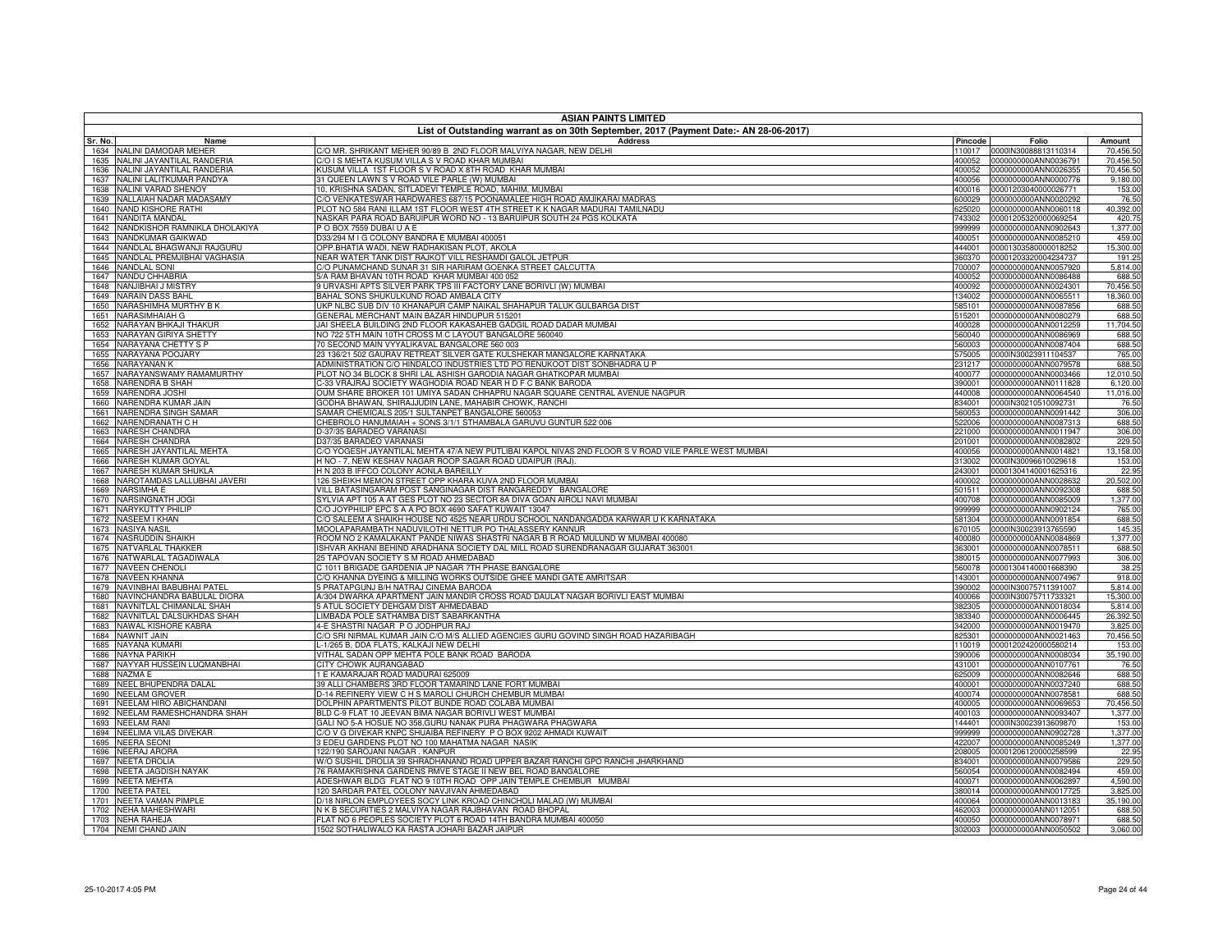|              | <b>ASIAN PAINTS LIMITED</b>                                      |                                                                                                                                          |                  |                                              |                       |  |
|--------------|------------------------------------------------------------------|------------------------------------------------------------------------------------------------------------------------------------------|------------------|----------------------------------------------|-----------------------|--|
| Sr. No.      | Name                                                             | List of Outstanding warrant as on 30th September, 2017 (Payment Date:- AN 28-06-2017)<br><b>Address</b>                                  | Pincode          | Folio                                        | Amount                |  |
| 1634         | NALINI DAMODAR MEHER                                             | C/O MR. SHRIKANT MEHER 90/89 B 2ND FLOOR MALVIYA NAGAR, NEW DELHI                                                                        | 110017           | 0000IN30088813110314                         | 70,456.50             |  |
| 1635         | NALINI JAYANTILAL RANDERIA                                       | C/O I S MEHTA KUSUM VILLA S V ROAD KHAR MUMBAI                                                                                           | 400052           | 0000000000ANN0036791                         | 70,456.50             |  |
| 1636         | NALINI JAYANTILAL RANDERIA                                       | (USUM VILLA 1ST FLOOR S V ROAD X 8TH ROAD KHAR MUMBAI                                                                                    | 400052           | 0000000000ANN0026355                         | 70,456.50             |  |
| 1637         | NALINI LALITKUMAR PANDYA                                         | 31 QUEEN LAWN S V ROAD VILE PARLE (W) MUMBAI                                                                                             | 400056           | 0000000000ANN0000776                         | 9,180.00              |  |
| 1638         | NALINI VARAD SHENOY                                              | 10, KRISHNA SADAN, SITLADEVI TEMPLE ROAD, MAHIM, MUMBAI<br>C/O VENKATESWAR HARDWARES 687/15 POONAMALEE HIGH ROAD AMJIKARAI MADRAS        | 400016           | 00001203040000026771                         | 153.00                |  |
| 1639<br>1640 | NALLAIAH NADAR MADASAMY<br>NAND KISHORE RATHI                    | PLOT NO 584 RANI ILLAM 1ST FLOOR WEST 4TH STREET K K NAGAR MADURAI TAMILNADU                                                             | 600029<br>325020 | 0000000000ANN0020292<br>0000000000ANN0060118 | 76.50<br>40,392.00    |  |
| 1641         | NANDITA MANDAL                                                   | VASKAR PARA ROAD BARUIPUR WORD NO - 13 BARUIPUR SOUTH 24 PGS KOLKATA                                                                     | 743302           | 00001205320000069254                         | 420.75                |  |
| 1642         | NANDKISHOR RAMNIKLA DHOLAKIYA                                    | O BOX 7559 DUBAI U A E                                                                                                                   | 999999           | 0000000000ANN0902643                         | 1.377.00              |  |
| 1643         | NANDKUMAR GAIKWAD                                                | 033/294 M I G COLONY BANDRA E MUMBAI 400051                                                                                              | 400051           | 0000000000ANN0085210                         | 459.00                |  |
| 1644         | NANDLAL BHAGWANJI RAJGURU                                        | OPP.BHATIA WADI, NEW RADHAKISAN PLOT, AKOLA                                                                                              | 444001           | 00001303580000018252                         | 15,300.00             |  |
| 1645         | NANDLAL PREMJIBHAI VAGHASIA<br>1646 NANDLAL SONI                 | VEAR WATER TANK DIST RAJKOT VILL RESHAMDI GALOL JETPUR<br>C/O PUNAMCHAND SUNAR 31 SIR HARIRAM GOENKA STREET CALCUTTA                     | 360370<br>700007 | 00001203320004234737<br>0000000000ANN0057920 | 191.25<br>5,814.00    |  |
| 1647         | NANDU CHHABRIA                                                   | 5/A RAM BHAVAN 10TH ROAD KHAR MUMBAI 400 052                                                                                             | 400052           | 0000000000ANN0086488                         | 688.50                |  |
| 1648         | NANJIBHAI J MISTRY                                               | JURVASHI APTS SILVER PARK TPS III FACTORY LANE BORIVLI (W) MUMBAI                                                                        | 400092           | 0000000000ANN0024301                         | 70,456.50             |  |
|              | 1649 NARAIN DASS BAHL                                            | BAHAL SONS SHUKULKUND ROAD AMBALA CITY                                                                                                   | 134002           | 0000000000ANN0065511                         | 18,360.00             |  |
| 1650         | NARASHIMHA MURTHY B K                                            | JKP NLBC SUB DIV 10 KHANAPUR CAMP NAIKAL SHAHAPUR TALUK GULBARGA DIST                                                                    | 585101           | 0000000000ANN0087856                         | 688.50                |  |
|              | 1651 NARASIMHAIAH G                                              | GENERAL MERCHANT MAIN BAZAR HINDUPUR 515201                                                                                              | 515201           | 0000000000ANN0080279                         | 688.50                |  |
| 1652<br>1653 | NARAYAN BHKAJI THAKUR<br><b>NARAYAN GIRIYA SHETTY</b>            | JAI SHEELA BUILDING 2ND FLOOR KAKASAHEB GADGIL ROAD DADAR MUMBAI<br>NO 722 5TH MAIN 10TH CROSS M C LAYOUT BANGALORE 560040               | 400028<br>560040 | 0000000000ANN0012259<br>0000000000ANN0086969 | 11,704.50<br>688.50   |  |
| 1654         | NARAYANA CHETTY S P                                              | 70 SECOND MAIN VYYALIKAVAL BANGALORE 560 003                                                                                             | 560003           | 0000000000ANN0087404                         | 688.50                |  |
|              | 1655 NARAYANA POOJARY                                            | 23 136/21 502 GAURAV RETREAT SILVER GATE KULSHEKAR MANGALORE KARNATAKA                                                                   | 575005           | 0000IN30023911104537                         | 765.00                |  |
| 1656         | NARAYANAN K                                                      | ADMINISTRATION C/O HINDALCO INDUSTRIES LTD PO RENUKOOT DIST SONBHADRA U P                                                                | 231217           | 0000000000ANN0079578                         | 688.50                |  |
| 1657         | NARAYANSWAMY RAMAMURTHY                                          | PLOT NO 34 BLOCK 8 SHRI LAL ASHISH GARODIA NAGAR GHATKOPAR MUMBAI                                                                        | 400077           | 0000000000ANN0003466                         | 12,010.50             |  |
| 1658         | <b>NARENDRA B SHAH</b>                                           | C-33 VRAJRAJ SOCIETY WAGHODIA ROAD NEAR H D F C BANK BARODA                                                                              | 390001           | 0000000000ANN0111828                         | 6,120.00              |  |
|              | 1659 NARENDRA JOSHI                                              | OUM SHARE BROKER 101 UMIYA SADAN CHHAPRU NAGAR SQUARE CENTRAL AVENUE NAGPUR                                                              | 440008           | 0000000000ANN0064540                         | 11,016.00             |  |
| 1660         | NARENDRA KUMAR JAIN<br>1661 NARENDRA SINGH SAMAR                 | GODHA BHAWAN, SHIRAJJUDIN LANE, MAHABIR CHOWK, RANCHI<br>SAMAR CHEMICALS 205/1 SULTANPET BANGALORE 560053                                | 834001<br>560053 | 0000IN30210510092731<br>0000000000ANN0091442 | 76.50<br>306.00       |  |
| 1662         | NARENDRANATH C H                                                 | CHEBROLO HANUMAIAH + SONS 3/1/1 STHAMBALA GARUVU GUNTUR 522 006                                                                          | 522006           | 0000000000ANN0087313                         | 688.50                |  |
| 1663         | <b>NARESH CHANDRA</b>                                            | D-37/35 BARADEO VARANASI                                                                                                                 | 221000           | 0000000000ANN0011947                         | 306.00                |  |
|              | 1664 NARESH CHANDRA                                              | D37/35 BARADEO VARANASI                                                                                                                  | 201001           | 0000000000ANN0082802                         | 229.50                |  |
| 1665         | NARESH JAYANTILAL MEHTA                                          | C/O YOGESH JAYANTILAL MEHTA 47/A NEW PUTLIBAI KAPOL NIVAS 2ND FLOOR S V ROAD VILE PARLE WEST MUMBAI                                      | 400056           | 0000000000ANN0014821                         | 13,158.00             |  |
| 1666         | NARESH KUMAR GOYAL                                               | H NO - 7, NEW KESHAV NAGAR ROOP SAGAR ROAD UDAIPUR (RAJ).                                                                                | 313002           | 0000IN30096610029618                         | 153.00                |  |
| 1667<br>1668 | NARESH KUMAR SHUKLA<br>NAROTAMDAS LALLUBHAI JAVERI               | H N 203 B IFFCO COLONY AONLA BAREILLY<br>126 SHEIKH MEMON STREET OPP KHARA KUVA 2ND FLOOR MUMBAI                                         | 243001<br>400002 | 00001304140001625316<br>0000000000ANN0028632 | 22.95<br>20,502.00    |  |
| 1669         | <b>NARSIMHA E</b>                                                | VILL BATASINGARAM POST SANGINAGAR DIST RANGAREDDY BANGALORE                                                                              | 501511           | 0000000000ANN0092308                         | 688.50                |  |
| 1670         | NARSINGNATH JOGI                                                 | SYLVIA APT 105 A AT GES PLOT NO 23 SECTOR 8A DIVA GOAN AIROLI NAVI MUMBAI                                                                | 400708           | 0000000000ANN0085009                         | 1,377.00              |  |
|              | 1671 NARYKUTTY PHILIP                                            | C/O JOYPHILIP EPC S A A PO BOX 4690 SAFAT KUWAIT 13047                                                                                   | 999999           | 0000000000ANN0902124                         | 765.00                |  |
| 1672         | NASEEM I KHAN                                                    | C/O SALEEM A SHAIKH HOUSE NO 4525 NEAR URDU SCHOOL NANDANGADDA KARWAR U K KARNATAKA                                                      | 581304           | 0000000000ANN0091854                         | 688.50                |  |
| 1673         | <b>NASIYA NASIL</b>                                              | MOOLAPARAMBATH NADUVILOTHI NETTUR PO THALASSERY KANNUR<br>ROOM NO 2 KAMALAKANT PANDE NIWAS SHASTRI NAGAR B R ROAD MULUND W MUMBAI 400080 | 670105<br>400080 | 0000IN30023913765590                         | 145.35<br>1,377.00    |  |
| 1675         | 1674 NASRUDDIN SHAIKH<br>NATVARLAL THAKKER                       | SHVAR AKHANI BEHIND ARADHANA SOCIETY DAL MILL ROAD SURENDRANAGAR GUJARAT 363001                                                          | 363001           | 0000000000ANN0084869<br>0000000000ANN0078511 | 688.50                |  |
|              | 1676 NATWARLAL TAGADIWALA                                        | 25 TAPOVAN SOCIETY S M ROAD AHMEDABAD                                                                                                    | 380015           | 0000000000ANN0077993                         | 306.00                |  |
|              | 1677 NAVEEN CHENOLI                                              | C 1011 BRIGADE GARDENIA JP NAGAR 7TH PHASE BANGALORE                                                                                     | 560078           | 00001304140001668390                         | 38.25                 |  |
|              | 1678 NAVEEN KHANNA                                               | C/O KHANNA DYEING & MILLING WORKS OUTSIDE GHEE MANDI GATE AMRITSAR                                                                       | 143001           | 0000000000ANN0074967                         | 918.00                |  |
|              | 1679 NAVINBHAI BABUBHAI PATEL                                    | 5 PRATAPGUNJ B/H NATRAJ CINEMA BARODA                                                                                                    | 390002           | 0000IN30075711391007                         | 5,814.00              |  |
|              | 1680 NAVINCHANDRA BABULAL DIORA<br>1681 NAVNITLAL CHIMANLAL SHAH | A/304 DWARKA APARTMENT JAIN MANDIR CROSS ROAD DAULAT NAGAR BORIVLI EAST MUMBAI<br>5 ATUL SOCIETY DEHGAM DIST AHMEDABAD                   | 400066<br>382305 | 0000IN30075711733321<br>0000000000ANN0018034 | 15,300.00<br>5,814.00 |  |
|              | 1682 NAVNITLAL DALSUKHDAS SHAH                                   | LIMBADA POLE SATHAMBA DIST SABARKANTHA                                                                                                   | 383340           | 0000000000ANN0006445                         | 26,392.50             |  |
|              | 1683 NAWAL KISHORE KABRA                                         | 4-E SHASTRI NAGAR P O JODHPUR RAJ                                                                                                        | 342000           | 0000000000ANN0019470                         | 3,825.00              |  |
|              | 1684 NAWNIT JAIN                                                 | C/O SRI NIRMAL KUMAR JAIN C/O M/S ALLIED AGENCIES GURU GOVIND SINGH ROAD HAZARIBAGH                                                      | 825301           | 0000000000ANN0021463                         | 70,456.50             |  |
|              | 1685 NAYANA KUMARI                                               | L-1/265 B, DDA FLATS, KALKAJI NEW DELHI                                                                                                  | 110019           | 00001202420000580214                         | 153.00                |  |
|              | 1686 NAYNA PARIKH                                                | VITHAL SADAN OPP MEHTA POLE BANK ROAD BARODA                                                                                             | 390006           | 0000000000ANN0008034                         | 35,190.00             |  |
|              | 1687 NAYYAR HUSSEIN LUQMANBHAI<br>1688 NAZMA E                   | CITY CHOWK AURANGABAD<br>E KAMARAJAR ROAD MADURAI 625009                                                                                 | 431001<br>625009 | 0000000000ANN0107761<br>0000000000ANN0082646 | 76.50<br>688.50       |  |
|              | 1689 NEEL BHUPENDRA DALAL                                        | 39 ALLI CHAMBERS 3RD FLOOR TAMARIND LANE FORT MUMBAI                                                                                     | 400001           | 0000000000ANN0037240                         | 688.50                |  |
|              | 1690 NEELAM GROVER                                               | D-14 REFINERY VIEW C H S MAROLI CHURCH CHEMBUR MUMBAI                                                                                    |                  | 400074 0000000000ANN0078581                  | 688.50                |  |
|              | 1691 NEELAM HIRO ABICHANDANI                                     | DOLPHIN APARTMENTS PILOT BUNDE ROAD COLABA MUMBAI                                                                                        | 400005           | 0000000000ANN0069653                         | 70,456.50             |  |
|              | 1692 NEELAM RAMESHCHANDRA SHAH                                   | BLD C-9 FLAT 10 JEEVAN BIMA NAGAR BORIVLI WEST MUMBAI                                                                                    | 400103           | 0000000000ANN0093407                         | 1,377.00              |  |
|              | 1693 NEELAM RANI                                                 | GALI NO 5-A HOSUE NO 358, GURU NANAK PURA PHAGWARA PHAGWARA                                                                              | 144401           | 0000IN30023913609870                         | 153.00                |  |
| 1694<br>1695 | NEELIMA VILAS DIVEKAR<br><b>NEERA SEONI</b>                      | C/O V G DIVEKAR KNPC SHUAIBA REFINERY P O BOX 9202 AHMADI KUWAIT<br>3 EDEU GARDENS PLOT NO 100 MAHATMA NAGAR NASIK                       | 999999<br>422007 | 0000000000ANN0902728<br>0000000000ANN0085249 | 1,377.00<br>1,377.00  |  |
| 1696         | NEERAJ ARORA                                                     | 122/190 SAROJANI NAGAR . KANPUR                                                                                                          | 208005           | 00001206120000258599                         | 22.95                 |  |
| 1697         | <b>NEETA DROLIA</b>                                              | W/O SUSHIL DROLIA 39 SHRADHANAND ROAD UPPER BAZAR RANCHI GPO RANCHI JHARKHAND                                                            | 834001           | 0000000000ANN0079586                         | 229.50                |  |
| 1698         | NEETA JAGDISH NAYAK                                              | 76 RAMAKRISHNA GARDENS RMVE STAGE II NEW BEL ROAD BANGALORE                                                                              | 560054           | 0000000000ANN0082494                         | 459.00                |  |
| 1699         | NEETA MEHTA                                                      | ADESHWAR BLDG FLAT NO 9 10TH ROAD OPP JAIN TEMPLE CHEMBUR MUMBAI                                                                         | 400071           | 0000000000ANN0062897                         | 4,590.00              |  |
| 1700         | <b>NEETA PATEL</b>                                               | 120 SARDAR PATEL COLONY NAVJIVAN AHMEDABAD                                                                                               | 380014           | 0000000000ANN0017725                         | 3,825.00              |  |
| 1701<br>1702 | NEETA VAMAN PIMPLE<br><b>NEHA MAHESHWARI</b>                     | D/18 NIRLON EMPLOYEES SOCY LINK KROAD CHINCHOLI MALAD (W) MUMBAI<br>N K B SECURITIES 2 MALVIYA NAGAR RAJBHAVAN ROAD BHOPAL               | 400064<br>462003 | 0000000000ANN0013183<br>0000000000ANN0112051 | 35,190.00<br>688.50   |  |
|              | 1703 NEHA RAHEJA                                                 | FLAT NO 6 PEOPLES SOCIETY PLOT 6 ROAD 14TH BANDRA MUMBAI 400050                                                                          |                  | 400050 0000000000ANN0078971                  | 688.50                |  |
|              | 1704 NEMI CHAND JAIN                                             | 1502 SOTHALIWALO KA RASTA JOHARI BAZAR JAIPUR                                                                                            |                  | 302003 0000000000ANN0050502                  | 3,060.00              |  |
|              |                                                                  |                                                                                                                                          |                  |                                              |                       |  |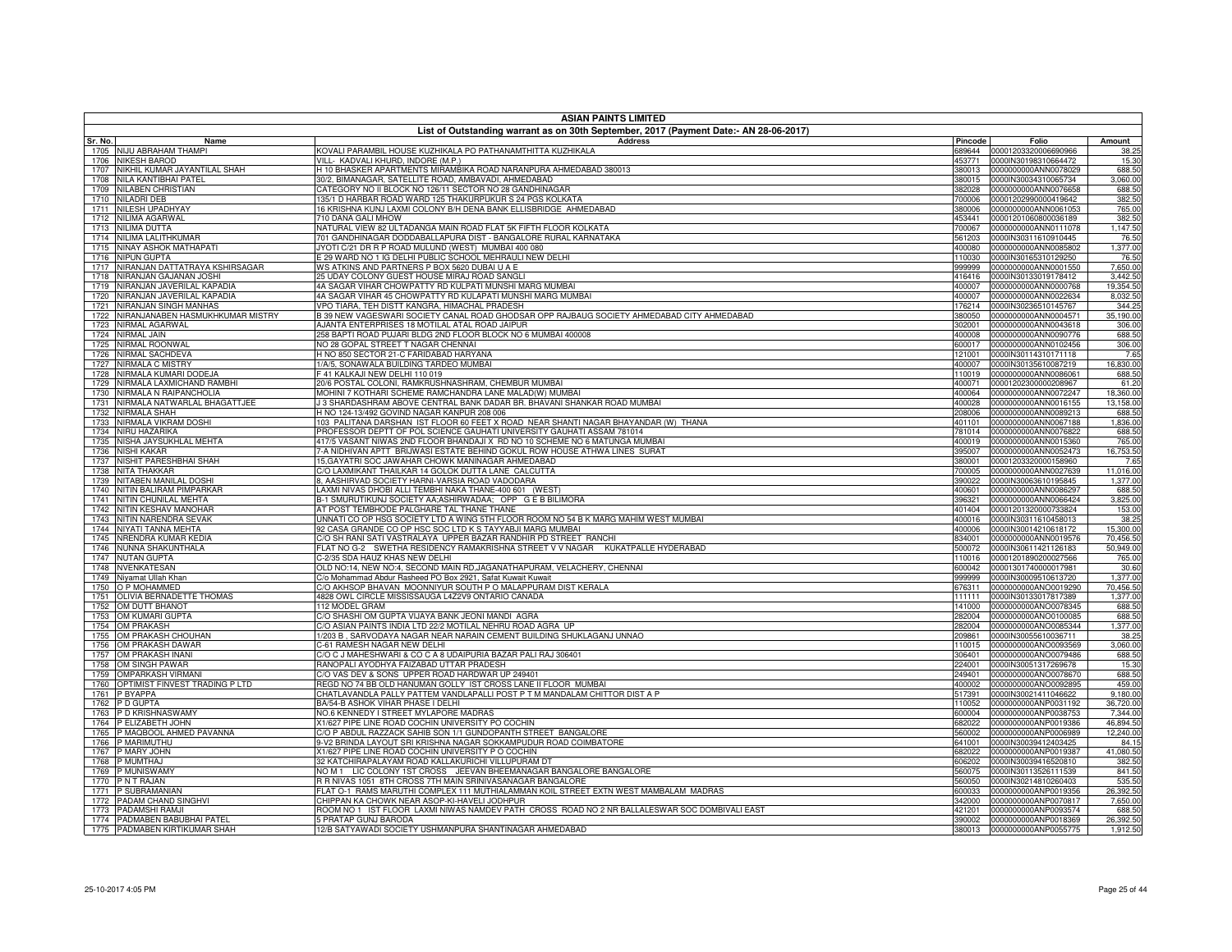| <b>ASIAN PAINTS LIMITED</b>                                |                                                                                                                                                               |                  |                                                     |                        |  |
|------------------------------------------------------------|---------------------------------------------------------------------------------------------------------------------------------------------------------------|------------------|-----------------------------------------------------|------------------------|--|
| Sr. No.<br>Name                                            | List of Outstanding warrant as on 30th September, 2017 (Payment Date:- AN 28-06-2017)<br><b>Address</b>                                                       | Pincode          | Folio                                               | Amount                 |  |
| 1705 NIJU ABRAHAM THAMPI                                   | KOVALI PARAMBIL HOUSE KUZHIKALA PO PATHANAMTHITTA KUZHIKALA                                                                                                   |                  | 689644 00001203320006690966                         | 38.25                  |  |
| 1706 NIKESH BAROD                                          | VILL- KADVALI KHURD, INDORE (M.P.)                                                                                                                            | 453771           | 0000IN30198310664472                                | 15.30                  |  |
| 1707 NIKHIL KUMAR JAYANTILAL SHAH                          | H 10 BHASKER APARTMENTS MIRAMBIKA ROAD NARANPURA AHMEDABAD 380013                                                                                             | 380013           | 0000000000ANN0078029                                | 688.50                 |  |
| NILA KANTIBHAI PATEL<br>1708                               | 30/2, BIMANAGAR, SATELLITE ROAD, AMBAVADI, AHMEDABAD                                                                                                          | 380015           | 0000IN30034310065734                                | 3,060.00               |  |
| 1709 NILABEN CHRISTIAN                                     | CATEGORY NO II BLOCK NO 126/11 SECTOR NO 28 GANDHINAGAR                                                                                                       |                  | 382028 0000000000ANN0076658                         | 688.50                 |  |
| 1710 NILADRI DEB                                           | 135/1 D HARBAR ROAD WARD 125 THAKURPUKUR S 24 PGS KOLKATA                                                                                                     | 700006           | 00001202990000419642                                | 382.50                 |  |
| NILESH UPADHYAY<br>1711<br>1712 NILIMA AGARWAL             | 16 KRISHNA KUNJ LAXMI COLONY B/H DENA BANK ELLISBRIDGE AHMEDABAD<br>710 DANA GALI MHOW                                                                        | 380006           | 0000000000ANN0061053                                | 765.00                 |  |
| 1713 NILIMA DUTTA                                          | NATURAL VIEW 82 ULTADANGA MAIN ROAD FLAT 5K FIFTH FLOOR KOLKATA                                                                                               | 700067           | 453441 00001201060800036189<br>0000000000ANN0111078 | 382.50<br>1,147.50     |  |
| 1714 NILIMA LALITHKUMAR                                    | 701 GANDHINAGAR DODDABALLAPURA DIST - BANGALORE RURAL KARNATAKA                                                                                               | 561203           | 0000IN30311610910445                                | 76.50                  |  |
| NINAY ASHOK MATHAPATI<br>1715                              | JYOTI C/21 DR R P ROAD MULUND (WEST) MUMBAI 400 080                                                                                                           |                  | 400080 0000000000ANN0085802                         | 1,377.00               |  |
| 1716<br><b>NIPUN GUPTA</b>                                 | 29 WARD NO 1 IG DELHI PUBLIC SCHOOL MEHRAULI NEW DELHI                                                                                                        | 110030           | 0000IN30165310129250                                | 76.50                  |  |
| NIRANJAN DATTATRAYA KSHIRSAGAR<br>1717                     | WS ATKINS AND PARTNERS P BOX 5620 DUBAI U A E                                                                                                                 |                  | 999999 0000000000ANN0001550                         | 7,650.00               |  |
| NIRANJAN GAJANAN JOSHI<br>1718                             | 25 UDAY COLONY GUEST HOUSE MIRAJ ROAD SANGLI                                                                                                                  |                  | 416416 0000IN30133019178412                         | 3,442.50               |  |
| 1719 NIRANJAN JAVERILAL KAPADIA                            | 4A SAGAR VIHAR CHOWPATTY RD KULPATI MUNSHI MARG MUMBAI                                                                                                        | 400007           | 0000000000ANN0000768                                | 19,354.50              |  |
| NIRANJAN JAVERILAL KAPADIA<br>1720                         | 1A SAGAR VIHAR 45 CHOWPATTY RD KULAPATI MUNSHI MARG MUMBAI                                                                                                    | 400007           | 0000000000ANN0022634                                | 8,032.50               |  |
| NIRANJAN SINGH MANHAS<br>1721                              | VPO TIARA, TEH DISTT KANGRA, HIMACHAL PRADESH                                                                                                                 | 176214           | 0000IN30236510145767                                | 344.25                 |  |
| NIRANJANABEN HASMUKHKUMAR MISTRY<br>1722<br>NIRMAL AGARWAL | 3 39 NEW VAGESWARI SOCIETY CANAL ROAD GHODSAR OPP RAJBAUG SOCIETY AHMEDABAD CITY AHMEDABAD<br>AJANTA ENTERPRISES 18 MOTILAL ATAL ROAD JAIPUR                  | 380050<br>302001 | 0000000000ANN0004571<br>0000000000ANN0043618        | 35,190.00<br>306.00    |  |
| 1723<br>1724 NIRMAL JAIN                                   | 258 BAPTI ROAD PUJARI BLDG 2ND FLOOR BLOCK NO 6 MUMBAI 400008                                                                                                 | 400008           | 0000000000ANN0090776                                | 688.50                 |  |
| 1725<br>NIRMAL ROONWAL                                     | <b>IO 28 GOPAL STREET T NAGAR CHENNAI</b>                                                                                                                     | 600017           | 0000000000ANN0102456                                | 306.00                 |  |
| NIRMAL SACHDEVA<br>1726                                    | H NO 850 SECTOR 21-C FARIDABAD HARYANA                                                                                                                        | 121001           | 0000IN30114310171118                                | 7.65                   |  |
| 1727 NIRMALA C MISTRY                                      | 1/A/5, SONAWALA BUILDING TARDEO MUMBAI                                                                                                                        | 400007           | 0000IN30135610087219                                | 16,830.00              |  |
| NIRMALA KUMARI DODEJA<br>1728                              | 41 KALKAJI NEW DELHI 110 019                                                                                                                                  | 110019           | 0000000000ANN0086061                                | 688.50                 |  |
| NIRMALA LAXMICHAND RAMBHI<br>1729                          | 20/6 POSTAL COLONI, RAMKRUSHNASHRAM, CHEMBUR MUMBAI                                                                                                           | 400071           | 00001202300000208967                                | 61.20                  |  |
| 1730 NIRMALA N RAIPANCHOLIA                                | MOHINI 7 KOTHARI SCHEME RAMCHANDRA LANE MALAD(W) MUMBAI                                                                                                       | 400064           | 0000000000ANN0072247                                | 18,360.00              |  |
| NIRMALA NATWARLAL BHAGATTJEE<br>1731                       | J 3 SHARDASHRAM ABOVE CENTRAL BANK DADAR BR. BHAVANI SHANKAR ROAD MUMBAI                                                                                      | 400028           | 0000000000ANN0016155                                | 13,158.00              |  |
| 1732 NIRMALA SHAH                                          | H NO 124-13/492 GOVIND NAGAR KANPUR 208 006                                                                                                                   | 208006           | 0000000000ANN0089213                                | 688.50                 |  |
| 1733 NIRMALA VIKRAM DOSHI<br>1734<br>NIRU HAZARIKA         | 103 PALITANA DARSHAN IST FLOOR 60 FEET X ROAD NEAR SHANTI NAGAR BHAYANDAR (W) THANA<br>PROFESSOR DEPTT OF POL SCIENCE GAUHATI UNIVERSITY GAUHATI ASSAM 781014 | 401101<br>781014 | 0000000000ANN0067188<br>0000000000ANN0076822        | 1,836.00<br>688.50     |  |
| 1735 NISHA JAYSUKHLAL MEHTA                                | 117/5 VASANT NIWAS 2ND FLOOR BHANDAJI X RD NO 10 SCHEME NO 6 MATUNGA MUMBAI                                                                                   | 400019           | 0000000000ANN0015360                                | 765.00                 |  |
| 1736<br><b>NISHI KAKAR</b>                                 | 7-A NIDHIVAN APTT BRIJWASI ESTATE BEHIND GOKUL ROW HOUSE ATHWA LINES SURAT                                                                                    | 395007           | 0000000000ANN0052473                                | 16,753.50              |  |
| NISHIT PARESHBHAI SHAH<br>1737                             | 15, GAYATRI SOC JAWAHAR CHOWK MANINAGAR AHMEDABAD                                                                                                             | 380001           | 00001203320000158960                                | 7.65                   |  |
| 1738 NITA THAKKAR                                          | C/O LAXMIKANT THAILKAR 14 GOLOK DUTTA LANE CALCUTTA                                                                                                           | 700005           | 0000000000ANN0027639                                | 11,016.00              |  |
| 1739 NITABEN MANILAL DOSHI                                 | , AASHIRVAD SOCIETY HARNI-VARSIA ROAD VADODARA                                                                                                                | 390022           | 0000IN30063610195845                                | 1,377.00               |  |
| 1740 NITIN BALIRAM PIMPARKAR                               | LAXMI NIVAS DHOBI ALLI TEMBHI NAKA THANE-400 601 (WEST)                                                                                                       | 400601           | 0000000000ANN0086297                                | 688.50                 |  |
| 1741 NITIN CHUNILAL MEHTA                                  | 3-1 SMURUTIKUNJ SOCIETY AA;ASHIRWADAA; OPP GEB BILIMORA                                                                                                       | 396321           | 0000000000ANN0066424                                | 3,825.00               |  |
| NITIN KESHAV MANOHAR<br>1742                               | AT POST TEMBHODE PALGHARE TAL THANE THANE                                                                                                                     | 401404           | 00001201320000733824                                | 153.00                 |  |
| NITIN NARENDRA SEVAK<br>1743                               | UNNATI CO OP HSG SOCIETY LTD A WING 5TH FLOOR ROOM NO 54 B K MARG MAHIM WEST MUMBAI                                                                           | 400016           | 0000IN30311610458013                                | 38.25                  |  |
| 1744 NIYATI TANNA MEHTA<br>NRENDRA KUMAR KEDIA<br>1745     | 92 CASA GRANDE CO OP HSC SOC LTD K S TAYYABJI MARG MUMBAI<br>C/O SH RANI SATI VASTRALAYA UPPER BAZAR RANDHIR PD STREET RANCHI                                 | 400006<br>834001 | 0000IN30014210618172<br>0000000000ANN0019576        | 15,300.00<br>70,456.50 |  |
| 1746 NUNNA SHAKUNTHALA                                     | FLAT NO G-2 SWETHA RESIDENCY RAMAKRISHNA STREET V V NAGAR KUKATPALLE HYDERABAD                                                                                | 500072           | 0000IN30611421126183                                | 50,949.00              |  |
| <b>NUTAN GUPTA</b><br>1747                                 | C-2/35 SDA HAUZ KHAS NEW DELHI                                                                                                                                | 110016           | 00001201890200027566                                | 765.00                 |  |
| NVENKATESAN<br>1748                                        | OLD NO:14, NEW NO:4, SECOND MAIN RD, JAGANATHAPURAM, VELACHERY, CHENNAI                                                                                       | 600042           | 00001301740000017981                                | 30.60                  |  |
| 1749 Niyamat Ullah Khan                                    | C/o Mohammad Abdur Rasheed PO Box 2921, Safat Kuwait Kuwait                                                                                                   |                  | 999999 0000IN30009510613720                         | 1,377.00               |  |
| 1750 O P MOHAMMED                                          | C/O AKHSOP BHAVAN MOONNIYUR SOUTH P O MALAPPURAM DIST KERALA                                                                                                  | 676311           | 0000000000ANO0019290                                | 70,456.50              |  |
| OLIVIA BERNADETTE THOMAS<br>1751                           | 4828 OWL CIRCLE MISSISSAUGA L4Z2V9 ONTARIO CANADA                                                                                                             | 111111           | 0000IN30133017817389                                | 1,377.00               |  |
| 1752 OM DUTT BHANOT                                        | 112 MODEL GRAM                                                                                                                                                |                  | 141000 0000000000ANO0078345                         | 688.50                 |  |
| 1753 OM KUMARI GUPTA                                       | C/O SHASHI OM GUPTA VIJAYA BANK JEONI MANDI AGRA                                                                                                              | 282004           | 0000000000ANO0100085                                | 688.50                 |  |
| 1754 OM PRAKASH                                            | C/O ASIAN PAINTS INDIA LTD 22/2 MOTILAL NEHRU ROAD AGRA UP<br>1/203 B, SARVODAYA NAGAR NEAR NARAIN CEMENT BUILDING SHUKLAGANJ UNNAO                           | 282004           | 0000000000ANO0085344                                | 1,377.00               |  |
| 1755 OM PRAKASH CHOUHAN<br>1756 OM PRAKASH DAWAR           | C-61 RAMESH NAGAR NEW DELHI                                                                                                                                   | 209861<br>110015 | 0000IN30055610036711<br>0000000000ANO0093569        | 38.25<br>3,060.00      |  |
| 1757 OM PRAKASH INANI                                      | CO C J MAHESHWARI & CO C A 8 UDAIPURIA BAZAR PALI RAJ 306401                                                                                                  | 306401           | 0000000000ANO0079486                                | 688.50                 |  |
| 1758 OM SINGH PAWAR                                        | RANOPALI AYODHYA FAIZABAD UTTAR PRADESH                                                                                                                       | 224001           | 0000IN30051317269678                                | 15.30                  |  |
| 1759 OMPARKASH VIRMANI                                     | C/O VAS DEV & SONS UPPER ROAD HARDWAR UP 249401                                                                                                               | 249401           | 0000000000ANO0078670                                | 688.50                 |  |
| 1760 OPTIMIST FINVEST TRADING P LTD                        | REGD NO 74 BB OLD HANUMAN GOLLY IST CROSS LANE II FLOOR MUMBAI                                                                                                | 400002           | 0000000000ANO0092895                                | 459.00                 |  |
| 1761 P BYAPPA                                              | CHATLAVANDLA PALLY PATTEM VANDLAPALLI POST P T M MANDALAM CHITTOR DIST A P                                                                                    | 517391           | 0000IN30021411046622                                | 9,180.00               |  |
| 1762 P D GUPTA                                             | 3A/54-B ASHOK VIHAR PHASE I DELHI                                                                                                                             | 110052           | 0000000000ANP0031192                                | 36,720.00              |  |
| 1763 P D KRISHNASWAMY                                      | NO.6 KENNEDY I STREET MYLAPORE MADRAS                                                                                                                         | 600004           | 0000000000ANP0038753                                | 7,344.00               |  |
| 1764 P ELIZABETH JOHN                                      | (1/627 PIPE LINE ROAD COCHIN UNIVERSITY PO COCHIN                                                                                                             | 682022           | 0000000000ANP0019386                                | 46,894.50              |  |
| P MAQBOOL AHMED PAVANNA<br>1765                            | C/O P ABDUL RAZZACK SAHIB SON 1/1 GUNDOPANTH STREET BANGALORE                                                                                                 | 560002           | 0000000000ANP0006989                                | 12,240.00              |  |
| 1766 P MARIMUTHU<br>1767 P MARY JOHN                       | 3-V2 BRINDA LAYOUT SRI KRISHNA NAGAR SOKKAMPUDUR ROAD COIMBATORE<br>X1/627 PIPE LINE ROAD COCHIN UNIVERSITY P O COCHIN                                        | 641001<br>682022 | 0000IN30039412403425<br>0000000000ANP0019387        | 84.15<br>41,080.50     |  |
| 1768 P MUMTHAJ                                             | 32 KATCHIRAPALAYAM ROAD KALLAKURICHI VILLUPURAM DT                                                                                                            | 606202           | 0000IN30039416520810                                | 382.50                 |  |
| 1769 P MUNISWAMY                                           | NOM 1 LIC COLONY 1ST CROSS JEEVAN BHEEMANAGAR BANGALORE BANGALORE                                                                                             | 560075           | 0000IN30113526111539                                | 841.50                 |  |
| 1770 PNT RAJAN                                             | R R NIVAS 1051 8TH CROSS 7TH MAIN SRINIVASANAGAR BANGALORE                                                                                                    | 560050           | 0000IN30214810260403                                | 535.50                 |  |
| P SUBRAMANIAN<br>1771                                      | ELAT O-1 RAMS MARUTHI COMPLEX 111 MUTHIALAMMAN KOIL STREET EXTN WEST MAMBALAM MADRAS                                                                          | 600033           | 0000000000ANP0019356                                | 26,392.50              |  |
| PADAM CHAND SINGHVI<br>1772                                | CHIPPAN KA CHOWK NEAR ASOP-KI-HAVELI JODHPUR                                                                                                                  | 342000           | 0000000000ANP0070817                                | 7,650.00               |  |
| PADAMSHI RAMJI<br>1773                                     | ROOM NO 1 IST FLOOR LAXMI NIWAS NAMDEV PATH CROSS ROAD NO 2 NR BALLALESWAR SOC DOMBIVALI EAST                                                                 | 421201           | 0000000000ANP0093574                                | 688.50                 |  |
| 1774 PADMABEN BABUBHAI PATEL                               | <b>FRATAP GUNJ BARODA</b>                                                                                                                                     | 390002           | 0000000000ANP0018369                                | 26,392.50              |  |
| 1775 PADMABEN KIRTIKUMAR SHAH                              | 12/B SATYAWADI SOCIETY USHMANPURA SHANTINAGAR AHMEDABAD                                                                                                       |                  | 380013 0000000000ANP0055775                         | 1,912.50               |  |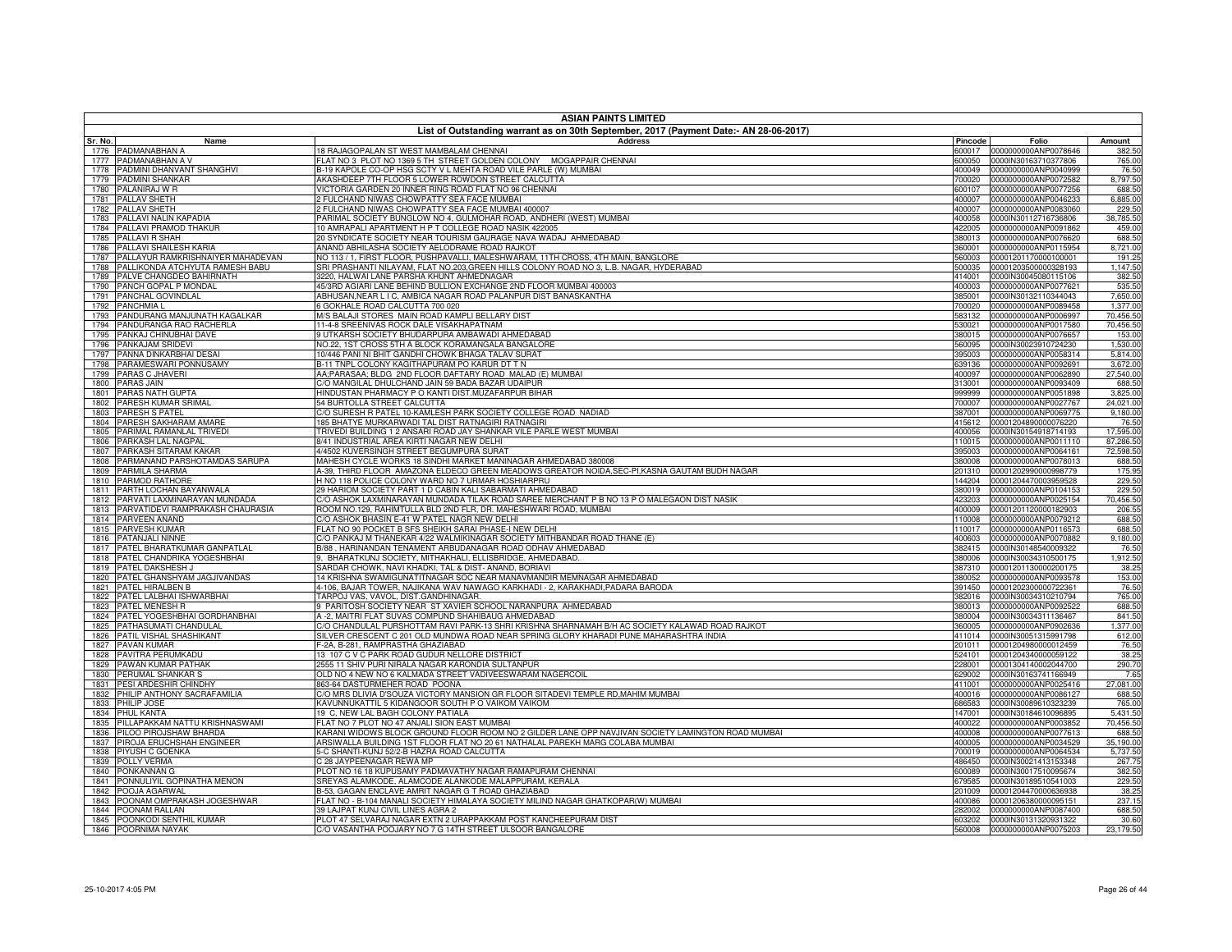| <b>ASIAN PAINTS LIMITED</b>                                             |                                                                                                                                                                                    |                  |                                              |                        |  |
|-------------------------------------------------------------------------|------------------------------------------------------------------------------------------------------------------------------------------------------------------------------------|------------------|----------------------------------------------|------------------------|--|
| Sr. No.<br>Name                                                         | List of Outstanding warrant as on 30th September, 2017 (Payment Date:- AN 28-06-2017)<br><b>Address</b>                                                                            | Pincode          | Folio                                        | Amount                 |  |
| 1776 PADMANABHAN A                                                      | 18 RAJAGOPALAN ST WEST MAMBALAM CHENNAI                                                                                                                                            | 600017           | 0000000000ANP0078646                         | 382.50                 |  |
| PADMANABHAN A V<br>1777                                                 | FLAT NO 3 PLOT NO 1369 5 TH STREET GOLDEN COLONY MOGAPPAIR CHENNAI                                                                                                                 | 600050           | 0000IN30163710377806                         | 765.00                 |  |
| PADMINI DHANVANT SHANGHVI<br>1778                                       | 3-19 KAPOLE CO-OP HSG SCTY V L MEHTA ROAD VILE PARLE (W) MUMBAI                                                                                                                    | 400049           | 0000000000ANP0040999                         | 76.50                  |  |
| PADMINI SHANKAR<br>1779<br>1780<br>PALANIRAJ W R                        | AKASHDEEP 7TH FLOOR 5 LOWER ROWDON STREET CALCUTTA<br>VICTORIA GARDEN 20 INNER RING ROAD FLAT NO 96 CHENNAI                                                                        | 700020<br>600107 | 0000000000ANP0072582<br>0000000000ANP0077256 | 8,797.50<br>688.50     |  |
| 1781<br><b>PALLAV SHETH</b>                                             | 2 FULCHAND NIWAS CHOWPATTY SEA FACE MUMBAI                                                                                                                                         | 400007           | 0000000000ANP0046233                         | 6,885.00               |  |
| <b>PALLAV SHETH</b><br>1782                                             | FULCHAND NIWAS CHOWPATTY SEA FACE MUMBAI 400007                                                                                                                                    | 400007           | 0000000000ANP0083060                         | 229.50                 |  |
| PALLAVI NALIN KAPADIA<br>1783                                           | PARIMAL SOCIETY BUNGLOW NO 4, GULMOHAR ROAD, ANDHERI (WEST) MUMBAI                                                                                                                 | 400058           | 0000IN30112716736806                         | 38,785.50              |  |
| PALLAVI PRAMOD THAKUR<br>1784                                           | 10 AMRAPALI APARTMENT H P T COLLEGE ROAD NASIK 422005                                                                                                                              | 422005           | 0000000000ANP0091862                         | 459.00                 |  |
| 1785<br>PALLAVI R SHAH<br>PALLAVI SHAILESH KARIA<br>1786                | 20 SYNDICATE SOCIETY NEAR TOURISM GAURAGE NAVA WADAJ AHMEDABAD                                                                                                                     | 380013<br>360001 | 0000000000ANP0076620                         | 688.50                 |  |
| PALLAYUR RAMKRISHNAIYER MAHADEVAN<br>1787                               | ANAND ABHILASHA SOCIETY AELODRAME ROAD RAJKOT<br>NO 113 / 1, FIRST FLOOR, PUSHPAVALLI, MALESHWARAM, 11TH CROSS, 4TH MAIN, BANGLORE                                                 | 560003           | 0000000000ANP0115954<br>00001201170000100001 | 8,721.00<br>191.25     |  |
| PALLIKONDA ATCHYUTA RAMESH BABU<br>1788                                 | SRI PRASHANTI NILAYAM, FLAT NO.203, GREEN HILLS COLONY ROAD NO 3, L.B. NAGAR, HYDERABAD                                                                                            | 500035           | 00001203500000328193                         | 1,147.50               |  |
| PALVE CHANGDEO BAHIRNATH<br>1789                                        | 3220, HALWAI LANE PARSHA KHUNT AHMEDNAGAR                                                                                                                                          | 414001           | 0000IN30045080115106                         | 382.50                 |  |
| PANCH GOPAL P MONDAL<br>1790                                            | 45/3RD AGIARI LANE BEHIND BULLION EXCHANGE 2ND FLOOR MUMBAI 400003                                                                                                                 | 400003           | 0000000000ANP0077621                         | 535.50                 |  |
| PANCHAL GOVINDLAL<br>1791                                               | ABHUSAN,NEAR L I C, AMBICA NAGAR ROAD PALANPUR DIST BANASKANTHA                                                                                                                    | 385001           | 0000IN30132110344043                         | 7,650.00               |  |
| <b>PANCHMIA L</b><br>1792                                               | GOKHALE ROAD CALCUTTA 700 020                                                                                                                                                      | 700020           | 0000000000ANP0089458                         | 1,377.00               |  |
| PANDURANG MANJUNATH KAGALKAR<br>1793<br>PANDURANGA RAO RACHERLA<br>1794 | M/S BALAJI STORES MAIN ROAD KAMPLI BELLARY DIST<br>11-4-8 SREENIVAS ROCK DALE VISAKHAPATNAM                                                                                        | 583132<br>530021 | 0000000000ANP0006997<br>0000000000ANP0017580 | 70,456.50<br>70,456.50 |  |
| PANKAJ CHINUBHAI DAVE<br>1795                                           | 9 UTKARSH SOCIETY BHUDARPURA AMBAWADI AHMEDABAD                                                                                                                                    | 380015           | 0000000000ANP0076657                         | 153.00                 |  |
| 1796 PANKAJAM SRIDEVI                                                   | NO.22, 1ST CROSS 5TH A BLOCK KORAMANGALA BANGALORE                                                                                                                                 | 560095           | 0000IN30023910724230                         | 1,530.00               |  |
| PANNA DINKARBHAI DESAI<br>1797                                          | 10/446 PANI NI BHIT GANDHI CHOWK BHAGA TALAV SURAT                                                                                                                                 | 395003           | 0000000000ANP0058314                         | 5,814.00               |  |
| PARAMESWARI PONNUSAMY<br>1798                                           | B-11 TNPL COLONY KAGITHAPURAM PO KARUR DT T N                                                                                                                                      | 639136           | 0000000000ANP0092691                         | 3,672.00               |  |
| PARAS C JHAVERI<br>1799                                                 | AA;PARASAA; BLDG 2ND FLOOR DAFTARY ROAD MALAD (E) MUMBAI                                                                                                                           | 400097           | 0000000000ANP0062890                         | 27,540.00              |  |
| <b>PARAS JAIN</b><br>1800<br>PARAS NATH GUPTA                           | C/O MANGILAL DHULCHAND JAIN 59 BADA BAZAR UDAIPUR                                                                                                                                  | 313001           | 0000000000ANP0093409                         | 688.50                 |  |
| 1801<br>PARESH KUMAR SRIMAL<br>1802                                     | HINDUSTAN PHARMACY P O KANTI DIST.MUZAFARPUR BIHAR<br>54 BURTOLLA STREET CALCUTTA                                                                                                  | 999999<br>700007 | 0000000000ANP0051898<br>0000000000ANP0027767 | 3,825.00<br>24.021.00  |  |
| <b>PARESH S PATEL</b><br>1803                                           | C/O SURESH R PATEL 10-KAMLESH PARK SOCIETY COLLEGE ROAD NADIAD                                                                                                                     | 387001           | 0000000000ANP0069775                         | 9,180.00               |  |
| PARESH SAKHARAM AMARE<br>1804                                           | 185 BHATYE MURKARWADI TAL DIST RATNAGIRI RATNAGIRI                                                                                                                                 | 415612           | 00001204890000076220                         | 76.50                  |  |
| PARIMAL RAMANLAL TRIVEDI<br>1805                                        | TRIVEDI BUILDING 1 2 ANSARI ROAD JAY SHANKAR VILE PARLE WEST MUMBAI                                                                                                                | 400056           | 0000IN30154918714193                         | 17,595.00              |  |
| PARKASH LAL NAGPAL<br>1806                                              | 8/41 INDUSTRIAL AREA KIRTI NAGAR NEW DELHI                                                                                                                                         | 110015           | 0000000000ANP0011110                         | 87,286.50              |  |
| PARKASH SITARAM KAKAR<br>1807                                           | 4/4502 KUVERSINGH STREET BEGUMPURA SURAT                                                                                                                                           | 395003           | 0000000000ANP0064161                         | 72,598.50              |  |
| PARMANAND PARSHOTAMDAS SARUPA<br>1808<br>PARMILA SHARMA<br>1809         | MAHESH CYCLE WORKS 18 SINDHI MARKET MANINAGAR AHMEDABAD 380008<br>4-39. THIRD FLOOR AMAZONA ELDECO GREEN MEADOWS GREATOR NOIDA.SEC-PI.KASNA GAUTAM BUDH NAGAR                      | 380008<br>201310 | 0000000000ANP0078013<br>00001202990000998779 | 688.50<br>175.95       |  |
| PARMOD RATHORE<br>1810                                                  | H NO 118 POLICE COLONY WARD NO 7 URMAR HOSHIARPRU                                                                                                                                  | 144204           | 00001204470003959528                         | 229.50                 |  |
| PARTH LOCHAN BAYANWALA<br>1811                                          | 29 HARIOM SOCIETY PART 1 D CABIN KALI SABARMATI AHMEDABAD                                                                                                                          | 380019           | 0000000000ANP0104153                         | 229.50                 |  |
| PARVATI LAXMINARAYAN MUNDADA<br>1812                                    | C/O ASHOK LAXMINARAYAN MUNDADA TILAK ROAD SAREE MERCHANT P B NO 13 P O MALEGAON DIST NASIK                                                                                         | 423203           | 0000000000ANP0025154                         | 70,456.50              |  |
| PARVATIDEVI RAMPRAKASH CHAURASIA<br>1813                                | ROOM NO.129, RAHIMTULLA BLD 2ND FLR, DR. MAHESHWARI ROAD, MUMBAI                                                                                                                   | 400009           | 00001201120000182903                         | 206.55                 |  |
| <b>PARVEEN ANAND</b><br>1814                                            | C/O ASHOK BHASIN E-41 W PATEL NAGR NEW DELHI                                                                                                                                       | 110008           | 0000000000ANP0079212                         | 688.50                 |  |
| <b>PARVESH KUMAR</b><br>1815<br>PATANJALI NINNE<br>1816                 | FLAT NO 90 POCKET B SFS SHEIKH SARAI PHASE-I NEW DELHI<br>C/O PANKAJ M THANEKAR 4/22 WALMIKINAGAR SOCIETY MITHBANDAR ROAD THANE (E)                                                | 110017<br>400603 | 0000000000ANP0116573<br>0000000000ANP0070882 | 688.50<br>9,180.00     |  |
| PATEL BHARATKUMAR GANPATLAL<br>1817                                     | 3/88, HARINANDAN TENAMENT ARBUDANAGAR ROAD ODHAV AHMEDABAD                                                                                                                         | 382415           | 0000IN30148540009322                         | 76.50                  |  |
| PATEL CHANDRIKA YOGESHBHAI<br>1818                                      | 9. BHARATKUNJ SOCIETY, MITHAKHALI, ELLISBRIDGE, AHMEDABAD,                                                                                                                         | 380006           | 0000IN30034310500175                         | 1.912.50               |  |
| PATEL DAKSHESH J<br>1819                                                | SARDAR CHOWK, NAVI KHADKI, TAL & DIST- ANAND, BORIAVI                                                                                                                              | 387310           | 00001201130000200175                         | 38.25                  |  |
| 1820 PATEL GHANSHYAM JAGJIVANDAS                                        | 14 KRISHNA SWAMIGUNATITNAGAR SOC NEAR MANAVMANDIR MEMNAGAR AHMEDABAD                                                                                                               | 380052           | 0000000000ANP0093578                         | 153.00                 |  |
| 1821<br>PATEL HIRALBEN B                                                | 4-106, BAJAR TOWER, NAJIKANA WAV NAWAGO KARKHADI - 2, KARAKHADI,PADARA BARODA                                                                                                      | 391450           | 00001202300000722361                         | 76.50                  |  |
| 1822<br>PATEL LALBHAI ISHWARBHAI                                        | TARPOJ VAS, VAVOL, DIST.GANDHINAGAR.                                                                                                                                               | 382016           | 0000IN30034310210794                         | 765.00                 |  |
| PATEL MENESH R<br>1823<br>PATEL YOGESHBHAI GORDHANBHAI<br>1824          | FARITOSH SOCIETY NEAR ST XAVIER SCHOOL NARANPURA AHMEDABAD<br>A -2, MAITRI FLAT SUVAS COMPUND SHAHIBAUG AHMEDABAD                                                                  | 380013<br>380004 | 0000000000ANP0092522<br>0000IN30034311136467 | 688.50<br>841.50       |  |
| 1825<br>PATHASUMATI CHANDULAL                                           | C/O CHANDULAL PURSHOTTAM RAVI PARK-13 SHRI KRISHNA SHARNAMAH B/H AC SOCIETY KALAWAD ROAD RAJKOT                                                                                    | 360005           | 0000000000ANP0902636                         | 1,377.00               |  |
| 1826<br>PATIL VISHAL SHASHIKANT                                         | SILVER CRESCENT C 201 OLD MUNDWA ROAD NEAR SPRING GLORY KHARADI PUNE MAHARASHTRA INDIA                                                                                             | 411014           | 0000IN30051315991798                         | 612.00                 |  |
| 1827<br>PAVAN KUMAR                                                     | -2A, B-281, RAMPRASTHA GHAZIABAD                                                                                                                                                   | 201011           | 00001204980000012459                         | 76.50                  |  |
| 1828<br>PAVITRA PERUMKADU                                               | 13 107 C V C PARK ROAD GUDUR NELLORE DISTRICT                                                                                                                                      | 524101           | 00001204340000059122                         | 38.25                  |  |
| 1829 PAWAN KUMAR PATHAK<br>1830 PERUMAL SHANKAR S                       | 2555 11 SHIV PURI NIRALA NAGAR KARONDIA SULTANPUR<br>OLD NO 4 NEW NO 6 KALMADA STREET VADIVEESWARAM NAGERCOIL                                                                      | 228001<br>629002 | 00001304140002044700<br>0000IN30163741166949 | 290.70<br>7.65         |  |
| 1831<br>PESI ARDESHIR CHINDHY                                           | 363-64 DASTURMEHER ROAD POONA                                                                                                                                                      | 411001           | 0000000000ANP0025416                         | 27,081.00              |  |
| 1832 PHILIP ANTHONY SACRAFAMILIA                                        | C/O MRS DLIVIA D'SOUZA VICTORY MANSION GR FLOOR SITADEVI TEMPLE RD, MAHIM MUMBAI                                                                                                   | 400016           | 0000000000ANP0086127                         | 688.50                 |  |
| 1833 PHILIP JOSE                                                        | KAVUNNUKATTIL 5 KIDANGOOR SOUTH P O VAIKOM VAIKOM                                                                                                                                  | 686583           | 0000IN30089610323239                         | 765.00                 |  |
| 1834<br>PHUL KANTA                                                      | 19 C, NEW LAL BAGH COLONY PATIALA                                                                                                                                                  | 147001           | 0000IN30184610096895                         | 5,431.50               |  |
| 1835 PILLAPAKKAM NATTU KRISHNASWAMI                                     | FLAT NO 7 PLOT NO 47 ANJALI SION EAST MUMBAI                                                                                                                                       | 400022           | 0000000000ANP0003852                         | 70,456.50              |  |
| 1836 PILOO PIROJSHAW BHARDA<br>1837                                     | KARANI WIDOWS BLOCK GROUND FLOOR ROOM NO 2 GILDER LANE OPP NAVJIVAN SOCIETY LAMINGTON ROAD MUMBAI<br>ARSIWALLA BUILDING 1ST FLOOR FLAT NO 20 61 NATHALAL PAREKH MARG COLABA MUMBAI | 400008<br>400005 | 0000000000ANP0077613<br>0000000000ANP0034529 | 688.50<br>35,190.00    |  |
| PIROJA ERUCHSHAH ENGINEER<br>1838 PIYUSH C GOENKA                       | 5-C SHANTI-KUNJ 52/2-B HAZRA ROAD CALCUTTA                                                                                                                                         | 700019           | 0000000000ANP0064534                         | 5,737.50               |  |
| 1839 POLLY VERMA                                                        | C 28 JAYPEENAGAR REWA MP                                                                                                                                                           | 486450           | 0000IN30021413153348                         | 267.75                 |  |
| 1840 PONKANNAN G                                                        | PLOT NO 16 18 KUPUSAMY PADMAVATHY NAGAR RAMAPURAM CHENNAI                                                                                                                          | 600089           | 0000IN30017510095674                         | 382.50                 |  |
| 1841 PONNULIYIL GOPINATHA MENON                                         | SREYAS ALAMKODE, ALAMCODE ALANKODE MALAPPURAM, KERALA                                                                                                                              | 679585           | 0000IN30189510541003                         | 229.50                 |  |
| 1842 POOJA AGARWAL                                                      | 3-53, GAGAN ENCLAVE AMRIT NAGAR G T ROAD GHAZIABAD                                                                                                                                 | 201009           | 00001204470000636938                         | 38.25                  |  |
| 1843 POONAM OMPRAKASH JOGESHWAR<br>1844 POONAM RALLAN                   | FLAT NO - B-104 MANALI SOCIETY HIMALAYA SOCIETY MILIND NAGAR GHATKOPAR(W) MUMBAI<br>39 LAJPAT KUNJ CIVIL LINES AGRA 2                                                              | 400086           | 00001206380000095151                         | 237.15<br>688.50       |  |
| 1845 POONKODI SENTHIL KUMAR                                             | PLOT 47 SELVARAJ NAGAR EXTN 2 URAPPAKKAM POST KANCHEEPURAM DIST                                                                                                                    | 282002<br>603202 | 0000000000ANP0087400<br>0000IN30131320931322 | 30.60                  |  |
| 1846 POORNIMA NAYAK                                                     | C/O VASANTHA POOJARY NO 7 G 14TH STREET ULSOOR BANGALORE                                                                                                                           |                  | 560008 0000000000ANP0075203                  | 23,179.50              |  |
|                                                                         |                                                                                                                                                                                    |                  |                                              |                        |  |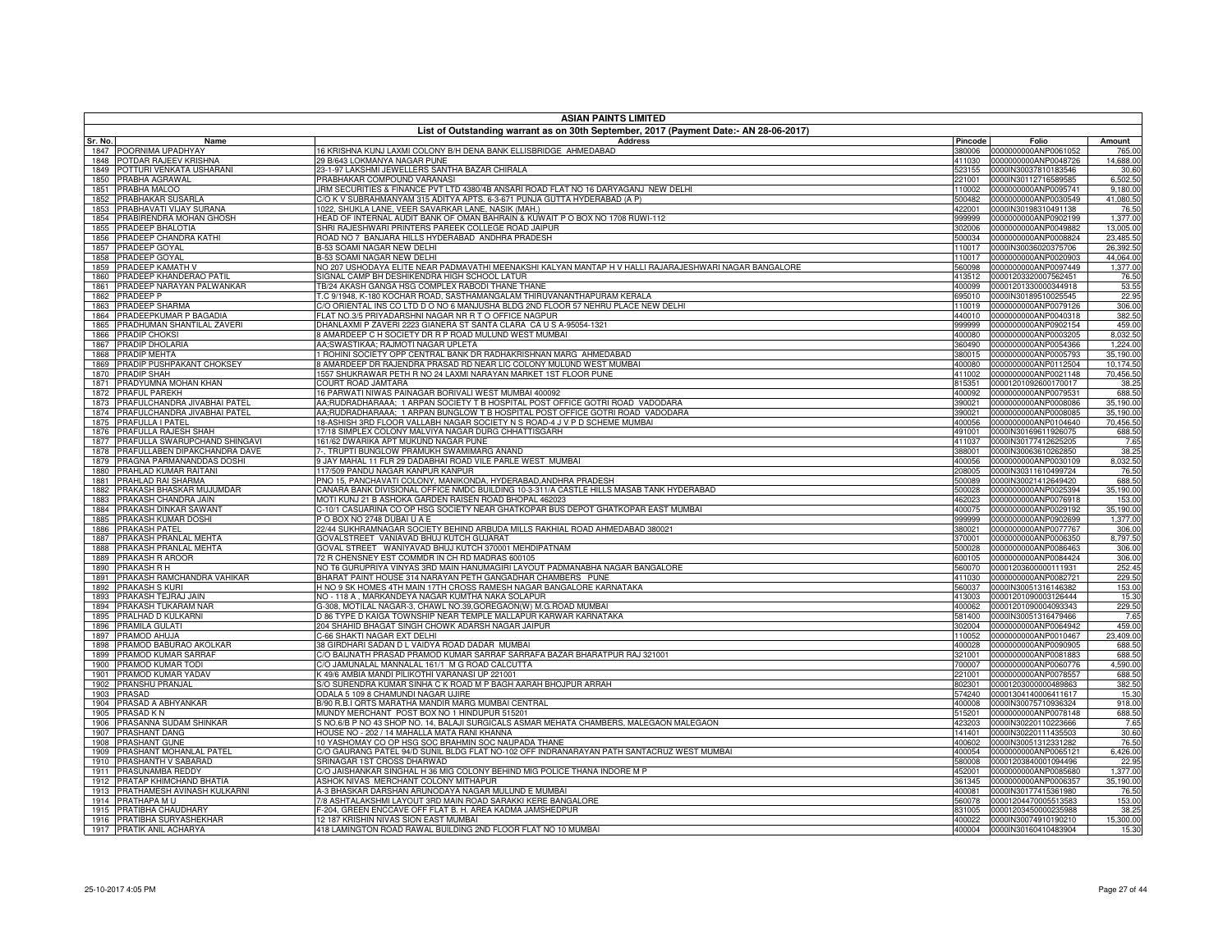| <b>ASIAN PAINTS LIMITED</b>                                   |                                                                                                                             |                  |                                              |                        |  |
|---------------------------------------------------------------|-----------------------------------------------------------------------------------------------------------------------------|------------------|----------------------------------------------|------------------------|--|
| Sr. No.<br>Name                                               | List of Outstanding warrant as on 30th September, 2017 (Payment Date:- AN 28-06-2017)<br><b>Address</b>                     | Pincode          | Folio                                        | Amount                 |  |
| POORNIMA UPADHYAY<br>1847                                     | 16 KRISHNA KUNJ LAXMI COLONY B/H DENA BANK ELLISBRIDGE AHMEDABAD                                                            |                  | 380006 0000000000ANP0061052                  | 765.00                 |  |
| POTDAR RAJEEV KRISHNA<br>1848                                 | 29 B/643 LOKMANYA NAGAR PUNE                                                                                                | 411030           | 0000000000ANP0048726                         | 14,688.00              |  |
| POTTURI VENKATA USHARANI<br>1849                              | 23-1-97 LAKSHMI JEWELLERS SANTHA BAZAR CHIRALA                                                                              |                  | 523155 0000IN30037810183546                  | 30.60                  |  |
| 1850<br>PRABHA AGRAWAL                                        | PRABHAKAR COMPOUND VARANASI                                                                                                 | 221001           | 0000IN30112716589585                         | 6.502.50               |  |
| PRABHA MALOO<br>1851                                          | JRM SECURITIES & FINANCE PVT LTD 4380/4B ANSARI ROAD FLAT NO 16 DARYAGANJ NEW DELHI                                         | 110002           | 0000000000ANP0095741                         | 9,180.00               |  |
| PRABHAKAR SUSARLA<br>1852                                     | CO K V SUBRAHMANYAM 315 ADITYA APTS. 6-3-671 PUNJA GUTTA HYDERABAD (A P)                                                    | 500482           | 0000000000ANP0030549                         | 41,080.50              |  |
| PRABHAVATI VIJAY SURANA<br>1853                               | 1022, SHUKLA LANE, VEER SAVARKAR LANE, NASIK (MAH.)                                                                         | 422001           | 0000IN30198310491138                         | 76.50                  |  |
| PRABIRENDRA MOHAN GHOSH<br>1854                               | HEAD OF INTERNAL AUDIT BANK OF OMAN BAHRAIN & KUWAIT P O BOX NO 1708 RUWI-112                                               | 999999           | 0000000000ANP0902199                         | 1,377.00               |  |
| PRADEEP BHALOTIA<br>1855<br>PRADEEP CHANDRA KATHI             | SHRI RAJESHWARI PRINTERS PAREEK COLLEGE ROAD JAIPUR<br>ROAD NO 7 BANJARA HILLS HYDERABAD ANDHRA PRADESH                     | 302006<br>500034 | 0000000000ANP0049882<br>0000000000ANP0008824 | 13,005.00<br>23,485.50 |  |
| 1856<br>1857<br>PRADEEP GOYAL                                 | <b>B-53 SOAMI NAGAR NEW DELHI</b>                                                                                           | 110017           | 0000IN30036020375706                         | 26,392.50              |  |
| PRADEEP GOYAL<br>1858                                         | <b>B-53 SOAMI NAGAR NEW DELHI</b>                                                                                           | 110017           | 0000000000ANP0020903                         | 44,064.00              |  |
| PRADEEP KAMATH V<br>1859                                      | NO 207 USHODAYA ELITE NEAR PADMAVATHI MEENAKSHI KALYAN MANTAP H V HALLI RAJARAJESHWARI NAGAR BANGALORE                      | 560098           | 0000000000ANP0097449                         | 1,377.00               |  |
| 1860<br>PRADEEP KHANDERAO PATIL                               | <b>SIGNAL CAMP BH DESHIKENDRA HIGH SCHOOL LATUR</b>                                                                         | 413512           | 00001203320007562451                         | 76.50                  |  |
| PRADEEP NARAYAN PALWANKAR<br>1861                             | <b>TB/24 AKASH GANGA HSG COMPLEX RABODI THANE THANE</b>                                                                     | 400099           | 00001201330000344918                         | 53.55                  |  |
| 1862<br>PRADEEP P                                             | C 9/1948, K-180 KOCHAR ROAD, SASTHAMANGALAM THIRUVANANTHAPURAM KERALA                                                       | 695010           | 0000IN30189510025545                         | 22.95                  |  |
| 1863<br>PRADEEP SHARMA                                        | /O ORIENTAL INS CO LTD D O NO 6 MANJUSHA BLDG 2ND FLOOR 57 NEHRU PLACE NEW DELHI                                            | 110019           | 0000000000ANP0079126                         | 306.00                 |  |
| <b>PRADEEPKUMAR P BAGADIA</b><br>1864                         | LAT NO.3/5 PRIYADARSHNI NAGAR NR R T O OFFICE NAGPUR                                                                        | 440010           | 0000000000ANP0040318                         | 382.50                 |  |
| PRADHUMAN SHANTILAL ZAVERI<br>1865                            | DHANLAXMI P ZAVERI 2223 GIANERA ST SANTA CLARA CA U S A-95054-1321                                                          | 999999           | 0000000000ANP0902154                         | 459.00                 |  |
| 1866<br>PRADIP CHOKSI                                         | AMARDEEP C H SOCIETY DR R P ROAD MULUND WEST MUMBAI                                                                         | 400080           | 0000000000ANP0003205                         | 8,032.50               |  |
| PRADIP DHOLARIA<br>1867                                       | AA;SWASTIKAA; RAJMOTI NAGAR UPLETA                                                                                          | 360490           | 0000000000ANP0054366                         | 1,224.00               |  |
| 1868<br>PRADIP MEHTA                                          | I ROHINI SOCIETY OPP CENTRAL BANK DR RADHAKRISHNAN MARG AHMEDABAD                                                           | 380015           | 0000000000ANP0005793                         | 35,190.00              |  |
| PRADIP PUSHPAKANT CHOKSEY<br>1869                             | AMARDEEP DR RAJENDRA PRASAD RD NEAR LIC COLONY MULUND WEST MUMBAI                                                           | 400080           | 0000000000ANP0112504                         | 10,174.50              |  |
| 1870<br>PRADIP SHAH                                           | 1557 SHUKRAWAR PETH R NO 24 LAXMI NARAYAN MARKET 1ST FLOOR PUNE                                                             | 411002           | 0000000000ANP0021148                         | 70,456.50              |  |
| PRADYUMNA MOHAN KHAN<br>1871<br><b>PRAFUL PAREKH</b>          | COURT ROAD JAMTARA<br>16 PARWATI NIWAS PAINAGAR BORIVALI WEST MUMBAI 400092                                                 | 815351<br>400092 | 00001201092600170017<br>0000000000ANP0079531 | 38.25<br>688.50        |  |
| 1872<br>PRAFULCHANDRA JIVABHAI PATEL<br>1873                  | AA;RUDRADHARAAA; 1 ARPAN SOCIETY T B HOSPITAL POST OFFICE GOTRI ROAD VADODARA                                               | 390021           | 0000000000ANP0008086                         | 35,190.00              |  |
| PRAFULCHANDRA JIVABHAI PATEL<br>1874                          | AA;RUDRADHARAAA; 1 ARPAN BUNGLOW T B HOSPITAL POST OFFICE GOTRI ROAD VADODARA                                               | 390021           | 0000000000ANP0008085                         | 35,190.00              |  |
| 1875<br>PRAFULLA I PATEL                                      | 18-ASHISH 3RD FLOOR VALLABH NAGAR SOCIETY N S ROAD-4 J V P D SCHEME MUMBAI                                                  | 400056           | 0000000000ANP0104640                         | 70,456.50              |  |
| PRAFULLA RAJESH SHAH<br>1876                                  | 17/18 SIMPLEX COLONY MALVIYA NAGAR DURG CHHATTISGARH                                                                        | 491001           | 0000IN30169611926075                         | 688.50                 |  |
| PRAFULLA SWARUPCHAND SHINGAVI<br>1877                         | 161/62 DWARIKA APT MUKUND NAGAR PUNE                                                                                        | 411037           | 0000IN30177412625205                         | 7.65                   |  |
| PRAFULLABEN DIPAKCHANDRA DAVE<br>1878                         | . TRUPTI BUNGLOW PRAMUKH SWAMIMARG ANAND                                                                                    | 388001           | 0000IN30063610262850                         | 38.25                  |  |
| 1879<br>PRAGNA PARMANANDDAS DOSHI                             | JAY MAHAL 11 FLR 29 DADABHAI ROAD VILE PARLE WEST MUMBAI                                                                    | 400056           | 0000000000ANP0030109                         | 8,032.50               |  |
| PRAHLAD KUMAR RAITANI<br>1880                                 | 17/509 PANDU NAGAR KANPUR KANPUR                                                                                            | 208005           | 0000IN30311610499724                         | 76.50                  |  |
| PRAHLAD RAI SHARMA<br>1881                                    | PNO 15, PANCHAVATI COLONY, MANIKONDA, HYDERABAD, ANDHRA PRADESH                                                             | 500089           | 0000IN30021412649420                         | 688.50                 |  |
| 1882<br>PRAKASH BHASKAR MUJUMDAR                              | CANARA BANK DIVISIONAL OFFICE NMDC BUILDING 10-3-311/A CASTLE HILLS MASAB TANK HYDERABAD                                    | 500028           | 0000000000ANP0025394                         | 35,190.00              |  |
| 1883<br>'RAKASH CHANDRA JAIN                                  | 10TI KUNJ 21 B ASHOKA GARDEN RAISEN ROAD BHOPAL 462023                                                                      | 462023           | 0000000000ANP0076918                         | 153.00                 |  |
| 1884<br>PRAKASH DINKAR SAWANT                                 | -10/1 CASUARINA CO OP HSG SOCIETY NEAR GHATKOPAR BUS DEPOT GHATKOPAR EAST MUMBAI                                            | 400075           | 0000000000ANP0029192                         | 35,190.00              |  |
| <b>PRAKASH KUMAR DOSHI</b><br>1885                            | O BOX NO 2748 DUBAI U A E                                                                                                   | 999999           | 0000000000ANP0902699                         | 1,377.00               |  |
| <b>PRAKASH PATEL</b><br>1886<br>1887<br>PRAKASH PRANLAL MEHTA | 2/44 SUKHRAMNAGAR SOCIETY BEHIND ARBUDA MILLS RAKHIAL ROAD AHMEDABAD 380021<br>GOVALSTREET VANIAVAD BHUJ KUTCH GUJARAT      | 380021<br>370001 | 0000000000ANP0077767<br>0000000000ANP0006350 | 306.00<br>8,797.50     |  |
| 1888<br>PRAKASH PRANLAL MEHTA                                 | GOVAL STREET WANIYAVAD BHUJ KUTCH 370001 MEHDIPATNAM                                                                        | 500028           | 0000000000ANP0086463                         | 306.00                 |  |
| PRAKASH R AROOR<br>1889                                       | 72 R CHENSNEY EST COMMDR IN CH RD MADRAS 600105                                                                             | 600105           | 0000000000ANP0084424                         | 306.00                 |  |
| 1890<br>PRAKASH R H                                           | NO T6 GURUPRIYA VINYAS 3RD MAIN HANUMAGIRI LAYOUT PADMANABHA NAGAR BANGALORE                                                | 560070           | 00001203600000111931                         | 252.45                 |  |
| PRAKASH RAMCHANDRA VAHIKAR<br>1891                            | BHARAT PAINT HOUSE 314 NARAYAN PETH GANGADHAR CHAMBERS PUNE                                                                 | 411030           | 0000000000ANP0082721                         | 229.50                 |  |
| 1892<br>PRAKASH S KURI                                        | H NO 9 SK HOMES 4TH MAIN 17TH CROSS RAMESH NAGAR BANGALORE KARNATAKA                                                        | 560037           | 0000IN30051316146382                         | 153.00                 |  |
| 1893<br>PRAKASH TEJRAJ JAIN                                   | NO - 118 A , MARKANDEYA NAGAR KUMTHA NAKA SOLAPUR                                                                           | 413003           | 00001201090003126444                         | 15.30                  |  |
| 1894<br>PRAKASH TUKARAM NAR                                   | 3-308, MOTILAL NAGAR-3, CHAWL NO.39,GOREGAON(W) M.G.ROAD MUMBAI                                                             | 400062           | 00001201090004093343                         | 229.50                 |  |
| 1895<br>PRALHAD D KULKARNI                                    | D 86 TYPE D KAIGA TOWNSHIP NEAR TEMPLE MALLAPUR KARWAR KARNATAKA                                                            | 581400           | 0000IN30051316479466                         | 7.65                   |  |
| 1896<br><b>PRAMILA GULATI</b>                                 | 204 SHAHID BHAGAT SINGH CHOWK ADARSH NAGAR JAIPUR                                                                           | 302004           | 0000000000ANP0064942                         | 459.00                 |  |
| 1897<br>PRAMOD AHUJA                                          | -66 SHAKTI NAGAR EXT DELHI                                                                                                  | 110052           | 0000000000ANP0010467                         | 23,409.00              |  |
| 1898<br>PRAMOD BABURAO AKOLKAR                                | 38 GIRDHARI SADAN D L VAIDYA ROAD DADAR MUMBAI                                                                              | 400028           | 0000000000ANP0090905                         | 688.50                 |  |
| 1899<br>PRAMOD KUMAR SARRAF<br>PRAMOD KUMAR TODI              | %O BAIJNATH PRASAD PRAMOD KUMAR SARRAF SARRAFA BAZAR BHARATPUR RAJ 321001<br>C/O JAMUNALAL MANNALAL 161/1 M G ROAD CALCUTTA | 321001<br>700007 | 0000000000ANP0081883<br>0000000000ANP0060776 | 688.50<br>4,590.00     |  |
| 1900<br>1901<br>PRAMOD KUMAR YADAV                            | (49/6 AMBIA MANDI PILIKOTHI VARANASI UP 221001                                                                              | 221001           | 0000000000ANP0078557                         | 688.50                 |  |
| 1902<br>PRANSHU PRANJAL                                       | %O SURENDRA KUMAR SINHA C K ROAD M P BAGH AARAH BHOJPUR ARRAH                                                               | 802301           | 00001203000000489863                         | 382.50                 |  |
| 1903<br>PRASAD                                                | ODALA 5 109 8 CHAMUNDI NAGAR UJIRE                                                                                          | 574240           | 00001304140006411617                         | 15.30                  |  |
| 1904<br>PRASAD A ABHYANKAR                                    | 3/90 R.B.I QRTS MARATHA MANDIR MARG MUMBAI CENTRAL                                                                          | 400008           | 0000IN30075710936324                         | 918.00                 |  |
| 1905<br>PRASAD K N                                            | <b>IN THE STATE POST BOX NO 1 HINDUPUR 515201</b>                                                                           | 515201           | 0000000000ANP0078148                         | 688.50                 |  |
| PRASANNA SUDAM SHINKAR<br>1906                                | S NO.6/B P NO 43 SHOP NO. 14, BALAJI SURGICALS ASMAR MEHATA CHAMBERS, MALEGAON MALEGAON                                     | 423203           | 0000IN30220110223666                         | 7.65                   |  |
| 1907<br>PRASHANT DANG                                         | HOUSE NO - 202 / 14 MAHALLA MATA RANI KHANNA                                                                                | 141401           | 0000IN30220111435503                         | 30.60                  |  |
| PRASHANT GUNE<br>1908                                         | 10 YASHOMAY CO OP HSG SOC BRAHMIN SOC NAUPADA THANE                                                                         | 400602           | 0000IN30051312331282                         | 76.50                  |  |
| 1909<br>PRASHANT MOHANLAL PATEL                               | %O GAURANG PATEL 94/D SUNIL BLDG FLAT NO-102 OFF INDRANARAYAN PATH SANTACRUZ WEST MUMBAI                                    | 400054           | 0000000000ANP0065121                         | 6,426.00               |  |
| PRASHANTH V SABARAD<br>1910                                   | SRINAGAR 1ST CROSS DHARWAD                                                                                                  | 580008           | 00001203840001094496                         | 22.95                  |  |
| PRASUNAMBA REDDY<br>1911                                      | VO JAISHANKAR SINGHAL H 36 MIG COLONY BEHIND MIG POLICE THANA INDORE M P                                                    | 452001           | 0000000000ANP0085680                         | 1,377.00               |  |
| <b>PRATAP KHIMCHAND BHATIA</b><br>1912                        | ASHOK NIVAS MERCHANT COLONY MITHAPUR                                                                                        | 361345           | 0000000000ANP0006357                         | 35,190.00              |  |
| PRATHAMESH AVINASH KULKARNI<br>1913                           | -3 BHASKAR DARSHAN ARUNODAYA NAGAR MULUND E MUMBAI                                                                          | 400081           | 0000IN30177415361980                         | 76.50                  |  |
| PRATHAPA MU<br>1914<br>PRATIBHA CHAUDHARY<br>1915             | 7/8 ASHTALAKSHMI LAYOUT 3RD MAIN ROAD SARAKKI KERE BANGALORE<br>-204, GREEN ENCCAVE OFF FLAT B. H. AREA KADMA JAMSHEDPUR    | 560078<br>331005 | 00001204470005513583<br>00001203450000235988 | 153.00<br>38.25        |  |
| 1916 PRATIBHA SURYASHEKHAR                                    | 12 187 KRISHIN NIVAS SION EAST MUMBAI                                                                                       |                  | 400022 0000IN30074910190210                  | 15,300.00              |  |
| 1917 PRATIK ANIL ACHARYA                                      | 118 LAMINGTON ROAD RAWAL BUILDING 2ND FLOOR FLAT NO 10 MUMBAI                                                               |                  | 400004 0000IN30160410483904                  | 15.30                  |  |
|                                                               |                                                                                                                             |                  |                                              |                        |  |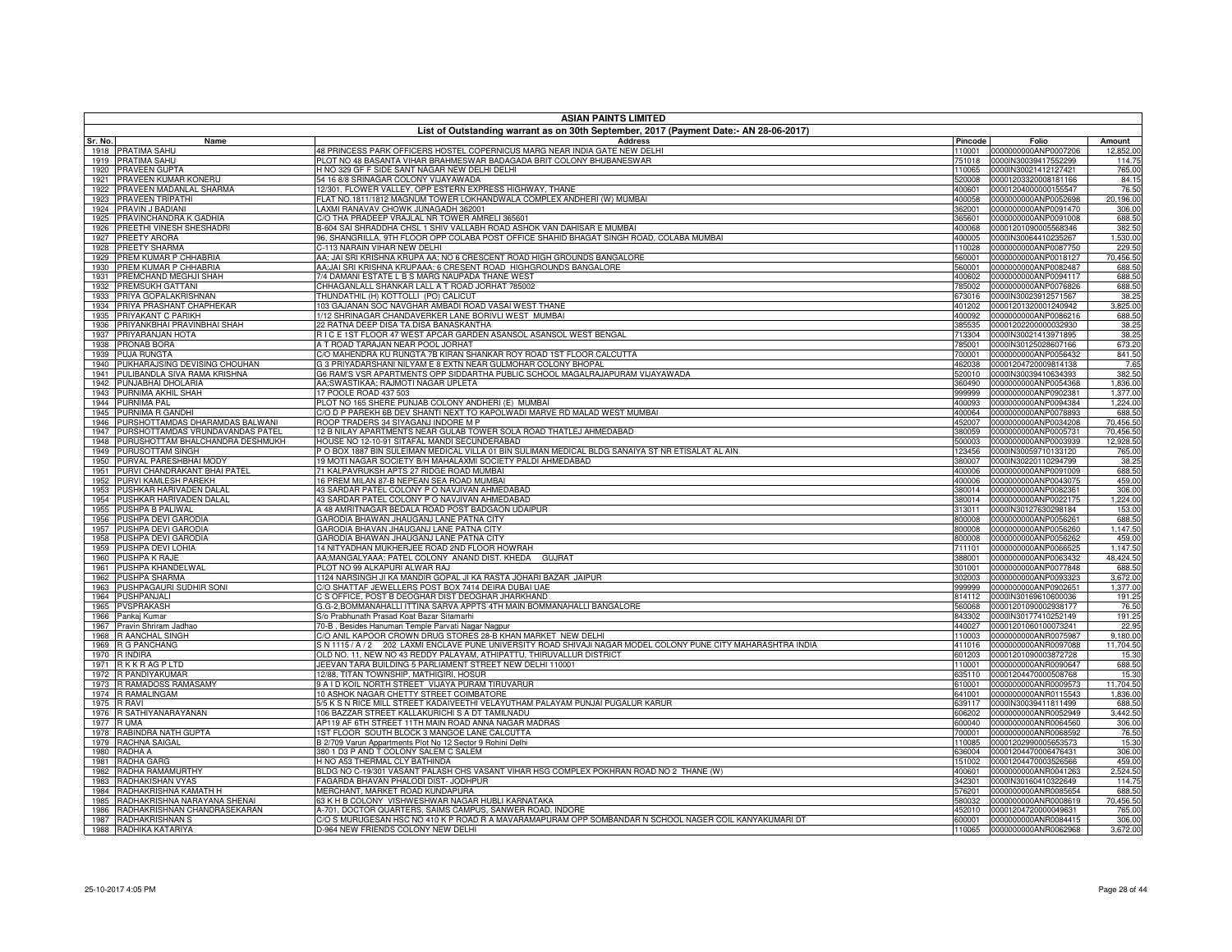| <b>ASIAN PAINTS LIMITED</b>                                     |                                                                                                                          |                  |                                              |                      |  |
|-----------------------------------------------------------------|--------------------------------------------------------------------------------------------------------------------------|------------------|----------------------------------------------|----------------------|--|
|                                                                 | List of Outstanding warrant as on 30th September, 2017 (Payment Date:- AN 28-06-2017)                                    | Pincode          |                                              |                      |  |
| Sr. No.<br>Name<br>1918 PRATIMA SAHU                            | <b>Address</b><br>48 PRINCESS PARK OFFICERS HOSTEL COPERNICUS MARG NEAR INDIA GATE NEW DELHI                             | 110001           | Folio<br>0000000000ANP0007206                | Amount<br>12,852.00  |  |
| <b>PRATIMA SAHU</b><br>1919                                     | PLOT NO 48 BASANTA VIHAR BRAHMESWAR BADAGADA BRIT COLONY BHUBANESWAR                                                     | 751018           | 0000IN30039417552299                         | 114.75               |  |
| PRAVEEN GUPTA<br>1920                                           | H NO 329 GF F SIDE SANT NAGAR NEW DELHI DELHI                                                                            | 110065           | 0000IN30021412127421                         | 765.00               |  |
| PRAVEEN KUMAR KONERU<br>1921                                    | 54 16 8/8 SRINAGAR COLONY VIJAYAWADA                                                                                     | 520008           | 00001203320008181166                         | 84.15                |  |
| PRAVEEN MADANLAL SHARMA<br>1922                                 | 12/301, FLOWER VALLEY, OPP ESTERN EXPRESS HIGHWAY, THANE                                                                 | 400601           | 00001204000000155547                         | 76.50                |  |
| PRAVEEN TRIPATHI<br>1923                                        | ELAT NO.1811/1812 MAGNUM TOWER LOKHANDWALA COMPLEX ANDHERI (W) MUMBAI                                                    | 400058           | 0000000000ANP0052698                         | 20,196.00            |  |
| PRAVIN J BADIANI<br>1924<br>1925<br>PRAVINCHANDRA K GADHIA      | AXMI RANAVAV CHOWK JUNAGADH 362001<br>C/O THA PRADEEP VRAJLAL NR TOWER AMRELI 365601                                     | 362001<br>365601 | 0000000000ANP0091470<br>0000000000ANP0091008 | 306.00<br>688.50     |  |
| PREETHI VINESH SHESHADRI<br>1926                                | 604 SAI SHRADDHA CHSL 1 SHIV VALLABH ROAD ASHOK VAN DAHISAR E MUMBAI                                                     | 400068           | 00001201090005568346                         | 382.50               |  |
| 1927<br>PREETY ARORA                                            | 96, SHANGRILLA, 9TH FLOOR OPP COLABA POST OFFICE SHAHID BHAGAT SINGH ROAD, COLABA MUMBAI                                 | 400005           | 0000IN30064410235267                         | 1,530.00             |  |
| PREETY SHARMA<br>1928                                           | C-113 NARAIN VIHAR NEW DELHI                                                                                             | 110028           | 0000000000ANP0087750                         | 229.50               |  |
| PREM KUMAR P CHHABRIA<br>1929                                   | 4A: JAI SRI KRISHNA KRUPA AA: NO 6 CRESCENT ROAD HIGH GROUNDS BANGALORE                                                  | 560001           | 0000000000ANP0018127                         | 70,456.50            |  |
| PREM KUMAR P CHHABRIA<br>1930                                   | AA;JAI SRI KRISHNA KRUPAAA; 6 CRESENT ROAD HIGHGROUNDS BANGALORE                                                         | 560001           | 0000000000ANP0082487                         | 688.50               |  |
| PREMCHAND MEGHJI SHAH<br>1931                                   | 7/4 DAMANI ESTATE L B S MARG NAUPADA THANE WEST                                                                          | 400602           | 0000000000ANP0094117                         | 688.50               |  |
| PREMSUKH GATTANI<br>1932<br>PRIYA GOPALAKRISHNAN                | CHHAGANLALL SHANKAR LALL A T ROAD JORHAT 785002<br><b>THUNDATHIL (H) KOTTOLLI (PO) CALICUT</b>                           | 785002           | 0000000000ANP0076826                         | 688.50               |  |
| 1933<br>PRIYA PRASHANT CHAPHEKAR<br>1934                        | 103 GAJANAN SOC NAVGHAR AMBADI ROAD VASAI WEST THANE                                                                     | 673016<br>401202 | 0000IN30023912571567<br>00001201320001240942 | 38.25<br>3,825.00    |  |
| 1935<br>PRIYAKANT C PARIKH                                      | 1/12 SHRINAGAR CHANDAVERKER LANE BORIVLI WEST MUMBAI                                                                     | 400092           | 0000000000ANP0086216                         | 688.50               |  |
| PRIYANKBHAI PRAVINBHAI SHAH<br>1936                             | 22 RATNA DEEP DISA TA.DISA BANASKANTHA                                                                                   | 385535           | 00001202200000032930                         | 38.25                |  |
| PRIYARANJAN HOTA<br>1937                                        | RICE 1ST FLOOR 47 WEST APCAR GARDEN ASANSOL ASANSOL WEST BENGAL                                                          | 713304           | 0000IN30021413971895                         | 38.25                |  |
| 1938 PRONAB BORA                                                | A T ROAD TARAJAN NEAR POOL JORHAT                                                                                        | 785001           | 0000IN30125028607166                         | 673.20               |  |
| <b>PUJA RUNGTA</b><br>1939                                      | C/O MAHENDRA KU RUNGTA 7B KIRAN SHANKAR ROY ROAD 1ST FLOOR CALCUTTA                                                      | 700001           | 0000000000ANP0056432                         | 841.50               |  |
| 1940<br>PUKHARAJSING DEVISING CHOUHAN                           | G 3 PRIYADARSHANI NILYAM E 8 EXTN NEAR GULMOHAR COLONY BHOPAL                                                            | 462038           | 00001204720009814138                         | 7.65                 |  |
| PULIBANDLA SIVA RAMA KRISHNA<br>1941                            | G6 RAM'S VSR APARTMENTS OPP SIDDARTHA PUBLIC SCHOOL MAGALRAJAPURAM VIJAYAWADA                                            | 520010           | 0000IN30039410634393                         | 382.50               |  |
| PUNJABHAI DHOLARIA<br>1942<br>1943 PURNIMA AKHIL SHAH           | AA:SWASTIKAA: RAJMOTI NAGAR UPLETA<br>17 POOLE ROAD 437 503                                                              | 360490<br>999999 | 0000000000ANP0054368<br>0000000000ANP0902381 | 1,836.00<br>1,377.00 |  |
| 1944 PURNIMA PAL                                                | PLOT NO 165 SHERE PUNJAB COLONY ANDHERI (E) MUMBAI                                                                       | 400093           | 0000000000ANP0094384                         | 1,224.00             |  |
| PURNIMA R GANDHI<br>1945                                        | C/O D P PAREKH 6B DEV SHANTI NEXT TO KAPOLWADI MARVE RD MALAD WEST MUMBAI                                                | 400064           | 0000000000ANP0078893                         | 688.50               |  |
| 1946 PURSHOTTAMDAS DHARAMDAS BALWANI                            | ROOP TRADERS 34 SIYAGANJ INDORE M P                                                                                      | 452007           | 0000000000ANP0034208                         | 70,456.50            |  |
| 1947 PURSHOTTAMDAS VRUNDAVANDAS PATEL                           | 12 B NILAY APARTMENTS NEAR GULAB TOWER SOLA ROAD THATLEJ AHMEDABAD                                                       | 380059           | 0000000000ANP0005731                         | 70,456.50            |  |
| 1948 PURUSHOTTAM BHALCHANDRA DESHMUKH                           | HOUSE NO 12-10-91 SITAFAL MANDI SECUNDERABAD                                                                             | 500003           | 0000000000ANP0003939                         | 12.928.50            |  |
| 1949 PURUSOTTAM SINGH                                           | P O BOX 1887 BIN SULEIMAN MEDICAL VILLA 01 BIN SULIMAN MEDICAL BLDG SANAIYA ST NR ETISALAT AL AIN                        | 123456           | 0000IN30059710133120                         | 765.00               |  |
| PURVAL PARESHBHAI MODY<br>1950                                  | 19 MOTI NAGAR SOCIETY B/H MAHALAXMI SOCIETY PALDI AHMEDABAD                                                              | 380007           | 0000IN30220110294799                         | 38.25                |  |
| PURVI CHANDRAKANT BHAI PATEL<br>1951                            | 71 KALPAVRUKSH APTS 27 RIDGE ROAD MUMBAI                                                                                 | 400006           | 0000000000ANP0091009                         | 688.50               |  |
| PURVI KAMLESH PAREKH<br>1952<br>PUSHKAR HARIVADEN DALAL<br>1953 | 16 PREM MILAN 87-B NEPEAN SEA ROAD MUMBAI<br>43 SARDAR PATEL COLONY P O NAVJIVAN AHMEDABAD                               | 400006<br>380014 | 0000000000ANP0043075<br>0000000000ANP0082361 | 459.00<br>306.00     |  |
| PUSHKAR HARIVADEN DALAL<br>1954                                 | 43 SARDAR PATEL COLONY P O NAVJIVAN AHMEDABAD                                                                            | 380014           | 0000000000ANP0022175                         | 1,224.00             |  |
| 1955<br>PUSHPA B PALIWAL                                        | A 48 AMRITNAGAR BEDALA ROAD POST BADGAON UDAIPUR                                                                         | 313011           | 0000IN30127630298184                         | 153.00               |  |
| PUSHPA DEVI GARODIA<br>1956                                     | GARODIA BHAWAN JHAUGANJ LANE PATNA CITY                                                                                  | 800008           | 0000000000ANP0056261                         | 688.50               |  |
| PUSHPA DEVI GARODIA<br>1957                                     | GARODIA BHAVAN JHAUGANJ LANE PATNA CITY                                                                                  | 800008           | 0000000000ANP0056260                         | 1,147.50             |  |
| PUSHPA DEVI GARODIA<br>1958                                     | GARODIA BHAWAN JHAUGANJ LANE PATNA CITY                                                                                  | 800008           | 0000000000ANP0056262                         | 459.00               |  |
| PUSHPA DEVI LOHIA<br>1959                                       | 14 NITYADHAN MUKHERJEE ROAD 2ND FLOOR HOWRAH                                                                             | 711101           | 0000000000ANP0066525                         | 1,147.50             |  |
| PUSHPA K RAJE<br>1960                                           | AA:MANGALYAAA: PATEL COLONY ANAND DIST, KHEDA GUJRAT                                                                     | 388001           | 0000000000ANP0063432                         | 48,424.50            |  |
| 1961<br>PUSHPA KHANDELWAL                                       | PLOT NO 99 ALKAPURI ALWAR RAJ                                                                                            | 301001           | 0000000000ANP0077848                         | 688.50               |  |
| PUSHPA SHARMA<br>1962<br>1963<br>PUSHPAGAURI SUDHIR SONI        | 1124 NARSINGH JI KA MANDIR GOPAL JI KA RASTA JOHARI BAZAR JAIPUR<br>C/O SHATTAF JEWELLERS POST BOX 7414 DEIRA DUBAI UAE  | 302003<br>999999 | 0000000000ANP0093323<br>0000000000ANP0902651 | 3,672.00<br>1,377.00 |  |
| 1964<br>PUSHPANJALI                                             | C S OFFICE, POST B DEOGHAR DIST DEOGHAR JHARKHAND                                                                        | 814112           | 0000IN30169610600036                         | 191.25               |  |
| 1965<br><b>PVSPRAKASH</b>                                       | G.G-2,BOMMANAHALLI ITTINA SARVA APPTS 4TH MAIN BOMMANAHALLI BANGALORE                                                    | 560068           | 00001201090002938177                         | 76.50                |  |
| 1966<br>Pankaj Kumar                                            | S/o Prabhunath Prasad Koat Bazar Sitamarhi                                                                               | 843302           | 0000IN30177410252149                         | 191.25               |  |
| 1967<br>Pravin Shriram Jadhao                                   | 70-B, Besides Hanuman Temple Parvati Nagar Nagpur                                                                        | 440027           | 00001201060100073241                         | 22.95                |  |
| R AANCHAL SINGH<br>1968                                         | C/O ANIL KAPOOR CROWN DRUG STORES 28-B KHAN MARKET NEW DELHI                                                             | 110003           | 0000000000ANR0075987                         | 9,180.00             |  |
| 1969<br>R G PANCHANG                                            | S N 1115 / A / 2 202 LAXMI ENCLAVE PUNE UNIVERSITY ROAD SHIVAJI NAGAR MODEL COLONY PUNE CITY MAHARASHTRA INDIA           | 411016           | 0000000000ANR0097088                         | 11,704.50            |  |
| 1970<br>R INDIRA                                                | OLD NO. 11, NEW NO 43 REDDY PALAYAM, ATHIPATTU, THIRUVALLUR DISTRICT                                                     | 601203           | 00001201090003872728                         | 15.30                |  |
| 1971<br><b>RKKRAGPLTD</b><br>1972<br>R PANDIYAKUMAR             | JEEVAN TARA BUILDING 5 PARLIAMENT STREET NEW DELHI 110001<br>12/88, TITAN TOWNSHIP, MATHIGIRI, HOSUR                     | 110001<br>635110 | 0000000000ANR0090647<br>00001204470000508768 | 688.50<br>15.30      |  |
| 1973<br>R RAMADOSS RAMASAMY                                     | <b>9 A I D KOIL NORTH STREET VIJAYA PURAM TIRUVARUR</b>                                                                  | 610001           | 0000000000ANR0009573                         | 11,704.50            |  |
| 1974<br>R RAMALINGAM                                            | 10 ASHOK NAGAR CHETTY STREET COIMBATORE                                                                                  | 641001           | 0000000000ANR0115543                         | 1,836.00             |  |
| 1975<br>R RAVI                                                  | 5/5 K S N RICE MILL STREET KADAIVEETHI VELAYUTHAM PALAYAM PUNJAI PUGALUR KARUR                                           | 639117           | 0000IN30039411811499                         | 688.50               |  |
| 1976<br>R SATHIYANARAYANAN                                      | 106 BAZZAR STREET KALLAKURICHI S A DT TAMILNADU                                                                          | 606202           | 0000000000ANR0052949                         | 3,442.50             |  |
| 1977<br>R UMA                                                   | AP119 AF 6TH STREET 11TH MAIN ROAD ANNA NAGAR MADRAS                                                                     | 600040           | 0000000000ANR0064560                         | 306.00               |  |
| 1978<br>RABINDRA NATH GUPTA                                     | <b>IST FLOOR SOUTH BLOCK 3 MANGOE LANE CALCUTTA</b>                                                                      | 700001           | 0000000000ANR0068592                         | 76.50                |  |
| 1979<br>RACHNA SAIGAL                                           | B 2/709 Varun Appartments Plot No 12 Sector 9 Rohini Delhi                                                               | 110085           | 00001202990005653573                         | 15.30                |  |
| 1980 RADHA A                                                    | 380 1 D3 P AND T COLONY SALEM C SALEM                                                                                    | 636004           | 00001204470006476431                         | 306.00               |  |
| 1981<br>RADHA GARG<br>1982<br>RADHA RAMAMURTHY                  | H NO A53 THERMAL CLY BATHINDA<br>BLDG NO C-19/301 VASANT PALASH CHS VASANT VIHAR HSG COMPLEX POKHRAN ROAD NO 2 THANE (W) | 151002<br>400601 | 00001204470003526566                         | 459.00               |  |
| 1983 RADHAKISHAN VYAS                                           | FAGARDA BHAVAN PHALODI DIST- JODHPUR                                                                                     | 342301           | 0000000000ANR0041263<br>0000IN30160410322649 | 2,524.50<br>114.75   |  |
| 1984 RADHAKRISHNA KAMATH H                                      | MERCHANT, MARKET ROAD KUNDAPURA                                                                                          | 576201           | 0000000000ANR0085654                         | 688.50               |  |
| RADHAKRISHNA NARAYANA SHENAI<br>1985                            | 63 K H B COLONY VISHWESHWAR NAGAR HUBLI KARNATAKA                                                                        | 580032           | 0000000000ANR0008619                         | 70,456.50            |  |
| RADHAKRISHNAN CHANDRASEKARAN<br>1986                            | 4-701, DOCTOR QUARTERS, SAIMS CAMPUS, SANWER ROAD, INDORE                                                                | 452010           | 00001204720000049631                         | 765.00               |  |
| 1987 RADHAKRISHNAN S                                            | 0/0 S MURUGESAN HSC NO 410 K P ROAD R A MAVARAMAPURAM OPP SOMBANDAR N SCHOOL NAGER COIL KANYAKUMARI DT                   | 600001           | 0000000000ANR0084415                         | 306.00               |  |
| 1988 RADHIKA KATARIYA                                           | D-964 NEW FRIENDS COLONY NEW DELHI                                                                                       |                  | 110065 0000000000ANR0062968                  | 3,672.00             |  |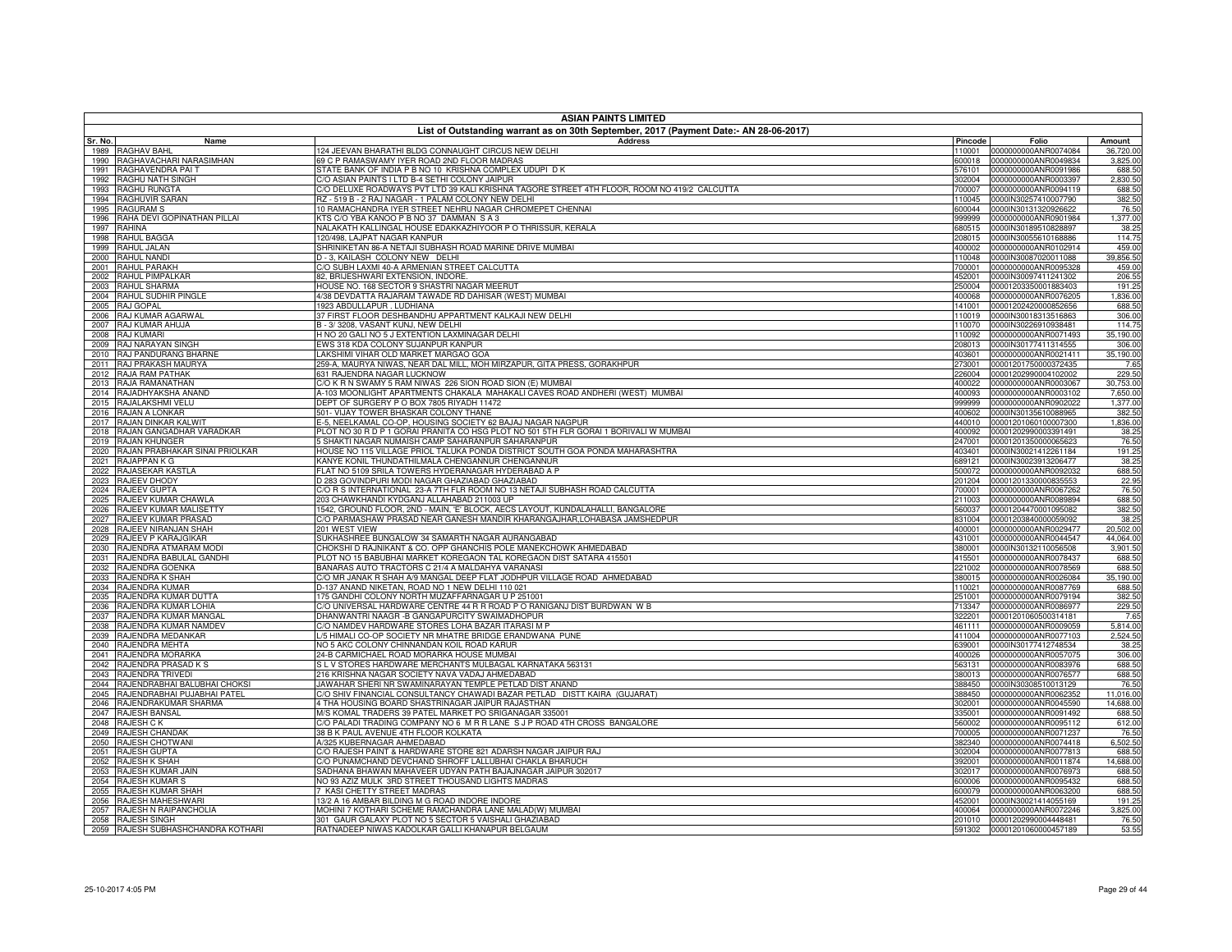|              | <b>ASIAN PAINTS LIMITED</b>                      |                                                                                                                                                             |                  |                                              |                      |  |
|--------------|--------------------------------------------------|-------------------------------------------------------------------------------------------------------------------------------------------------------------|------------------|----------------------------------------------|----------------------|--|
| Sr. No.      | Name                                             | List of Outstanding warrant as on 30th September, 2017 (Payment Date:- AN 28-06-2017)<br><b>Address</b>                                                     | Pincode          | Folio                                        | Amount               |  |
| 1989         | <b>RAGHAV BAHL</b>                               | 124 JEEVAN BHARATHI BLDG CONNAUGHT CIRCUS NEW DELHI                                                                                                         | 110001           | 0000000000ANR0074084                         | 36,720.00            |  |
| 1990         | RAGHAVACHARI NARASIMHAN                          | 69 C P RAMASWAMY IYER ROAD 2ND FLOOR MADRAS                                                                                                                 |                  |                                              | 3,825.00             |  |
|              | 1991 RAGHAVENDRA PAIT                            | STATE BANK OF INDIA P B NO 10 KRISHNA COMPLEX UDUPI D K                                                                                                     | 576101           | 0000000000ANR0091986                         | 688.50               |  |
| 1992<br>1993 | RAGHU NATH SINGH<br>RAGHU RUNGTA                 | C/O ASIAN PAINTS I LTD B-4 SETHI COLONY JAIPUR<br>C/O DELUXE ROADWAYS PVT LTD 39 KALI KRISHNA TAGORE STREET 4TH FLOOR, ROOM NO 419/2 CALCUTTA               | 302004<br>700007 | 0000000000ANR0003397<br>0000000000ANR0094119 | 2,830.50<br>688.50   |  |
| 1994         | RAGHUVIR SARAN                                   | RZ - 519 B - 2 RAJ NAGAR - 1 PALAM COLONY NEW DELHI                                                                                                         | 110045           | 0000IN30257410007790                         | 382.50               |  |
| 1995         | <b>RAGURAM S</b>                                 | 10 RAMACHANDRA IYER STREET NEHRU NAGAR CHROMEPET CHENNAI                                                                                                    | 600044           | 0000IN30131320926622                         | 76.50                |  |
| 1996         | RAHA DEVI GOPINATHAN PILLAI                      | KTS C/O YBA KANOO P B NO 37 DAMMAN S A 3                                                                                                                    | 999999           | 0000000000ANR0901984                         | 1,377.00             |  |
| 1997         | RAHINA                                           | NALAKATH KALLINGAL HOUSE EDAKKAZHIYOOR P O THRISSUR, KERALA<br>20/498, LAJPAT NAGAR KANPUR                                                                  | 680515           | 0000IN30189510828897                         | 38.25                |  |
| 1998<br>1999 | RAHUL BAGGA<br>RAHUL JALAN                       | SHRINIKETAN 86-A NETAJI SUBHASH ROAD MARINE DRIVE MUMBAI                                                                                                    | 208015<br>400002 | 0000IN30055610168886<br>0000000000ANR0102914 | 114.75<br>459.00     |  |
| 2000         | RAHUL NANDI                                      | D-3, KAILASH COLONY NEW DELHI                                                                                                                               | 110048           | 0000IN30087020011088                         | 39,856.50            |  |
| 2001         | RAHUL PARAKH                                     | C/O SUBH LAXMI 40-A ARMENIAN STREET CALCUTTA                                                                                                                | 700001           | 0000000000ANR0095328                         | 459.00               |  |
| 2002         | RAHUL PIMPALKAR                                  | 82, BRIJESHWARI EXTENSION, INDORE.                                                                                                                          | 452001           | 0000IN30097411241302                         | 206.55               |  |
| 2003<br>2004 | <b>RAHUL SHARMA</b><br>RAHUL SUDHIR PINGLE       | HOUSE NO. 168 SECTOR 9 SHASTRI NAGAR MEERUT<br>4/38 DEVDATTA RAJARAM TAWADE RD DAHISAR (WEST) MUMBAI                                                        | 250004<br>400068 | 00001203350001883403<br>0000000000ANR0076205 | 191.25<br>1,836.00   |  |
| 2005         | RAJ GOPAL                                        | 1923 ABDULLAPUR, LUDHIANA                                                                                                                                   | 141001           | 00001202420000852656                         | 688.50               |  |
| 2006         | RAJ KUMAR AGARWAL                                | 37 FIRST FLOOR DESHBANDHU APPARTMENT KALKAJI NEW DELHI                                                                                                      | 110019           | 0000IN30018313516863                         | 306.00               |  |
| 2007         | RAJ KUMAR AHUJA                                  | B - 3/3208, VASANT KUNJ, NEW DELHI                                                                                                                          | 110070           | 0000IN30226910938481                         | 114.75               |  |
| 2008         | <b>RAJ KUMARI</b>                                | H NO 20 GALI NO 5 J EXTENTION LAXMINAGAR DELHI                                                                                                              | 110092           | 0000000000ANR0071493                         | 35,190.00            |  |
| 2009<br>2010 | RAJ NARAYAN SINGH<br>RAJ PANDURANG BHARNE        | EWS 318 KDA COLONY SUJANPUR KANPUR<br>LAKSHIMI VIHAR OLD MARKET MARGAO GOA                                                                                  | 208013<br>403601 | 0000IN30177411314555<br>0000000000ANR0021411 | 306.00<br>35,190.00  |  |
| 2011         | RAJ PRAKASH MAURYA                               | 259-A, MAURYA NIWAS, NEAR DAL MILL, MOH MIRZAPUR, GITA PRESS, GORAKHPUR                                                                                     | 273001           | 00001201750000372435                         | 7.65                 |  |
| 2012         | RAJA RAM PATHAK                                  | <b>631 RAJENDRA NAGAR LUCKNOW</b>                                                                                                                           | 226004           | 00001202990004102002                         | 229.50               |  |
| 2013         | RAJA RAMANATHAN                                  | C/O K R N SWAMY 5 RAM NIWAS 226 SION ROAD SION (E) MUMBAI                                                                                                   | 400022           | 0000000000ANR0003067                         | 30,753.00            |  |
| 2014         | RAJADHYAKSHA ANAND                               | A-103 MOONLIGHT APARTMENTS CHAKALA MAHAKALI CAVES ROAD ANDHERI (WEST) MUMBAI                                                                                | 400093           | 0000000000ANR0003102                         | 7,650.00             |  |
| 2015<br>2016 | RAJALAKSHMI VELU<br>RAJAN A LONKAR               | DEPT OF SURGERY P O BOX 7805 RIYADH 11472<br>501- VIJAY TOWER BHASKAR COLONY THANE                                                                          | 999999<br>400602 | 0000000000ANR0902022<br>0000IN30135610088965 | 1,377.00<br>382.50   |  |
| 2017         | RAJAN DINKAR KALWIT                              | E-5. NEELKAMAL CO-OP. HOUSING SOCIETY 62 BAJAJ NAGAR NAGPUR                                                                                                 | 440010           | 00001201060100007300                         | 1,836.00             |  |
| 2018         | RAJAN GANGADHAR VARADKAR                         | PLOT NO 30 R D P 1 GORAI PRANITA CO HSG PLOT NO 501 5TH FLR GORAI 1 BORIVALI W MUMBAI                                                                       | 400092           | 00001202990003391491                         | 38.25                |  |
| 2019         | RAJAN KHUNGER                                    | SHAKTI NAGAR NUMAISH CAMP SAHARANPUR SAHARANPUR                                                                                                             | 247001           | 00001201350000065623                         | 76.50                |  |
| 2020         | RAJAN PRABHAKAR SINAI PRIOLKAR                   | HOUSE NO 115 VILLAGE PRIOL TALUKA PONDA DISTRICT SOUTH GOA PONDA MAHARASHTRA                                                                                | 403401           | 0000IN30021412261184                         | 191.25               |  |
| 2021<br>2022 | RAJAPPAN K G<br>RAJASEKAR KASTLA                 | KANYE KONIL THUNDATHILMALA CHENGANNUR CHENGANNUR<br>FLAT NO 5109 SRILA TOWERS HYDERANAGAR HYDERABAD A P                                                     | 689121<br>500072 | 0000IN30023913206477<br>0000000000ANR0092032 | 38.25<br>688.50      |  |
| 2023         | RAJEEV DHODY                                     | D 283 GOVINDPURI MODI NAGAR GHAZIABAD GHAZIABAD                                                                                                             | 201204           | 00001201330000835553                         | 22.95                |  |
|              | 2024 RAJEEV GUPTA                                | C/O R S INTERNATIONAL 23-A 7TH FLR ROOM NO 13 NETAJI SUBHASH ROAD CALCUTTA                                                                                  | 700001           | 0000000000ANR0067262                         | 76.50                |  |
| 2025         | RAJEEV KUMAR CHAWLA                              | 203 CHAWKHANDI KYDGANJ ALLAHABAD 211003 UP                                                                                                                  | 211003           | 0000000000ANR0089894                         | 688.50               |  |
| 2026<br>2027 | RAJEEV KUMAR MALISETTY<br>RAJEEV KUMAR PRASAD    | 1542, GROUND FLOOR, 2ND - MAIN, 'E' BLOCK, AECS LAYOUT, KUNDALAHALLI, BANGALORE<br>C/O PARMASHAW PRASAD NEAR GANESH MANDIR KHARANGAJHAR,LOHABASA JAMSHEDPUR | 560037<br>831004 | 00001204470001095082<br>00001203840000059092 | 382.50               |  |
| 2028         | RAJEEV NIRANJAN SHAH                             | 201 WEST VIEW                                                                                                                                               | 400001           | 0000000000ANR0029477                         | 38.25<br>20,502.00   |  |
| 2029         | RAJEEV P KARAJGIKAR                              | SUKHASHREE BUNGALOW 34 SAMARTH NAGAR AURANGABAD                                                                                                             | 431001           | 0000000000ANR0044547                         | 44,064.00            |  |
|              | 2030 RAJENDRA ATMARAM MODI                       | CHOKSHI D RAJNIKANT & CO. OPP GHANCHIS POLE MANEKCHOWK AHMEDABAD                                                                                            | 380001           | 0000IN30132110056508                         | 3,901.50             |  |
| 2031         | RAJENDRA BABULAL GANDHI                          | PLOT NO 15 BABUBHAI MARKET KOREGAON TAL KOREGAON DIST SATARA 415501                                                                                         | 415501           | 0000000000ANR0078437                         | 688.50               |  |
| 2032<br>2033 | RAJENDRA GOENKA<br>RAJENDRA K SHAH               | BANARAS AUTO TRACTORS C 21/4 A MALDAHYA VARANASI<br>C/O MR JANAK R SHAH A/9 MANGAL DEEP FLAT JODHPUR VILLAGE ROAD AHMEDABAD                                 | 221002<br>380015 | 0000000000ANR0078569<br>0000000000ANR0026084 | 688.50<br>35,190.00  |  |
| 2034         | RAJENDRA KUMAR                                   | D-137 ANAND NIKETAN, ROAD NO 1 NEW DELHI 110 021                                                                                                            | 110021           | 0000000000ANR0087769                         | 688.50               |  |
| 2035         | RAJENDRA KUMAR DUTTA                             | 175 GANDHI COLONY NORTH MUZAFFARNAGAR U P 251001                                                                                                            | 251001           | 0000000000ANR0079194                         | 382.50               |  |
| 2036         | RAJENDRA KUMAR LOHIA                             | C/O UNIVERSAL HARDWARE CENTRE 44 R R ROAD P O RANIGANJ DIST BURDWAN W B                                                                                     | 713347           | 0000000000ANR0086977                         | 229.50               |  |
| 2037         | RAJENDRA KUMAR MANGAL                            | DHANWANTRI NAAGR -B GANGAPURCITY SWAIMADHOPUR                                                                                                               | 322201           | 00001201060500314181                         | 7.65                 |  |
| 2038<br>2039 | RAJENDRA KUMAR NAMDEV<br>RAJENDRA MEDANKAR       | C/O NAMDEV HARDWARE STORES LOHA BAZAR ITARASI M P<br>L/5 HIMALI CO-OP SOCIETY NR MHATRE BRIDGE ERANDWANA PUNE                                               | 461111<br>411004 | 0000000000ANR0009059<br>0000000000ANR0077103 | 5,814.00<br>2,524.50 |  |
| 2040         | RAJENDRA MEHTA                                   | NO 5 AKC COLONY CHINNANDAN KOIL ROAD KARUR                                                                                                                  | 339001           | 0000IN30177412748534                         | 38.25                |  |
| 2041         | RAJENDRA MORARKA                                 | 24-B CARMICHAEL ROAD MORARKA HOUSE MUMBAI                                                                                                                   | 400026           | 0000000000ANR0057075                         | 306.00               |  |
| 2042         | RAJENDRA PRASAD K S                              | S L V STORES HARDWARE MERCHANTS MULBAGAL KARNATAKA 563131                                                                                                   | 563131           | 0000000000ANR0083976                         | 688.50               |  |
| 2043<br>2044 | RAJENDRA TRIVEDI<br>RAJENDRABHAI BALUBHAI CHOKSI | 16 KRISHNA NAGAR SOCIETY NAVA VADAJ AHMEDABAD<br>JAWAHAR SHERI NR SWAMINARAYAN TEMPLE PETLAD DIST ANAND                                                     | 380013<br>388450 | 0000000000ANR0076577<br>0000IN30308510013129 | 688.50               |  |
| 2045         | RAJENDRABHAI PUJABHAI PATEL                      | CO SHIV FINANCIAL CONSULTANCY CHAWADI BAZAR PETLAD DISTT KAIRA (GUJARAT)                                                                                    | 388450           | 0000000000ANR0062352                         | 76.50<br>11,016.00   |  |
| 2046         | RAJENDRAKUMAR SHARMA                             | 4 THA HOUSING BOARD SHASTRINAGAR JAIPUR RAJASTHAN                                                                                                           | 302001           | 0000000000ANR0045590                         | 14,688.00            |  |
|              | 2047 RAJESH BANSAL                               | M/S KOMAL TRADERS 39 PATEL MARKET PO SRIGANAGAR 335001                                                                                                      | 335001           | 0000000000ANR0091492                         | 688.50               |  |
|              | 2048 RAJESH CK                                   | C/O PALADI TRADING COMPANY NO 6 M R R LANE S J P ROAD 4TH CROSS BANGALORE                                                                                   | 60002            | 0000000000ANR0095112                         | 612.00               |  |
| 2050         | 2049 RAJESH CHANDAK<br>RAJESH CHOTWANI           | 8 B K PAUL AVENUE 4TH FLOOR KOLKATA<br><b>A/325 KUBERNAGAR AHMEDABAD</b>                                                                                    | 700005<br>382340 | 0000000000ANR0071237<br>0000000000ANR0074418 | 76.50<br>6,502.50    |  |
| 2051         | <b>RAJESH GUPTA</b>                              | C/O RAJESH PAINT & HARDWARE STORE 821 ADARSH NAGAR JAIPUR RAJ                                                                                               | 302004           | 0000000000ANR0077813                         | 688.50               |  |
| 2052         | RAJESH K SHAH                                    | C/O PUNAMCHAND DEVCHAND SHROFF LALLUBHAI CHAKLA BHARUCH                                                                                                     | 392001           | 0000000000ANR0011874                         | 14,688.00            |  |
| 2053         | RAJESH KUMAR JAIN                                | SADHANA BHAWAN MAHAVEER UDYAN PATH BAJAJNAGAR JAIPUR 302017                                                                                                 | 302017           | 0000000000ANR0076973                         | 688.50               |  |
| 2054         | <b>RAJESH KUMAR S</b>                            | <b>IO 93 AZIZ MULK 3RD STREET THOUSAND LIGHTS MADRAS</b>                                                                                                    | 600006           | 0000000000ANR0095432                         | 688.50               |  |
| 2055<br>2056 | RAJESH KUMAR SHAH<br>RAJESH MAHESHWARI           | KASI CHETTY STREET MADRAS<br>3/2 A 16 AMBAR BILDING M G ROAD INDORE INDORE                                                                                  | 600079<br>152001 | 0000000000ANR0063200<br>0000IN30021414055169 | 688.50<br>191.25     |  |
| 2057         | RAJESH N RAIPANCHOLIA                            | MOHINI 7 KOTHARI SCHEME RAMCHANDRA LANE MALAD(W) MUMBAI                                                                                                     | 400064           | 0000000000ANR0072246                         | 3,825.00             |  |
| 2058         | <b>RAJESH SINGH</b>                              | 301 GAUR GALAXY PLOT NO 5 SECTOR 5 VAISHALI GHAZIABAD                                                                                                       | 201010           | 00001202990004448481                         | 76.50                |  |
|              | 2059 RAJESH SUBHASHCHANDRA KOTHARI               | RATNADEEP NIWAS KADOLKAR GALLI KHANAPUR BELGAUM                                                                                                             |                  | 591302 00001201060000457189                  | 53.55                |  |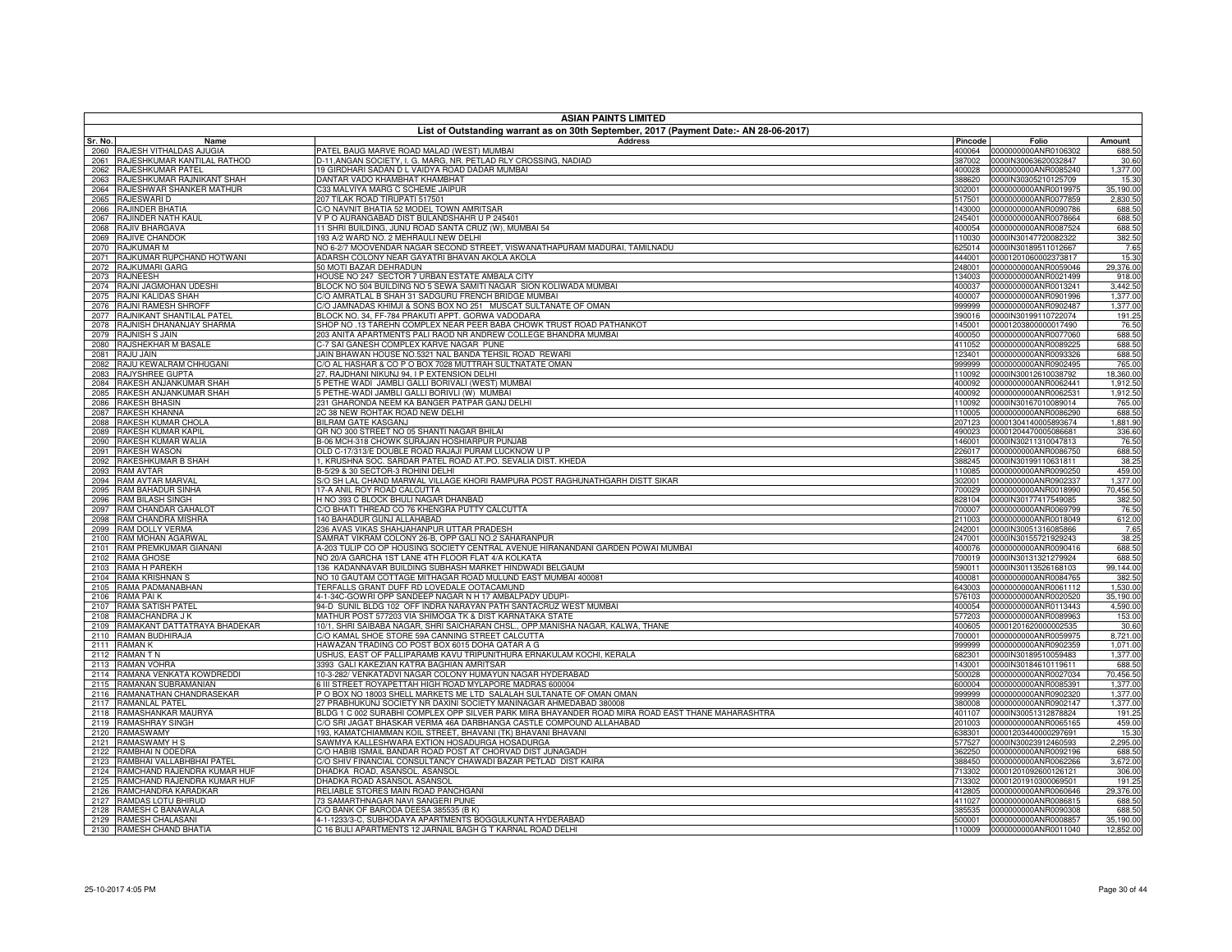|              | <b>ASIAN PAINTS LIMITED</b><br>List of Outstanding warrant as on 30th September, 2017 (Payment Date:- AN 28-06-2017) |                                                                                                                                                                          |                  |                                              |                       |  |
|--------------|----------------------------------------------------------------------------------------------------------------------|--------------------------------------------------------------------------------------------------------------------------------------------------------------------------|------------------|----------------------------------------------|-----------------------|--|
| Sr. No.      | Name                                                                                                                 | <b>Address</b>                                                                                                                                                           | Pincode          | Folio                                        | Amount                |  |
| 2060         | RAJESH VITHALDAS AJUGIA                                                                                              | PATEL BAUG MARVE ROAD MALAD (WEST) MUMBAI                                                                                                                                | 400064           | 0000000000ANR0106302                         | 688.50                |  |
| 2061         | RAJESHKUMAR KANTILAL RATHOD                                                                                          | D-11, ANGAN SOCIETY, I. G. MARG, NR. PETLAD RLY CROSSING, NADIAD                                                                                                         | 387002           | 0000IN30063620032847                         | 30.60                 |  |
| 2062         | RAJESHKUMAR PATEL                                                                                                    | 19 GIRDHARI SADAN D L VAIDYA ROAD DADAR MUMBAI                                                                                                                           | 400028           | 0000000000ANR0085240                         | 1,377.00              |  |
| 2063         | RAJESHKUMAR RAJNIKANT SHAH                                                                                           | DANTAR VADO KHAMBHAT KHAMBHAT                                                                                                                                            | 388620           | 0000IN30305210125709                         | 15.30                 |  |
| 2064<br>2065 | RAJESHWAR SHANKER MATHUR<br>RAJESWARI D                                                                              | C33 MALVIYA MARG C SCHEME JAIPUR<br>207 TILAK ROAD TIRUPATI 517501                                                                                                       | 302001<br>517501 | 0000000000ANR0019975<br>0000000000ANR0077859 | 35,190.00<br>2,830.50 |  |
| 2066         | RAJINDER BHATIA                                                                                                      | C/O NAVNIT BHATIA 52 MODEL TOWN AMRITSAR                                                                                                                                 | 143000           | 0000000000ANR0090786                         | 688.50                |  |
| 2067         | RAJINDER NATH KAUL                                                                                                   | V P O AURANGABAD DIST BULANDSHAHR U P 245401                                                                                                                             | 245401           | 0000000000ANR0078664                         | 688.50                |  |
| 2068         | RAJIV BHARGAVA                                                                                                       | 11 SHRI BUILDING, JUNU ROAD SANTA CRUZ (W), MUMBAI 54                                                                                                                    | 400054           | 0000000000ANR0087524                         | 688.50                |  |
| 2069         | RAJIVE CHANDOK                                                                                                       | 193 A/2 WARD NO. 2 MEHRAULI NEW DELHI                                                                                                                                    | 110030           | 0000IN30147720082322                         | 382.50                |  |
| 2070         | RAJKUMAR M                                                                                                           | NO 6-2/7 MOOVENDAR NAGAR SECOND STREET, VISWANATHAPURAM MADURAI, TAMILNADU                                                                                               | 625014           | 0000IN30189511012667                         | 7.65                  |  |
| 2071         | RAJKUMAR RUPCHAND HOTWANI                                                                                            | ADARSH COLONY NEAR GAYATRI BHAVAN AKOLA AKOLA                                                                                                                            | 444001           | 00001201060002373817                         | 15.30                 |  |
| 2072         | RAJKUMARI GARG<br><b>RAJNEESH</b>                                                                                    | 50 MOTI BAZAR DEHRADUN                                                                                                                                                   | 248001           | 0000000000ANR0059046<br>0000000000ANR0021499 | 29,376.00             |  |
| 2073<br>2074 | RAJNI JAGMOHAN UDESHI                                                                                                | HOUSE NO 247 SECTOR 7 URBAN ESTATE AMBALA CITY<br>BLOCK NO 504 BUILDING NO 5 SEWA SAMITI NAGAR SION KOLIWADA MUMBAI                                                      | 134003<br>400037 | 0000000000ANR0013241                         | 918.00<br>3,442.50    |  |
| 2075         | RAJNI KALIDAS SHAH                                                                                                   | C/O AMRATLAL B SHAH 31 SADGURU FRENCH BRIDGE MUMBAI                                                                                                                      | 400007           | 0000000000ANR0901996                         | 1,377.00              |  |
| 2076         | RAJNI RAMESH SHROFF                                                                                                  | C/O JAMNADAS KHIMJI & SONS BOX NO 251 MUSCAT SULTANATE OF OMAN                                                                                                           | 999999           | 0000000000ANR0902487                         | 1,377.00              |  |
| 2077         | RAJNIKANT SHANTILAL PATEL                                                                                            | BLOCK NO. 34, FF-784 PRAKUTI APPT. GORWA VADODARA                                                                                                                        | 390016           | 0000IN30199110722074                         | 191.25                |  |
| 2078         | RAJNISH DHANANJAY SHARMA                                                                                             | SHOP NO .13 TAREHN COMPLEX NEAR PEER BABA CHOWK TRUST ROAD PATHANKOT                                                                                                     | 145001           | 00001203800000017490                         | 76.50                 |  |
| 2079         | RAJNISH S JAIN                                                                                                       | 203 ANITA APARTMENTS PALI RAOD NR ANDREW COLLEGE BHANDRA MUMBAI                                                                                                          | 400050           | 0000000000ANR0077060                         | 688.50                |  |
| 2080         | RAJSHEKHAR M BASALE                                                                                                  | C-7 SAI GANESH COMPLEX KARVE NAGAR PUNE                                                                                                                                  | 411052           | 0000000000ANR0089225                         | 688.50                |  |
| 2081         | RAJU JAIN                                                                                                            | JAIN BHAWAN HOUSE NO.5321 NAL BANDA TEHSIL ROAD REWARI<br>C/O AL HASHAR & CO P O BOX 7028 MUTTRAH SULTNATATE OMAN                                                        | 123401           | 0000000000ANR0093326                         | 688.50                |  |
| 2082<br>2083 | RAJU KEWALRAM CHHUGANI<br>RAJYSHREE GUPTA                                                                            | 27, RAJDHANI NIKUNJ 94, I P EXTENSION DELHI                                                                                                                              | 999999<br>110092 | 0000000000ANR0902495<br>0000IN30012610038792 | 765.00<br>18,360.00   |  |
| 2084         | RAKESH ANJANKUMAR SHAH                                                                                               | 5 PETHE WADI JAMBLI GALLI BORIVALI (WEST) MUMBAI                                                                                                                         | 400092           | 0000000000ANR0062441                         | 1,912.50              |  |
| 2085         | RAKESH ANJANKUMAR SHAH                                                                                               | 5 PETHE-WADI JAMBLI GALLI BORIVLI (W) MUMBAI                                                                                                                             | 400092           | 0000000000ANR0062531                         | 1,912.50              |  |
| 2086         | <b>RAKESH BHASIN</b>                                                                                                 | 231 GHARONDA NEEM KA BANGER PATPAR GANJ DELHI                                                                                                                            | 110092           | 0000IN30167010089014                         | 765.00                |  |
| 2087         | RAKESH KHANNA                                                                                                        | 2C 38 NEW ROHTAK ROAD NEW DELHI                                                                                                                                          | 110005           | 0000000000ANR0086290                         | 688.50                |  |
| 2088         | RAKESH KUMAR CHOLA                                                                                                   | BILRAM GATE KASGANJ                                                                                                                                                      | 207123           | 00001304140005893674                         | 1,881.90              |  |
| 2089         | RAKESH KUMAR KAPIL                                                                                                   | QR NO 300 STREET NO 05 SHANTI NAGAR BHILAI                                                                                                                               | 490023           | 00001204470005086681                         | 336.60                |  |
| 2090         | RAKESH KUMAR WALIA                                                                                                   | B-06 MCH-318 CHOWK SURAJAN HOSHIARPUR PUNJAB                                                                                                                             | 146001           | 0000IN30211310047813                         | 76.50                 |  |
| 2091         | <b>RAKESH WASON</b>                                                                                                  | OLD C-17/313/E DOUBLE ROAD RAJAJI PURAM LUCKNOW U P                                                                                                                      | 226017           | 0000000000ANR0086750                         | 688.50                |  |
| 2092<br>2093 | RAKESHKUMAR B SHAH<br><b>RAM AVTAR</b>                                                                               | , KRUSHNA SOC. SARDAR PATEL ROAD AT.PO. SEVALIA DIST. KHEDA<br>B-5/29 & 30 SECTOR-3 ROHINI DELHI                                                                         | 388245<br>110085 | 0000IN30199110631811<br>0000000000ANR0090250 | 38.25<br>459.00       |  |
| 2094         | <b>RAM AVTAR MARVAL</b>                                                                                              | S/O SH LAL CHAND MARWAL VILLAGE KHORI RAMPURA POST RAGHUNATHGARH DISTT SIKAR                                                                                             | 302001           | 0000000000ANR0902337                         | 1,377.00              |  |
| 2095         | RAM BAHADUR SINHA                                                                                                    | 17-A ANIL ROY ROAD CALCUTTA                                                                                                                                              | 700029           | 0000000000ANR0018990                         | 70,456.50             |  |
| 2096         | <b>RAM BILASH SINGH</b>                                                                                              | H NO 393 C BLOCK BHULI NAGAR DHANBAD                                                                                                                                     | 828104           | 0000IN30177417549085                         | 382.50                |  |
| 2097         | RAM CHANDAR GAHALOT                                                                                                  | C/O BHATI THREAD CO 76 KHENGRA PUTTY CALCUTTA                                                                                                                            | 700007           | 0000000000ANR0069799                         | 76.50                 |  |
| 2098         | RAM CHANDRA MISHRA                                                                                                   | 140 BAHADUR GUNJ ALLAHABAD                                                                                                                                               | 211003           | 0000000000ANR0018049                         | 612.00                |  |
| 2099         | RAM DOLLY VERMA                                                                                                      | 236 AVAS VIKAS SHAHJAHANPUR UTTAR PRADESH                                                                                                                                | 242001           | 0000IN30051316085866                         | 7.65                  |  |
| 2100<br>2101 | RAM MOHAN AGARWAL<br>RAM PREMKUMAR GIANANI                                                                           | SAMRAT VIKRAM COLONY 26-B, OPP GALI NO.2 SAHARANPUR<br>A-203 TULIP CO OP HOUSING SOCIETY CENTRAL AVENUE HIRANANDANI GARDEN POWAI MUMBAI                                  | 247001<br>400076 | 0000IN30155721929243<br>0000000000ANR0090416 | 38.25<br>688.50       |  |
| 2102         | RAMA GHOSE                                                                                                           | NO 20/A GARCHA 1ST LANE 4TH FLOOR FLAT 4/A KOLKATA                                                                                                                       | 700019           | 0000IN30131321279924                         | 688.50                |  |
| 2103         | RAMA H PAREKH                                                                                                        | 136 KADANNAVAR BUILDING SUBHASH MARKET HINDWADI BELGAUM                                                                                                                  | 590011           | 0000IN30113526168103                         | 99,144.00             |  |
| 2104         | RAMA KRISHNAN S                                                                                                      | NO 10 GAUTAM COTTAGE MITHAGAR ROAD MULUND EAST MUMBAI 400081                                                                                                             | 400081           | 0000000000ANR0084765                         | 382.50                |  |
| 2105         | RAMA PADMANABHAN                                                                                                     | TERFALLS GRANT DUFF RD LOVEDALE OOTACAMUND                                                                                                                               | 643003           | 0000000000ANR0061112                         | 1,530.00              |  |
| 2106         | RAMA PAIK                                                                                                            | 4-1-34C-GOWRI OPP SANDEEP NAGAR N H 17 AMBALPADY UDUPI                                                                                                                   | 576103           | 0000000000ANR0020520                         | 35,190.00             |  |
| 2107         | RAMA SATISH PATEL                                                                                                    | 94-D SUNIL BLDG 102 OFF INDRA NARAYAN PATH SANTACRUZ WEST MUMBAI                                                                                                         | 400054           | 0000000000ANR0113443                         | 4,590.00              |  |
| 2108         | RAMACHANDRA J K                                                                                                      | MATHUR POST 577203 VIA SHIMOGA TK & DIST KARNATAKA STATE                                                                                                                 | 577203           | 0000000000ANR0089963                         | 153.00                |  |
| 2109<br>2110 | RAMAKANT DATTATRAYA BHADEKAR<br>RAMAN BUDHIRAJA                                                                      | 10/1, SHRI SAIBABA NAGAR, SHRI SAICHARAN CHSL., OPP.MANISHA NAGAR, KALWA, THANE<br>C/O KAMAL SHOE STORE 59A CANNING STREET CALCUTTA                                      | 400605<br>700001 | 00001201620000002535<br>0000000000ANR0059975 | 30.60<br>8,721.00     |  |
| 2111         | <b>RAMANK</b>                                                                                                        | HAWAZAN TRADING CO POST BOX 6015 DOHA QATAR A G                                                                                                                          | 999999           | 0000000000ANR0902359                         | 1,071.00              |  |
| 2112         | <b>RAMANTN</b>                                                                                                       | USHUS, EAST OF PALLIPARAMB KAVU TRIPUNITHURA ERNAKULAM KOCHI, KERALA                                                                                                     | 682301           | 0000IN30189510059483                         | 1,377.00              |  |
| 2113         | <b>RAMAN VOHRA</b>                                                                                                   | 3393 GALI KAKEZIAN KATRA BAGHIAN AMRITSAR                                                                                                                                | 143001           | 0000IN30184610119611                         | 688.50                |  |
| 2114         | RAMANA VENKATA KOWDREDDI                                                                                             | 10-3-282/ VENKATADVI NAGAR COLONY HUMAYUN NAGAR HYDERABAD                                                                                                                | 500028           | 0000000000ANR0027034                         | 70,456.50             |  |
| 2115         | RAMANAN SUBRAMANIAN                                                                                                  | 6 III STREET ROYAPETTAH HIGH ROAD MYLAPORE MADRAS 600004                                                                                                                 | 600004           | 0000000000ANR0085391                         | 1,377.00              |  |
| 2116         | RAMANATHAN CHANDRASEKAR                                                                                              | P O BOX NO 18003 SHELL MARKETS ME LTD SALALAH SULTANATE OF OMAN OMAN                                                                                                     | 999999           | 0000000000ANR0902320                         | 1,377.00              |  |
| 2117         | RAMANLAL PATEL                                                                                                       | 27 PRABHUKUNJ SOCIETY NR DAXINI SOCIETY MANINAGAR AHMEDABAD 380008                                                                                                       | 380008           | 0000000000ANR0902147                         | 1,377.00              |  |
| 2118<br>2119 | RAMASHANKAR MAURYA<br>RAMASHRAY SINGH                                                                                | BLDG 1 C 002 SURABHI COMPLEX OPP SILVER PARK MIRA BHAYANDER ROAD MIRA ROAD EAST THANE MAHARASHTRA<br>C/O SRI JAGAT BHASKAR VERMA 46A DARBHANGA CASTLE COMPOUND ALLAHABAD | 401107<br>201003 | 0000IN30051312878824<br>0000000000ANR0065165 | 191.25<br>459.00      |  |
| 2120         | <b>RAMASWAMY</b>                                                                                                     | 193, KAMATCHIAMMAN KOIL STREET, BHAVANI (TK) BHAVANI BHAVANI                                                                                                             | 638301           | 00001203440000297691                         | 15.30                 |  |
| 2121         | RAMASWAMY H S                                                                                                        | SAWMYA KALLESHWARA EXTION HOSADURGA HOSADURGA                                                                                                                            | 577527           | 0000IN30023912460593                         | 2,295.00              |  |
| 2122         | RAMBHAI N ODEDRA                                                                                                     | C/O HABIB ISMAIL BANDAR ROAD POST AT CHORVAD DIST JUNAGADH                                                                                                               | 362250           | 0000000000ANR0092196                         | 688.50                |  |
| 2123         | RAMBHAI VALLABHBHAI PATEL                                                                                            | C/O SHIV FINANCIAL CONSULTANCY CHAWADI BAZAR PETLAD DIST KAIRA                                                                                                           | 388450           | 0000000000ANR0062266                         | 3,672.00              |  |
| 2124         | RAMCHAND RAJENDRA KUMAR HUF                                                                                          | DHADKA ROAD, ASANSOL. ASANSOL                                                                                                                                            | 713302           | 00001201092600126121                         | 306.00                |  |
| 2125         | RAMCHAND RAJENDRA KUMAR HUF                                                                                          | DHADKA ROAD ASANSOL ASANSOL                                                                                                                                              | 713302           | 00001201910300069501                         | 191.25                |  |
| 2126         | RAMCHANDRA KARADKAR                                                                                                  | RELIABLE STORES MAIN ROAD PANCHGANI                                                                                                                                      | 412805           | 0000000000ANR0060646                         | 29,376.00             |  |
| 2127         | RAMDAS LOTU BHIRUD<br>RAMESH C BANAWALA                                                                              | 73 SAMARTHNAGAR NAVI SANGERI PUNE<br>C/O BANK OF BARODA DEESA 385535 (B K)                                                                                               | 411027           | 0000000000ANR0086815<br>0000000000ANR0090308 | 688.50<br>688.50      |  |
| 2128<br>2129 | RAMESH CHALASANI                                                                                                     | 4-1-1233/3-C, SUBHODAYA APARTMENTS BOGGULKUNTA HYDERABAD                                                                                                                 | 385535<br>500001 | 0000000000ANR0008857                         | 35,190.00             |  |
| 2130         | RAMESH CHAND BHATIA                                                                                                  | C 16 BIJLI APARTMENTS 12 JARNAIL BAGH G T KARNAL ROAD DELHI                                                                                                              | 110009           | 0000000000ANR0011040                         | 12,852.00             |  |
|              |                                                                                                                      |                                                                                                                                                                          |                  |                                              |                       |  |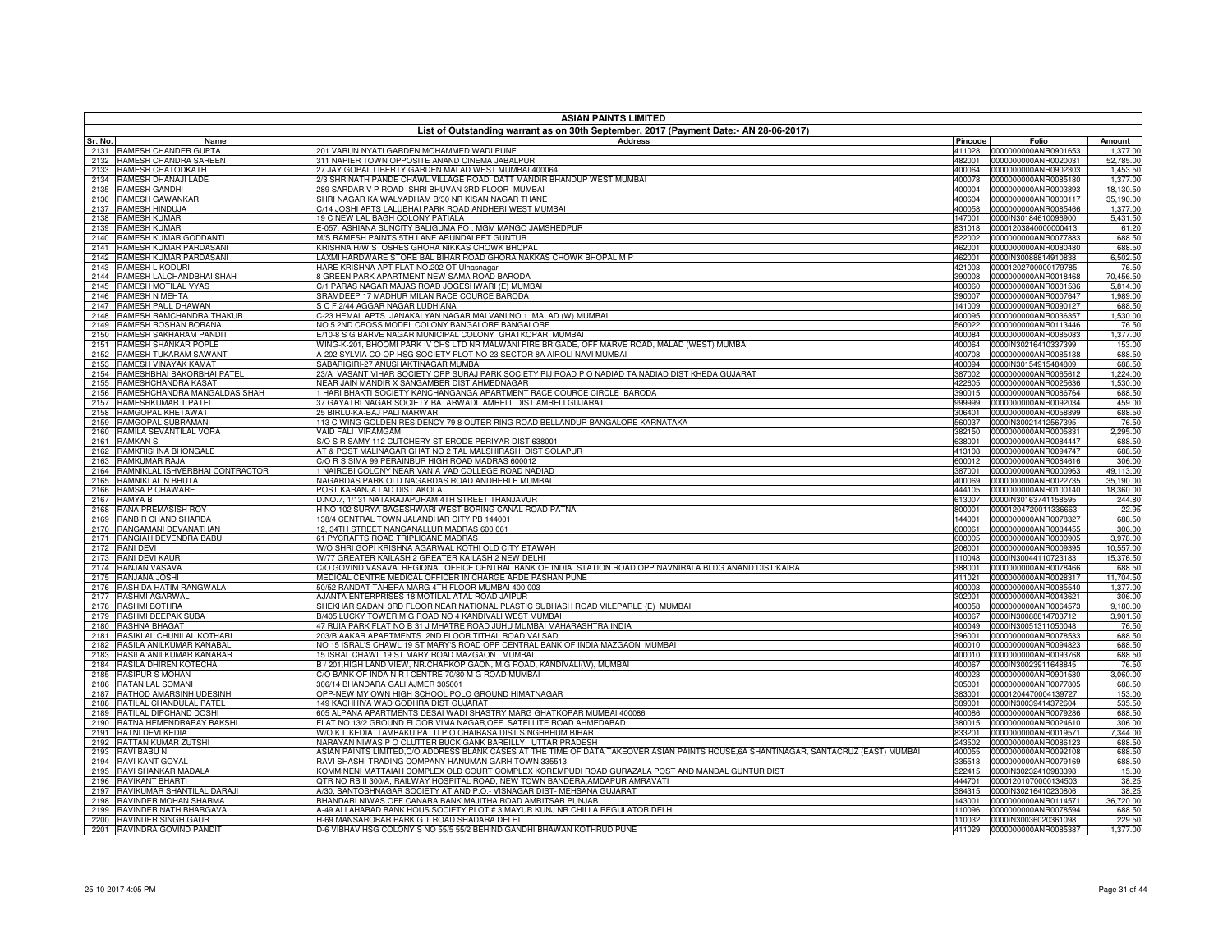|              | <b>ASIAN PAINTS LIMITED</b>                          |                                                                                                                                                                                   |                  |                                              |                       |  |
|--------------|------------------------------------------------------|-----------------------------------------------------------------------------------------------------------------------------------------------------------------------------------|------------------|----------------------------------------------|-----------------------|--|
| Sr. No.      | Name                                                 | List of Outstanding warrant as on 30th September, 2017 (Payment Date:- AN 28-06-2017)<br><b>Address</b>                                                                           | Pincode          | Folio                                        | Amount                |  |
|              | 2131 RAMESH CHANDER GUPTA                            | 201 VARUN NYATI GARDEN MOHAMMED WADI PUNE                                                                                                                                         | 411028           | 0000000000ANR0901653                         | 1,377.00              |  |
| 2132         | RAMESH CHANDRA SAREEN                                | 311 NAPIER TOWN OPPOSITE ANAND CINEMA JABALPUR                                                                                                                                    | 482001           | 0000000000ANR0020031                         | 52,785.00             |  |
| 2133         | RAMESH CHATODKATH                                    | 27 JAY GOPAL LIBERTY GARDEN MALAD WEST MUMBAI 400064                                                                                                                              | 400064           | 0000000000ANR0902303                         | 1,453.50              |  |
| 2134         | RAMESH DHANAJI LADE                                  | 2/3 SHRINATH PANDE CHAWL VILLAGE ROAD DATT MANDIR BHANDUP WEST MUMBAI                                                                                                             | 400078           | 0000000000ANR0085180                         | 1,377.00              |  |
| 2135         | RAMESH GANDHI                                        | 289 SARDAR V P ROAD SHRI BHUVAN 3RD FLOOR MUMBAI                                                                                                                                  | 400004           | 0000000000ANR0003893                         | 18,130.50             |  |
| 2136         | RAMESH GAWANKAR                                      | SHRI NAGAR KAIWALYADHAM B/30 NR KISAN NAGAR THANE                                                                                                                                 | 400604           | 0000000000ANR0003117                         | 35,190.00             |  |
| 2137<br>2138 | RAMESH HINDUJA<br>RAMESH KUMAR                       | C/14 JOSHI APTS LALUBHAI PARK ROAD ANDHERI WEST MUMBAI<br>19 C NEW LAL BAGH COLONY PATIALA                                                                                        | 400058<br>147001 | 0000000000ANR0085466<br>0000IN30184610096900 | 1,377.00<br>5,431.50  |  |
| 2139         | <b>RAMESH KUMAR</b>                                  | E-057, ASHIANA SUNCITY BALIGUMA PO : MGM MANGO JAMSHEDPUR                                                                                                                         | 831018           | 00001203840000000413                         | 61.20                 |  |
| 2140         | RAMESH KUMAR GODDANTI                                | M/S RAMESH PAINTS 5TH LANE ARUNDALPET GUNTUR                                                                                                                                      | 522002           | 0000000000ANR0077883                         | 688.50                |  |
| 2141         | RAMESH KUMAR PARDASANI                               | KRISHNA H/W STOSRES GHORA NIKKAS CHOWK BHOPAL                                                                                                                                     | 462001           | 0000000000ANR0080480                         | 688.50                |  |
| 2142         | RAMESH KUMAR PARDASANI                               | LAXMI HARDWARE STORE BAL BIHAR ROAD GHORA NAKKAS CHOWK BHOPAL M P                                                                                                                 | 462001           | 0000IN30088814910838                         | 6,502.50              |  |
| 2143         | RAMESH L KODURI                                      | HARE KRISHNA APT FLAT NO.202 OT Ulhasnagar                                                                                                                                        | 421003           | 00001202700000179785                         | 76.50                 |  |
| 2144         | RAMESH LALCHANDBHAI SHAH                             | <b>B GREEN PARK APARTMENT NEW SAMA ROAD BARODA</b>                                                                                                                                | 390008           | 0000000000ANR0018468                         | 70,456.50             |  |
| 2145         | RAMESH MOTILAL VYAS                                  | %) PARAS NAGAR MAJAS ROAD JOGESHWARI (E) MUMBAI                                                                                                                                   | 400060           | 0000000000ANR0001536                         | 5,814.00              |  |
| 2146         | RAMESH N MEHTA                                       | SRAMDEEP 17 MADHUR MILAN RACE COURCE BARODA                                                                                                                                       | 390007           | 0000000000ANR0007647                         | 1,989.00              |  |
| 2147         | RAMESH PAUL DHAWAN                                   | S C F 2/44 AGGAR NAGAR LUDHIANA                                                                                                                                                   | 141009           | 0000000000ANR0090127                         | 688.50                |  |
| 2148<br>2149 | RAMESH RAMCHANDRA THAKUR<br>RAMESH ROSHAN BORANA     | -23 HEMAL APTS JANAKALYAN NAGAR MALVANI NO 1 MALAD (W) MUMBAI                                                                                                                     | 400095<br>560022 | 0000000000ANR0036357                         | 1,530.00              |  |
| 2150         | RAMESH SAKHARAM PANDIT                               | NO 5 2ND CROSS MODEL COLONY BANGALORE BANGALORE<br>10-8 S G BARVE NAGAR MUNICIPAL COLONY GHATKOPAR MUMBAI                                                                         | 400084           | 0000000000ANR0113446<br>0000000000ANR0085083 | 76.50<br>1,377.00     |  |
| 2151         | RAMESH SHANKAR POPLE                                 | WING-K-201, BHOOMI PARK IV CHS LTD NR MALWANI FIRE BRIGADE, OFF MARVE ROAD, MALAD (WEST) MUMBAI                                                                                   | 400064           | 0000IN30216410337399                         | 153.00                |  |
| 2152         | RAMESH TUKARAM SAWANT                                | A-202 SYLVIA CO OP HSG SOCIETY PLOT NO 23 SECTOR 8A AIROLI NAVI MUMBAI                                                                                                            | 400708           | 0000000000ANR0085138                         | 688.50                |  |
| 2153         | RAMESH VINAYAK KAMAT                                 | SABARIGIRI-27 ANUSHAKTINAGAR MUMBAI                                                                                                                                               | 400094           | 0000IN30154915484809                         | 688.50                |  |
| 2154         | RAMESHBHAI BAKORBHAI PATEL                           | 23/A VASANT VIHAR SOCIETY OPP SURAJ PARK SOCIETY PIJ ROAD P O NADIAD TA NADIAD DIST KHEDA GUJARAT                                                                                 | 387002           | 0000000000ANR0065612                         | 1,224.00              |  |
| 2155         | RAMESHCHANDRA KASAT                                  | NEAR JAIN MANDIR X SANGAMBER DIST AHMEDNAGAR                                                                                                                                      | 422605           | 0000000000ANR0025636                         | 1,530.00              |  |
| 2156         | RAMESHCHANDRA MANGALDAS SHAH                         | HARI BHAKTI SOCIETY KANCHANGANGA APARTMENT RACE COURCE CIRCLE BARODA                                                                                                              | 390015           | 0000000000ANR0086764                         | 688.50                |  |
| 2157         | RAMESHKUMAR T PATEL                                  | 37 GAYATRI NAGAR SOCIETY BATARWADI AMRELI DIST AMRELI GUJARAT                                                                                                                     | 999999           | 0000000000ANR0092034                         | 459.00                |  |
| 2158         | RAMGOPAL KHETAWAT                                    | 5 BIRLU-KA-BAJ PALI MARWAR                                                                                                                                                        | 306401           | 0000000000ANR0058899                         | 688.50                |  |
| 2159         | RAMGOPAL SUBRAMANI                                   | 113 C WING GOLDEN RESIDENCY 79 8 OUTER RING ROAD BELLANDUR BANGALORE KARNATAKA                                                                                                    | 560037           | 0000IN30021412567395                         | 76.50                 |  |
| 2160<br>2161 | RAMILA SEVANTILAL VORA<br><b>RAMKAN S</b>            | VAID FALI VIRAMGAM<br>S/O S R SAMY 112 CUTCHERY ST ERODE PERIYAR DIST 638001                                                                                                      | 382150<br>338001 | 0000000000ANR0005831<br>0000000000ANR0084447 | 2,295.00<br>688.50    |  |
| 2162         | RAMKRISHNA BHONGALE                                  | AT & POST MALINAGAR GHAT NO 2 TAL MALSHIRASH DIST SOLAPUR                                                                                                                         | 413108           | 0000000000ANR0094747                         | 688.50                |  |
| 2163         | RAMKUMAR RAJA                                        | C/O R S SIMA 99 PERAINBUR HIGH ROAD MADRAS 600012                                                                                                                                 | 600012           | 0000000000ANR0084616                         | 306.00                |  |
| 2164         | RAMNIKLAL ISHVERBHAI CONTRACTOR                      | 1 NAIROBI COLONY NEAR VANIA VAD COLLEGE ROAD NADIAD                                                                                                                               | 387001           | 0000000000ANR0000963                         | 49,113.00             |  |
| 2165         | RAMNIKLAL N BHUTA                                    | NAGARDAS PARK OLD NAGARDAS ROAD ANDHERI E MUMBAI                                                                                                                                  | 400069           | 0000000000ANR0022735                         | 35,190.00             |  |
| 2166         | RAMSA P CHAWARE                                      | POST KARANJA LAD DIST AKOLA                                                                                                                                                       | 444105           | 0000000000ANR0100140                         | 18,360.00             |  |
| 2167         | RAMYA B                                              | D.NO.7, 1/131 NATARAJAPURAM 4TH STREET THANJAVUR                                                                                                                                  | 313007           | 0000IN30163741158595                         | 244.80                |  |
| 2168         | RANA PREMASISH ROY                                   | H NO 102 SURYA BAGESHWARI WEST BORING CANAL ROAD PATNA                                                                                                                            | 800001           | 00001204720011336663                         | 22.95                 |  |
| 2169         | RANBIR CHAND SHARDA                                  | 138/4 CENTRAL TOWN JALANDHAR CITY PB 144001                                                                                                                                       | 144001           | 0000000000ANR0078327                         | 688.50                |  |
| 2170         | RANGAMANI DEVANATHAN                                 | 12, 34TH STREET NANGANALLUR MADRAS 600 061                                                                                                                                        | 600061           | 0000000000ANR0084455                         | 306.00                |  |
| 2171<br>2172 | RANGIAH DEVENDRA BABU<br><b>RANI DEVI</b>            | 61 PYCRAFTS ROAD TRIPLICANE MADRAS<br>W/O SHRI GOPI KRISHNA AGARWAL KOTHI OLD CITY ETAWAH                                                                                         | 600005<br>206001 | 0000000000ANR0000905<br>0000000000ANR0009395 | 3,978.00<br>10,557.00 |  |
| 2173         | RANI DEVI KAUR                                       | W/77 GREATER KAILASH 2 GREATER KAILASH 2 NEW DELHI                                                                                                                                | 110048           | 0000IN30044110723183                         | 15,376.50             |  |
| 2174         | RANJAN VASAVA                                        | % GOVIND VASAVA REGIONAL OFFICE CENTRAL BANK OF INDIA STATION ROAD OPP NAVNIRALA BLDG ANAND DIST:KAIRA                                                                            | 388001           | 0000000000ANR0078466                         | 688.50                |  |
| 2175         | RANJANA JOSHI                                        | MEDICAL CENTRE MEDICAL OFFICER IN CHARGE ARDE PASHAN PUNE                                                                                                                         | 411021           | 0000000000ANR0028317                         | 11,704.50             |  |
| 2176         | RASHIDA HATIM RANGWALA                               | 50/52 RANDAT TAHERA MARG 4TH FLOOR MUMBAI 400 003                                                                                                                                 | 400003           | 0000000000ANR0085540                         | 1,377.00              |  |
| 2177         | RASHMI AGARWAL                                       | AJANTA ENTERPRISES 18 MOTILAL ATAL ROAD JAIPUR                                                                                                                                    | 302001           | 0000000000ANR0043621                         | 306.00                |  |
|              | 2178 RASHMI BOTHRA                                   | SHEKHAR SADAN  3RD FLOOR NEAR NATIONAL PLASTIC SUBHASH ROAD VILEPARLE (E) MUMBAI                                                                                                  | 400058           | 0000000000ANR0064573                         | 9,180.00              |  |
| 2179         | RASHMI DEEPAK SUBA                                   | B/405 LUCKY TOWER M G ROAD NO 4 KANDIVALI WEST MUMBAI                                                                                                                             | 400067           | 0000IN30088814703712                         | 3,901.50              |  |
| 2180         | RASHNA BHAGAT                                        | 47 RUIA PARK FLAT NO B 31 J MHATRE ROAD JUHU MUMBAI MAHARASHTRA INDIA                                                                                                             | 400049           | 0000IN30051311050048                         | 76.50                 |  |
| 2181         | RASIKLAL CHUNILAL KOTHARI                            | 203/B AAKAR APARTMENTS 2ND FLOOR TITHAL ROAD VALSAD                                                                                                                               | 396001           | 0000000000ANR0078533                         | 688.50                |  |
| 2182<br>2183 | RASILA ANILKUMAR KANABAL<br>RASILA ANILKUMAR KANABAR | NO 15 ISRAL'S CHAWL 19 ST MARY'S ROAD OPP CENTRAL BANK OF INDIA MAZGAON MUMBAI<br>5 ISRAL CHAWL 19 ST MARY ROAD MAZGAON MUMBAI                                                    | 400010<br>400010 | 0000000000ANR0094823<br>0000000000ANR0093768 | 688.50<br>688.50      |  |
| 2184         | RASILA DHIREN KOTECHA                                | B / 201, HIGH LAND VIEW, NR.CHARKOP GAON, M.G ROAD, KANDIVALI(W), MUMBAI                                                                                                          | 400067           | 0000IN30023911648845                         | 76.50                 |  |
| 2185         | <b>RASIPUR S MOHAN</b>                               | C/O BANK OF INDA N R I CENTRE 70/80 M G ROAD MUMBAI                                                                                                                               | 400023           | 0000000000ANR0901530                         | 3,060.00              |  |
| 2186         | <b>RATAN LAL SOMANI</b>                              | 806/14 BHANDARA GALI AJMER 305001                                                                                                                                                 | 305001           | 0000000000ANR0077805                         | 688.50                |  |
| 2187         | RATHOD AMARSINH UDESINH                              | OPP-NEW MY OWN HIGH SCHOOL POLO GROUND HIMATNAGAR                                                                                                                                 | 383001           | 00001204470004139727                         | 153.00                |  |
| 2188         | RATILAL CHANDULAL PATEL                              | 149 KACHHIYA WAD GODHRA DIST GUJARAT                                                                                                                                              | 389001           | 0000IN30039414372604                         | 535.50                |  |
| 2189         | RATILAL DIPCHAND DOSHI                               | 605 ALPANA APARTMENTS DESAI WADI SHASTRY MARG GHATKOPAR MUMBAI 400086                                                                                                             | 400086           | 0000000000ANR0079286                         | 688.50                |  |
| 2190         | RATNA HEMENDRARAY BAKSHI                             | FLAT NO 13/2 GROUND FLOOR VIMA NAGAR,OFF. SATELLITE ROAD AHMEDABAD                                                                                                                | 380015           | 0000000000ANR0024610                         | 306.00                |  |
| 2191         | RATNI DEVI KEDIA                                     | W/O K L KEDIA TAMBAKU PATTI P O CHAIBASA DIST SINGHBHUM BIHAR                                                                                                                     | 333201           | 0000000000ANR0019571                         | 7,344.00              |  |
| 2192         | <b>RATTAN KUMAR ZUTSHI</b>                           | NARAYAN NIWAS P O CLUTTER BUCK GANK BAREILLY UTTAR PRADESH                                                                                                                        | 243502           | 0000000000ANR0086123                         | 688.50                |  |
| 2193         | RAVI BABU N                                          | ASIAN PAINTS LIMITED,C/O ADDRESS BLANK CASES AT THE TIME OF DATA TAKEOVER ASIAN PAINTS HOUSE,6A SHANTINAGAR, SANTACRUZ (EAST) MUMBAI                                              | 400055           | 0000000000ANR0092108                         | 688.50                |  |
| 2194         | RAVI KANT GOYAL                                      | RAVI SHASHI TRADING COMPANY HANUMAN GARH TOWN 335513                                                                                                                              | 335513           | 0000000000ANR0079169                         | 688.50                |  |
| 2195         | RAVI SHANKAR MADALA<br>RAVIKANT BHARTI               | KOMMINENI MATTAIAH COMPLEX OLD COURT COMPLEX KOREMPUDI ROAD GURAZALA POST AND MANDAL GUNTUR DIST<br>) TR NO RB II 300/A, RAILWAY HOSPITAL ROAD, NEW TOWN BANDERA,AMDAPUR AMRAVATI | 522415<br>444701 | 0000IN30232410983398<br>00001201070000134503 | 15.30<br>38.25        |  |
| 2196<br>2197 | RAVIKUMAR SHANTILAL DARAJI                           | 4/30, SANTOSHNAGAR SOCIETY AT AND P.O.- VISNAGAR DIST- MEHSANA GUJARAT                                                                                                            | 384315           | 0000IN30216410230806                         | 38.25                 |  |
| 2198         | RAVINDER MOHAN SHARMA                                | BHANDARI NIWAS OFF CANARA BANK MAJITHA ROAD AMRITSAR PUNJAB                                                                                                                       | 43001            | 0000000000ANR0114571                         | 36,720.00             |  |
| 2199         | RAVINDER NATH BHARGAVA                               | 4-49 ALLAHABAD BANK HOUS SOCIETY PLOT # 3 MAYUR KUNJ NR CHILLA REGULATOR DELHI                                                                                                    | 10096            | 0000000000ANR0078594                         | 688.50                |  |
|              | 2200 RAVINDER SINGH GAUR                             | 1-69 MANSAROBAR PARK G T ROAD SHADARA DELHI                                                                                                                                       | 110032           | 0000IN30036020361098                         | 229.50                |  |
|              | 2201 RAVINDRA GOVIND PANDIT                          | D-6 VIBHAV HSG COLONY S NO 55/5 55/2 BEHIND GANDHI BHAWAN KOTHRUD PUNE                                                                                                            |                  | 411029 0000000000ANR0085387                  | 1,377.00              |  |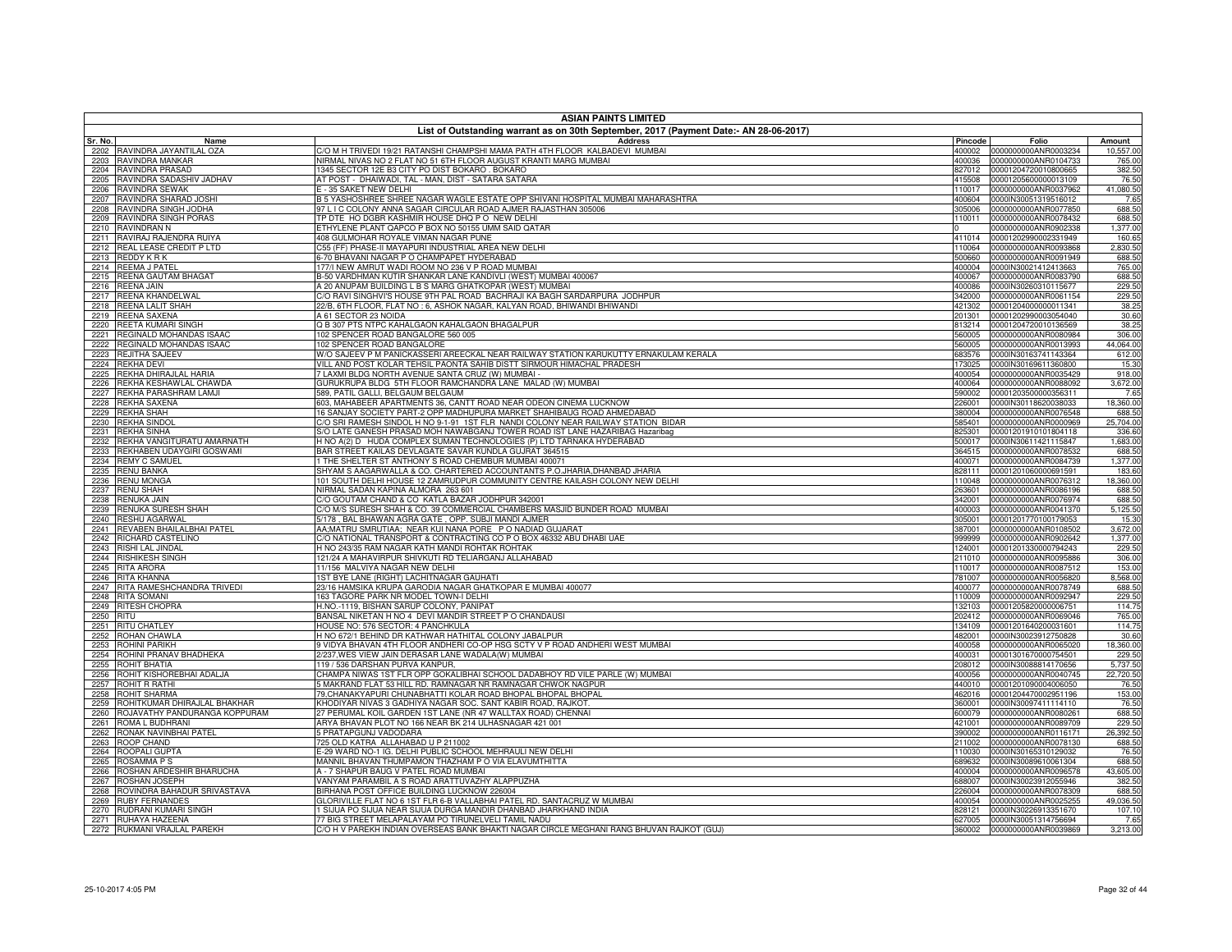|              | <b>ASIAN PAINTS LIMITED</b>                      |                                                                                                                                                                |                  |                                                     |                       |  |
|--------------|--------------------------------------------------|----------------------------------------------------------------------------------------------------------------------------------------------------------------|------------------|-----------------------------------------------------|-----------------------|--|
|              |                                                  | List of Outstanding warrant as on 30th September, 2017 (Payment Date:- AN 28-06-2017)                                                                          |                  |                                                     |                       |  |
| Sr. No.      | Name                                             | <b>Address</b>                                                                                                                                                 | Pincode          | Folio                                               | Amount                |  |
| 2202<br>2203 | RAVINDRA JAYANTILAL OZA<br>RAVINDRA MANKAR       | C/O M H TRIVEDI 19/21 RATANSHI CHAMPSHI MAMA PATH 4TH FLOOR KALBADEVI MUMBAI<br>VIRMAL NIVAS NO 2 FLAT NO 51 6TH FLOOR AUGUST KRANTI MARG MUMBAI               | 400002<br>400036 | 0000000000ANR0003234<br>0000000000ANR0104733        | 10,557.00<br>765.00   |  |
| 2204         | RAVINDRA PRASAD                                  | 1345 SECTOR 12E B3 CITY PO DIST BOKARO . BOKARO                                                                                                                | 827012           | 00001204720010800665                                | 382.50                |  |
| 2205         | RAVINDRA SADASHIV JADHAV                         | AT POST - DHAIWADI, TAL - MAN, DIST - SATARA SATARA                                                                                                            | 415508           | 00001205600000013109                                | 76.50                 |  |
| 2206         | RAVINDRA SEWAK                                   | E - 35 SAKET NEW DELHI                                                                                                                                         | 110017           | 0000000000ANR0037962                                | 41,080.50             |  |
| 2207         | RAVINDRA SHARAD JOSHI                            | B 5 YASHOSHREE SHREE NAGAR WAGLE ESTATE OPP SHIVANI HOSPITAL MUMBAI MAHARASHTRA                                                                                | 400604           | 0000IN30051319516012                                | 7.65                  |  |
| 2208<br>2209 | RAVINDRA SINGH JODHA<br>RAVINDRA SINGH PORAS     | 97 L I C COLONY ANNA SAGAR CIRCULAR ROAD AJMER RAJASTHAN 305006<br>TP DTE HO DGBR KASHMIR HOUSE DHQ P O NEW DELHI                                              | 305006<br>110011 | 0000000000ANR0077850<br>0000000000ANR0078432        | 688.50<br>688.50      |  |
| 2210         | RAVINDRAN N                                      | ETHYLENE PLANT QAPCO P BOX NO 50155 UMM SAID QATAR                                                                                                             |                  | 0000000000ANR0902338                                | 1,377.00              |  |
| 2211         | RAVIRAJ RAJENDRA RUIYA                           | 408 GULMOHAR ROYALE VIMAN NAGAR PUNE                                                                                                                           | 411014           | 00001202990002331949                                | 160.65                |  |
| 2212         | REAL LEASE CREDIT P LTD                          | C55 (FF) PHASE-II MAYAPURI INDUSTRIAL AREA NEW DELHI                                                                                                           | 110064           | 0000000000ANR0093868                                | 2,830.50              |  |
| 2213         | REDDY K R K                                      | 6-70 BHAVANI NAGAR P O CHAMPAPET HYDERABAD                                                                                                                     | 500660           | 0000000000ANR0091949                                | 688.50                |  |
| 2214         | <b>REEMA J PATEL</b>                             | 177/I NEW AMRUT WADI ROOM NO 236 V P ROAD MUMBAI                                                                                                               | 400004           | 0000IN30021412413663                                | 765.00                |  |
| 2215         | REENA GAUTAM BHAGAT                              | B-50 VARDHMAN KUTIR SHANKAR LANE KANDIVLI (WEST) MUMBAI 400067                                                                                                 | 400067           | 0000000000ANR0083790                                | 688.50<br>229.50      |  |
| 2216<br>2217 | <b>REENA JAIN</b><br>REENA KHANDELWAL            | A 20 ANUPAM BUILDING L B S MARG GHATKOPAR (WEST) MUMBAI<br>C/O RAVI SINGHVI'S HOUSE 9TH PAL ROAD BACHRAJI KA BAGH SARDARPURA JODHPUR                           | 400086           | 0000IN30260310115677<br>342000 0000000000ANR0061154 | 229.50                |  |
| 2218         | REENA LALIT SHAH                                 | 22/B, 6TH FLOOR, FLAT NO : 6, ASHOK NAGAR, KALYAN ROAD, BHIWANDI BHIWANDI                                                                                      |                  | 421302 00001204000000011341                         | 38.25                 |  |
| 2219         | REENA SAXENA                                     | A 61 SECTOR 23 NOIDA                                                                                                                                           | 201301           | 00001202990003054040                                | 30.60                 |  |
| 2220         | REETA KUMARI SINGH                               | Q B 307 PTS NTPC KAHALGAON KAHALGAON BHAGALPUR                                                                                                                 |                  | 813214 00001204720010136569                         | 38.25                 |  |
| 2221         | REGINALD MOHANDAS ISAAC                          | 102 SPENCER ROAD BANGALORE 560 005                                                                                                                             | 560005           | 0000000000ANR0080984                                | 306.00                |  |
| 2222         | REGINALD MOHANDAS ISAAC                          | 102 SPENCER ROAD BANGALORE                                                                                                                                     | 560005           | 0000000000ANR0013993                                | 44,064.00             |  |
| 2223         | <b>REJITHA SAJEEV</b><br><b>REKHA DEVI</b>       | W/O SAJEEV P M PANICKASSERI AREECKAL NEAR RAILWAY STATION KARUKUTTY ERNAKULAM KERALA<br>VILL AND POST KOLAR TEHSIL PAONTA SAHIB DISTT SIRMOUR HIMACHAL PRADESH | 683576           | 0000IN30163741143364<br>0000IN30169611360800        | 612.00<br>15.30       |  |
| 2224<br>2225 | REKHA DHIRAJLAL HARIA                            | 7 LAXMI BLDG NORTH AVENUE SANTA CRUZ (W) MUMBAI -                                                                                                              | 173025<br>400054 | 0000000000ANR0035429                                | 918.00                |  |
| 2226         | REKHA KESHAWLAL CHAWDA                           | GURUKRUPA BLDG 5TH FLOOR RAMCHANDRA LANE MALAD (W) MUMBAI                                                                                                      | 400064           | 0000000000ANR0088092                                | 3,672.00              |  |
| 2227         | REKHA PARASHRAM LAMJI                            | 589, PATIL GALLI, BELGAUM BELGAUM                                                                                                                              | 590002           | 00001203500000356311                                | 7.65                  |  |
| 2228         | REKHA SAXENA                                     | 603, MAHABEER APARTMENTS 36, CANTT ROAD NEAR ODEON CINEMA LUCKNOW                                                                                              | 226001           | 0000IN30118620038033                                | 18,360.00             |  |
| 2229         | REKHA SHAH                                       | 16 SANJAY SOCIETY PART-2 OPP MADHUPURA MARKET SHAHIBAUG ROAD AHMEDABAD                                                                                         | 380004           | 0000000000ANR0076548                                | 688.50                |  |
| 2230         | <b>REKHA SINDOL</b>                              | C/O SRI RAMESH SINDOL H NO 9-1-91 1ST FLR NANDI COLONY NEAR RAILWAY STATION BIDAR                                                                              | 585401           | 0000000000ANR0000969                                | 25,704.00             |  |
| 2231         | <b>REKHA SINHA</b><br>REKHA VANGITURATU AMARNATH | S/O LATE GANESH PRASAD MOH NAWABGANJ TOWER ROAD IST LANE HAZARIBAG Hazaribag                                                                                   | 825301           | 00001201910101804118                                | 336.60                |  |
| 2232<br>2233 | REKHABEN UDAYGIRI GOSWAMI                        | H NO A(2) D HUDA COMPLEX SUMAN TECHNOLOGIES (P) LTD TARNAKA HYDERABAD<br>BAR STREET KAILAS DEVLAGATE SAVAR KUNDLA GUJRAT 364515                                | 500017<br>364515 | 0000IN30611421115847<br>0000000000ANR0078532        | 1,683.00<br>688.50    |  |
| 2234         | <b>REMY C SAMUEL</b>                             | 1 THE SHELTER ST ANTHONY S ROAD CHEMBUR MUMBAI 400071                                                                                                          | 400071           | 0000000000ANR0084739                                | 1,377.00              |  |
| 2235         | <b>RENU BANKA</b>                                | SHYAM S AAGARWALLA & CO. CHARTERED ACCOUNTANTS P.O.JHARIA,DHANBAD JHARIA                                                                                       | 828111           | 00001201060000691591                                | 183.60                |  |
| 2236         | <b>RENU MONGA</b>                                | 101 SOUTH DELHI HOUSE 12 ZAMRUDPUR COMMUNITY CENTRE KAILASH COLONY NEW DELHI                                                                                   | 110048           | 0000000000ANR0076312                                | 18,360.00             |  |
| 2237         | <b>RENU SHAH</b>                                 | NIRMAL SADAN KAPINA ALMORA 263 601                                                                                                                             | 263601           | 0000000000ANR0086196                                | 688.50                |  |
| 2238         | RENUKA JAIN                                      | /O GOUTAM CHAND & CO KATLA BAZAR JODHPUR 342001                                                                                                                | 342001           | 0000000000ANR0076974                                | 688.50                |  |
| 2239<br>2240 | RENUKA SURESH SHAH<br>RESHU AGARWAL              | C/O M/S SURESH SHAH & CO. 39 COMMERCIAL CHAMBERS MASJID BUNDER ROAD MUMBAI<br>5/178, BAL BHAWAN AGRA GATE, OPP. SUBJI MANDI AJMER                              | 400003<br>305001 | 0000000000ANR0041370<br>00001201770100179053        | 5,125.50<br>15.30     |  |
| 2241         | REVABEN BHAILALBHAI PATEL                        | AA;MATRU SMRUTIAA; NEAR KUI NANA PORE P O NADIAD GUJARAT                                                                                                       | 387001           | 0000000000ANR0108502                                | 3,672.00              |  |
| 2242         | RICHARD CASTELINO                                | C/O NATIONAL TRANSPORT & CONTRACTING CO P O BOX 46332 ABU DHABI UAE                                                                                            | 999999           | 0000000000ANR0902642                                | 1,377.00              |  |
| 2243         | <b>RISHI LAL JINDAL</b>                          | H NO 243/35 RAM NAGAR KATH MANDI ROHTAK ROHTAK                                                                                                                 |                  | 124001 00001201330000794243                         | 229.50                |  |
| 2244         | <b>RISHIKESH SINGH</b>                           | 121/24 A MAHAVIRPUR SHIVKUTI RD TELIARGANJ ALLAHABAD                                                                                                           | 211010           | 0000000000ANR0095886                                | 306.00                |  |
| 2245         | <b>RITA ARORA</b>                                | 11/156 MALVIYA NAGAR NEW DELHI                                                                                                                                 | 110017           | 0000000000ANR0087512                                | 153.00                |  |
| 2246         | RITA KHANNA<br>RITA RAMESHCHANDRA TRIVEDI        | IST BYE LANE (RIGHT) LACHITNAGAR GAUHATI                                                                                                                       | 781007           | 0000000000ANR0056820                                | 8,568.00              |  |
| 2247<br>2248 | <b>RITA SOMANI</b>                               | 3/16 HAMSIKA KRUPA GARODIA NAGAR GHATKOPAR E MUMBAI 400077<br>163 TAGORE PARK NR MODEL TOWN-I DELHI                                                            | 400077<br>110009 | 0000000000ANR0078749<br>0000000000ANR0092947        | 688.50                |  |
| 2249         | <b>RITESH CHOPRA</b>                             | I.NO.-1119, BISHAN SARUP COLONY, PANIPAT                                                                                                                       | 132103           | 00001205820000006751                                | 229.50<br>114.75      |  |
| 2250         | RITU                                             | BANSAL NIKETAN H NO 4 DEVI MANDIR STREET P O CHANDAUSI                                                                                                         | 202412           | 0000000000ANR0069046                                | 765.00                |  |
| 2251         | RITU CHATLEY                                     | HOUSE NO: 576 SECTOR: 4 PANCHKULA                                                                                                                              | 134109           | 00001201640200031601                                | 114.75                |  |
| 2252         | ROHAN CHAWLA                                     | H NO 672/1 BEHIND DR KATHWAR HATHITAL COLONY JABALPUR                                                                                                          | 482001           | 0000IN30023912750828                                | 30.60                 |  |
| 2253         | ROHINI PARIKH                                    | 9 VIDYA BHAVAN 4TH FLOOR ANDHERI CO-OP HSG SCTY V P ROAD ANDHERI WEST MUMBAI                                                                                   | 400058           | 0000000000ANR0065020                                | 18,360.00             |  |
| 2254         | ROHINI PRANAV BHADHEKA                           | 237, WES VIEW JAIN DERASAR LANE WADALA (W) MUMBAI                                                                                                              | 400031           | 00001301670000754501                                | 229.50                |  |
| 2255<br>2256 | ROHIT BHATIA<br>ROHIT KISHOREBHAI ADALJA         | 119 / 536 DARSHAN PURVA KANPUR,<br>CHAMPA NIWAS 1ST FLR OPP GOKALIBHAI SCHOOL DADABHOY RD VILE PARLE (W) MUMBAI                                                | 208012<br>400056 | 0000IN30088814170656<br>0000000000ANR0040745        | 5,737.50<br>22,720.50 |  |
| 2257         | ROHIT R RATHI                                    | MAKRAND FLAT 53 HILL RD. RAMNAGAR NR RAMNAGAR CHWOK NAGPUR                                                                                                     | 440010           | 00001201090004006050                                | 76.50                 |  |
| 2258         | ROHIT SHARMA                                     | 9, CHANAKYAPURI CHUNABHATTI KOLAR ROAD BHOPAL BHOPAL BHOPAL                                                                                                    | 462016           | 00001204470002951196                                | 153.00                |  |
| 2259         | ROHITKUMAR DHIRAJLAL BHAKHAR                     | (HODIYAR NIVAS 3 GADHIYA NAGAR SOC. SANT KABIR ROAD, RAJKOT.                                                                                                   | 360001           | 0000IN30097411114110                                | 76.50                 |  |
| 2260         | ROJAVATHY PANDURANGA KOPPURAM                    | 7 PERUMAL KOIL GARDEN 1ST LANE (NR 47 WALLTAX ROAD) CHENNAI                                                                                                    | 600079           | 0000000000ANR0080261                                | 688.50                |  |
| 2261         | ROMA L BUDHRANI                                  | ARYA BHAVAN PLOT NO 166 NEAR BK 214 ULHASNAGAR 421 001                                                                                                         | 421001           | 0000000000ANR0089709                                | 229.50                |  |
| 2262<br>2263 | RONAK NAVINBHAI PATEL<br>ROOP CHAND              | FRATAPGUNJ VADODARA<br>25 OLD KATRA ALLAHABAD U P 211002                                                                                                       | 390002<br>211002 | 0000000000ANR0116171<br>0000000000ANR0078130        | 26,392.50<br>688.50   |  |
| 2264         | ROOPALI GUPTA                                    | -29 WARD NO-1 IG. DELHI PUBLIC SCHOOL MEHRAULI NEW DELHI                                                                                                       | 110030           | 0000IN30165310129032                                | 76.50                 |  |
| 2265         | ROSAMMA P S                                      | MANNIL BHAVAN THUMPAMON THAZHAM P O VIA ELAVUMTHITTA                                                                                                           | 689632           | 0000IN30089610061304                                | 688.50                |  |
| 2266         | ROSHAN ARDESHIR BHARUCHA                         | 4 - 7 SHAPUR BAUG V PATEL ROAD MUMBAI                                                                                                                          | 400004           | 0000000000ANR0096578                                | 43,605.00             |  |
| 2267         | ROSHAN JOSEPH                                    | VANYAM PARAMBIL A S ROAD ARATTUVAZHY ALAPPUZHA                                                                                                                 | 688007           | 0000IN30023912055946                                | 382.50                |  |
| 2268         | ROVINDRA BAHADUR SRIVASTAVA                      | IRHANA POST OFFICE BUILDING LUCKNOW 226004                                                                                                                     | 226004           | 0000000000ANR0078309                                | 688.50                |  |
| 2269<br>2270 | <b>RUBY FERNANDES</b><br>RUDRANI KUMARI SINGH    | GLORIVILLE FLAT NO 6 1ST FLR 6-B VALLABHAI PATEL RD. SANTACRUZ W MUMBAI<br>SIJUA PO SIJUA NEAR SIJUA DURGA MANDIR DHANBAD JHARKHAND INDIA                      | 328121           | 400054 0000000000ANR0025255<br>0000IN30226913351670 | 49,036.50<br>107.10   |  |
|              | 2271 RUHAYA HAZEENA                              | 7 BIG STREET MELAPALAYAM PO TIRUNELVELI TAMIL NADU                                                                                                             |                  | 627005 0000IN30051314756694                         | 7.65                  |  |
|              | 2272 RUKMANI VRAJLAL PAREKH                      | C/O H V PAREKH INDIAN OVERSEAS BANK BHAKTI NAGAR CIRCLE MEGHANI RANG BHUVAN RAJKOT (GUJ)                                                                       |                  | 360002 0000000000ANR0039869                         | 3,213.00              |  |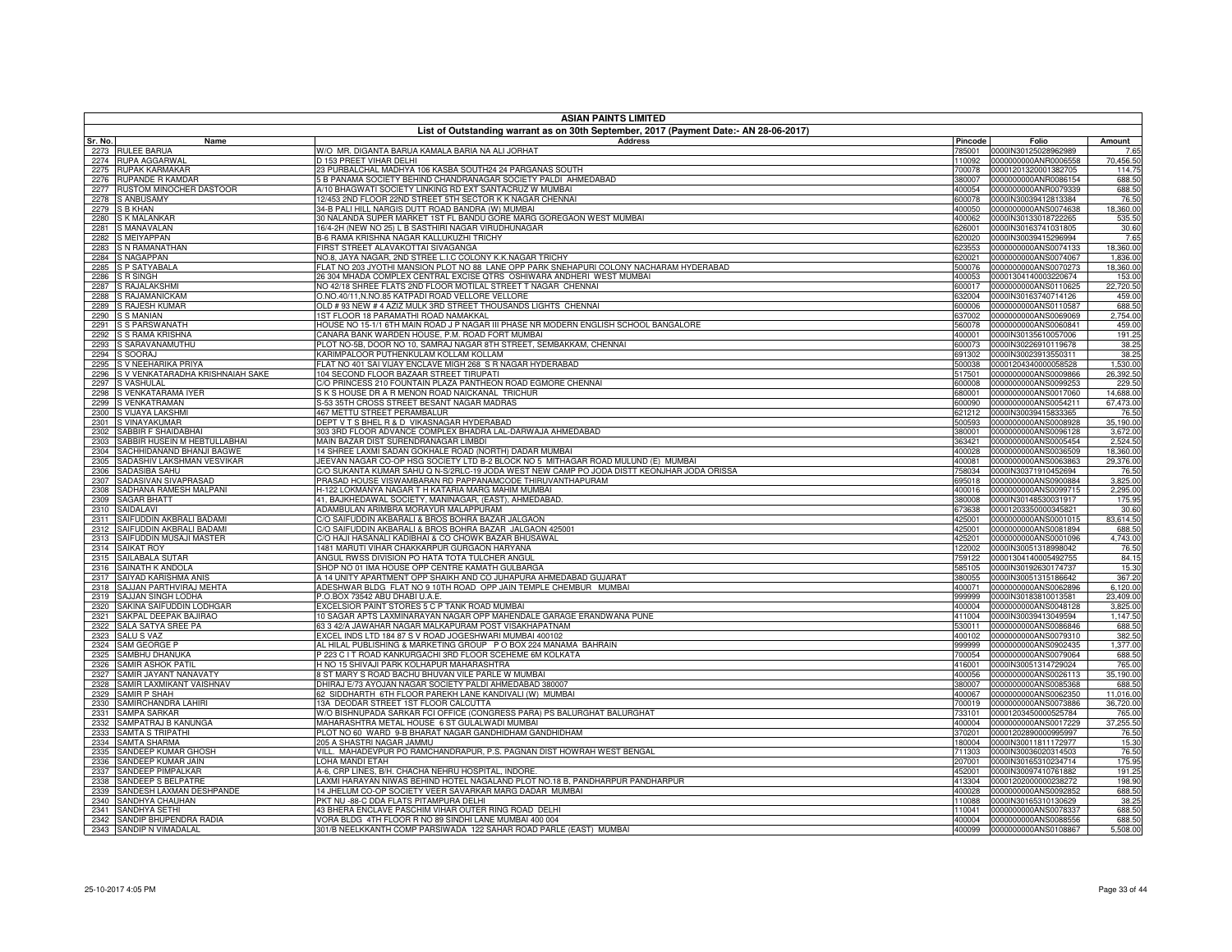|              | <b>ASIAN PAINTS LIMITED</b><br>List of Outstanding warrant as on 30th September, 2017 (Payment Date:- AN 28-06-2017) |                                                                                                                                                                                 |                  |                                              |                        |  |
|--------------|----------------------------------------------------------------------------------------------------------------------|---------------------------------------------------------------------------------------------------------------------------------------------------------------------------------|------------------|----------------------------------------------|------------------------|--|
| Sr. No.      | Name                                                                                                                 | <b>Address</b>                                                                                                                                                                  | Pincode          | Folio                                        | Amount                 |  |
| 2273         | <b>RULEE BARUA</b>                                                                                                   | W/O MR. DIGANTA BARUA KAMALA BARIA NA ALI JORHAT                                                                                                                                | 785001           | 0000IN30125028962989                         | 7.65                   |  |
| 2274         | <b>RUPA AGGARWAL</b>                                                                                                 | D 153 PREET VIHAR DELHI                                                                                                                                                         | 110092           | 0000000000ANR0006558                         | 70,456.50              |  |
| 2275         | <b>RUPAK KARMAKAR</b>                                                                                                | 3 PURBALCHAL MADHYA 106 KASBA SOUTH24 24 PARGANAS SOUTH                                                                                                                         | 700078           | 00001201320001382705                         | 114.75                 |  |
| 2276<br>2277 | RUPANDE R KAMDAR<br>RUSTOM MINOCHER DASTOOR                                                                          | 5 B PANAMA SOCIETY BEHIND CHANDRANAGAR SOCIETY PALDI AHMEDABAD<br>4/10 BHAGWATI SOCIETY LINKING RD EXT SANTACRUZ W MUMBAI                                                       | 380007<br>400054 | 0000000000ANR0086154<br>0000000000ANR0079339 | 688.50<br>688.50       |  |
| 2278         | <b>S ANBUSAMY</b>                                                                                                    | 2/453 2ND FLOOR 22ND STREET 5TH SECTOR K K NAGAR CHENNAI                                                                                                                        | 600078           | 0000IN30039412813384                         | 76.50                  |  |
| 2279         | <b>S B KHAN</b>                                                                                                      | 34-B PALI HILL NARGIS DUTT ROAD BANDRA (W) MUMBAI                                                                                                                               | 400050           | 0000000000ANS0074638                         | 18,360.00              |  |
| 2280         | <b>S K MALANKAR</b>                                                                                                  | 30 NALANDA SUPER MARKET 1ST FL BANDU GORE MARG GOREGAON WEST MUMBAI                                                                                                             | 400062           | 0000IN30133018722265                         | 535.50                 |  |
| 2281         | S MANAVALAN                                                                                                          | 16/4-2H (NEW NO 25) L B SASTHIRI NAGAR VIRUDHUNAGAR                                                                                                                             | 626001           | 0000IN30163741031805                         | 30.60                  |  |
| 2282         | <b>S MEIYAPPAN</b>                                                                                                   | 3-6 RAMA KRISHNA NAGAR KALLUKUZHI TRICHY                                                                                                                                        | 620020           | 0000IN30039415296994                         | 7.65                   |  |
| 2283<br>2284 | S N RAMANATHAN<br><b>S NAGAPPAN</b>                                                                                  | <b>FIRST STREET ALAVAKOTTAI SIVAGANGA</b><br>VO.8, JAYA NAGAR, 2ND STREE L.I.C COLONY K.K.NAGAR TRICHY                                                                          | 623553<br>620021 | 0000000000ANS0074133<br>0000000000ANS0074067 | 18,360.00<br>1,836.00  |  |
| 2285         | S P SATYABALA                                                                                                        | FLAT NO 203 JYOTHI MANSION PLOT NO 88 LANE OPP PARK SNEHAPURI COLONY NACHARAM HYDERABAD                                                                                         | 500076           | 0000000000ANS0070273                         | 18,360.00              |  |
| 2286         | <b>S R SINGH</b>                                                                                                     | 26 304 MHADA COMPLEX CENTRAL EXCISE QTRS OSHIWARA ANDHERI WEST MUMBAI                                                                                                           | 400053           | 00001304140003220674                         | 153.00                 |  |
| 2287         | S RAJALAKSHMI                                                                                                        | NO 42/18 SHREE FLATS 2ND FLOOR MOTILAL STREET T NAGAR CHENNAI                                                                                                                   | 600017           | 0000000000ANS0110625                         | 22,720.50              |  |
| 2288         | S RAJAMANICKAM                                                                                                       | O.NO.40/11,N.NO.85 KATPADI ROAD VELLORE VELLORE                                                                                                                                 | 632004           | 0000IN30163740714126                         | 459.00                 |  |
| 2289         | S RAJESH KUMAR                                                                                                       | OLD # 93 NEW # 4 AZIZ MULK 3RD STREET THOUSANDS LIGHTS CHENNAI                                                                                                                  | 600006           | 0000000000ANS0110587                         | 688.50                 |  |
| 2290<br>2291 | <b>S S MANIAN</b><br><b>S S PARSWANATH</b>                                                                           | IST FLOOR 18 PARAMATHI ROAD NAMAKKAL<br>HOUSE NO 15-1/1 6TH MAIN ROAD J P NAGAR III PHASE NR MODERN ENGLISH SCHOOL BANGALORE                                                    | 637002           | 0000000000ANS0069069<br>0000000000ANS0060841 | 2,754.00<br>459.00     |  |
| 2292         | S S RAMA KRISHNA                                                                                                     | CANARA BANK WARDEN HOUSE, P.M. ROAD FORT MUMBAI                                                                                                                                 | 560078<br>400001 | 0000IN30135610057006                         | 191.25                 |  |
| 2293         | S SARAVANAMUTHU                                                                                                      | PLOT NO-5B, DOOR NO 10, SAMRAJ NAGAR 8TH STREET, SEMBAKKAM, CHENNAI                                                                                                             | 600073           | 0000IN30226910119678                         | 38.25                  |  |
| 2294         | S SOORAJ                                                                                                             | <b>KARIMPALOOR PUTHENKULAM KOLLAM KOLLAM</b>                                                                                                                                    | 691302           | 0000IN30023913550311                         | 38.25                  |  |
| 2295         | S V NEEHARIKA PRIYA                                                                                                  | FLAT NO 401 SAI VIJAY ENCLAVE MIGH 268 S R NAGAR HYDERABAD                                                                                                                      | 500038           | 00001204340000058528                         | 1,530.00               |  |
| 2296         | S V VENKATARADHA KRISHNAIAH SAKE                                                                                     | 04 SECOND FLOOR BAZAAR STREET TIRUPATI                                                                                                                                          | 517501           | 0000000000ANS0009866                         | 26,392.50              |  |
| 2297         | S VASHULAL                                                                                                           | C/O PRINCESS 210 FOUNTAIN PLAZA PANTHEON ROAD EGMORE CHENNAI                                                                                                                    | 600008           | 0000000000ANS0099253                         | 229.50                 |  |
| 2298<br>2299 | S VENKATARAMA IYER<br>S VENKATRAMAN                                                                                  | S K S HOUSE DR A R MENON ROAD NAICKANAL TRICHUR<br>6-53 35TH CROSS STREET BESANT NAGAR MADRAS                                                                                   | 680001<br>600090 | 0000000000ANS0017060<br>0000000000ANS0054211 | 14,688.00<br>67,473.00 |  |
| 2300         | S VIJAYA LAKSHMI                                                                                                     | 467 METTU STREET PERAMBALUR                                                                                                                                                     | 621212           | 0000IN30039415833365                         | 76.50                  |  |
| 2301         | S VINAYAKUMAR                                                                                                        | DEPT V T S BHEL R & D VIKASNAGAR HYDERABAD                                                                                                                                      | 500593           | 0000000000ANS0008928                         | 35,190.00              |  |
| 2302         | SABBIR F SHAIDABHAI                                                                                                  | 303 3RD FLOOR ADVANCE COMPLEX BHADRA LAL-DARWAJA AHMEDABAD                                                                                                                      | 380001           | 0000000000ANS0096128                         | 3,672.00               |  |
| 2303         | SABBIR HUSEIN M HEBTULLABHAI                                                                                         | MAIN BAZAR DIST SURENDRANAGAR LIMBDI                                                                                                                                            | 363421           | 0000000000ANS0005454                         | 2,524.50               |  |
| 2304         | SACHHIDANAND BHANJI BAGWE                                                                                            | 14 SHREE LAXMI SADAN GOKHALE ROAD (NORTH) DADAR MUMBAI                                                                                                                          | 400028           | 0000000000ANS0036509                         | 18,360.00              |  |
| 2305<br>2306 | SADASHIV LAKSHMAN VESVIKAR<br>SADASIBA SAHU                                                                          | JEEVAN NAGAR CO-OP HSG SOCIETY LTD B-2 BLOCK NO 5 MITHAGAR ROAD MULUND (E) MUMBAI<br>C/O SUKANTA KUMAR SAHU Q N-S/2RLC-19 JODA WEST NEW CAMP PO JODA DISTT KEONJHAR JODA ORISSA | 400081<br>758034 | 0000000000ANS0063863<br>0000IN30371910452694 | 29,376.00<br>76.50     |  |
| 2307         | SADASIVAN SIVAPRASAD                                                                                                 | PRASAD HOUSE VISWAMBARAN RD PAPPANAMCODE THIRUVANTHAPURAM                                                                                                                       | 695018           | 0000000000ANS0900884                         | 3,825.00               |  |
| 2308         | SADHANA RAMESH MALPANI                                                                                               | 1-122 LOKMANYA NAGAR T H KATARIA MARG MAHIM MUMBAI                                                                                                                              | 400016           | 0000000000ANS0099715                         | 2,295.00               |  |
| 2309         | <b>SAGAR BHATT</b>                                                                                                   | 41, BAJKHEDAWAL SOCIETY, MANINAGAR, (EAST), AHMEDABAD                                                                                                                           | 380008           | 0000IN30148530031917                         | 175.95                 |  |
| 2310         | SAIDALAVI                                                                                                            | ADAMBULAN ARIMBRA MORAYUR MALAPPURAM                                                                                                                                            | 673638           | 00001203350000345821                         | 30.60                  |  |
| 2311         | SAIFUDDIN AKBRALI BADAMI                                                                                             | C/O SAIFUDDIN AKBARALI & BROS BOHRA BAZAR JALGAON                                                                                                                               | 425001           | 0000000000ANS0001015                         | 83,614.50              |  |
| 2312<br>2313 | SAIFUDDIN AKBRALI BADAMI<br>SAIFUDDIN MUSAJI MASTER                                                                  | C/O SAIFUDDIN AKBARALI & BROS BOHRA BAZAR JALGAON 425001<br>C/O HAJI HASANALI KADIBHAI & CO CHOWK BAZAR BHUSAWAL                                                                | 425001<br>425201 | 0000000000ANS0081894<br>0000000000ANS0001096 | 688.50<br>4,743.00     |  |
| 2314         | <b>SAIKAT ROY</b>                                                                                                    | 1481 MARUTI VIHAR CHAKKARPUR GURGAON HARYANA                                                                                                                                    | 122002           | 0000IN30051318998042                         | 76.50                  |  |
| 2315         | SAILABALA SUTAR                                                                                                      | ANGUL RWSS DIVISION PO HATA TOTA TULCHER ANGUL                                                                                                                                  | 759122           | 00001304140005492755                         | 84.15                  |  |
| 2316         | SAINATH K ANDOLA                                                                                                     | SHOP NO 01 IMA HOUSE OPP CENTRE KAMATH GULBARGA                                                                                                                                 | 585105           | 0000IN30192630174737                         | 15.30                  |  |
| 2317         | SAIYAD KARISHMA ANIS                                                                                                 | A 14 UNITY APARTMENT OPP SHAIKH AND CO JUHAPURA AHMEDABAD GUJARAT                                                                                                               | 380055           | 0000IN30051315186642                         | 367.20                 |  |
| 2318         | SAJJAN PARTHVIRAJ MEHTA                                                                                              | ADESHWAR BLDG FLAT NO 9 10TH ROAD OPP JAIN TEMPLE CHEMBUR MUMBAI<br>.O.BOX 73542 ABU DHABI U.A.E.                                                                               | 400071           | 0000000000ANS0062896<br>0000IN30183810013581 | 6,120.00<br>23,409.00  |  |
| 2319<br>2320 | SAJJAN SINGH LODHA<br>SAKINA SAIFUDDIN LODHGAR                                                                       | EXCELSIOR PAINT STORES 5 C P TANK ROAD MUMBAI                                                                                                                                   | 999999<br>400004 | 0000000000ANS0048128                         | 3,825.00               |  |
| 2321         | SAKPAL DEEPAK BAJIRAO                                                                                                | 10 SAGAR APTS LAXMINARAYAN NAGAR OPP MAHENDALE GARAGE ERANDWANA PUNE                                                                                                            | 411004           | 0000IN30039413049594                         | 1,147.50               |  |
| 2322         | SALA SATYA SREE PA                                                                                                   | 63 3 42/A JAWAHAR NAGAR MALKAPURAM POST VISAKHAPATNAM                                                                                                                           | 530011           | 0000000000ANS0086846                         | 688.50                 |  |
| 2323         | SALU S VAZ                                                                                                           | EXCEL INDS LTD 184 87 S V ROAD JOGESHWARI MUMBAI 400102                                                                                                                         | 400102           | 0000000000ANS0079310                         | 382.50                 |  |
| 2324         | SAM GEORGE P                                                                                                         | AL HILAL PUBLISHING & MARKETING GROUP PO BOX 224 MANAMA BAHRAIN                                                                                                                 | 999999           | 0000000000ANS0902435                         | 1,377.00               |  |
| 2325<br>2326 | SAMBHU DHANUKA<br><b>SAMIR ASHOK PATIL</b>                                                                           | 223 C I T ROAD KANKURGACHI 3RD FLOOR SCEHEME 6M KOLKATA<br>H NO 15 SHIVAJI PARK KOLHAPUR MAHARASHTRA                                                                            | 700054<br>416001 | 0000000000ANS0079064<br>0000IN30051314729024 | 688.50<br>765.00       |  |
| 2327         | SAMIR JAYANT NANAVATY                                                                                                | 3 ST MARY S ROAD BACHU BHUVAN VILE PARLE W MUMBAI                                                                                                                               | 400056           | 0000000000ANS0026113                         | 35,190.00              |  |
| 2328         | SAMIR LAXMIKANT VAISHNAV                                                                                             | DHIRAJ E/73 AYOJAN NAGAR SOCIETY PALDI AHMEDABAD 380007                                                                                                                         | 380007           | 0000000000ANS0085368                         | 688.50                 |  |
| 2329         | SAMIR P SHAH                                                                                                         | 62 SIDDHARTH 6TH FLOOR PAREKH LANE KANDIVALI (W) MUMBAI                                                                                                                         | 400067           | 0000000000ANS0062350                         | 11,016.00              |  |
| 2330         | SAMIRCHANDRA LAHIRI                                                                                                  | 13A DEODAR STREET 1ST FLOOR CALCUTTA                                                                                                                                            | 700019           | 0000000000ANS0073886                         | 36,720.00              |  |
| 2331         | <b>SAMPA SARKAR</b>                                                                                                  | WO BISHNUPADA SARKAR FCI OFFICE (CONGRESS PARA) PS BALURGHAT BALURGHAT                                                                                                          | 733101           | 00001203450000525784                         | 765.00                 |  |
| 2332<br>2333 | SAMPATRAJ B KANUNGA<br><b>SAMTA S TRIPATHI</b>                                                                       | MAHARASHTRA METAL HOUSE 6 ST GULALWADI MUMBAI<br>PLOT NO 60 WARD 9-B BHARAT NAGAR GANDHIDHAM GANDHIDHAM                                                                         | 400004<br>370201 | 0000000000ANS0017229<br>00001202890000995997 | 37,255.50<br>76.50     |  |
| 2334         | SAMTA SHARMA                                                                                                         | 205 A SHASTRI NAGAR JAMMU                                                                                                                                                       | 180004           | 0000IN30011811172977                         | 15.30                  |  |
| 2335         | SANDEEP KUMAR GHOSH                                                                                                  | VILL. MAHADEVPUR PO RAMCHANDRAPUR, P.S. PAGNAN DIST HOWRAH WEST BENGAL                                                                                                          | 711303           | 0000IN30036020314503                         | 76.50                  |  |
| 2336         | SANDEEP KUMAR JAIN                                                                                                   | LOHA MANDI ETAH                                                                                                                                                                 | 207001           | 0000IN30165310234714                         | 175.95                 |  |
| 2337         | SANDEEP PIMPALKAR                                                                                                    | A-6, CRP LINES, B/H. CHACHA NEHRU HOSPITAL, INDORE                                                                                                                              | 452001           | 0000IN30097410761882                         | 191.25                 |  |
| 2338         | SANDEEP S BELPATRE                                                                                                   | LAXMI HARAYAN NIWAS BEHIND HOTEL NAGALAND PLOT NO.18 B, PANDHARPUR PANDHARPUR                                                                                                   | 413304           | 00001202000000238272                         | 198.90                 |  |
| 2339<br>2340 | SANDESH LAXMAN DESHPANDE<br>SANDHYA CHAUHAN                                                                          | 14 JHELUM CO-OP SOCIETY VEER SAVARKAR MARG DADAR MUMBAI<br>PKT NU -88-C DDA FLATS PITAMPURA DELHI                                                                               | 400028<br>110088 | 0000000000ANS0092852<br>0000IN30165310130629 | 688.50<br>38.25        |  |
| 2341         | SANDHYA SETHI                                                                                                        | 43 BHERA ENCLAVE PASCHIM VIHAR OUTER RING ROAD DELHI                                                                                                                            | 110041           | 0000000000ANS0078337                         | 688.50                 |  |
| 2342         | SANDIP BHUPENDRA RADIA                                                                                               | VORA BLDG 4TH FLOOR R NO 89 SINDHI LANE MUMBAI 400 004                                                                                                                          | 400004           | 0000000000ANS0088556                         | 688.50                 |  |
| 2343         | SANDIP N VIMADALAL                                                                                                   | 301/B NEELKKANTH COMP PARSIWADA 122 SAHAR ROAD PARLE (EAST) MUMBAI                                                                                                              | 400099           | 0000000000ANS0108867                         | 5,508.00               |  |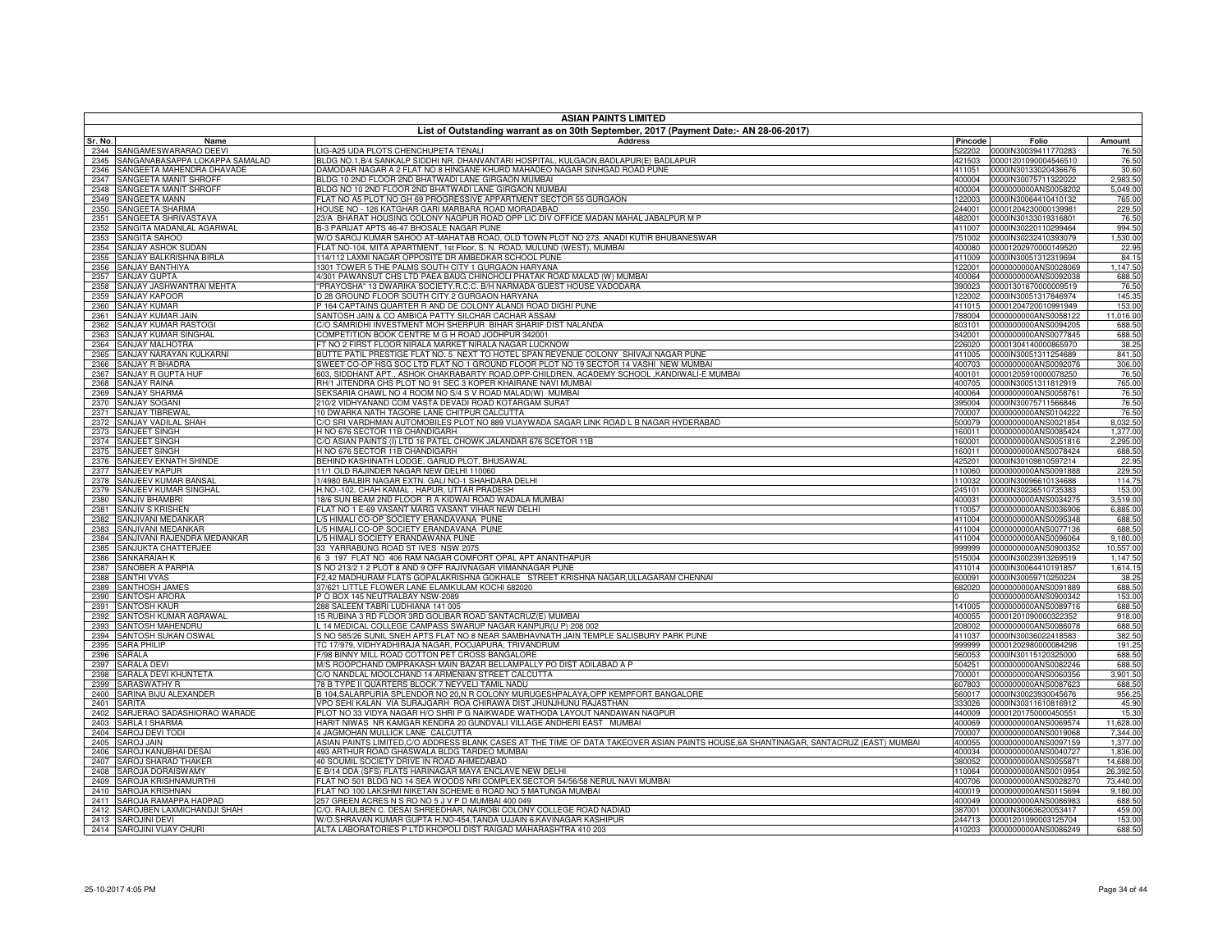|              | <b>ASIAN PAINTS LIMITED</b><br>List of Outstanding warrant as on 30th September, 2017 (Payment Date:- AN 28-06-2017) |                                                                                                                                                     |                  |                                                     |                     |  |
|--------------|----------------------------------------------------------------------------------------------------------------------|-----------------------------------------------------------------------------------------------------------------------------------------------------|------------------|-----------------------------------------------------|---------------------|--|
| Sr. No.      | Name                                                                                                                 | <b>Address</b>                                                                                                                                      | Pincode          | Folio                                               | Amount              |  |
| 2344         | SANGAMESWARARAO DEEVI                                                                                                | LIG-A25 UDA PLOTS CHENCHUPETA TENALI                                                                                                                | 522202           | 0000IN30039411770283                                | 76.50               |  |
| 2345         | SANGANABASAPPA LOKAPPA SAMALAD                                                                                       | BLDG NO.1,B/4 SANKALP SIDDHI NR. DHANVANTARI HOSPITAL, KULGAON,BADLAPUR(E) BADLAPUR                                                                 | 421503           | 00001201090004546510                                | 76.50               |  |
| 2346         | SANGEETA MAHENDRA DHAVADE                                                                                            | DAMODAR NAGAR A 2 FLAT NO 8 HINGANE KHURD MAHADEO NAGAR SINHGAD ROAD PUNE                                                                           | 411051           | 0000IN30133020436676                                | 30.60               |  |
| 2347         | SANGEETA MANIT SHROFF                                                                                                | BLDG 10 2ND FLOOR 2ND BHATWADI LANE GIRGAON MUMBAI                                                                                                  | 400004           | 0000IN30075711322022                                | 2,983.50            |  |
| 2348         | SANGEETA MANIT SHROFF                                                                                                | BLDG NO 10 2ND FLOOR 2ND BHATWADI LANE GIRGAON MUMBAI                                                                                               | 400004           | 0000000000ANS0058202                                | 5,049.00            |  |
| 2349<br>2350 | SANGEETA MANN<br>SANGEETA SHARMA                                                                                     | FLAT NO A5 PLOT NO GH 69 PROGRESSIVE APPARTMENT SECTOR 55 GURGAON<br>HOUSE NO - 126 KATGHAR GARI MARBARA ROAD MORADABAD                             | 122003<br>244001 | 0000IN30064410410132<br>00001204230000139981        | 765.00<br>229.50    |  |
| 2351         | SANGEETA SHRIVASTAVA                                                                                                 | 23/A BHARAT HOUSING COLONY NAGPUR ROAD OPP LIC DIV OFFICE MADAN MAHAL JABALPUR M P                                                                  | 482001           | 0000IN30133019316801                                | 76.50               |  |
| 2352         | SANGITA MADANLAL AGARWAL                                                                                             | B-3 PARIJAT APTS 46-47 BHOSALE NAGAR PUNE                                                                                                           | 411007           | 0000IN30220110299464                                | 994.50              |  |
| 2353         | <b>SANGITA SAHOO</b>                                                                                                 | W/O SAROJ KUMAR SAHOO AT-MAHATAB ROAD, OLD TOWN PLOT NO 273, ANADI KUTIR BHUBANESWAR                                                                | 751002           | 0000IN30232410393079                                | 1,530.00            |  |
| 2354         | SANJAY ASHOK SUDAN                                                                                                   | FLAT NO-104, MITA APARTMENT, 1st Floor, S. N. ROAD, MULUND (WEST), MUMBAI                                                                           | 400080           | 00001202970000149520                                | 22.95               |  |
| 2355         | SANJAY BALKRISHNA BIRLA                                                                                              | 114/112 LAXMI NAGAR OPPOSITE DR AMBEDKAR SCHOOL PUNE                                                                                                | 411009           | 0000IN30051312319694                                | 84.15               |  |
| 2356         | SANJAY BANTHIYA                                                                                                      | 1301 TOWER 5 THE PALMS SOUTH CITY 1 GURGAON HARYANA                                                                                                 | 122001           | 0000000000ANS0028069                                | 1,147.50            |  |
| 2357         | <b>SANJAY GUPTA</b>                                                                                                  | 4/301 PAWANSUT CHS LTD PAEA BAUG CHINCHOLI PHATAK ROAD MALAD (W) MUMBAI                                                                             | 400064           | 0000000000ANS0092038                                | 688.50              |  |
| 2358         | SANJAY JASHWANTRAI MEHTA                                                                                             | "PRAYOSHA" 13 DWARIKA SOCIETY, R.C.C. B/H NARMADA GUEST HOUSE VADODARA                                                                              | 390023           | 00001301670000009519                                | 76.50               |  |
| 2359         | SANJAY KAPOOR                                                                                                        | D 28 GROUND FLOOR SOUTH CITY 2 GURGAON HARYANA                                                                                                      | 122002           | 0000IN30051317846974                                | 145.35              |  |
| 2360         | <b>SANJAY KUMAR</b>                                                                                                  | P 164 CAPTAINS QUARTER R AND DE COLONY ALANDI ROAD DIGHI PUNE                                                                                       | 411015           | 00001204720010991949                                | 153.00              |  |
| 2361<br>2362 | <b>SANJAY KUMAR JAIN</b><br>SANJAY KUMAR RASTOGI                                                                     | SANTOSH JAIN & CO AMBICA PATTY SILCHAR CACHAR ASSAM<br>C/O SAMRIDHI INVESTMENT MOH SHERPUR BIHAR SHARIF DIST NALANDA                                | 788004<br>803101 | 0000000000ANS0058122<br>0000000000ANS0094205        | 11,016.00<br>688.50 |  |
| 2363         | SANJAY KUMAR SINGHAL                                                                                                 | COMPETITION BOOK CENTRE M G H ROAD JODHPUR 342001                                                                                                   | 342001           | 0000000000ANS0077845                                | 688.50              |  |
| 2364         | <b>SANJAY MALHOTRA</b>                                                                                               | FT NO 2 FIRST FLOOR NIRALA MARKET NIRALA NAGAR LUCKNOW                                                                                              | 226020           | 00001304140000865970                                | 38.25               |  |
| 2365         | SANJAY NARAYAN KULKARNI                                                                                              | BUTTE PATIL PRESTIGE FLAT NO. 5 NEXT TO HOTEL SPAN REVENUE COLONY SHIVAJI NAGAR PUNE                                                                | 411005           | 0000IN30051311254689                                | 841.50              |  |
| 2366         | SANJAY R BHADRA                                                                                                      | SWEET CO-OP HSG SOC LTD FLAT NO 1 GROUND FLOOR PLOT NO 19 SECTOR 14 VASHI NEW MUMBAI                                                                | 400703           | 0000000000ANS0092076                                | 306.00              |  |
| 2367         | SANJAY R GUPTA HUF                                                                                                   | 603, SIDDHANT APT., ASHOK CHAKRABARTY ROAD, OPP-CHILDREN, ACADEMY SCHOOL, KANDIWALI-E MUMBAI                                                        | 400101           | 00001205910000078250                                | 76.50               |  |
| 2368         | <b>SANJAY RAINA</b>                                                                                                  | RH/1 JITENDRA CHS PLOT NO 91 SEC 3 KOPER KHAIRANE NAVI MUMBAI                                                                                       | 400705           | 0000IN30051311812919                                | 765.00              |  |
| 2369         | SANJAY SHARMA                                                                                                        | SEKSARIA CHAWL NO 4 ROOM NO S/4 S V ROAD MALAD(W) MUMBAI                                                                                            | 400064           | 0000000000ANS0058761                                | 76.50               |  |
| 2370         | SANJAY SOGANI                                                                                                        | 210/2 VIDHYANAND COM VASTA DEVADI ROAD KOTARGAM SURAT                                                                                               | 395004           | 0000IN30075711566846                                | 76.50               |  |
| 2371         | SANJAY TIBREWAI                                                                                                      | 10 DWARKA NATH TAGORE LANE CHITPUR CALCUTTA                                                                                                         | 700007           | 0000000000ANS0104222                                | 76.50               |  |
| 2372         | SANJAY VADILAL SHAH                                                                                                  | C/O SRI VARDHMAN AUTOMOBILES PLOT NO 889 VIJAYWADA SAGAR LINK ROAD L B NAGAR HYDERABAD                                                              | 500079           | 0000000000ANS0021854                                | 8,032.50            |  |
| 2373         | SANJEET SINGH                                                                                                        | H NO 676 SECTOR 11B CHANDIGARH                                                                                                                      | 160011           | 0000000000ANS0085424                                | 1,377.00            |  |
| 2374         | SANJEET SINGH                                                                                                        | C/O ASIAN PAINTS (I) LTD 16 PATEL CHOWK JALANDAR 676 SCETOR 11B                                                                                     | 160001           | 0000000000ANS0051816                                | 2,295.00            |  |
| 2375         | SANJEET SINGH<br>SANJEEV EKNATH SHINDE                                                                               | H NO 676 SECTOR 11B CHANDIGARH                                                                                                                      | 160011           | 0000000000ANS0078424                                | 688.50              |  |
| 2376<br>2377 | SANJEEV KAPUR                                                                                                        | BEHIND KASHINATH LODGE, GARUD PLOT, BHUSAWAL<br>11/1 OLD RAJINDER NAGAR NEW DELHI 110060                                                            | 425201<br>110060 | 0000IN30109810597214<br>0000000000ANS0091888        | 22.95<br>229.50     |  |
| 2378         | SANJEEV KUMAR BANSAL                                                                                                 | 1/4980 BALBIR NAGAR EXTN. GALI NO-1 SHAHDARA DELHI                                                                                                  | 110032           | 0000IN30096610134688                                | 114.75              |  |
| 2379         | SANJEEV KUMAR SINGHAL                                                                                                | H.NO.-102, CHAH KAMAL, HAPUR, UTTAR PRADESH                                                                                                         | 245101           | 0000IN30236510735383                                | 153.00              |  |
| 2380         | SANJIV BHAMBRI                                                                                                       | 18/6 SUN BEAM 2ND FLOOR R A KIDWAI ROAD WADALA MUMBAI                                                                                               | 400031           | 0000000000ANS0034275                                | 3,519.00            |  |
| 2381         | SANJIV S KRISHEN                                                                                                     | FLAT NO 1 E-69 VASANT MARG VASANT VIHAR NEW DELHI                                                                                                   | 110057           | 0000000000ANS0036906                                | 6,885.00            |  |
| 2382         | SANJIVANI MEDANKAR                                                                                                   | L/5 HIMALI CO-OP SOCIETY ERANDAVANA PUNE                                                                                                            | 411004           | 0000000000ANS0095348                                | 688.50              |  |
| 2383         | SANJIVANI MEDANKAR                                                                                                   | /5 HIMALI CO-OP SOCIETY ERANDAVANA PUNE                                                                                                             | 411004           | 0000000000ANS0077136                                | 688.50              |  |
| 2384         | SANJIVANI RAJENDRA MEDANKAR                                                                                          | L/5 HIMALI SOCIETY ERANDAWANA PUNE                                                                                                                  | 411004           | 0000000000ANS0096064                                | 9,180.00            |  |
| 2385         | SANJUKTA CHATTERJEE                                                                                                  | 33 YARRABUNG ROAD ST IVES NSW 2075                                                                                                                  | 999999           | 0000000000ANS0900352                                | 10,557.00           |  |
| 2386         | SANKARAIAH K                                                                                                         | 6 3 197 FLAT NO 406 RAM NAGAR COMFORT OPAL APT ANANTHAPUR                                                                                           | 515004           | 0000IN30023913269519                                | 1.147.50            |  |
| 2387         | SANOBER A PARPIA                                                                                                     | S NO 213/2 1 2 PLOT 8 AND 9 OFF RAJIVNAGAR VIMANNAGAR PUNE                                                                                          | 411014           | 0000IN30064410191857                                | 1,614.15            |  |
| 2388         | <b>SANTHI VYAS</b><br><b>SANTHOSH JAMES</b>                                                                          | F2,42 MADHURAM FLATS GOPALAKRISHNA GOKHALE STREET KRISHNA NAGAR, ULLAGARAM CHENNAI<br>37/621 LITTLE FLOWER LANE ELAMKULAM KOCHI 682020              | 600091           | 0000IN30059710250224<br>682020 0000000000ANS0091889 | 38.25<br>688.50     |  |
| 2389<br>2390 | SANTOSH ARORA                                                                                                        | P O BOX 145 NEUTRALBAY NSW-2089                                                                                                                     |                  | 0000000000ANS0900342                                | 153.00              |  |
| 2391         | SANTOSH KAUR                                                                                                         | 288 SALEEM TABRI LUDHIANA 141 005                                                                                                                   | 141005           | 0000000000ANS0089716                                | 688.50              |  |
| 2392         | SANTOSH KUMAR AGRAWAL                                                                                                | 15 RUBINA 3 RD FLOOR 3RD GOLIBAR ROAD SANTACRUZ(E) MUMBA                                                                                            |                  | 400055 00001201090000322352                         | 918.00              |  |
| 2393         | SANTOSH MAHENDRU                                                                                                     | 14 MEDICAL COLLEGE CAMPASS SWARUP NAGAR KANPUR(U P) 208 002                                                                                         | 208002           | 0000000000ANS0086078                                | 688.50              |  |
| 2394         | SANTOSH SUKAN OSWAL                                                                                                  | S NO 585/26 SUNIL SNEH APTS FLAT NO 8 NEAR SAMBHAVNATH JAIN TEMPLE SALISBURY PARK PUNE                                                              | 411037           | 0000IN30036022418583                                | 382.50              |  |
| 2395         | <b>SARA PHILIP</b>                                                                                                   | TC 17/979, VIDHYADHIRAJA NAGAR, POOJAPURA, TRIVANDRUM                                                                                               | 999999           | 00001202980000084298                                | 191.25              |  |
| 2396         | SARALA                                                                                                               | F/98 BINNY MILL ROAD COTTON PET CROSS BANGALORE                                                                                                     | 560053           | 0000IN30115120325000                                | 688.50              |  |
| 2397         | <b>SARALA DEVI</b>                                                                                                   | M/S ROOPCHAND OMPRAKASH MAIN BAZAR BELLAMPALLY PO DIST ADILABAD A P                                                                                 | 504251           | 0000000000ANS0082246                                | 688.50              |  |
| 2398         | SARALA DEVI KHUNTETA                                                                                                 | C/O NANDLAL MOOLCHAND 14 ARMENIAN STREET CALCUTTA                                                                                                   | 700001           | 0000000000ANS0060356                                | 3,901.50            |  |
| 2399         | SARASWATHY R                                                                                                         | 78 B TYPE II QUARTERS BLOCK 7 NEYVELI TAMIL NADU                                                                                                    | 607803           | 0000000000ANS0087623                                | 688.50              |  |
| 2400         | SARINA BIJU ALEXANDER                                                                                                | B 104, SALARPURIA SPLENDOR NO 20, N R COLONY MURUGESHPALAYA, OPP KEMPFORT BANGALORE                                                                 | 560017           | 0000IN30023930045676                                | 956.25              |  |
| 2401         | SARITA                                                                                                               | VPO SEHI KALAN VIA SURAJGARH ROA CHIRAWA DIST JHUNJHUNU RAJASTHAN                                                                                   | 333026           | 0000IN30311610816912                                | 45.90               |  |
| 2402<br>2403 | SARJERAO SADASHIORAO WARADE<br>SARLA I SHARMA                                                                        | PLOT NO 33 VIDYA NAGAR H/O SHRI P G NAIKWADE WATHODA LAYOUT NANDAWAN NAGPUR<br>HARIT NIWAS NR KAMGAR KENDRA 20 GUNDVALI VILLAGE ANDHERI EAST MUMBAI | 440009           | 00001201750000450551<br>400069 0000000000ANS0069574 | 15.30<br>11,628.00  |  |
| 2404         | SAROJ DEVI TODI                                                                                                      | 4 JAGMOHAN MULLICK LANE CALCUTTA                                                                                                                    | 700007           | 0000000000ANS0019068                                | 7,344.00            |  |
| 2405         | <b>SAROJ JAIN</b>                                                                                                    | ASIAN PAINTS LIMITED,C/O ADDRESS BLANK CASES AT THE TIME OF DATA TAKEOVER ASIAN PAINTS HOUSE,6A SHANTINAGAR, SANTACRUZ (EAST) MUMBAI                | 400055           | 0000000000ANS0097159                                | 1,377.00            |  |
| 2406         | SAROJ KANUBHAI DESAI                                                                                                 | 493 ARTHUR ROAD GHASWALA BLDG TARDEO MUMBAI                                                                                                         | 400034           | 0000000000ANS0040727                                | 1,836.00            |  |
| 2407         | SAROJ SHARAD THAKER                                                                                                  | 40 SOUMIL SOCIETY DRIVE IN ROAD AHMEDABAD                                                                                                           | 380052           | 0000000000ANS0055871                                | 14,688.00           |  |
| 2408         | SAROJA DORAISWAMY                                                                                                    | E B/14 DDA (SFS) FLATS HARINAGAR MAYA ENCLAVE NEW DELHI                                                                                             | 110064           | 0000000000ANS0010954                                | 26,392.50           |  |
| 2409         | SAROJA KRISHNAMURTHI                                                                                                 | FLAT NO 501 BLDG NO 14 SEA WOODS NRI COMPLEX SECTOR 54/56/58 NERUL NAVI MUMBAI                                                                      | 400706           | 0000000000ANS0028270                                | 73,440.00           |  |
| 2410         | <b>SAROJA KRISHNAN</b>                                                                                               | FLAT NO 100 LAKSHMI NIKETAN SCHEME 6 ROAD NO 5 MATUNGA MUMBAI                                                                                       | 400019           | 0000000000ANS0115694                                | 9,180.00            |  |
| 2411         | SAROJA RAMAPPA HADPAD                                                                                                | 257 GREEN ACRES N S RO NO 5 J V P D MUMBAI 400 049                                                                                                  | 400049           | 0000000000ANS0086983                                | 688.50              |  |
| 2412         | SAROJBEN LAXMICHANDJI SHAH                                                                                           | C/O. RAJULBEN C. DESAI SHREEDHAR, NAIROBI COLONY COLLEGE ROAD NADIAD                                                                                | 387001           | 0000IN30063620053417                                | 459.00              |  |
|              | 2413 SAROJINI DEVI                                                                                                   | W/O.SHRAVAN KUMAR GUPTA H.NO-454,TANDA UJJAIN 6,KAVINAGAR KASHIPUR                                                                                  | 244713           | 00001201090003125704                                | 153.00              |  |
|              | 2414 SAROJINI VIJAY CHURI                                                                                            | ALTA LABORATORIES P LTD KHOPOLI DIST RAIGAD MAHARASHTRA 410 203                                                                                     |                  | 410203 0000000000ANS0086249                         | 688.50              |  |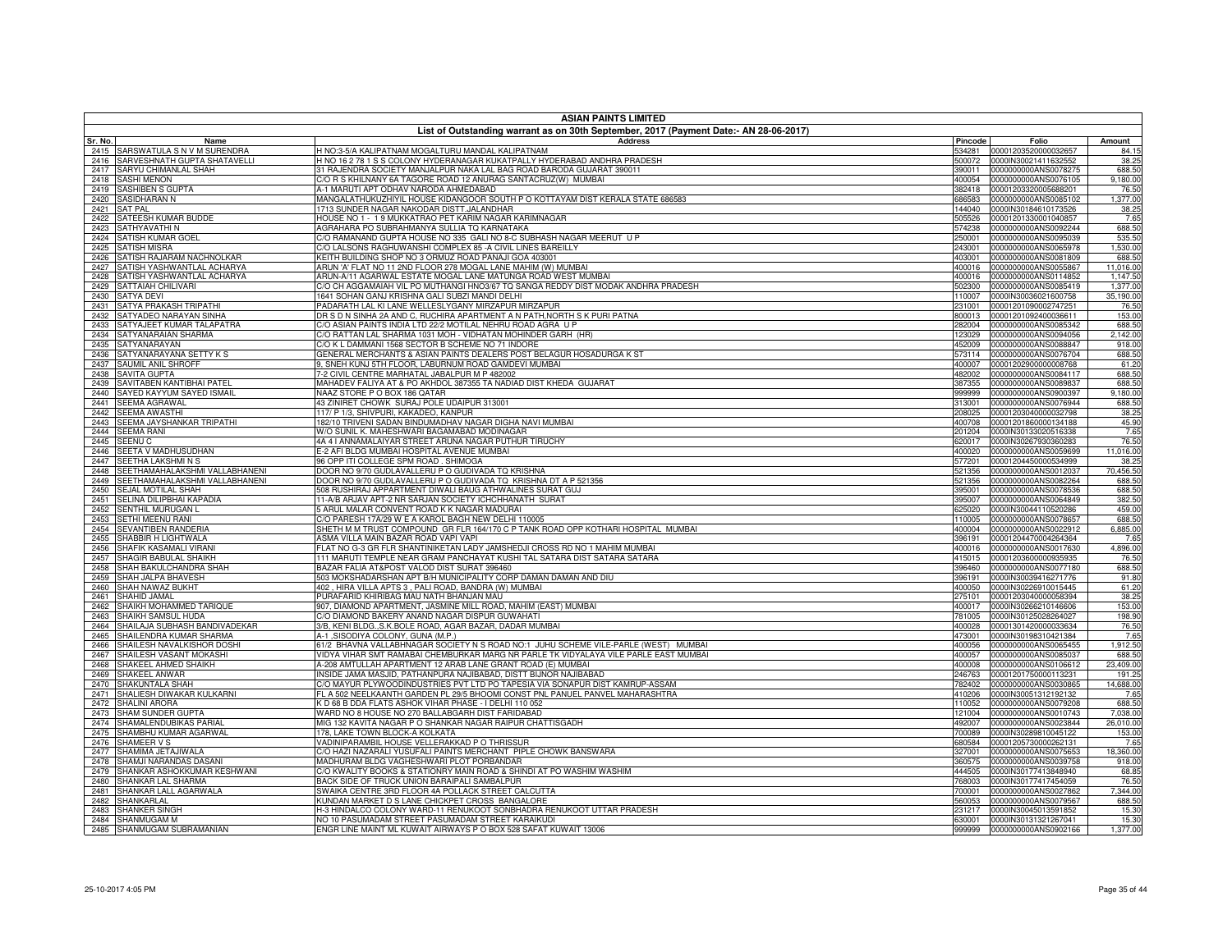| Pincode<br><b>Address</b><br>Amount<br>Sr. No.<br>Name<br>Folio<br>SARSWATULA S N V M SURENDRA<br>H NO:3-5/A KALIPATNAM MOGALTURU MANDAL KALIPATNAM<br>84.15<br>534281<br>00001203520000032657<br>2415<br>SARVESHNATH GUPTA SHATAVELLI<br>H NO 16 2 78 1 S S COLONY HYDERANAGAR KUKATPALLY HYDERABAD ANDHRA PRADESH<br>0000IN30021411632552<br>38.25<br>500072<br>2416<br>SARYU CHIMANLAL SHAH<br>31 RAJENDRA SOCIETY MANJALPUR NAKA LAL BAG ROAD BARODA GUJARAT 390011<br>0000000000ANS0078275<br>688.50<br>390011<br>2417<br><b>SASHI MENON</b><br>C/O R S KHILNANY 6A TAGORE ROAD 12 ANURAG SANTACRUZ(W) MUMBAI<br>0000000000ANS0076105<br>9,180.00<br>2418<br>400054<br><b>SASHIBEN S GUPTA</b><br>A-1 MARUTI APT ODHAV NARODA AHMEDABAD<br>382418 00001203320005688201<br>2419<br>76.50<br>SASIDHARAN N<br>MANGALATHUKUZHIYIL HOUSE KIDANGOOR SOUTH P O KOTTAYAM DIST KERALA STATE 686583<br>0000000000ANS0085102<br>1,377.00<br>686583<br>2420<br>1713 SUNDER NAGAR NAKODAR DISTT.JALANDHAR<br>44040 0000IN30184610173526<br>38.25<br>2421<br><b>SAT PAL</b><br>SATEESH KUMAR BUDDE<br>HOUSE NO 1 - 19 MUKKATRAO PET KARIM NAGAR KARIMNAGAR<br>00001201330001040857<br>7.65<br>2422<br>505526<br>AGRAHARA PO SUBRAHMANYA SULLIA TQ KARNATAKA<br>0000000000ANS0092244<br>688.50<br>SATHYAVATHI N<br>574238<br>2423<br><b>SATISH KUMAR GOEL</b><br>C/O RAMANAND GUPTA HOUSE NO 335 GALI NO 8-C SUBHASH NAGAR MEERUT U P<br>0000000000ANS0095039<br>535.50<br>2424<br>250001<br>C/O LALSONS RAGHUWANSHI COMPLEX 85 -A CIVIL LINES BAREILLY<br>0000000000ANS0065978<br>1,530.00<br>2425<br><b>SATISH MISRA</b><br>243001<br>SATISH RAJARAM NACHNOLKAR<br>KEITH BUILDING SHOP NO 3 ORMUZ ROAD PANAJI GOA 403001<br>688.50<br>0000000000ANS0081809<br>2426<br>403001<br>SATISH YASHWANTLAL ACHARYA<br>ARUN 'A' FLAT NO 11 2ND FLOOR 278 MOGAL LANE MAHIM (W) MUMBAI<br>11,016.00<br>2427<br>400016<br>0000000000ANS0055867<br>SATISH YASHWANTLAL ACHARYA<br>ARUN-A/11 AGARWAL ESTATE MOGAL LANE MATUNGA ROAD WEST MUMBAI<br>0000000000ANS0114852<br>1,147.50<br>2428<br>400016<br>SATTAIAH CHILIVARI<br>C/O CH AGGAMAIAH VIL PO MUTHANGI HNO3/67 TQ SANGA REDDY DIST MODAK ANDHRA PRADESH<br>1,377.00<br>0000000000ANS0085419<br>2429<br>502300<br>1641 SOHAN GANJ KRISHNA GALI SUBZI MANDI DELHI<br>0000IN30036021600758<br>35,190.00<br>2430<br><b>SATYA DEVI</b><br>110007<br>PADARATH LAL KI LANE WELLESLYGANY MIRZAPUR MIRZAPUR<br>76.50<br>2431<br>SATYA PRAKASH TRIPATHI<br>00001201090002747251<br>231001<br>SATYADEO NARAYAN SINHA<br>DR S D N SINHA 2A AND C, RUCHIRA APARTMENT A N PATH, NORTH S K PURI PATNA<br>153.00<br>800013<br>00001201092400036611<br>2432<br>SATYAJEET KUMAR TALAPATRA<br>C/O ASIAN PAINTS INDIA LTD 22/2 MOTILAL NEHRU ROAD AGRA U P<br>688.50<br>2433<br>282004<br>0000000000ANS0085342<br>2,142.00<br>SATYANARAIAN SHARMA<br>C/O RATTAN LAL SHARMA 1031 MOH - VIDHATAN MOHINDER GARH (HR)<br>0000000000ANS0094056<br>2434<br>123029<br>C/O K L DAMMANI 1568 SECTOR B SCHEME NO 71 INDORE<br>918.00<br>2435<br>SATYANARAYAN<br>452009<br>0000000000ANS0088847<br>SATYANARAYANA SETTY K S<br>GENERAL MERCHANTS & ASIAN PAINTS DEALERS POST BELAGUR HOSADURGA K ST<br>573114 0000000000ANS0076704<br>688.50<br>2436<br>SAUMIL ANIL SHROFF<br>9, SNEH KUNJ 5TH FLOOR, LABURNUM ROAD GAMDEVI MUMBAI<br>00001202900000008768<br>61.20<br>2437<br>400007<br>7-2 CIVIL CENTRE MARHATAL JABALPUR M P 482002<br>688.50<br>2438<br><b>SAVITA GUPTA</b><br>482002<br>0000000000ANS0084117<br>MAHADEV FALIYA AT & PO AKHDOL 387355 TA NADIAD DIST KHEDA GUJARAT<br>688.50<br>SAVITABEN KANTIBHAI PATEL<br>0000000000ANS0089837<br>2439<br>387355<br>SAYED KAYYUM SAYED ISMAIL<br>9,180.00<br>NAAZ STORE P O BOX 186 QATAR<br>0000000000ANS0900397<br>2440<br>999999<br>43 ZINIRET CHOWK SURAJ POLE UDAIPUR 313001<br>688.50<br>SEEMA AGRAWAL<br>313001<br>0000000000ANS0076944<br>2441<br>117/ P 1/3, SHIVPURI, KAKADEO, KANPUR<br>00001203040000032798<br>38.25<br>2442<br><b>SEEMA AWASTHI</b><br>208025<br>SEEMA JAYSHANKAR TRIPATHI<br>182/10 TRIVENI SADAN BINDUMADHAV NAGAR DIGHA NAVI MUMBAI<br>45.90<br>00001201860000134188<br>2443<br>400708<br>W/O SUNIL K. MAHESHWARI BAGAMABAD MODINAGAR<br>7.65<br>2444<br><b>SEEMA RANI</b><br>0000IN30133020516338<br>201204<br>4A 4 I ANNAMALAIYAR STREET ARUNA NAGAR PUTHUR TIRUCHY<br>76.50<br>2445<br><b>SEENU C</b><br>620017<br>0000IN30267930360283<br>E-2 AFI BLDG MUMBAI HOSPITAL AVENUE MUMBAI<br>SEETA V MADHUSUDHAN<br>11,016.00<br>2446<br>400020<br>0000000000ANS0059699<br>SEETHA LAKSHMINS<br>96 OPP ITI COLLEGE SPM ROAD. SHIMOGA<br>00001204450000534999<br>38.25<br>2447<br>577201<br>SEETHAMAHALAKSHMI VALLABHANENI<br>DOOR NO 9/70 GUDLAVALLERU P O GUDIVADA TO KRISHNA<br>70,456.50<br>0000000000ANS0012037<br>2448<br>521356<br>SEETHAMAHALAKSHMI VALLABHANENI<br>DOOR NO 9/70 GUDLAVALLERU P O GUDIVADA TQ KRISHNA DT A P 521356<br>521356<br>0000000000ANS0082264<br>688.50<br>2449<br>SEJAL MOTILAL SHAH<br>508 RUSHIRAJ APPARTMENT DIWALI BAUG ATHWALINES SURAT GUJ<br>395001<br>0000000000ANS0078536<br>688.50<br>2450<br>11-A/B ARJAV APT-2 NR SARJAN SOCIETY ICHCHHANATH SURAT<br>SELINA DILIPBHAI KAPADIA<br>382.50<br>395007<br>0000000000ANS0064849<br>2451<br>5 ARUL MALAR CONVENT ROAD K K NAGAR MADURAI<br>SENTHIL MURUGAN L<br>625020<br>0000IN30044110520286<br>459.00<br>2452<br><b>SETHI MEENU RANI</b><br>C/O PARESH 17A/29 W E A KAROL BAGH NEW DELHI 110005<br>0000000000ANS0078657<br>688.50<br>2453<br>110005<br>SEVANTIBEN RANDERIA<br>SHETH M M TRUST COMPOUND GR FLR 164/170 C P TANK ROAD OPP KOTHARI HOSPITAL MUMBAI<br>6,885.00<br>0000000000ANS0022912<br>2454<br>400004<br>SHABBIR H LIGHTWALA<br>ASMA VILLA MAIN BAZAR ROAD VAPI VAPI<br>00001204470004264364<br>7.65<br>2455<br>396191<br>FLAT NO G-3 GR FLR SHANTINIKETAN LADY JAMSHEDJI CROSS RD NO 1 MAHIM MUMBAI<br>SHAFIK KASAMALI VIRANI<br>0000000000ANS0017630<br>4,896.00<br>2456<br>400016<br>111 MARUTI TEMPLE NEAR GRAM PANCHAYAT KUSHI TAL SATARA DIST SATARA SATARA<br>SHAGIR BABULAL SHAIKH<br>00001203600000935935<br>76.50<br>2457<br>415015<br>SHAH BAKULCHANDRA SHAH<br>BAZAR FALIA AT&POST VALOD DIST SURAT 396460<br>396460 0000000000ANS0077180<br>688.50<br>2458<br>SHAH JALPA BHAVESH<br>503 MOKSHADARSHAN APT B/H MUNICIPALITY CORP DAMAN DAMAN AND DIU<br>91.80<br>396191<br>0000IN30039416271776<br>2459<br>402, HIRA VILLA APTS 3, PALI ROAD, BANDRA (W) MUMBAI<br>SHAH NAWAZ BUKHT<br>0000IN30226910015445<br>61.20<br>2460<br>400050<br>PURAFARID KHIRIBAG MAU NATH BHANJAN MAU<br>SHAHID JAMAL<br>00001203040000058394<br>38.25<br>2461<br>275101<br>907, DIAMOND APARTMENT, JASMINE MILL ROAD, MAHIM (EAST) MUMBAI<br>153.00<br>SHAIKH MOHAMMED TARIQUE<br>0000IN30266210146606<br>2462<br>400017<br>C/O DIAMOND BAKERY ANAND NAGAR DISPUR GUWAHATI<br>SHAIKH SAMSUL HUDA<br>0000IN30125028264027<br>198.90<br>2463<br>781005<br>3/B, KENI BLDG., S.K.BOLE ROAD, AGAR BAZAR, DADAR MUMBAI<br>SHAILAJA SUBHASH BANDIVADEKAR<br>400028 00001301420000033634<br>76.50<br>2464<br>7.65<br>SHAILENDRA KUMAR SHARMA<br>A-1, SISODIYA COLONY, GUNA (M.P.)<br>0000IN30198310421384<br>2465<br>473001<br>61/2 BHAVNA VALLABHNAGAR SOCIETY N S ROAD NO:1 JUHU SCHEME VILE-PARLE (WEST) MUMBAI<br>1,912.50<br>SHAILESH NAVALKISHOR DOSHI<br>400056 0000000000ANS0065455<br>2466<br>VIDYA VIHAR SMT RAMABAI CHEMBURKAR MARG NR PARLE TK VIDYALAYA VILE PARLE EAST MUMBAI<br>SHAILESH VASANT MOKASHI<br>688.50<br>400057<br>0000000000ANS0085037<br>2467<br>SHAKEEL AHMED SHAIKH<br>A-208 AMTULLAH APARTMENT 12 ARAB LANE GRANT ROAD (E) MUMBAI<br>23,409.00<br>400008<br>0000000000ANS0106612<br>2468<br>INSIDE JAMA MASJID, PATHANPURA NAJIBABAD, DISTT BIJNOR NAJIBABAD<br>SHAKEEL ANWAR<br>246763 00001201750000113231<br>191.25<br>2469<br>C/O MAYUR PLYWOODINDUSTRIES PVT LTD PO TAPESIA VIA SONAPUR DIST KAMRUP-ASSAM<br>14,688.00<br>SHAKUNTALA SHAH<br>0000000000ANS0030865<br>2470<br>782402<br>SHALIESH DIWAKAR KULKARNI<br>FL A 502 NEELKAANTH GARDEN PL 29/5 BHOOMI CONST PNL PANUEL PANVEL MAHARASHTRA<br>410206<br>0000IN30051312192132<br>2471<br>7.65<br>K D 68 B DDA FLATS ASHOK VIHAR PHASE - I DELHI 110 052<br>110052 0000000000ANS0079208<br>688.50<br>2472<br><b>SHALINI ARORA</b><br>WARD NO 8 HOUSE NO 270 BALLABGARH DIST FARIDABAD<br><b>SHAM SUNDER GUPTA</b><br>0000000000ANS0010743<br>7,038.00<br>2473<br>121004<br>MIG 132 KAVITA NAGAR P O SHANKAR NAGAR RAIPUR CHATTISGADH<br>SHAMALENDUBIKAS PARIAL<br>0000000000ANS0023844<br>26,010.00<br>2474<br>492007<br>SHAMBHU KUMAR AGARWAL<br>178, LAKE TOWN BLOCK-A KOLKATA<br>700089<br>0000IN30289810045122<br>153.00<br>2475<br>VADINIPARAMBIL HOUSE VELLERAKKAD P O THRISSUR<br>7.65<br>2476<br>SHAMEER V S<br>680584<br>00001205730000262131<br>SHAMIMA JETAJIWALA<br>C/O HAZI NAZARALI YUSUFALI PAINTS MERCHANT PIPLE CHOWK BANSWARA<br>18,360.00<br>2477<br>327001<br>0000000000ANS0075653<br>SHAMJI NARANDAS DASANI<br>MADHURAM BLDG VAGHESHWARI PLOT PORBANDAF<br>0000000000ANS0039758<br>918.00<br>2478<br>360575<br>C/O KWALITY BOOKS & STATIONRY MAIN ROAD & SHINDI AT PO WASHIM WASHIM<br>SHANKAR ASHOKKUMAR KESHWANI<br>0000IN30177413848940<br>68.85<br>2479<br>444505<br>SHANKAR LAL SHARMA<br>BACK SIDE OF TRUCK UNION BARAIPALI SAMBALPUR<br>76.50<br>2480<br>768003<br>0000IN30177417454059<br>SHANKAR LALL AGARWALA<br>SWAIKA CENTRE 3RD FLOOR 4A POLLACK STREET CALCUTTA<br>7,344.00<br>2481<br>700001<br>0000000000ANS0027862<br>KUNDAN MARKET D S LANE CHICKPET CROSS BANGALORE<br>2482<br>SHANKARLAL<br>560053<br>0000000000ANS0079567<br>688.50<br>H-3 HINDALCO COLONY WARD-11 RENUKOOT SONBHADRA RENUKOOT UTTAR PRADESH<br>2483<br>SHANKER SINGH<br>0000IN30045013591852<br>15.30<br>231217<br>NO 10 PASUMADAM STREET PASUMADAM STREET KARAIKUDI<br>15.30<br>SHANMUGAM M<br>0000IN30131321267041<br>2484<br>630001<br>1,377.00<br>2485 SHANMUGAM SUBRAMANIAN<br>ENGR LINE MAINT ML KUWAIT AIRWAYS P O BOX 528 SAFAT KUWAIT 13006<br>999999 0000000000ANS0902166 | <b>ASIAN PAINTS LIMITED</b> |                                                                                       |  |  |  |  |
|---------------------------------------------------------------------------------------------------------------------------------------------------------------------------------------------------------------------------------------------------------------------------------------------------------------------------------------------------------------------------------------------------------------------------------------------------------------------------------------------------------------------------------------------------------------------------------------------------------------------------------------------------------------------------------------------------------------------------------------------------------------------------------------------------------------------------------------------------------------------------------------------------------------------------------------------------------------------------------------------------------------------------------------------------------------------------------------------------------------------------------------------------------------------------------------------------------------------------------------------------------------------------------------------------------------------------------------------------------------------------------------------------------------------------------------------------------------------------------------------------------------------------------------------------------------------------------------------------------------------------------------------------------------------------------------------------------------------------------------------------------------------------------------------------------------------------------------------------------------------------------------------------------------------------------------------------------------------------------------------------------------------------------------------------------------------------------------------------------------------------------------------------------------------------------------------------------------------------------------------------------------------------------------------------------------------------------------------------------------------------------------------------------------------------------------------------------------------------------------------------------------------------------------------------------------------------------------------------------------------------------------------------------------------------------------------------------------------------------------------------------------------------------------------------------------------------------------------------------------------------------------------------------------------------------------------------------------------------------------------------------------------------------------------------------------------------------------------------------------------------------------------------------------------------------------------------------------------------------------------------------------------------------------------------------------------------------------------------------------------------------------------------------------------------------------------------------------------------------------------------------------------------------------------------------------------------------------------------------------------------------------------------------------------------------------------------------------------------------------------------------------------------------------------------------------------------------------------------------------------------------------------------------------------------------------------------------------------------------------------------------------------------------------------------------------------------------------------------------------------------------------------------------------------------------------------------------------------------------------------------------------------------------------------------------------------------------------------------------------------------------------------------------------------------------------------------------------------------------------------------------------------------------------------------------------------------------------------------------------------------------------------------------------------------------------------------------------------------------------------------------------------------------------------------------------------------------------------------------------------------------------------------------------------------------------------------------------------------------------------------------------------------------------------------------------------------------------------------------------------------------------------------------------------------------------------------------------------------------------------------------------------------------------------------------------------------------------------------------------------------------------------------------------------------------------------------------------------------------------------------------------------------------------------------------------------------------------------------------------------------------------------------------------------------------------------------------------------------------------------------------------------------------------------------------------------------------------------------------------------------------------------------------------------------------------------------------------------------------------------------------------------------------------------------------------------------------------------------------------------------------------------------------------------------------------------------------------------------------------------------------------------------------------------------------------------------------------------------------------------------------------------------------------------------------------------------------------------------------------------------------------------------------------------------------------------------------------------------------------------------------------------------------------------------------------------------------------------------------------------------------------------------------------------------------------------------------------------------------------------------------------------------------------------------------------------------------------------------------------------------------------------------------------------------------------------------------------------------------------------------------------------------------------------------------------------------------------------------------------------------------------------------------------------------------------------------------------------------------------------------------------------------------------------------------------------------------------------------------------------------------------------------------------------------------------------------------------------------------------------------------------------------------------------------------------------------------------------------------------------------------------------------------------------------------------------------------------------------------------------------------------------------------------------------------------------------------------------------------------------------------------------------------------------------------------------------------------------------------------------------------------------------------------------------------------------------------------------------------------------------------------------------------------------------------------------------------------------------------------------------------------------------------------------------------------------------------------------------------------------------------------------------------------------------------------------------------------------------------------------------------------------------------------------------------------------------------------------------------------------------------------------------------------------------------------------------------------------------------------------------------------------------------------------------------------------------------------------------------------------------------------------------------------------------------------------------------------------------------------------------------------------------------------------------------------------------------------------------------------------------------------------------------------------------------------------------------------------------------------------------------------------------------------------------------------------------------------------------------------------------------------------------------------------------------------------------------------------------------------------------------------------------------------------------------------------------------------------------------------------------------------------------------------------------------------------------------------------------------------------------------------------------------------------------------------------------------------------------------------------------------------------------------------------------------------------------|-----------------------------|---------------------------------------------------------------------------------------|--|--|--|--|
|                                                                                                                                                                                                                                                                                                                                                                                                                                                                                                                                                                                                                                                                                                                                                                                                                                                                                                                                                                                                                                                                                                                                                                                                                                                                                                                                                                                                                                                                                                                                                                                                                                                                                                                                                                                                                                                                                                                                                                                                                                                                                                                                                                                                                                                                                                                                                                                                                                                                                                                                                                                                                                                                                                                                                                                                                                                                                                                                                                                                                                                                                                                                                                                                                                                                                                                                                                                                                                                                                                                                                                                                                                                                                                                                                                                                                                                                                                                                                                                                                                                                                                                                                                                                                                                                                                                                                                                                                                                                                                                                                                                                                                                                                                                                                                                                                                                                                                                                                                                                                                                                                                                                                                                                                                                                                                                                                                                                                                                                                                                                                                                                                                                                                                                                                                                                                                                                                                                                                                                                                                                                                                                                                                                                                                                                                                                                                                                                                                                                                                                                                                                                                                                                                                                                                                                                                                                                                                                                                                                                                                                                                                                                                                                                                                                                                                                                                                                                                                                                                                                                                                                                                                                                                                                                                                                                                                                                                                                                                                                                                                                                                                                                                                                                                                                                                                                                                                                                                                                                                                                                                                                                                                                                                                                                                                                                                                                                                                                                                                                                                                                                                                                                                                                                                                                                                                                                                                                                                                                                                                                                                                                                                                                                                                                                                                                                                                                                                                                                                                                                                                                                           |                             | List of Outstanding warrant as on 30th September, 2017 (Payment Date:- AN 28-06-2017) |  |  |  |  |
|                                                                                                                                                                                                                                                                                                                                                                                                                                                                                                                                                                                                                                                                                                                                                                                                                                                                                                                                                                                                                                                                                                                                                                                                                                                                                                                                                                                                                                                                                                                                                                                                                                                                                                                                                                                                                                                                                                                                                                                                                                                                                                                                                                                                                                                                                                                                                                                                                                                                                                                                                                                                                                                                                                                                                                                                                                                                                                                                                                                                                                                                                                                                                                                                                                                                                                                                                                                                                                                                                                                                                                                                                                                                                                                                                                                                                                                                                                                                                                                                                                                                                                                                                                                                                                                                                                                                                                                                                                                                                                                                                                                                                                                                                                                                                                                                                                                                                                                                                                                                                                                                                                                                                                                                                                                                                                                                                                                                                                                                                                                                                                                                                                                                                                                                                                                                                                                                                                                                                                                                                                                                                                                                                                                                                                                                                                                                                                                                                                                                                                                                                                                                                                                                                                                                                                                                                                                                                                                                                                                                                                                                                                                                                                                                                                                                                                                                                                                                                                                                                                                                                                                                                                                                                                                                                                                                                                                                                                                                                                                                                                                                                                                                                                                                                                                                                                                                                                                                                                                                                                                                                                                                                                                                                                                                                                                                                                                                                                                                                                                                                                                                                                                                                                                                                                                                                                                                                                                                                                                                                                                                                                                                                                                                                                                                                                                                                                                                                                                                                                                                                                                                           |                             |                                                                                       |  |  |  |  |
|                                                                                                                                                                                                                                                                                                                                                                                                                                                                                                                                                                                                                                                                                                                                                                                                                                                                                                                                                                                                                                                                                                                                                                                                                                                                                                                                                                                                                                                                                                                                                                                                                                                                                                                                                                                                                                                                                                                                                                                                                                                                                                                                                                                                                                                                                                                                                                                                                                                                                                                                                                                                                                                                                                                                                                                                                                                                                                                                                                                                                                                                                                                                                                                                                                                                                                                                                                                                                                                                                                                                                                                                                                                                                                                                                                                                                                                                                                                                                                                                                                                                                                                                                                                                                                                                                                                                                                                                                                                                                                                                                                                                                                                                                                                                                                                                                                                                                                                                                                                                                                                                                                                                                                                                                                                                                                                                                                                                                                                                                                                                                                                                                                                                                                                                                                                                                                                                                                                                                                                                                                                                                                                                                                                                                                                                                                                                                                                                                                                                                                                                                                                                                                                                                                                                                                                                                                                                                                                                                                                                                                                                                                                                                                                                                                                                                                                                                                                                                                                                                                                                                                                                                                                                                                                                                                                                                                                                                                                                                                                                                                                                                                                                                                                                                                                                                                                                                                                                                                                                                                                                                                                                                                                                                                                                                                                                                                                                                                                                                                                                                                                                                                                                                                                                                                                                                                                                                                                                                                                                                                                                                                                                                                                                                                                                                                                                                                                                                                                                                                                                                                                                           |                             |                                                                                       |  |  |  |  |
|                                                                                                                                                                                                                                                                                                                                                                                                                                                                                                                                                                                                                                                                                                                                                                                                                                                                                                                                                                                                                                                                                                                                                                                                                                                                                                                                                                                                                                                                                                                                                                                                                                                                                                                                                                                                                                                                                                                                                                                                                                                                                                                                                                                                                                                                                                                                                                                                                                                                                                                                                                                                                                                                                                                                                                                                                                                                                                                                                                                                                                                                                                                                                                                                                                                                                                                                                                                                                                                                                                                                                                                                                                                                                                                                                                                                                                                                                                                                                                                                                                                                                                                                                                                                                                                                                                                                                                                                                                                                                                                                                                                                                                                                                                                                                                                                                                                                                                                                                                                                                                                                                                                                                                                                                                                                                                                                                                                                                                                                                                                                                                                                                                                                                                                                                                                                                                                                                                                                                                                                                                                                                                                                                                                                                                                                                                                                                                                                                                                                                                                                                                                                                                                                                                                                                                                                                                                                                                                                                                                                                                                                                                                                                                                                                                                                                                                                                                                                                                                                                                                                                                                                                                                                                                                                                                                                                                                                                                                                                                                                                                                                                                                                                                                                                                                                                                                                                                                                                                                                                                                                                                                                                                                                                                                                                                                                                                                                                                                                                                                                                                                                                                                                                                                                                                                                                                                                                                                                                                                                                                                                                                                                                                                                                                                                                                                                                                                                                                                                                                                                                                                                           |                             |                                                                                       |  |  |  |  |
|                                                                                                                                                                                                                                                                                                                                                                                                                                                                                                                                                                                                                                                                                                                                                                                                                                                                                                                                                                                                                                                                                                                                                                                                                                                                                                                                                                                                                                                                                                                                                                                                                                                                                                                                                                                                                                                                                                                                                                                                                                                                                                                                                                                                                                                                                                                                                                                                                                                                                                                                                                                                                                                                                                                                                                                                                                                                                                                                                                                                                                                                                                                                                                                                                                                                                                                                                                                                                                                                                                                                                                                                                                                                                                                                                                                                                                                                                                                                                                                                                                                                                                                                                                                                                                                                                                                                                                                                                                                                                                                                                                                                                                                                                                                                                                                                                                                                                                                                                                                                                                                                                                                                                                                                                                                                                                                                                                                                                                                                                                                                                                                                                                                                                                                                                                                                                                                                                                                                                                                                                                                                                                                                                                                                                                                                                                                                                                                                                                                                                                                                                                                                                                                                                                                                                                                                                                                                                                                                                                                                                                                                                                                                                                                                                                                                                                                                                                                                                                                                                                                                                                                                                                                                                                                                                                                                                                                                                                                                                                                                                                                                                                                                                                                                                                                                                                                                                                                                                                                                                                                                                                                                                                                                                                                                                                                                                                                                                                                                                                                                                                                                                                                                                                                                                                                                                                                                                                                                                                                                                                                                                                                                                                                                                                                                                                                                                                                                                                                                                                                                                                                                           |                             |                                                                                       |  |  |  |  |
|                                                                                                                                                                                                                                                                                                                                                                                                                                                                                                                                                                                                                                                                                                                                                                                                                                                                                                                                                                                                                                                                                                                                                                                                                                                                                                                                                                                                                                                                                                                                                                                                                                                                                                                                                                                                                                                                                                                                                                                                                                                                                                                                                                                                                                                                                                                                                                                                                                                                                                                                                                                                                                                                                                                                                                                                                                                                                                                                                                                                                                                                                                                                                                                                                                                                                                                                                                                                                                                                                                                                                                                                                                                                                                                                                                                                                                                                                                                                                                                                                                                                                                                                                                                                                                                                                                                                                                                                                                                                                                                                                                                                                                                                                                                                                                                                                                                                                                                                                                                                                                                                                                                                                                                                                                                                                                                                                                                                                                                                                                                                                                                                                                                                                                                                                                                                                                                                                                                                                                                                                                                                                                                                                                                                                                                                                                                                                                                                                                                                                                                                                                                                                                                                                                                                                                                                                                                                                                                                                                                                                                                                                                                                                                                                                                                                                                                                                                                                                                                                                                                                                                                                                                                                                                                                                                                                                                                                                                                                                                                                                                                                                                                                                                                                                                                                                                                                                                                                                                                                                                                                                                                                                                                                                                                                                                                                                                                                                                                                                                                                                                                                                                                                                                                                                                                                                                                                                                                                                                                                                                                                                                                                                                                                                                                                                                                                                                                                                                                                                                                                                                                                           |                             |                                                                                       |  |  |  |  |
|                                                                                                                                                                                                                                                                                                                                                                                                                                                                                                                                                                                                                                                                                                                                                                                                                                                                                                                                                                                                                                                                                                                                                                                                                                                                                                                                                                                                                                                                                                                                                                                                                                                                                                                                                                                                                                                                                                                                                                                                                                                                                                                                                                                                                                                                                                                                                                                                                                                                                                                                                                                                                                                                                                                                                                                                                                                                                                                                                                                                                                                                                                                                                                                                                                                                                                                                                                                                                                                                                                                                                                                                                                                                                                                                                                                                                                                                                                                                                                                                                                                                                                                                                                                                                                                                                                                                                                                                                                                                                                                                                                                                                                                                                                                                                                                                                                                                                                                                                                                                                                                                                                                                                                                                                                                                                                                                                                                                                                                                                                                                                                                                                                                                                                                                                                                                                                                                                                                                                                                                                                                                                                                                                                                                                                                                                                                                                                                                                                                                                                                                                                                                                                                                                                                                                                                                                                                                                                                                                                                                                                                                                                                                                                                                                                                                                                                                                                                                                                                                                                                                                                                                                                                                                                                                                                                                                                                                                                                                                                                                                                                                                                                                                                                                                                                                                                                                                                                                                                                                                                                                                                                                                                                                                                                                                                                                                                                                                                                                                                                                                                                                                                                                                                                                                                                                                                                                                                                                                                                                                                                                                                                                                                                                                                                                                                                                                                                                                                                                                                                                                                                                           |                             |                                                                                       |  |  |  |  |
|                                                                                                                                                                                                                                                                                                                                                                                                                                                                                                                                                                                                                                                                                                                                                                                                                                                                                                                                                                                                                                                                                                                                                                                                                                                                                                                                                                                                                                                                                                                                                                                                                                                                                                                                                                                                                                                                                                                                                                                                                                                                                                                                                                                                                                                                                                                                                                                                                                                                                                                                                                                                                                                                                                                                                                                                                                                                                                                                                                                                                                                                                                                                                                                                                                                                                                                                                                                                                                                                                                                                                                                                                                                                                                                                                                                                                                                                                                                                                                                                                                                                                                                                                                                                                                                                                                                                                                                                                                                                                                                                                                                                                                                                                                                                                                                                                                                                                                                                                                                                                                                                                                                                                                                                                                                                                                                                                                                                                                                                                                                                                                                                                                                                                                                                                                                                                                                                                                                                                                                                                                                                                                                                                                                                                                                                                                                                                                                                                                                                                                                                                                                                                                                                                                                                                                                                                                                                                                                                                                                                                                                                                                                                                                                                                                                                                                                                                                                                                                                                                                                                                                                                                                                                                                                                                                                                                                                                                                                                                                                                                                                                                                                                                                                                                                                                                                                                                                                                                                                                                                                                                                                                                                                                                                                                                                                                                                                                                                                                                                                                                                                                                                                                                                                                                                                                                                                                                                                                                                                                                                                                                                                                                                                                                                                                                                                                                                                                                                                                                                                                                                                                           |                             |                                                                                       |  |  |  |  |
|                                                                                                                                                                                                                                                                                                                                                                                                                                                                                                                                                                                                                                                                                                                                                                                                                                                                                                                                                                                                                                                                                                                                                                                                                                                                                                                                                                                                                                                                                                                                                                                                                                                                                                                                                                                                                                                                                                                                                                                                                                                                                                                                                                                                                                                                                                                                                                                                                                                                                                                                                                                                                                                                                                                                                                                                                                                                                                                                                                                                                                                                                                                                                                                                                                                                                                                                                                                                                                                                                                                                                                                                                                                                                                                                                                                                                                                                                                                                                                                                                                                                                                                                                                                                                                                                                                                                                                                                                                                                                                                                                                                                                                                                                                                                                                                                                                                                                                                                                                                                                                                                                                                                                                                                                                                                                                                                                                                                                                                                                                                                                                                                                                                                                                                                                                                                                                                                                                                                                                                                                                                                                                                                                                                                                                                                                                                                                                                                                                                                                                                                                                                                                                                                                                                                                                                                                                                                                                                                                                                                                                                                                                                                                                                                                                                                                                                                                                                                                                                                                                                                                                                                                                                                                                                                                                                                                                                                                                                                                                                                                                                                                                                                                                                                                                                                                                                                                                                                                                                                                                                                                                                                                                                                                                                                                                                                                                                                                                                                                                                                                                                                                                                                                                                                                                                                                                                                                                                                                                                                                                                                                                                                                                                                                                                                                                                                                                                                                                                                                                                                                                                                           |                             |                                                                                       |  |  |  |  |
|                                                                                                                                                                                                                                                                                                                                                                                                                                                                                                                                                                                                                                                                                                                                                                                                                                                                                                                                                                                                                                                                                                                                                                                                                                                                                                                                                                                                                                                                                                                                                                                                                                                                                                                                                                                                                                                                                                                                                                                                                                                                                                                                                                                                                                                                                                                                                                                                                                                                                                                                                                                                                                                                                                                                                                                                                                                                                                                                                                                                                                                                                                                                                                                                                                                                                                                                                                                                                                                                                                                                                                                                                                                                                                                                                                                                                                                                                                                                                                                                                                                                                                                                                                                                                                                                                                                                                                                                                                                                                                                                                                                                                                                                                                                                                                                                                                                                                                                                                                                                                                                                                                                                                                                                                                                                                                                                                                                                                                                                                                                                                                                                                                                                                                                                                                                                                                                                                                                                                                                                                                                                                                                                                                                                                                                                                                                                                                                                                                                                                                                                                                                                                                                                                                                                                                                                                                                                                                                                                                                                                                                                                                                                                                                                                                                                                                                                                                                                                                                                                                                                                                                                                                                                                                                                                                                                                                                                                                                                                                                                                                                                                                                                                                                                                                                                                                                                                                                                                                                                                                                                                                                                                                                                                                                                                                                                                                                                                                                                                                                                                                                                                                                                                                                                                                                                                                                                                                                                                                                                                                                                                                                                                                                                                                                                                                                                                                                                                                                                                                                                                                                                           |                             |                                                                                       |  |  |  |  |
|                                                                                                                                                                                                                                                                                                                                                                                                                                                                                                                                                                                                                                                                                                                                                                                                                                                                                                                                                                                                                                                                                                                                                                                                                                                                                                                                                                                                                                                                                                                                                                                                                                                                                                                                                                                                                                                                                                                                                                                                                                                                                                                                                                                                                                                                                                                                                                                                                                                                                                                                                                                                                                                                                                                                                                                                                                                                                                                                                                                                                                                                                                                                                                                                                                                                                                                                                                                                                                                                                                                                                                                                                                                                                                                                                                                                                                                                                                                                                                                                                                                                                                                                                                                                                                                                                                                                                                                                                                                                                                                                                                                                                                                                                                                                                                                                                                                                                                                                                                                                                                                                                                                                                                                                                                                                                                                                                                                                                                                                                                                                                                                                                                                                                                                                                                                                                                                                                                                                                                                                                                                                                                                                                                                                                                                                                                                                                                                                                                                                                                                                                                                                                                                                                                                                                                                                                                                                                                                                                                                                                                                                                                                                                                                                                                                                                                                                                                                                                                                                                                                                                                                                                                                                                                                                                                                                                                                                                                                                                                                                                                                                                                                                                                                                                                                                                                                                                                                                                                                                                                                                                                                                                                                                                                                                                                                                                                                                                                                                                                                                                                                                                                                                                                                                                                                                                                                                                                                                                                                                                                                                                                                                                                                                                                                                                                                                                                                                                                                                                                                                                                                                           |                             |                                                                                       |  |  |  |  |
|                                                                                                                                                                                                                                                                                                                                                                                                                                                                                                                                                                                                                                                                                                                                                                                                                                                                                                                                                                                                                                                                                                                                                                                                                                                                                                                                                                                                                                                                                                                                                                                                                                                                                                                                                                                                                                                                                                                                                                                                                                                                                                                                                                                                                                                                                                                                                                                                                                                                                                                                                                                                                                                                                                                                                                                                                                                                                                                                                                                                                                                                                                                                                                                                                                                                                                                                                                                                                                                                                                                                                                                                                                                                                                                                                                                                                                                                                                                                                                                                                                                                                                                                                                                                                                                                                                                                                                                                                                                                                                                                                                                                                                                                                                                                                                                                                                                                                                                                                                                                                                                                                                                                                                                                                                                                                                                                                                                                                                                                                                                                                                                                                                                                                                                                                                                                                                                                                                                                                                                                                                                                                                                                                                                                                                                                                                                                                                                                                                                                                                                                                                                                                                                                                                                                                                                                                                                                                                                                                                                                                                                                                                                                                                                                                                                                                                                                                                                                                                                                                                                                                                                                                                                                                                                                                                                                                                                                                                                                                                                                                                                                                                                                                                                                                                                                                                                                                                                                                                                                                                                                                                                                                                                                                                                                                                                                                                                                                                                                                                                                                                                                                                                                                                                                                                                                                                                                                                                                                                                                                                                                                                                                                                                                                                                                                                                                                                                                                                                                                                                                                                                                           |                             |                                                                                       |  |  |  |  |
|                                                                                                                                                                                                                                                                                                                                                                                                                                                                                                                                                                                                                                                                                                                                                                                                                                                                                                                                                                                                                                                                                                                                                                                                                                                                                                                                                                                                                                                                                                                                                                                                                                                                                                                                                                                                                                                                                                                                                                                                                                                                                                                                                                                                                                                                                                                                                                                                                                                                                                                                                                                                                                                                                                                                                                                                                                                                                                                                                                                                                                                                                                                                                                                                                                                                                                                                                                                                                                                                                                                                                                                                                                                                                                                                                                                                                                                                                                                                                                                                                                                                                                                                                                                                                                                                                                                                                                                                                                                                                                                                                                                                                                                                                                                                                                                                                                                                                                                                                                                                                                                                                                                                                                                                                                                                                                                                                                                                                                                                                                                                                                                                                                                                                                                                                                                                                                                                                                                                                                                                                                                                                                                                                                                                                                                                                                                                                                                                                                                                                                                                                                                                                                                                                                                                                                                                                                                                                                                                                                                                                                                                                                                                                                                                                                                                                                                                                                                                                                                                                                                                                                                                                                                                                                                                                                                                                                                                                                                                                                                                                                                                                                                                                                                                                                                                                                                                                                                                                                                                                                                                                                                                                                                                                                                                                                                                                                                                                                                                                                                                                                                                                                                                                                                                                                                                                                                                                                                                                                                                                                                                                                                                                                                                                                                                                                                                                                                                                                                                                                                                                                                                           |                             |                                                                                       |  |  |  |  |
|                                                                                                                                                                                                                                                                                                                                                                                                                                                                                                                                                                                                                                                                                                                                                                                                                                                                                                                                                                                                                                                                                                                                                                                                                                                                                                                                                                                                                                                                                                                                                                                                                                                                                                                                                                                                                                                                                                                                                                                                                                                                                                                                                                                                                                                                                                                                                                                                                                                                                                                                                                                                                                                                                                                                                                                                                                                                                                                                                                                                                                                                                                                                                                                                                                                                                                                                                                                                                                                                                                                                                                                                                                                                                                                                                                                                                                                                                                                                                                                                                                                                                                                                                                                                                                                                                                                                                                                                                                                                                                                                                                                                                                                                                                                                                                                                                                                                                                                                                                                                                                                                                                                                                                                                                                                                                                                                                                                                                                                                                                                                                                                                                                                                                                                                                                                                                                                                                                                                                                                                                                                                                                                                                                                                                                                                                                                                                                                                                                                                                                                                                                                                                                                                                                                                                                                                                                                                                                                                                                                                                                                                                                                                                                                                                                                                                                                                                                                                                                                                                                                                                                                                                                                                                                                                                                                                                                                                                                                                                                                                                                                                                                                                                                                                                                                                                                                                                                                                                                                                                                                                                                                                                                                                                                                                                                                                                                                                                                                                                                                                                                                                                                                                                                                                                                                                                                                                                                                                                                                                                                                                                                                                                                                                                                                                                                                                                                                                                                                                                                                                                                                                           |                             |                                                                                       |  |  |  |  |
|                                                                                                                                                                                                                                                                                                                                                                                                                                                                                                                                                                                                                                                                                                                                                                                                                                                                                                                                                                                                                                                                                                                                                                                                                                                                                                                                                                                                                                                                                                                                                                                                                                                                                                                                                                                                                                                                                                                                                                                                                                                                                                                                                                                                                                                                                                                                                                                                                                                                                                                                                                                                                                                                                                                                                                                                                                                                                                                                                                                                                                                                                                                                                                                                                                                                                                                                                                                                                                                                                                                                                                                                                                                                                                                                                                                                                                                                                                                                                                                                                                                                                                                                                                                                                                                                                                                                                                                                                                                                                                                                                                                                                                                                                                                                                                                                                                                                                                                                                                                                                                                                                                                                                                                                                                                                                                                                                                                                                                                                                                                                                                                                                                                                                                                                                                                                                                                                                                                                                                                                                                                                                                                                                                                                                                                                                                                                                                                                                                                                                                                                                                                                                                                                                                                                                                                                                                                                                                                                                                                                                                                                                                                                                                                                                                                                                                                                                                                                                                                                                                                                                                                                                                                                                                                                                                                                                                                                                                                                                                                                                                                                                                                                                                                                                                                                                                                                                                                                                                                                                                                                                                                                                                                                                                                                                                                                                                                                                                                                                                                                                                                                                                                                                                                                                                                                                                                                                                                                                                                                                                                                                                                                                                                                                                                                                                                                                                                                                                                                                                                                                                                                           |                             |                                                                                       |  |  |  |  |
|                                                                                                                                                                                                                                                                                                                                                                                                                                                                                                                                                                                                                                                                                                                                                                                                                                                                                                                                                                                                                                                                                                                                                                                                                                                                                                                                                                                                                                                                                                                                                                                                                                                                                                                                                                                                                                                                                                                                                                                                                                                                                                                                                                                                                                                                                                                                                                                                                                                                                                                                                                                                                                                                                                                                                                                                                                                                                                                                                                                                                                                                                                                                                                                                                                                                                                                                                                                                                                                                                                                                                                                                                                                                                                                                                                                                                                                                                                                                                                                                                                                                                                                                                                                                                                                                                                                                                                                                                                                                                                                                                                                                                                                                                                                                                                                                                                                                                                                                                                                                                                                                                                                                                                                                                                                                                                                                                                                                                                                                                                                                                                                                                                                                                                                                                                                                                                                                                                                                                                                                                                                                                                                                                                                                                                                                                                                                                                                                                                                                                                                                                                                                                                                                                                                                                                                                                                                                                                                                                                                                                                                                                                                                                                                                                                                                                                                                                                                                                                                                                                                                                                                                                                                                                                                                                                                                                                                                                                                                                                                                                                                                                                                                                                                                                                                                                                                                                                                                                                                                                                                                                                                                                                                                                                                                                                                                                                                                                                                                                                                                                                                                                                                                                                                                                                                                                                                                                                                                                                                                                                                                                                                                                                                                                                                                                                                                                                                                                                                                                                                                                                                                           |                             |                                                                                       |  |  |  |  |
|                                                                                                                                                                                                                                                                                                                                                                                                                                                                                                                                                                                                                                                                                                                                                                                                                                                                                                                                                                                                                                                                                                                                                                                                                                                                                                                                                                                                                                                                                                                                                                                                                                                                                                                                                                                                                                                                                                                                                                                                                                                                                                                                                                                                                                                                                                                                                                                                                                                                                                                                                                                                                                                                                                                                                                                                                                                                                                                                                                                                                                                                                                                                                                                                                                                                                                                                                                                                                                                                                                                                                                                                                                                                                                                                                                                                                                                                                                                                                                                                                                                                                                                                                                                                                                                                                                                                                                                                                                                                                                                                                                                                                                                                                                                                                                                                                                                                                                                                                                                                                                                                                                                                                                                                                                                                                                                                                                                                                                                                                                                                                                                                                                                                                                                                                                                                                                                                                                                                                                                                                                                                                                                                                                                                                                                                                                                                                                                                                                                                                                                                                                                                                                                                                                                                                                                                                                                                                                                                                                                                                                                                                                                                                                                                                                                                                                                                                                                                                                                                                                                                                                                                                                                                                                                                                                                                                                                                                                                                                                                                                                                                                                                                                                                                                                                                                                                                                                                                                                                                                                                                                                                                                                                                                                                                                                                                                                                                                                                                                                                                                                                                                                                                                                                                                                                                                                                                                                                                                                                                                                                                                                                                                                                                                                                                                                                                                                                                                                                                                                                                                                                                           |                             |                                                                                       |  |  |  |  |
|                                                                                                                                                                                                                                                                                                                                                                                                                                                                                                                                                                                                                                                                                                                                                                                                                                                                                                                                                                                                                                                                                                                                                                                                                                                                                                                                                                                                                                                                                                                                                                                                                                                                                                                                                                                                                                                                                                                                                                                                                                                                                                                                                                                                                                                                                                                                                                                                                                                                                                                                                                                                                                                                                                                                                                                                                                                                                                                                                                                                                                                                                                                                                                                                                                                                                                                                                                                                                                                                                                                                                                                                                                                                                                                                                                                                                                                                                                                                                                                                                                                                                                                                                                                                                                                                                                                                                                                                                                                                                                                                                                                                                                                                                                                                                                                                                                                                                                                                                                                                                                                                                                                                                                                                                                                                                                                                                                                                                                                                                                                                                                                                                                                                                                                                                                                                                                                                                                                                                                                                                                                                                                                                                                                                                                                                                                                                                                                                                                                                                                                                                                                                                                                                                                                                                                                                                                                                                                                                                                                                                                                                                                                                                                                                                                                                                                                                                                                                                                                                                                                                                                                                                                                                                                                                                                                                                                                                                                                                                                                                                                                                                                                                                                                                                                                                                                                                                                                                                                                                                                                                                                                                                                                                                                                                                                                                                                                                                                                                                                                                                                                                                                                                                                                                                                                                                                                                                                                                                                                                                                                                                                                                                                                                                                                                                                                                                                                                                                                                                                                                                                                                           |                             |                                                                                       |  |  |  |  |
|                                                                                                                                                                                                                                                                                                                                                                                                                                                                                                                                                                                                                                                                                                                                                                                                                                                                                                                                                                                                                                                                                                                                                                                                                                                                                                                                                                                                                                                                                                                                                                                                                                                                                                                                                                                                                                                                                                                                                                                                                                                                                                                                                                                                                                                                                                                                                                                                                                                                                                                                                                                                                                                                                                                                                                                                                                                                                                                                                                                                                                                                                                                                                                                                                                                                                                                                                                                                                                                                                                                                                                                                                                                                                                                                                                                                                                                                                                                                                                                                                                                                                                                                                                                                                                                                                                                                                                                                                                                                                                                                                                                                                                                                                                                                                                                                                                                                                                                                                                                                                                                                                                                                                                                                                                                                                                                                                                                                                                                                                                                                                                                                                                                                                                                                                                                                                                                                                                                                                                                                                                                                                                                                                                                                                                                                                                                                                                                                                                                                                                                                                                                                                                                                                                                                                                                                                                                                                                                                                                                                                                                                                                                                                                                                                                                                                                                                                                                                                                                                                                                                                                                                                                                                                                                                                                                                                                                                                                                                                                                                                                                                                                                                                                                                                                                                                                                                                                                                                                                                                                                                                                                                                                                                                                                                                                                                                                                                                                                                                                                                                                                                                                                                                                                                                                                                                                                                                                                                                                                                                                                                                                                                                                                                                                                                                                                                                                                                                                                                                                                                                                                                           |                             |                                                                                       |  |  |  |  |
|                                                                                                                                                                                                                                                                                                                                                                                                                                                                                                                                                                                                                                                                                                                                                                                                                                                                                                                                                                                                                                                                                                                                                                                                                                                                                                                                                                                                                                                                                                                                                                                                                                                                                                                                                                                                                                                                                                                                                                                                                                                                                                                                                                                                                                                                                                                                                                                                                                                                                                                                                                                                                                                                                                                                                                                                                                                                                                                                                                                                                                                                                                                                                                                                                                                                                                                                                                                                                                                                                                                                                                                                                                                                                                                                                                                                                                                                                                                                                                                                                                                                                                                                                                                                                                                                                                                                                                                                                                                                                                                                                                                                                                                                                                                                                                                                                                                                                                                                                                                                                                                                                                                                                                                                                                                                                                                                                                                                                                                                                                                                                                                                                                                                                                                                                                                                                                                                                                                                                                                                                                                                                                                                                                                                                                                                                                                                                                                                                                                                                                                                                                                                                                                                                                                                                                                                                                                                                                                                                                                                                                                                                                                                                                                                                                                                                                                                                                                                                                                                                                                                                                                                                                                                                                                                                                                                                                                                                                                                                                                                                                                                                                                                                                                                                                                                                                                                                                                                                                                                                                                                                                                                                                                                                                                                                                                                                                                                                                                                                                                                                                                                                                                                                                                                                                                                                                                                                                                                                                                                                                                                                                                                                                                                                                                                                                                                                                                                                                                                                                                                                                                                           |                             |                                                                                       |  |  |  |  |
|                                                                                                                                                                                                                                                                                                                                                                                                                                                                                                                                                                                                                                                                                                                                                                                                                                                                                                                                                                                                                                                                                                                                                                                                                                                                                                                                                                                                                                                                                                                                                                                                                                                                                                                                                                                                                                                                                                                                                                                                                                                                                                                                                                                                                                                                                                                                                                                                                                                                                                                                                                                                                                                                                                                                                                                                                                                                                                                                                                                                                                                                                                                                                                                                                                                                                                                                                                                                                                                                                                                                                                                                                                                                                                                                                                                                                                                                                                                                                                                                                                                                                                                                                                                                                                                                                                                                                                                                                                                                                                                                                                                                                                                                                                                                                                                                                                                                                                                                                                                                                                                                                                                                                                                                                                                                                                                                                                                                                                                                                                                                                                                                                                                                                                                                                                                                                                                                                                                                                                                                                                                                                                                                                                                                                                                                                                                                                                                                                                                                                                                                                                                                                                                                                                                                                                                                                                                                                                                                                                                                                                                                                                                                                                                                                                                                                                                                                                                                                                                                                                                                                                                                                                                                                                                                                                                                                                                                                                                                                                                                                                                                                                                                                                                                                                                                                                                                                                                                                                                                                                                                                                                                                                                                                                                                                                                                                                                                                                                                                                                                                                                                                                                                                                                                                                                                                                                                                                                                                                                                                                                                                                                                                                                                                                                                                                                                                                                                                                                                                                                                                                                                           |                             |                                                                                       |  |  |  |  |
|                                                                                                                                                                                                                                                                                                                                                                                                                                                                                                                                                                                                                                                                                                                                                                                                                                                                                                                                                                                                                                                                                                                                                                                                                                                                                                                                                                                                                                                                                                                                                                                                                                                                                                                                                                                                                                                                                                                                                                                                                                                                                                                                                                                                                                                                                                                                                                                                                                                                                                                                                                                                                                                                                                                                                                                                                                                                                                                                                                                                                                                                                                                                                                                                                                                                                                                                                                                                                                                                                                                                                                                                                                                                                                                                                                                                                                                                                                                                                                                                                                                                                                                                                                                                                                                                                                                                                                                                                                                                                                                                                                                                                                                                                                                                                                                                                                                                                                                                                                                                                                                                                                                                                                                                                                                                                                                                                                                                                                                                                                                                                                                                                                                                                                                                                                                                                                                                                                                                                                                                                                                                                                                                                                                                                                                                                                                                                                                                                                                                                                                                                                                                                                                                                                                                                                                                                                                                                                                                                                                                                                                                                                                                                                                                                                                                                                                                                                                                                                                                                                                                                                                                                                                                                                                                                                                                                                                                                                                                                                                                                                                                                                                                                                                                                                                                                                                                                                                                                                                                                                                                                                                                                                                                                                                                                                                                                                                                                                                                                                                                                                                                                                                                                                                                                                                                                                                                                                                                                                                                                                                                                                                                                                                                                                                                                                                                                                                                                                                                                                                                                                                                           |                             |                                                                                       |  |  |  |  |
|                                                                                                                                                                                                                                                                                                                                                                                                                                                                                                                                                                                                                                                                                                                                                                                                                                                                                                                                                                                                                                                                                                                                                                                                                                                                                                                                                                                                                                                                                                                                                                                                                                                                                                                                                                                                                                                                                                                                                                                                                                                                                                                                                                                                                                                                                                                                                                                                                                                                                                                                                                                                                                                                                                                                                                                                                                                                                                                                                                                                                                                                                                                                                                                                                                                                                                                                                                                                                                                                                                                                                                                                                                                                                                                                                                                                                                                                                                                                                                                                                                                                                                                                                                                                                                                                                                                                                                                                                                                                                                                                                                                                                                                                                                                                                                                                                                                                                                                                                                                                                                                                                                                                                                                                                                                                                                                                                                                                                                                                                                                                                                                                                                                                                                                                                                                                                                                                                                                                                                                                                                                                                                                                                                                                                                                                                                                                                                                                                                                                                                                                                                                                                                                                                                                                                                                                                                                                                                                                                                                                                                                                                                                                                                                                                                                                                                                                                                                                                                                                                                                                                                                                                                                                                                                                                                                                                                                                                                                                                                                                                                                                                                                                                                                                                                                                                                                                                                                                                                                                                                                                                                                                                                                                                                                                                                                                                                                                                                                                                                                                                                                                                                                                                                                                                                                                                                                                                                                                                                                                                                                                                                                                                                                                                                                                                                                                                                                                                                                                                                                                                                                                           |                             |                                                                                       |  |  |  |  |
|                                                                                                                                                                                                                                                                                                                                                                                                                                                                                                                                                                                                                                                                                                                                                                                                                                                                                                                                                                                                                                                                                                                                                                                                                                                                                                                                                                                                                                                                                                                                                                                                                                                                                                                                                                                                                                                                                                                                                                                                                                                                                                                                                                                                                                                                                                                                                                                                                                                                                                                                                                                                                                                                                                                                                                                                                                                                                                                                                                                                                                                                                                                                                                                                                                                                                                                                                                                                                                                                                                                                                                                                                                                                                                                                                                                                                                                                                                                                                                                                                                                                                                                                                                                                                                                                                                                                                                                                                                                                                                                                                                                                                                                                                                                                                                                                                                                                                                                                                                                                                                                                                                                                                                                                                                                                                                                                                                                                                                                                                                                                                                                                                                                                                                                                                                                                                                                                                                                                                                                                                                                                                                                                                                                                                                                                                                                                                                                                                                                                                                                                                                                                                                                                                                                                                                                                                                                                                                                                                                                                                                                                                                                                                                                                                                                                                                                                                                                                                                                                                                                                                                                                                                                                                                                                                                                                                                                                                                                                                                                                                                                                                                                                                                                                                                                                                                                                                                                                                                                                                                                                                                                                                                                                                                                                                                                                                                                                                                                                                                                                                                                                                                                                                                                                                                                                                                                                                                                                                                                                                                                                                                                                                                                                                                                                                                                                                                                                                                                                                                                                                                                                           |                             |                                                                                       |  |  |  |  |
|                                                                                                                                                                                                                                                                                                                                                                                                                                                                                                                                                                                                                                                                                                                                                                                                                                                                                                                                                                                                                                                                                                                                                                                                                                                                                                                                                                                                                                                                                                                                                                                                                                                                                                                                                                                                                                                                                                                                                                                                                                                                                                                                                                                                                                                                                                                                                                                                                                                                                                                                                                                                                                                                                                                                                                                                                                                                                                                                                                                                                                                                                                                                                                                                                                                                                                                                                                                                                                                                                                                                                                                                                                                                                                                                                                                                                                                                                                                                                                                                                                                                                                                                                                                                                                                                                                                                                                                                                                                                                                                                                                                                                                                                                                                                                                                                                                                                                                                                                                                                                                                                                                                                                                                                                                                                                                                                                                                                                                                                                                                                                                                                                                                                                                                                                                                                                                                                                                                                                                                                                                                                                                                                                                                                                                                                                                                                                                                                                                                                                                                                                                                                                                                                                                                                                                                                                                                                                                                                                                                                                                                                                                                                                                                                                                                                                                                                                                                                                                                                                                                                                                                                                                                                                                                                                                                                                                                                                                                                                                                                                                                                                                                                                                                                                                                                                                                                                                                                                                                                                                                                                                                                                                                                                                                                                                                                                                                                                                                                                                                                                                                                                                                                                                                                                                                                                                                                                                                                                                                                                                                                                                                                                                                                                                                                                                                                                                                                                                                                                                                                                                                                           |                             |                                                                                       |  |  |  |  |
|                                                                                                                                                                                                                                                                                                                                                                                                                                                                                                                                                                                                                                                                                                                                                                                                                                                                                                                                                                                                                                                                                                                                                                                                                                                                                                                                                                                                                                                                                                                                                                                                                                                                                                                                                                                                                                                                                                                                                                                                                                                                                                                                                                                                                                                                                                                                                                                                                                                                                                                                                                                                                                                                                                                                                                                                                                                                                                                                                                                                                                                                                                                                                                                                                                                                                                                                                                                                                                                                                                                                                                                                                                                                                                                                                                                                                                                                                                                                                                                                                                                                                                                                                                                                                                                                                                                                                                                                                                                                                                                                                                                                                                                                                                                                                                                                                                                                                                                                                                                                                                                                                                                                                                                                                                                                                                                                                                                                                                                                                                                                                                                                                                                                                                                                                                                                                                                                                                                                                                                                                                                                                                                                                                                                                                                                                                                                                                                                                                                                                                                                                                                                                                                                                                                                                                                                                                                                                                                                                                                                                                                                                                                                                                                                                                                                                                                                                                                                                                                                                                                                                                                                                                                                                                                                                                                                                                                                                                                                                                                                                                                                                                                                                                                                                                                                                                                                                                                                                                                                                                                                                                                                                                                                                                                                                                                                                                                                                                                                                                                                                                                                                                                                                                                                                                                                                                                                                                                                                                                                                                                                                                                                                                                                                                                                                                                                                                                                                                                                                                                                                                                                           |                             |                                                                                       |  |  |  |  |
|                                                                                                                                                                                                                                                                                                                                                                                                                                                                                                                                                                                                                                                                                                                                                                                                                                                                                                                                                                                                                                                                                                                                                                                                                                                                                                                                                                                                                                                                                                                                                                                                                                                                                                                                                                                                                                                                                                                                                                                                                                                                                                                                                                                                                                                                                                                                                                                                                                                                                                                                                                                                                                                                                                                                                                                                                                                                                                                                                                                                                                                                                                                                                                                                                                                                                                                                                                                                                                                                                                                                                                                                                                                                                                                                                                                                                                                                                                                                                                                                                                                                                                                                                                                                                                                                                                                                                                                                                                                                                                                                                                                                                                                                                                                                                                                                                                                                                                                                                                                                                                                                                                                                                                                                                                                                                                                                                                                                                                                                                                                                                                                                                                                                                                                                                                                                                                                                                                                                                                                                                                                                                                                                                                                                                                                                                                                                                                                                                                                                                                                                                                                                                                                                                                                                                                                                                                                                                                                                                                                                                                                                                                                                                                                                                                                                                                                                                                                                                                                                                                                                                                                                                                                                                                                                                                                                                                                                                                                                                                                                                                                                                                                                                                                                                                                                                                                                                                                                                                                                                                                                                                                                                                                                                                                                                                                                                                                                                                                                                                                                                                                                                                                                                                                                                                                                                                                                                                                                                                                                                                                                                                                                                                                                                                                                                                                                                                                                                                                                                                                                                                                                           |                             |                                                                                       |  |  |  |  |
|                                                                                                                                                                                                                                                                                                                                                                                                                                                                                                                                                                                                                                                                                                                                                                                                                                                                                                                                                                                                                                                                                                                                                                                                                                                                                                                                                                                                                                                                                                                                                                                                                                                                                                                                                                                                                                                                                                                                                                                                                                                                                                                                                                                                                                                                                                                                                                                                                                                                                                                                                                                                                                                                                                                                                                                                                                                                                                                                                                                                                                                                                                                                                                                                                                                                                                                                                                                                                                                                                                                                                                                                                                                                                                                                                                                                                                                                                                                                                                                                                                                                                                                                                                                                                                                                                                                                                                                                                                                                                                                                                                                                                                                                                                                                                                                                                                                                                                                                                                                                                                                                                                                                                                                                                                                                                                                                                                                                                                                                                                                                                                                                                                                                                                                                                                                                                                                                                                                                                                                                                                                                                                                                                                                                                                                                                                                                                                                                                                                                                                                                                                                                                                                                                                                                                                                                                                                                                                                                                                                                                                                                                                                                                                                                                                                                                                                                                                                                                                                                                                                                                                                                                                                                                                                                                                                                                                                                                                                                                                                                                                                                                                                                                                                                                                                                                                                                                                                                                                                                                                                                                                                                                                                                                                                                                                                                                                                                                                                                                                                                                                                                                                                                                                                                                                                                                                                                                                                                                                                                                                                                                                                                                                                                                                                                                                                                                                                                                                                                                                                                                                                                           |                             |                                                                                       |  |  |  |  |
|                                                                                                                                                                                                                                                                                                                                                                                                                                                                                                                                                                                                                                                                                                                                                                                                                                                                                                                                                                                                                                                                                                                                                                                                                                                                                                                                                                                                                                                                                                                                                                                                                                                                                                                                                                                                                                                                                                                                                                                                                                                                                                                                                                                                                                                                                                                                                                                                                                                                                                                                                                                                                                                                                                                                                                                                                                                                                                                                                                                                                                                                                                                                                                                                                                                                                                                                                                                                                                                                                                                                                                                                                                                                                                                                                                                                                                                                                                                                                                                                                                                                                                                                                                                                                                                                                                                                                                                                                                                                                                                                                                                                                                                                                                                                                                                                                                                                                                                                                                                                                                                                                                                                                                                                                                                                                                                                                                                                                                                                                                                                                                                                                                                                                                                                                                                                                                                                                                                                                                                                                                                                                                                                                                                                                                                                                                                                                                                                                                                                                                                                                                                                                                                                                                                                                                                                                                                                                                                                                                                                                                                                                                                                                                                                                                                                                                                                                                                                                                                                                                                                                                                                                                                                                                                                                                                                                                                                                                                                                                                                                                                                                                                                                                                                                                                                                                                                                                                                                                                                                                                                                                                                                                                                                                                                                                                                                                                                                                                                                                                                                                                                                                                                                                                                                                                                                                                                                                                                                                                                                                                                                                                                                                                                                                                                                                                                                                                                                                                                                                                                                                                                           |                             |                                                                                       |  |  |  |  |
|                                                                                                                                                                                                                                                                                                                                                                                                                                                                                                                                                                                                                                                                                                                                                                                                                                                                                                                                                                                                                                                                                                                                                                                                                                                                                                                                                                                                                                                                                                                                                                                                                                                                                                                                                                                                                                                                                                                                                                                                                                                                                                                                                                                                                                                                                                                                                                                                                                                                                                                                                                                                                                                                                                                                                                                                                                                                                                                                                                                                                                                                                                                                                                                                                                                                                                                                                                                                                                                                                                                                                                                                                                                                                                                                                                                                                                                                                                                                                                                                                                                                                                                                                                                                                                                                                                                                                                                                                                                                                                                                                                                                                                                                                                                                                                                                                                                                                                                                                                                                                                                                                                                                                                                                                                                                                                                                                                                                                                                                                                                                                                                                                                                                                                                                                                                                                                                                                                                                                                                                                                                                                                                                                                                                                                                                                                                                                                                                                                                                                                                                                                                                                                                                                                                                                                                                                                                                                                                                                                                                                                                                                                                                                                                                                                                                                                                                                                                                                                                                                                                                                                                                                                                                                                                                                                                                                                                                                                                                                                                                                                                                                                                                                                                                                                                                                                                                                                                                                                                                                                                                                                                                                                                                                                                                                                                                                                                                                                                                                                                                                                                                                                                                                                                                                                                                                                                                                                                                                                                                                                                                                                                                                                                                                                                                                                                                                                                                                                                                                                                                                                                                           |                             |                                                                                       |  |  |  |  |
|                                                                                                                                                                                                                                                                                                                                                                                                                                                                                                                                                                                                                                                                                                                                                                                                                                                                                                                                                                                                                                                                                                                                                                                                                                                                                                                                                                                                                                                                                                                                                                                                                                                                                                                                                                                                                                                                                                                                                                                                                                                                                                                                                                                                                                                                                                                                                                                                                                                                                                                                                                                                                                                                                                                                                                                                                                                                                                                                                                                                                                                                                                                                                                                                                                                                                                                                                                                                                                                                                                                                                                                                                                                                                                                                                                                                                                                                                                                                                                                                                                                                                                                                                                                                                                                                                                                                                                                                                                                                                                                                                                                                                                                                                                                                                                                                                                                                                                                                                                                                                                                                                                                                                                                                                                                                                                                                                                                                                                                                                                                                                                                                                                                                                                                                                                                                                                                                                                                                                                                                                                                                                                                                                                                                                                                                                                                                                                                                                                                                                                                                                                                                                                                                                                                                                                                                                                                                                                                                                                                                                                                                                                                                                                                                                                                                                                                                                                                                                                                                                                                                                                                                                                                                                                                                                                                                                                                                                                                                                                                                                                                                                                                                                                                                                                                                                                                                                                                                                                                                                                                                                                                                                                                                                                                                                                                                                                                                                                                                                                                                                                                                                                                                                                                                                                                                                                                                                                                                                                                                                                                                                                                                                                                                                                                                                                                                                                                                                                                                                                                                                                                                           |                             |                                                                                       |  |  |  |  |
|                                                                                                                                                                                                                                                                                                                                                                                                                                                                                                                                                                                                                                                                                                                                                                                                                                                                                                                                                                                                                                                                                                                                                                                                                                                                                                                                                                                                                                                                                                                                                                                                                                                                                                                                                                                                                                                                                                                                                                                                                                                                                                                                                                                                                                                                                                                                                                                                                                                                                                                                                                                                                                                                                                                                                                                                                                                                                                                                                                                                                                                                                                                                                                                                                                                                                                                                                                                                                                                                                                                                                                                                                                                                                                                                                                                                                                                                                                                                                                                                                                                                                                                                                                                                                                                                                                                                                                                                                                                                                                                                                                                                                                                                                                                                                                                                                                                                                                                                                                                                                                                                                                                                                                                                                                                                                                                                                                                                                                                                                                                                                                                                                                                                                                                                                                                                                                                                                                                                                                                                                                                                                                                                                                                                                                                                                                                                                                                                                                                                                                                                                                                                                                                                                                                                                                                                                                                                                                                                                                                                                                                                                                                                                                                                                                                                                                                                                                                                                                                                                                                                                                                                                                                                                                                                                                                                                                                                                                                                                                                                                                                                                                                                                                                                                                                                                                                                                                                                                                                                                                                                                                                                                                                                                                                                                                                                                                                                                                                                                                                                                                                                                                                                                                                                                                                                                                                                                                                                                                                                                                                                                                                                                                                                                                                                                                                                                                                                                                                                                                                                                                                                           |                             |                                                                                       |  |  |  |  |
|                                                                                                                                                                                                                                                                                                                                                                                                                                                                                                                                                                                                                                                                                                                                                                                                                                                                                                                                                                                                                                                                                                                                                                                                                                                                                                                                                                                                                                                                                                                                                                                                                                                                                                                                                                                                                                                                                                                                                                                                                                                                                                                                                                                                                                                                                                                                                                                                                                                                                                                                                                                                                                                                                                                                                                                                                                                                                                                                                                                                                                                                                                                                                                                                                                                                                                                                                                                                                                                                                                                                                                                                                                                                                                                                                                                                                                                                                                                                                                                                                                                                                                                                                                                                                                                                                                                                                                                                                                                                                                                                                                                                                                                                                                                                                                                                                                                                                                                                                                                                                                                                                                                                                                                                                                                                                                                                                                                                                                                                                                                                                                                                                                                                                                                                                                                                                                                                                                                                                                                                                                                                                                                                                                                                                                                                                                                                                                                                                                                                                                                                                                                                                                                                                                                                                                                                                                                                                                                                                                                                                                                                                                                                                                                                                                                                                                                                                                                                                                                                                                                                                                                                                                                                                                                                                                                                                                                                                                                                                                                                                                                                                                                                                                                                                                                                                                                                                                                                                                                                                                                                                                                                                                                                                                                                                                                                                                                                                                                                                                                                                                                                                                                                                                                                                                                                                                                                                                                                                                                                                                                                                                                                                                                                                                                                                                                                                                                                                                                                                                                                                                                                           |                             |                                                                                       |  |  |  |  |
|                                                                                                                                                                                                                                                                                                                                                                                                                                                                                                                                                                                                                                                                                                                                                                                                                                                                                                                                                                                                                                                                                                                                                                                                                                                                                                                                                                                                                                                                                                                                                                                                                                                                                                                                                                                                                                                                                                                                                                                                                                                                                                                                                                                                                                                                                                                                                                                                                                                                                                                                                                                                                                                                                                                                                                                                                                                                                                                                                                                                                                                                                                                                                                                                                                                                                                                                                                                                                                                                                                                                                                                                                                                                                                                                                                                                                                                                                                                                                                                                                                                                                                                                                                                                                                                                                                                                                                                                                                                                                                                                                                                                                                                                                                                                                                                                                                                                                                                                                                                                                                                                                                                                                                                                                                                                                                                                                                                                                                                                                                                                                                                                                                                                                                                                                                                                                                                                                                                                                                                                                                                                                                                                                                                                                                                                                                                                                                                                                                                                                                                                                                                                                                                                                                                                                                                                                                                                                                                                                                                                                                                                                                                                                                                                                                                                                                                                                                                                                                                                                                                                                                                                                                                                                                                                                                                                                                                                                                                                                                                                                                                                                                                                                                                                                                                                                                                                                                                                                                                                                                                                                                                                                                                                                                                                                                                                                                                                                                                                                                                                                                                                                                                                                                                                                                                                                                                                                                                                                                                                                                                                                                                                                                                                                                                                                                                                                                                                                                                                                                                                                                                                           |                             |                                                                                       |  |  |  |  |
|                                                                                                                                                                                                                                                                                                                                                                                                                                                                                                                                                                                                                                                                                                                                                                                                                                                                                                                                                                                                                                                                                                                                                                                                                                                                                                                                                                                                                                                                                                                                                                                                                                                                                                                                                                                                                                                                                                                                                                                                                                                                                                                                                                                                                                                                                                                                                                                                                                                                                                                                                                                                                                                                                                                                                                                                                                                                                                                                                                                                                                                                                                                                                                                                                                                                                                                                                                                                                                                                                                                                                                                                                                                                                                                                                                                                                                                                                                                                                                                                                                                                                                                                                                                                                                                                                                                                                                                                                                                                                                                                                                                                                                                                                                                                                                                                                                                                                                                                                                                                                                                                                                                                                                                                                                                                                                                                                                                                                                                                                                                                                                                                                                                                                                                                                                                                                                                                                                                                                                                                                                                                                                                                                                                                                                                                                                                                                                                                                                                                                                                                                                                                                                                                                                                                                                                                                                                                                                                                                                                                                                                                                                                                                                                                                                                                                                                                                                                                                                                                                                                                                                                                                                                                                                                                                                                                                                                                                                                                                                                                                                                                                                                                                                                                                                                                                                                                                                                                                                                                                                                                                                                                                                                                                                                                                                                                                                                                                                                                                                                                                                                                                                                                                                                                                                                                                                                                                                                                                                                                                                                                                                                                                                                                                                                                                                                                                                                                                                                                                                                                                                                                           |                             |                                                                                       |  |  |  |  |
|                                                                                                                                                                                                                                                                                                                                                                                                                                                                                                                                                                                                                                                                                                                                                                                                                                                                                                                                                                                                                                                                                                                                                                                                                                                                                                                                                                                                                                                                                                                                                                                                                                                                                                                                                                                                                                                                                                                                                                                                                                                                                                                                                                                                                                                                                                                                                                                                                                                                                                                                                                                                                                                                                                                                                                                                                                                                                                                                                                                                                                                                                                                                                                                                                                                                                                                                                                                                                                                                                                                                                                                                                                                                                                                                                                                                                                                                                                                                                                                                                                                                                                                                                                                                                                                                                                                                                                                                                                                                                                                                                                                                                                                                                                                                                                                                                                                                                                                                                                                                                                                                                                                                                                                                                                                                                                                                                                                                                                                                                                                                                                                                                                                                                                                                                                                                                                                                                                                                                                                                                                                                                                                                                                                                                                                                                                                                                                                                                                                                                                                                                                                                                                                                                                                                                                                                                                                                                                                                                                                                                                                                                                                                                                                                                                                                                                                                                                                                                                                                                                                                                                                                                                                                                                                                                                                                                                                                                                                                                                                                                                                                                                                                                                                                                                                                                                                                                                                                                                                                                                                                                                                                                                                                                                                                                                                                                                                                                                                                                                                                                                                                                                                                                                                                                                                                                                                                                                                                                                                                                                                                                                                                                                                                                                                                                                                                                                                                                                                                                                                                                                                                           |                             |                                                                                       |  |  |  |  |
|                                                                                                                                                                                                                                                                                                                                                                                                                                                                                                                                                                                                                                                                                                                                                                                                                                                                                                                                                                                                                                                                                                                                                                                                                                                                                                                                                                                                                                                                                                                                                                                                                                                                                                                                                                                                                                                                                                                                                                                                                                                                                                                                                                                                                                                                                                                                                                                                                                                                                                                                                                                                                                                                                                                                                                                                                                                                                                                                                                                                                                                                                                                                                                                                                                                                                                                                                                                                                                                                                                                                                                                                                                                                                                                                                                                                                                                                                                                                                                                                                                                                                                                                                                                                                                                                                                                                                                                                                                                                                                                                                                                                                                                                                                                                                                                                                                                                                                                                                                                                                                                                                                                                                                                                                                                                                                                                                                                                                                                                                                                                                                                                                                                                                                                                                                                                                                                                                                                                                                                                                                                                                                                                                                                                                                                                                                                                                                                                                                                                                                                                                                                                                                                                                                                                                                                                                                                                                                                                                                                                                                                                                                                                                                                                                                                                                                                                                                                                                                                                                                                                                                                                                                                                                                                                                                                                                                                                                                                                                                                                                                                                                                                                                                                                                                                                                                                                                                                                                                                                                                                                                                                                                                                                                                                                                                                                                                                                                                                                                                                                                                                                                                                                                                                                                                                                                                                                                                                                                                                                                                                                                                                                                                                                                                                                                                                                                                                                                                                                                                                                                                                                           |                             |                                                                                       |  |  |  |  |
|                                                                                                                                                                                                                                                                                                                                                                                                                                                                                                                                                                                                                                                                                                                                                                                                                                                                                                                                                                                                                                                                                                                                                                                                                                                                                                                                                                                                                                                                                                                                                                                                                                                                                                                                                                                                                                                                                                                                                                                                                                                                                                                                                                                                                                                                                                                                                                                                                                                                                                                                                                                                                                                                                                                                                                                                                                                                                                                                                                                                                                                                                                                                                                                                                                                                                                                                                                                                                                                                                                                                                                                                                                                                                                                                                                                                                                                                                                                                                                                                                                                                                                                                                                                                                                                                                                                                                                                                                                                                                                                                                                                                                                                                                                                                                                                                                                                                                                                                                                                                                                                                                                                                                                                                                                                                                                                                                                                                                                                                                                                                                                                                                                                                                                                                                                                                                                                                                                                                                                                                                                                                                                                                                                                                                                                                                                                                                                                                                                                                                                                                                                                                                                                                                                                                                                                                                                                                                                                                                                                                                                                                                                                                                                                                                                                                                                                                                                                                                                                                                                                                                                                                                                                                                                                                                                                                                                                                                                                                                                                                                                                                                                                                                                                                                                                                                                                                                                                                                                                                                                                                                                                                                                                                                                                                                                                                                                                                                                                                                                                                                                                                                                                                                                                                                                                                                                                                                                                                                                                                                                                                                                                                                                                                                                                                                                                                                                                                                                                                                                                                                                                                           |                             |                                                                                       |  |  |  |  |
|                                                                                                                                                                                                                                                                                                                                                                                                                                                                                                                                                                                                                                                                                                                                                                                                                                                                                                                                                                                                                                                                                                                                                                                                                                                                                                                                                                                                                                                                                                                                                                                                                                                                                                                                                                                                                                                                                                                                                                                                                                                                                                                                                                                                                                                                                                                                                                                                                                                                                                                                                                                                                                                                                                                                                                                                                                                                                                                                                                                                                                                                                                                                                                                                                                                                                                                                                                                                                                                                                                                                                                                                                                                                                                                                                                                                                                                                                                                                                                                                                                                                                                                                                                                                                                                                                                                                                                                                                                                                                                                                                                                                                                                                                                                                                                                                                                                                                                                                                                                                                                                                                                                                                                                                                                                                                                                                                                                                                                                                                                                                                                                                                                                                                                                                                                                                                                                                                                                                                                                                                                                                                                                                                                                                                                                                                                                                                                                                                                                                                                                                                                                                                                                                                                                                                                                                                                                                                                                                                                                                                                                                                                                                                                                                                                                                                                                                                                                                                                                                                                                                                                                                                                                                                                                                                                                                                                                                                                                                                                                                                                                                                                                                                                                                                                                                                                                                                                                                                                                                                                                                                                                                                                                                                                                                                                                                                                                                                                                                                                                                                                                                                                                                                                                                                                                                                                                                                                                                                                                                                                                                                                                                                                                                                                                                                                                                                                                                                                                                                                                                                                                                           |                             |                                                                                       |  |  |  |  |
|                                                                                                                                                                                                                                                                                                                                                                                                                                                                                                                                                                                                                                                                                                                                                                                                                                                                                                                                                                                                                                                                                                                                                                                                                                                                                                                                                                                                                                                                                                                                                                                                                                                                                                                                                                                                                                                                                                                                                                                                                                                                                                                                                                                                                                                                                                                                                                                                                                                                                                                                                                                                                                                                                                                                                                                                                                                                                                                                                                                                                                                                                                                                                                                                                                                                                                                                                                                                                                                                                                                                                                                                                                                                                                                                                                                                                                                                                                                                                                                                                                                                                                                                                                                                                                                                                                                                                                                                                                                                                                                                                                                                                                                                                                                                                                                                                                                                                                                                                                                                                                                                                                                                                                                                                                                                                                                                                                                                                                                                                                                                                                                                                                                                                                                                                                                                                                                                                                                                                                                                                                                                                                                                                                                                                                                                                                                                                                                                                                                                                                                                                                                                                                                                                                                                                                                                                                                                                                                                                                                                                                                                                                                                                                                                                                                                                                                                                                                                                                                                                                                                                                                                                                                                                                                                                                                                                                                                                                                                                                                                                                                                                                                                                                                                                                                                                                                                                                                                                                                                                                                                                                                                                                                                                                                                                                                                                                                                                                                                                                                                                                                                                                                                                                                                                                                                                                                                                                                                                                                                                                                                                                                                                                                                                                                                                                                                                                                                                                                                                                                                                                                                           |                             |                                                                                       |  |  |  |  |
|                                                                                                                                                                                                                                                                                                                                                                                                                                                                                                                                                                                                                                                                                                                                                                                                                                                                                                                                                                                                                                                                                                                                                                                                                                                                                                                                                                                                                                                                                                                                                                                                                                                                                                                                                                                                                                                                                                                                                                                                                                                                                                                                                                                                                                                                                                                                                                                                                                                                                                                                                                                                                                                                                                                                                                                                                                                                                                                                                                                                                                                                                                                                                                                                                                                                                                                                                                                                                                                                                                                                                                                                                                                                                                                                                                                                                                                                                                                                                                                                                                                                                                                                                                                                                                                                                                                                                                                                                                                                                                                                                                                                                                                                                                                                                                                                                                                                                                                                                                                                                                                                                                                                                                                                                                                                                                                                                                                                                                                                                                                                                                                                                                                                                                                                                                                                                                                                                                                                                                                                                                                                                                                                                                                                                                                                                                                                                                                                                                                                                                                                                                                                                                                                                                                                                                                                                                                                                                                                                                                                                                                                                                                                                                                                                                                                                                                                                                                                                                                                                                                                                                                                                                                                                                                                                                                                                                                                                                                                                                                                                                                                                                                                                                                                                                                                                                                                                                                                                                                                                                                                                                                                                                                                                                                                                                                                                                                                                                                                                                                                                                                                                                                                                                                                                                                                                                                                                                                                                                                                                                                                                                                                                                                                                                                                                                                                                                                                                                                                                                                                                                                                           |                             |                                                                                       |  |  |  |  |
|                                                                                                                                                                                                                                                                                                                                                                                                                                                                                                                                                                                                                                                                                                                                                                                                                                                                                                                                                                                                                                                                                                                                                                                                                                                                                                                                                                                                                                                                                                                                                                                                                                                                                                                                                                                                                                                                                                                                                                                                                                                                                                                                                                                                                                                                                                                                                                                                                                                                                                                                                                                                                                                                                                                                                                                                                                                                                                                                                                                                                                                                                                                                                                                                                                                                                                                                                                                                                                                                                                                                                                                                                                                                                                                                                                                                                                                                                                                                                                                                                                                                                                                                                                                                                                                                                                                                                                                                                                                                                                                                                                                                                                                                                                                                                                                                                                                                                                                                                                                                                                                                                                                                                                                                                                                                                                                                                                                                                                                                                                                                                                                                                                                                                                                                                                                                                                                                                                                                                                                                                                                                                                                                                                                                                                                                                                                                                                                                                                                                                                                                                                                                                                                                                                                                                                                                                                                                                                                                                                                                                                                                                                                                                                                                                                                                                                                                                                                                                                                                                                                                                                                                                                                                                                                                                                                                                                                                                                                                                                                                                                                                                                                                                                                                                                                                                                                                                                                                                                                                                                                                                                                                                                                                                                                                                                                                                                                                                                                                                                                                                                                                                                                                                                                                                                                                                                                                                                                                                                                                                                                                                                                                                                                                                                                                                                                                                                                                                                                                                                                                                                                                           |                             |                                                                                       |  |  |  |  |
|                                                                                                                                                                                                                                                                                                                                                                                                                                                                                                                                                                                                                                                                                                                                                                                                                                                                                                                                                                                                                                                                                                                                                                                                                                                                                                                                                                                                                                                                                                                                                                                                                                                                                                                                                                                                                                                                                                                                                                                                                                                                                                                                                                                                                                                                                                                                                                                                                                                                                                                                                                                                                                                                                                                                                                                                                                                                                                                                                                                                                                                                                                                                                                                                                                                                                                                                                                                                                                                                                                                                                                                                                                                                                                                                                                                                                                                                                                                                                                                                                                                                                                                                                                                                                                                                                                                                                                                                                                                                                                                                                                                                                                                                                                                                                                                                                                                                                                                                                                                                                                                                                                                                                                                                                                                                                                                                                                                                                                                                                                                                                                                                                                                                                                                                                                                                                                                                                                                                                                                                                                                                                                                                                                                                                                                                                                                                                                                                                                                                                                                                                                                                                                                                                                                                                                                                                                                                                                                                                                                                                                                                                                                                                                                                                                                                                                                                                                                                                                                                                                                                                                                                                                                                                                                                                                                                                                                                                                                                                                                                                                                                                                                                                                                                                                                                                                                                                                                                                                                                                                                                                                                                                                                                                                                                                                                                                                                                                                                                                                                                                                                                                                                                                                                                                                                                                                                                                                                                                                                                                                                                                                                                                                                                                                                                                                                                                                                                                                                                                                                                                                                                           |                             |                                                                                       |  |  |  |  |
|                                                                                                                                                                                                                                                                                                                                                                                                                                                                                                                                                                                                                                                                                                                                                                                                                                                                                                                                                                                                                                                                                                                                                                                                                                                                                                                                                                                                                                                                                                                                                                                                                                                                                                                                                                                                                                                                                                                                                                                                                                                                                                                                                                                                                                                                                                                                                                                                                                                                                                                                                                                                                                                                                                                                                                                                                                                                                                                                                                                                                                                                                                                                                                                                                                                                                                                                                                                                                                                                                                                                                                                                                                                                                                                                                                                                                                                                                                                                                                                                                                                                                                                                                                                                                                                                                                                                                                                                                                                                                                                                                                                                                                                                                                                                                                                                                                                                                                                                                                                                                                                                                                                                                                                                                                                                                                                                                                                                                                                                                                                                                                                                                                                                                                                                                                                                                                                                                                                                                                                                                                                                                                                                                                                                                                                                                                                                                                                                                                                                                                                                                                                                                                                                                                                                                                                                                                                                                                                                                                                                                                                                                                                                                                                                                                                                                                                                                                                                                                                                                                                                                                                                                                                                                                                                                                                                                                                                                                                                                                                                                                                                                                                                                                                                                                                                                                                                                                                                                                                                                                                                                                                                                                                                                                                                                                                                                                                                                                                                                                                                                                                                                                                                                                                                                                                                                                                                                                                                                                                                                                                                                                                                                                                                                                                                                                                                                                                                                                                                                                                                                                                                           |                             |                                                                                       |  |  |  |  |
|                                                                                                                                                                                                                                                                                                                                                                                                                                                                                                                                                                                                                                                                                                                                                                                                                                                                                                                                                                                                                                                                                                                                                                                                                                                                                                                                                                                                                                                                                                                                                                                                                                                                                                                                                                                                                                                                                                                                                                                                                                                                                                                                                                                                                                                                                                                                                                                                                                                                                                                                                                                                                                                                                                                                                                                                                                                                                                                                                                                                                                                                                                                                                                                                                                                                                                                                                                                                                                                                                                                                                                                                                                                                                                                                                                                                                                                                                                                                                                                                                                                                                                                                                                                                                                                                                                                                                                                                                                                                                                                                                                                                                                                                                                                                                                                                                                                                                                                                                                                                                                                                                                                                                                                                                                                                                                                                                                                                                                                                                                                                                                                                                                                                                                                                                                                                                                                                                                                                                                                                                                                                                                                                                                                                                                                                                                                                                                                                                                                                                                                                                                                                                                                                                                                                                                                                                                                                                                                                                                                                                                                                                                                                                                                                                                                                                                                                                                                                                                                                                                                                                                                                                                                                                                                                                                                                                                                                                                                                                                                                                                                                                                                                                                                                                                                                                                                                                                                                                                                                                                                                                                                                                                                                                                                                                                                                                                                                                                                                                                                                                                                                                                                                                                                                                                                                                                                                                                                                                                                                                                                                                                                                                                                                                                                                                                                                                                                                                                                                                                                                                                                                           |                             |                                                                                       |  |  |  |  |
|                                                                                                                                                                                                                                                                                                                                                                                                                                                                                                                                                                                                                                                                                                                                                                                                                                                                                                                                                                                                                                                                                                                                                                                                                                                                                                                                                                                                                                                                                                                                                                                                                                                                                                                                                                                                                                                                                                                                                                                                                                                                                                                                                                                                                                                                                                                                                                                                                                                                                                                                                                                                                                                                                                                                                                                                                                                                                                                                                                                                                                                                                                                                                                                                                                                                                                                                                                                                                                                                                                                                                                                                                                                                                                                                                                                                                                                                                                                                                                                                                                                                                                                                                                                                                                                                                                                                                                                                                                                                                                                                                                                                                                                                                                                                                                                                                                                                                                                                                                                                                                                                                                                                                                                                                                                                                                                                                                                                                                                                                                                                                                                                                                                                                                                                                                                                                                                                                                                                                                                                                                                                                                                                                                                                                                                                                                                                                                                                                                                                                                                                                                                                                                                                                                                                                                                                                                                                                                                                                                                                                                                                                                                                                                                                                                                                                                                                                                                                                                                                                                                                                                                                                                                                                                                                                                                                                                                                                                                                                                                                                                                                                                                                                                                                                                                                                                                                                                                                                                                                                                                                                                                                                                                                                                                                                                                                                                                                                                                                                                                                                                                                                                                                                                                                                                                                                                                                                                                                                                                                                                                                                                                                                                                                                                                                                                                                                                                                                                                                                                                                                                                                           |                             |                                                                                       |  |  |  |  |
|                                                                                                                                                                                                                                                                                                                                                                                                                                                                                                                                                                                                                                                                                                                                                                                                                                                                                                                                                                                                                                                                                                                                                                                                                                                                                                                                                                                                                                                                                                                                                                                                                                                                                                                                                                                                                                                                                                                                                                                                                                                                                                                                                                                                                                                                                                                                                                                                                                                                                                                                                                                                                                                                                                                                                                                                                                                                                                                                                                                                                                                                                                                                                                                                                                                                                                                                                                                                                                                                                                                                                                                                                                                                                                                                                                                                                                                                                                                                                                                                                                                                                                                                                                                                                                                                                                                                                                                                                                                                                                                                                                                                                                                                                                                                                                                                                                                                                                                                                                                                                                                                                                                                                                                                                                                                                                                                                                                                                                                                                                                                                                                                                                                                                                                                                                                                                                                                                                                                                                                                                                                                                                                                                                                                                                                                                                                                                                                                                                                                                                                                                                                                                                                                                                                                                                                                                                                                                                                                                                                                                                                                                                                                                                                                                                                                                                                                                                                                                                                                                                                                                                                                                                                                                                                                                                                                                                                                                                                                                                                                                                                                                                                                                                                                                                                                                                                                                                                                                                                                                                                                                                                                                                                                                                                                                                                                                                                                                                                                                                                                                                                                                                                                                                                                                                                                                                                                                                                                                                                                                                                                                                                                                                                                                                                                                                                                                                                                                                                                                                                                                                                                           |                             |                                                                                       |  |  |  |  |
|                                                                                                                                                                                                                                                                                                                                                                                                                                                                                                                                                                                                                                                                                                                                                                                                                                                                                                                                                                                                                                                                                                                                                                                                                                                                                                                                                                                                                                                                                                                                                                                                                                                                                                                                                                                                                                                                                                                                                                                                                                                                                                                                                                                                                                                                                                                                                                                                                                                                                                                                                                                                                                                                                                                                                                                                                                                                                                                                                                                                                                                                                                                                                                                                                                                                                                                                                                                                                                                                                                                                                                                                                                                                                                                                                                                                                                                                                                                                                                                                                                                                                                                                                                                                                                                                                                                                                                                                                                                                                                                                                                                                                                                                                                                                                                                                                                                                                                                                                                                                                                                                                                                                                                                                                                                                                                                                                                                                                                                                                                                                                                                                                                                                                                                                                                                                                                                                                                                                                                                                                                                                                                                                                                                                                                                                                                                                                                                                                                                                                                                                                                                                                                                                                                                                                                                                                                                                                                                                                                                                                                                                                                                                                                                                                                                                                                                                                                                                                                                                                                                                                                                                                                                                                                                                                                                                                                                                                                                                                                                                                                                                                                                                                                                                                                                                                                                                                                                                                                                                                                                                                                                                                                                                                                                                                                                                                                                                                                                                                                                                                                                                                                                                                                                                                                                                                                                                                                                                                                                                                                                                                                                                                                                                                                                                                                                                                                                                                                                                                                                                                                                                           |                             |                                                                                       |  |  |  |  |
|                                                                                                                                                                                                                                                                                                                                                                                                                                                                                                                                                                                                                                                                                                                                                                                                                                                                                                                                                                                                                                                                                                                                                                                                                                                                                                                                                                                                                                                                                                                                                                                                                                                                                                                                                                                                                                                                                                                                                                                                                                                                                                                                                                                                                                                                                                                                                                                                                                                                                                                                                                                                                                                                                                                                                                                                                                                                                                                                                                                                                                                                                                                                                                                                                                                                                                                                                                                                                                                                                                                                                                                                                                                                                                                                                                                                                                                                                                                                                                                                                                                                                                                                                                                                                                                                                                                                                                                                                                                                                                                                                                                                                                                                                                                                                                                                                                                                                                                                                                                                                                                                                                                                                                                                                                                                                                                                                                                                                                                                                                                                                                                                                                                                                                                                                                                                                                                                                                                                                                                                                                                                                                                                                                                                                                                                                                                                                                                                                                                                                                                                                                                                                                                                                                                                                                                                                                                                                                                                                                                                                                                                                                                                                                                                                                                                                                                                                                                                                                                                                                                                                                                                                                                                                                                                                                                                                                                                                                                                                                                                                                                                                                                                                                                                                                                                                                                                                                                                                                                                                                                                                                                                                                                                                                                                                                                                                                                                                                                                                                                                                                                                                                                                                                                                                                                                                                                                                                                                                                                                                                                                                                                                                                                                                                                                                                                                                                                                                                                                                                                                                                                                           |                             |                                                                                       |  |  |  |  |
|                                                                                                                                                                                                                                                                                                                                                                                                                                                                                                                                                                                                                                                                                                                                                                                                                                                                                                                                                                                                                                                                                                                                                                                                                                                                                                                                                                                                                                                                                                                                                                                                                                                                                                                                                                                                                                                                                                                                                                                                                                                                                                                                                                                                                                                                                                                                                                                                                                                                                                                                                                                                                                                                                                                                                                                                                                                                                                                                                                                                                                                                                                                                                                                                                                                                                                                                                                                                                                                                                                                                                                                                                                                                                                                                                                                                                                                                                                                                                                                                                                                                                                                                                                                                                                                                                                                                                                                                                                                                                                                                                                                                                                                                                                                                                                                                                                                                                                                                                                                                                                                                                                                                                                                                                                                                                                                                                                                                                                                                                                                                                                                                                                                                                                                                                                                                                                                                                                                                                                                                                                                                                                                                                                                                                                                                                                                                                                                                                                                                                                                                                                                                                                                                                                                                                                                                                                                                                                                                                                                                                                                                                                                                                                                                                                                                                                                                                                                                                                                                                                                                                                                                                                                                                                                                                                                                                                                                                                                                                                                                                                                                                                                                                                                                                                                                                                                                                                                                                                                                                                                                                                                                                                                                                                                                                                                                                                                                                                                                                                                                                                                                                                                                                                                                                                                                                                                                                                                                                                                                                                                                                                                                                                                                                                                                                                                                                                                                                                                                                                                                                                                                           |                             |                                                                                       |  |  |  |  |
|                                                                                                                                                                                                                                                                                                                                                                                                                                                                                                                                                                                                                                                                                                                                                                                                                                                                                                                                                                                                                                                                                                                                                                                                                                                                                                                                                                                                                                                                                                                                                                                                                                                                                                                                                                                                                                                                                                                                                                                                                                                                                                                                                                                                                                                                                                                                                                                                                                                                                                                                                                                                                                                                                                                                                                                                                                                                                                                                                                                                                                                                                                                                                                                                                                                                                                                                                                                                                                                                                                                                                                                                                                                                                                                                                                                                                                                                                                                                                                                                                                                                                                                                                                                                                                                                                                                                                                                                                                                                                                                                                                                                                                                                                                                                                                                                                                                                                                                                                                                                                                                                                                                                                                                                                                                                                                                                                                                                                                                                                                                                                                                                                                                                                                                                                                                                                                                                                                                                                                                                                                                                                                                                                                                                                                                                                                                                                                                                                                                                                                                                                                                                                                                                                                                                                                                                                                                                                                                                                                                                                                                                                                                                                                                                                                                                                                                                                                                                                                                                                                                                                                                                                                                                                                                                                                                                                                                                                                                                                                                                                                                                                                                                                                                                                                                                                                                                                                                                                                                                                                                                                                                                                                                                                                                                                                                                                                                                                                                                                                                                                                                                                                                                                                                                                                                                                                                                                                                                                                                                                                                                                                                                                                                                                                                                                                                                                                                                                                                                                                                                                                                                           |                             |                                                                                       |  |  |  |  |
|                                                                                                                                                                                                                                                                                                                                                                                                                                                                                                                                                                                                                                                                                                                                                                                                                                                                                                                                                                                                                                                                                                                                                                                                                                                                                                                                                                                                                                                                                                                                                                                                                                                                                                                                                                                                                                                                                                                                                                                                                                                                                                                                                                                                                                                                                                                                                                                                                                                                                                                                                                                                                                                                                                                                                                                                                                                                                                                                                                                                                                                                                                                                                                                                                                                                                                                                                                                                                                                                                                                                                                                                                                                                                                                                                                                                                                                                                                                                                                                                                                                                                                                                                                                                                                                                                                                                                                                                                                                                                                                                                                                                                                                                                                                                                                                                                                                                                                                                                                                                                                                                                                                                                                                                                                                                                                                                                                                                                                                                                                                                                                                                                                                                                                                                                                                                                                                                                                                                                                                                                                                                                                                                                                                                                                                                                                                                                                                                                                                                                                                                                                                                                                                                                                                                                                                                                                                                                                                                                                                                                                                                                                                                                                                                                                                                                                                                                                                                                                                                                                                                                                                                                                                                                                                                                                                                                                                                                                                                                                                                                                                                                                                                                                                                                                                                                                                                                                                                                                                                                                                                                                                                                                                                                                                                                                                                                                                                                                                                                                                                                                                                                                                                                                                                                                                                                                                                                                                                                                                                                                                                                                                                                                                                                                                                                                                                                                                                                                                                                                                                                                                                           |                             |                                                                                       |  |  |  |  |
|                                                                                                                                                                                                                                                                                                                                                                                                                                                                                                                                                                                                                                                                                                                                                                                                                                                                                                                                                                                                                                                                                                                                                                                                                                                                                                                                                                                                                                                                                                                                                                                                                                                                                                                                                                                                                                                                                                                                                                                                                                                                                                                                                                                                                                                                                                                                                                                                                                                                                                                                                                                                                                                                                                                                                                                                                                                                                                                                                                                                                                                                                                                                                                                                                                                                                                                                                                                                                                                                                                                                                                                                                                                                                                                                                                                                                                                                                                                                                                                                                                                                                                                                                                                                                                                                                                                                                                                                                                                                                                                                                                                                                                                                                                                                                                                                                                                                                                                                                                                                                                                                                                                                                                                                                                                                                                                                                                                                                                                                                                                                                                                                                                                                                                                                                                                                                                                                                                                                                                                                                                                                                                                                                                                                                                                                                                                                                                                                                                                                                                                                                                                                                                                                                                                                                                                                                                                                                                                                                                                                                                                                                                                                                                                                                                                                                                                                                                                                                                                                                                                                                                                                                                                                                                                                                                                                                                                                                                                                                                                                                                                                                                                                                                                                                                                                                                                                                                                                                                                                                                                                                                                                                                                                                                                                                                                                                                                                                                                                                                                                                                                                                                                                                                                                                                                                                                                                                                                                                                                                                                                                                                                                                                                                                                                                                                                                                                                                                                                                                                                                                                                                           |                             |                                                                                       |  |  |  |  |
|                                                                                                                                                                                                                                                                                                                                                                                                                                                                                                                                                                                                                                                                                                                                                                                                                                                                                                                                                                                                                                                                                                                                                                                                                                                                                                                                                                                                                                                                                                                                                                                                                                                                                                                                                                                                                                                                                                                                                                                                                                                                                                                                                                                                                                                                                                                                                                                                                                                                                                                                                                                                                                                                                                                                                                                                                                                                                                                                                                                                                                                                                                                                                                                                                                                                                                                                                                                                                                                                                                                                                                                                                                                                                                                                                                                                                                                                                                                                                                                                                                                                                                                                                                                                                                                                                                                                                                                                                                                                                                                                                                                                                                                                                                                                                                                                                                                                                                                                                                                                                                                                                                                                                                                                                                                                                                                                                                                                                                                                                                                                                                                                                                                                                                                                                                                                                                                                                                                                                                                                                                                                                                                                                                                                                                                                                                                                                                                                                                                                                                                                                                                                                                                                                                                                                                                                                                                                                                                                                                                                                                                                                                                                                                                                                                                                                                                                                                                                                                                                                                                                                                                                                                                                                                                                                                                                                                                                                                                                                                                                                                                                                                                                                                                                                                                                                                                                                                                                                                                                                                                                                                                                                                                                                                                                                                                                                                                                                                                                                                                                                                                                                                                                                                                                                                                                                                                                                                                                                                                                                                                                                                                                                                                                                                                                                                                                                                                                                                                                                                                                                                                                           |                             |                                                                                       |  |  |  |  |
|                                                                                                                                                                                                                                                                                                                                                                                                                                                                                                                                                                                                                                                                                                                                                                                                                                                                                                                                                                                                                                                                                                                                                                                                                                                                                                                                                                                                                                                                                                                                                                                                                                                                                                                                                                                                                                                                                                                                                                                                                                                                                                                                                                                                                                                                                                                                                                                                                                                                                                                                                                                                                                                                                                                                                                                                                                                                                                                                                                                                                                                                                                                                                                                                                                                                                                                                                                                                                                                                                                                                                                                                                                                                                                                                                                                                                                                                                                                                                                                                                                                                                                                                                                                                                                                                                                                                                                                                                                                                                                                                                                                                                                                                                                                                                                                                                                                                                                                                                                                                                                                                                                                                                                                                                                                                                                                                                                                                                                                                                                                                                                                                                                                                                                                                                                                                                                                                                                                                                                                                                                                                                                                                                                                                                                                                                                                                                                                                                                                                                                                                                                                                                                                                                                                                                                                                                                                                                                                                                                                                                                                                                                                                                                                                                                                                                                                                                                                                                                                                                                                                                                                                                                                                                                                                                                                                                                                                                                                                                                                                                                                                                                                                                                                                                                                                                                                                                                                                                                                                                                                                                                                                                                                                                                                                                                                                                                                                                                                                                                                                                                                                                                                                                                                                                                                                                                                                                                                                                                                                                                                                                                                                                                                                                                                                                                                                                                                                                                                                                                                                                                                                           |                             |                                                                                       |  |  |  |  |
|                                                                                                                                                                                                                                                                                                                                                                                                                                                                                                                                                                                                                                                                                                                                                                                                                                                                                                                                                                                                                                                                                                                                                                                                                                                                                                                                                                                                                                                                                                                                                                                                                                                                                                                                                                                                                                                                                                                                                                                                                                                                                                                                                                                                                                                                                                                                                                                                                                                                                                                                                                                                                                                                                                                                                                                                                                                                                                                                                                                                                                                                                                                                                                                                                                                                                                                                                                                                                                                                                                                                                                                                                                                                                                                                                                                                                                                                                                                                                                                                                                                                                                                                                                                                                                                                                                                                                                                                                                                                                                                                                                                                                                                                                                                                                                                                                                                                                                                                                                                                                                                                                                                                                                                                                                                                                                                                                                                                                                                                                                                                                                                                                                                                                                                                                                                                                                                                                                                                                                                                                                                                                                                                                                                                                                                                                                                                                                                                                                                                                                                                                                                                                                                                                                                                                                                                                                                                                                                                                                                                                                                                                                                                                                                                                                                                                                                                                                                                                                                                                                                                                                                                                                                                                                                                                                                                                                                                                                                                                                                                                                                                                                                                                                                                                                                                                                                                                                                                                                                                                                                                                                                                                                                                                                                                                                                                                                                                                                                                                                                                                                                                                                                                                                                                                                                                                                                                                                                                                                                                                                                                                                                                                                                                                                                                                                                                                                                                                                                                                                                                                                                                           |                             |                                                                                       |  |  |  |  |
|                                                                                                                                                                                                                                                                                                                                                                                                                                                                                                                                                                                                                                                                                                                                                                                                                                                                                                                                                                                                                                                                                                                                                                                                                                                                                                                                                                                                                                                                                                                                                                                                                                                                                                                                                                                                                                                                                                                                                                                                                                                                                                                                                                                                                                                                                                                                                                                                                                                                                                                                                                                                                                                                                                                                                                                                                                                                                                                                                                                                                                                                                                                                                                                                                                                                                                                                                                                                                                                                                                                                                                                                                                                                                                                                                                                                                                                                                                                                                                                                                                                                                                                                                                                                                                                                                                                                                                                                                                                                                                                                                                                                                                                                                                                                                                                                                                                                                                                                                                                                                                                                                                                                                                                                                                                                                                                                                                                                                                                                                                                                                                                                                                                                                                                                                                                                                                                                                                                                                                                                                                                                                                                                                                                                                                                                                                                                                                                                                                                                                                                                                                                                                                                                                                                                                                                                                                                                                                                                                                                                                                                                                                                                                                                                                                                                                                                                                                                                                                                                                                                                                                                                                                                                                                                                                                                                                                                                                                                                                                                                                                                                                                                                                                                                                                                                                                                                                                                                                                                                                                                                                                                                                                                                                                                                                                                                                                                                                                                                                                                                                                                                                                                                                                                                                                                                                                                                                                                                                                                                                                                                                                                                                                                                                                                                                                                                                                                                                                                                                                                                                                                                           |                             |                                                                                       |  |  |  |  |
|                                                                                                                                                                                                                                                                                                                                                                                                                                                                                                                                                                                                                                                                                                                                                                                                                                                                                                                                                                                                                                                                                                                                                                                                                                                                                                                                                                                                                                                                                                                                                                                                                                                                                                                                                                                                                                                                                                                                                                                                                                                                                                                                                                                                                                                                                                                                                                                                                                                                                                                                                                                                                                                                                                                                                                                                                                                                                                                                                                                                                                                                                                                                                                                                                                                                                                                                                                                                                                                                                                                                                                                                                                                                                                                                                                                                                                                                                                                                                                                                                                                                                                                                                                                                                                                                                                                                                                                                                                                                                                                                                                                                                                                                                                                                                                                                                                                                                                                                                                                                                                                                                                                                                                                                                                                                                                                                                                                                                                                                                                                                                                                                                                                                                                                                                                                                                                                                                                                                                                                                                                                                                                                                                                                                                                                                                                                                                                                                                                                                                                                                                                                                                                                                                                                                                                                                                                                                                                                                                                                                                                                                                                                                                                                                                                                                                                                                                                                                                                                                                                                                                                                                                                                                                                                                                                                                                                                                                                                                                                                                                                                                                                                                                                                                                                                                                                                                                                                                                                                                                                                                                                                                                                                                                                                                                                                                                                                                                                                                                                                                                                                                                                                                                                                                                                                                                                                                                                                                                                                                                                                                                                                                                                                                                                                                                                                                                                                                                                                                                                                                                                                                           |                             |                                                                                       |  |  |  |  |
|                                                                                                                                                                                                                                                                                                                                                                                                                                                                                                                                                                                                                                                                                                                                                                                                                                                                                                                                                                                                                                                                                                                                                                                                                                                                                                                                                                                                                                                                                                                                                                                                                                                                                                                                                                                                                                                                                                                                                                                                                                                                                                                                                                                                                                                                                                                                                                                                                                                                                                                                                                                                                                                                                                                                                                                                                                                                                                                                                                                                                                                                                                                                                                                                                                                                                                                                                                                                                                                                                                                                                                                                                                                                                                                                                                                                                                                                                                                                                                                                                                                                                                                                                                                                                                                                                                                                                                                                                                                                                                                                                                                                                                                                                                                                                                                                                                                                                                                                                                                                                                                                                                                                                                                                                                                                                                                                                                                                                                                                                                                                                                                                                                                                                                                                                                                                                                                                                                                                                                                                                                                                                                                                                                                                                                                                                                                                                                                                                                                                                                                                                                                                                                                                                                                                                                                                                                                                                                                                                                                                                                                                                                                                                                                                                                                                                                                                                                                                                                                                                                                                                                                                                                                                                                                                                                                                                                                                                                                                                                                                                                                                                                                                                                                                                                                                                                                                                                                                                                                                                                                                                                                                                                                                                                                                                                                                                                                                                                                                                                                                                                                                                                                                                                                                                                                                                                                                                                                                                                                                                                                                                                                                                                                                                                                                                                                                                                                                                                                                                                                                                                                                           |                             |                                                                                       |  |  |  |  |
|                                                                                                                                                                                                                                                                                                                                                                                                                                                                                                                                                                                                                                                                                                                                                                                                                                                                                                                                                                                                                                                                                                                                                                                                                                                                                                                                                                                                                                                                                                                                                                                                                                                                                                                                                                                                                                                                                                                                                                                                                                                                                                                                                                                                                                                                                                                                                                                                                                                                                                                                                                                                                                                                                                                                                                                                                                                                                                                                                                                                                                                                                                                                                                                                                                                                                                                                                                                                                                                                                                                                                                                                                                                                                                                                                                                                                                                                                                                                                                                                                                                                                                                                                                                                                                                                                                                                                                                                                                                                                                                                                                                                                                                                                                                                                                                                                                                                                                                                                                                                                                                                                                                                                                                                                                                                                                                                                                                                                                                                                                                                                                                                                                                                                                                                                                                                                                                                                                                                                                                                                                                                                                                                                                                                                                                                                                                                                                                                                                                                                                                                                                                                                                                                                                                                                                                                                                                                                                                                                                                                                                                                                                                                                                                                                                                                                                                                                                                                                                                                                                                                                                                                                                                                                                                                                                                                                                                                                                                                                                                                                                                                                                                                                                                                                                                                                                                                                                                                                                                                                                                                                                                                                                                                                                                                                                                                                                                                                                                                                                                                                                                                                                                                                                                                                                                                                                                                                                                                                                                                                                                                                                                                                                                                                                                                                                                                                                                                                                                                                                                                                                                                           |                             |                                                                                       |  |  |  |  |
|                                                                                                                                                                                                                                                                                                                                                                                                                                                                                                                                                                                                                                                                                                                                                                                                                                                                                                                                                                                                                                                                                                                                                                                                                                                                                                                                                                                                                                                                                                                                                                                                                                                                                                                                                                                                                                                                                                                                                                                                                                                                                                                                                                                                                                                                                                                                                                                                                                                                                                                                                                                                                                                                                                                                                                                                                                                                                                                                                                                                                                                                                                                                                                                                                                                                                                                                                                                                                                                                                                                                                                                                                                                                                                                                                                                                                                                                                                                                                                                                                                                                                                                                                                                                                                                                                                                                                                                                                                                                                                                                                                                                                                                                                                                                                                                                                                                                                                                                                                                                                                                                                                                                                                                                                                                                                                                                                                                                                                                                                                                                                                                                                                                                                                                                                                                                                                                                                                                                                                                                                                                                                                                                                                                                                                                                                                                                                                                                                                                                                                                                                                                                                                                                                                                                                                                                                                                                                                                                                                                                                                                                                                                                                                                                                                                                                                                                                                                                                                                                                                                                                                                                                                                                                                                                                                                                                                                                                                                                                                                                                                                                                                                                                                                                                                                                                                                                                                                                                                                                                                                                                                                                                                                                                                                                                                                                                                                                                                                                                                                                                                                                                                                                                                                                                                                                                                                                                                                                                                                                                                                                                                                                                                                                                                                                                                                                                                                                                                                                                                                                                                                                           |                             |                                                                                       |  |  |  |  |
|                                                                                                                                                                                                                                                                                                                                                                                                                                                                                                                                                                                                                                                                                                                                                                                                                                                                                                                                                                                                                                                                                                                                                                                                                                                                                                                                                                                                                                                                                                                                                                                                                                                                                                                                                                                                                                                                                                                                                                                                                                                                                                                                                                                                                                                                                                                                                                                                                                                                                                                                                                                                                                                                                                                                                                                                                                                                                                                                                                                                                                                                                                                                                                                                                                                                                                                                                                                                                                                                                                                                                                                                                                                                                                                                                                                                                                                                                                                                                                                                                                                                                                                                                                                                                                                                                                                                                                                                                                                                                                                                                                                                                                                                                                                                                                                                                                                                                                                                                                                                                                                                                                                                                                                                                                                                                                                                                                                                                                                                                                                                                                                                                                                                                                                                                                                                                                                                                                                                                                                                                                                                                                                                                                                                                                                                                                                                                                                                                                                                                                                                                                                                                                                                                                                                                                                                                                                                                                                                                                                                                                                                                                                                                                                                                                                                                                                                                                                                                                                                                                                                                                                                                                                                                                                                                                                                                                                                                                                                                                                                                                                                                                                                                                                                                                                                                                                                                                                                                                                                                                                                                                                                                                                                                                                                                                                                                                                                                                                                                                                                                                                                                                                                                                                                                                                                                                                                                                                                                                                                                                                                                                                                                                                                                                                                                                                                                                                                                                                                                                                                                                                                           |                             |                                                                                       |  |  |  |  |
|                                                                                                                                                                                                                                                                                                                                                                                                                                                                                                                                                                                                                                                                                                                                                                                                                                                                                                                                                                                                                                                                                                                                                                                                                                                                                                                                                                                                                                                                                                                                                                                                                                                                                                                                                                                                                                                                                                                                                                                                                                                                                                                                                                                                                                                                                                                                                                                                                                                                                                                                                                                                                                                                                                                                                                                                                                                                                                                                                                                                                                                                                                                                                                                                                                                                                                                                                                                                                                                                                                                                                                                                                                                                                                                                                                                                                                                                                                                                                                                                                                                                                                                                                                                                                                                                                                                                                                                                                                                                                                                                                                                                                                                                                                                                                                                                                                                                                                                                                                                                                                                                                                                                                                                                                                                                                                                                                                                                                                                                                                                                                                                                                                                                                                                                                                                                                                                                                                                                                                                                                                                                                                                                                                                                                                                                                                                                                                                                                                                                                                                                                                                                                                                                                                                                                                                                                                                                                                                                                                                                                                                                                                                                                                                                                                                                                                                                                                                                                                                                                                                                                                                                                                                                                                                                                                                                                                                                                                                                                                                                                                                                                                                                                                                                                                                                                                                                                                                                                                                                                                                                                                                                                                                                                                                                                                                                                                                                                                                                                                                                                                                                                                                                                                                                                                                                                                                                                                                                                                                                                                                                                                                                                                                                                                                                                                                                                                                                                                                                                                                                                                                                           |                             |                                                                                       |  |  |  |  |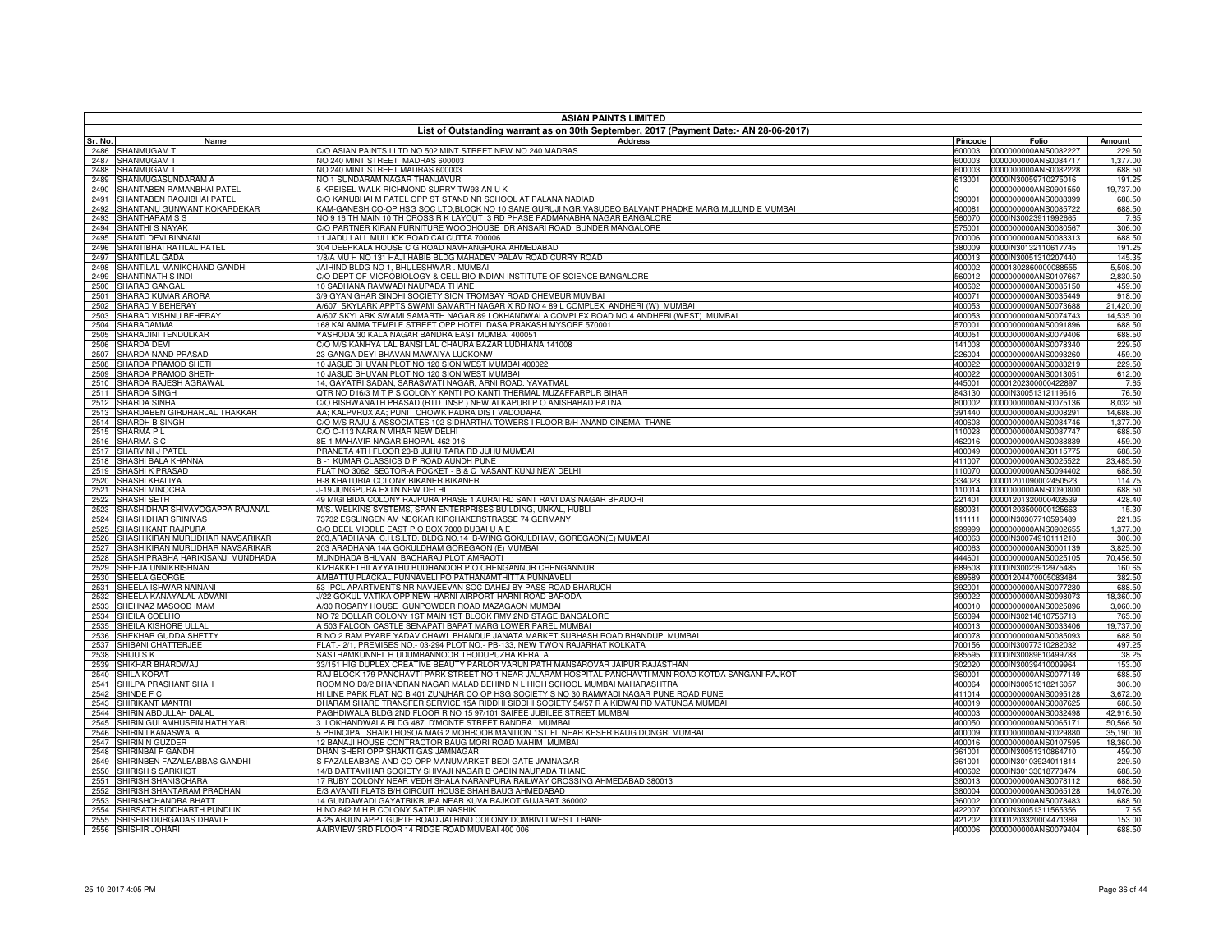|              | <b>ASIAN PAINTS LIMITED</b><br>List of Outstanding warrant as on 30th September, 2017 (Payment Date:- AN 28-06-2017) |                                                                                                                                                                     |                  |                                              |                       |  |
|--------------|----------------------------------------------------------------------------------------------------------------------|---------------------------------------------------------------------------------------------------------------------------------------------------------------------|------------------|----------------------------------------------|-----------------------|--|
| Sr. No.      | Name                                                                                                                 | <b>Address</b>                                                                                                                                                      | Pincode          | Folio                                        | Amount                |  |
| 2486         | SHANMUGAM T                                                                                                          | C/O ASIAN PAINTS I LTD NO 502 MINT STREET NEW NO 240 MADRAS                                                                                                         | 600003           | 0000000000ANS0082227                         | 229.50                |  |
| 2487         | SHANMUGAM T                                                                                                          | NO 240 MINT STREET MADRAS 600003                                                                                                                                    | 600003           | 0000000000ANS0084717                         | 1,377.00              |  |
| 2488         | SHANMUGAM T                                                                                                          | NO 240 MINT STREET MADRAS 600003                                                                                                                                    | 600003           | 0000000000ANS0082228                         | 688.50                |  |
| 2489<br>2490 | SHANMUGASUNDARAM A<br>SHANTABEN RAMANBHAI PATEL                                                                      | NO 1 SUNDARAM NAGAR THANJAVUR<br>5 KREISEL WALK RICHMOND SURRY TW93 AN U K                                                                                          | 613001           | 0000IN30059710275016<br>0000000000ANS0901550 | 191.25<br>19,737.00   |  |
| 2491         | SHANTABEN RAOJIBHAI PATEL                                                                                            | C/O KANUBHAI M PATEL OPP ST STAND NR SCHOOL AT PALANA NADIAD                                                                                                        | 390001           | 0000000000ANS0088399                         | 688.50                |  |
| 2492         | SHANTANU GUNWANT KOKARDEKAR                                                                                          | KAM-GANESH CO-OP HSG SOC LTD,BLOCK NO 10 SANE GURUJI NGR,VASUDEO BALVANT PHADKE MARG MULUND E MUMBAI                                                                | 400081           | 0000000000ANS0085722                         | 688.50                |  |
| 2493         | SHANTHARAM S S                                                                                                       | NO 9 16 TH MAIN 10 TH CROSS R K LAYOUT 3 RD PHASE PADMANABHA NAGAR BANGALORE                                                                                        | 560070           | 0000IN30023911992665                         | 7.65                  |  |
| 2494         | SHANTHI S NAYAK                                                                                                      | C/O PARTNER KIRAN FURNITURE WOODHOUSE DR ANSARI ROAD BUNDER MANGALORE                                                                                               | 575001           | 0000000000ANS0080567                         | 306.00                |  |
| 2495         | SHANTI DEVI BINNANI                                                                                                  | 11 JADU LALL MULLICK ROAD CALCUTTA 700006                                                                                                                           | 700006           | 0000000000ANS0083313                         | 688.50                |  |
| 2496<br>2497 | SHANTIBHAI RATILAL PATEL<br>SHANTILAL GADA                                                                           | 304 DEEPKALA HOUSE C G ROAD NAVRANGPURA AHMEDABAD<br>/8/A MU H NO 131 HAJI HABIB BLDG MAHADEV PALAV ROAD CURRY ROAD                                                 | 380009<br>400013 | 0000IN30132110617745<br>0000IN30051310207440 | 191.25<br>145.35      |  |
| 2498         | SHANTILAL MANIKCHAND GANDHI                                                                                          | JAIHIND BLDG NO 1, BHULESHWAR . MUMBAI                                                                                                                              | 400002           | 00001302860000088555                         | 5,508.00              |  |
| 2499         | SHANTINATH S INDI                                                                                                    | C/O DEPT OF MICROBIOLOGY & CELL BIO INDIAN INSTITUTE OF SCIENCE BANGALORE                                                                                           | 560012           | 0000000000ANS0107667                         | 2,830.50              |  |
| 2500         | SHARAD GANGAL                                                                                                        | 10 SADHANA RAMWADI NAUPADA THANE                                                                                                                                    | 400602           | 0000000000ANS0085150                         | 459.00                |  |
| 2501         | SHARAD KUMAR ARORA                                                                                                   | 3/9 GYAN GHAR SINDHI SOCIETY SION TROMBAY ROAD CHEMBUR MUMBAI                                                                                                       | 400071           | 0000000000ANS0035449                         | 918.00                |  |
| 2502         | SHARAD V BEHERAY                                                                                                     | 4/607 SKYLARK APPTS SWAMI SAMARTH NAGAR X RD NO 4 89 L COMPLEX ANDHERI (W) MUMBAI                                                                                   | 400053           | 0000000000ANS0073688                         | 21,420.00             |  |
| 2503         | SHARAD VISHNU BEHERAY                                                                                                | A/607 SKYLARK SWAMI SAMARTH NAGAR 89 LOKHANDWALA COMPLEX ROAD NO 4 ANDHERI (WEST) MUMBAI                                                                            | 400053           | 0000000000ANS0074743                         | 14,535.00             |  |
| 2504<br>2505 | SHARADAMMA<br>SHARADINI TENDULKAR                                                                                    | 168 KALAMMA TEMPLE STREET OPP HOTEL DASA PRAKASH MYSORE 570001<br>YASHODA 30 KALA NAGAR BANDRA EAST MUMBAI 400051                                                   | 570001<br>400051 | 0000000000ANS0091896<br>0000000000ANS0079406 | 688.50<br>688.50      |  |
| 2506         | <b>SHARDA DEVI</b>                                                                                                   | C/O M/S KANHYA LAL BANSI LAL CHAURA BAZAR LUDHIANA 141008                                                                                                           | 141008           | 0000000000ANS0078340                         | 229.50                |  |
| 2507         | SHARDA NAND PRASAD                                                                                                   | 23 GANGA DEYI BHAVAN MAWAIYA LUCKONW                                                                                                                                | 226004           | 0000000000ANS0093260                         | 459.00                |  |
| 2508         | SHARDA PRAMOD SHETH                                                                                                  | 10 JASUD BHUVAN PLOT NO 120 SION WEST MUMBAI 400022                                                                                                                 | 400022           | 0000000000ANS0083219                         | 229.50                |  |
| 2509         | SHARDA PRAMOD SHETH                                                                                                  | 10 JASUD BHUVAN PLOT NO 120 SION WEST MUMBAI                                                                                                                        | 400022           | 0000000000ANS0013051                         | 612.00                |  |
| 2510         | SHARDA RAJESH AGRAWAL                                                                                                | 14, GAYATRI SADAN, SARASWATI NAGAR, ARNI ROAD. YAVATMAL                                                                                                             | 445001           | 00001202300000422897                         | 7.65                  |  |
| 2511         | SHARDA SINGH                                                                                                         | QTR NO D16/3 M T P S COLONY KANTI PO KANTI THERMAL MUZAFFARPUR BIHAR                                                                                                | 843130           | 0000IN30051312119616                         | 76.50                 |  |
| 2512<br>2513 | SHARDA SINHA<br>SHARDABEN GIRDHARLAL THAKKAR                                                                         | C/O BISHWANATH PRASAD (RTD. INSP.) NEW ALKAPURI P O ANISHABAD PATNA<br>AA; KALPVRUX AA; PUNIT CHOWK PADRA DIST VADODARA                                             | 800002<br>391440 | 0000000000ANS0075136<br>0000000000ANS0008291 | 8,032.50<br>14,688.00 |  |
| 2514         | SHARDH B SINGH                                                                                                       | C/O M/S RAJU & ASSOCIATES 102 SIDHARTHA TOWERS I FLOOR B/H ANAND CINEMA THANE                                                                                       | 400603           | 0000000000ANS0084746                         | 1,377.00              |  |
| 2515         | SHARMA PL                                                                                                            | C/O C-113 NARAIN VIHAR NEW DELHI                                                                                                                                    | 110028           | 0000000000ANS0087747                         | 688.50                |  |
| 2516         | SHARMA <sub>S</sub> C                                                                                                | 8E-1 MAHAVIR NAGAR BHOPAL 462 016                                                                                                                                   | 462016           | 0000000000ANS0088839                         | 459.00                |  |
| 2517         | SHARVINI J PATEI                                                                                                     | PRANETA 4TH FLOOR 23-B JUHU TARA RD JUHU MUMBAI                                                                                                                     | 400049           | 0000000000ANS0115775                         | 688.50                |  |
| 2518         | SHASHI BALA KHANNA                                                                                                   | B-1 KUMAR CLASSICS D P ROAD AUNDH PUNE                                                                                                                              | 411007           | 0000000000ANS0025522                         | 23,485.50             |  |
| 2519         | SHASHI K PRASAD                                                                                                      | FLAT NO 3062 SECTOR-A POCKET - B & C VASANT KUNJ NEW DELHI                                                                                                          | 110070           | 0000000000ANS0094402                         | 688.50                |  |
| 2520<br>2521 | SHASHI KHALIYA<br>SHASHI MINOCHA                                                                                     | H-8 KHATURIA COLONY BIKANER BIKANER<br>J-19 JUNGPURA EXTN NEW DELHI                                                                                                 | 334023<br>110014 | 00001201090002450523<br>0000000000ANS0090800 | 114.75<br>688.50      |  |
| 2522         | SHASHI SETH                                                                                                          | 49 MIGI BIDA COLONY RAJPURA PHASE 1 AURAI RD SANT RAVI DAS NAGAR BHADOHI                                                                                            | 221401           | 00001201320000403539                         | 428.40                |  |
| 2523         | SHASHIDHAR SHIVAYOGAPPA RAJANAL                                                                                      | M/S. WELKINS SYSTEMS, SPAN ENTERPRISES BUILDING, UNKAL, HUBLI                                                                                                       | 580031           | 00001203500000125663                         | 15.30                 |  |
| 2524         | SHASHIDHAR SRINIVAS                                                                                                  | 73732 ESSLINGEN AM NECKAR KIRCHAKERSTRASSE 74 GERMANY                                                                                                               | 111111           | 0000IN30307710596489                         | 221.85                |  |
| 2525         | SHASHIKANT RAJPURA                                                                                                   | C/O DEEL MIDDLE EAST P O BOX 7000 DUBAI U A E                                                                                                                       | 999999           | 0000000000ANS0902655                         | 1,377.00              |  |
| 2526         | SHASHIKIRAN MURLIDHAR NAVSARIKAR                                                                                     | 203,ARADHANA C.H.S.LTD. BLDG.NO.14 B-WING GOKULDHAM, GOREGAON(E) MUMBAI                                                                                             | 400063           | 0000IN30074910111210                         | 306.00                |  |
| 2527         | SHASHIKIRAN MURLIDHAR NAVSARIKAR<br>SHASHIPRABHA HARIKISANJI MUNDHADA                                                | 203 ARADHANA 14A GOKULDHAM GOREGAON (E) MUMBAI<br>MUNDHADA BHUVAN BACHARAJ PLOT AMRAOTI                                                                             | 400063<br>444601 | 0000000000ANS0001139<br>0000000000ANS0025105 | 3,825.00<br>70,456.50 |  |
| 2528<br>2529 | SHEEJA UNNIKRISHNAN                                                                                                  | KIZHAKKETHILAYYATHU BUDHANOOR P O CHENGANNUR CHENGANNUR                                                                                                             | 689508           | 0000IN30023912975485                         | 160.65                |  |
| 2530         | SHEELA GEORGE                                                                                                        | AMBATTU PLACKAL PUNNAVELI PO PATHANAMTHITTA PUNNAVELI                                                                                                               | 689589           | 00001204470005083484                         | 382.50                |  |
| 2531         | SHEELA ISHWAR NAINANI                                                                                                | 53-IPCL APARTMENTS NR NAVJEEVAN SOC DAHEJ BY PASS ROAD BHARUCH                                                                                                      | 392001           | 0000000000ANS0077230                         | 688.50                |  |
| 2532         | SHEELA KANAYALAL ADVANI                                                                                              | J/22 GOKUL VATIKA OPP NEW HARNI AIRPORT HARNI ROAD BARODA                                                                                                           | 390022           | 0000000000ANS0098073                         | 18,360.00             |  |
| 2533         | SHEHNAZ MASOOD IMAM                                                                                                  | A/30 ROSARY HOUSE GUNPOWDER ROAD MAZAGAON MUMBAI                                                                                                                    | 400010           | 0000000000ANS0025896                         | 3,060.00              |  |
| 2534         | SHEILA COELHO                                                                                                        | NO 72 DOLLAR COLONY 1ST MAIN 1ST BLOCK RMV 2ND STAGE BANGALORE                                                                                                      | 560094           | 0000IN30214810756713                         | 765.00                |  |
| 2535<br>2536 | SHEILA KISHORE ULLAL<br>SHEKHAR GUDDA SHETTY                                                                         | A 503 FALCON CASTLE SENAPATI BAPAT MARG LOWER PAREL MUMBAI<br>R NO 2 RAM PYARE YADAV CHAWL BHANDUP JANATA MARKET SUBHASH ROAD BHANDUP MUMBAI                        | 400013<br>400078 | 0000000000ANS0033406<br>0000000000ANS0085093 | 19,737.00<br>688.50   |  |
| 2537         | SHIBANI CHATTERJEE                                                                                                   | FLAT.- 2/1, PREMISES NO.- 03-294 PLOT NO.- PB-133, NEW TWON RAJARHAT KOLKATA                                                                                        | 700156           | 0000IN30077310282032                         | 497.25                |  |
| 2538         | <b>SHIJU SK</b>                                                                                                      | SASTHAMKUNNEL H UDUMBANNOOR THODUPUZHA KERALA                                                                                                                       | 685595           | 0000IN30089610499788                         | 38.25                 |  |
| 2539         | SHIKHAR BHARDWAJ                                                                                                     | 33/151 HIG DUPLEX CREATIVE BEAUTY PARLOR VARUN PATH MANSAROVAR JAIPUR RAJASTHAN                                                                                     | 302020           | 0000IN30039410009964                         | 153.00                |  |
| 2540         | <b>SHILA KORAT</b>                                                                                                   | RAJ BLOCK 179 PANCHAVTI PARK STREET NO 1 NEAR JALARAM HOSPITAL PANCHAVTI MAIN ROAD KOTDA SANGANI RAJKOT                                                             | 360001           | 0000000000ANS0077149                         | 688.50                |  |
| 2541         | SHILPA PRASHANT SHAH                                                                                                 | ROOM NO D3/2 BHANDRAN NAGAR MALAD BEHIND N L HIGH SCHOOL MUMBAI MAHARASHTRA                                                                                         | 400064           | 0000IN30051318216057                         | 306.00                |  |
| 2542         | SHINDE F C<br>SHIRIKANT MANTRI                                                                                       | HI LINE PARK FLAT NO B 401 ZUNJHAR CO OP HSG SOCIETY S NO 30 RAMWADI NAGAR PUNE ROAD PUNE                                                                           | 411014           | 0000000000ANS0095128                         | 3,672.00              |  |
| 2543<br>2544 | SHIRIN ABDULLAH DALAL                                                                                                | DHARAM SHARE TRANSFER SERVICE 15A RIDDHI SIDDHI SOCIETY 54/57 R A KIDWAI RD MATUNGA MUMBAI<br>PAGHDIWALA BLDG 2ND FLOOR R NO 15 97/101 SAIFEE JUBILEE STREET MUMBAI | 400019<br>400003 | 0000000000ANS0087625<br>0000000000ANS0032498 | 688.50<br>42,916.50   |  |
| 2545         | SHIRIN GULAMHUSEIN HATHIYARI                                                                                         | 3 LOKHANDWALA BLDG 487 D'MONTE STREET BANDRA MUMBAI                                                                                                                 | 400050           | 0000000000ANS0065171                         | 50,566.50             |  |
| 2546         | SHIRIN I KANASWALA                                                                                                   | 5 PRINCIPAL SHAIKI HOSOA MAG 2 MOHBOOB MANTION 1ST FL NEAR KESER BAUG DONGRI MUMBAI                                                                                 | 400009           | 0000000000ANS0029880                         | 35,190.00             |  |
| 2547         | SHIRIN N GUZDER                                                                                                      | 12 BANAJI HOUSE CONTRACTOR BAUG MORI ROAD MAHIM MUMBAI                                                                                                              | 400016           | 0000000000ANS0107595                         | 18,360.00             |  |
| 2548         | SHIRINBAI F GANDH                                                                                                    | DHAN SHERI OPP SHAKTI GAS JAMNAGAR                                                                                                                                  | 361001           | 0000IN30051310864710                         | 459.00                |  |
| 2549         | SHIRINBEN FAZALEABBAS GANDHI                                                                                         | S FAZALEABBAS AND CO OPP MANUMARKET BEDI GATE JAMNAGAR                                                                                                              | 361001           | 0000IN30103924011814                         | 229.50                |  |
| 2550<br>2551 | SHIRISH S SARKHOT<br>SHIRISH SHANISCHARA                                                                             | 14/B DATTAVIHAR SOCIETY SHIVAJI NAGAR B CABIN NAUPADA THANE<br>17 RUBY COLONY NEAR VEDH SHALA NARANPURA RAILWAY CROSSING AHMEDABAD 380013                           | 400602<br>380013 | 0000IN30133018773474<br>0000000000ANS0078112 | 688.50<br>688.50      |  |
| 2552         | SHIRISH SHANTARAM PRADHAN                                                                                            | 3 AVANTI FLATS B/H CIRCUIT HOUSE SHAHIBAUG AHMEDABAD                                                                                                                | 380004           | 0000000000ANS0065128                         | 14,076.00             |  |
| 2553         | SHIRISHCHANDRA BHATT                                                                                                 | 14 GUNDAWADI GAYATRIKRUPA NEAR KUVA RAJKOT GUJARAT 360002                                                                                                           | 360002           | 0000000000ANS0078483                         | 688.50                |  |
| 2554         | SHIRSATH SIDDHARTH PUNDLIK                                                                                           | H NO 842 M H B COLONY SATPUR NASHIK                                                                                                                                 | 422007           | 0000IN30051311565356                         | 7.65                  |  |
| 2555         | SHISHIR DURGADAS DHAVLE                                                                                              | A-25 ARJUN APPT GUPTE ROAD JAI HIND COLONY DOMBIVLI WEST THANE                                                                                                      | 421202           | 00001203320004471389                         | 153.00                |  |
| 2556         | SHISHIR JOHARI                                                                                                       | AAIRVIEW 3RD FLOOR 14 RIDGE ROAD MUMBAI 400 006                                                                                                                     |                  | 400006 0000000000ANS0079404                  | 688.50                |  |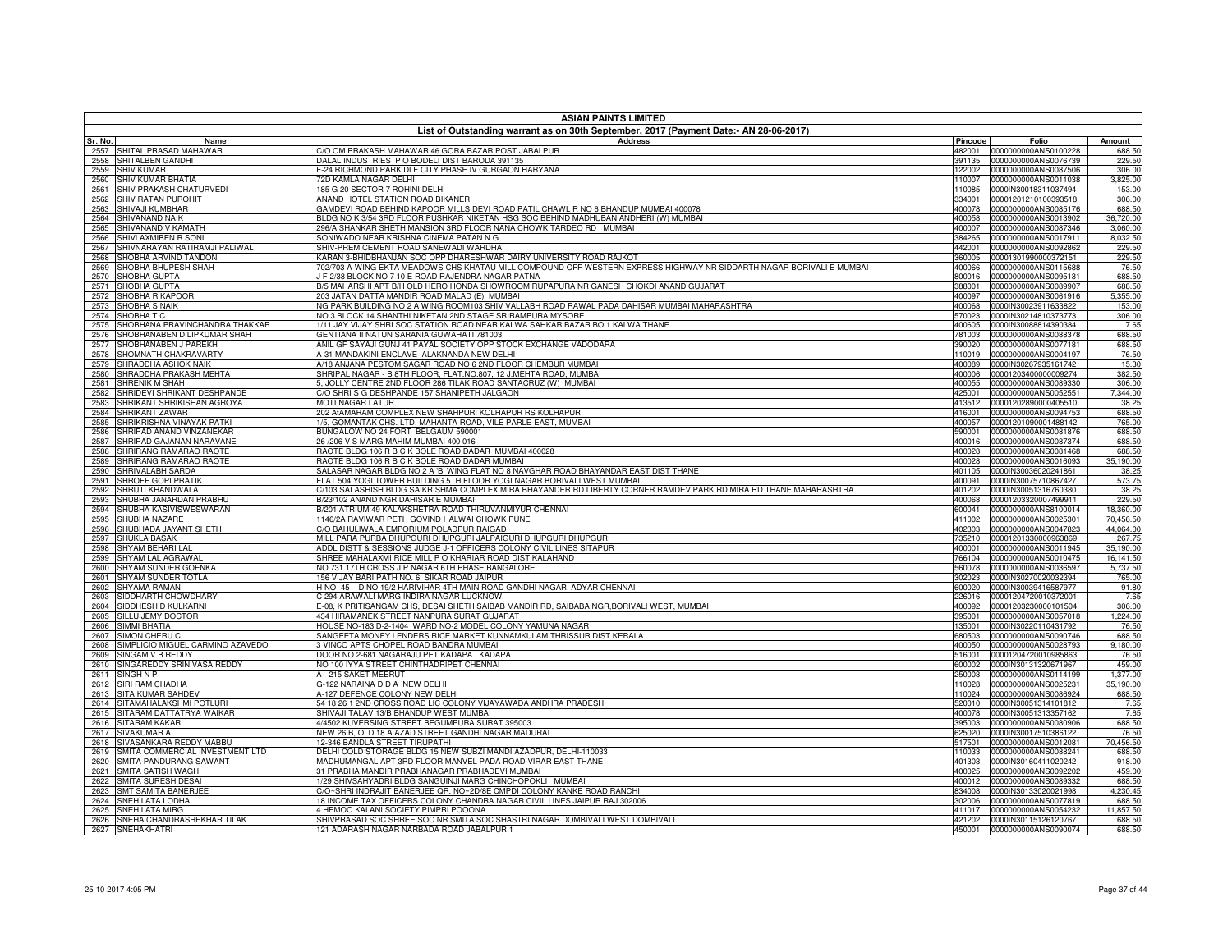| <b>ASIAN PAINTS LIMITED</b>                                                           |                                                                                                                                |                  |                                              |                     |  |
|---------------------------------------------------------------------------------------|--------------------------------------------------------------------------------------------------------------------------------|------------------|----------------------------------------------|---------------------|--|
| List of Outstanding warrant as on 30th September, 2017 (Payment Date:- AN 28-06-2017) |                                                                                                                                |                  |                                              |                     |  |
| Sr. No.<br>Name                                                                       | <b>Address</b>                                                                                                                 | Pincode          | Folio                                        | Amount              |  |
| 2557<br>SHITAL PRASAD MAHAWAR                                                         | C/O OM PRAKASH MAHAWAR 46 GORA BAZAR POST JABALPUR                                                                             | 482001           | 0000000000ANS0100228                         | 688.50              |  |
| SHITALBEN GANDHI<br>2558<br>SHIV KUMAR<br>2559                                        | DALAL INDUSTRIES P O BODELI DIST BARODA 391135<br>-24 RICHMOND PARK DLF CITY PHASE IV GURGAON HARYANA                          | 391135<br>122002 | 0000000000ANS0076739<br>0000000000ANS0087506 | 229.50<br>306.00    |  |
| SHIV KUMAR BHATIA<br>2560                                                             | 72D KAMLA NAGAR DELHI                                                                                                          | 110007           | 0000000000ANS0011038                         | 3,825.00            |  |
| SHIV PRAKASH CHATURVEDI<br>2561                                                       | 185 G 20 SECTOR 7 ROHINI DELHI                                                                                                 | 110085           | 0000IN30018311037494                         | 153.00              |  |
| SHIV RATAN PUROHIT<br>2562                                                            | ANAND HOTEL STATION ROAD BIKANER                                                                                               | 334001           | 00001201210100393518                         | 306.00              |  |
| 2563<br>SHIVAJI KUMBHAR                                                               | GAMDEVI ROAD BEHIND KAPOOR MILLS DEVI ROAD PATIL CHAWL R NO 6 BHANDUP MUMBAI 400078                                            | 400078           | 0000000000ANS0085176                         | 688.50              |  |
| SHIVANAND NAIK<br>2564                                                                | ILDG NO K 3/54 3RD FLOOR PUSHKAR NIKETAN HSG SOC BEHIND MADHUBAN ANDHERI (W) MUMBAI                                            | 400058           | 0000000000ANS0013902                         | 36,720.00           |  |
| 2565<br>SHIVANAND V KAMATH                                                            | 96/A SHANKAR SHETH MANSION 3RD FLOOR NANA CHOWK TARDEO RD MUMBAI                                                               | 400007           | 0000000000ANS0087346                         | 3,060.00            |  |
| 2566<br>SHIVLAXMIBEN R SONI                                                           | <b>ONIWADO NEAR KRISHNA CINEMA PATAN N G</b>                                                                                   | 384265           | 0000000000ANS0017911                         | 8,032.50            |  |
| 2567<br>SHIVNARAYAN RATIRAMJI PALIWAL<br>2568<br>SHOBHA ARVIND TANDON                 | SHIV-PREM CEMENT ROAD SANEWADI WARDHA<br>(ARAN 3-BHIDBHANJAN SOC OPP DHARESHWAR DAIRY UNIVERSITY ROAD RAJKOT                   | 442001<br>360005 | 0000000000ANS0092862                         | 229.50<br>229.50    |  |
| SHOBHA BHUPESH SHAH<br>2569                                                           | 02/703 A-WING EKTA MEADOWS CHS KHATAU MILL COMPOUND OFF WESTERN EXPRESS HIGHWAY NR SIDDARTH NAGAR BORIVALI E MUMBAI            | 400066           | 00001301990000372151<br>0000000000ANS0115688 | 76.50               |  |
| 2570<br>SHOBHA GUPTA                                                                  | J F 2/38 BLOCK NO 7 10 E ROAD RAJENDRA NAGAR PATNA                                                                             | 800016           | 0000000000ANS0095131                         | 688.50              |  |
| 2571<br>SHOBHA GUPTA                                                                  | 3/5 MAHARSHI APT B/H OLD HERO HONDA SHOWROOM RUPAPURA NR GANESH CHOKDI ANAND GUJARAT                                           | 388001           | 0000000000ANS0089907                         | 688.50              |  |
| 2572<br>SHOBHA R KAPOOR                                                               | 203 JATAN DATTA MANDIR ROAD MALAD (E) MUMBAI                                                                                   | 400097           | 0000000000ANS0061916                         | 5,355.00            |  |
| 2573<br>SHOBHA S NAIK                                                                 | NG PARK BUILDING NO 2 A WING ROOM103 SHIV VALLABH ROAD RAWAL PADA DAHISAR MUMBAI MAHARASHTRA                                   | 400068           | 0000IN30023911633822                         | 153.00              |  |
| 2574<br><b>SHOBHA T C</b>                                                             | NO 3 BLOCK 14 SHANTHI NIKETAN 2ND STAGE SRIRAMPURA MYSORE                                                                      | 570023           | 0000IN30214810373773                         | 306.00              |  |
| 2575<br>SHOBHANA PRAVINCHANDRA THAKKAR                                                | 1/11 JAY VIJAY SHRI SOC STATION ROAD NEAR KALWA SAHKAR BAZAR BO 1 KALWA THANE                                                  | 400605           | 0000IN30088814390384                         | 7.65                |  |
| 2576<br>SHOBHANABEN DILIPKUMAR SHAH                                                   | <b>SENTIANA II NATUN SARANIA GUWAHATI 781003</b>                                                                               | 781003           | 0000000000ANS0088378<br>0000000000ANS0077181 | 688.50<br>688.50    |  |
| 2577<br>SHOBHANABEN J PAREKH<br>2578<br>SHOMNATH CHAKRAVARTY                          | ANIL GF SAYAJI GUNJ 41 PAYAL SOCIETY OPP STOCK EXCHANGE VADODARA<br>4-31 MANDAKINI ENCLAVE ALAKNANDA NEW DELHI                 | 390020<br>110019 | 0000000000ANS0004197                         | 76.50               |  |
| 2579<br>SHRADDHA ASHOK NAIK                                                           | 4/18 ANJANA PESTOM SAGAR ROAD NO 6 2ND FLOOR CHEMBUR MUMBAI                                                                    | 400089           | 0000IN30267935161742                         | 15.30               |  |
| SHRADDHA PRAKASH MEHTA<br>2580                                                        | SHRIPAL NAGAR - B 8TH FLOOR, FLAT.NO.807, 12 J.MEHTA ROAD, MUMBAI                                                              | 400006           | 00001203400000009274                         | 382.50              |  |
| 2581<br>SHRENIK M SHAH                                                                | , JOLLY CENTRE 2ND FLOOR 286 TILAK ROAD SANTACRUZ (W) MUMBAI                                                                   | 400055           | 0000000000ANS0089330                         | 306.00              |  |
| 2582<br>SHRIDEVI SHRIKANT DESHPANDE                                                   | /O SHRI S G DESHPANDE 157 SHANIPETH JALGAON                                                                                    | 425001           | 0000000000ANS0052551                         | 7,344.00            |  |
| SHRIKANT SHRIKISHAN AGROYA<br>2583                                                    | <b>MOTI NAGAR LATUR</b>                                                                                                        | 413512           | 00001202890000405510                         | 38.25               |  |
| 2584<br>SHRIKANT ZAWAR                                                                | 02 AtAMARAM COMPLEX NEW SHAHPURI KOLHAPUR RS KOLHAPUR                                                                          | 416001           | 0000000000ANS0094753                         | 688.50              |  |
| 2585<br><b>HRIKRISHNA VINAYAK PATKI</b>                                               | /5, GOMANTAK CHS. LTD, MAHANTA ROAD, VILE PARLE-EAST, MUMBAI                                                                   | 400057           | 00001201090001488142                         | 765.00              |  |
| SHRIPAD ANAND VINZANEKAR<br>2586                                                      | BUNGALOW NO 24 FORT BELGAUM 590001                                                                                             | 590001           | 0000000000ANS0081876                         | 688.50              |  |
| 2587<br>SHRIPAD GAJANAN NARAVANE<br>2588<br><b>HRIRANG RAMARAO RAOTE</b>              | 6/206 V S MARG MAHIM MUMBAI 400 016<br>RAOTE BLDG 106 R B C K BOLE ROAD DADAR MUMBAI 400028                                    | 400016<br>400028 | 0000000000ANS0087374<br>0000000000ANS0081468 | 688.50<br>688.50    |  |
| SHRIRANG RAMARAO RAOTE<br>2589                                                        | RAOTE BLDG 106 R B C K BOLE ROAD DADAR MUMBAI                                                                                  | 400028           | 0000000000ANS0016093                         | 35,190.00           |  |
| 2590<br>SHRIVALABH SARDA                                                              | ALASAR NAGAR BLDG NO 2 A 'B' WING FLAT NO 8 NAVGHAR ROAD BHAYANDAR EAST DIST THANE                                             | 401105           | 0000IN30036020241861                         | 38.25               |  |
| SHROFF GOPI PRATIK<br>2591                                                            | FLAT 504 YOGI TOWER BUILDING 5TH FLOOR YOGI NAGAR BORIVALI WEST MUMBAI                                                         | 400091           | 0000IN30075710867427                         | 573.75              |  |
| 2592<br>SHRUTI KHANDWALA                                                              | //103 SAI ASHISH BLDG SAIKRISHMA COMPLEX MIRA BHAYANDER RD LIBERTY CORNER RAMDEV PARK RD MIRA RD THANE MAHARASHTRA             | 401202           | 0000IN30051316760380                         | 38.25               |  |
| SHUBHA JANARDAN PRABHU<br>2593                                                        | 3/23/102 ANAND NGR DAHISAR E MUMBAI                                                                                            | 400068           | 00001203320007499911                         | 229.50              |  |
| SHUBHA KASIVISWESWARAN<br>2594                                                        | /201 ATRIUM 49 KALAKSHETRA ROAD THIRUVANMIYUR CHENNAI                                                                          | 600041           | 0000000000ANS8100014                         | 18,360.00           |  |
| 2595<br>SHUBHA NAZARE                                                                 | 1146/2A RAVIWAR PETH GOVIND HALWAI CHOWK PUNE                                                                                  | 411002           | 0000000000ANS0025301                         | 70,456.50           |  |
| SHUBHADA JAYANT SHETH<br>2596                                                         | /O BAHULIWALA EMPORIUM POLADPUR RAIGAD<br>MILL PARA PURBA DHUPGURI DHUPGURI JALPAIGURI DHUPGURI DHUPGURI                       | 402303           | 0000000000ANS0047823                         | 44,064.00           |  |
| 2597<br>SHUKLA BASAK<br>2598<br>SHYAM BEHARI LAL                                      | ADDL DISTT & SESSIONS JUDGE J-1 OFFICERS COLONY CIVIL LINES SITAPUR                                                            | 735210<br>400001 | 00001201330000963869<br>0000000000ANS0011945 | 267.75<br>35,190.00 |  |
| SHYAM LAL AGRAWAL<br>2599                                                             | SHREE MAHALAXMI RICE MILL P O KHARIAR ROAD DIST KALAHAND                                                                       | 766104           | 0000000000ANS0010475                         | 16,141.50           |  |
| 2600<br>SHYAM SUNDER GOENKA                                                           | IO 731 17TH CROSS J P NAGAR 6TH PHASE BANGALORE                                                                                | 560078           | 0000000000ANS0036597                         | 5,737.50            |  |
| SHYAM SUNDER TOTLA<br>2601                                                            | 56 VIJAY BARI PATH NO. 6, SIKAR ROAD JAIPUR                                                                                    | 302023           | 0000IN30270020032394                         | 765.00              |  |
| SHYAMA RAMAN<br>2602                                                                  | H NO-45 D NO 19/2 HARIVIHAR 4TH MAIN ROAD GANDHI NAGAR ADYAR CHENNAI                                                           | 600020           | 0000IN30039416587977                         | 91.80               |  |
| <b>SIDDHARTH CHOWDHARY</b><br>2603                                                    | 294 ARAWALI MARG INDIRA NAGAR LUCKNOW                                                                                          | 226016           | 00001204720010372001                         | 7.65                |  |
| SIDDHESH D KULKARNI<br>2604                                                           | -08, K PRITISANGAM CHS, DESAI SHETH SAIBAB MANDIR RD, SAIBABA NGR,BORIVALI WEST, MUMBAI                                        | 400092           | 00001203230000101504                         | 306.00              |  |
| 2605<br>SILLU JEMY DOCTOR                                                             | 134 HIRAMANEK STREET NANPURA SURAT GUJARAT                                                                                     | 395001           | 0000000000ANS0057018                         | 1,224.00            |  |
| SIMMI BHATIA<br>2606<br>SIMON CHERU C<br>2607                                         | OUSE NO-183 D-2-1404 WARD NO-2 MODEL COLONY YAMUNA NAGAR<br>ANGEETA MONEY LENDERS RICE MARKET KUNNAMKULAM THRISSUR DIST KERALA | 135001<br>680503 | 0000IN30220110431792<br>0000000000ANS0090746 | 76.50<br>688.50     |  |
| SIMPLICIO MIGUEL CARMINO AZAVEDO<br>2608                                              | VINCO APTS CHOPEL ROAD BANDRA MUMBAI                                                                                           | 400050           | 0000000000ANS0028793                         | 9,180.00            |  |
| <b>SINGAM V B REDDY</b><br>2609                                                       | OOOR NO 2-681 NAGARAJU PET KADAPA . KADAPA                                                                                     | 516001           | 00001204720010985863                         | 76.50               |  |
| SINGAREDDY SRINIVASA REDDY<br>2610                                                    | VO 100 IYYA STREET CHINTHADRIPET CHENNAI                                                                                       | 600002           | 0000IN30131320671967                         | 459.00              |  |
| 2611<br>SINGH N P                                                                     | A - 215 SAKET MEERUT                                                                                                           | 250003           | 0000000000ANS0114199                         | 1,377.00            |  |
| SIRI RAM CHADHA<br>2612                                                               | 3-122 NARAINA D D A NEW DELHI                                                                                                  | 110028           | 0000000000ANS0025231                         | 35,190.00           |  |
| <b>SITA KUMAR SAHDEV</b><br>2613                                                      | 1-127 DEFENCE COLONY NEW DELHI                                                                                                 | 110024           | 0000000000ANS0086924                         | 688.50              |  |
| 2614<br>SITAMAHALAKSHMI POTLURI                                                       | 54 18 26 1 2ND CROSS ROAD LIC COLONY VIJAYAWADA ANDHRA PRADESH                                                                 | 520010           | 0000IN30051314101812                         | 7.65                |  |
| SITARAM DATTATRYA WAIKAR<br>2615                                                      | SHIVAJI TALAV 13/B BHANDUP WEST MUMBAI                                                                                         | 400078           | 0000IN30051313357162                         | 7.65<br>688.50      |  |
| 2616<br><b>SITARAM KAKAR</b><br>SIVAKUMAR A<br>2617                                   | 1/4502 KUVERSING STREET BEGUMPURA SURAT 395003<br>VEW 26 B, OLD 18 A AZAD STREET GANDHI NAGAR MADURAI                          | 395003<br>625020 | 0000000000ANS0080906<br>0000IN30017510386122 | 76.50               |  |
| SIVASANKARA REDDY MABBU<br>2618                                                       | 2-346 BANDLA STREET TIRUPATHI                                                                                                  | 517501           | 0000000000ANS0012081                         | 70,456.50           |  |
| SMITA COMMERCIAL INVESTMENT LTD<br>2619                                               | DELHI COLD STORAGE BLDG 15 NEW SUBZI MANDI AZADPUR, DELHI-110033                                                               | 110033           | 0000000000ANS0088241                         | 688.50              |  |
| SMITA PANDURANG SAWANT<br>2620                                                        | MADHUMANGAL APT 3RD FLOOR MANVEL PADA ROAD VIRAR EAST THANE                                                                    | 401303           | 0000IN30160411020242                         | 918.00              |  |
| SMITA SATISH WAGH<br>2621                                                             | 31 PRABHA MANDIR PRABHANAGAR PRABHADEVI MUMBAI                                                                                 | 400025           | 0000000000ANS0092202                         | 459.00              |  |
| SMITA SURESH DESAI<br>2622                                                            | /29 SHIVSAHYADRI BLDG SANGUINJI MARG CHINCHOPOKLI MUMBAI                                                                       | 400012           | 0000000000ANS0089332                         | 688.50              |  |
| SMT SAMITA BANERJEE<br>2623                                                           | /O~SHRI INDRAJIT BANERJEE QR. NO~2D/8E CMPDI COLONY KANKE ROAD RANCHI                                                          | 834008           | 0000IN30133020021998                         | 4,230.45            |  |
| SNEH LATA LODHA<br>2624                                                               | 18 INCOME TAX OFFICERS COLONY CHANDRA NAGAR CIVIL LINES JAIPUR RAJ 302006                                                      | 302006           | 0000000000ANS0077819                         | 688.50              |  |
| SNEH LATA MIRG<br>2625<br>SNEHA CHANDRASHEKHAR TILAK                                  | 4 HEMOO KALANI SOCIETY PIMPRI POOONA                                                                                           | 411017           | 0000000000ANS0054232                         | 11,857.50           |  |
| 2626<br>2627 SNEHAKHATRI                                                              | SHIVPRASAD SOC SHREE SOC NR SMITA SOC SHASTRI NAGAR DOMBIVALI WEST DOMBIVALI<br>121 ADARASH NAGAR NARBADA ROAD JABALPUR 1      | 421202<br>450001 | 0000IN30115126120767<br>0000000000ANS0090074 | 688.50<br>688.50    |  |
|                                                                                       |                                                                                                                                |                  |                                              |                     |  |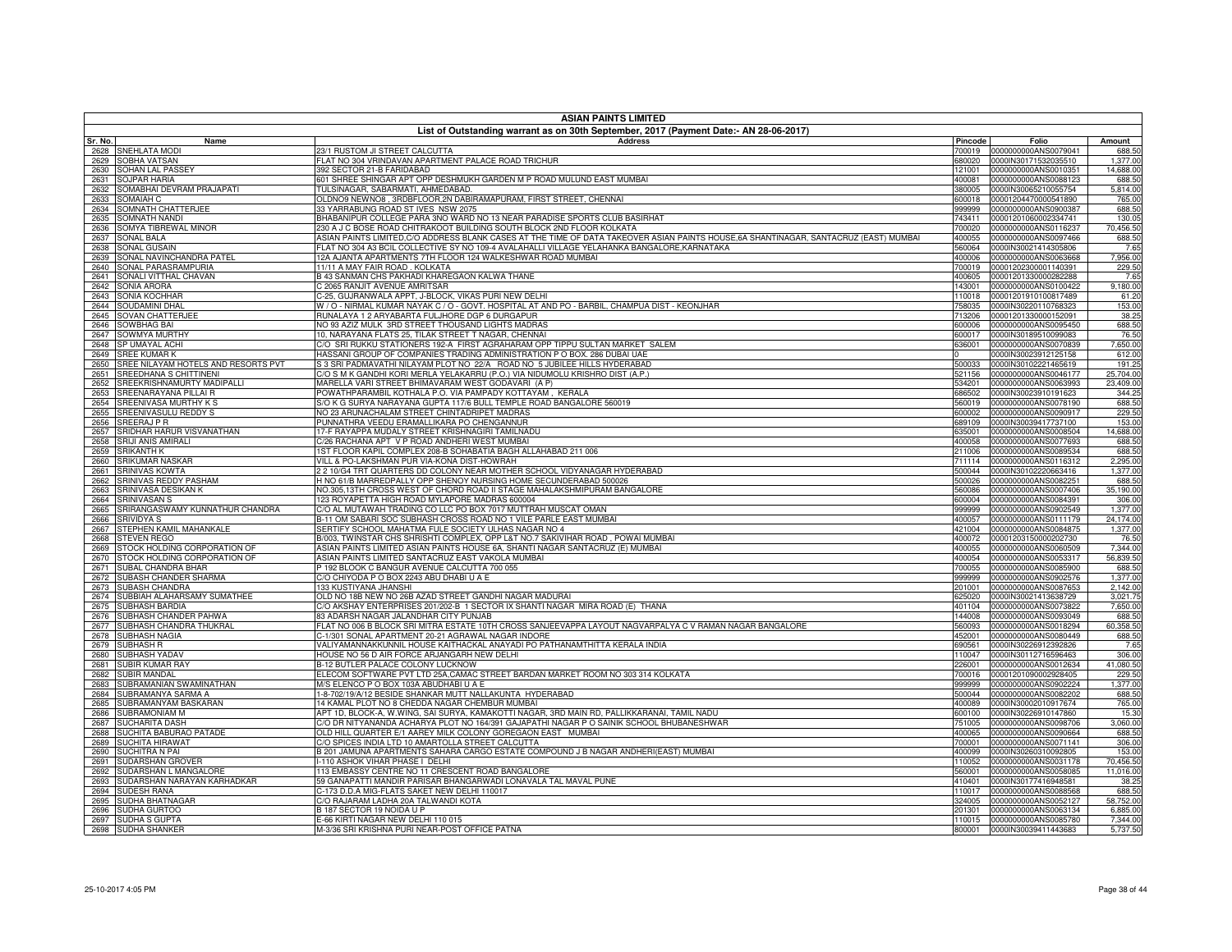| <b>ASIAN PAINTS LIMITED</b>                                         |                                                                                                                                                               |                  |                                              |                       |
|---------------------------------------------------------------------|---------------------------------------------------------------------------------------------------------------------------------------------------------------|------------------|----------------------------------------------|-----------------------|
| Sr. No.<br>Name                                                     | List of Outstanding warrant as on 30th September, 2017 (Payment Date:- AN 28-06-2017)<br><b>Address</b>                                                       | Pincode          | Folio                                        | Amount                |
| 2628<br>SNEHLATA MODI                                               | 23/1 RUSTOM JI STREET CALCUTTA                                                                                                                                | 700019           | 0000000000ANS0079041                         | 688.50                |
| <b>SOBHA VATSAN</b><br>2629                                         | LAT NO 304 VRINDAVAN APARTMENT PALACE ROAD TRICHUR                                                                                                            | 380020           | 0000IN30171532035510                         | 1,377.00              |
| <b>SOHAN LAL PASSEY</b><br>2630                                     | 92 SECTOR 21-B FARIDABAD                                                                                                                                      | 21001            | 0000000000ANS0010351                         | 14,688.00             |
| <b>SOJPAR HARIA</b><br>2631                                         | 601 SHREE SHINGAR APT OPP DESHMUKH GARDEN M P ROAD MULUND EAST MUMBAI                                                                                         | 400081           | 0000000000ANS0088123                         | 688.50                |
| 2632<br><b>SOMABHAI DEVRAM PRAJAPATI</b>                            | <b>TULSINAGAR, SABARMATI, AHMEDABAD.</b>                                                                                                                      | 380005           | 0000IN30065210055754                         | 5,814.00              |
| 2633<br><b>SOMAIAH C</b>                                            | OLDNO9 NEWNO8 . 3RDBFLOOR.2N DABIRAMAPURAM, FIRST STREET, CHENNAI                                                                                             | 600018           | 00001204470000541890                         | 765.00                |
| 2634<br>OMNATH CHATTERJEE                                           | 3 YARRABUNG ROAD ST IVES NSW 2075<br>HABANIPUR COLLEGE PARA 3NO WARD NO 13 NEAR PARADISE SPORTS CLUB BASIRHAT                                                 | 999999<br>43411  | 0000000000ANS0900387                         | 688.50                |
| 2635<br><b>SOMNATH NANDI</b><br>2636<br><b>SOMYA TIBREWAL MINOR</b> | 30 A J C BOSE ROAD CHITRAKOOT BUILDING SOUTH BLOCK 2ND FLOOR KOLKATA                                                                                          | 700020           | 00001201060002334741<br>0000000000ANS0116237 | 130.05<br>70.456.50   |
| 2637<br><b>SONAL BALA</b>                                           | ASIAN PAINTS LIMITED,C/O ADDRESS BLANK CASES AT THE TIME OF DATA TAKEOVER ASIAN PAINTS HOUSE,6A SHANTINAGAR, SANTACRUZ (EAST) MUMBAI                          | 400055           | 0000000000ANS0097466                         | 688.50                |
| 2638<br><b>SONAL GUSAIN</b>                                         | ELAT NO 304 A3 BCIL COLLECTIVE SY NO 109-4 AVALAHALLI VILLAGE YELAHANKA BANGALORE,KARNATAKA                                                                   | 560064           | 0000IN30021414305806                         | 7.65                  |
| 2639<br><b>SONAL NAVINCHANDRA PATEL</b>                             | 2A AJANTA APARTMENTS 7TH FLOOR 124 WALKESHWAR ROAD MUMBAI                                                                                                     | 400006           | 0000000000ANS0063668                         | 7.956.00              |
| SONAL PARASRAMPURIA<br>2640                                         | 1/11 A MAY FAIR ROAD, KOLKATA                                                                                                                                 | 700019           | 00001202300001140391                         | 229.50                |
| SONALI VITTHAL CHAVAN<br>2641                                       | 3 43 SANMAN CHS PAKHADI KHAREGAON KALWA THANE                                                                                                                 | 400605           | 00001201330000282288                         | 7.65                  |
| 2642<br>SONIA ARORA                                                 | 2065 RANJIT AVENUE AMRITSAR                                                                                                                                   | 143001           | 0000000000ANS0100422                         | 9.180.00              |
| SONIA KOCHHAR<br>2643                                               | -25, GUJRANWALA APPT, J-BLOCK, VIKAS PURI NEW DELHI                                                                                                           | 110018           | 00001201910100817489                         | 61.20                 |
| SOUDAMINI DHAI<br>2644                                              | W / O - NIRMAL KUMAR NAYAK C / O - GOVT. HOSPITAL AT AND PO - BARBIL, CHAMPUA DIST - KEONJHAR                                                                 | 758035           | 0000IN30220110768323                         | 153.00                |
| 2645<br>SOVAN CHATTERJEE<br>2646                                    | RUNALAYA 1 2 ARYABARTA FULJHORE DGP 6 DURGAPUR<br>VO 93 AZIZ MULK 3RD STREET THOUSAND LIGHTS MADRAS                                                           | 713206<br>600006 | 00001201330000152091<br>0000000000ANS0095450 | 38.25<br>688.50       |
| SOWBHAG BAI<br>SOWMYA MURTHY<br>2647                                | 10. NARAYANA FLATS 25. TILAK STREET T NAGAR, CHENNAI                                                                                                          | 600017           | 0000IN30189510099083                         | 76.50                 |
| SP UMAYAL ACHI<br>2648                                              | C/O SRI RUKKU STATIONERS 192-A FIRST AGRAHARAM OPP TIPPU SULTAN MARKET SALEM                                                                                  | 336001           | 0000000000ANS0070839                         | 7,650.00              |
| 2649<br><b>SREE KUMAR K</b>                                         | HASSANI GROUP OF COMPANIES TRADING ADMINISTRATION P O BOX, 286 DUBAI UAE                                                                                      |                  | 0000IN30023912125158                         | 612.00                |
| SREE NILAYAM HOTELS AND RESORTS PVT<br>2650                         | 3 3 SRI PADMAVATHI NILAYAM PLOT NO 22/A ROAD NO 5 JUBILEE HILLS HYDERABAD                                                                                     | 500033           | 0000IN30102221465619                         | 191.25                |
| SREEDHANA S CHITTINENI<br>2651                                      | C/O S M K GANDHI KORI MERLA YELAKARRU (P.O.) VIA NIDUMOLU KRISHRO DIST (A.P.)                                                                                 | 521156           | 0000000000ANS0046177                         | 25,704.00             |
| SREEKRISHNAMURTY MADIPALLI<br>2652                                  | MARELLA VARI STREET BHIMAVARAM WEST GODAVARI (A P)                                                                                                            | 534201           | 0000000000ANS0063993                         | 23,409.00             |
| SREENARAYANA PILLAI R<br>2653                                       | POWATHPARAMBIL KOTHALA P.O. VIA PAMPADY KOTTAYAM . KERALA                                                                                                     | 686502           | 0000IN30023910191623                         | 344.25                |
| 2654<br>SREENIVASA MURTHY K S                                       | S/O K G SURYA NARAYANA GUPTA 117/6 BULL TEMPLE ROAD BANGALORE 560019                                                                                          | 560019           | 0000000000ANS0078190                         | 688.50                |
| SREENIVASULU REDDY S<br>2655                                        | <b>VO 23 ARUNACHALAM STREET CHINTADRIPET MADRAS</b>                                                                                                           | 600002           | 0000000000ANS0090917                         | 229.50                |
| SREERAJ P R<br>2656<br>2657<br>SRIDHAR HARUR VISVANATHAN            | UNNATHRA VEEDU ERAMALLIKARA PO CHENGANNUR<br>17-F RAYAPPA MUDALY STREET KRISHNAGIRI TAMILNADU                                                                 | 689109<br>635001 | 0000IN30039417737100<br>0000000000ANS0008504 | 153.00<br>14,688.00   |
| SRIJI ANIS AMIRALI<br>2658                                          | C/26 RACHANA APT V P ROAD ANDHERI WEST MUMBAI                                                                                                                 | 400058           | 0000000000ANS0077693                         | 688.50                |
| <b>SRIKANTH K</b><br>2659                                           | 1ST FLOOR KAPIL COMPLEX 208-B SOHABATIA BAGH ALLAHABAD 211 006                                                                                                | 211006           | 0000000000ANS0089534                         | 688.50                |
| 2660<br><b>SRIKUMAR NASKAR</b>                                      | VILL & PO-LAKSHMAN PUR VIA-KONA DIST-HOWRAH                                                                                                                   | 711114           | 0000000000ANS0116312                         | 2,295.00              |
| <b>SRINIVAS KOWTA</b><br>2661                                       | 2 10/G4 TRT QUARTERS DD COLONY NEAR MOTHER SCHOOL VIDYANAGAR HYDERABAD                                                                                        | 500044           | 0000IN30102220663416                         | 1,377.00              |
| 2662<br>SRINIVAS REDDY PASHAM                                       | H NO 61/B MARREDPALLY OPP SHENOY NURSING HOME SECUNDERABAD 500026                                                                                             | 500026           | 0000000000ANS0082251                         | 688.50                |
| 2663<br>SRINIVASA DESIKAN K                                         | VO.305,13TH CROSS WEST OF CHORD ROAD II STAGE MAHALAKSHMIPURAM BANGALORE                                                                                      | 560086           | 0000000000ANS0007406                         | 35,190.00             |
| SRINIVASAN S<br>2664                                                | 123 ROYAPETTA HIGH ROAD MYLAPORE MADRAS 600004                                                                                                                | 600004           | 0000000000ANS0084391                         | 306.00                |
| 2665<br>SRIRANGASWAMY KUNNATHUR CHANDRA                             | C/O AL MUTAWAH TRADING CO LLC PO BOX 7017 MUTTRAH MUSCAT OMAN                                                                                                 | 999999           | 0000000000ANS0902549                         | 1,377.00              |
| 2666<br>SRIVIDYA S<br>2667<br>STEPHEN KAMIL MAHANKALE               | 3-11 OM SABARI SOC SUBHASH CROSS ROAD NO 1 VILE PARLE EAST MUMBAI<br>SERTIFY SCHOOL MAHATMA FULE SOCIETY ULHAS NAGAR NO 4                                     | 400057<br>421004 | 0000000000ANS0111179<br>0000000000ANS0084875 | 24,174.00<br>1,377.00 |
| 2668<br><b>STEVEN REGO</b>                                          | 3/003, TWINSTAR CHS SHRISHTI COMPLEX, OPP L&T NO.7 SAKIVIHAR ROAD , POWAI MUMBAI                                                                              | 400072           | 00001203150000202730                         | 76.50                 |
| 2669<br>STOCK HOLDING CORPORATION OF                                | ASIAN PAINTS LIMITED ASIAN PAINTS HOUSE 6A, SHANTI NAGAR SANTACRUZ (E) MUMBAI                                                                                 | 400055           | 0000000000ANS0060509                         | 7,344.00              |
| 2670<br>STOCK HOLDING CORPORATION OF                                | ASIAN PAINTS LIMITED SANTACRUZ EAST VAKOLA MUMBAI                                                                                                             | 400054           | 0000000000ANS0053317                         | 56,839.50             |
| 2671<br>SUBAL CHANDRA BHAR                                          | 192 BLOOK C BANGUR AVENUE CALCUTTA 700 055                                                                                                                    | 700055           | 0000000000ANS0085900                         | 688.50                |
| 2672<br>SUBASH CHANDER SHARMA                                       | C/O CHIYODA P O BOX 2243 ABU DHABI U A E                                                                                                                      | 999999           | 0000000000ANS0902576                         | 1.377.00              |
| 2673<br>SUBASH CHANDRA                                              | 133 KUSTIYANA JHANSHI                                                                                                                                         | 201001           | 0000000000ANS0087653                         | 2,142.00              |
| 2674 SUBBIAH ALAHARSAMY SUMATHEE                                    | OLD NO 18B NEW NO 26B AZAD STREET GANDHI NAGAR MADURAI                                                                                                        | 325020           | 0000IN30021413638729                         | 3,021.75              |
| 2675<br><b>SUBHASH BARDIA</b>                                       | %O AKSHAY ENTERPRISES 201/202-B 1 SECTOR IX SHANTI NAGAR MIRA ROAD (E) THANA                                                                                  | 401104           | 0000000000ANS0073822                         | 7,650.00              |
| 2676<br>SUBHASH CHANDER PAHWA                                       | 33 ADARSH NAGAR JALANDHAR CITY PUNJAB                                                                                                                         | 144008           | 0000000000ANS0093049                         | 688.50                |
| 2677 SUBHASH CHANDRA THUKRAL<br>2678 SUBHASH NAGIA                  | ELAT NO 006 B BLOCK SRI MITRA ESTATE 10TH CROSS SANJEEVAPPA LAYOUT NAGVARPALYA C V RAMAN NAGAR BANGALORE<br>-1/301 SONAL APARTMENT 20-21 AGRAWAL NAGAR INDORE | 560093<br>452001 | 0000000000ANS0018294<br>0000000000ANS0080449 | 60,358.50<br>688.50   |
| 2679 SUBHASH R                                                      | VALIYAMANNAKKUNNIL HOUSE KAITHACKAL ANAYADI PO PATHANAMTHITTA KERALA INDIA                                                                                    | 690561           | 0000IN30226912392826                         | 7.65                  |
| 2680 SUBHASH YADAV                                                  | OUSE NO 56 D AIR FORCE ARJANGARH NEW DELHI                                                                                                                    |                  | 110047 0000IN30112716596463                  | 306.00                |
| 2681 SUBIR KUMAR RAY                                                | 12 BUTLER PALACE COLONY LUCKNOW                                                                                                                               | 226001           | 0000000000ANS0012634                         | 41,080.50             |
| 2682 SUBIR MANDAL                                                   | ELECOM SOFTWARE PVT LTD 25A,CAMAC STREET BARDAN MARKET ROOM NO 303 314 KOLKATA                                                                                | 700016           | 00001201090002928405                         | 229.50                |
| 2683 SUBRAMANIAN SWAMINATHAN                                        | M/S ELENCO P O BOX 103A ABUDHABI U A E                                                                                                                        | 999999           | 0000000000ANS0902224                         | 1,377.00              |
| 2684 SUBRAMANYA SARMA A                                             | 1-8-702/19/A/12 BESIDE SHANKAR MUTT NALLAKUNTA HYDERABAD                                                                                                      | 500044           | 0000000000ANS0082202                         | 688.50                |
| 2685 SUBRAMANYAM BASKARAN                                           | 14 KAMAL PLOT NO 8 CHEDDA NAGAR CHEMBUR MUMBAI                                                                                                                | 400089           | 0000IN30002010917674                         | 765.00                |
| 2686 SUBRAMONIAM M                                                  | APT 1D, BLOCK-A, W.WING, SAI SURYA, KAMAKOTTI NAGAR, 3RD MAIN RD, PALLIKKARANAI, TAMIL NADU                                                                   | 600100           | 0000IN30226910147860                         | 15.30                 |
| 2687 SUCHARITA DASH<br>2688 SUCHITA BABURAO PATADE                  | C/O DR NITYANANDA ACHARYA PLOT NO 164/391 GAJAPATHI NAGAR P O SAINIK SCHOOL BHUBANESHWAR<br>OLD HILL QUARTER E/1 AAREY MILK COLONY GOREGAON EAST MUMBAI       | 751005<br>400065 | 0000000000ANS0098706<br>0000000000ANS0090664 | 3,060.00<br>688.50    |
| 2689 SUCHITA HIRAWAT                                                | C/O SPICES INDIA LTD 10 AMARTOLLA STREET CALCUTTA                                                                                                             | 700001           | 0000000000ANS0071141                         | 306.00                |
| 2690 SUCHITRA N PAI                                                 | B 201 JAMUNA APARTMENTS SAHARA CARGO ESTATE COMPOUND J B NAGAR ANDHERI(EAST) MUMBAI                                                                           | 400099           | 0000IN30260310092805                         | 153.00                |
| 2691 SUDARSHAN GROVER                                               | 110 ASHOK VIHAR PHASE I DELHI                                                                                                                                 | 110052           | 0000000000ANS0031178                         | 70,456.50             |
| SUDARSHAN L MANGALORE<br>2692                                       | 113 EMBASSY CENTRE NO 11 CRESCENT ROAD BANGALORE                                                                                                              | 560001           | 0000000000ANS0058085                         | 11,016.00             |
| 2693 SUDARSHAN NARAYAN KARHADKAR                                    | 59 GANAPATTI MANDIR PARISAR BHANGARWADI LONAVALA TAL MAVAL PUNE                                                                                               | 410401           | 0000IN30177416948581                         | 38.25                 |
| 2694 SUDESH RANA                                                    | C-173 D.D.A MIG-FLATS SAKET NEW DELHI 110017                                                                                                                  |                  | 110017 0000000000ANS0088568                  | 688.50                |
| SUDHA BHATNAGAR<br>2695                                             | C/O RAJARAM LADHA 20A TALWANDI KOTA                                                                                                                           | 324005           | 0000000000ANS0052127                         | 58,752.00             |
| 2696<br>SUDHA GURTOO                                                | B 187 SECTOR 19 NOIDA U P                                                                                                                                     | 201301           | 0000000000ANS0063134                         | 6,885.00              |
| 2697 SUDHA S GUPTA                                                  | E-66 KIRTI NAGAR NEW DELHI 110 015                                                                                                                            |                  | 110015 0000000000ANS0085780                  | 7,344.00              |
| 2698 SUDHA SHANKER                                                  | M-3/36 SRI KRISHNA PURI NEAR-POST OFFICE PATNA                                                                                                                |                  |                                              | 5,737.50              |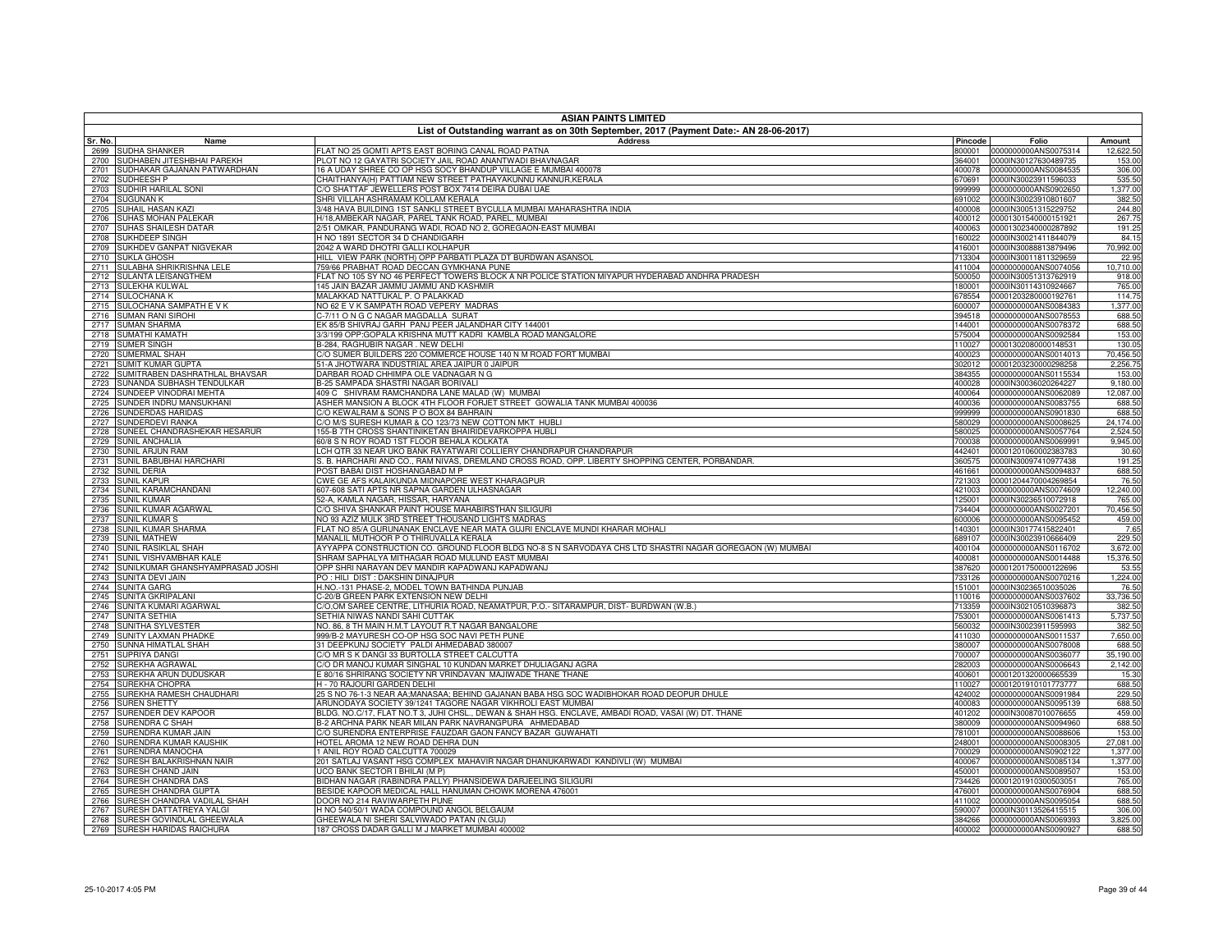|              | <b>ASIAN PAINTS LIMITED</b><br>List of Outstanding warrant as on 30th September, 2017 (Payment Date:- AN 28-06-2017) |                                                                                                                                                         |                  |                                                     |                     |
|--------------|----------------------------------------------------------------------------------------------------------------------|---------------------------------------------------------------------------------------------------------------------------------------------------------|------------------|-----------------------------------------------------|---------------------|
| Sr. No.      | Name                                                                                                                 | <b>Address</b>                                                                                                                                          | Pincode          | Folio                                               | Amount              |
| 2699         | SUDHA SHANKER                                                                                                        | FLAT NO 25 GOMTI APTS EAST BORING CANAL ROAD PATNA                                                                                                      | 800001           | 0000000000ANS0075314                                | 12,622.50           |
| 2700         | SUDHABEN JITESHBHAI PAREKH                                                                                           | PLOT NO 12 GAYATRI SOCIETY JAIL ROAD ANANTWADI BHAVNAGAR                                                                                                | 364001           | 0000IN30127630489735                                | 153.00              |
| 2701         | SUDHAKAR GAJANAN PATWARDHAN                                                                                          | 16 A UDAY SHREE CO OP HSG SOCY BHANDUP VILLAGE E MUMBAI 400078                                                                                          | 400078           | 0000000000ANS0084535                                | 306.00              |
| 2702         | SUDHEESH P                                                                                                           | CHAITHANYA(H) PATTIAM NEW STREET PATHAYAKUNNU KANNUR,KERALA                                                                                             | 670691           | 0000IN30023911596033                                | 535.50              |
| 2703<br>2704 | SUDHIR HARILAL SONI<br><b>SUGUNAN K</b>                                                                              | C/O SHATTAF JEWELLERS POST BOX 7414 DEIRA DUBAI UAE<br>SHRI VILLAH ASHRAMAM KOLLAM KERALA                                                               | 999999<br>691002 | 0000000000ANS0902650<br>0000IN30023910801607        | 1,377.00<br>382.50  |
| 2705         | SUHAIL HASAN KAZI                                                                                                    | 3/48 HAVA BUILDING 1ST SANKLI STREET BYCULLA MUMBAI MAHARASHTRA INDIA                                                                                   | 400008           | 0000IN30051315229752                                | 244.80              |
| 2706         | SUHAS MOHAN PALEKAR                                                                                                  | H/18, AMBEKAR NAGAR, PAREL TANK ROAD, PAREL, MUMBAI                                                                                                     |                  | 400012 00001301540000151921                         | 267.75              |
| 2707         | SUHAS SHAILESH DATAR                                                                                                 | 2/51 OMKAR, PANDURANG WADI, ROAD NO 2, GOREGAON-EAST MUMBAI                                                                                             | 400063           | 00001302340000287892                                | 191.25              |
| 2708         | SUKHDEEP SINGH                                                                                                       | H NO 1891 SECTOR 34 D CHANDIGARH                                                                                                                        | 160022           | 0000IN30021411844079                                | 84.15               |
| 2709         | SUKHDEV GANPAT NIGVEKAR                                                                                              | 2042 A WARD DHOTRI GALLI KOLHAPUR                                                                                                                       | 416001           | 0000IN30088813879496                                | 70,992.00           |
| 2710         | <b>SUKLA GHOSH</b>                                                                                                   | HILL VIEW PARK (NORTH) OPP PARBATI PLAZA DT BURDWAN ASANSOL                                                                                             | 713304           | 0000IN30011811329659                                | 22.95               |
| 2711<br>2712 | SULABHA SHRIKRISHNA LELE<br>SULANTA LEISANGTHEM                                                                      | 759/66 PRABHAT ROAD DECCAN GYMKHANA PUNE<br>FLAT NO 105 SY NO 46 PERFECT TOWERS BLOCK A NR POLICE STATION MIYAPUR HYDERABAD ANDHRA PRADESH              | 411004<br>500050 | 0000000000ANS0074056<br>0000IN30051313762919        | 10,710.00<br>918.00 |
| 2713         | SULEKHA KULWAL                                                                                                       | 145 JAIN BAZAR JAMMU JAMMU AND KASHMIR                                                                                                                  | 180001           | 0000IN30114310924667                                | 765.00              |
| 2714         | <b>SULOCHANA K</b>                                                                                                   | MALAKKAD NATTUKAL P. O PALAKKAD                                                                                                                         | 678554           | 00001203280000192761                                | 114.75              |
| 2715         | SULOCHANA SAMPATH E V K                                                                                              | NO 62 E V K SAMPATH ROAD VEPERY MADRAS                                                                                                                  | 600007           | 0000000000ANS0084383                                | 1,377.00            |
| 2716         | <b>SUMAN RANI SIROHI</b>                                                                                             | C-7/11 ON G C NAGAR MAGDALLA SURAT                                                                                                                      | 394518           | 0000000000ANS0078553                                | 688.50              |
| 2717         | <b>SUMAN SHARMA</b>                                                                                                  | EK 85/B SHIVRAJ GARH PANJ PEER JALANDHAR CITY 144001                                                                                                    | 144001           | 0000000000ANS0078372                                | 688.50              |
| 2718         | SUMATHI KAMATH                                                                                                       | 3/3/199 OPP:GOPALA KRISHNA MUTT KADRI KAMBLA ROAD MANGALORE                                                                                             | 575004           | 0000000000ANS0092584                                | 153.00              |
| 2719         | <b>SUMER SINGH</b>                                                                                                   | B-284, RAGHUBIR NAGAR . NEW DELHI                                                                                                                       | 110027           | 00001302080000148531                                | 130.05              |
| 2720         | SUMERMAL SHAH                                                                                                        | C/O SUMER BUILDERS 220 COMMERCE HOUSE 140 N M ROAD FORT MUMBAI<br>51-A JHOTWARA INDUSTRIAL AREA JAIPUR 0 JAIPUR                                         | 400023           | 0000000000ANS0014013                                | 70,456.50           |
| 2721<br>2722 | <b>SUMIT KUMAR GUPTA</b><br>SUMITRABEN DASHRATHLAL BHAVSAR                                                           | DARBAR ROAD CHHIMPA OLE VADNAGAR N G                                                                                                                    | 384355           | 302012 00001203230000298258<br>0000000000ANS0115534 | 2,256.75<br>153.00  |
| 2723         | SUNANDA SUBHASH TENDULKAR                                                                                            | B-25 SAMPADA SHASTRI NAGAR BORIVALI                                                                                                                     | 400028           | 0000IN30036020264227                                | 9,180.00            |
| 2724         | SUNDEEP VINODRAI MEHTA                                                                                               | 409 C SHIVRAM RAMCHANDRA LANE MALAD (W) MUMBAI                                                                                                          | 400064           | 0000000000ANS0062089                                | 12,087.00           |
| 2725         | SUNDER INDRU MANSUKHANI                                                                                              | ASHER MANSION A BLOCK 4TH FLOOR FORJET STREET GOWALIA TANK MUMBAI 400036                                                                                | 400036           | 0000000000ANS0083755                                | 688.50              |
| 2726         | SUNDERDAS HARIDAS                                                                                                    | C/O KEWALRAM & SONS P O BOX 84 BAHRAIN                                                                                                                  | 999999           | 0000000000ANS0901830                                | 688.50              |
| 2727         | SUNDERDEVI RANKA                                                                                                     | C/O M/S SURESH KUMAR & CO 123/73 NEW COTTON MKT HUBLI                                                                                                   | 580029           | 0000000000ANS0008625                                | 24,174.00           |
| 2728         | SUNEEL CHANDRASHEKAR HESARUR                                                                                         | 155-B 7TH CROSS SHANTINIKETAN BHAIRIDEVARKOPPA HUBLI                                                                                                    | 580025           | 0000000000ANS0057764                                | 2,524.50            |
| 2729         | <b>SUNIL ANCHALIA</b>                                                                                                | 60/8 S N ROY ROAD 1ST FLOOR BEHALA KOLKATA<br>LCH QTR 33 NEAR UKO BANK RAYATWARI COLLIERY CHANDRAPUR CHANDRAPUR                                         | 700038<br>442401 | 0000000000ANS0069991<br>00001201060002383783        | 9,945.00<br>30.60   |
| 2730<br>2731 | SUNIL ARJUN RAM<br>SUNIL BABUBHAI HARCHARI                                                                           | S. B. HARCHARI AND CO., RAM NIVAS, DREMLAND CROSS ROAD, OPP. LIBERTY SHOPPING CENTER, PORBANDAR.                                                        | 360575           | 0000IN30097410977438                                | 191.25              |
| 2732         | <b>SUNIL DERIA</b>                                                                                                   | POST BABAI DIST HOSHANGABAD M P                                                                                                                         | 461661           | 0000000000ANS0094837                                | 688.50              |
| 2733         | <b>SUNIL KAPUR</b>                                                                                                   | CWE GE AFS KALAIKUNDA MIDNAPORE WEST KHARAGPUR                                                                                                          | 721303           | 00001204470004269854                                | 76.50               |
| 2734         | SUNIL KARAMCHANDANI                                                                                                  | 607-608 SATI APTS NR SAPNA GARDEN ULHASNAGAR                                                                                                            | 421003           | 0000000000ANS0074609                                | 12,240.00           |
| 2735         | <b>SUNIL KUMAR</b>                                                                                                   | 52-A, KAMLA NAGAR, HISSAR, HARYANA                                                                                                                      | 125001           | 0000IN30236510072918                                | 765.00              |
| 2736         | SUNIL KUMAR AGARWAL                                                                                                  | C/O SHIVA SHANKAR PAINT HOUSE MAHABIRSTHAN SILIGURI                                                                                                     | 734404           | 0000000000ANS0027201                                | 70,456.50           |
| 2737         | <b>SUNIL KUMAR S</b>                                                                                                 | NO 93 AZIZ MULK 3RD STREET THOUSAND LIGHTS MADRAS                                                                                                       | 600006           | 0000000000ANS0095452                                | 459.00              |
| 2738<br>2739 | SUNIL KUMAR SHARMA<br><b>SUNIL MATHEW</b>                                                                            | FLAT NO 85/A GURUNANAK ENCLAVE NEAR MATA GUJRI ENCLAVE MUNDI KHARAR MOHALI<br>MANALIL MUTHOOR P O THIRUVALLA KERALA                                     | 140301<br>689107 | 0000IN30177415822401<br>0000IN30023910666409        | 7.65<br>229.50      |
| 2740         | SUNIL RASIKLAL SHAH                                                                                                  | AYYAPPA CONSTRUCTION CO. GROUND FLOOR BLDG NO-8 S N SARVODAYA CHS LTD SHASTRI NAGAR GOREGAON (W) MUMBAI                                                 | 400104           | 0000000000ANS0116702                                | 3,672.00            |
| 2741         | SUNIL VISHVAMBHAR KALE                                                                                               | SHRAM SAPHALYA MITHAGAR ROAD MULUND EAST MUMBAI                                                                                                         | 400081           | 0000000000ANS0014488                                | 15,376.50           |
| 2742         | SUNILKUMAR GHANSHYAMPRASAD JOSHI                                                                                     | OPP SHRI NARAYAN DEV MANDIR KAPADWANJ KAPADWANJ                                                                                                         | 387620           | 00001201750000122696                                | 53.55               |
| 2743         | SUNITA DEVI JAIN                                                                                                     | PO: HILI DIST: DAKSHIN DINAJPUR                                                                                                                         | 733126           | 0000000000ANS0070216                                | 1,224.00            |
| 2744         | <b>SUNITA GARG</b>                                                                                                   | H.NO.-131 PHASE-2, MODEL TOWN BATHINDA PUNJAB                                                                                                           | 151001           | 0000IN30236510035026                                | 76.50               |
| 2745         | SUNITA GKRIPALANI                                                                                                    | C-20/B GREEN PARK EXTENSION NEW DELHI                                                                                                                   | 110016           | 0000000000ANS0037602                                | 33,736.50           |
| 2746<br>2747 | SUNITA KUMARI AGARWAL<br><b>SUNITA SETHIA</b>                                                                        | C/O,OM SAREE CENTRE, LITHURIA ROAD, NEAMATPUR, P.O.- SITARAMPUR, DIST- BURDWAN (W.B.)<br>SETHIA NIWAS NANDI SAHI CUTTAK                                 | 713359<br>753001 | 0000IN30210510396873<br>0000000000ANS0061413        | 382.50<br>5,737.50  |
| 2748         | SUNITHA SYLVESTER                                                                                                    | NO. 86, 8 TH MAIN H.M.T LAYOUT R.T NAGAR BANGALORE                                                                                                      | 560032           | 0000IN30023911595993                                | 382.50              |
| 2749         | SUNITY LAXMAN PHADKE                                                                                                 | 999/B-2 MAYURESH CO-OP HSG SOC NAVI PETH PUNE                                                                                                           |                  | 411030 0000000000ANS0011537                         | 7,650.00            |
| 2750         | SUNNA HIMATLAL SHAH                                                                                                  | 31 DEEPKUNJ SOCIETY PALDI AHMEDABAD 380007                                                                                                              | 380007           | 0000000000ANS0078008                                | 688.50              |
| 2751         | SUPRIYA DANGI                                                                                                        | C/O MR S K DANGI 33 BURTOLLA STREET CALCUTTA                                                                                                            | 700007           | 0000000000ANS0036077                                | 35,190.00           |
| 2752         | SUREKHA AGRAWAI                                                                                                      | C/O DR MANOJ KUMAR SINGHAL 10 KUNDAN MARKET DHULIAGANJ AGRA                                                                                             | 282003           | 0000000000ANS0006643                                | 2,142.00            |
| 2753         | SUREKHA ARUN DUDUSKAR                                                                                                | <b>80/16 SHRIRANG SOCIETY NR VRINDAVAN MAJIWADE THANE THANE</b>                                                                                         | 400601           | 00001201320000665539                                | 15.30               |
| 2754         | SUREKHA CHOPRA                                                                                                       | H - 70 RAJOURI GARDEN DELHI                                                                                                                             | 110027           | 00001201910101773777                                | 688.50              |
| 2755<br>2756 | SUREKHA RAMESH CHAUDHARI<br>SUREN SHETTY                                                                             | 25 S NO 76-1-3 NEAR AA;MANASAA; BEHIND GAJANAN BABA HSG SOC WADIBHOKAR ROAD DEOPUR DHULE<br>ARUNODAYA SOCIETY 39/1241 TAGORE NAGAR VIKHROLI EAST MUMBAI | 424002<br>400083 | 0000000000ANS0091984<br>0000000000ANS0095139        | 229.50<br>688.50    |
| 2757         | SURENDER DEV KAPOOR                                                                                                  | BLDG. NO.C/17, FLAT NO.T 3, JUHI CHSL., DEWAN & SHAH HSG. ENCLAVE, AMBADI ROAD, VASAI (W) DT. THANE                                                     | 401202           | 0000IN30087010076655                                | 459.00              |
| 2758         | SURENDRA C SHAH                                                                                                      | B-2 ARCHNA PARK NEAR MILAN PARK NAVRANGPURA AHMEDABAD                                                                                                   | 380009           | 0000000000ANS0094960                                | 688.50              |
| 2759         | SURENDRA KUMAR JAIN                                                                                                  | C/O SURENDRA ENTERPRISE FAUZDAR GAON FANCY BAZAR GUWAHATI                                                                                               | 781001           | 0000000000ANS0088606                                | 153.00              |
| 2760         | SURENDRA KUMAR KAUSHIK                                                                                               | HOTEL AROMA 12 NEW ROAD DEHRA DUN                                                                                                                       | 248001           | 0000000000ANS0008305                                | 27,081.00           |
| 2761         | SURENDRA MANOCHA                                                                                                     | 1 ANIL ROY ROAD CALCUTTA 700029                                                                                                                         | 700029           | 0000000000ANS0902122                                | 1,377.00            |
| 2762         | SURESH BALAKRISHNAN NAIR                                                                                             | 201 SATLAJ VASANT HSG COMPLEX MAHAVIR NAGAR DHANUKARWADI KANDIVLI (W) MUMBAI                                                                            | 400067           | 0000000000ANS0085134                                | 1,377.00            |
| 2763<br>2764 | SURESH CHAND JAIN<br>SURESH CHANDRA DAS                                                                              | UCO BANK SECTOR I BHILAI (M P)<br>BIDHAN NAGAR (RABINDRA PALLY) PHANSIDEWA DARJEELING SILIGURI                                                          | 450001<br>734426 | 0000000000ANS0089507<br>00001201910300503051        | 153.00<br>765.00    |
| 2765         | SURESH CHANDRA GUPTA                                                                                                 | BESIDE KAPOOR MEDICAL HALL HANUMAN CHOWK MORENA 476001                                                                                                  | 476001           | 0000000000ANS0076904                                | 688.50              |
| 2766         | SURESH CHANDRA VADILAL SHAH                                                                                          | DOOR NO 214 RAVIWARPETH PUNE                                                                                                                            | 411002           | 0000000000ANS0095054                                | 688.50              |
| 2767         | SURESH DATTATREYA YALGI                                                                                              | H NO 540/50/1 WADA COMPOUND ANGOL BELGAUM                                                                                                               | 590007           | 0000IN30113526415515                                | 306.00              |
| 2768         | SURESH GOVINDLAL GHEEWALA                                                                                            | GHEEWALA NI SHERI SALVIWADO PATAN (N.GUJ)                                                                                                               | 384266           | 0000000000ANS0069393                                | 3,825.00            |
| 2769         | SURESH HARIDAS RAICHURA                                                                                              | 187 CROSS DADAR GALLI M J MARKET MUMBAI 400002                                                                                                          |                  | 400002 0000000000ANS0090927                         | 688.50              |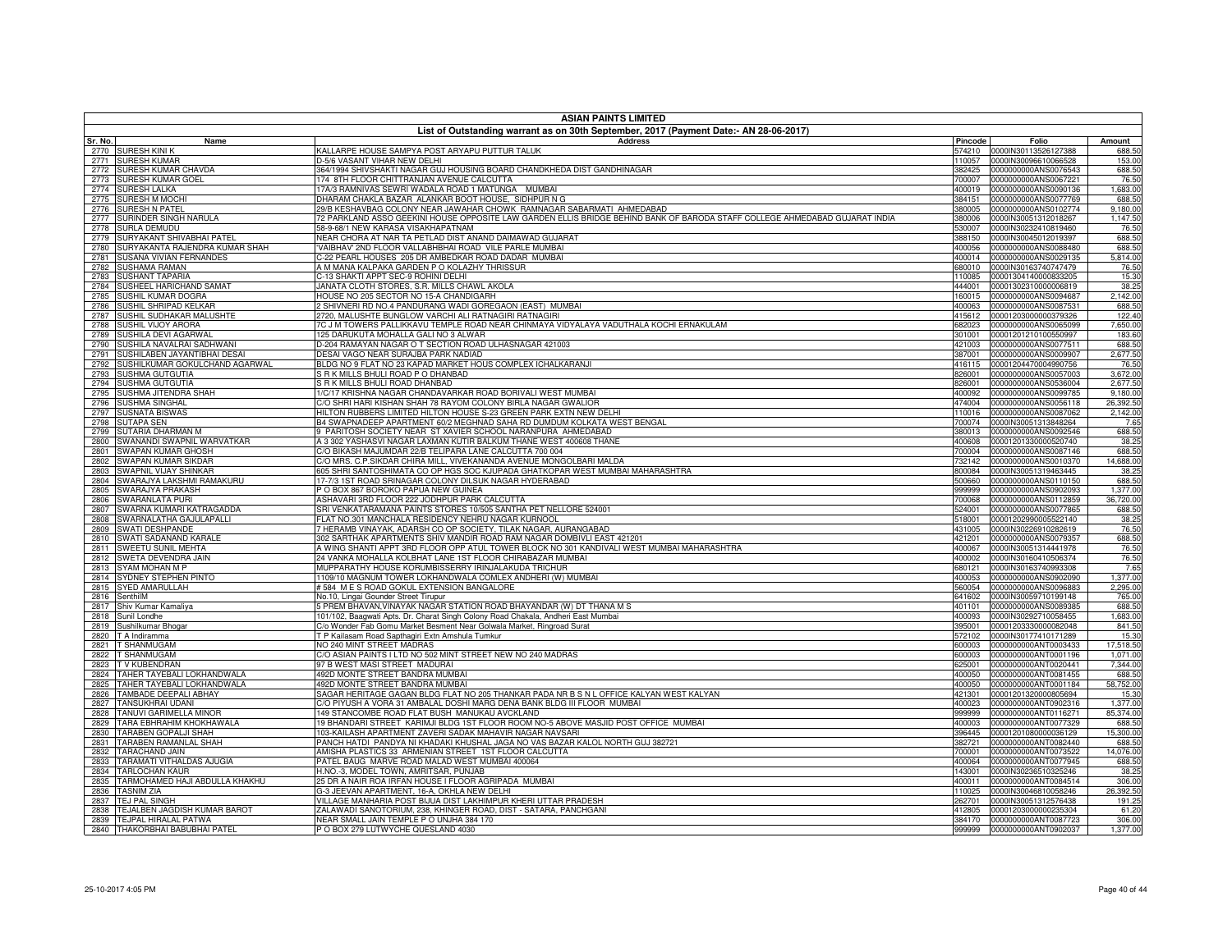| <b>ASIAN PAINTS LIMITED</b><br>List of Outstanding warrant as on 30th September, 2017 (Payment Date:- AN 28-06-2017) |                                                                                                                                                                      |                  |                                              |                       |
|----------------------------------------------------------------------------------------------------------------------|----------------------------------------------------------------------------------------------------------------------------------------------------------------------|------------------|----------------------------------------------|-----------------------|
| Sr. No.<br>Name                                                                                                      | <b>Address</b>                                                                                                                                                       | Pincode          | Folio                                        | Amount                |
| 2770 SURESH KINI K                                                                                                   | KALLARPE HOUSE SAMPYA POST ARYAPU PUTTUR TALUK                                                                                                                       |                  | 574210 0000IN30113526127388                  | 688.50                |
| <b>SURESH KUMAR</b><br>2771                                                                                          | D-5/6 VASANT VIHAR NEW DELHI                                                                                                                                         | 110057           | 0000IN30096610066528                         | 153.00                |
| SURESH KUMAR CHAVDA<br>2772                                                                                          | 864/1994 SHIVSHAKTI NAGAR GUJ HOUSING BOARD CHANDKHEDA DIST GANDHINAGAR                                                                                              | 382425           | 0000000000ANS0076543                         | 688.50                |
| SURESH KUMAR GOEL<br>2773<br>2774<br><b>SURESH LALKA</b>                                                             | 174 8TH FLOOR CHITTRANJAN AVENUE CALCUTTA<br>7A/3 RAMNIVAS SEWRI WADALA ROAD 1 MATUNGA MUMBAI                                                                        | 700007<br>400019 | 0000000000ANS0067221<br>0000000000ANS0090136 | 76.50<br>1,683.00     |
| <b>SURESH M MOCHI</b><br>2775                                                                                        | HARAM CHAKLA BAZAR ALANKAR BOOT HOUSE, SIDHPUR N G                                                                                                                   | 384151           | 0000000000ANS0077769                         | 688.50                |
| <b>SURESH N PATEL</b><br>2776                                                                                        | 29/B KESHAVBAG COLONY NEAR JAWAHAR CHOWK RAMNAGAR SABARMATI AHMEDABAD                                                                                                | 380005           | 0000000000ANS0102774                         | 9,180.00              |
| SURINDER SINGH NARULA<br>2777                                                                                        | 2 PARKLAND ASSO GEEKINI HOUSE OPPOSITE LAW GARDEN ELLIS BRIDGE BEHIND BANK OF BARODA STAFF COLLEGE AHMEDABAD GUJARAT INDIA                                           | 380006           | 0000IN30051312018267                         | 1,147.50              |
| 2778<br><b>SURLA DEMUDU</b>                                                                                          | 58-9-68/1 NEW KARASA VISAKHAPATNAM                                                                                                                                   | 530007           | 0000IN30232410819460                         | 76.50                 |
| SURYAKANT SHIVABHAI PATEL<br>2779                                                                                    | JEAR CHORA AT NAR TA PETLAD DIST ANAND DAIMAWAD GUJARAT                                                                                                              | 388150           | 0000IN30045012019397                         | 688.50                |
| SURYAKANTA RAJENDRA KUMAR SHAH<br>2780<br>SUSANA VIVIAN FERNANDES<br>2781                                            | VAIBHAV' 2ND FLOOR VALLABHBHAI ROAD VILE PARLE MUMBAI<br>-22 PEARL HOUSES 205 DR AMBEDKAR ROAD DADAR MUMBAI                                                          | 400056<br>400014 | 0000000000ANS0088480<br>0000000000ANS0029135 | 688.50<br>5,814.00    |
| SUSHAMA RAMAN<br>2782                                                                                                | A M MANA KALPAKA GARDEN P O KOLAZHY THRISSUR                                                                                                                         | 680010           | 0000IN30163740747479                         | 76.50                 |
| <b>SUSHANT TAPARIA</b><br>2783                                                                                       | -13 SHAKTI APPT SEC-9 ROHINI DELHI                                                                                                                                   | 110085           | 00001304140000833205                         | 15.30                 |
| SUSHEEL HARICHAND SAMAT<br>2784                                                                                      | JANATA CLOTH STORES, S.R. MILLS CHAWL AKOLA                                                                                                                          | 444001           | 00001302310000006819                         | 38.25                 |
| SUSHIL KUMAR DOGRA<br>2785                                                                                           | IOUSE NO 205 SECTOR NO 15-A CHANDIGARH                                                                                                                               | 160015           | 0000000000ANS0094687                         | 2,142.00              |
| SUSHIL SHRIPAD KELKAR<br>2786                                                                                        | SHIVNERI RD NO.4 PANDURANG WADI GOREGAON (EAST) MUMBAI                                                                                                               | 400063           | 0000000000ANS0087531                         | 688.50                |
| SUSHIL SUDHAKAR MALUSHTE<br>2787<br>SUSHIL VIJOY ARORA<br>2788                                                       | 720, MALUSHTE BUNGLOW VARCHI ALI RATNAGIRI RATNAGIRI<br>7C J M TOWERS PALLIKKAVU TEMPLE ROAD NEAR CHINMAYA VIDYALAYA VADUTHALA KOCHI ERNAKULAM                       | 415612<br>682023 | 00001203000000379326<br>0000000000ANS0065099 | 122.40<br>7,650.00    |
| SUSHILA DEVI AGARWAI<br>2789                                                                                         | 25 DARUKUTA MOHALLA GALI NO 3 ALWAR                                                                                                                                  | 301001           | 00001201210100550997                         | 183.60                |
| SUSHILA NAVALRAI SADHWANI<br>2790                                                                                    | 0-204 RAMAYAN NAGAR O T SECTION ROAD ULHASNAGAR 421003                                                                                                               | 421003           | 0000000000ANS0077511                         | 688.50                |
| SUSHILABEN JAYANTIBHAI DESAI<br>2791                                                                                 | DESAI VAGO NEAR SURAJBA PARK NADIAD                                                                                                                                  | 387001           | 0000000000ANS0009907                         | 2,677.50              |
| SUSHILKUMAR GOKULCHAND AGARWAL<br>2792                                                                               | BLDG NO 9 FLAT NO 23 KAPAD MARKET HOUS COMPLEX ICHALKARANJI                                                                                                          | 416115           | 00001204470004990756                         | 76.50                 |
| SUSHMA GUTGUTIA<br>2793                                                                                              | R K MILLS BHULI ROAD P O DHANBAD                                                                                                                                     | 826001           | 0000000000ANS0057003                         | 3,672.00              |
| SUSHMA GUTGUTIA<br>2794                                                                                              | <b>RK MILLS BHULI ROAD DHANBAD</b>                                                                                                                                   | 826001           | 0000000000ANS0536004                         | 2,677.50              |
| SUSHMA JITENDRA SHAH<br>2795<br>SUSHMA SINGHAL<br>2796                                                               | I/C/17 KRISHNA NAGAR CHANDAVARKAR ROAD BORIVALI WEST MUMBAI<br>% SHRI HARI KISHAN SHAH 78 RAYOM COLONY BIRLA NAGAR GWALIOR                                           | 400092<br>474004 | 0000000000ANS0099785<br>0000000000ANS0056118 | 9,180.00<br>26,392.50 |
| SUSNATA BISWAS<br>2797                                                                                               | IILTON RUBBERS LIMITED HILTON HOUSE S-23 GREEN PARK EXTN NEW DELHI                                                                                                   | 110016           | 0000000000ANS0087062                         | 2,142.00              |
| <b>SUTAPA SEN</b><br>2798                                                                                            | 34 SWAPNADEEP APARTMENT 60/2 MEGHNAD SAHA RD DUMDUM KOLKATA WEST BENGAL                                                                                              | 700074           | 0000IN30051313848264                         | 7.65                  |
| SUTARIA DHARMAN M<br>2799                                                                                            | 9 PARITOSH SOCIETY NEAR ST XAVIER SCHOOL NARANPURA AHMEDABAD                                                                                                         | 380013           | 0000000000ANS0092546                         | 688.50                |
| SWANANDI SWAPNIL WARVATKAR<br>2800                                                                                   | 4 3 302 YASHASVI NAGAR LAXMAN KUTIR BALKUM THANE WEST 400608 THANE                                                                                                   | 400608           | 00001201330000520740                         | 38.25                 |
| SWAPAN KUMAR GHOSH<br>2801                                                                                           | C/O BIKASH MAJUMDAR 22/B TELIPARA LANE CALCUTTA 700 004                                                                                                              | 700004           | 0000000000ANS0087146                         | 688.50                |
| SWAPAN KUMAR SIKDAR<br>2802                                                                                          | C/O MRS. C.P.SIKDAR CHIRA MILL, VIVEKANANDA AVENUE MONGOLBARI MALDA                                                                                                  | 732142           | 0000000000ANS0010370                         | 14,688.00             |
| SWAPNIL VIJAY SHINKAR<br>2803<br>SWARAJYA LAKSHMI RAMAKURU<br>2804                                                   | 605 SHRI SANTOSHIMATA CO OP HGS SOC KJUPADA GHATKOPAR WEST MUMBAI MAHARASHTRA<br>17-7/3 1ST ROAD SRINAGAR COLONY DILSUK NAGAR HYDERABAD                              | 800084<br>500660 | 0000IN30051319463445<br>0000000000ANS0110150 | 38.25<br>688.50       |
| SWARAJYA PRAKASH<br>2805                                                                                             | O BOX 867 BOROKO PAPUA NEW GUINEA                                                                                                                                    | 999999           | 0000000000ANS0902093                         | 1,377.00              |
| SWARANLATA PURI<br>2806                                                                                              | ASHAVARI 3RD FLOOR 222 JODHPUR PARK CALCUTTA                                                                                                                         | 700068           | 0000000000ANS0112859                         | 36,720.00             |
| SWARNA KUMARI KATRAGADDA<br>2807                                                                                     | SRI VENKATARAMANA PAINTS STORES 10/505 SANTHA PET NELLORE 524001                                                                                                     | 524001           | 0000000000ANS0077865                         | 688.50                |
| SWARNALATHA GAJULAPALLI<br>2808                                                                                      | <b>ELAT NO.301 MANCHALA RESIDENCY NEHRU NAGAR KURNOOL</b>                                                                                                            | 518001           | 00001202990005522140                         | 38.25                 |
| SWATI DESHPANDE<br>2809                                                                                              | HERAMB VINAYAK, ADARSH CO OP SOCIETY, TILAK NAGAR, AURANGABAD                                                                                                        | 431005           | 0000IN30226910282619                         | 76.50                 |
| SWATI SADANAND KARALE<br>2810<br>SWEETU SUNIL MEHTA<br>2811                                                          | 302 SARTHAK APARTMENTS SHIV MANDIR ROAD RAM NAGAR DOMBIVLI EAST 421201<br>A WING SHANTI APPT 3RD FLOOR OPP ATUL TOWER BLOCK NO 301 KANDIVALI WEST MUMBAI MAHARASHTRA | 421201<br>400067 | 0000000000ANS0079357<br>0000IN30051314441978 | 688.50<br>76.50       |
| SWETA DEVENDRA JAIN<br>2812                                                                                          | 24 VANKA MOHALLA KOLBHAT LANE 1ST FLOOR CHIRABAZAR MUMBAI                                                                                                            | 400002           | 0000IN30160410506374                         | 76.50                 |
| 2813<br>SYAM MOHAN M P                                                                                               | MUPPARATHY HOUSE KORUMBISSERRY IRINJALAKUDA TRICHUR                                                                                                                  | 680121           | 0000IN30163740993308                         | 7.65                  |
| SYDNEY STEPHEN PINTO<br>2814                                                                                         | 1109/10 MAGNUM TOWER LOKHANDWALA COMLEX ANDHERI (W) MUMBAI                                                                                                           | 400053           | 0000000000ANS0902090                         | 1,377.00              |
| 2815<br>SYED AMARULLAH                                                                                               | #584 M E S ROAD GOKUL EXTENSION BANGALORE                                                                                                                            | 560054           | 0000000000ANS0096883                         | 2,295.00              |
| 2816<br>SenthilM                                                                                                     | No.10, Lingai Gounder Street Tirupur                                                                                                                                 | 641602           | 0000IN30059710199148                         | 765.00                |
| 2817<br>Shiv Kumar Kamaliya<br>2818<br>Sunil Londhe                                                                  | 5 PREM BHAVAN, VINAYAK NAGAR STATION ROAD BHAYANDAR (W) DT THANA M S<br>101/102, Baagwati Apts. Dr. Charat Singh Colony Road Chakala, Andheri East Mumbai            | 401101<br>400093 | 0000000000ANS0089385<br>0000IN30292710058455 | 688.50<br>1,683.00    |
| 2819<br>Sushilkumar Bhogar                                                                                           | C/o Wonder Fab Gomu Market Besment Near Golwala Market, Ringroad Surat                                                                                               | 395001           | 00001203330000082048                         | 841.50                |
| 2820<br>T A Indiramma                                                                                                | T P Kailasam Road Sapthagiri Extn Amshula Tumkur                                                                                                                     | 572102           | 0000IN30177410171289                         | 15.30                 |
| T SHANMUGAM<br>2821                                                                                                  | <b>IO 240 MINT STREET MADRAS</b>                                                                                                                                     | 600003           | 0000000000ANT0003433                         | 17,518.50             |
| T SHANMUGAM<br>2822                                                                                                  | /O ASIAN PAINTS I LTD NO 502 MINT STREET NEW NO 240 MADRAS                                                                                                           | 600003           | 0000000000ANT0001196                         | 1,071.00              |
| T V KUBENDRAN<br>2823                                                                                                | 97 B WEST MASI STREET MADURAI                                                                                                                                        | 625001           | 0000000000ANT0020441                         | 7,344.00              |
| TAHER TAYEBALI LOKHANDWALA<br>2824<br><b>TAHER TAYEBALI LOKHANDWALA</b><br>2825                                      | 492D MONTE STREET BANDRA MUMBAI<br>192D MONTE STREET BANDRA MUMBAI                                                                                                   | 400050<br>400050 | 0000000000ANT0081455<br>0000000000ANT0001184 | 688.50<br>58,752.00   |
| <b>TAMBADE DEEPALI ABHAY</b><br>2826                                                                                 | SAGAR HERITAGE GAGAN BLDG FLAT NO 205 THANKAR PADA NR B S N L OFFICE KALYAN WEST KALYAN                                                                              | 421301           | 00001201320000805694                         | 15.30                 |
| <b>TANSUKHRAI UDANI</b><br>2827                                                                                      | C/O PIYUSH A VORA 31 AMBALAL DOSHI MARG DENA BANK BLDG III FLOOR MUMBAI                                                                                              | 400023           | 0000000000ANT0902316                         | 1,377.00              |
| <b>TANUVI GARIMELLA MINOR</b><br>2828                                                                                | 149 STANCOMBE ROAD FLAT BUSH MANUKAU AVCKLAND                                                                                                                        | 999999           | 0000000000ANT0116271                         | 85,374.00             |
| <b>TARA EBHRAHIM KHOKHAWALA</b><br>2829                                                                              | 19 BHANDARI STREET KARIMJI BLDG 1ST FLOOR ROOM NO-5 ABOVE MASJID POST OFFICE MUMBAI                                                                                  | 400003           | 0000000000ANT0077329                         | 688.50                |
| <b>TARABEN GOPALJI SHAH</b><br>2830                                                                                  | 103-KAILASH APARTMENT ZAVERI SADAK MAHAVIR NAGAR NAVSARI                                                                                                             | 396445           | 00001201080000036129                         | 15,300.00             |
| TARABEN RAMANLAL SHAH<br>2831<br><b>TARACHAND JAIN</b><br>2832                                                       | PANCH HATDI PANDYA NI KHADAKI KHUSHAL JAGA NO VAS BAZAR KALOL NORTH GUJ 382721<br>AMISHA PLASTICS 33 ARMENIAN STREET 1ST FLOOR CALCUTTA                              | 382721<br>700001 | 0000000000ANT0082440<br>0000000000ANT0073522 | 688.50<br>14,076.00   |
| TARAMATI VITHALDAS AJUGIA<br>2833                                                                                    | PATEL BAUG MARVE ROAD MALAD WEST MUMBAI 400064                                                                                                                       | 400064           | 0000000000ANT0077945                         | 688.50                |
| 2834<br><b>TARLOCHAN KAUR</b>                                                                                        | H.NO.-3, MODEL TOWN, AMRITSAR, PUNJAB                                                                                                                                | 143001           | 0000IN30236510325246                         | 38.25                 |
| TARMOHAMED HAJI ABDULLA KHAKHU<br>2835                                                                               | 25 DR A NAIR ROA IRFAN HOUSE I FLOOR AGRIPADA MUMBAI                                                                                                                 | 400011           | 0000000000ANT0084514                         | 306.00                |
| <b>TASNIM ZIA</b><br>2836                                                                                            | 3-3 JEEVAN APARTMENT, 16-A, OKHLA NEW DELHI                                                                                                                          | 110025           | 0000IN30046810058246                         | 26,392.50             |
| <b>TEJ PAL SINGH</b><br>2837                                                                                         | VILLAGE MANHARIA POST BIJUA DIST LAKHIMPUR KHERI UTTAR PRADESH                                                                                                       | 262701           | 0000IN30051312576438                         | 191.25                |
| TEJALBEN JAGDISH KUMAR BAROT<br>2838<br>TEJPAL HIRALAL PATWA<br>2839                                                 | ZALAWADI SANOTORIUM, 238, KHINGER ROAD, DIST - SATARA, PANCHGANI<br>NEAR SMALL JAIN TEMPLE P O UNJHA 384 170                                                         | 412805<br>384170 | 00001203000000235304<br>0000000000ANT0087723 | 61.20<br>306.00       |
| 2840 THAKORBHAI BABUBHAI PATEL                                                                                       | P O BOX 279 LUTWYCHE QUESLAND 4030                                                                                                                                   |                  | 999999 0000000000ANT0902037                  | 1,377.00              |
|                                                                                                                      |                                                                                                                                                                      |                  |                                              |                       |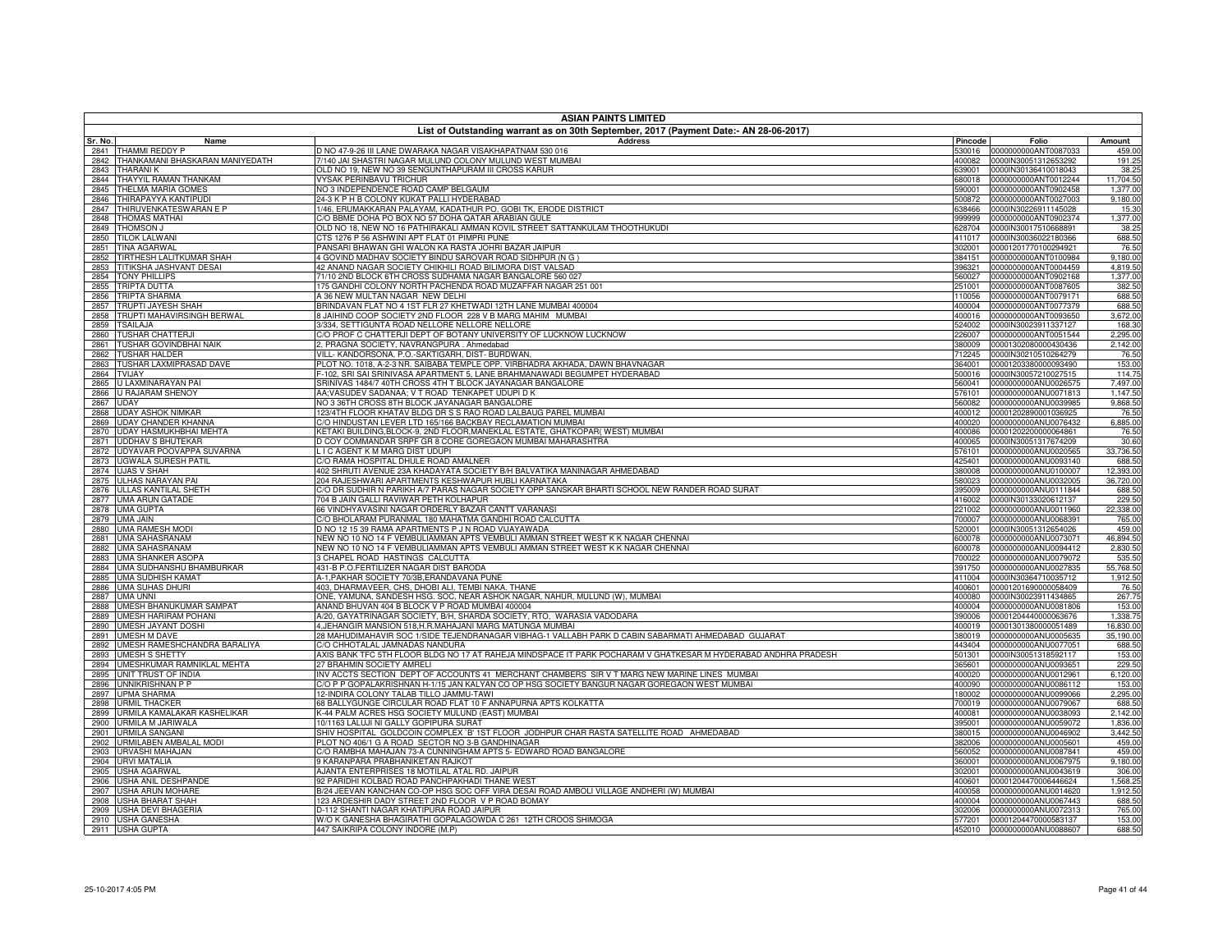|              | <b>ASIAN PAINTS LIMITED</b><br>List of Outstanding warrant as on 30th September, 2017 (Payment Date:- AN 28-06-2017) |                                                                                                                                                  |                  |                                              |                      |
|--------------|----------------------------------------------------------------------------------------------------------------------|--------------------------------------------------------------------------------------------------------------------------------------------------|------------------|----------------------------------------------|----------------------|
| Sr. No.      | Name                                                                                                                 | Address                                                                                                                                          | Pincode          | Folio                                        | Amount               |
| 2841         | THAMMI REDDY P                                                                                                       | D NO 47-9-26 III LANE DWARAKA NAGAR VISAKHAPATNAM 530 016                                                                                        | 530016           | 0000000000ANT0087033                         | 459.00               |
| 2842         | <b>THANKAMANI BHASKARAN MANIYEDATH</b>                                                                               | 7140 JAI SHASTRI NAGAR MULUND COLONY MULUND WEST MUMBAI                                                                                          | 400082           | 0000IN30051312653292                         | 191.25               |
| 2843         | <b><i>FHARANIK</i></b><br>HAYYIL RAMAN THANKAM                                                                       | <b>DLD NO 19, NEW NO 39 SENGUNTHAPURAM III CROSS KARUR</b><br><b>YSAK PERINBAVU TRICHUR</b>                                                      | 339001           | 0000IN30136410018043                         | 38.25<br>11,704.50   |
| 2844<br>2845 | THELMA MARIA GOMES                                                                                                   | IO 3 INDEPENDENCE ROAD CAMP BELGAUM                                                                                                              | 680018<br>590001 | 0000000000ANT0012244<br>0000000000ANT0902458 | 1,377.00             |
| 2846         | <b>THIRAPAYYA KANTIPUDI</b>                                                                                          | 4-3 K P H B COLONY KUKAT PALLI HYDERABAD                                                                                                         | 500872           | 0000000000ANT0027003                         | 9,180.00             |
| 2847         | THIRUVENKATESWARAN E P                                                                                               | /46, ERUMAKKARAN PALAYAM, KADATHUR PO, GOBI TK, ERODE DISTRICT                                                                                   | 638466           | 0000IN30226911145028                         | 15.30                |
| 2848         | <b>THOMAS MATHAL</b>                                                                                                 | /O BBME DOHA PO BOX NO 57 DOHA QATAR ARABIAN GULE                                                                                                | 999999           | 0000000000ANT0902374                         | 1,377.00             |
| 2849         | <b>THOMSON J</b>                                                                                                     | )LD NO 18, NEW NO 16 PATHIRAKALI AMMAN KOVIL STREET SATTANKULAM THOOTHUKUDI                                                                      | 628704           | 0000IN30017510668891                         | 38.25                |
| 2850<br>2851 | <b>TILOK LALWANI</b><br><b>TINA AGARWAL</b>                                                                          | TS 1276 P 56 ASHWINI APT FLAT 01 PIMPRI PUNE<br>PANSARI BHAWAN GHI WALON KA RASTA JOHRI BAZAR JAIPUR                                             | 411017<br>302001 | 0000IN30036022180366<br>00001201770100294921 | 688.50<br>76.50      |
| 2852         | TIRTHESH LALITKUMAR SHAH                                                                                             | GOVIND MADHAV SOCIETY BINDU SAROVAR ROAD SIDHPUR (N G )                                                                                          | 384151           | 0000000000ANT0100984                         | 9,180.00             |
| 2853         | TITIKSHA JASHVANT DESAI                                                                                              | 12 ANAND NAGAR SOCIETY CHIKHILI ROAD BILIMORA DIST VALSAD                                                                                        | 396321           | 0000000000ANT0004459                         | 4,819.50             |
| 2854         | <b>TONY PHILLIPS</b>                                                                                                 | 71/10 2ND BLOCK 6TH CROSS SUDHAMA NAGAR BANGALORE 560 027                                                                                        | 560027           | 0000000000ANT0902168                         | 1,377.00             |
| 2855         | <b>TRIPTA DUTTA</b>                                                                                                  | 75 GANDHI COLONY NORTH PACHENDA ROAD MUZAFFAR NAGAR 251 001                                                                                      | 251001           | 0000000000ANT0087605                         | 382.50               |
| 2856         | <b>TRIPTA SHARMA</b>                                                                                                 | <b>4 36 NEW MULTAN NAGAR NEW DELHI</b>                                                                                                           | 110056           | 0000000000ANT0079171                         | 688.50               |
| 2857         | <b>TRUPTI JAYESH SHAH</b><br>TRUPTI MAHAVIRSINGH BERWAL                                                              | BRINDAVAN FLAT NO 4 1ST FLR 27 KHETWADI 12TH LANE MUMBAI 400004<br>JAIHIND COOP SOCIETY 2ND FLOOR 228 V B MARG MAHIM MUMBAI                      | 400004<br>400016 | 0000000000ANT0077379<br>0000000000ANT0093650 | 688.50<br>3,672.00   |
| 2858<br>2859 | <b><i>TSAILAJA</i></b>                                                                                               | /334, SETTIGUNTA ROAD NELLORE NELLORE NELLORE                                                                                                    | 524002           | 0000IN30023911337127                         | 168.30               |
| 2860         | <b>TUSHAR CHATTERJI</b>                                                                                              | O PROF C CHATTERJI DEPT OF BOTANY UNIVERSITY OF LUCKNOW LUCKNOW                                                                                  | 226007           | 0000000000ANT0051544                         | 2,295.00             |
| 2861         | <b>TUSHAR GOVINDBHAI NAIK</b>                                                                                        | 2, PRAGNA SOCIETY, NAVRANGPURA. Ahmedabad                                                                                                        | 380009           | 00001302080000430436                         | 2.142.00             |
| 2862         | <b>TUSHAR HALDER</b>                                                                                                 | VILL- KANDORSONA, P.O.-SAKTIGARH, DIST- BURDWAN,                                                                                                 | 712245           | 0000IN30210510264279                         | 76.50                |
| 2863         | TUSHAR LAXMIPRASAD DAVE                                                                                              | PLOT NO. 1018, A-2-3 NR. SAIBABA TEMPLE OPP. VIRBHADRA AKHADA, DAWN BHAVNAGAR                                                                    | 364001           | 00001203380000093490                         | 153.00               |
| 2864         | <b>TVIJAY</b><br>U LAXMINARAYAN PAI                                                                                  | F-102, SRI SAI SRINIVASA APARTMENT 5, LANE BRAHMANAWADI BEGUMPET HYDERABAD                                                                       | 500016           | 0000IN30057210027515                         | 114.75               |
| 2865<br>2866 | J RAJARAM SHENOY                                                                                                     | SRINIVAS 1484/7 40TH CROSS 4TH T BLOCK JAYANAGAR BANGALORE<br>AA;VASUDEV SADANAA; V T ROAD TENKAPET UDUPI D K                                    | 560041<br>576101 | 0000000000ANU0026575<br>0000000000ANU0071813 | 7,497.00<br>1,147.50 |
| 2867         | <b>UDAY</b>                                                                                                          | NO 3 36TH CROSS 8TH BLOCK JAYANAGAR BANGALORE                                                                                                    | 560082           | 0000000000ANU0039985                         | 9.868.50             |
| 2868         | <b>JDAY ASHOK NIMKAR</b>                                                                                             | 123/4TH FLOOR KHATAV BLDG DR S S RAO ROAD LALBAUG PAREL MUMBAI                                                                                   | 400012           | 00001202890001036925                         | 76.50                |
| 2869         | <b>JDAY CHANDER KHANNA</b>                                                                                           | C/O HINDUSTAN LEVER LTD 165/166 BACKBAY RECLAMATION MUMBAI                                                                                       | 400020           | 0000000000ANU0076432                         | 6,885.00             |
| 2870         | <b>JDAY HASMUKHBHAI MEHTA</b>                                                                                        | KETAKI BUILDING.BLOCK-9, 2ND FLOOR.MANEKLAL ESTATE. GHATKOPAR( WEST) MUMBAI                                                                      | 400086           | 00001202200000064861                         | 76.50                |
| 2871         | <b>UDDHAV S BHUTEKAR</b>                                                                                             | D COY COMMANDAR SRPF GR 8 CORE GOREGAON MUMBAI MAHARASHTRA                                                                                       | 400065           | 0000IN30051317674209                         | 30.60                |
| 2872<br>2873 | JDYAVAR POOVAPPA SUVARNA<br>UGWALA SURESH PATIL                                                                      | <b>I C AGENT K M MARG DIST UDUPI</b><br>C/O RAMA HOSPITAL DHULE ROAD AMALNER                                                                     | 576101<br>425401 | 0000000000ANU0020565<br>0000000000ANU0093140 | 33,736.50<br>688.50  |
| 2874         | <b>UJAS V SHAH</b>                                                                                                   | 402 SHRUTI AVENUE 23A KHADAYATA SOCIETY B/H BALVATIKA MANINAGAR AHMEDABAD                                                                        | 380008           | 0000000000ANU0100007                         | 12,393.00            |
| 2875         | ULHAS NARAYAN PAI                                                                                                    | 204 RAJESHWARI APARTMENTS KESHWAPUR HUBLI KARNATAKA                                                                                              | 580023           | 0000000000ANU0032005                         | 36,720.00            |
| 2876         | <b>ULLAS KANTILAL SHETH</b>                                                                                          | C/O DR SUDHIR N PARIKH A/7 PARAS NAGAR SOCIETY OPP SANSKAR BHARTI SCHOOL NEW RANDER ROAD SURAT                                                   | 395009           | 0000000000ANU0111844                         | 688.50               |
| 2877         | UMA ARUN GATADE                                                                                                      | 704 B JAIN GALLI RAVIWAR PETH KOLHAPUR                                                                                                           | 416002           | 0000IN30133020612137                         | 229.50               |
| 2878         | <b>UMA GUPTA</b>                                                                                                     | 66 VINDHYAVASINI NAGAR ORDERLY BAZAR CANTT VARANASI                                                                                              | 221002           | 0000000000ANU0011960                         | 22,338.00            |
| 2879<br>2880 | <b>UMA JAIN</b><br><b>UMA RAMESH MODI</b>                                                                            | C/O BHOLARAM PURANMAL 180 MAHATMA GANDHI ROAD CALCUTTA<br>D NO 12 15 39 RAMA APARTMENTS P J N ROAD VIJAYAWADA                                    | 700007<br>520001 | 0000000000ANU0068391<br>0000IN30051312654026 | 765.00<br>459.00     |
| 2881         | <b>UMA SAHASRANAM</b>                                                                                                | NEW NO 10 NO 14 F VEMBULIAMMAN APTS VEMBULI AMMAN STREET WEST K K NAGAR CHENNAI                                                                  | 600078           | 0000000000ANU0073071                         | 46,894.50            |
| 2882         | <b>UMA SAHASRANAM</b>                                                                                                | NEW NO 10 NO 14 F VEMBULIAMMAN APTS VEMBULI AMMAN STREET WEST K K NAGAR CHENNAI                                                                  | 600078           | 0000000000ANU0094412                         | 2,830.50             |
|              | 2883 UMA SHANKER ASOPA                                                                                               | 3 CHAPEL ROAD HASTINGS CALCUTTA                                                                                                                  | 700022           | 0000000000ANU0079072                         | 535.50               |
| 2884         | UMA SUDHANSHU BHAMBURKAR                                                                                             | 431-B P.O.FERTILIZER NAGAR DIST BARODA                                                                                                           | 391750           | 0000000000ANU0027835                         | 55,768.50            |
| 2885         | <b>JMA SUDHISH KAMAT</b>                                                                                             | 4-1, PAKHAR SOCIETY 70/3B, ERANDAVANA PUNE                                                                                                       | 411004           | 0000IN30364710035712                         | 1,912.50             |
| 2886<br>2887 | <b>UMA SUHAS DHURI</b><br><b>JMA UNNI</b>                                                                            | 403, DHARMAVEER, CHS, DHOBI ALI, TEMBI NAKA. THANE<br>ONE, YAMUNA, SANDESH HSG. SOC, NEAR ASHOK NAGAR, NAHUR, MULUND (W), MUMBAI                 | 400601<br>400080 | 00001201690000058409<br>0000IN30023911434865 | 76.50<br>267.75      |
| 2888         | <b>JMESH BHANUKUMAR SAMPAT</b>                                                                                       | ANAND BHUVAN 404 B BLOCK V P ROAD MUMBAI 400004                                                                                                  | 400004           | 0000000000ANU0081806                         | 153.00               |
| 2889         | UMESH HARIRAM POHANI                                                                                                 | A/20, GAYATRINAGAR SOCIETY, B/H, SHARDA SOCIETY, RTO, WARASIA VADODARA                                                                           | 390006           | 00001204440000063676                         | 1,338.75             |
| 2890         | UMESH JAYANT DOSHI                                                                                                   | 4, JEHANGIR MANSION 518, H.R. MAHAJANI MARG MATUNGA MUMBAI                                                                                       | 400019           | 00001301380000051489                         | 16,830.00            |
| 2891         | <b>UMESH M DAVE</b>                                                                                                  | 28 MAHUDIMAHAVIR SOC 1/SIDE TEJENDRANAGAR VIBHAG-1 VALLABH PARK D CABIN SABARMATI AHMEDABAD GUJARAT                                              | 380019           | 0000000000ANU0005635                         | 35,190.00            |
| 2892<br>2893 | UMESH RAMESHCHANDRA BARALIYA<br><b>JMESH S SHETTY</b>                                                                | C/O CHHOTALAL JAMNADAS NANDURA<br>AXIS BANK TFC 5TH FLOOR BLDG NO 17 AT RAHEJA MINDSPACE IT PARK POCHARAM V GHATKESAR M HYDERABAD ANDHRA PRADESH | 443404<br>501301 | 0000000000ANU0077051<br>0000IN30051318592117 | 688.50<br>153.00     |
| 2894         | UMESHKUMAR RAMNIKLAL MEHTA                                                                                           | 27 BRAHMIN SOCIETY AMRELI                                                                                                                        | 365601           | 0000000000ANU0093651                         | 229.50               |
| 2895         | UNIT TRUST OF INDIA                                                                                                  | NV ACCTS SECTION DEPT OF ACCOUNTS 41 MERCHANT CHAMBERS SIR V T MARG NEW MARINE LINES MUMBAI                                                      | 400020           | 0000000000ANU0012961                         | 6,120.00             |
| 2896         | JNNIKRISHNAN P P                                                                                                     | ./O P P GOPALAKRISHNAN H-1/15 JAN KALYAN CO OP HSG SOCIETY BANGUR NAGAR GOREGAON WEST MUMBAI                                                     | 400090           | 0000000000ANU0086112                         | 153.00               |
| 2897         | <b>UPMA SHARMA</b>                                                                                                   | 12-INDIRA COLONY TALAB TILLO JAMMU-TAWI                                                                                                          | 180002           | 0000000000ANU0099066                         | 2,295.00             |
| 2898         | <b>URMIL THACKER</b>                                                                                                 | 68 BALLYGUNGE CIRCULAR ROAD FLAT 10 F ANNAPURNA APTS KOLKATTA                                                                                    | 700019           | 0000000000ANU0079067                         | 688.50               |
| 2899         | JRMILA KAMALAKAR KASHELIKAR<br>URMILA M JARIWALA                                                                     | 44 PALM ACRES HSG SOCIETY MULUND (EAST) MUMBAI                                                                                                   | 400081           | 0000000000ANU0038093                         | 2,142.00             |
| 2900<br>2901 | <b>JRMILA SANGANI</b>                                                                                                | 10/1163 LALUJI NI GALLY GOPIPURA SURAT<br>SHIV HOSPITAL GOLDCOIN COMPLEX `B' 1ST FLOOR JODHPUR CHAR RASTA SATELLITE ROAD AHMEDABAD               | 395001<br>380015 | 0000000000ANU0059072<br>0000000000ANU0046902 | 1,836.00<br>3,442.50 |
| 2902         | <b>JRMILABEN AMBALAL MODI</b>                                                                                        | PLOT NO 406/1 G A ROAD SECTOR NO 3-B GANDHINAGAR                                                                                                 | 382006           | 0000000000ANU0005601                         | 459.00               |
| 2903         | URVASHI MAHAJAN                                                                                                      | C/O RAMBHA MAHAJAN 73-A CUNNINGHAM APTS 5- EDWARD ROAD BANGALORE                                                                                 | 560052           | 0000000000ANU0087841                         | 459.00               |
| 2904         | <b>URVI MATALIA</b>                                                                                                  | 9 KARANPARA PRABHANIKETAN RAJKOT                                                                                                                 | 360001           | 0000000000ANU0067975                         | 9,180.00             |
| 2905         | <b>JSHA AGARWAL</b>                                                                                                  | AJANTA ENTERPRISES 18 MOTILAL ATAL RD. JAIPUR                                                                                                    | 302001           | 0000000000ANU0043619                         | 306.00               |
| 2906<br>2907 | USHA ANIL DESHPANDE<br><b>USHA ARUN MOHARE</b>                                                                       | 92 PARIDHI KOLBAD ROAD PANCHPAKHADI THANE WEST<br>B/24 JEEVAN KANCHAN CO-OP HSG SOC OFF VIRA DESAI ROAD AMBOLI VILLAGE ANDHERI (W) MUMBAI        | 400601<br>400058 | 00001204470006446624<br>0000000000ANU0014620 | 1,568.25             |
| 2908         | USHA BHARAT SHAH                                                                                                     | 123 ARDESHIR DADY STREET 2ND FLOOR V P ROAD BOMAY                                                                                                | 400004           | 0000000000ANU0067443                         | 1,912.50<br>688.50   |
| 2909         | USHA DEVI BHAGERIA                                                                                                   | D-112 SHANTI NAGAR KHATIPURA ROAD JAIPUR                                                                                                         | 302006           | 0000000000ANU0072313                         | 765.00               |
|              | 2910 USHA GANESHA                                                                                                    | W/O K GANESHA BHAGIRATHI GOPALAGOWDA C 261 12TH CROOS SHIMOGA                                                                                    | 577201           | 00001204470000583137                         | 153.00               |
|              | 2911 USHA GUPTA                                                                                                      | 447 SAIKRIPA COLONY INDORE (M.P)                                                                                                                 |                  | 452010 0000000000ANU0088607                  | 688.50               |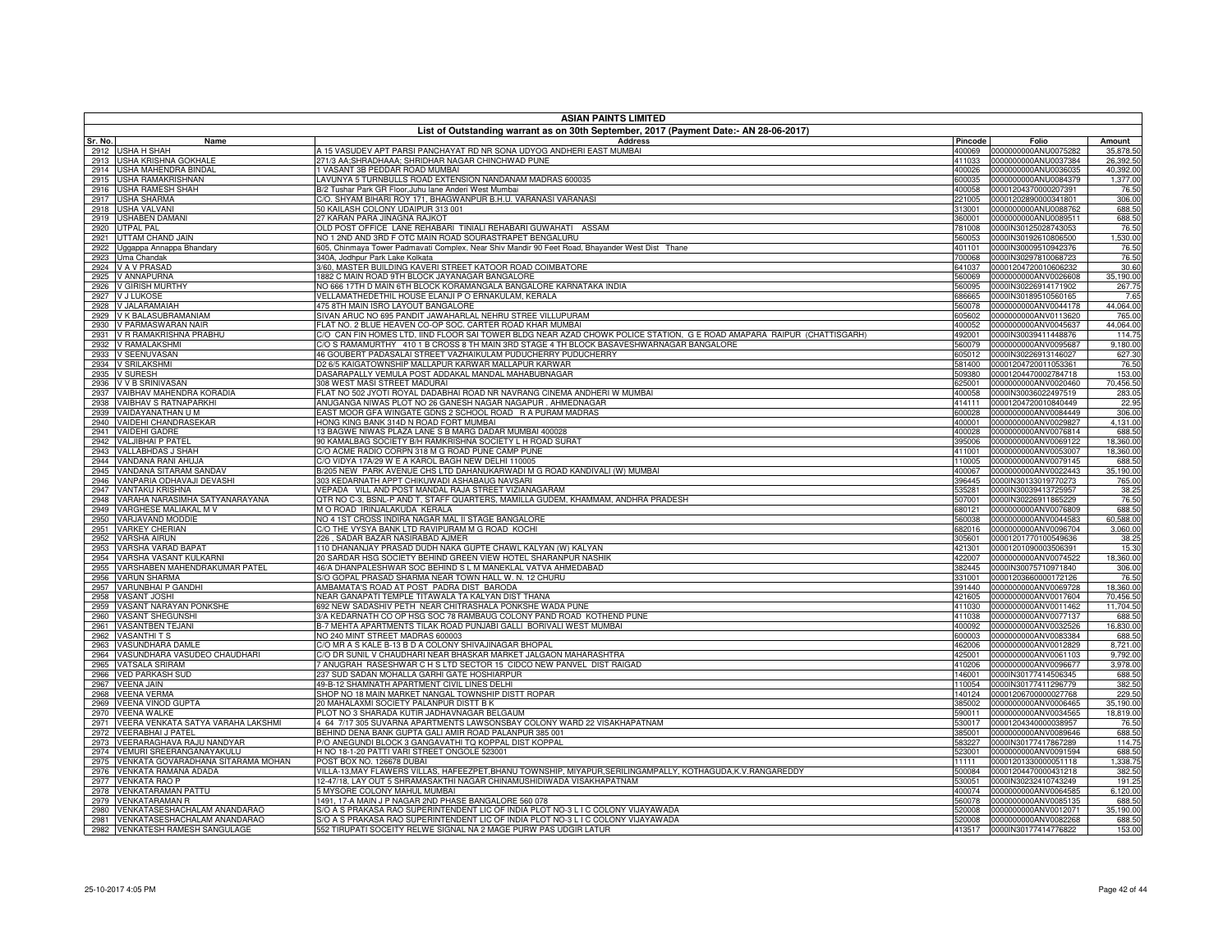|              | <b>ASIAN PAINTS LIMITED</b>                                                           |                                                                                                                                            |                  |                                                     |                        |  |  |
|--------------|---------------------------------------------------------------------------------------|--------------------------------------------------------------------------------------------------------------------------------------------|------------------|-----------------------------------------------------|------------------------|--|--|
|              | List of Outstanding warrant as on 30th September, 2017 (Payment Date:- AN 28-06-2017) |                                                                                                                                            |                  |                                                     |                        |  |  |
| Sr. No.      | Name                                                                                  | <b>Address</b>                                                                                                                             | Pincode          | Folio                                               | Amount                 |  |  |
| 2913         | 2912 USHA H SHAH<br><b>USHA KRISHNA GOKHALE</b>                                       | A 15 VASUDEV APT PARSI PANCHAYAT RD NR SONA UDYOG ANDHERI EAST MUMBAI<br>271/3 AA;SHRADHAAA; SHRIDHAR NAGAR CHINCHWAD PUNE                 | 411033           | 400069 0000000000ANU0075282<br>0000000000ANU0037384 | 35,878.50<br>26,392.50 |  |  |
| 2914         | USHA MAHENDRA BINDAL                                                                  | 1 VASANT 3B PEDDAR ROAD MUMBAI                                                                                                             | 400026           | 0000000000ANU0036035                                | 40,392.00              |  |  |
| 2915         | <b>USHA RAMAKRISHNAN</b>                                                              | LAVUNYA 5 TURNBULLS ROAD EXTENSION NANDANAM MADRAS 600035                                                                                  | 600035           | 0000000000ANU0084379                                | 1,377.00               |  |  |
| 2916         | <b>USHA RAMESH SHAH</b>                                                               | B/2 Tushar Park GR Floor, Juhu lane Anderi West Mumbai                                                                                     |                  | 400058 00001204370000207391                         | 76.50                  |  |  |
| 2917         | <b>USHA SHARMA</b>                                                                    | C/O. SHYAM BIHARI ROY 171, BHAGWANPUR B.H.U. VARANASI VARANASI                                                                             | 221005           | 00001202890000341801                                | 306.00                 |  |  |
| 2918<br>2919 | <b>USHA VALVANI</b>                                                                   | 50 KAILASH COLONY UDAIPUR 313 001<br>27 KARAN PARA JINAGNA RAJKOT                                                                          | 313001           | 0000000000ANU0088762                                | 688.50<br>688.50       |  |  |
| 2920         | <b>USHABEN DAMANI</b><br><b>UTPAL PAL</b>                                             | OLD POST OFFICE LANE REHABARI TINIALI REHABARI GUWAHATI ASSAM                                                                              | 360001<br>781008 | 0000000000ANU0089511<br>0000IN30125028743053        | 76.50                  |  |  |
| 2921         | UTTAM CHAND JAIN                                                                      | NO 1 2ND AND 3RD F OTC MAIN ROAD SOURASTRAPET BENGALURU                                                                                    | 560053           | 0000IN30192610806500                                | 1,530.00               |  |  |
| 2922         | Uggappa Annappa Bhandary                                                              | 605, Chinmaya Tower Padmavati Complex, Near Shiv Mandir 90 Feet Road, Bhayander West Dist Thane                                            | 401101           | 0000IN30009510942376                                | 76.50                  |  |  |
| 2923         | Uma Chandak                                                                           | 340A, Jodhpur Park Lake Kolkata                                                                                                            | 700068           | 0000IN30297810068723                                | 76.50                  |  |  |
| 2924         | V A V PRASAD                                                                          | 3/60, MASTER BUILDING KAVERI STREET KATOOR ROAD COIMBATORE                                                                                 |                  | 641037 00001204720010606232                         | 30.60                  |  |  |
| 2925         | V ANNAPURNA                                                                           | 1882 C MAIN ROAD 9TH BLOCK JAYANAGAR BANGALORE                                                                                             | 560069           | 0000000000ANV0026608                                | 35,190.00              |  |  |
| 2926         | <b>V GIRISH MURTHY</b>                                                                | NO 666 17TH D MAIN 6TH BLOCK KORAMANGALA BANGALORE KARNATAKA INDIA<br>VELLAMATHEDETHIL HOUSE ELANJI P O ERNAKULAM, KERALA                  | 560095           | 0000IN30226914171902                                | 267.75<br>7.65         |  |  |
| 2927<br>2928 | <b>VJLUKOSE</b><br>V JALARAMAIAH                                                      | 475 8TH MAIN ISRO LAYOUT BANGALORE                                                                                                         | 686665<br>560078 | 0000IN30189510560165<br>0000000000ANV0044178        | 44,064.00              |  |  |
| 2929         | V K BALASUBRAMANIAM                                                                   | SIVAN ARUC NO 695 PANDIT JAWAHARLAL NEHRU STREE VILLUPURAM                                                                                 | 605602           | 0000000000ANV0113620                                | 765.00                 |  |  |
| 2930         | V PARMASWARAN NAIR                                                                    | FLAT NO. 2 BLUE HEAVEN CO-OP SOC. CARTER ROAD KHAR MUMBAI                                                                                  | 400052           | 0000000000ANV0045637                                | 44,064.00              |  |  |
| 2931         | V R RAMAKRISHNA PRABHU                                                                | C/O CAN FIN HOMES LTD, IIND FLOOR SAI TOWER BLDG NEAR AZAD CHOWK POLICE STATION, G E ROAD AMAPARA RAIPUR (CHATTISGARH)                     | 492001           | 0000IN30039411448876                                | 114.75                 |  |  |
| 2932         | V RAMALAKSHMI                                                                         | C/O S RAMAMURTHY 410 1 B CROSS 8 TH MAIN 3RD STAGE 4 TH BLOCK BASAVESHWARNAGAR BANGALORE                                                   | 560079           | 0000000000ANV0095687                                | 9,180.00               |  |  |
| 2933         | V SEENUVASAN                                                                          | 46 GOUBERT PADASALAI STREET VAZHAIKULAM PUDUCHERRY PUDUCHERRY                                                                              |                  | 605012 0000IN30226913146027                         | 627.30                 |  |  |
| 2934         | <b>V SRILAKSHMI</b>                                                                   | D2 6/5 KAIGATOWNSHIP MALLAPUR KARWAR MALLAPUR KARWAR                                                                                       | 581400           | 00001204720011053361                                | 76.50                  |  |  |
| 2935<br>2936 | <b>V SURESH</b><br><b>V V B SRINIVASAN</b>                                            | DASARAPALLY VEMULA POST ADDAKAL MANDAL MAHABUBNAGAR<br>308 WEST MASI STREET MADURAI                                                        | 509380<br>625001 | 00001204470002784718<br>0000000000ANV0020460        | 153.00<br>70,456.50    |  |  |
| 2937         | VAIBHAV MAHENDRA KORADIA                                                              | FLAT NO 502 JYOTI ROYAL DADABHAI ROAD NR NAVRANG CINEMA ANDHERI W MUMBAI                                                                   | 400058           | 0000IN30036022497519                                | 283.05                 |  |  |
| 2938         | <b>VAIBHAV S RATNAPARKHI</b>                                                          | ANUGANGA NIWAS PLOT NO 26 GANESH NAGAR NAGAPUR. AHMEDNAGAR                                                                                 | 414111           | 00001204720010840449                                | 22.95                  |  |  |
| 2939         | VAIDAYANATHAN U M                                                                     | EAST MOOR GFA WINGATE GDNS 2 SCHOOL ROAD R A PURAM MADRAS                                                                                  | 600028           | 0000000000ANV0084449                                | 306.00                 |  |  |
| 2940         | VAIDEHI CHANDRASEKAR                                                                  | HONG KING BANK 314D N ROAD FORT MUMBAI                                                                                                     | 400001           | 0000000000ANV0029827                                | 4,131.00               |  |  |
| 2941         | <b>VAIDEHI GADRE</b>                                                                  | 13 BAGWE NIWAS PLAZA LANE S B MARG DADAR MUMBAI 400028                                                                                     | 400028           | 0000000000ANV0076814                                | 688.50                 |  |  |
| 2942         | <b>VALJIBHAI P PATEL</b>                                                              | 90 KAMALBAG SOCIETY B/H RAMKRISHNA SOCIETY L H ROAD SURAT                                                                                  | 395006           | 0000000000ANV0069122                                | 18,360.00              |  |  |
| 2943<br>2944 | VALLABHDAS J SHAH                                                                     | C/O ACME RADIO CORPN 318 M G ROAD PUNE CAMP PUNE<br>C/O VIDYA 17A/29 W E A KAROL BAGH NEW DELHI 110005                                     | 411001           | 0000000000ANV0053007                                | 18,360.00<br>688.50    |  |  |
| 2945         | VANDANA RANI AHUJA<br>VANDANA SITARAM SANDAV                                          | B/205 NEW PARK AVENUE CHS LTD DAHANUKARWADI M G ROAD KANDIVALI (W) MUMBAI                                                                  | 110005<br>400067 | 0000000000ANV0079145<br>0000000000ANV0022443        | 35,190.00              |  |  |
| 2946         | VANPARIA ODHAVAJI DEVASHI                                                             | 303 KEDARNATH APPT CHIKUWADI ASHABAUG NAVSARI                                                                                              | 396445           | 0000IN30133019770273                                | 765.00                 |  |  |
| 2947         | <b>VANTAKU KRISHNA</b>                                                                | VEPADA VILL AND POST MANDAL RAJA STREET VIZIANAGARAM                                                                                       | 535281           | 0000IN30039413725957                                | 38.25                  |  |  |
| 2948         | VARAHA NARASIMHA SATYANARAYANA                                                        | QTR NO C-3, BSNL-P AND T, STAFF QUARTERS, MAMILLA GUDEM, KHAMMAM, ANDHRA PRADESH                                                           | 507001           | 0000IN30226911865229                                | 76.50                  |  |  |
| 2949         | VARGHESE MALIAKAL M V                                                                 | M O ROAD IRINJALAKUDA KERALA                                                                                                               | 680121           | 0000000000ANV0076809                                | 688.50                 |  |  |
| 2950         | VARJAVAND MODDIE                                                                      | NO 4 1ST CROSS INDIRA NAGAR MAL II STAGE BANGALORE                                                                                         | 560038           | 0000000000ANV0044583                                | 60,588.00              |  |  |
| 2951         | <b>VARKEY CHERIAN</b><br><b>VARSHA AIRUN</b>                                          | C/O THE VYSYA BANK LTD RAVIPURAM M G ROAD KOCHI<br>226, SADAR BAZAR NASIRABAD AJMER                                                        | 682016           | 0000000000ANV0096704<br>00001201770100549636        | 3,060.00<br>38.25      |  |  |
| 2952<br>2953 | VARSHA VARAD BAPAT                                                                    | 110 DHANANJAY PRASAD DUDH NAKA GUPTE CHAWL KALYAN (W) KALYAN                                                                               | 305601<br>421301 | 00001201090003506391                                | 15.30                  |  |  |
| 2954         | VARSHA VASANT KULKARNI                                                                | 20 SARDAR HSG SOCIETY BEHIND GREEN VIEW HOTEL SHARANPUR NASHIK                                                                             | 422007           | 0000000000ANV0074522                                | 18,360.00              |  |  |
| 2955         | VARSHABEN MAHENDRAKUMAR PATEL                                                         | 46/A DHANPALESHWAR SOC BEHIND S L M MANEKLAL VATVA AHMEDABAD                                                                               | 382445           | 0000IN30075710971840                                | 306.00                 |  |  |
| 2956         | <b>VARUN SHARMA</b>                                                                   | S/O GOPAL PRASAD SHARMA NEAR TOWN HALL W. N. 12 CHURU                                                                                      | 331001           | 00001203660000172126                                | 76.50                  |  |  |
| 2957         | VARUNBHAI P GANDHI                                                                    | AMBAMATA'S ROAD AT POST PADRA DIST BARODA                                                                                                  | 391440           | 0000000000ANV0069728                                | 18,360.00              |  |  |
| 2958         | <b>VASANT JOSHI</b>                                                                   | NEAR GANAPATI TEMPLE TITAWALA TA KALYAN DIST THANA                                                                                         |                  | 421605 0000000000ANV0017604                         | 70,456.50              |  |  |
| 2959<br>2960 | VASANT NARAYAN PONKSHE<br><b>VASANT SHEGUNSHI</b>                                     | 692 NEW SADASHIV PETH NEAR CHITRASHALA PONKSHE WADA PUNE<br>3/A KEDARNATH CO OP HSG SOC 78 RAMBAUG COLONY PAND ROAD KOTHEND PUNE           | 411030           | 0000000000ANV0011462<br>411038 0000000000ANV0077137 | 11,704.50<br>688.50    |  |  |
| 2961         | <b>VASANTBEN TEJANI</b>                                                               | B-7 MEHTA APARTMENTS TILAK ROAD PUNJABI GALLI BORIVALI WEST MUMBAI                                                                         | 400092           | 0000000000ANV0032526                                | 16,830.00              |  |  |
| 2962         | <b>VASANTHITS</b>                                                                     | NO 240 MINT STREET MADRAS 600003                                                                                                           | 600003           | 0000000000ANV0083384                                | 688.50                 |  |  |
| 2963         | <b>VASUNDHARA DAMLE</b>                                                               | C/O MR A S KALE B-13 B D A COLONY SHIVAJINAGAR BHOPAL                                                                                      | 462006           | 0000000000ANV0012829                                | 8,721.00               |  |  |
| 2964         | VASUNDHARA VASUDEO CHAUDHARI                                                          | C/O DR SUNIL V CHAUDHARI NEAR BHASKAR MARKET JALGAON MAHARASHTRA                                                                           | 425001           | 0000000000ANV0061103                                | 9,792.00               |  |  |
| 2965         | VATSALA SRIRAM                                                                        | 7 ANUGRAH RASESHWAR C H S LTD SECTOR 15 CIDCO NEW PANVEL DIST RAIGAD                                                                       | 410206           | 0000000000ANV0096677                                | 3,978.00               |  |  |
|              | 2966 VED PARKASH SUD                                                                  | 237 SUD SADAN MOHALLA GARHI GATE HOSHIARPUR                                                                                                | 146001           | 0000IN30177414506345                                | 688.50                 |  |  |
| 2967         | <b>VEENA JAIN</b>                                                                     | 49-B-12 SHAMNATH APARTMENT CIVIL LINES DELHI<br>SHOP NO 18 MAIN MARKET NANGAL TOWNSHIP DISTT ROPAR                                         | 110054           | 0000IN30177411296779                                | 382.50                 |  |  |
| 2968<br>2969 | <b>VEENA VERMA</b><br><b>VEENA VINOD GUPTA</b>                                        | 20 MAHALAXMI SOCIETY PALANPUR DISTT B K                                                                                                    | 140124           | 00001206700000027768<br>385002 0000000000ANV0006465 | 229.50<br>35,190.00    |  |  |
| 2970         | <b>VEENA WALKE</b>                                                                    | PLOT NO 3 SHARADA KUTIR JADHAVNAGAR BELGAUM                                                                                                | 590011           | 0000000000ANV0034565                                | 18,819.00              |  |  |
|              | 2971 VEERA VENKATA SATYA VARAHA LAKSHMI                                               | 4 64 7/17 305 SUVARNA APARTMENTS LAWSONSBAY COLONY WARD 22 VISAKHAPATNAM                                                                   | 530017           | 00001204340000038957                                | 76.50                  |  |  |
| 2972         | <b>VEERABHAI J PATEL</b>                                                              | BEHIND DENA BANK GUPTA GALI AMIR ROAD PALANPUR 385 001                                                                                     | 385001           | 0000000000ANV0089646                                | 688.50                 |  |  |
| 2973         | VEERARAGHAVA RAJU NANDYAR                                                             | P/O ANEGUNDI BLOCK 3 GANGAVATHI TQ KOPPAL DIST KOPPAL                                                                                      | 583227           | 0000IN30177417867289                                | 114.75                 |  |  |
|              | 2974 VEMURI SREERANGANAYAKULU                                                         | H NO 18-1-20 PATTI VARI STREET ONGOLE 523001                                                                                               | 523001           | 0000000000ANV0091594                                | 688.50                 |  |  |
| 2975         | VENKATA GOVARADHANA SITARAMA MOHAN<br><b>VENKATA RAMANA ADADA</b>                     | POST BOX NO. 126678 DUBAI<br>VILLA-13, MAY FLAWERS VILLAS, HAFEEZPET, BHANU TOWNSHIP, MIYAPUR, SERILINGAMPALLY, KOTHAGUDA, K.V. RANGAREDDY | 11111<br>500084  | 00001201330000051118                                | 1,338.75<br>382.50     |  |  |
| 2976         | 2977 VENKATA RAO P                                                                    | 12-47/18, LAY OUT 5 SHRAMASAKTHI NAGAR CHINAMUSHIDIWADA VISAKHAPATNAM                                                                      | 530051           | 00001204470000431218<br>0000IN30232410743249        | 191.25                 |  |  |
| 2978         | <b>VENKATARAMAN PATTU</b>                                                             | 5 MYSORE COLONY MAHUL MUMBAI                                                                                                               | 400074           | 0000000000ANV0064585                                | 6,120.00               |  |  |
| 2979         | <b>VENKATARAMAN R</b>                                                                 | 1491, 17-A MAIN J P NAGAR 2ND PHASE BANGALORE 560 078                                                                                      | 560078           | 0000000000ANV0085135                                | 688.50                 |  |  |
| 2980         | VENKATASESHACHALAM ANANDARAO                                                          | S/O A S PRAKASA RAO SUPERINTENDENT LIC OF INDIA PLOT NO-3 L I C COLONY VIJAYAWADA                                                          | 520008           | 0000000000ANV0012071                                | 35,190.00              |  |  |
|              | 2981 VENKATASESHACHALAM ANANDARAO                                                     | S/O A S PRAKASA RAO SUPERINTENDENT LIC OF INDIA PLOT NO-3 L I C COLONY VIJAYAWADA                                                          |                  |                                                     | 688.50                 |  |  |
|              | 2982 VENKATESH RAMESH SANGULAGE                                                       | 552 TIRUPATI SOCEITY RELWE SIGNAL NA 2 MAGE PURW PAS UDGIR LATUR                                                                           |                  | 413517 0000IN30177414776822                         | 153.00                 |  |  |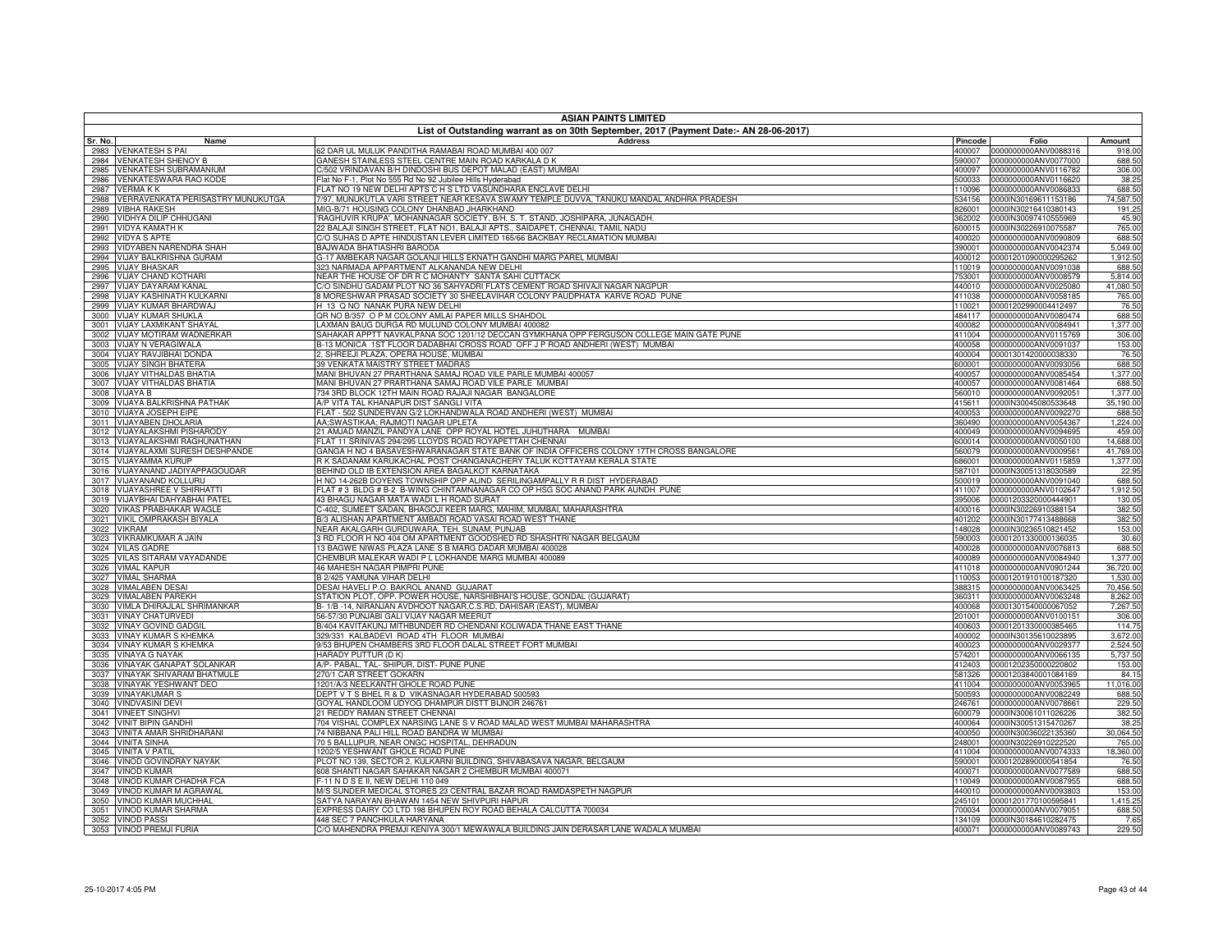|              | <b>ASIAN PAINTS LIMITED</b>                              |                                                                                                                                                              |                  |                                              |                    |
|--------------|----------------------------------------------------------|--------------------------------------------------------------------------------------------------------------------------------------------------------------|------------------|----------------------------------------------|--------------------|
| Sr. No.      | Name                                                     | List of Outstanding warrant as on 30th September, 2017 (Payment Date:- AN 28-06-2017)<br><b>Address</b>                                                      | Pincode          | Folio                                        | Amount             |
| 2983         | <b>VENKATESH S PAI</b>                                   | 62 DAR UL MULUK PANDITHA RAMABAI ROAD MUMBAI 400 007                                                                                                         | 400007           | 0000000000ANV0088316                         | 918.00             |
| 2984         | <b>VENKATESH SHENOY B</b>                                | GANESH STAINLESS STEEL CENTRE MAIN ROAD KARKALA D K                                                                                                          | 590007           | 0000000000ANV0077000                         | 688.50             |
| 2985         | <b>VENKATESH SUBRAMANIUM</b>                             | %502 VRINDAVAN B/H DINDOSHI BUS DEPOT MALAD (EAST) MUMBAI                                                                                                    | 400097           | 0000000000ANV0116782                         | 306.00             |
| 2986         | VENKATESWARA RAO KODE                                    | Flat No F-1, Plot No 555 Rd No 92 Jubilee Hills Hyderabad                                                                                                    | 500033           | 0000000000ANV0116620                         | 38.25              |
| 2987         | <b>VERMAKK</b>                                           | FLAT NO 19 NEW DELHI APTS C H S LTD VASUNDHARA ENCLAVE DELHI                                                                                                 | 110096           | 0000000000ANV0086833                         | 688.50             |
| 2988         | VERRAVENKATA PERISASTRY MUNUKUTGA                        | 7/97, MUNUKUTLA VARI STREET NEAR KESAVA SWAMY TEMPLE DUVVA, TANUKU MANDAL ANDHRA PRADESH                                                                     | 534156           | 0000IN30169611153186                         | 74,587.50          |
| 2989         | <b>VIBHA RAKESH</b>                                      | MIG-B/71 HOUSING COLONY DHANBAD JHARKHAND                                                                                                                    | 826001           | 0000IN30216410380143<br>0000IN30097410555969 | 191.25<br>45.90    |
| 2990<br>2991 | VIDHYA DILIP CHHUGANI<br><b>VIDYA KAMATH K</b>           | 'RAGHUVIR KRUPA', MOHANNAGAR SOCIETY, B/H. S. T. STAND, JOSHIPARA, JUNAGADH.<br>2 BALAJI SINGH STREET, FLAT NO1, BALAJI APTS., SAIDAPET, CHENNAI, TAMIL NADU | 362002<br>600015 | 0000IN30226910075587                         | 765.00             |
| 2992         | <b>VIDYA S APTE</b>                                      | CO SUHAS D APTE HINDUSTAN LEVER LIMITED 165/66 BACKBAY RECLAMATION MUMBAI                                                                                    | 400020           | 0000000000ANV0090809                         | 688.50             |
| 2993         | VIDYABEN NARENDRA SHAH                                   | BAJWADA BHATIASHRI BARODA                                                                                                                                    | 390001           | 0000000000ANV0042374                         | 5,049.00           |
| 2994         | <b>VIJAY BALKRISHNA GURAM</b>                            | 3-17 AMBEKAR NAGAR GOLANJI HILLS EKNATH GANDHI MARG PAREL MUMBAI                                                                                             | 400012           | 00001201090000295262                         | 1,912.50           |
| 2995         | <b>VIJAY BHASKAR</b>                                     | 323 NARMADA APPARTMENT ALKANANDA NEW DELHI                                                                                                                   | 110019           | 0000000000ANV0091038                         | 688.50             |
| 2996         | <b>VIJAY CHAND KOTHARI</b>                               | NEAR THE HOUSE OF DR R C MOHANTY SANTA SAHI CUTTACK                                                                                                          | 753001           | 0000000000ANV0008579                         | 5,814.00           |
| 2997         | <b>VIJAY DAYARAM KANAL</b>                               | C/O SINDHU GADAM PLOT NO 36 SAHYADRI FLATS CEMENT ROAD SHIVAJI NAGAR NAGPUR                                                                                  | 440010           | 0000000000ANV0025080                         | 41,080.50          |
| 2998         | VIJAY KASHINATH KULKARNI                                 | 8 MORESHWAR PRASAD SOCIETY 30 SHEELAVIHAR COLONY PAUDPHATA KARVE ROAD PUNE                                                                                   | 411038           | 0000000000ANV0058185                         | 765.00             |
| 2999         | VIJAY KUMAR BHARDWAJ                                     | H 13 Q NO NANAK PURA NEW DELHI                                                                                                                               | 110021           | 00001202990004412497                         | 76.50              |
| 3000         | <b>VIJAY KUMAR SHUKLA</b>                                | QR NO B/357 O P M COLONY AMLAI PAPER MILLS SHAHDOL                                                                                                           | 484117           | 0000000000ANV0080474                         | 688.50             |
| 3001         | <b>VIJAY LAXMIKANT SHAYAL</b><br>VIJAY MOTIRAM WADNERKAR | LAXMAN BAUG DURGA RD MULUND COLONY MUMBAI 400082<br>SAHAKAR APPTT NAVKALPANA SOC 1201/12 DECCAN GYMKHANA OPP FERGUSON COLLEGE MAIN GATE PUNE                 | 400082<br>411004 | 0000000000ANV0084941<br>0000000000ANV0115769 | 1,377.00<br>306.00 |
| 3002<br>3003 | VIJAY N VERAGIWALA                                       | 3-13 MONICA 1ST FLOOR DADABHAI CROSS ROAD OFF J P ROAD ANDHERI (WEST) MUMBAI                                                                                 | 400058           | 0000000000ANV0091037                         | 153.00             |
| 3004         | VIJAY RAVJIBHAI DONDA                                    | 2, SHREEJI PLAZA, OPERA HOUSE, MUMBAI                                                                                                                        | 400004           | 00001301420000038330                         | 76.50              |
| 3005         | <b>VIJAY SINGH BHATERA</b>                               | 39 VENKATA MAISTRY STREET MADRAS                                                                                                                             | 600001           | 0000000000ANV0093056                         | 688.50             |
| 3006         | VIJAY VITHALDAS BHATIA                                   | MANI BHUVAN 27 PRARTHANA SAMAJ ROAD VILE PARLE MUMBAI 400057                                                                                                 | 400057           | 0000000000ANV0085454                         | 1,377.00           |
|              | 3007 VIJAY VITHALDAS BHATIA                              | MANI BHUVAN 27 PRARTHANA SAMAJ ROAD VILE PARLE MUMBAI                                                                                                        | 400057           | 0000000000ANV0081464                         | 688.50             |
| 3008         | <b>VIJAYA B</b>                                          | 734 3RD BLOCK 12TH MAIN ROAD RAJAJI NAGAR BANGALORE                                                                                                          | 560010           | 0000000000ANV0092051                         | 1,377.00           |
| 3009         | VIJAYA BALKRISHNA PATHAK                                 | A/P VITA TAL KHANAPUR DIST SANGLI VITA                                                                                                                       | 415611           | 0000IN30045080533648                         | 35,190.00          |
| 3010         | VIJAYA JOSEPH EIPE                                       | FLAT - 502 SUNDERVAN G/2 LOKHANDWALA ROAD ANDHERI (WEST) MUMBAI                                                                                              | 400053           | 0000000000ANV0092270                         | 688.50             |
| 3011         | VIJAYABEN DHOLARIA                                       | AA;SWASTIKAA; RAJMOTI NAGAR UPLETA                                                                                                                           | 360490           | 0000000000ANV0054367                         | 1,224.00           |
| 3012         | <b>VIJAYALAKSHMI PISHARODY</b>                           | 21 AMJAD MANZIL PANDYA LANE OPP ROYAL HOTEL JUHUTHARA MUMBAI                                                                                                 | 400049           | 0000000000ANV0094695                         | 459.00             |
| 3013         | VIJAYALAKSHMI RAGHUNATHAN                                | FLAT 11 SRINIVAS 294/295 LLOYDS ROAD ROYAPETTAH CHENNAI                                                                                                      | 600014           | 0000000000ANV0050100                         | 14,688.00          |
| 3014         | VIJAYALAXMI SURESH DESHPANDE                             | GANGA H NO 4 BASAVESHWARANAGAR STATE BANK OF INDIA OFFICERS COLONY 17TH CROSS BANGALORE                                                                      | 560079           | 0000000000ANV0009561                         | 41,769.00          |
|              | 3015 VIJAYAMMA KURUP                                     | R K SADANAM KARUKACHAL POST CHANGANACHERY TALUK KOTTAYAM KERALA STATE                                                                                        | 686001           | 0000000000ANV0115859                         | 1,377.00           |
| 3016<br>3017 | VIJAYANAND JADIYAPPAGOUDAR<br>VIJAYANAND KOLLURU         | BEHIND OLD IB EXTENSION AREA BAGALKOT KARNATAKA<br>H NO 14-262B DOYENS TOWNSHIP OPP ALIND SERILINGAMPALLY R R DIST HYDERABAD                                 | 587101           | 0000IN30051318030589<br>0000000000ANV0091040 | 22.95<br>688.50    |
| 3018         | <b>VIJAYASHREE V SHIRHATTI</b>                           | FLAT # 3 BLDG # B-2 B-WING CHINTAMNANAGAR CO OP HSG SOC ANAND PARK AUNDH PUNE                                                                                | 500019<br>411007 | 0000000000ANV0102647                         | 1,912.50           |
|              | 3019 VIJAYBHAI DAHYABHAI PATEL                           | 43 BHAGU NAGAR MATA WADI L H ROAD SURAT                                                                                                                      | 395006           | 00001203320000444901                         | 130.05             |
|              | 3020 VIKAS PRABHAKAR WAGLE                               | -402, SUMEET SADAN, BHAGOJI KEER MARG, MAHIM, MUMBAI, MAHARASHTRA                                                                                            | 400016           | 0000IN30226910388154                         | 382.50             |
|              | 3021 VIKIL OMPRAKASH BIYALA                              | B/3 ALISHAN APARTMENT AMBADI ROAD VASAI ROAD WEST THANE                                                                                                      | 401202           | 0000IN30177413488668                         | 382.50             |
| 3022         | <b>VIKRAM</b>                                            | NEAR AKALGARH GURDUWARA, TEH. SUNAM, PUNJAB                                                                                                                  | 148028           | 0000IN30236510821452                         | 153.00             |
|              | 3023 VIKRAMKUMAR A JAIN                                  | 3 RD FLOOR H NO 404 OM APARTMENT GOODSHED RD SHASHTRI NAGAR BELGAUM                                                                                          |                  | 590003 00001201330000136035                  | 30.60              |
|              | 3024 VILAS GADRE                                         | 13 BAGWE NIWAS PLAZA LANE S B MARG DADAR MUMBAI 400028                                                                                                       | 400028           | 0000000000ANV0076813                         | 688.50             |
| 3025         | VILAS SITARAM VAYADANDE                                  | CHEMBUR MALEKAR WADI P L LOKHANDE MARG MUMBAI 400089                                                                                                         | 400089           | 0000000000ANV0084940                         | 1,377.00           |
|              | 3026 VIMAL KAPUR                                         | 46 MAHESH NAGAR PIMPRI PUNE                                                                                                                                  |                  | 411018 0000000000ANV0901244                  | 36,720.00          |
|              | 3027 VIMAL SHARMA                                        | B 2/425 YAMUNA VIHAR DELHI                                                                                                                                   | 110053           | 00001201910100187320                         | 1,530.00           |
|              | 3028 VIMALABEN DESAI                                     | DESAI HAVELI P.O. BAKROL ANAND GUJARAT                                                                                                                       | 388315           | 0000000000ANV0063425                         | 70,456.50          |
|              | 3029 VIMALABEN PAREKH                                    | STATION PLOT, OPP. POWER HOUSE, NARSHIBHAI'S HOUSE, GONDAL (GUJARAT)                                                                                         | 360311           | 0000000000ANV0063248                         | 8,262.00           |
|              | 3030 VIMLA DHIRAJLAL SHRIMANKAR                          | B- 1/B -14, NIRANJAN AVDHOOT NAGAR,C.S.RD, DAHISAR (EAST), MUMBAI                                                                                            | 400068           | 00001301540000067052                         | 7,267.50           |
|              | 3031 VINAY CHATURVEDI<br>3032 VINAY GOVIND GADGIL        | 56-57/30 PUNJABI GALI VIJAY NAGAR MEERUT<br>B/404 KAVITAKUNJ MITHBUNDER RD CHENDANI KOLIWADA THANE EAST THANE                                                | 201001<br>400603 | 0000000000ANV0100151<br>00001201330000385465 | 306.00<br>114.75   |
| 3033         | <b>VINAY KUMAR S KHEMKA</b>                              | 29/331 KALBADEVI ROAD 4TH FLOOR MUMBAI                                                                                                                       | 400002           | 0000IN30135610023895                         | 3,672.00           |
|              | 3034 VINAY KUMAR S KHEMKA                                | 9/53 BHUPEN CHAMBERS 3RD FLOOR DALAL STREET FORT MUMBAI                                                                                                      |                  | 400023 0000000000ANV0029377                  | 2,524.50           |
|              | 3035 VINAYA G NAYAK                                      | HARADY PUTTUR (D K)                                                                                                                                          | 574201           | 0000000000ANV0066135                         | 5,737.50           |
| 3036         | VINAYAK GANAPAT SOLANKAR                                 | A/P- PABAL, TAL- SHIPUR, DIST- PUNE PUNE                                                                                                                     | 412403           | 00001202350000220802                         | 153.00             |
|              | 3037 VINAYAK SHIVARAM BHATMULE                           | 270/1 CAR STREET GOKARN                                                                                                                                      |                  | 581326 00001203840001084169                  | 84.15              |
| 3038         | VINAYAK YESHWANT DEO                                     | 1201/A/3 NEELKANTH GHOLE ROAD PUNE                                                                                                                           | 411004           | 0000000000ANV0053965                         | 11,016.00          |
|              | 3039 VINAYAKUMAR S                                       | DEPT V T S BHEL R & D VIKASNAGAR HYDERABAD 500593                                                                                                            | 500593           | 0000000000ANV0082249                         | 688.50             |
|              | 3040 VINDVASINI DEVI                                     | GOYAL HANDLOOM UDYOG DHAMPUR DISTT BIJNOR 246761                                                                                                             | 246761           | 0000000000ANV0078661                         | 229.50             |
|              | 3041 VINEET SINGHVI                                      | 21 REDDY RAMAN STREET CHENNAI                                                                                                                                | 600079           | 0000IN30061011026226                         | 382.50             |
|              | 3042 VINIT BIPIN GANDHI                                  | 704 VISHAL COMPLEX NARSING LANE S V ROAD MALAD WEST MUMBAI MAHARASHTRA                                                                                       |                  | 400064 0000IN30051315470267                  | 38.25              |
|              | 3043 VINITA AMAR SHRIDHARANI                             | 74 NIBBANA PALI HILL ROAD BANDRA W MUMBAI                                                                                                                    | 400050           | 0000IN30036022135360                         | 30,064.50          |
|              | 3044 VINITA SINHA                                        | 70 5 BALLUPUR, NEAR ONGC HOSPITAL, DEHRADUN                                                                                                                  | 248001           | 0000IN30226910222520                         | 765.00             |
|              | 3045 VINITA V PATIL                                      | 1202/5 YESHWANT GHOLE ROAD PUNE<br>PLOT NO 139, SECTOR 2, KULKARNI BUILDING, SHIVABASAVA NAGAR, BELGAUM                                                      | 411004           | 0000000000ANV0074333                         | 18,360.00          |
|              | 3046 VINOD GOVINDRAY NAYAK<br>3047 VINOD KUMAR           | 608 SHANTI NAGAR SAHAKAR NAGAR 2 CHEMBUR MUMBAI 400071                                                                                                       | 590001<br>400071 | 00001202890000541854<br>0000000000ANV0077589 | 76.50<br>688.50    |
|              | 3048 VINOD KUMAR CHADHA FCA                              | F-11 N D S E II, NEW DELHI 110 049                                                                                                                           | 110049           | 0000000000ANV0087955                         | 688.50             |
|              | 3049 VINOD KUMAR M AGRAWAL                               | M/S SUNDER MEDICAL STORES 23 CENTRAL BAZAR ROAD RAMDASPETH NAGPUR                                                                                            | 440010           | 0000000000ANV0093803                         | 153.00             |
|              | 3050 VINOD KUMAR MUCHHAL                                 | SATYA NARAYAN BHAWAN 1454 NEW SHIVPURI HAPUR                                                                                                                 | 245101           | 00001201770100595841                         | 1,415.25           |
|              | 3051 VINOD KUMAR SHARMA                                  | EXPRESS DAIRY CO LTD 198 BHUPEN ROY ROAD BEHALA CALCUTTA 700034                                                                                              | 700034           | 0000000000ANV0079051                         | 688.50             |
|              | 3052 VINOD PASSI                                         | 448 SEC 7 PANCHKULA HARYANA                                                                                                                                  |                  | 134109 0000IN30184610282475                  | 7.65               |
|              | 3053 VINOD PREMJI FURIA                                  | C/O MAHENDRA PREMJI KENIYA 300/1 MEWAWALA BUILDING JAIN DERASAR LANE WADALA MUMBAI                                                                           |                  | 400071 0000000000ANV0089743                  | 229.50             |